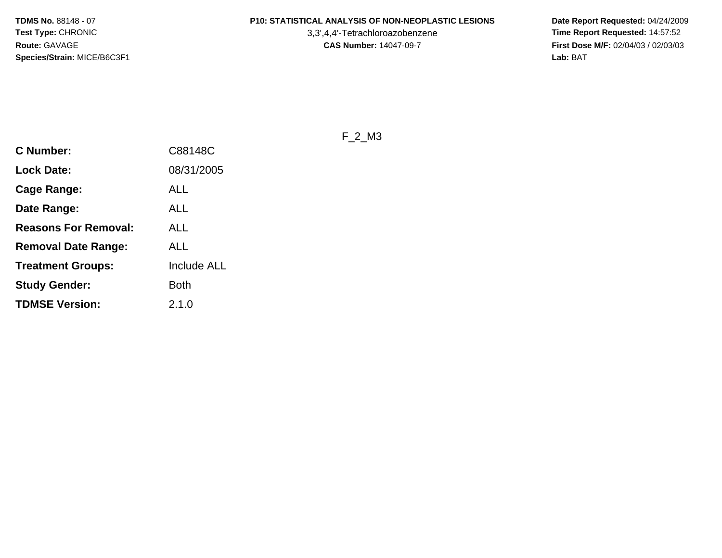#### **P10: STATISTICAL ANALYSIS OF NON-NEOPLASTIC LESIONS**

3,3',4,4'-Tetrachloroazobenzene

 **Date Report Requested:** 04/24/2009 **Time Report Requested:** 14:57:52 **First Dose M/F:** 02/04/03 / 02/03/03<br>Lab: BAT **Lab:** BAT

F\_2\_M3

| <b>C Number:</b>            | C88148C            |
|-----------------------------|--------------------|
| <b>Lock Date:</b>           | 08/31/2005         |
| <b>Cage Range:</b>          | ALL                |
| Date Range:                 | ALL                |
| <b>Reasons For Removal:</b> | ALL                |
| Removal Date Range:         | ALL                |
| <b>Treatment Groups:</b>    | <b>Include ALL</b> |
| <b>Study Gender:</b>        | Both               |
| <b>TDMSE Version:</b>       | 2.1.0              |
|                             |                    |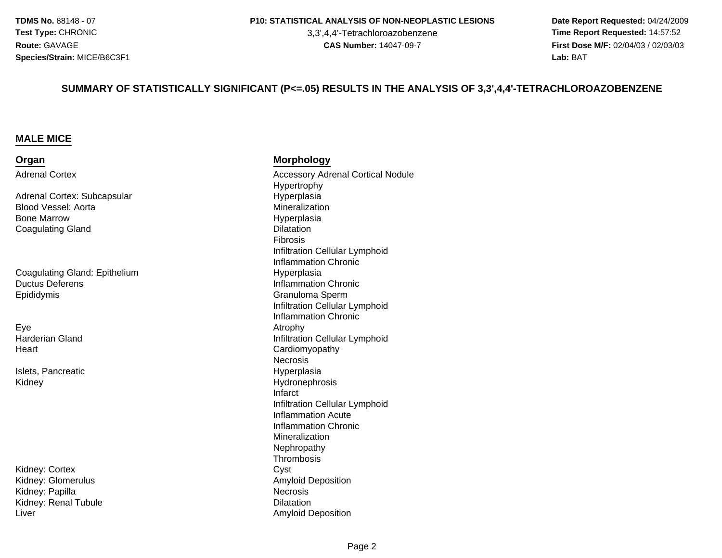3,3',4,4'-Tetrachloroazobenzene

 **Date Report Requested:** 04/24/2009 **Time Report Requested:** 14:57:52 **First Dose M/F:** 02/04/03 / 02/03/03<br>Lab: BAT **Lab:** BAT

#### **SUMMARY OF STATISTICALLY SIGNIFICANT (P<=.05) RESULTS IN THE ANALYSIS OF 3,3',4,4'-TETRACHLOROAZOBENZENE**

#### **MALE MICE**

#### **Organ**Adrenal Cortex

Adrenal Cortex: SubcapsularBlood Vessel: AortaBone MarrowCoagulating Gland

Coagulating Gland: EpitheliumDuctus DeferensEpididymis

Eyee Atrophy Harderian Gland**Heart** 

Islets, PancreaticKidney

Kidney: Cortexx Cyst Kidney: GlomerulusKidney: Papillaa Necrosis Kidney: Renal TubuleLiver

#### **Morphology**

 Accessory Adrenal Cortical NoduleHypertrophy Hyperplasiaa **Mineralization** Hyperplasia<br>Dilatation d<br>Executive Contract of Contract Contract Contract Contract Contract Contract Contract Contract Contract Contra<br>Contract Contract Contract Contract Contract Contract Contract Contract Contract Contract Contract Contract Co Fibrosis Infiltration Cellular LymphoidInflammation Chronic Hyperplasia Inflammation Chronic Granuloma Sperm Infiltration Cellular LymphoidInflammation Chronic Infiltration Cellular Lymphoid Cardiomyopathy**Necrosis**  Hyperplasiay the contract of the contract of the Hydronephrosis  $\mathsf{Hydron}$ Infarct Infiltration Cellular LymphoidInflammation Acute Inflammation ChronicMineralization Nephropathy Thrombosis Amyloid Depositione Dilatation Dilatation Amyloid Deposition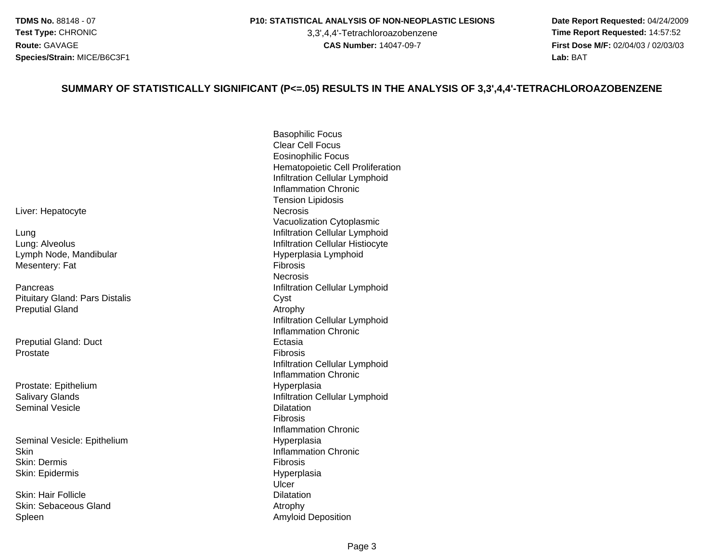3,3',4,4'-Tetrachloroazobenzene

 **Date Report Requested:** 04/24/2009 **Time Report Requested:** 14:57:52 **First Dose M/F:** 02/04/03 / 02/03/03<br>Lab: BAT **Lab:** BAT

#### **SUMMARY OF STATISTICALLY SIGNIFICANT (P<=.05) RESULTS IN THE ANALYSIS OF 3,3',4,4'-TETRACHLOROAZOBENZENE**

Liver: Hepatocytee **Necrosis** g is a contract of the contract of the line of the line of the line of the line of the line of the line of the line of the line of the line of the line of the line of the line of the line of the line of the line of the lin LungLung: AlveolusLymph Node, MandibularMesentery: Fats<br>
Infiltration Cellular Lymphoid PancreasPituitary Gland: Pars Distaliss Cyst Preputial Glandd Atrophy Preputial Gland: Ductt **Ectasia** Prostatee Fibrosis Prostate: EpitheliumSalivary GlandsSeminal Vesiclee Dilatation<br>Dilatation Seminal Vesicle: Epithelium**Skin** Skin: Dermiss **Fibrosis** Skin: EpidermisSkin: Hair Folliclee Dilatation Skin: Sebaceous GlandSpleen

Basophilic Focus Clear Cell Focus Eosinophilic Focus Hematopoietic Cell ProliferationInfiltration Cellular LymphoidInflammation ChronicTension LipidosisVacuolization Cytoplasmic Infiltration Cellular Histiocyte Hyperplasia Lymphoid Fibrosis NecrosisInfiltration Cellular LymphoidInflammation Chronic**Fibrosis** Infiltration Cellular LymphoidInflammation Chronic Hyperplasia Infiltration Cellular Lymphoid<br>Dilatation Fibrosis Inflammation Chronic Hyperplasia Inflammation Chronic<br>Fibrosis HyperplasiaUlcer**Dilatation**  Atrophy Amyloid Deposition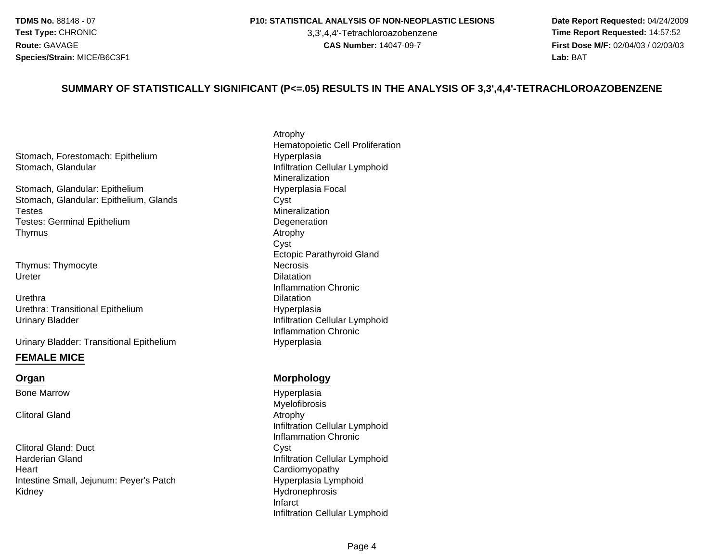#### **P10: STATISTICAL ANALYSIS OF NON-NEOPLASTIC LESIONS**

3,3',4,4'-Tetrachloroazobenzene

 **Date Report Requested:** 04/24/2009 **Time Report Requested:** 14:57:52 **First Dose M/F:** 02/04/03 / 02/03/03<br>Lab: BAT **Lab:** BAT

#### **SUMMARY OF STATISTICALLY SIGNIFICANT (P<=.05) RESULTS IN THE ANALYSIS OF 3,3',4,4'-TETRACHLOROAZOBENZENE**

Stomach, Forestomach: EpitheliumStomach, Glandular

Stomach, Glandular: EpitheliumStomach, Glandular: Epithelium, GlandsTestesm Degeneration<br>Atrachy Testes: Germinal Epithelium**Thymus** s and the contract of the contract of the contract of  $\Lambda$  and  $\Lambda$ 

Thymus: Thymocyte**Ureter** r **Dilatation** 

Urethraa Dilatation<br>———————————————————— Urethra: Transitional EpitheliumUrinary Bladder

Urinary Bladder: Transitional Epithelium

#### **FEMALE MICE**

#### **Organ**

Bone Marrow

Clitoral Gland

Clitoral Gland: Ductt in the contract of the contract of the contract of the contract of the contract of the contract of the contract of the contract of the contract of the contract of the contract of the contract of the contract of the contr Harderian Gland**Heart** Intestine Small, Jejunum: Peyer's PatchKidney

Atrophy Hematopoietic Cell Proliferation Hyperplasia Infiltration Cellular LymphoidMineralization Hyperplasia Focal Cyst MineralizationCyst Ectopic Parathyroid Glande Necrosis Inflammation Chronic Hyperplasia Infiltration Cellular LymphoidInflammation ChronicHyperplasia

#### **Morphology**

 Hyperplasia Myelofibrosisd Atrophy Infiltration Cellular LymphoidInflammation Chronic Infiltration Cellular Lymphoid Cardiomyopathyh Hyperplasia Lymphoid Hydronephrosis InfarctInfiltration Cellular Lymphoid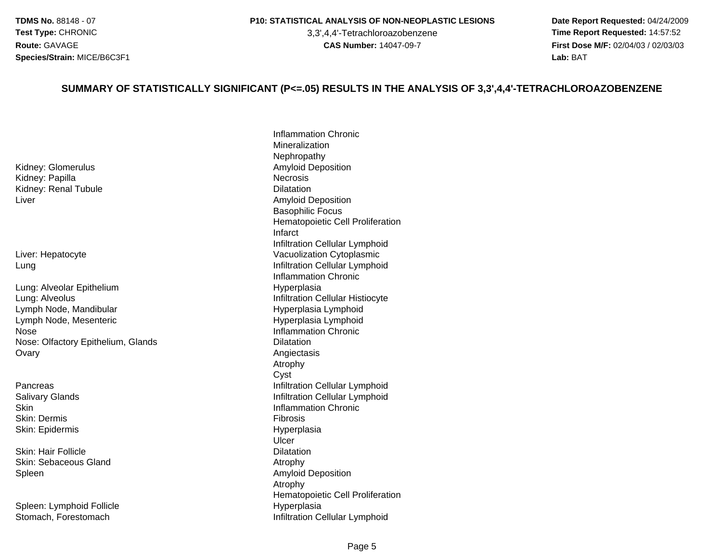3,3',4,4'-Tetrachloroazobenzene

 **Date Report Requested:** 04/24/2009 **Time Report Requested:** 14:57:52 **First Dose M/F:** 02/04/03 / 02/03/03<br>Lab: BAT **Lab:** BAT

#### **SUMMARY OF STATISTICALLY SIGNIFICANT (P<=.05) RESULTS IN THE ANALYSIS OF 3,3',4,4'-TETRACHLOROAZOBENZENE**

Kidney: GlomerulusKidney: Papillaa Necrosis Kidney: Renal TubuleLiver

Liver: HepatocyteLung

Lung: Alveolar EpitheliumLung: AlveolusLymph Node, MandibularLymph Node, Mesenterice Inflammation Chronic<br>
The Chronic Chronic Chronic Chronic Chronic Chronic Chronic Chronic Chronic Chronic NoseNose: Olfactory Epithelium, Glandsy and the contract of the contract of the contract of the contract of the contract of the contract of the contract of the contract of the contract of the contract of the contract of the contract of the contract of the cont **Ovary** 

PancreasSalivary Glands**Skin** Skin: DermisSkin: Epidermis

Skin: Hair FollicleSkin: Sebaceous GlandSpleen

Spleen: Lymphoid FollicleStomach, Forestomach

Inflammation ChronicMineralization Nephropathy Amyloid Deposition Dilatation Amyloid DepositionBasophilic Focus Hematopoietic Cell ProliferationInfarct Infiltration Cellular Lymphoid Vacuolization Cytoplasmic Infiltration Cellular Lymphoid Inflammation Chronic Hyperplasia Infiltration Cellular Histiocyte Hyperplasia Lymphoid Hyperplasia Lymphoid**Dilatation** AtrophyCysts and the contract of the contract of the line of the line of the line of the line of the line of the line of the line of the line of the line of the line of the line of the line of the line of the line of the line of the s **Infiltration Cellular Lymphoid** Inflammation Chronic<br>Fibrosis s **Fibrosis**  HyperplasiaUlcer**Dilatation** e Dilatation Atrophy Amyloid Deposition Atrophy Hematopoietic Cell Proliferation Hyperplasia Infiltration Cellular Lymphoid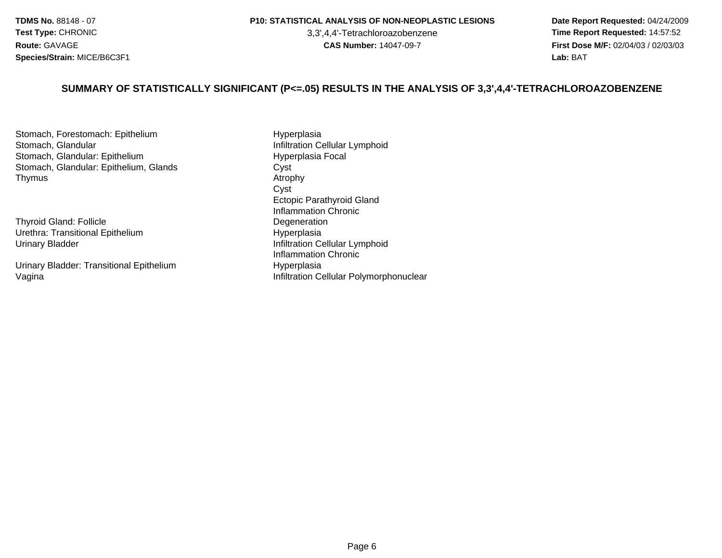#### **P10: STATISTICAL ANALYSIS OF NON-NEOPLASTIC LESIONS**

3,3',4,4'-Tetrachloroazobenzene

 **Date Report Requested:** 04/24/2009 **Time Report Requested:** 14:57:52 **First Dose M/F:** 02/04/03 / 02/03/03<br>Lab: BAT **Lab:** BAT

#### **SUMMARY OF STATISTICALLY SIGNIFICANT (P<=.05) RESULTS IN THE ANALYSIS OF 3,3',4,4'-TETRACHLOROAZOBENZENE**

Stomach, Forestomach: EpitheliumStomach, GlandularStomach, Glandular: EpitheliumStomach, Glandular: Epithelium, GlandsThymuss and the contract of the contract of the contract of  $\Lambda$  and  $\Lambda$ 

Thyroid Gland: FollicleUrethra: Transitional EpitheliumUrinary Bladder

Urinary Bladder: Transitional EpitheliumVagina

 Hyperplasia Infiltration Cellular Lymphoid Hyperplasia Focal Cyst<br>Atrophy Cyst Ectopic Parathyroid GlandInflammation Chronic**Degeneration**  Hyperplasia Infiltration Cellular LymphoidInflammation Chronic Hyperplasia Infiltration Cellular Polymorphonuclear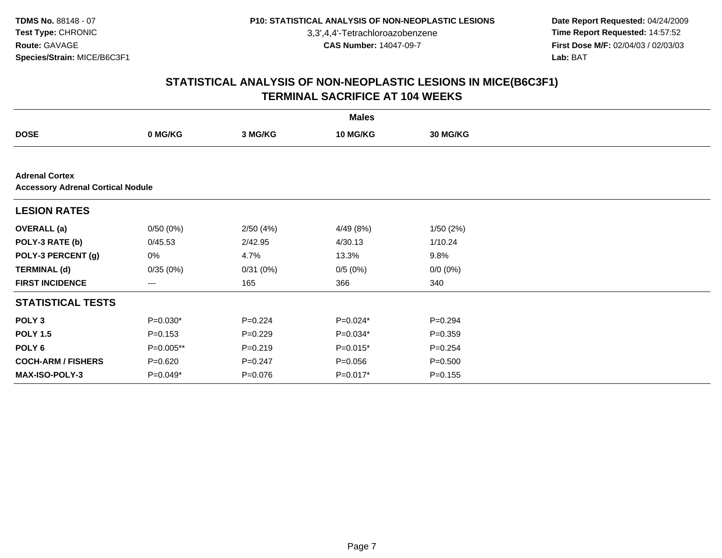3,3',4,4'-Tetrachloroazobenzene

 **Date Report Requested:** 04/24/2009 **Time Report Requested:** 14:57:52 **First Dose M/F:** 02/04/03 / 02/03/03<br>Lab: BAT **Lab:** BAT

|                                                                   |                   |             | <b>Males</b> |                 |  |  |  |  |  |
|-------------------------------------------------------------------|-------------------|-------------|--------------|-----------------|--|--|--|--|--|
| <b>DOSE</b>                                                       | 0 MG/KG           | 3 MG/KG     | 10 MG/KG     | <b>30 MG/KG</b> |  |  |  |  |  |
|                                                                   |                   |             |              |                 |  |  |  |  |  |
| <b>Adrenal Cortex</b><br><b>Accessory Adrenal Cortical Nodule</b> |                   |             |              |                 |  |  |  |  |  |
| <b>LESION RATES</b>                                               |                   |             |              |                 |  |  |  |  |  |
| <b>OVERALL</b> (a)                                                | 0/50(0%)          | 2/50(4%)    | 4/49 (8%)    | 1/50(2%)        |  |  |  |  |  |
| POLY-3 RATE (b)                                                   | 0/45.53           | 2/42.95     | 4/30.13      | 1/10.24         |  |  |  |  |  |
| POLY-3 PERCENT (g)                                                | 0%                | 4.7%        | 13.3%        | 9.8%            |  |  |  |  |  |
| <b>TERMINAL (d)</b>                                               | 0/35(0%)          | 0/31(0%)    | 0/5(0%)      | $0/0 (0\%)$     |  |  |  |  |  |
| <b>FIRST INCIDENCE</b>                                            | $\qquad \qquad -$ | 165         | 366          | 340             |  |  |  |  |  |
| <b>STATISTICAL TESTS</b>                                          |                   |             |              |                 |  |  |  |  |  |
| POLY <sub>3</sub>                                                 | $P=0.030*$        | $P = 0.224$ | P=0.024*     | $P = 0.294$     |  |  |  |  |  |
| <b>POLY 1.5</b>                                                   | $P = 0.153$       | $P=0.229$   | $P=0.034*$   | $P = 0.359$     |  |  |  |  |  |
| POLY <sub>6</sub>                                                 | P=0.005**         | $P = 0.219$ | $P=0.015*$   | $P=0.254$       |  |  |  |  |  |
| <b>COCH-ARM / FISHERS</b>                                         | $P=0.620$         | $P = 0.247$ | $P = 0.056$  | $P = 0.500$     |  |  |  |  |  |
| <b>MAX-ISO-POLY-3</b>                                             | $P=0.049*$        | $P = 0.076$ | $P=0.017*$   | $P = 0.155$     |  |  |  |  |  |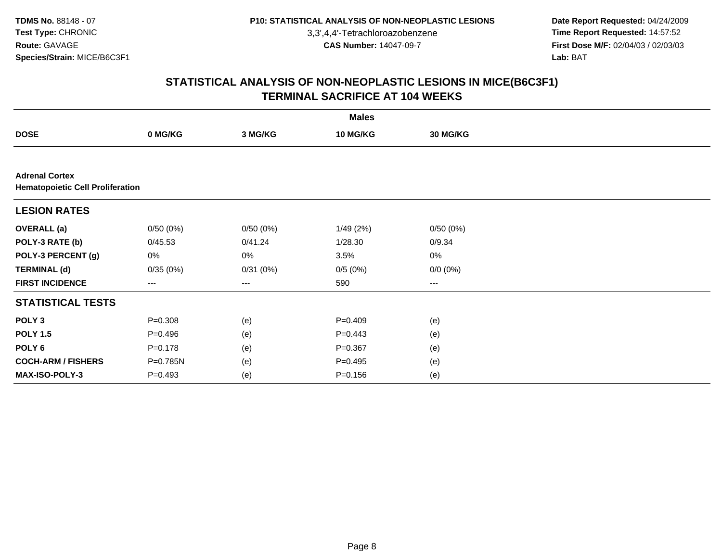3,3',4,4'-Tetrachloroazobenzene

 **Date Report Requested:** 04/24/2009 **Time Report Requested:** 14:57:52 **First Dose M/F:** 02/04/03 / 02/03/03<br>Lab: BAT **Lab:** BAT

| <b>Males</b>                                                     |                   |          |             |                        |  |  |  |  |
|------------------------------------------------------------------|-------------------|----------|-------------|------------------------|--|--|--|--|
| <b>DOSE</b>                                                      | 0 MG/KG           | 3 MG/KG  | 10 MG/KG    | <b>30 MG/KG</b>        |  |  |  |  |
|                                                                  |                   |          |             |                        |  |  |  |  |
| <b>Adrenal Cortex</b><br><b>Hematopoietic Cell Proliferation</b> |                   |          |             |                        |  |  |  |  |
| <b>LESION RATES</b>                                              |                   |          |             |                        |  |  |  |  |
| <b>OVERALL</b> (a)                                               | 0/50(0%)          | 0/50(0%) | 1/49(2%)    | 0/50(0%)               |  |  |  |  |
| POLY-3 RATE (b)                                                  | 0/45.53           | 0/41.24  | 1/28.30     | 0/9.34                 |  |  |  |  |
| POLY-3 PERCENT (g)                                               | 0%                | 0%       | 3.5%        | 0%                     |  |  |  |  |
| <b>TERMINAL (d)</b>                                              | 0/35(0%)          | 0/31(0%) | 0/5(0%)     | $0/0 (0\%)$            |  |  |  |  |
| <b>FIRST INCIDENCE</b>                                           | $\qquad \qquad -$ | ---      | 590         | $\qquad \qquad \cdots$ |  |  |  |  |
| <b>STATISTICAL TESTS</b>                                         |                   |          |             |                        |  |  |  |  |
| POLY <sub>3</sub>                                                | $P = 0.308$       | (e)      | $P=0.409$   | (e)                    |  |  |  |  |
| <b>POLY 1.5</b>                                                  | $P = 0.496$       | (e)      | $P=0.443$   | (e)                    |  |  |  |  |
| POLY <sub>6</sub>                                                | $P = 0.178$       | (e)      | $P = 0.367$ | (e)                    |  |  |  |  |
| <b>COCH-ARM / FISHERS</b>                                        | P=0.785N          | (e)      | $P = 0.495$ | (e)                    |  |  |  |  |
| MAX-ISO-POLY-3                                                   | $P=0.493$         | (e)      | $P = 0.156$ | (e)                    |  |  |  |  |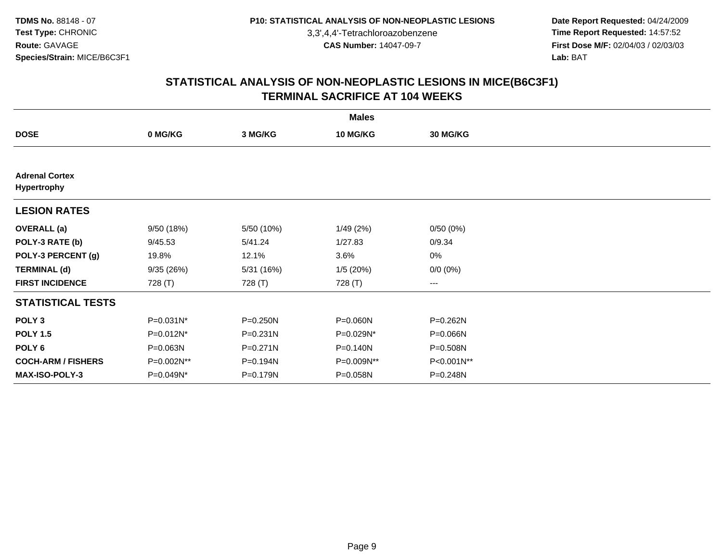3,3',4,4'-Tetrachloroazobenzene

 **Date Report Requested:** 04/24/2009 **Time Report Requested:** 14:57:52 **First Dose M/F:** 02/04/03 / 02/03/03<br>Lab: BAT **Lab:** BAT

| <b>Males</b>                         |            |              |                 |              |  |  |  |
|--------------------------------------|------------|--------------|-----------------|--------------|--|--|--|
| <b>DOSE</b>                          | 0 MG/KG    | 3 MG/KG      | <b>10 MG/KG</b> | 30 MG/KG     |  |  |  |
|                                      |            |              |                 |              |  |  |  |
| <b>Adrenal Cortex</b><br>Hypertrophy |            |              |                 |              |  |  |  |
| <b>LESION RATES</b>                  |            |              |                 |              |  |  |  |
| <b>OVERALL</b> (a)                   | 9/50(18%)  | 5/50 (10%)   | 1/49(2%)        | 0/50(0%)     |  |  |  |
| POLY-3 RATE (b)                      | 9/45.53    | 5/41.24      | 1/27.83         | 0/9.34       |  |  |  |
| POLY-3 PERCENT (g)                   | 19.8%      | 12.1%        | 3.6%            | 0%           |  |  |  |
| <b>TERMINAL (d)</b>                  | 9/35(26%)  | 5/31 (16%)   | 1/5(20%)        | $0/0 (0\%)$  |  |  |  |
| <b>FIRST INCIDENCE</b>               | 728 (T)    | 728 (T)      | 728 (T)         | $---$        |  |  |  |
| <b>STATISTICAL TESTS</b>             |            |              |                 |              |  |  |  |
| POLY <sub>3</sub>                    | P=0.031N*  | P=0.250N     | P=0.060N        | P=0.262N     |  |  |  |
| <b>POLY 1.5</b>                      | P=0.012N*  | $P = 0.231N$ | P=0.029N*       | $P = 0.066N$ |  |  |  |
| POLY <sub>6</sub>                    | P=0.063N   | $P = 0.271N$ | P=0.140N        | P=0.508N     |  |  |  |
| <b>COCH-ARM / FISHERS</b>            | P=0.002N** | P=0.194N     | P=0.009N**      | P<0.001N**   |  |  |  |
| <b>MAX-ISO-POLY-3</b>                | P=0.049N*  | P=0.179N     | P=0.058N        | P=0.248N     |  |  |  |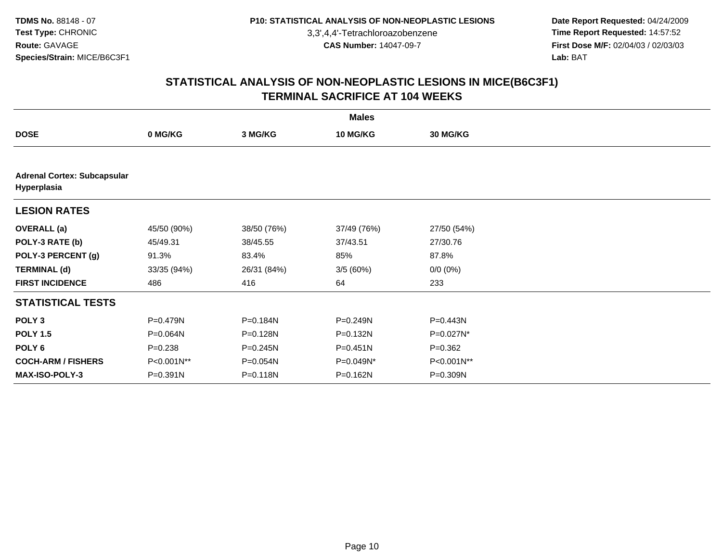3,3',4,4'-Tetrachloroazobenzene

 **Date Report Requested:** 04/24/2009 **Time Report Requested:** 14:57:52 **First Dose M/F:** 02/04/03 / 02/03/03<br>Lab: BAT **Lab:** BAT

| <b>Males</b>                                      |             |             |             |                 |  |  |
|---------------------------------------------------|-------------|-------------|-------------|-----------------|--|--|
| <b>DOSE</b>                                       | 0 MG/KG     | 3 MG/KG     | 10 MG/KG    | <b>30 MG/KG</b> |  |  |
|                                                   |             |             |             |                 |  |  |
| <b>Adrenal Cortex: Subcapsular</b><br>Hyperplasia |             |             |             |                 |  |  |
| <b>LESION RATES</b>                               |             |             |             |                 |  |  |
| <b>OVERALL</b> (a)                                | 45/50 (90%) | 38/50 (76%) | 37/49 (76%) | 27/50 (54%)     |  |  |
| POLY-3 RATE (b)                                   | 45/49.31    | 38/45.55    | 37/43.51    | 27/30.76        |  |  |
| POLY-3 PERCENT (g)                                | 91.3%       | 83.4%       | 85%         | 87.8%           |  |  |
| <b>TERMINAL (d)</b>                               | 33/35 (94%) | 26/31 (84%) | 3/5(60%)    | $0/0 (0\%)$     |  |  |
| <b>FIRST INCIDENCE</b>                            | 486         | 416         | 64          | 233             |  |  |
| <b>STATISTICAL TESTS</b>                          |             |             |             |                 |  |  |
| POLY <sub>3</sub>                                 | P=0.479N    | P=0.184N    | P=0.249N    | P=0.443N        |  |  |
| <b>POLY 1.5</b>                                   | P=0.064N    | P=0.128N    | P=0.132N    | P=0.027N*       |  |  |
| POLY <sub>6</sub>                                 | $P = 0.238$ | P=0.245N    | P=0.451N    | $P = 0.362$     |  |  |
| <b>COCH-ARM / FISHERS</b>                         | P<0.001N**  | P=0.054N    | P=0.049N*   | P<0.001N**      |  |  |
| <b>MAX-ISO-POLY-3</b>                             | P=0.391N    | P=0.118N    | P=0.162N    | P=0.309N        |  |  |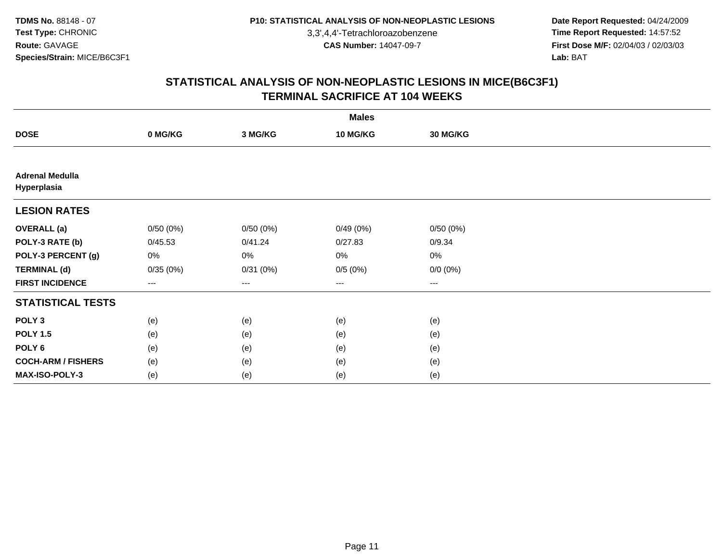3,3',4,4'-Tetrachloroazobenzene

 **Date Report Requested:** 04/24/2009 **Time Report Requested:** 14:57:52 **First Dose M/F:** 02/04/03 / 02/03/03<br>Lab: BAT **Lab:** BAT

| <b>Males</b>                          |          |          |          |             |  |  |  |
|---------------------------------------|----------|----------|----------|-------------|--|--|--|
| <b>DOSE</b>                           | 0 MG/KG  | 3 MG/KG  | 10 MG/KG | 30 MG/KG    |  |  |  |
|                                       |          |          |          |             |  |  |  |
| <b>Adrenal Medulla</b><br>Hyperplasia |          |          |          |             |  |  |  |
| <b>LESION RATES</b>                   |          |          |          |             |  |  |  |
| <b>OVERALL</b> (a)                    | 0/50(0%) | 0/50(0%) | 0/49(0%) | 0/50(0%)    |  |  |  |
| POLY-3 RATE (b)                       | 0/45.53  | 0/41.24  | 0/27.83  | 0/9.34      |  |  |  |
| POLY-3 PERCENT (g)                    | 0%       | 0%       | 0%       | 0%          |  |  |  |
| <b>TERMINAL (d)</b>                   | 0/35(0%) | 0/31(0%) | 0/5(0%)  | $0/0 (0\%)$ |  |  |  |
| <b>FIRST INCIDENCE</b>                | $---$    | ---      | ---      | $--$        |  |  |  |
| <b>STATISTICAL TESTS</b>              |          |          |          |             |  |  |  |
| POLY <sub>3</sub>                     | (e)      | (e)      | (e)      | (e)         |  |  |  |
| <b>POLY 1.5</b>                       | (e)      | (e)      | (e)      | (e)         |  |  |  |
| POLY <sub>6</sub>                     | (e)      | (e)      | (e)      | (e)         |  |  |  |
| <b>COCH-ARM / FISHERS</b>             | (e)      | (e)      | (e)      | (e)         |  |  |  |
| MAX-ISO-POLY-3                        | (e)      | (e)      | (e)      | (e)         |  |  |  |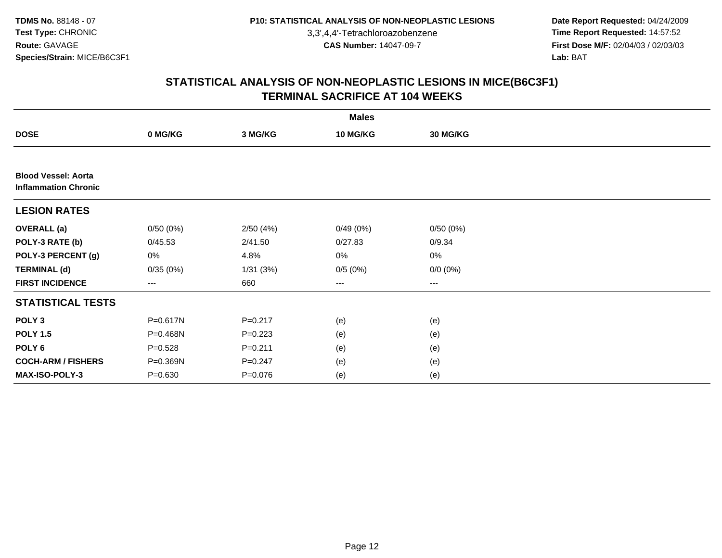3,3',4,4'-Tetrachloroazobenzene

 **Date Report Requested:** 04/24/2009 **Time Report Requested:** 14:57:52 **First Dose M/F:** 02/04/03 / 02/03/03<br>Lab: BAT **Lab:** BAT

|                                                           |             |             | <b>Males</b>           |                 |  |
|-----------------------------------------------------------|-------------|-------------|------------------------|-----------------|--|
| <b>DOSE</b>                                               | 0 MG/KG     | 3 MG/KG     | 10 MG/KG               | <b>30 MG/KG</b> |  |
|                                                           |             |             |                        |                 |  |
| <b>Blood Vessel: Aorta</b><br><b>Inflammation Chronic</b> |             |             |                        |                 |  |
| <b>LESION RATES</b>                                       |             |             |                        |                 |  |
| <b>OVERALL</b> (a)                                        | 0/50(0%)    | 2/50(4%)    | 0/49(0%)               | 0/50(0%)        |  |
| POLY-3 RATE (b)                                           | 0/45.53     | 2/41.50     | 0/27.83                | 0/9.34          |  |
| POLY-3 PERCENT (g)                                        | 0%          | 4.8%        | 0%                     | 0%              |  |
| <b>TERMINAL (d)</b>                                       | 0/35(0%)    | 1/31(3%)    | 0/5(0%)                | $0/0 (0\%)$     |  |
| <b>FIRST INCIDENCE</b>                                    | ---         | 660         | $\qquad \qquad \cdots$ | $---$           |  |
| <b>STATISTICAL TESTS</b>                                  |             |             |                        |                 |  |
| POLY <sub>3</sub>                                         | P=0.617N    | $P = 0.217$ | (e)                    | (e)             |  |
| <b>POLY 1.5</b>                                           | P=0.468N    | $P = 0.223$ | (e)                    | (e)             |  |
| POLY <sub>6</sub>                                         | $P = 0.528$ | $P = 0.211$ | (e)                    | (e)             |  |
| <b>COCH-ARM / FISHERS</b>                                 | P=0.369N    | $P = 0.247$ | (e)                    | (e)             |  |
| MAX-ISO-POLY-3                                            | $P = 0.630$ | P=0.076     | (e)                    | (e)             |  |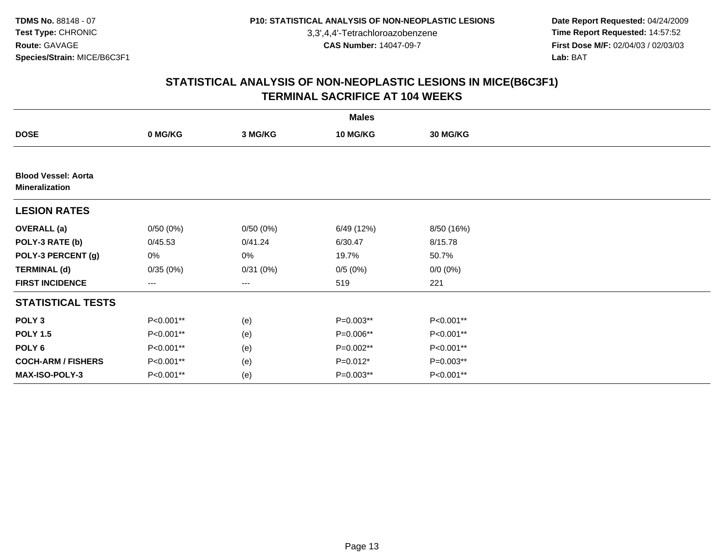3,3',4,4'-Tetrachloroazobenzene

 **Date Report Requested:** 04/24/2009 **Time Report Requested:** 14:57:52 **First Dose M/F:** 02/04/03 / 02/03/03<br>Lab: BAT **Lab:** BAT

| <b>Males</b>                                        |           |          |            |                 |  |  |  |
|-----------------------------------------------------|-----------|----------|------------|-----------------|--|--|--|
| <b>DOSE</b>                                         | 0 MG/KG   | 3 MG/KG  | 10 MG/KG   | <b>30 MG/KG</b> |  |  |  |
|                                                     |           |          |            |                 |  |  |  |
| <b>Blood Vessel: Aorta</b><br><b>Mineralization</b> |           |          |            |                 |  |  |  |
| <b>LESION RATES</b>                                 |           |          |            |                 |  |  |  |
| <b>OVERALL</b> (a)                                  | 0/50(0%)  | 0/50(0%) | 6/49 (12%) | 8/50 (16%)      |  |  |  |
| POLY-3 RATE (b)                                     | 0/45.53   | 0/41.24  | 6/30.47    | 8/15.78         |  |  |  |
| POLY-3 PERCENT (g)                                  | 0%        | 0%       | 19.7%      | 50.7%           |  |  |  |
| <b>TERMINAL (d)</b>                                 | 0/35(0%)  | 0/31(0%) | 0/5(0%)    | $0/0 (0\%)$     |  |  |  |
| <b>FIRST INCIDENCE</b>                              | ---       | ---      | 519        | 221             |  |  |  |
| <b>STATISTICAL TESTS</b>                            |           |          |            |                 |  |  |  |
| POLY <sub>3</sub>                                   | P<0.001** | (e)      | P=0.003**  | P<0.001**       |  |  |  |
| <b>POLY 1.5</b>                                     | P<0.001** | (e)      | P=0.006**  | P<0.001**       |  |  |  |
| POLY 6                                              | P<0.001** | (e)      | P=0.002**  | P<0.001**       |  |  |  |
| <b>COCH-ARM / FISHERS</b>                           | P<0.001** | (e)      | $P=0.012*$ | P=0.003**       |  |  |  |
| <b>MAX-ISO-POLY-3</b>                               | P<0.001** | (e)      | P=0.003**  | P<0.001**       |  |  |  |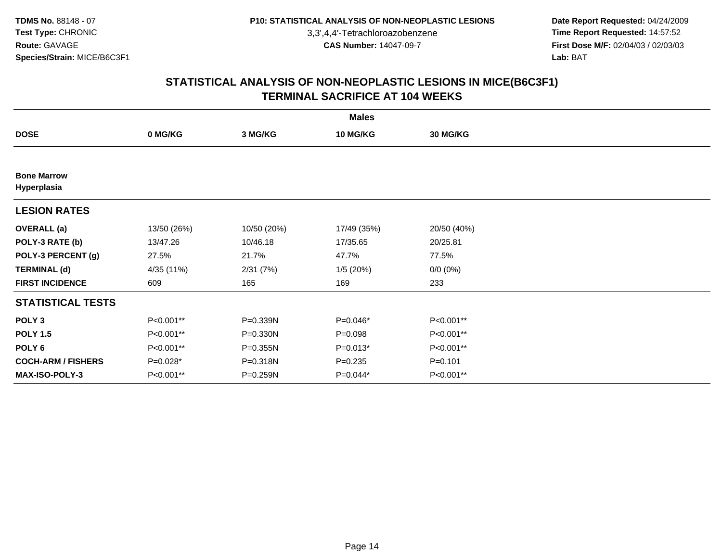3,3',4,4'-Tetrachloroazobenzene

 **Date Report Requested:** 04/24/2009 **Time Report Requested:** 14:57:52 **First Dose M/F:** 02/04/03 / 02/03/03<br>Lab: BAT **Lab:** BAT

| <b>Males</b>                      |             |             |                 |             |  |  |  |
|-----------------------------------|-------------|-------------|-----------------|-------------|--|--|--|
| <b>DOSE</b>                       | 0 MG/KG     | 3 MG/KG     | <b>10 MG/KG</b> | 30 MG/KG    |  |  |  |
|                                   |             |             |                 |             |  |  |  |
| <b>Bone Marrow</b><br>Hyperplasia |             |             |                 |             |  |  |  |
| <b>LESION RATES</b>               |             |             |                 |             |  |  |  |
| <b>OVERALL</b> (a)                | 13/50 (26%) | 10/50 (20%) | 17/49 (35%)     | 20/50 (40%) |  |  |  |
| POLY-3 RATE (b)                   | 13/47.26    | 10/46.18    | 17/35.65        | 20/25.81    |  |  |  |
| POLY-3 PERCENT (g)                | 27.5%       | 21.7%       | 47.7%           | 77.5%       |  |  |  |
| <b>TERMINAL (d)</b>               | 4/35 (11%)  | 2/31(7%)    | 1/5(20%)        | $0/0 (0\%)$ |  |  |  |
| <b>FIRST INCIDENCE</b>            | 609         | 165         | 169             | 233         |  |  |  |
| <b>STATISTICAL TESTS</b>          |             |             |                 |             |  |  |  |
| POLY <sub>3</sub>                 | P<0.001**   | P=0.339N    | P=0.046*        | P<0.001**   |  |  |  |
| <b>POLY 1.5</b>                   | P<0.001**   | P=0.330N    | $P = 0.098$     | P<0.001**   |  |  |  |
| POLY <sub>6</sub>                 | P<0.001**   | P=0.355N    | $P=0.013*$      | P<0.001**   |  |  |  |
| <b>COCH-ARM / FISHERS</b>         | $P=0.028*$  | P=0.318N    | $P = 0.235$     | $P = 0.101$ |  |  |  |
| <b>MAX-ISO-POLY-3</b>             | P<0.001**   | P=0.259N    | P=0.044*        | P<0.001**   |  |  |  |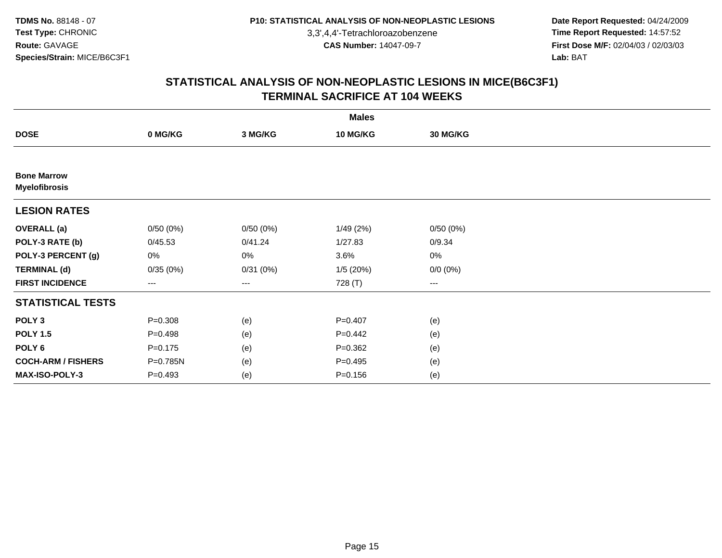3,3',4,4'-Tetrachloroazobenzene

 **Date Report Requested:** 04/24/2009 **Time Report Requested:** 14:57:52 **First Dose M/F:** 02/04/03 / 02/03/03<br>Lab: BAT **Lab:** BAT

| <b>Males</b>                               |             |          |                 |             |  |  |  |
|--------------------------------------------|-------------|----------|-----------------|-------------|--|--|--|
| <b>DOSE</b>                                | 0 MG/KG     | 3 MG/KG  | <b>10 MG/KG</b> | 30 MG/KG    |  |  |  |
|                                            |             |          |                 |             |  |  |  |
| <b>Bone Marrow</b><br><b>Myelofibrosis</b> |             |          |                 |             |  |  |  |
| <b>LESION RATES</b>                        |             |          |                 |             |  |  |  |
| <b>OVERALL</b> (a)                         | 0/50(0%)    | 0/50(0%) | 1/49(2%)        | 0/50(0%)    |  |  |  |
| POLY-3 RATE (b)                            | 0/45.53     | 0/41.24  | 1/27.83         | 0/9.34      |  |  |  |
| POLY-3 PERCENT (g)                         | 0%          | $0\%$    | 3.6%            | 0%          |  |  |  |
| <b>TERMINAL (d)</b>                        | 0/35(0%)    | 0/31(0%) | 1/5(20%)        | $0/0 (0\%)$ |  |  |  |
| <b>FIRST INCIDENCE</b>                     | $--$        | $---$    | 728 (T)         | $--$        |  |  |  |
| <b>STATISTICAL TESTS</b>                   |             |          |                 |             |  |  |  |
| POLY <sub>3</sub>                          | $P = 0.308$ | (e)      | $P=0.407$       | (e)         |  |  |  |
| <b>POLY 1.5</b>                            | $P=0.498$   | (e)      | $P=0.442$       | (e)         |  |  |  |
| POLY <sub>6</sub>                          | $P = 0.175$ | (e)      | $P = 0.362$     | (e)         |  |  |  |
| <b>COCH-ARM / FISHERS</b>                  | P=0.785N    | (e)      | $P=0.495$       | (e)         |  |  |  |
| MAX-ISO-POLY-3                             | $P = 0.493$ | (e)      | $P = 0.156$     | (e)         |  |  |  |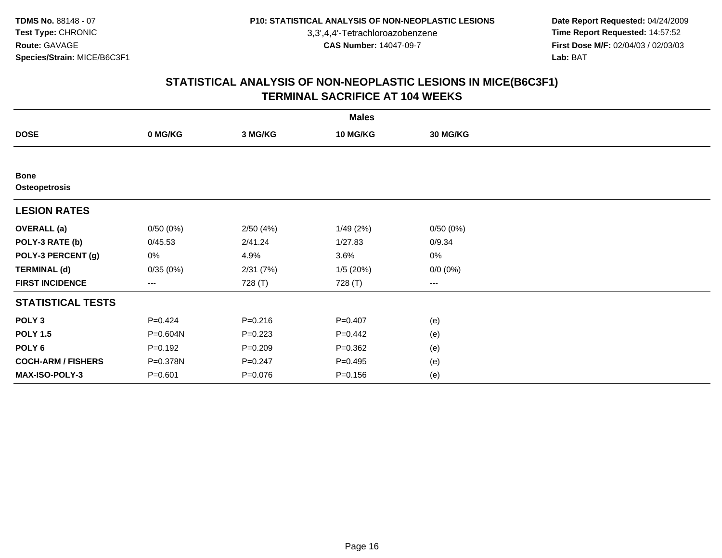3,3',4,4'-Tetrachloroazobenzene

 **Date Report Requested:** 04/24/2009 **Time Report Requested:** 14:57:52 **First Dose M/F:** 02/04/03 / 02/03/03<br>Lab: BAT **Lab:** BAT

| <b>Males</b>                 |             |             |                 |                 |  |  |  |
|------------------------------|-------------|-------------|-----------------|-----------------|--|--|--|
| <b>DOSE</b>                  | 0 MG/KG     | 3 MG/KG     | <b>10 MG/KG</b> | <b>30 MG/KG</b> |  |  |  |
|                              |             |             |                 |                 |  |  |  |
| <b>Bone</b><br>Osteopetrosis |             |             |                 |                 |  |  |  |
| <b>LESION RATES</b>          |             |             |                 |                 |  |  |  |
| <b>OVERALL (a)</b>           | 0/50(0%)    | 2/50(4%)    | 1/49(2%)        | 0/50(0%)        |  |  |  |
| POLY-3 RATE (b)              | 0/45.53     | 2/41.24     | 1/27.83         | 0/9.34          |  |  |  |
| POLY-3 PERCENT (g)           | 0%          | 4.9%        | 3.6%            | 0%              |  |  |  |
| <b>TERMINAL (d)</b>          | 0/35(0%)    | 2/31(7%)    | 1/5(20%)        | $0/0 (0\%)$     |  |  |  |
| <b>FIRST INCIDENCE</b>       | $---$       | 728 (T)     | 728 (T)         | $---$           |  |  |  |
| <b>STATISTICAL TESTS</b>     |             |             |                 |                 |  |  |  |
| POLY <sub>3</sub>            | $P=0.424$   | $P = 0.216$ | $P = 0.407$     | (e)             |  |  |  |
| <b>POLY 1.5</b>              | P=0.604N    | $P=0.223$   | $P=0.442$       | (e)             |  |  |  |
| POLY <sub>6</sub>            | $P=0.192$   | $P = 0.209$ | $P = 0.362$     | (e)             |  |  |  |
| <b>COCH-ARM / FISHERS</b>    | P=0.378N    | $P = 0.247$ | $P = 0.495$     | (e)             |  |  |  |
| <b>MAX-ISO-POLY-3</b>        | $P = 0.601$ | $P = 0.076$ | $P = 0.156$     | (e)             |  |  |  |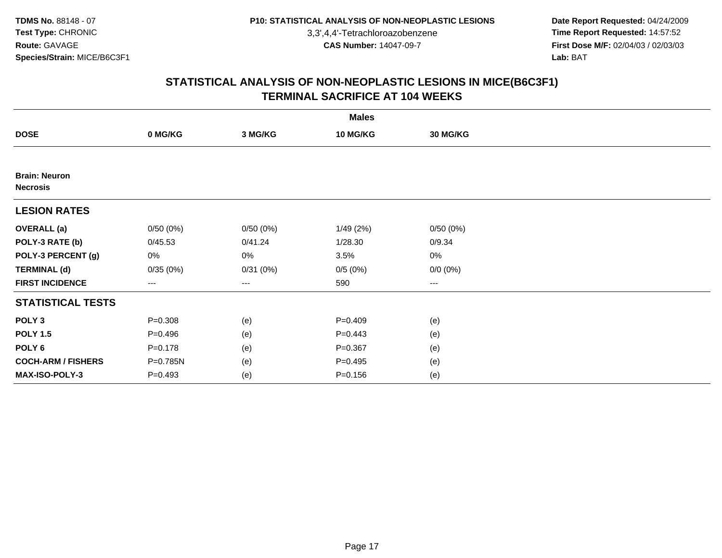3,3',4,4'-Tetrachloroazobenzene

 **Date Report Requested:** 04/24/2009 **Time Report Requested:** 14:57:52 **First Dose M/F:** 02/04/03 / 02/03/03<br>Lab: BAT **Lab:** BAT

| <b>Males</b>                            |             |          |                 |             |  |  |  |
|-----------------------------------------|-------------|----------|-----------------|-------------|--|--|--|
| <b>DOSE</b>                             | 0 MG/KG     | 3 MG/KG  | <b>10 MG/KG</b> | 30 MG/KG    |  |  |  |
|                                         |             |          |                 |             |  |  |  |
| <b>Brain: Neuron</b><br><b>Necrosis</b> |             |          |                 |             |  |  |  |
| <b>LESION RATES</b>                     |             |          |                 |             |  |  |  |
| <b>OVERALL</b> (a)                      | 0/50(0%)    | 0/50(0%) | 1/49(2%)        | 0/50(0%)    |  |  |  |
| POLY-3 RATE (b)                         | 0/45.53     | 0/41.24  | 1/28.30         | 0/9.34      |  |  |  |
| POLY-3 PERCENT (g)                      | 0%          | 0%       | 3.5%            | 0%          |  |  |  |
| <b>TERMINAL (d)</b>                     | 0/35(0%)    | 0/31(0%) | 0/5(0%)         | $0/0 (0\%)$ |  |  |  |
| <b>FIRST INCIDENCE</b>                  | $---$       | $---$    | 590             | $--$        |  |  |  |
| <b>STATISTICAL TESTS</b>                |             |          |                 |             |  |  |  |
| POLY <sub>3</sub>                       | $P = 0.308$ | (e)      | $P=0.409$       | (e)         |  |  |  |
| <b>POLY 1.5</b>                         | $P = 0.496$ | (e)      | $P=0.443$       | (e)         |  |  |  |
| POLY <sub>6</sub>                       | $P = 0.178$ | (e)      | $P = 0.367$     | (e)         |  |  |  |
| <b>COCH-ARM / FISHERS</b>               | P=0.785N    | (e)      | $P=0.495$       | (e)         |  |  |  |
| MAX-ISO-POLY-3                          | $P = 0.493$ | (e)      | $P = 0.156$     | (e)         |  |  |  |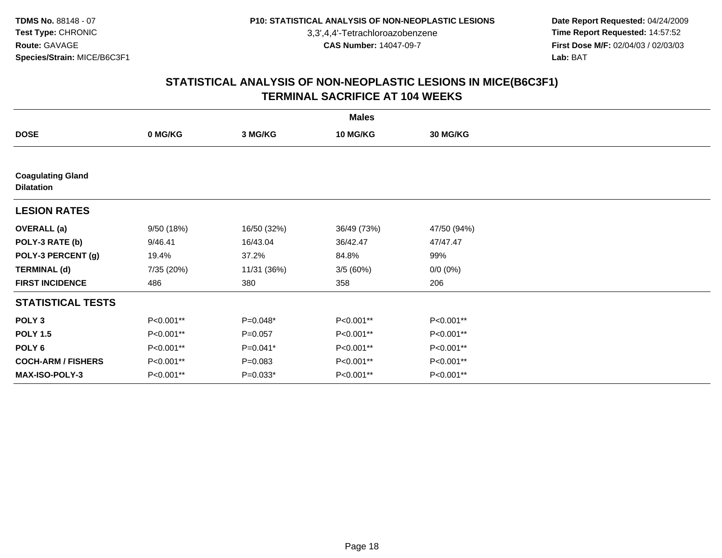3,3',4,4'-Tetrachloroazobenzene

 **Date Report Requested:** 04/24/2009 **Time Report Requested:** 14:57:52 **First Dose M/F:** 02/04/03 / 02/03/03<br>Lab: BAT **Lab:** BAT

|                                               | <b>Males</b> |             |             |                 |  |  |  |  |
|-----------------------------------------------|--------------|-------------|-------------|-----------------|--|--|--|--|
| <b>DOSE</b>                                   | 0 MG/KG      | 3 MG/KG     | 10 MG/KG    | <b>30 MG/KG</b> |  |  |  |  |
|                                               |              |             |             |                 |  |  |  |  |
| <b>Coagulating Gland</b><br><b>Dilatation</b> |              |             |             |                 |  |  |  |  |
| <b>LESION RATES</b>                           |              |             |             |                 |  |  |  |  |
| <b>OVERALL</b> (a)                            | 9/50(18%)    | 16/50 (32%) | 36/49 (73%) | 47/50 (94%)     |  |  |  |  |
| POLY-3 RATE (b)                               | 9/46.41      | 16/43.04    | 36/42.47    | 47/47.47        |  |  |  |  |
| POLY-3 PERCENT (g)                            | 19.4%        | 37.2%       | 84.8%       | 99%             |  |  |  |  |
| <b>TERMINAL (d)</b>                           | 7/35 (20%)   | 11/31 (36%) | 3/5 (60%)   | $0/0 (0\%)$     |  |  |  |  |
| <b>FIRST INCIDENCE</b>                        | 486          | 380         | 358         | 206             |  |  |  |  |
| <b>STATISTICAL TESTS</b>                      |              |             |             |                 |  |  |  |  |
| POLY <sub>3</sub>                             | P<0.001**    | $P=0.048*$  | P<0.001**   | P<0.001**       |  |  |  |  |
| <b>POLY 1.5</b>                               | P<0.001**    | $P=0.057$   | P<0.001**   | P<0.001**       |  |  |  |  |
| POLY <sub>6</sub>                             | P<0.001**    | $P=0.041*$  | P<0.001**   | P<0.001**       |  |  |  |  |
| <b>COCH-ARM / FISHERS</b>                     | P<0.001**    | $P = 0.083$ | P<0.001**   | P<0.001**       |  |  |  |  |
| <b>MAX-ISO-POLY-3</b>                         | P<0.001**    | $P=0.033*$  | P<0.001**   | P<0.001**       |  |  |  |  |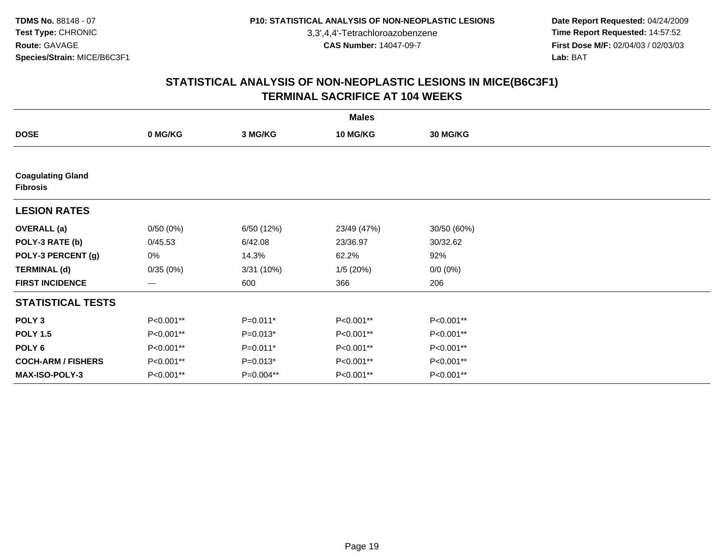3,3',4,4'-Tetrachloroazobenzene

 **Date Report Requested:** 04/24/2009 **Time Report Requested:** 14:57:52 **First Dose M/F:** 02/04/03 / 02/03/03<br>Lab: BAT **Lab:** BAT

|                                             | <b>Males</b> |            |                 |             |  |  |  |  |
|---------------------------------------------|--------------|------------|-----------------|-------------|--|--|--|--|
| <b>DOSE</b>                                 | 0 MG/KG      | 3 MG/KG    | <b>10 MG/KG</b> | 30 MG/KG    |  |  |  |  |
|                                             |              |            |                 |             |  |  |  |  |
| <b>Coagulating Gland</b><br><b>Fibrosis</b> |              |            |                 |             |  |  |  |  |
| <b>LESION RATES</b>                         |              |            |                 |             |  |  |  |  |
| <b>OVERALL</b> (a)                          | 0/50(0%)     | 6/50 (12%) | 23/49 (47%)     | 30/50 (60%) |  |  |  |  |
| POLY-3 RATE (b)                             | 0/45.53      | 6/42.08    | 23/36.97        | 30/32.62    |  |  |  |  |
| POLY-3 PERCENT (g)                          | 0%           | 14.3%      | 62.2%           | 92%         |  |  |  |  |
| <b>TERMINAL (d)</b>                         | 0/35(0%)     | 3/31(10%)  | 1/5(20%)        | $0/0 (0\%)$ |  |  |  |  |
| <b>FIRST INCIDENCE</b>                      | $---$        | 600        | 366             | 206         |  |  |  |  |
| <b>STATISTICAL TESTS</b>                    |              |            |                 |             |  |  |  |  |
| POLY <sub>3</sub>                           | P<0.001**    | $P=0.011*$ | P<0.001**       | P<0.001**   |  |  |  |  |
| <b>POLY 1.5</b>                             | P<0.001**    | $P=0.013*$ | P<0.001**       | P<0.001**   |  |  |  |  |
| POLY <sub>6</sub>                           | P<0.001**    | $P=0.011*$ | P<0.001**       | P<0.001**   |  |  |  |  |
| <b>COCH-ARM / FISHERS</b>                   | P<0.001**    | $P=0.013*$ | P<0.001**       | P<0.001**   |  |  |  |  |
| MAX-ISO-POLY-3                              | P<0.001**    | P=0.004**  | P<0.001**       | P<0.001**   |  |  |  |  |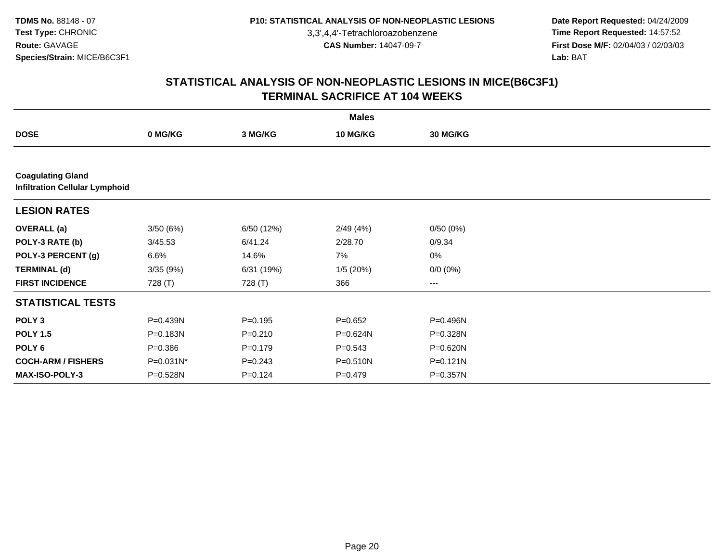3,3',4,4'-Tetrachloroazobenzene

 **Date Report Requested:** 04/24/2009 **Time Report Requested:** 14:57:52 **First Dose M/F:** 02/04/03 / 02/03/03<br>Lab: BAT **Lab:** BAT

|                           |                                       |             | <b>Males</b> |                 |  |  |  |  |  |
|---------------------------|---------------------------------------|-------------|--------------|-----------------|--|--|--|--|--|
| <b>DOSE</b>               | 0 MG/KG                               | 3 MG/KG     | 10 MG/KG     | <b>30 MG/KG</b> |  |  |  |  |  |
|                           |                                       |             |              |                 |  |  |  |  |  |
| <b>Coagulating Gland</b>  | <b>Infiltration Cellular Lymphoid</b> |             |              |                 |  |  |  |  |  |
| <b>LESION RATES</b>       |                                       |             |              |                 |  |  |  |  |  |
| <b>OVERALL</b> (a)        | 3/50(6%)                              | 6/50 (12%)  | 2/49(4%)     | 0/50(0%)        |  |  |  |  |  |
| POLY-3 RATE (b)           | 3/45.53                               | 6/41.24     | 2/28.70      | 0/9.34          |  |  |  |  |  |
| POLY-3 PERCENT (g)        | 6.6%                                  | 14.6%       | 7%           | 0%              |  |  |  |  |  |
| <b>TERMINAL (d)</b>       | 3/35(9%)                              | 6/31 (19%)  | 1/5(20%)     | $0/0 (0\%)$     |  |  |  |  |  |
| <b>FIRST INCIDENCE</b>    | 728 (T)                               | 728 (T)     | 366          | ---             |  |  |  |  |  |
| <b>STATISTICAL TESTS</b>  |                                       |             |              |                 |  |  |  |  |  |
| POLY <sub>3</sub>         | P=0.439N                              | $P = 0.195$ | $P=0.652$    | P=0.496N        |  |  |  |  |  |
| <b>POLY 1.5</b>           | P=0.183N                              | $P = 0.210$ | P=0.624N     | P=0.328N        |  |  |  |  |  |
| POLY <sub>6</sub>         | $P = 0.386$                           | $P=0.179$   | $P = 0.543$  | P=0.620N        |  |  |  |  |  |
| <b>COCH-ARM / FISHERS</b> | P=0.031N*                             | $P = 0.243$ | $P = 0.510N$ | $P = 0.121N$    |  |  |  |  |  |
| <b>MAX-ISO-POLY-3</b>     | P=0.528N                              | $P = 0.124$ | $P=0.479$    | P=0.357N        |  |  |  |  |  |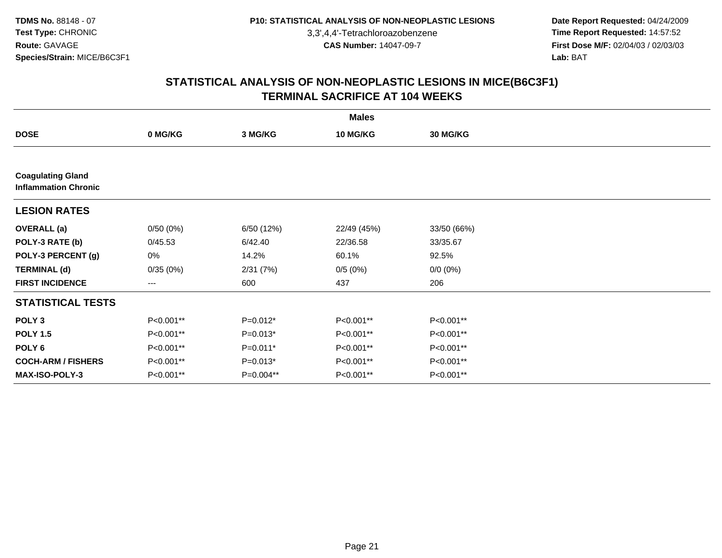3,3',4,4'-Tetrachloroazobenzene

 **Date Report Requested:** 04/24/2009 **Time Report Requested:** 14:57:52 **First Dose M/F:** 02/04/03 / 02/03/03<br>Lab: BAT **Lab:** BAT

|                                                         | <b>Males</b> |            |             |                 |  |  |  |  |
|---------------------------------------------------------|--------------|------------|-------------|-----------------|--|--|--|--|
| <b>DOSE</b>                                             | 0 MG/KG      | 3 MG/KG    | 10 MG/KG    | <b>30 MG/KG</b> |  |  |  |  |
|                                                         |              |            |             |                 |  |  |  |  |
| <b>Coagulating Gland</b><br><b>Inflammation Chronic</b> |              |            |             |                 |  |  |  |  |
| <b>LESION RATES</b>                                     |              |            |             |                 |  |  |  |  |
| <b>OVERALL</b> (a)                                      | 0/50(0%)     | 6/50 (12%) | 22/49 (45%) | 33/50 (66%)     |  |  |  |  |
| POLY-3 RATE (b)                                         | 0/45.53      | 6/42.40    | 22/36.58    | 33/35.67        |  |  |  |  |
| POLY-3 PERCENT (g)                                      | 0%           | 14.2%      | 60.1%       | 92.5%           |  |  |  |  |
| <b>TERMINAL (d)</b>                                     | 0/35(0%)     | 2/31(7%)   | 0/5(0%)     | $0/0 (0\%)$     |  |  |  |  |
| <b>FIRST INCIDENCE</b>                                  | $---$        | 600        | 437         | 206             |  |  |  |  |
| <b>STATISTICAL TESTS</b>                                |              |            |             |                 |  |  |  |  |
| POLY <sub>3</sub>                                       | P<0.001**    | $P=0.012*$ | P<0.001**   | P<0.001**       |  |  |  |  |
| <b>POLY 1.5</b>                                         | P<0.001**    | $P=0.013*$ | P<0.001**   | P<0.001**       |  |  |  |  |
| POLY <sub>6</sub>                                       | P<0.001**    | $P=0.011*$ | P<0.001**   | P<0.001**       |  |  |  |  |
| <b>COCH-ARM / FISHERS</b>                               | P<0.001**    | $P=0.013*$ | P<0.001**   | P<0.001**       |  |  |  |  |
| <b>MAX-ISO-POLY-3</b>                                   | P<0.001**    | P=0.004**  | P<0.001**   | P<0.001**       |  |  |  |  |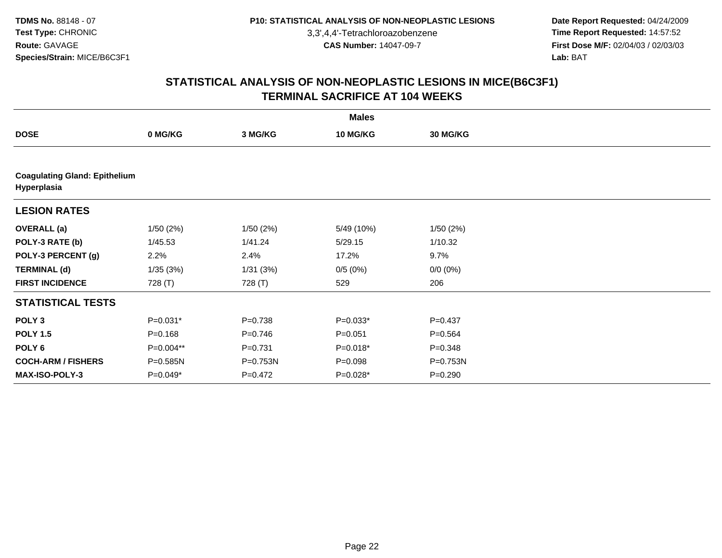3,3',4,4'-Tetrachloroazobenzene

 **Date Report Requested:** 04/24/2009 **Time Report Requested:** 14:57:52 **First Dose M/F:** 02/04/03 / 02/03/03<br>Lab: BAT **Lab:** BAT

|                                                     |             |             | <b>Males</b> |                 |  |  |  |  |
|-----------------------------------------------------|-------------|-------------|--------------|-----------------|--|--|--|--|
| <b>DOSE</b>                                         | 0 MG/KG     | 3 MG/KG     | 10 MG/KG     | <b>30 MG/KG</b> |  |  |  |  |
|                                                     |             |             |              |                 |  |  |  |  |
| <b>Coagulating Gland: Epithelium</b><br>Hyperplasia |             |             |              |                 |  |  |  |  |
| <b>LESION RATES</b>                                 |             |             |              |                 |  |  |  |  |
| <b>OVERALL</b> (a)                                  | 1/50(2%)    | 1/50(2%)    | 5/49 (10%)   | 1/50(2%)        |  |  |  |  |
| POLY-3 RATE (b)                                     | 1/45.53     | 1/41.24     | 5/29.15      | 1/10.32         |  |  |  |  |
| POLY-3 PERCENT (g)                                  | 2.2%        | 2.4%        | 17.2%        | 9.7%            |  |  |  |  |
| <b>TERMINAL (d)</b>                                 | 1/35(3%)    | 1/31(3%)    | 0/5(0%)      | $0/0 (0\%)$     |  |  |  |  |
| <b>FIRST INCIDENCE</b>                              | 728 (T)     | 728 (T)     | 529          | 206             |  |  |  |  |
| <b>STATISTICAL TESTS</b>                            |             |             |              |                 |  |  |  |  |
| POLY <sub>3</sub>                                   | $P=0.031*$  | $P = 0.738$ | $P=0.033*$   | $P = 0.437$     |  |  |  |  |
| <b>POLY 1.5</b>                                     | $P = 0.168$ | $P = 0.746$ | $P = 0.051$  | $P = 0.564$     |  |  |  |  |
| POLY 6                                              | P=0.004**   | $P = 0.731$ | P=0.018*     | $P = 0.348$     |  |  |  |  |
| <b>COCH-ARM / FISHERS</b>                           | P=0.585N    | P=0.753N    | $P = 0.098$  | P=0.753N        |  |  |  |  |
| MAX-ISO-POLY-3                                      | $P=0.049*$  | $P = 0.472$ | $P=0.028*$   | $P = 0.290$     |  |  |  |  |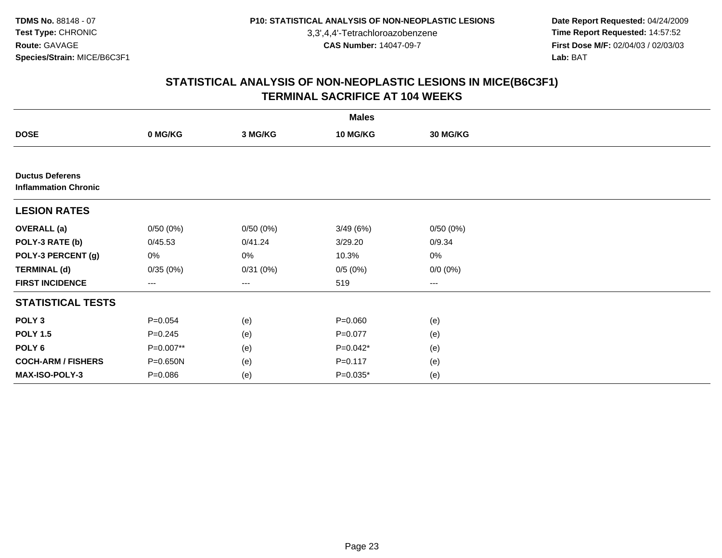3,3',4,4'-Tetrachloroazobenzene

 **Date Report Requested:** 04/24/2009 **Time Report Requested:** 14:57:52 **First Dose M/F:** 02/04/03 / 02/03/03<br>Lab: BAT **Lab:** BAT

|                                                       |             |          | <b>Males</b> |                 |  |
|-------------------------------------------------------|-------------|----------|--------------|-----------------|--|
| <b>DOSE</b>                                           | 0 MG/KG     | 3 MG/KG  | 10 MG/KG     | <b>30 MG/KG</b> |  |
|                                                       |             |          |              |                 |  |
| <b>Ductus Deferens</b><br><b>Inflammation Chronic</b> |             |          |              |                 |  |
| <b>LESION RATES</b>                                   |             |          |              |                 |  |
| <b>OVERALL</b> (a)                                    | 0/50(0%)    | 0/50(0%) | 3/49(6%)     | 0/50(0%)        |  |
| POLY-3 RATE (b)                                       | 0/45.53     | 0/41.24  | 3/29.20      | 0/9.34          |  |
| POLY-3 PERCENT (g)                                    | 0%          | 0%       | 10.3%        | 0%              |  |
| <b>TERMINAL (d)</b>                                   | 0/35(0%)    | 0/31(0%) | 0/5(0%)      | $0/0 (0\%)$     |  |
| <b>FIRST INCIDENCE</b>                                | ---         | ---      | 519          | ---             |  |
| <b>STATISTICAL TESTS</b>                              |             |          |              |                 |  |
| POLY <sub>3</sub>                                     | $P = 0.054$ | (e)      | $P = 0.060$  | (e)             |  |
| <b>POLY 1.5</b>                                       | $P = 0.245$ | (e)      | $P = 0.077$  | (e)             |  |
| POLY <sub>6</sub>                                     | P=0.007**   | (e)      | $P=0.042*$   | (e)             |  |
| <b>COCH-ARM / FISHERS</b>                             | P=0.650N    | (e)      | $P = 0.117$  | (e)             |  |
| MAX-ISO-POLY-3                                        | $P = 0.086$ | (e)      | $P=0.035*$   | (e)             |  |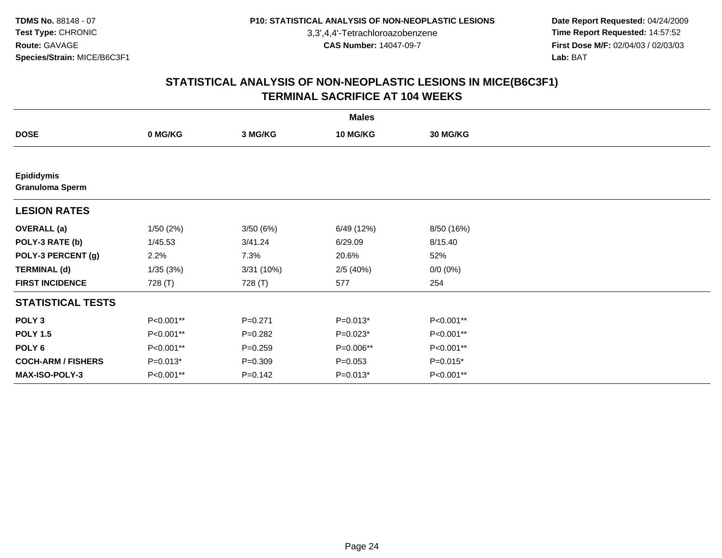3,3',4,4'-Tetrachloroazobenzene

 **Date Report Requested:** 04/24/2009 **Time Report Requested:** 14:57:52 **First Dose M/F:** 02/04/03 / 02/03/03<br>Lab: BAT **Lab:** BAT

|                                             |            |             | <b>Males</b>    |             |  |
|---------------------------------------------|------------|-------------|-----------------|-------------|--|
| <b>DOSE</b>                                 | 0 MG/KG    | 3 MG/KG     | <b>10 MG/KG</b> | 30 MG/KG    |  |
|                                             |            |             |                 |             |  |
| <b>Epididymis</b><br><b>Granuloma Sperm</b> |            |             |                 |             |  |
| <b>LESION RATES</b>                         |            |             |                 |             |  |
| <b>OVERALL</b> (a)                          | 1/50(2%)   | 3/50(6%)    | 6/49 (12%)      | 8/50 (16%)  |  |
| POLY-3 RATE (b)                             | 1/45.53    | 3/41.24     | 6/29.09         | 8/15.40     |  |
| POLY-3 PERCENT (g)                          | 2.2%       | 7.3%        | 20.6%           | 52%         |  |
| <b>TERMINAL (d)</b>                         | 1/35(3%)   | 3/31(10%)   | 2/5(40%)        | $0/0 (0\%)$ |  |
| <b>FIRST INCIDENCE</b>                      | 728 (T)    | 728 (T)     | 577             | 254         |  |
| <b>STATISTICAL TESTS</b>                    |            |             |                 |             |  |
| POLY <sub>3</sub>                           | P<0.001**  | $P = 0.271$ | $P=0.013*$      | P<0.001**   |  |
| <b>POLY 1.5</b>                             | P<0.001**  | $P = 0.282$ | $P=0.023*$      | P<0.001**   |  |
| POLY <sub>6</sub>                           | P<0.001**  | $P = 0.259$ | P=0.006**       | P<0.001**   |  |
| <b>COCH-ARM / FISHERS</b>                   | $P=0.013*$ | $P = 0.309$ | $P = 0.053$     | $P=0.015*$  |  |
| MAX-ISO-POLY-3                              | P<0.001**  | $P = 0.142$ | $P=0.013*$      | P<0.001**   |  |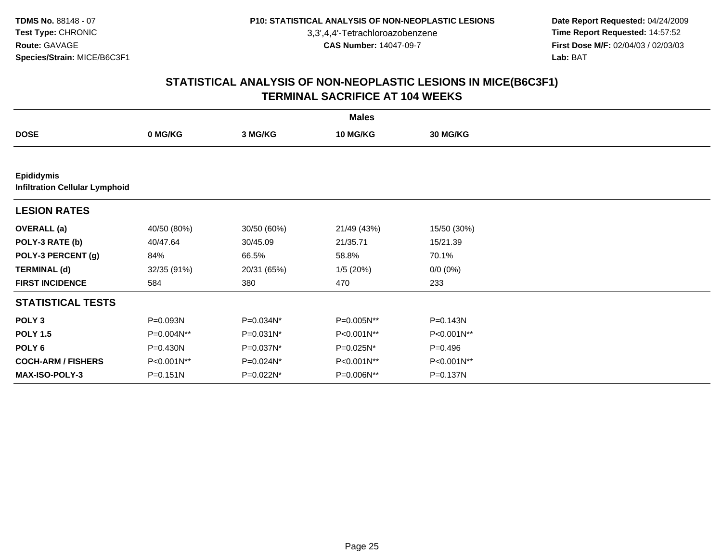3,3',4,4'-Tetrachloroazobenzene

 **Date Report Requested:** 04/24/2009 **Time Report Requested:** 14:57:52 **First Dose M/F:** 02/04/03 / 02/03/03<br>Lab: BAT **Lab:** BAT

|                                                            | <b>Males</b> |             |             |                 |  |  |  |  |
|------------------------------------------------------------|--------------|-------------|-------------|-----------------|--|--|--|--|
| <b>DOSE</b>                                                | 0 MG/KG      | 3 MG/KG     | 10 MG/KG    | <b>30 MG/KG</b> |  |  |  |  |
|                                                            |              |             |             |                 |  |  |  |  |
| <b>Epididymis</b><br><b>Infiltration Cellular Lymphoid</b> |              |             |             |                 |  |  |  |  |
| <b>LESION RATES</b>                                        |              |             |             |                 |  |  |  |  |
| <b>OVERALL</b> (a)                                         | 40/50 (80%)  | 30/50 (60%) | 21/49 (43%) | 15/50 (30%)     |  |  |  |  |
| POLY-3 RATE (b)                                            | 40/47.64     | 30/45.09    | 21/35.71    | 15/21.39        |  |  |  |  |
| POLY-3 PERCENT (g)                                         | 84%          | 66.5%       | 58.8%       | 70.1%           |  |  |  |  |
| <b>TERMINAL (d)</b>                                        | 32/35 (91%)  | 20/31 (65%) | 1/5(20%)    | $0/0(0\%)$      |  |  |  |  |
| <b>FIRST INCIDENCE</b>                                     | 584          | 380         | 470         | 233             |  |  |  |  |
| <b>STATISTICAL TESTS</b>                                   |              |             |             |                 |  |  |  |  |
| POLY <sub>3</sub>                                          | P=0.093N     | P=0.034N*   | P=0.005N**  | P=0.143N        |  |  |  |  |
| <b>POLY 1.5</b>                                            | P=0.004N**   | P=0.031N*   | P<0.001N**  | P<0.001N**      |  |  |  |  |
| POLY 6                                                     | P=0.430N     | P=0.037N*   | P=0.025N*   | $P = 0.496$     |  |  |  |  |
| <b>COCH-ARM / FISHERS</b>                                  | P<0.001N**   | P=0.024N*   | P<0.001N**  | P<0.001N**      |  |  |  |  |
| <b>MAX-ISO-POLY-3</b>                                      | $P = 0.151N$ | P=0.022N*   | P=0.006N**  | P=0.137N        |  |  |  |  |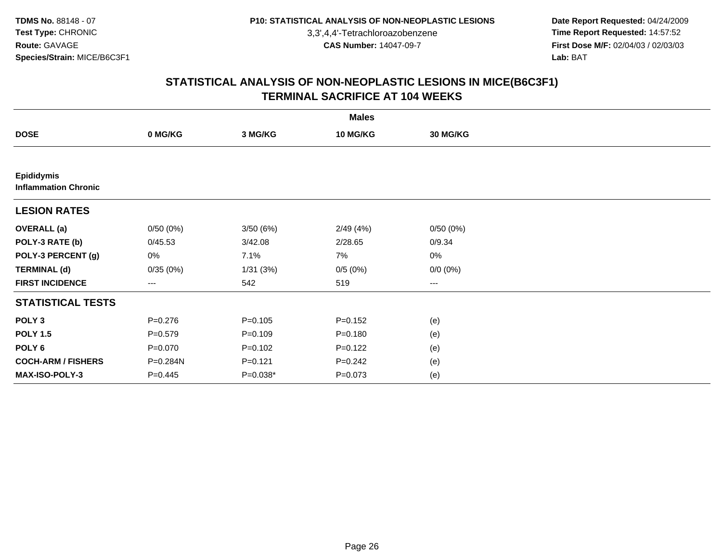3,3',4,4'-Tetrachloroazobenzene

 **Date Report Requested:** 04/24/2009 **Time Report Requested:** 14:57:52 **First Dose M/F:** 02/04/03 / 02/03/03<br>Lab: BAT **Lab:** BAT

|                                                  |             |             | <b>Males</b>    |                        |  |
|--------------------------------------------------|-------------|-------------|-----------------|------------------------|--|
| <b>DOSE</b>                                      | 0 MG/KG     | 3 MG/KG     | <b>10 MG/KG</b> | <b>30 MG/KG</b>        |  |
|                                                  |             |             |                 |                        |  |
| <b>Epididymis</b><br><b>Inflammation Chronic</b> |             |             |                 |                        |  |
| <b>LESION RATES</b>                              |             |             |                 |                        |  |
| <b>OVERALL</b> (a)                               | 0/50(0%)    | 3/50(6%)    | 2/49(4%)        | 0/50(0%)               |  |
| POLY-3 RATE (b)                                  | 0/45.53     | 3/42.08     | 2/28.65         | 0/9.34                 |  |
| POLY-3 PERCENT (g)                               | 0%          | 7.1%        | 7%              | 0%                     |  |
| <b>TERMINAL (d)</b>                              | 0/35(0%)    | 1/31(3%)    | 0/5(0%)         | $0/0 (0\%)$            |  |
| <b>FIRST INCIDENCE</b>                           | $---$       | 542         | 519             | $\qquad \qquad \cdots$ |  |
| <b>STATISTICAL TESTS</b>                         |             |             |                 |                        |  |
| POLY <sub>3</sub>                                | $P = 0.276$ | $P = 0.105$ | $P = 0.152$     | (e)                    |  |
| <b>POLY 1.5</b>                                  | $P = 0.579$ | $P = 0.109$ | $P = 0.180$     | (e)                    |  |
| POLY <sub>6</sub>                                | $P = 0.070$ | $P=0.102$   | $P=0.122$       | (e)                    |  |
| <b>COCH-ARM / FISHERS</b>                        | P=0.284N    | $P = 0.121$ | $P=0.242$       | (e)                    |  |
| <b>MAX-ISO-POLY-3</b>                            | $P=0.445$   | $P=0.038*$  | $P = 0.073$     | (e)                    |  |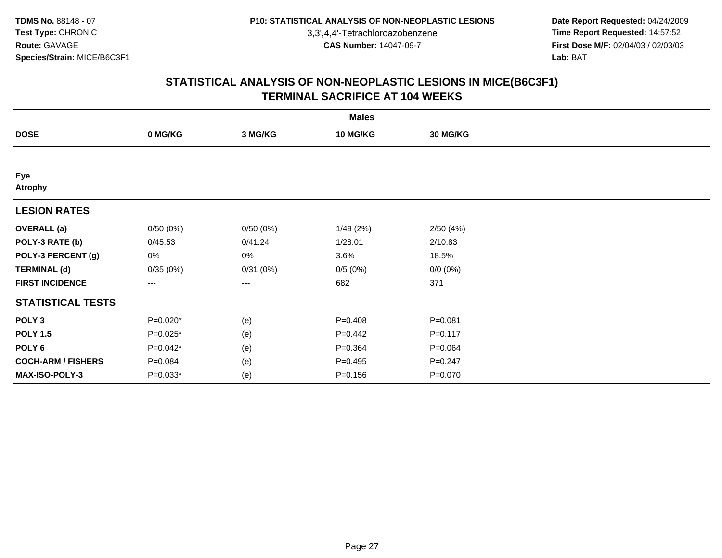3,3',4,4'-Tetrachloroazobenzene

 **Date Report Requested:** 04/24/2009 **Time Report Requested:** 14:57:52 **First Dose M/F:** 02/04/03 / 02/03/03<br>Lab: BAT **Lab:** BAT

|                           | <b>Males</b> |          |                 |             |  |  |  |  |
|---------------------------|--------------|----------|-----------------|-------------|--|--|--|--|
| <b>DOSE</b>               | 0 MG/KG      | 3 MG/KG  | <b>10 MG/KG</b> | 30 MG/KG    |  |  |  |  |
|                           |              |          |                 |             |  |  |  |  |
| Eye<br><b>Atrophy</b>     |              |          |                 |             |  |  |  |  |
| <b>LESION RATES</b>       |              |          |                 |             |  |  |  |  |
| <b>OVERALL</b> (a)        | 0/50(0%)     | 0/50(0%) | 1/49(2%)        | 2/50(4%)    |  |  |  |  |
| POLY-3 RATE (b)           | 0/45.53      | 0/41.24  | 1/28.01         | 2/10.83     |  |  |  |  |
| POLY-3 PERCENT (g)        | 0%           | 0%       | 3.6%            | 18.5%       |  |  |  |  |
| <b>TERMINAL (d)</b>       | 0/35(0%)     | 0/31(0%) | 0/5(0%)         | $0/0 (0\%)$ |  |  |  |  |
| <b>FIRST INCIDENCE</b>    | $---$        | ---      | 682             | 371         |  |  |  |  |
| <b>STATISTICAL TESTS</b>  |              |          |                 |             |  |  |  |  |
| POLY <sub>3</sub>         | P=0.020*     | (e)      | $P = 0.408$     | $P = 0.081$ |  |  |  |  |
| <b>POLY 1.5</b>           | $P=0.025*$   | (e)      | $P=0.442$       | $P = 0.117$ |  |  |  |  |
| POLY <sub>6</sub>         | P=0.042*     | (e)      | $P = 0.364$     | $P = 0.064$ |  |  |  |  |
| <b>COCH-ARM / FISHERS</b> | $P = 0.084$  | (e)      | $P=0.495$       | $P = 0.247$ |  |  |  |  |
| <b>MAX-ISO-POLY-3</b>     | P=0.033*     | (e)      | $P = 0.156$     | P=0.070     |  |  |  |  |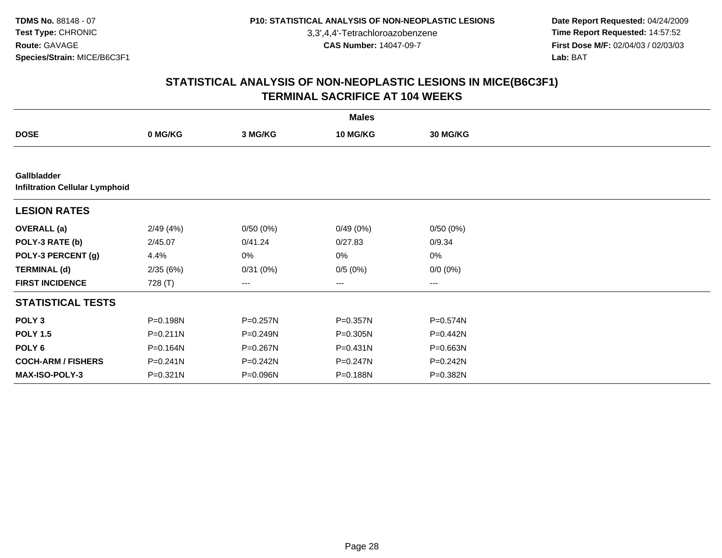3,3',4,4'-Tetrachloroazobenzene

 **Date Report Requested:** 04/24/2009 **Time Report Requested:** 14:57:52 **First Dose M/F:** 02/04/03 / 02/03/03<br>Lab: BAT **Lab:** BAT

|                           |                                       |          | <b>Males</b>    |                 |  |  |  |  |  |  |
|---------------------------|---------------------------------------|----------|-----------------|-----------------|--|--|--|--|--|--|
| <b>DOSE</b>               | 0 MG/KG                               | 3 MG/KG  | <b>10 MG/KG</b> | <b>30 MG/KG</b> |  |  |  |  |  |  |
|                           |                                       |          |                 |                 |  |  |  |  |  |  |
| Gallbladder               | <b>Infiltration Cellular Lymphoid</b> |          |                 |                 |  |  |  |  |  |  |
| <b>LESION RATES</b>       |                                       |          |                 |                 |  |  |  |  |  |  |
| <b>OVERALL</b> (a)        | 2/49(4%)                              | 0/50(0%) | 0/49(0%)        | 0/50(0%)        |  |  |  |  |  |  |
| POLY-3 RATE (b)           | 2/45.07                               | 0/41.24  | 0/27.83         | 0/9.34          |  |  |  |  |  |  |
| POLY-3 PERCENT (g)        | 4.4%                                  | 0%       | 0%              | 0%              |  |  |  |  |  |  |
| <b>TERMINAL (d)</b>       | 2/35(6%)                              | 0/31(0%) | 0/5(0%)         | $0/0 (0\%)$     |  |  |  |  |  |  |
| <b>FIRST INCIDENCE</b>    | 728 (T)                               | ---      | $---$           | ---             |  |  |  |  |  |  |
| <b>STATISTICAL TESTS</b>  |                                       |          |                 |                 |  |  |  |  |  |  |
| POLY <sub>3</sub>         | P=0.198N                              | P=0.257N | P=0.357N        | P=0.574N        |  |  |  |  |  |  |
| <b>POLY 1.5</b>           | $P = 0.211N$                          | P=0.249N | $P = 0.305N$    | P=0.442N        |  |  |  |  |  |  |
| POLY 6                    | P=0.164N                              | P=0.267N | $P = 0.431N$    | P=0.663N        |  |  |  |  |  |  |
| <b>COCH-ARM / FISHERS</b> | P=0.241N                              | P=0.242N | $P = 0.247N$    | $P = 0.242N$    |  |  |  |  |  |  |
| <b>MAX-ISO-POLY-3</b>     | P=0.321N                              | P=0.096N | P=0.188N        | P=0.382N        |  |  |  |  |  |  |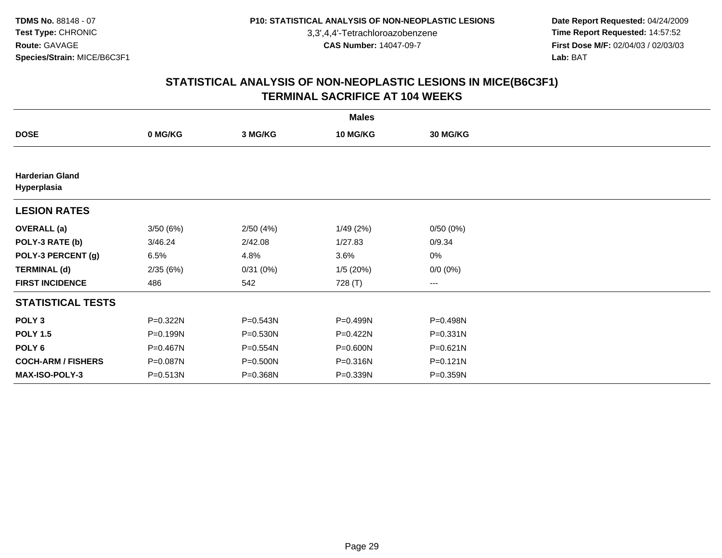3,3',4,4'-Tetrachloroazobenzene

 **Date Report Requested:** 04/24/2009 **Time Report Requested:** 14:57:52 **First Dose M/F:** 02/04/03 / 02/03/03<br>Lab: BAT **Lab:** BAT

|                                       |          |              | <b>Males</b>    |                        |  |
|---------------------------------------|----------|--------------|-----------------|------------------------|--|
| <b>DOSE</b>                           | 0 MG/KG  | 3 MG/KG      | <b>10 MG/KG</b> | <b>30 MG/KG</b>        |  |
|                                       |          |              |                 |                        |  |
| <b>Harderian Gland</b><br>Hyperplasia |          |              |                 |                        |  |
| <b>LESION RATES</b>                   |          |              |                 |                        |  |
| <b>OVERALL</b> (a)                    | 3/50(6%) | 2/50(4%)     | 1/49(2%)        | 0/50(0%)               |  |
| POLY-3 RATE (b)                       | 3/46.24  | 2/42.08      | 1/27.83         | 0/9.34                 |  |
| POLY-3 PERCENT (g)                    | 6.5%     | 4.8%         | 3.6%            | 0%                     |  |
| <b>TERMINAL (d)</b>                   | 2/35(6%) | 0/31(0%)     | 1/5(20%)        | $0/0 (0\%)$            |  |
| <b>FIRST INCIDENCE</b>                | 486      | 542          | 728 (T)         | $\qquad \qquad \cdots$ |  |
| <b>STATISTICAL TESTS</b>              |          |              |                 |                        |  |
| POLY <sub>3</sub>                     | P=0.322N | P=0.543N     | P=0.499N        | P=0.498N               |  |
| <b>POLY 1.5</b>                       | P=0.199N | $P = 0.530N$ | P=0.422N        | P=0.331N               |  |
| POLY <sub>6</sub>                     | P=0.467N | $P = 0.554N$ | P=0.600N        | P=0.621N               |  |
| <b>COCH-ARM / FISHERS</b>             | P=0.087N | P=0.500N     | P=0.316N        | P=0.121N               |  |
| <b>MAX-ISO-POLY-3</b>                 | P=0.513N | P=0.368N     | P=0.339N        | P=0.359N               |  |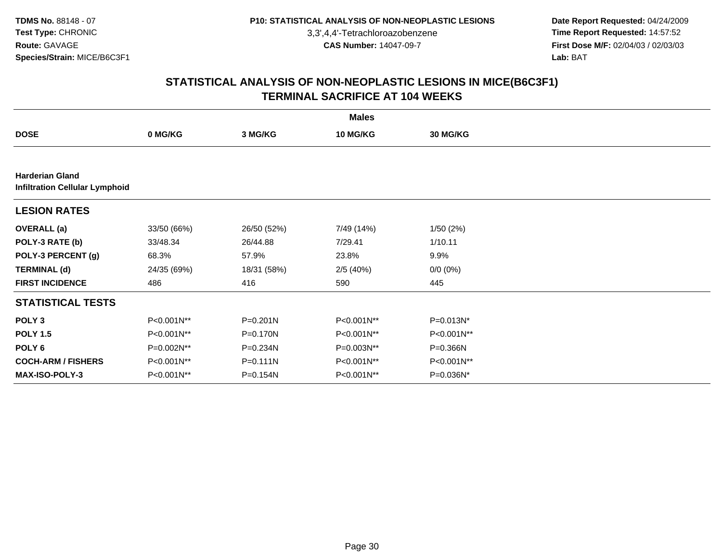3,3',4,4'-Tetrachloroazobenzene

 **Date Report Requested:** 04/24/2009 **Time Report Requested:** 14:57:52 **First Dose M/F:** 02/04/03 / 02/03/03<br>Lab: BAT **Lab:** BAT

| <b>Males</b>              |                                       |              |            |                 |  |  |  |  |
|---------------------------|---------------------------------------|--------------|------------|-----------------|--|--|--|--|
| <b>DOSE</b>               | 0 MG/KG                               | 3 MG/KG      | 10 MG/KG   | <b>30 MG/KG</b> |  |  |  |  |
|                           |                                       |              |            |                 |  |  |  |  |
| <b>Harderian Gland</b>    | <b>Infiltration Cellular Lymphoid</b> |              |            |                 |  |  |  |  |
| <b>LESION RATES</b>       |                                       |              |            |                 |  |  |  |  |
| <b>OVERALL</b> (a)        | 33/50 (66%)                           | 26/50 (52%)  | 7/49 (14%) | 1/50(2%)        |  |  |  |  |
| POLY-3 RATE (b)           | 33/48.34                              | 26/44.88     | 7/29.41    | 1/10.11         |  |  |  |  |
| POLY-3 PERCENT (g)        | 68.3%                                 | 57.9%        | 23.8%      | 9.9%            |  |  |  |  |
| <b>TERMINAL (d)</b>       | 24/35 (69%)                           | 18/31 (58%)  | 2/5(40%)   | $0/0 (0\%)$     |  |  |  |  |
| <b>FIRST INCIDENCE</b>    | 486                                   | 416          | 590        | 445             |  |  |  |  |
| <b>STATISTICAL TESTS</b>  |                                       |              |            |                 |  |  |  |  |
| POLY <sub>3</sub>         | P<0.001N**                            | P=0.201N     | P<0.001N** | P=0.013N*       |  |  |  |  |
| <b>POLY 1.5</b>           | P<0.001N**                            | P=0.170N     | P<0.001N** | P<0.001N**      |  |  |  |  |
| POLY <sub>6</sub>         | P=0.002N**                            | P=0.234N     | P=0.003N** | P=0.366N        |  |  |  |  |
| <b>COCH-ARM / FISHERS</b> | P<0.001N**                            | $P = 0.111N$ | P<0.001N** | P<0.001N**      |  |  |  |  |
| <b>MAX-ISO-POLY-3</b>     | P<0.001N**                            | P=0.154N     | P<0.001N** | P=0.036N*       |  |  |  |  |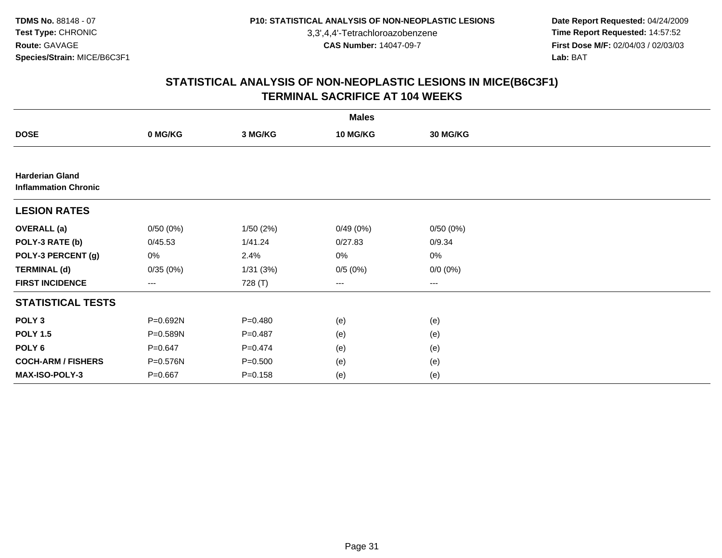3,3',4,4'-Tetrachloroazobenzene

 **Date Report Requested:** 04/24/2009 **Time Report Requested:** 14:57:52 **First Dose M/F:** 02/04/03 / 02/03/03<br>Lab: BAT **Lab:** BAT

| <b>Males</b>                                          |             |             |                        |                 |  |  |
|-------------------------------------------------------|-------------|-------------|------------------------|-----------------|--|--|
| <b>DOSE</b>                                           | 0 MG/KG     | 3 MG/KG     | 10 MG/KG               | <b>30 MG/KG</b> |  |  |
|                                                       |             |             |                        |                 |  |  |
| <b>Harderian Gland</b><br><b>Inflammation Chronic</b> |             |             |                        |                 |  |  |
| <b>LESION RATES</b>                                   |             |             |                        |                 |  |  |
| <b>OVERALL</b> (a)                                    | 0/50(0%)    | 1/50(2%)    | 0/49(0%)               | 0/50(0%)        |  |  |
| POLY-3 RATE (b)                                       | 0/45.53     | 1/41.24     | 0/27.83                | 0/9.34          |  |  |
| POLY-3 PERCENT (g)                                    | 0%          | 2.4%        | 0%                     | 0%              |  |  |
| <b>TERMINAL (d)</b>                                   | 0/35(0%)    | 1/31(3%)    | 0/5(0%)                | $0/0 (0\%)$     |  |  |
| <b>FIRST INCIDENCE</b>                                | $---$       | 728 (T)     | $\qquad \qquad \cdots$ | $---$           |  |  |
| <b>STATISTICAL TESTS</b>                              |             |             |                        |                 |  |  |
| POLY <sub>3</sub>                                     | P=0.692N    | $P = 0.480$ | (e)                    | (e)             |  |  |
| <b>POLY 1.5</b>                                       | P=0.589N    | $P = 0.487$ | (e)                    | (e)             |  |  |
| POLY <sub>6</sub>                                     | $P = 0.647$ | $P = 0.474$ | (e)                    | (e)             |  |  |
| <b>COCH-ARM / FISHERS</b>                             | P=0.576N    | $P = 0.500$ | (e)                    | (e)             |  |  |
| MAX-ISO-POLY-3                                        | $P = 0.667$ | $P = 0.158$ | (e)                    | (e)             |  |  |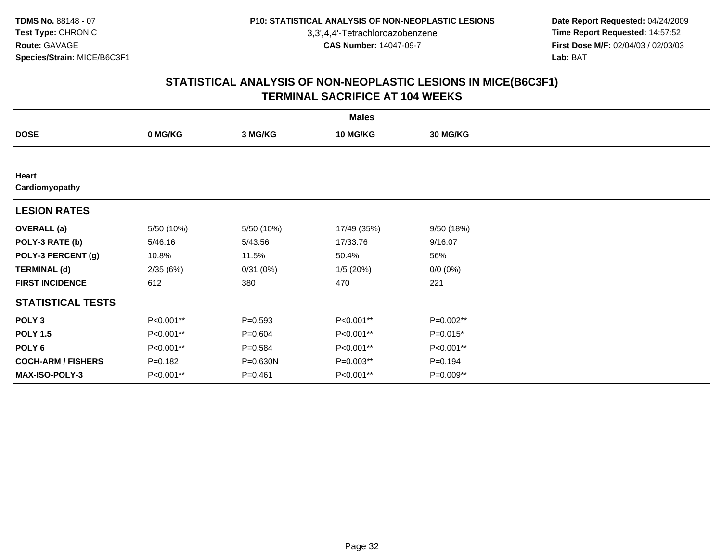3,3',4,4'-Tetrachloroazobenzene

 **Date Report Requested:** 04/24/2009 **Time Report Requested:** 14:57:52 **First Dose M/F:** 02/04/03 / 02/03/03<br>Lab: BAT **Lab:** BAT

| <b>Males</b>              |             |             |             |                 |  |  |
|---------------------------|-------------|-------------|-------------|-----------------|--|--|
| <b>DOSE</b>               | 0 MG/KG     | 3 MG/KG     | 10 MG/KG    | <b>30 MG/KG</b> |  |  |
|                           |             |             |             |                 |  |  |
| Heart<br>Cardiomyopathy   |             |             |             |                 |  |  |
| <b>LESION RATES</b>       |             |             |             |                 |  |  |
| <b>OVERALL</b> (a)        | 5/50 (10%)  | 5/50 (10%)  | 17/49 (35%) | 9/50 (18%)      |  |  |
| POLY-3 RATE (b)           | 5/46.16     | 5/43.56     | 17/33.76    | 9/16.07         |  |  |
| POLY-3 PERCENT (g)        | 10.8%       | 11.5%       | 50.4%       | 56%             |  |  |
| <b>TERMINAL (d)</b>       | 2/35(6%)    | 0/31(0%)    | 1/5(20%)    | $0/0 (0\%)$     |  |  |
| <b>FIRST INCIDENCE</b>    | 612         | 380         | 470         | 221             |  |  |
| <b>STATISTICAL TESTS</b>  |             |             |             |                 |  |  |
| POLY <sub>3</sub>         | P<0.001**   | $P = 0.593$ | P<0.001**   | P=0.002**       |  |  |
| <b>POLY 1.5</b>           | P<0.001**   | $P = 0.604$ | P<0.001**   | $P=0.015*$      |  |  |
| POLY 6                    | P<0.001**   | $P = 0.584$ | P<0.001**   | P<0.001**       |  |  |
| <b>COCH-ARM / FISHERS</b> | $P = 0.182$ | P=0.630N    | P=0.003**   | $P = 0.194$     |  |  |
| MAX-ISO-POLY-3            | P<0.001**   | $P = 0.461$ | P<0.001**   | P=0.009**       |  |  |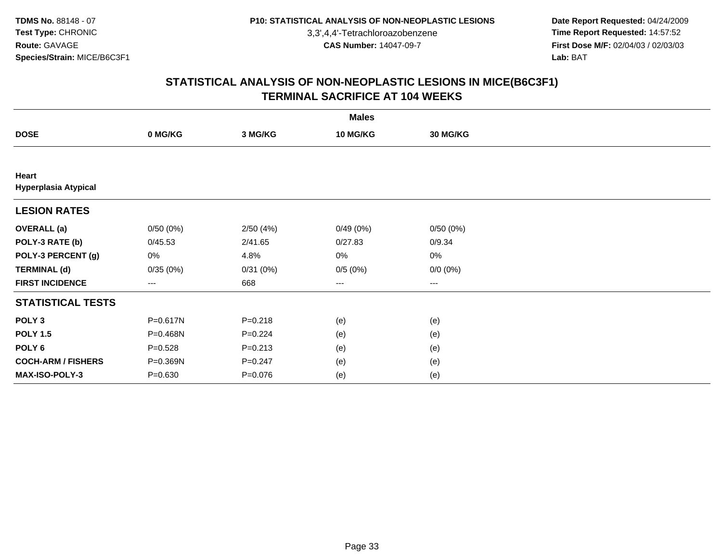3,3',4,4'-Tetrachloroazobenzene

 **Date Report Requested:** 04/24/2009 **Time Report Requested:** 14:57:52 **First Dose M/F:** 02/04/03 / 02/03/03<br>Lab: BAT **Lab:** BAT

| <b>Males</b>                         |             |             |                 |             |  |  |
|--------------------------------------|-------------|-------------|-----------------|-------------|--|--|
| <b>DOSE</b>                          | 0 MG/KG     | 3 MG/KG     | <b>10 MG/KG</b> | 30 MG/KG    |  |  |
|                                      |             |             |                 |             |  |  |
| Heart<br><b>Hyperplasia Atypical</b> |             |             |                 |             |  |  |
| <b>LESION RATES</b>                  |             |             |                 |             |  |  |
| <b>OVERALL</b> (a)                   | 0/50(0%)    | 2/50(4%)    | 0/49(0%)        | 0/50(0%)    |  |  |
| POLY-3 RATE (b)                      | 0/45.53     | 2/41.65     | 0/27.83         | 0/9.34      |  |  |
| POLY-3 PERCENT (g)                   | 0%          | 4.8%        | 0%              | 0%          |  |  |
| <b>TERMINAL (d)</b>                  | 0/35(0%)    | 0/31(0%)    | 0/5(0%)         | $0/0 (0\%)$ |  |  |
| <b>FIRST INCIDENCE</b>               | $---$       | 668         | ---             | $--$        |  |  |
| <b>STATISTICAL TESTS</b>             |             |             |                 |             |  |  |
| POLY <sub>3</sub>                    | P=0.617N    | $P = 0.218$ | (e)             | (e)         |  |  |
| <b>POLY 1.5</b>                      | P=0.468N    | $P = 0.224$ | (e)             | (e)         |  |  |
| POLY <sub>6</sub>                    | $P = 0.528$ | $P = 0.213$ | (e)             | (e)         |  |  |
| <b>COCH-ARM / FISHERS</b>            | P=0.369N    | $P = 0.247$ | (e)             | (e)         |  |  |
| MAX-ISO-POLY-3                       | $P = 0.630$ | $P = 0.076$ | (e)             | (e)         |  |  |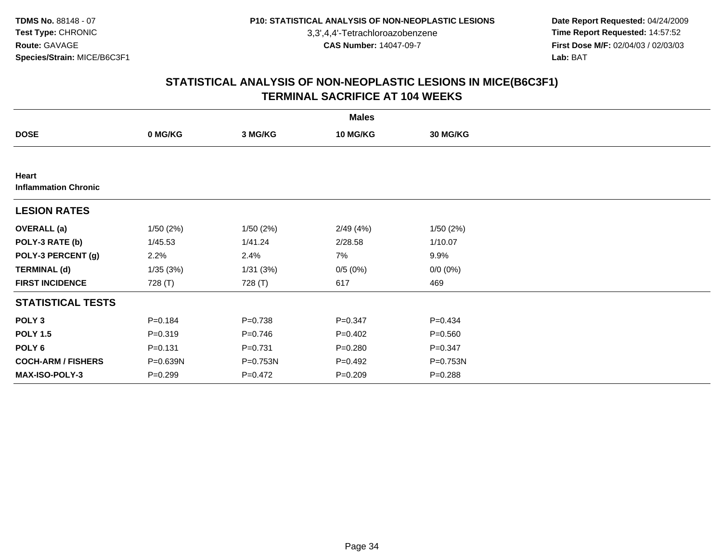3,3',4,4'-Tetrachloroazobenzene

 **Date Report Requested:** 04/24/2009 **Time Report Requested:** 14:57:52 **First Dose M/F:** 02/04/03 / 02/03/03<br>Lab: BAT **Lab:** BAT

| <b>Males</b>                         |             |             |             |             |  |  |
|--------------------------------------|-------------|-------------|-------------|-------------|--|--|
| <b>DOSE</b>                          | 0 MG/KG     | 3 MG/KG     | 10 MG/KG    | 30 MG/KG    |  |  |
|                                      |             |             |             |             |  |  |
| Heart<br><b>Inflammation Chronic</b> |             |             |             |             |  |  |
| <b>LESION RATES</b>                  |             |             |             |             |  |  |
| <b>OVERALL</b> (a)                   | 1/50(2%)    | 1/50(2%)    | 2/49(4%)    | 1/50(2%)    |  |  |
| POLY-3 RATE (b)                      | 1/45.53     | 1/41.24     | 2/28.58     | 1/10.07     |  |  |
| POLY-3 PERCENT (g)                   | 2.2%        | 2.4%        | 7%          | 9.9%        |  |  |
| <b>TERMINAL (d)</b>                  | 1/35(3%)    | 1/31(3%)    | 0/5(0%)     | $0/0 (0\%)$ |  |  |
| <b>FIRST INCIDENCE</b>               | 728 (T)     | 728 (T)     | 617         | 469         |  |  |
| <b>STATISTICAL TESTS</b>             |             |             |             |             |  |  |
| POLY <sub>3</sub>                    | $P = 0.184$ | $P = 0.738$ | $P = 0.347$ | $P = 0.434$ |  |  |
| <b>POLY 1.5</b>                      | $P = 0.319$ | $P = 0.746$ | $P=0.402$   | $P = 0.560$ |  |  |
| POLY 6                               | $P = 0.131$ | $P = 0.731$ | $P = 0.280$ | $P = 0.347$ |  |  |
| <b>COCH-ARM / FISHERS</b>            | P=0.639N    | P=0.753N    | $P=0.492$   | P=0.753N    |  |  |
| <b>MAX-ISO-POLY-3</b>                | $P = 0.299$ | $P=0.472$   | $P = 0.209$ | $P = 0.288$ |  |  |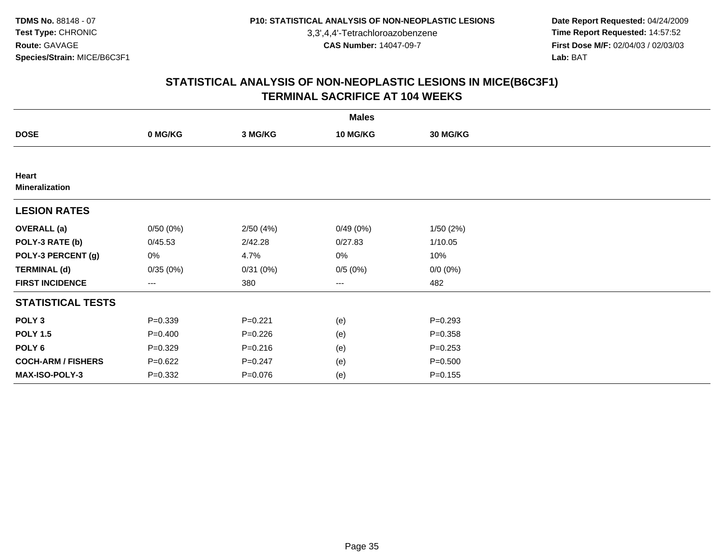3,3',4,4'-Tetrachloroazobenzene

 **Date Report Requested:** 04/24/2009 **Time Report Requested:** 14:57:52 **First Dose M/F:** 02/04/03 / 02/03/03<br>Lab: BAT **Lab:** BAT

|                                |             |             | <b>Males</b>    |             |  |
|--------------------------------|-------------|-------------|-----------------|-------------|--|
| <b>DOSE</b>                    | 0 MG/KG     | 3 MG/KG     | <b>10 MG/KG</b> | 30 MG/KG    |  |
|                                |             |             |                 |             |  |
| Heart<br><b>Mineralization</b> |             |             |                 |             |  |
| <b>LESION RATES</b>            |             |             |                 |             |  |
| <b>OVERALL</b> (a)             | 0/50(0%)    | 2/50(4%)    | 0/49(0%)        | 1/50(2%)    |  |
| POLY-3 RATE (b)                | 0/45.53     | 2/42.28     | 0/27.83         | 1/10.05     |  |
| POLY-3 PERCENT (g)             | 0%          | 4.7%        | 0%              | 10%         |  |
| <b>TERMINAL (d)</b>            | 0/35(0%)    | 0/31(0%)    | 0/5(0%)         | $0/0 (0\%)$ |  |
| <b>FIRST INCIDENCE</b>         | $--$        | 380         | ---             | 482         |  |
| <b>STATISTICAL TESTS</b>       |             |             |                 |             |  |
| POLY <sub>3</sub>              | $P = 0.339$ | $P=0.221$   | (e)             | $P=0.293$   |  |
| <b>POLY 1.5</b>                | $P=0.400$   | $P = 0.226$ | (e)             | $P = 0.358$ |  |
| POLY <sub>6</sub>              | $P=0.329$   | $P = 0.216$ | (e)             | $P = 0.253$ |  |
| <b>COCH-ARM / FISHERS</b>      | $P=0.622$   | $P = 0.247$ | (e)             | $P = 0.500$ |  |
| MAX-ISO-POLY-3                 | $P = 0.332$ | $P = 0.076$ | (e)             | $P = 0.155$ |  |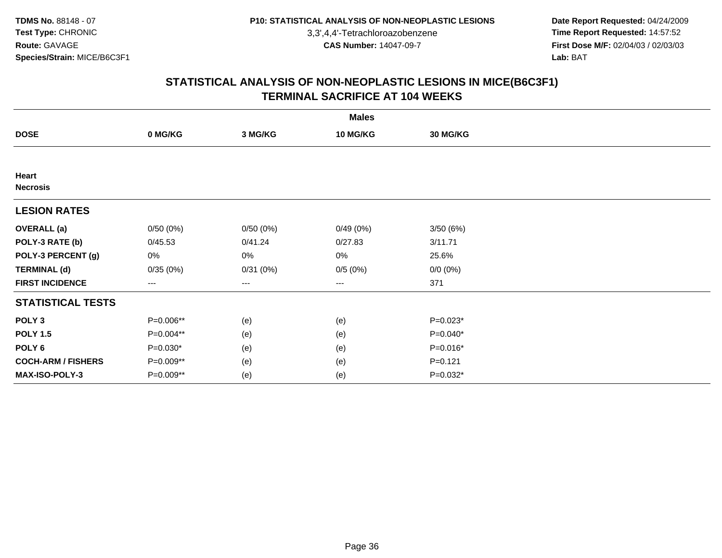3,3',4,4'-Tetrachloroazobenzene

 **Date Report Requested:** 04/24/2009 **Time Report Requested:** 14:57:52 **First Dose M/F:** 02/04/03 / 02/03/03<br>Lab: BAT **Lab:** BAT

| <b>Males</b>              |            |          |                 |             |  |  |
|---------------------------|------------|----------|-----------------|-------------|--|--|
| <b>DOSE</b>               | 0 MG/KG    | 3 MG/KG  | <b>10 MG/KG</b> | 30 MG/KG    |  |  |
|                           |            |          |                 |             |  |  |
| Heart<br><b>Necrosis</b>  |            |          |                 |             |  |  |
| <b>LESION RATES</b>       |            |          |                 |             |  |  |
| <b>OVERALL</b> (a)        | 0/50(0%)   | 0/50(0%) | 0/49(0%)        | 3/50(6%)    |  |  |
| POLY-3 RATE (b)           | 0/45.53    | 0/41.24  | 0/27.83         | 3/11.71     |  |  |
| POLY-3 PERCENT (g)        | 0%         | 0%       | 0%              | 25.6%       |  |  |
| <b>TERMINAL (d)</b>       | 0/35(0%)   | 0/31(0%) | 0/5(0%)         | $0/0 (0\%)$ |  |  |
| <b>FIRST INCIDENCE</b>    | $---$      | $---$    | ---             | 371         |  |  |
| <b>STATISTICAL TESTS</b>  |            |          |                 |             |  |  |
| POLY <sub>3</sub>         | P=0.006**  | (e)      | (e)             | $P=0.023*$  |  |  |
| <b>POLY 1.5</b>           | P=0.004**  | (e)      | (e)             | $P=0.040*$  |  |  |
| POLY <sub>6</sub>         | $P=0.030*$ | (e)      | (e)             | $P=0.016*$  |  |  |
| <b>COCH-ARM / FISHERS</b> | P=0.009**  | (e)      | (e)             | $P = 0.121$ |  |  |
| MAX-ISO-POLY-3            | P=0.009**  | (e)      | (e)             | $P=0.032*$  |  |  |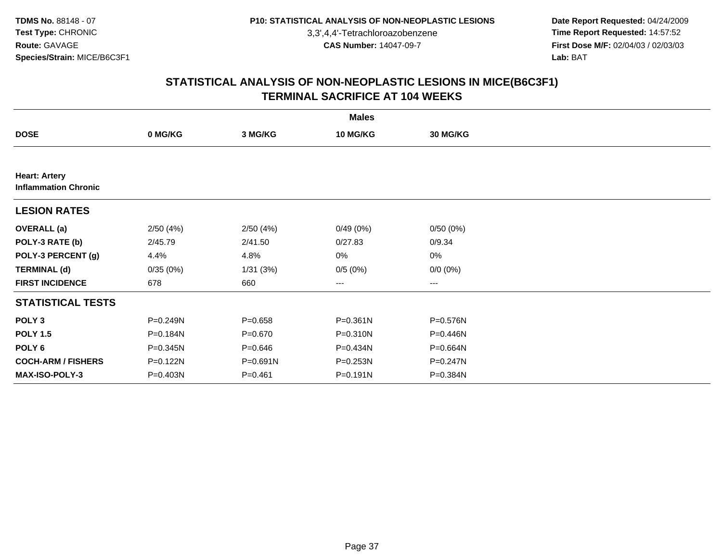3,3',4,4'-Tetrachloroazobenzene

 **Date Report Requested:** 04/24/2009 **Time Report Requested:** 14:57:52 **First Dose M/F:** 02/04/03 / 02/03/03<br>Lab: BAT **Lab:** BAT

|                                                     |              |             | <b>Males</b>           |                 |  |
|-----------------------------------------------------|--------------|-------------|------------------------|-----------------|--|
| <b>DOSE</b>                                         | 0 MG/KG      | 3 MG/KG     | <b>10 MG/KG</b>        | <b>30 MG/KG</b> |  |
|                                                     |              |             |                        |                 |  |
| <b>Heart: Artery</b><br><b>Inflammation Chronic</b> |              |             |                        |                 |  |
| <b>LESION RATES</b>                                 |              |             |                        |                 |  |
| <b>OVERALL</b> (a)                                  | 2/50(4%)     | 2/50(4%)    | 0/49(0%)               | 0/50(0%)        |  |
| POLY-3 RATE (b)                                     | 2/45.79      | 2/41.50     | 0/27.83                | 0/9.34          |  |
| POLY-3 PERCENT (g)                                  | 4.4%         | 4.8%        | 0%                     | 0%              |  |
| <b>TERMINAL (d)</b>                                 | 0/35(0%)     | 1/31(3%)    | 0/5(0%)                | $0/0 (0\%)$     |  |
| <b>FIRST INCIDENCE</b>                              | 678          | 660         | $\qquad \qquad \cdots$ | ---             |  |
| <b>STATISTICAL TESTS</b>                            |              |             |                        |                 |  |
| POLY <sub>3</sub>                                   | P=0.249N     | $P = 0.658$ | $P = 0.361N$           | P=0.576N        |  |
| <b>POLY 1.5</b>                                     | P=0.184N     | $P = 0.670$ | $P = 0.310N$           | P=0.446N        |  |
| POLY 6                                              | $P = 0.345N$ | $P = 0.646$ | P=0.434N               | P=0.664N        |  |
| <b>COCH-ARM / FISHERS</b>                           | P=0.122N     | P=0.691N    | P=0.253N               | $P = 0.247N$    |  |
| <b>MAX-ISO-POLY-3</b>                               | P=0.403N     | $P = 0.461$ | $P = 0.191N$           | P=0.384N        |  |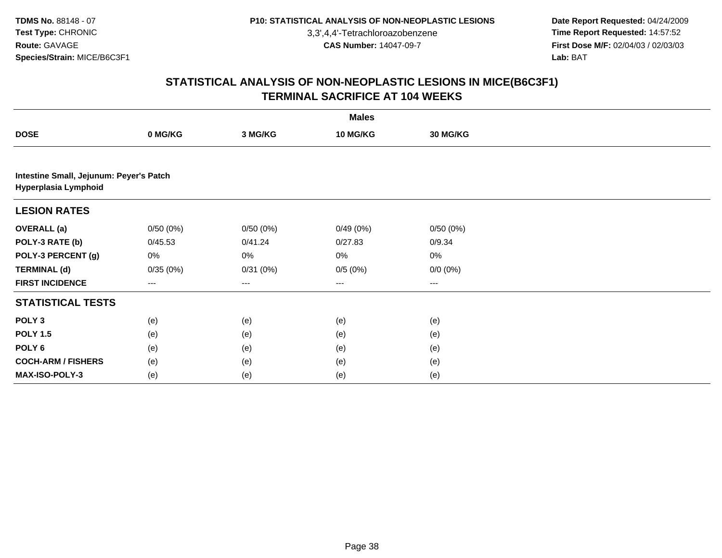3,3',4,4'-Tetrachloroazobenzene

 **Date Report Requested:** 04/24/2009 **Time Report Requested:** 14:57:52 **First Dose M/F:** 02/04/03 / 02/03/03<br>Lab: BAT **Lab:** BAT

|                                                                 |          |          | <b>Males</b>      |             |  |
|-----------------------------------------------------------------|----------|----------|-------------------|-------------|--|
| <b>DOSE</b>                                                     | 0 MG/KG  | 3 MG/KG  | 10 MG/KG          | 30 MG/KG    |  |
|                                                                 |          |          |                   |             |  |
| Intestine Small, Jejunum: Peyer's Patch<br>Hyperplasia Lymphoid |          |          |                   |             |  |
| <b>LESION RATES</b>                                             |          |          |                   |             |  |
| <b>OVERALL</b> (a)                                              | 0/50(0%) | 0/50(0%) | 0/49(0%)          | 0/50(0%)    |  |
| POLY-3 RATE (b)                                                 | 0/45.53  | 0/41.24  | 0/27.83           | 0/9.34      |  |
| POLY-3 PERCENT (g)                                              | 0%       | 0%       | 0%                | 0%          |  |
| <b>TERMINAL (d)</b>                                             | 0/35(0%) | 0/31(0%) | 0/5(0%)           | $0/0 (0\%)$ |  |
| <b>FIRST INCIDENCE</b>                                          | $---$    | ---      | $\qquad \qquad -$ | ---         |  |
| <b>STATISTICAL TESTS</b>                                        |          |          |                   |             |  |
| POLY <sub>3</sub>                                               | (e)      | (e)      | (e)               | (e)         |  |
| <b>POLY 1.5</b>                                                 | (e)      | (e)      | (e)               | (e)         |  |
| POLY <sub>6</sub>                                               | (e)      | (e)      | (e)               | (e)         |  |
| <b>COCH-ARM / FISHERS</b>                                       | (e)      | (e)      | (e)               | (e)         |  |
| <b>MAX-ISO-POLY-3</b>                                           | (e)      | (e)      | (e)               | (e)         |  |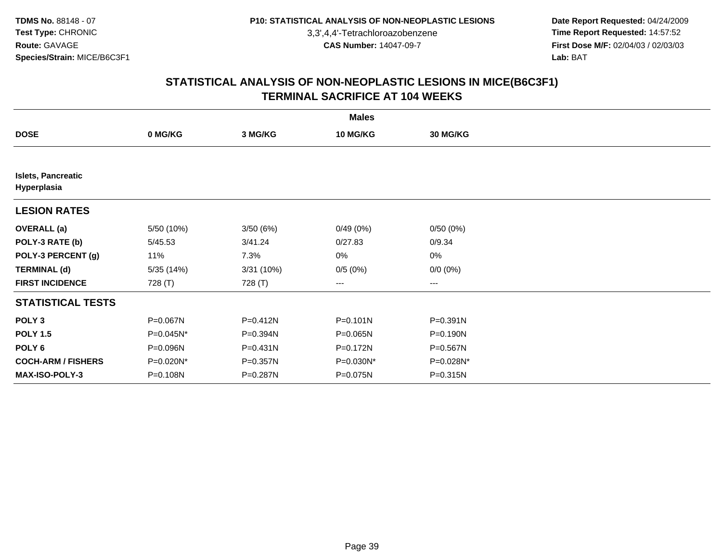3,3',4,4'-Tetrachloroazobenzene

 **Date Report Requested:** 04/24/2009 **Time Report Requested:** 14:57:52 **First Dose M/F:** 02/04/03 / 02/03/03<br>Lab: BAT **Lab:** BAT

|                                          |            |           | <b>Males</b>    |                   |  |
|------------------------------------------|------------|-----------|-----------------|-------------------|--|
| <b>DOSE</b>                              | 0 MG/KG    | 3 MG/KG   | <b>10 MG/KG</b> | <b>30 MG/KG</b>   |  |
|                                          |            |           |                 |                   |  |
| <b>Islets, Pancreatic</b><br>Hyperplasia |            |           |                 |                   |  |
| <b>LESION RATES</b>                      |            |           |                 |                   |  |
| <b>OVERALL</b> (a)                       | 5/50 (10%) | 3/50(6%)  | 0/49(0%)        | 0/50(0%)          |  |
| POLY-3 RATE (b)                          | 5/45.53    | 3/41.24   | 0/27.83         | 0/9.34            |  |
| POLY-3 PERCENT (g)                       | 11%        | 7.3%      | 0%              | 0%                |  |
| <b>TERMINAL (d)</b>                      | 5/35(14%)  | 3/31(10%) | 0/5(0%)         | $0/0 (0\%)$       |  |
| <b>FIRST INCIDENCE</b>                   | 728 (T)    | 728 (T)   | ---             | $\qquad \qquad -$ |  |
| <b>STATISTICAL TESTS</b>                 |            |           |                 |                   |  |
| POLY <sub>3</sub>                        | P=0.067N   | P=0.412N  | $P = 0.101N$    | $P = 0.391N$      |  |
| <b>POLY 1.5</b>                          | P=0.045N*  | P=0.394N  | P=0.065N        | P=0.190N          |  |
| POLY <sub>6</sub>                        | P=0.096N   | P=0.431N  | P=0.172N        | P=0.567N          |  |
| <b>COCH-ARM / FISHERS</b>                | P=0.020N*  | P=0.357N  | P=0.030N*       | P=0.028N*         |  |
| <b>MAX-ISO-POLY-3</b>                    | P=0.108N   | P=0.287N  | P=0.075N        | P=0.315N          |  |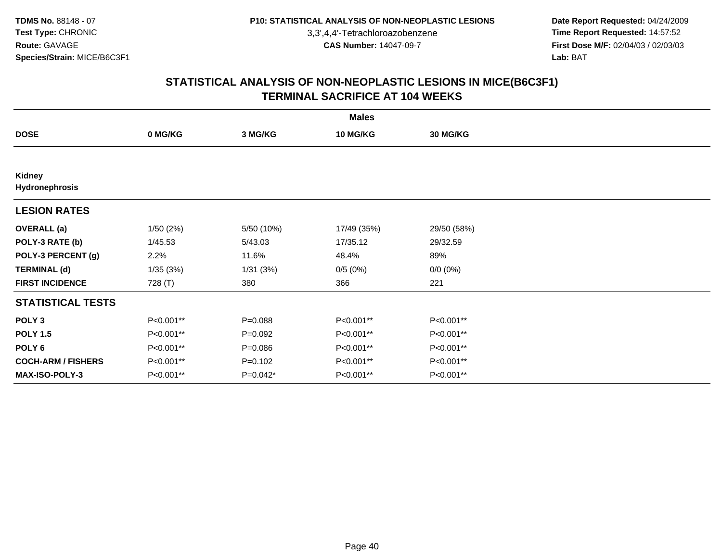3,3',4,4'-Tetrachloroazobenzene

 **Date Report Requested:** 04/24/2009 **Time Report Requested:** 14:57:52 **First Dose M/F:** 02/04/03 / 02/03/03<br>Lab: BAT **Lab:** BAT

|                           | <b>Males</b> |             |                 |                 |  |  |  |
|---------------------------|--------------|-------------|-----------------|-----------------|--|--|--|
| <b>DOSE</b>               | 0 MG/KG      | 3 MG/KG     | <b>10 MG/KG</b> | <b>30 MG/KG</b> |  |  |  |
|                           |              |             |                 |                 |  |  |  |
| Kidney<br>Hydronephrosis  |              |             |                 |                 |  |  |  |
| <b>LESION RATES</b>       |              |             |                 |                 |  |  |  |
| <b>OVERALL</b> (a)        | 1/50(2%)     | 5/50 (10%)  | 17/49 (35%)     | 29/50 (58%)     |  |  |  |
| POLY-3 RATE (b)           | 1/45.53      | 5/43.03     | 17/35.12        | 29/32.59        |  |  |  |
| POLY-3 PERCENT (g)        | 2.2%         | 11.6%       | 48.4%           | 89%             |  |  |  |
| <b>TERMINAL (d)</b>       | 1/35(3%)     | 1/31(3%)    | 0/5(0%)         | $0/0 (0\%)$     |  |  |  |
| <b>FIRST INCIDENCE</b>    | 728 (T)      | 380         | 366             | 221             |  |  |  |
| <b>STATISTICAL TESTS</b>  |              |             |                 |                 |  |  |  |
| POLY <sub>3</sub>         | P<0.001**    | $P = 0.088$ | P<0.001**       | P<0.001**       |  |  |  |
| <b>POLY 1.5</b>           | P<0.001**    | $P=0.092$   | P<0.001**       | P<0.001**       |  |  |  |
| POLY <sub>6</sub>         | P<0.001**    | $P = 0.086$ | P<0.001**       | P<0.001**       |  |  |  |
| <b>COCH-ARM / FISHERS</b> | P<0.001**    | $P=0.102$   | P<0.001**       | P<0.001**       |  |  |  |
| MAX-ISO-POLY-3            | P<0.001**    | P=0.042*    | P<0.001**       | P<0.001**       |  |  |  |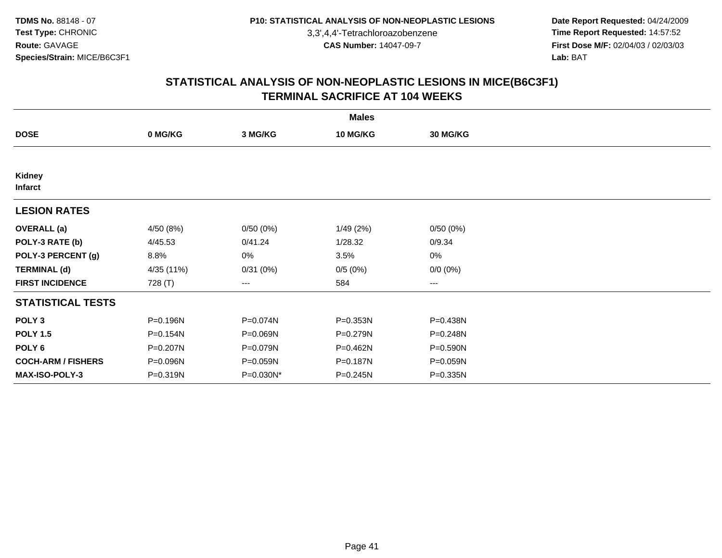3,3',4,4'-Tetrachloroazobenzene

 **Date Report Requested:** 04/24/2009 **Time Report Requested:** 14:57:52 **First Dose M/F:** 02/04/03 / 02/03/03<br>Lab: BAT **Lab:** BAT

|                                 |            |           | <b>Males</b> |             |  |
|---------------------------------|------------|-----------|--------------|-------------|--|
| <b>DOSE</b>                     | 0 MG/KG    | 3 MG/KG   | 10 MG/KG     | 30 MG/KG    |  |
|                                 |            |           |              |             |  |
| <b>Kidney</b><br><b>Infarct</b> |            |           |              |             |  |
| <b>LESION RATES</b>             |            |           |              |             |  |
| <b>OVERALL</b> (a)              | 4/50(8%)   | 0/50(0%)  | 1/49(2%)     | 0/50(0%)    |  |
| POLY-3 RATE (b)                 | 4/45.53    | 0/41.24   | 1/28.32      | 0/9.34      |  |
| POLY-3 PERCENT (g)              | 8.8%       | 0%        | 3.5%         | 0%          |  |
| <b>TERMINAL (d)</b>             | 4/35 (11%) | 0/31(0%)  | 0/5(0%)      | $0/0 (0\%)$ |  |
| <b>FIRST INCIDENCE</b>          | 728 (T)    | ---       | 584          | $--$        |  |
| <b>STATISTICAL TESTS</b>        |            |           |              |             |  |
| POLY <sub>3</sub>               | P=0.196N   | P=0.074N  | P=0.353N     | P=0.438N    |  |
| <b>POLY 1.5</b>                 | P=0.154N   | P=0.069N  | P=0.279N     | P=0.248N    |  |
| POLY <sub>6</sub>               | P=0.207N   | P=0.079N  | P=0.462N     | P=0.590N    |  |
| <b>COCH-ARM / FISHERS</b>       | P=0.096N   | P=0.059N  | P=0.187N     | P=0.059N    |  |
| MAX-ISO-POLY-3                  | P=0.319N   | P=0.030N* | P=0.245N     | P=0.335N    |  |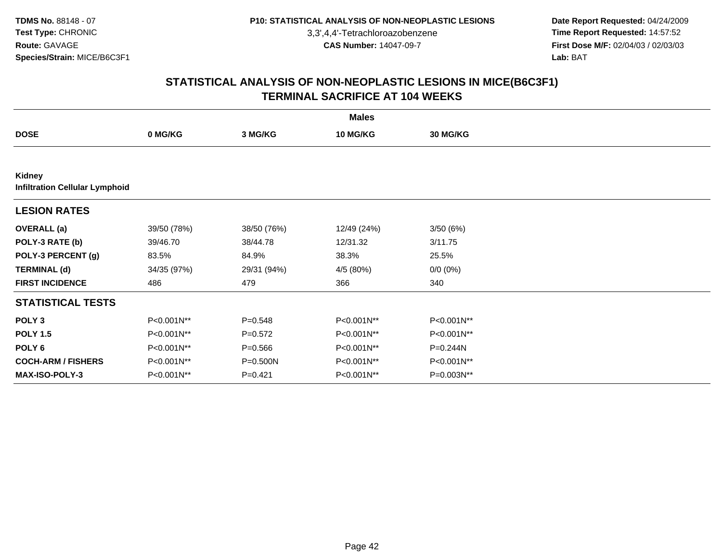3,3',4,4'-Tetrachloroazobenzene

 **Date Report Requested:** 04/24/2009 **Time Report Requested:** 14:57:52 **First Dose M/F:** 02/04/03 / 02/03/03<br>Lab: BAT **Lab:** BAT

|                                                 | <b>Males</b> |             |             |                 |  |  |  |
|-------------------------------------------------|--------------|-------------|-------------|-----------------|--|--|--|
| <b>DOSE</b>                                     | 0 MG/KG      | 3 MG/KG     | 10 MG/KG    | <b>30 MG/KG</b> |  |  |  |
|                                                 |              |             |             |                 |  |  |  |
| Kidney<br><b>Infiltration Cellular Lymphoid</b> |              |             |             |                 |  |  |  |
| <b>LESION RATES</b>                             |              |             |             |                 |  |  |  |
| <b>OVERALL</b> (a)                              | 39/50 (78%)  | 38/50 (76%) | 12/49 (24%) | 3/50(6%)        |  |  |  |
| POLY-3 RATE (b)                                 | 39/46.70     | 38/44.78    | 12/31.32    | 3/11.75         |  |  |  |
| POLY-3 PERCENT (g)                              | 83.5%        | 84.9%       | 38.3%       | 25.5%           |  |  |  |
| <b>TERMINAL (d)</b>                             | 34/35 (97%)  | 29/31 (94%) | 4/5 (80%)   | $0/0 (0\%)$     |  |  |  |
| <b>FIRST INCIDENCE</b>                          | 486          | 479         | 366         | 340             |  |  |  |
| <b>STATISTICAL TESTS</b>                        |              |             |             |                 |  |  |  |
| POLY <sub>3</sub>                               | P<0.001N**   | $P = 0.548$ | P<0.001N**  | P<0.001N**      |  |  |  |
| <b>POLY 1.5</b>                                 | P<0.001N**   | $P = 0.572$ | P<0.001N**  | P<0.001N**      |  |  |  |
| POLY 6                                          | P<0.001N**   | $P = 0.566$ | P<0.001N**  | P=0.244N        |  |  |  |
| <b>COCH-ARM / FISHERS</b>                       | P<0.001N**   | P=0.500N    | P<0.001N**  | P<0.001N**      |  |  |  |
| MAX-ISO-POLY-3                                  | P<0.001N**   | $P=0.421$   | P<0.001N**  | P=0.003N**      |  |  |  |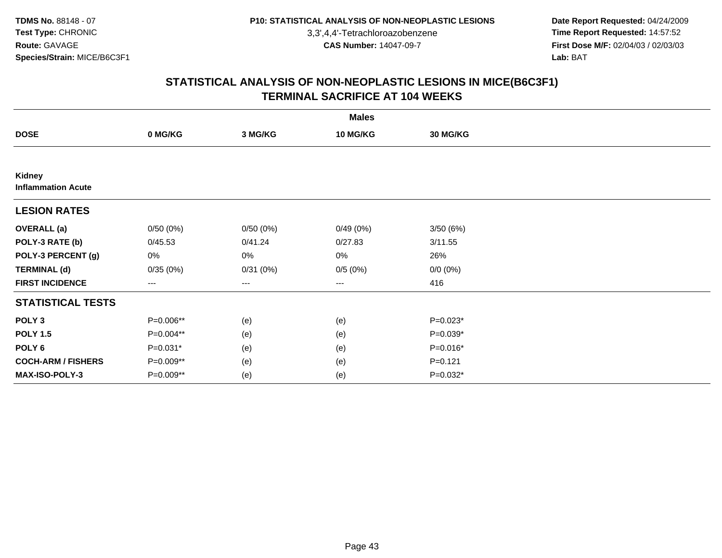3,3',4,4'-Tetrachloroazobenzene

 **Date Report Requested:** 04/24/2009 **Time Report Requested:** 14:57:52 **First Dose M/F:** 02/04/03 / 02/03/03<br>Lab: BAT **Lab:** BAT

|                                     |                        |          | <b>Males</b>    |             |  |
|-------------------------------------|------------------------|----------|-----------------|-------------|--|
| <b>DOSE</b>                         | 0 MG/KG                | 3 MG/KG  | <b>10 MG/KG</b> | 30 MG/KG    |  |
|                                     |                        |          |                 |             |  |
| Kidney<br><b>Inflammation Acute</b> |                        |          |                 |             |  |
| <b>LESION RATES</b>                 |                        |          |                 |             |  |
| <b>OVERALL</b> (a)                  | 0/50(0%)               | 0/50(0%) | 0/49(0%)        | 3/50(6%)    |  |
| POLY-3 RATE (b)                     | 0/45.53                | 0/41.24  | 0/27.83         | 3/11.55     |  |
| POLY-3 PERCENT (g)                  | 0%                     | 0%       | 0%              | 26%         |  |
| <b>TERMINAL (d)</b>                 | 0/35(0%)               | 0/31(0%) | 0/5(0%)         | $0/0 (0\%)$ |  |
| <b>FIRST INCIDENCE</b>              | $\qquad \qquad \cdots$ | ---      | ---             | 416         |  |
| <b>STATISTICAL TESTS</b>            |                        |          |                 |             |  |
| POLY <sub>3</sub>                   | P=0.006**              | (e)      | (e)             | $P=0.023*$  |  |
| <b>POLY 1.5</b>                     | P=0.004**              | (e)      | (e)             | $P=0.039*$  |  |
| POLY <sub>6</sub>                   | $P=0.031*$             | (e)      | (e)             | $P=0.016*$  |  |
| <b>COCH-ARM / FISHERS</b>           | P=0.009**              | (e)      | (e)             | $P = 0.121$ |  |
| MAX-ISO-POLY-3                      | P=0.009**              | (e)      | (e)             | P=0.032*    |  |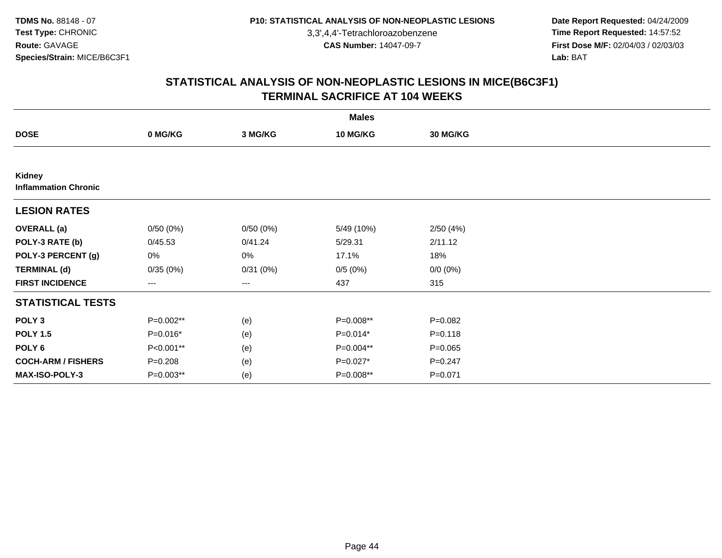3,3',4,4'-Tetrachloroazobenzene

 **Date Report Requested:** 04/24/2009 **Time Report Requested:** 14:57:52 **First Dose M/F:** 02/04/03 / 02/03/03<br>Lab: BAT **Lab:** BAT

|                                       |                   |                   | <b>Males</b>    |                 |  |
|---------------------------------------|-------------------|-------------------|-----------------|-----------------|--|
| <b>DOSE</b>                           | 0 MG/KG           | 3 MG/KG           | <b>10 MG/KG</b> | <b>30 MG/KG</b> |  |
|                                       |                   |                   |                 |                 |  |
| Kidney<br><b>Inflammation Chronic</b> |                   |                   |                 |                 |  |
| <b>LESION RATES</b>                   |                   |                   |                 |                 |  |
| <b>OVERALL</b> (a)                    | 0/50(0%)          | 0/50(0%)          | 5/49 (10%)      | 2/50(4%)        |  |
| POLY-3 RATE (b)                       | 0/45.53           | 0/41.24           | 5/29.31         | 2/11.12         |  |
| POLY-3 PERCENT (g)                    | 0%                | $0\%$             | 17.1%           | 18%             |  |
| <b>TERMINAL (d)</b>                   | 0/35(0%)          | 0/31(0%)          | 0/5(0%)         | $0/0 (0\%)$     |  |
| <b>FIRST INCIDENCE</b>                | $\qquad \qquad -$ | $\qquad \qquad -$ | 437             | 315             |  |
| <b>STATISTICAL TESTS</b>              |                   |                   |                 |                 |  |
| POLY <sub>3</sub>                     | P=0.002**         | (e)               | P=0.008**       | $P=0.082$       |  |
| <b>POLY 1.5</b>                       | $P=0.016*$        | (e)               | $P=0.014*$      | $P = 0.118$     |  |
| POLY <sub>6</sub>                     | P<0.001**         | (e)               | P=0.004**       | $P=0.065$       |  |
| <b>COCH-ARM / FISHERS</b>             | $P = 0.208$       | (e)               | P=0.027*        | $P = 0.247$     |  |
| MAX-ISO-POLY-3                        | P=0.003**         | (e)               | P=0.008**       | $P = 0.071$     |  |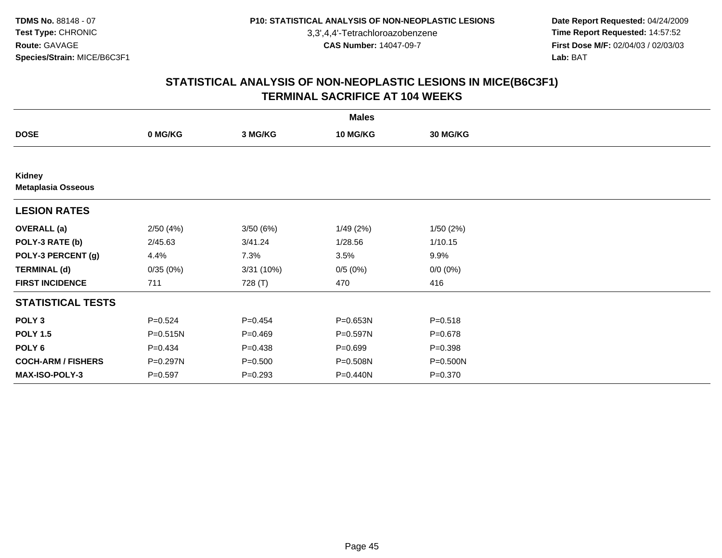3,3',4,4'-Tetrachloroazobenzene

 **Date Report Requested:** 04/24/2009 **Time Report Requested:** 14:57:52 **First Dose M/F:** 02/04/03 / 02/03/03<br>Lab: BAT **Lab:** BAT

|                                     |              |             | <b>Males</b>    |                 |  |
|-------------------------------------|--------------|-------------|-----------------|-----------------|--|
| <b>DOSE</b>                         | 0 MG/KG      | 3 MG/KG     | <b>10 MG/KG</b> | <b>30 MG/KG</b> |  |
|                                     |              |             |                 |                 |  |
| Kidney<br><b>Metaplasia Osseous</b> |              |             |                 |                 |  |
| <b>LESION RATES</b>                 |              |             |                 |                 |  |
| <b>OVERALL</b> (a)                  | 2/50(4%)     | 3/50(6%)    | 1/49(2%)        | 1/50(2%)        |  |
| POLY-3 RATE (b)                     | 2/45.63      | 3/41.24     | 1/28.56         | 1/10.15         |  |
| POLY-3 PERCENT (g)                  | 4.4%         | 7.3%        | 3.5%            | 9.9%            |  |
| <b>TERMINAL (d)</b>                 | 0/35(0%)     | 3/31(10%)   | 0/5(0%)         | $0/0 (0\%)$     |  |
| <b>FIRST INCIDENCE</b>              | 711          | 728 (T)     | 470             | 416             |  |
| <b>STATISTICAL TESTS</b>            |              |             |                 |                 |  |
| POLY <sub>3</sub>                   | $P = 0.524$  | $P = 0.454$ | P=0.653N        | $P = 0.518$     |  |
| <b>POLY 1.5</b>                     | $P = 0.515N$ | $P=0.469$   | P=0.597N        | $P = 0.678$     |  |
| POLY <sub>6</sub>                   | $P = 0.434$  | $P=0.438$   | $P = 0.699$     | $P = 0.398$     |  |
| <b>COCH-ARM / FISHERS</b>           | P=0.297N     | $P = 0.500$ | P=0.508N        | P=0.500N        |  |
| <b>MAX-ISO-POLY-3</b>               | $P = 0.597$  | $P = 0.293$ | P=0.440N        | $P = 0.370$     |  |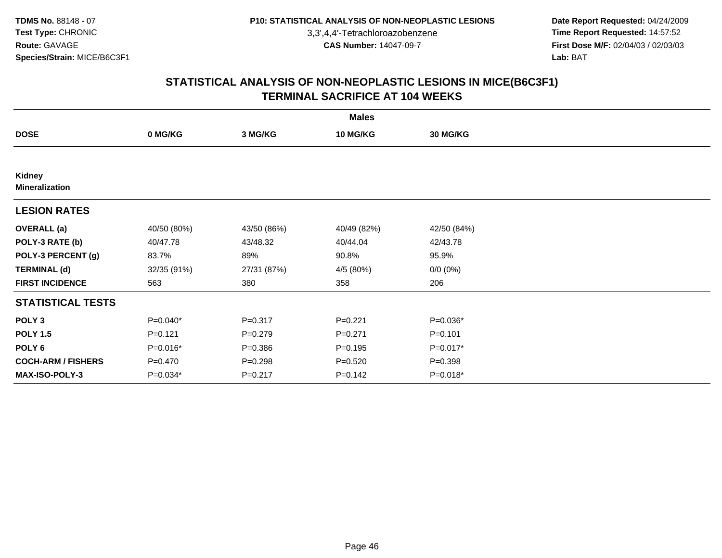3,3',4,4'-Tetrachloroazobenzene

 **Date Report Requested:** 04/24/2009 **Time Report Requested:** 14:57:52 **First Dose M/F:** 02/04/03 / 02/03/03<br>Lab: BAT **Lab:** BAT

|                                 | <b>Males</b> |             |                 |             |  |  |  |
|---------------------------------|--------------|-------------|-----------------|-------------|--|--|--|
| <b>DOSE</b>                     | 0 MG/KG      | 3 MG/KG     | <b>10 MG/KG</b> | 30 MG/KG    |  |  |  |
|                                 |              |             |                 |             |  |  |  |
| Kidney<br><b>Mineralization</b> |              |             |                 |             |  |  |  |
| <b>LESION RATES</b>             |              |             |                 |             |  |  |  |
| <b>OVERALL</b> (a)              | 40/50 (80%)  | 43/50 (86%) | 40/49 (82%)     | 42/50 (84%) |  |  |  |
| POLY-3 RATE (b)                 | 40/47.78     | 43/48.32    | 40/44.04        | 42/43.78    |  |  |  |
| POLY-3 PERCENT (g)              | 83.7%        | 89%         | 90.8%           | 95.9%       |  |  |  |
| <b>TERMINAL (d)</b>             | 32/35 (91%)  | 27/31 (87%) | 4/5 (80%)       | $0/0 (0\%)$ |  |  |  |
| <b>FIRST INCIDENCE</b>          | 563          | 380         | 358             | 206         |  |  |  |
| <b>STATISTICAL TESTS</b>        |              |             |                 |             |  |  |  |
| POLY <sub>3</sub>               | $P=0.040*$   | $P = 0.317$ | $P=0.221$       | P=0.036*    |  |  |  |
| <b>POLY 1.5</b>                 | $P = 0.121$  | $P = 0.279$ | $P=0.271$       | $P = 0.101$ |  |  |  |
| POLY <sub>6</sub>               | $P=0.016*$   | $P = 0.386$ | $P = 0.195$     | P=0.017*    |  |  |  |
| <b>COCH-ARM / FISHERS</b>       | $P = 0.470$  | $P = 0.298$ | $P = 0.520$     | $P = 0.398$ |  |  |  |
| <b>MAX-ISO-POLY-3</b>           | $P=0.034*$   | $P = 0.217$ | $P = 0.142$     | P=0.018*    |  |  |  |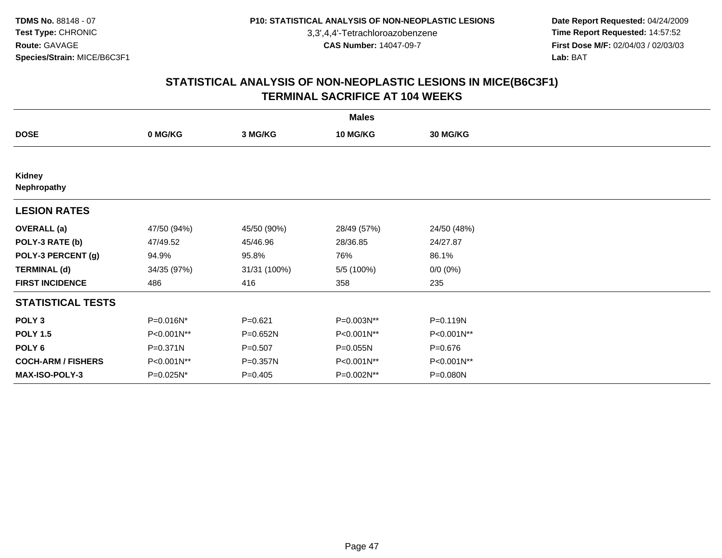3,3',4,4'-Tetrachloroazobenzene

 **Date Report Requested:** 04/24/2009 **Time Report Requested:** 14:57:52 **First Dose M/F:** 02/04/03 / 02/03/03<br>Lab: BAT **Lab:** BAT

|                           | <b>Males</b> |              |             |                 |  |  |  |  |
|---------------------------|--------------|--------------|-------------|-----------------|--|--|--|--|
| <b>DOSE</b>               | 0 MG/KG      | 3 MG/KG      | 10 MG/KG    | <b>30 MG/KG</b> |  |  |  |  |
|                           |              |              |             |                 |  |  |  |  |
| Kidney<br>Nephropathy     |              |              |             |                 |  |  |  |  |
| <b>LESION RATES</b>       |              |              |             |                 |  |  |  |  |
| <b>OVERALL</b> (a)        | 47/50 (94%)  | 45/50 (90%)  | 28/49 (57%) | 24/50 (48%)     |  |  |  |  |
| POLY-3 RATE (b)           | 47/49.52     | 45/46.96     | 28/36.85    | 24/27.87        |  |  |  |  |
| POLY-3 PERCENT (g)        | 94.9%        | 95.8%        | 76%         | 86.1%           |  |  |  |  |
| <b>TERMINAL (d)</b>       | 34/35 (97%)  | 31/31 (100%) | 5/5 (100%)  | $0/0 (0\%)$     |  |  |  |  |
| <b>FIRST INCIDENCE</b>    | 486          | 416          | 358         | 235             |  |  |  |  |
| <b>STATISTICAL TESTS</b>  |              |              |             |                 |  |  |  |  |
| POLY <sub>3</sub>         | P=0.016N*    | $P = 0.621$  | P=0.003N**  | P=0.119N        |  |  |  |  |
| <b>POLY 1.5</b>           | P<0.001N**   | $P = 0.652N$ | P<0.001N**  | P<0.001N**      |  |  |  |  |
| POLY 6                    | P=0.371N     | $P = 0.507$  | P=0.055N    | P=0.676         |  |  |  |  |
| <b>COCH-ARM / FISHERS</b> | P<0.001N**   | $P = 0.357N$ | P<0.001N**  | P<0.001N**      |  |  |  |  |
| <b>MAX-ISO-POLY-3</b>     | P=0.025N*    | $P=0.405$    | P=0.002N**  | P=0.080N        |  |  |  |  |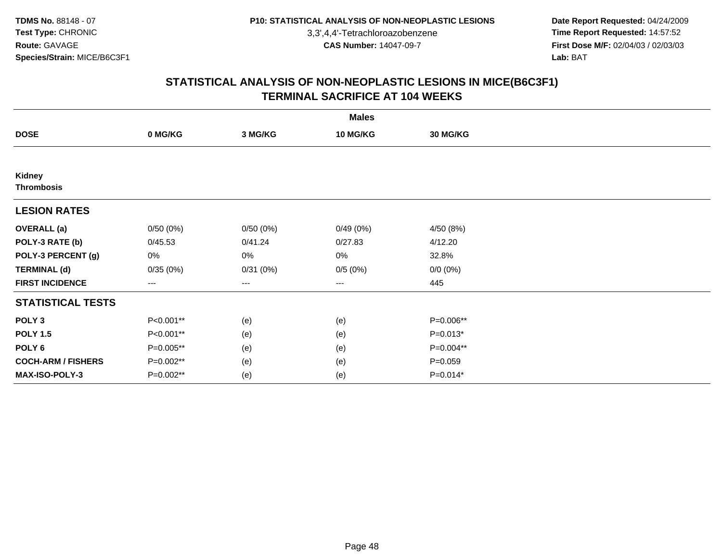3,3',4,4'-Tetrachloroazobenzene

 **Date Report Requested:** 04/24/2009 **Time Report Requested:** 14:57:52 **First Dose M/F:** 02/04/03 / 02/03/03<br>Lab: BAT **Lab:** BAT

|                             |                        |          | <b>Males</b>    |             |  |
|-----------------------------|------------------------|----------|-----------------|-------------|--|
| <b>DOSE</b>                 | 0 MG/KG                | 3 MG/KG  | <b>10 MG/KG</b> | 30 MG/KG    |  |
|                             |                        |          |                 |             |  |
| Kidney<br><b>Thrombosis</b> |                        |          |                 |             |  |
| <b>LESION RATES</b>         |                        |          |                 |             |  |
| <b>OVERALL</b> (a)          | 0/50(0%)               | 0/50(0%) | 0/49(0%)        | 4/50 (8%)   |  |
| POLY-3 RATE (b)             | 0/45.53                | 0/41.24  | 0/27.83         | 4/12.20     |  |
| POLY-3 PERCENT (g)          | 0%                     | 0%       | 0%              | 32.8%       |  |
| <b>TERMINAL (d)</b>         | 0/35(0%)               | 0/31(0%) | 0/5(0%)         | $0/0 (0\%)$ |  |
| <b>FIRST INCIDENCE</b>      | $\qquad \qquad \cdots$ | $--$     | ---             | 445         |  |
| <b>STATISTICAL TESTS</b>    |                        |          |                 |             |  |
| POLY <sub>3</sub>           | P<0.001**              | (e)      | (e)             | P=0.006**   |  |
| <b>POLY 1.5</b>             | P<0.001**              | (e)      | (e)             | $P=0.013*$  |  |
| POLY <sub>6</sub>           | P=0.005**              | (e)      | (e)             | P=0.004**   |  |
| <b>COCH-ARM / FISHERS</b>   | P=0.002**              | (e)      | (e)             | $P = 0.059$ |  |
| <b>MAX-ISO-POLY-3</b>       | P=0.002**              | (e)      | (e)             | $P=0.014*$  |  |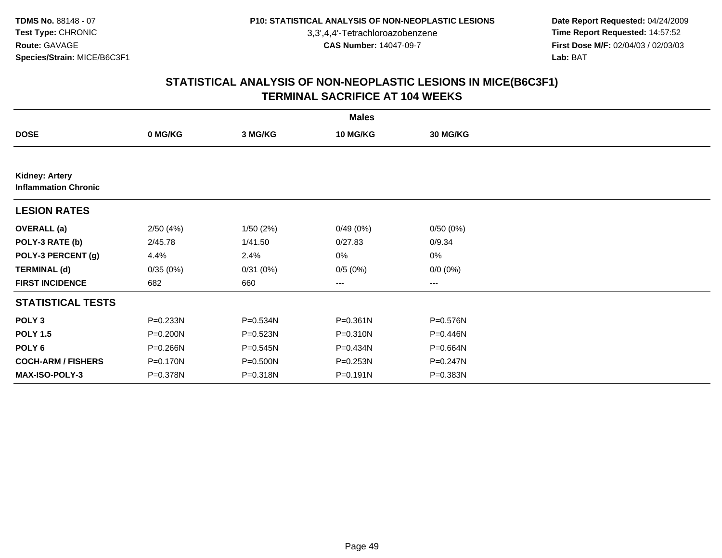3,3',4,4'-Tetrachloroazobenzene

 **Date Report Requested:** 04/24/2009 **Time Report Requested:** 14:57:52 **First Dose M/F:** 02/04/03 / 02/03/03<br>Lab: BAT **Lab:** BAT

|                                                      |          |              | <b>Males</b>    |              |  |
|------------------------------------------------------|----------|--------------|-----------------|--------------|--|
| <b>DOSE</b>                                          | 0 MG/KG  | 3 MG/KG      | <b>10 MG/KG</b> | 30 MG/KG     |  |
|                                                      |          |              |                 |              |  |
| <b>Kidney: Artery</b><br><b>Inflammation Chronic</b> |          |              |                 |              |  |
| <b>LESION RATES</b>                                  |          |              |                 |              |  |
| <b>OVERALL</b> (a)                                   | 2/50(4%) | 1/50(2%)     | 0/49(0%)        | 0/50(0%)     |  |
| POLY-3 RATE (b)                                      | 2/45.78  | 1/41.50      | 0/27.83         | 0/9.34       |  |
| POLY-3 PERCENT (g)                                   | 4.4%     | 2.4%         | 0%              | 0%           |  |
| <b>TERMINAL (d)</b>                                  | 0/35(0%) | 0/31(0%)     | 0/5(0%)         | $0/0 (0\%)$  |  |
| <b>FIRST INCIDENCE</b>                               | 682      | 660          | $\cdots$        | $\cdots$     |  |
| <b>STATISTICAL TESTS</b>                             |          |              |                 |              |  |
| POLY <sub>3</sub>                                    | P=0.233N | P=0.534N     | $P = 0.361N$    | P=0.576N     |  |
| <b>POLY 1.5</b>                                      | P=0.200N | P=0.523N     | $P = 0.310N$    | P=0.446N     |  |
| POLY 6                                               | P=0.266N | $P = 0.545N$ | P=0.434N        | P=0.664N     |  |
| <b>COCH-ARM / FISHERS</b>                            | P=0.170N | P=0.500N     | P=0.253N        | $P = 0.247N$ |  |
| <b>MAX-ISO-POLY-3</b>                                | P=0.378N | P=0.318N     | P=0.191N        | P=0.383N     |  |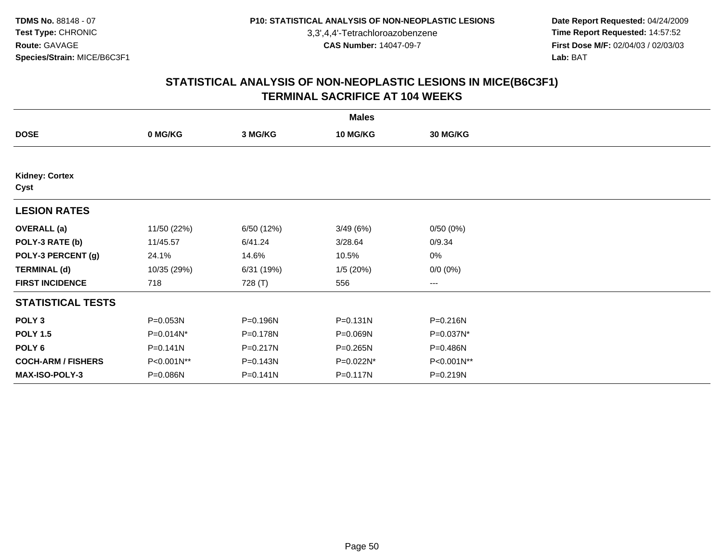3,3',4,4'-Tetrachloroazobenzene

 **Date Report Requested:** 04/24/2009 **Time Report Requested:** 14:57:52 **First Dose M/F:** 02/04/03 / 02/03/03<br>Lab: BAT **Lab:** BAT

|                               |              |            | <b>Males</b>    |                        |  |
|-------------------------------|--------------|------------|-----------------|------------------------|--|
| <b>DOSE</b>                   | 0 MG/KG      | 3 MG/KG    | <b>10 MG/KG</b> | 30 MG/KG               |  |
|                               |              |            |                 |                        |  |
| <b>Kidney: Cortex</b><br>Cyst |              |            |                 |                        |  |
| <b>LESION RATES</b>           |              |            |                 |                        |  |
| <b>OVERALL</b> (a)            | 11/50 (22%)  | 6/50 (12%) | 3/49(6%)        | 0/50(0%)               |  |
| POLY-3 RATE (b)               | 11/45.57     | 6/41.24    | 3/28.64         | 0/9.34                 |  |
| POLY-3 PERCENT (g)            | 24.1%        | 14.6%      | 10.5%           | 0%                     |  |
| <b>TERMINAL (d)</b>           | 10/35 (29%)  | 6/31(19%)  | 1/5(20%)        | $0/0 (0\%)$            |  |
| <b>FIRST INCIDENCE</b>        | 718          | 728 (T)    | 556             | $\qquad \qquad \cdots$ |  |
| <b>STATISTICAL TESTS</b>      |              |            |                 |                        |  |
| POLY <sub>3</sub>             | P=0.053N     | P=0.196N   | $P = 0.131N$    | P=0.216N               |  |
| <b>POLY 1.5</b>               | P=0.014N*    | P=0.178N   | P=0.069N        | P=0.037N*              |  |
| POLY <sub>6</sub>             | $P = 0.141N$ | P=0.217N   | P=0.265N        | P=0.486N               |  |
| <b>COCH-ARM / FISHERS</b>     | P<0.001N**   | P=0.143N   | P=0.022N*       | P<0.001N**             |  |
| <b>MAX-ISO-POLY-3</b>         | P=0.086N     | P=0.141N   | P=0.117N        | P=0.219N               |  |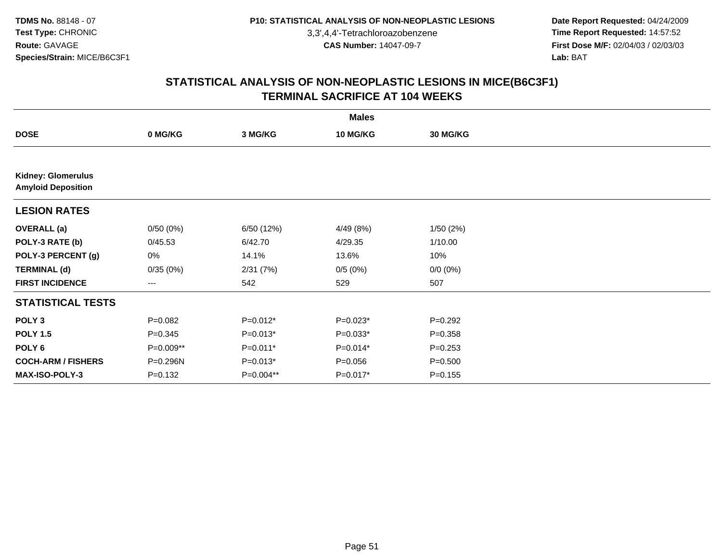3,3',4,4'-Tetrachloroazobenzene

 **Date Report Requested:** 04/24/2009 **Time Report Requested:** 14:57:52 **First Dose M/F:** 02/04/03 / 02/03/03<br>Lab: BAT **Lab:** BAT

|                                                        |             |            | <b>Males</b> |                 |  |
|--------------------------------------------------------|-------------|------------|--------------|-----------------|--|
| <b>DOSE</b>                                            | 0 MG/KG     | 3 MG/KG    | 10 MG/KG     | <b>30 MG/KG</b> |  |
|                                                        |             |            |              |                 |  |
| <b>Kidney: Glomerulus</b><br><b>Amyloid Deposition</b> |             |            |              |                 |  |
| <b>LESION RATES</b>                                    |             |            |              |                 |  |
| <b>OVERALL</b> (a)                                     | 0/50(0%)    | 6/50 (12%) | 4/49 (8%)    | 1/50(2%)        |  |
| POLY-3 RATE (b)                                        | 0/45.53     | 6/42.70    | 4/29.35      | 1/10.00         |  |
| POLY-3 PERCENT (g)                                     | 0%          | 14.1%      | 13.6%        | 10%             |  |
| <b>TERMINAL (d)</b>                                    | 0/35(0%)    | 2/31(7%)   | 0/5(0%)      | $0/0 (0\%)$     |  |
| <b>FIRST INCIDENCE</b>                                 | ---         | 542        | 529          | 507             |  |
| <b>STATISTICAL TESTS</b>                               |             |            |              |                 |  |
| POLY <sub>3</sub>                                      | $P=0.082$   | $P=0.012*$ | $P=0.023*$   | $P=0.292$       |  |
| <b>POLY 1.5</b>                                        | $P = 0.345$ | $P=0.013*$ | $P=0.033*$   | $P = 0.358$     |  |
| POLY 6                                                 | P=0.009**   | $P=0.011*$ | $P=0.014*$   | $P=0.253$       |  |
| <b>COCH-ARM / FISHERS</b>                              | P=0.296N    | $P=0.013*$ | $P = 0.056$  | $P = 0.500$     |  |
| MAX-ISO-POLY-3                                         | $P = 0.132$ | P=0.004**  | P=0.017*     | $P = 0.155$     |  |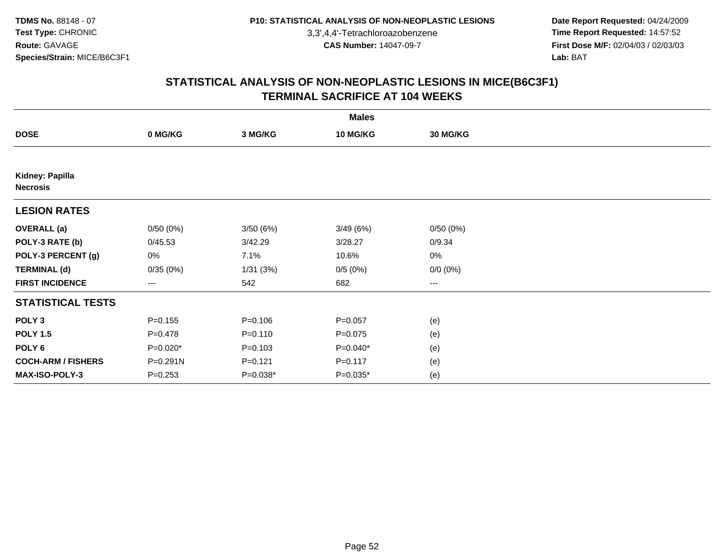3,3',4,4'-Tetrachloroazobenzene

 **Date Report Requested:** 04/24/2009 **Time Report Requested:** 14:57:52 **First Dose M/F:** 02/04/03 / 02/03/03<br>Lab: BAT **Lab:** BAT

|                                    |                   |             | <b>Males</b>    |                 |  |
|------------------------------------|-------------------|-------------|-----------------|-----------------|--|
| <b>DOSE</b>                        | 0 MG/KG           | 3 MG/KG     | <b>10 MG/KG</b> | <b>30 MG/KG</b> |  |
|                                    |                   |             |                 |                 |  |
| Kidney: Papilla<br><b>Necrosis</b> |                   |             |                 |                 |  |
| <b>LESION RATES</b>                |                   |             |                 |                 |  |
| <b>OVERALL</b> (a)                 | 0/50(0%)          | 3/50(6%)    | 3/49(6%)        | 0/50(0%)        |  |
| POLY-3 RATE (b)                    | 0/45.53           | 3/42.29     | 3/28.27         | 0/9.34          |  |
| POLY-3 PERCENT (g)                 | 0%                | 7.1%        | 10.6%           | 0%              |  |
| <b>TERMINAL (d)</b>                | 0/35(0%)          | 1/31(3%)    | 0/5(0%)         | $0/0 (0\%)$     |  |
| <b>FIRST INCIDENCE</b>             | $\qquad \qquad -$ | 542         | 682             | $---$           |  |
| <b>STATISTICAL TESTS</b>           |                   |             |                 |                 |  |
| POLY <sub>3</sub>                  | $P = 0.155$       | $P = 0.106$ | $P = 0.057$     | (e)             |  |
| <b>POLY 1.5</b>                    | $P=0.478$         | $P = 0.110$ | $P=0.075$       | (e)             |  |
| POLY <sub>6</sub>                  | $P=0.020*$        | $P = 0.103$ | P=0.040*        | (e)             |  |
| <b>COCH-ARM / FISHERS</b>          | $P = 0.291N$      | $P = 0.121$ | $P = 0.117$     | (e)             |  |
| MAX-ISO-POLY-3                     | $P=0.253$         | $P=0.038*$  | $P=0.035*$      | (e)             |  |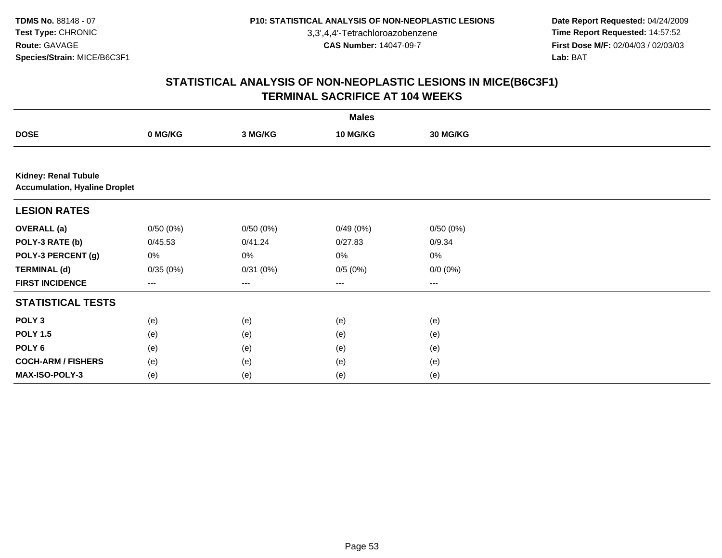3,3',4,4'-Tetrachloroazobenzene

 **Date Report Requested:** 04/24/2009 **Time Report Requested:** 14:57:52 **First Dose M/F:** 02/04/03 / 02/03/03<br>Lab: BAT **Lab:** BAT

|                                                                     | <b>Males</b> |          |                   |                 |  |  |  |  |
|---------------------------------------------------------------------|--------------|----------|-------------------|-----------------|--|--|--|--|
| <b>DOSE</b>                                                         | 0 MG/KG      | 3 MG/KG  | 10 MG/KG          | <b>30 MG/KG</b> |  |  |  |  |
|                                                                     |              |          |                   |                 |  |  |  |  |
| <b>Kidney: Renal Tubule</b><br><b>Accumulation, Hyaline Droplet</b> |              |          |                   |                 |  |  |  |  |
| <b>LESION RATES</b>                                                 |              |          |                   |                 |  |  |  |  |
| <b>OVERALL</b> (a)                                                  | 0/50(0%)     | 0/50(0%) | 0/49(0%)          | 0/50(0%)        |  |  |  |  |
| POLY-3 RATE (b)                                                     | 0/45.53      | 0/41.24  | 0/27.83           | 0/9.34          |  |  |  |  |
| POLY-3 PERCENT (g)                                                  | 0%           | 0%       | 0%                | 0%              |  |  |  |  |
| <b>TERMINAL (d)</b>                                                 | 0/35(0%)     | 0/31(0%) | 0/5(0%)           | $0/0 (0\%)$     |  |  |  |  |
| <b>FIRST INCIDENCE</b>                                              | $---$        | $---$    | $\qquad \qquad -$ | ---             |  |  |  |  |
| <b>STATISTICAL TESTS</b>                                            |              |          |                   |                 |  |  |  |  |
| POLY <sub>3</sub>                                                   | (e)          | (e)      | (e)               | (e)             |  |  |  |  |
| <b>POLY 1.5</b>                                                     | (e)          | (e)      | (e)               | (e)             |  |  |  |  |
| POLY <sub>6</sub>                                                   | (e)          | (e)      | (e)               | (e)             |  |  |  |  |
| <b>COCH-ARM / FISHERS</b>                                           | (e)          | (e)      | (e)               | (e)             |  |  |  |  |
| <b>MAX-ISO-POLY-3</b>                                               | (e)          | (e)      | (e)               | (e)             |  |  |  |  |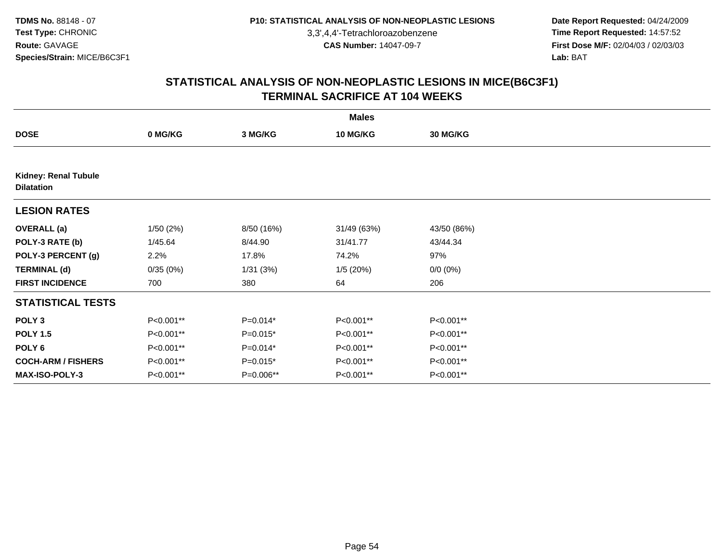3,3',4,4'-Tetrachloroazobenzene

 **Date Report Requested:** 04/24/2009 **Time Report Requested:** 14:57:52 **First Dose M/F:** 02/04/03 / 02/03/03<br>Lab: BAT **Lab:** BAT

|                                                  | <b>Males</b> |            |             |             |  |  |  |  |
|--------------------------------------------------|--------------|------------|-------------|-------------|--|--|--|--|
| <b>DOSE</b>                                      | 0 MG/KG      | 3 MG/KG    | 10 MG/KG    | 30 MG/KG    |  |  |  |  |
|                                                  |              |            |             |             |  |  |  |  |
| <b>Kidney: Renal Tubule</b><br><b>Dilatation</b> |              |            |             |             |  |  |  |  |
| <b>LESION RATES</b>                              |              |            |             |             |  |  |  |  |
| <b>OVERALL</b> (a)                               | 1/50(2%)     | 8/50 (16%) | 31/49 (63%) | 43/50 (86%) |  |  |  |  |
| POLY-3 RATE (b)                                  | 1/45.64      | 8/44.90    | 31/41.77    | 43/44.34    |  |  |  |  |
| POLY-3 PERCENT (g)                               | 2.2%         | 17.8%      | 74.2%       | 97%         |  |  |  |  |
| <b>TERMINAL (d)</b>                              | 0/35(0%)     | 1/31(3%)   | 1/5(20%)    | $0/0 (0\%)$ |  |  |  |  |
| <b>FIRST INCIDENCE</b>                           | 700          | 380        | 64          | 206         |  |  |  |  |
| <b>STATISTICAL TESTS</b>                         |              |            |             |             |  |  |  |  |
| POLY <sub>3</sub>                                | P<0.001**    | $P=0.014*$ | P<0.001**   | P<0.001**   |  |  |  |  |
| <b>POLY 1.5</b>                                  | P<0.001**    | $P=0.015*$ | P<0.001**   | P<0.001**   |  |  |  |  |
| POLY <sub>6</sub>                                | P<0.001**    | $P=0.014*$ | P<0.001**   | P<0.001**   |  |  |  |  |
| <b>COCH-ARM / FISHERS</b>                        | P<0.001**    | $P=0.015*$ | P<0.001**   | P<0.001**   |  |  |  |  |
| <b>MAX-ISO-POLY-3</b>                            | P<0.001**    | P=0.006**  | P<0.001**   | P<0.001**   |  |  |  |  |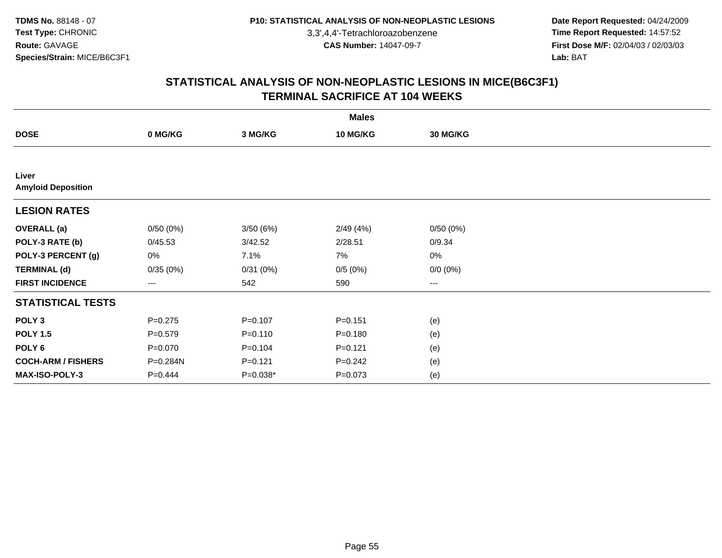3,3',4,4'-Tetrachloroazobenzene

 **Date Report Requested:** 04/24/2009 **Time Report Requested:** 14:57:52 **First Dose M/F:** 02/04/03 / 02/03/03<br>Lab: BAT **Lab:** BAT

|                                    |                   |             | <b>Males</b>    |                   |  |
|------------------------------------|-------------------|-------------|-----------------|-------------------|--|
| <b>DOSE</b>                        | 0 MG/KG           | 3 MG/KG     | <b>10 MG/KG</b> | <b>30 MG/KG</b>   |  |
|                                    |                   |             |                 |                   |  |
| Liver<br><b>Amyloid Deposition</b> |                   |             |                 |                   |  |
| <b>LESION RATES</b>                |                   |             |                 |                   |  |
| <b>OVERALL</b> (a)                 | 0/50(0%)          | 3/50(6%)    | 2/49(4%)        | 0/50(0%)          |  |
| POLY-3 RATE (b)                    | 0/45.53           | 3/42.52     | 2/28.51         | 0/9.34            |  |
| POLY-3 PERCENT (g)                 | 0%                | 7.1%        | 7%              | 0%                |  |
| <b>TERMINAL (d)</b>                | 0/35(0%)          | 0/31(0%)    | 0/5(0%)         | $0/0 (0\%)$       |  |
| <b>FIRST INCIDENCE</b>             | $\qquad \qquad -$ | 542         | 590             | $\qquad \qquad -$ |  |
| <b>STATISTICAL TESTS</b>           |                   |             |                 |                   |  |
| POLY <sub>3</sub>                  | $P = 0.275$       | $P = 0.107$ | $P = 0.151$     | (e)               |  |
| <b>POLY 1.5</b>                    | $P = 0.579$       | $P = 0.110$ | $P = 0.180$     | (e)               |  |
| POLY <sub>6</sub>                  | $P = 0.070$       | $P = 0.104$ | $P = 0.121$     | (e)               |  |
| <b>COCH-ARM / FISHERS</b>          | P=0.284N          | $P = 0.121$ | $P = 0.242$     | (e)               |  |
| <b>MAX-ISO-POLY-3</b>              | $P=0.444$         | $P=0.038*$  | $P = 0.073$     | (e)               |  |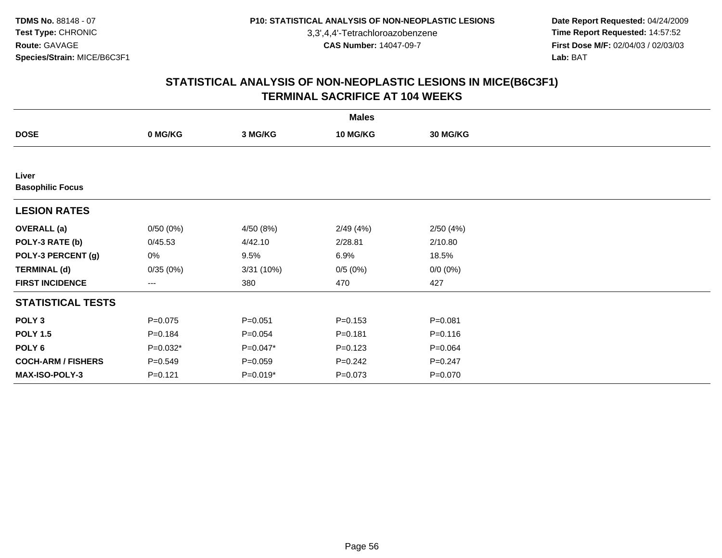3,3',4,4'-Tetrachloroazobenzene

 **Date Report Requested:** 04/24/2009 **Time Report Requested:** 14:57:52 **First Dose M/F:** 02/04/03 / 02/03/03<br>Lab: BAT **Lab:** BAT

|                                  |                        |             | <b>Males</b>    |                 |  |
|----------------------------------|------------------------|-------------|-----------------|-----------------|--|
| <b>DOSE</b>                      | 0 MG/KG                | 3 MG/KG     | <b>10 MG/KG</b> | <b>30 MG/KG</b> |  |
|                                  |                        |             |                 |                 |  |
| Liver<br><b>Basophilic Focus</b> |                        |             |                 |                 |  |
| <b>LESION RATES</b>              |                        |             |                 |                 |  |
| <b>OVERALL</b> (a)               | 0/50(0%)               | 4/50 (8%)   | 2/49(4%)        | 2/50(4%)        |  |
| POLY-3 RATE (b)                  | 0/45.53                | 4/42.10     | 2/28.81         | 2/10.80         |  |
| POLY-3 PERCENT (g)               | 0%                     | 9.5%        | 6.9%            | 18.5%           |  |
| <b>TERMINAL (d)</b>              | 0/35(0%)               | 3/31 (10%)  | 0/5(0%)         | $0/0 (0\%)$     |  |
| <b>FIRST INCIDENCE</b>           | $\qquad \qquad \cdots$ | 380         | 470             | 427             |  |
| <b>STATISTICAL TESTS</b>         |                        |             |                 |                 |  |
| POLY <sub>3</sub>                | $P=0.075$              | $P = 0.051$ | $P = 0.153$     | $P = 0.081$     |  |
| <b>POLY 1.5</b>                  | $P = 0.184$            | $P = 0.054$ | $P = 0.181$     | $P = 0.116$     |  |
| POLY <sub>6</sub>                | $P=0.032*$             | P=0.047*    | $P = 0.123$     | $P = 0.064$     |  |
| <b>COCH-ARM / FISHERS</b>        | $P = 0.549$            | $P = 0.059$ | $P = 0.242$     | $P = 0.247$     |  |
| MAX-ISO-POLY-3                   | $P = 0.121$            | $P=0.019*$  | $P = 0.073$     | $P = 0.070$     |  |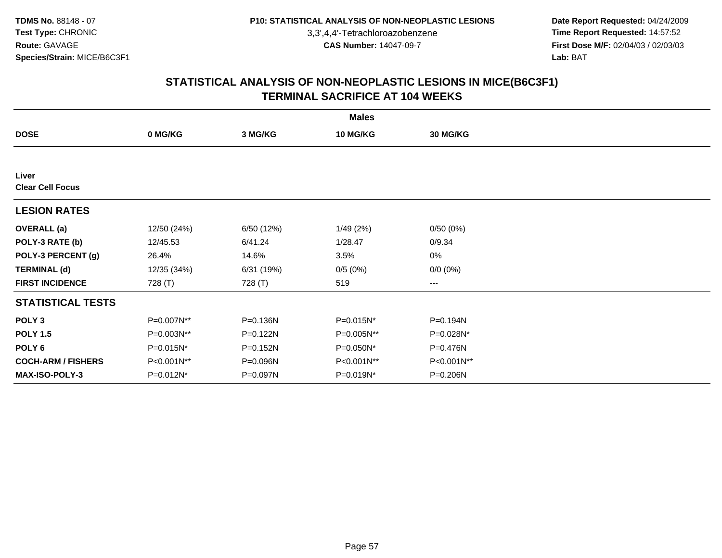3,3',4,4'-Tetrachloroazobenzene

 **Date Report Requested:** 04/24/2009 **Time Report Requested:** 14:57:52 **First Dose M/F:** 02/04/03 / 02/03/03<br>Lab: BAT **Lab:** BAT

|                                  |             |            | <b>Males</b>    |                        |  |
|----------------------------------|-------------|------------|-----------------|------------------------|--|
| <b>DOSE</b>                      | 0 MG/KG     | 3 MG/KG    | <b>10 MG/KG</b> | 30 MG/KG               |  |
|                                  |             |            |                 |                        |  |
| Liver<br><b>Clear Cell Focus</b> |             |            |                 |                        |  |
| <b>LESION RATES</b>              |             |            |                 |                        |  |
| <b>OVERALL</b> (a)               | 12/50 (24%) | 6/50 (12%) | 1/49(2%)        | 0/50(0%)               |  |
| POLY-3 RATE (b)                  | 12/45.53    | 6/41.24    | 1/28.47         | 0/9.34                 |  |
| POLY-3 PERCENT (g)               | 26.4%       | 14.6%      | 3.5%            | 0%                     |  |
| <b>TERMINAL (d)</b>              | 12/35 (34%) | 6/31(19%)  | 0/5(0%)         | $0/0 (0\%)$            |  |
| <b>FIRST INCIDENCE</b>           | 728 (T)     | 728 (T)    | 519             | $\qquad \qquad \cdots$ |  |
| <b>STATISTICAL TESTS</b>         |             |            |                 |                        |  |
| POLY <sub>3</sub>                | P=0.007N**  | P=0.136N   | P=0.015N*       | P=0.194N               |  |
| <b>POLY 1.5</b>                  | P=0.003N**  | P=0.122N   | P=0.005N**      | P=0.028N*              |  |
| POLY <sub>6</sub>                | P=0.015N*   | P=0.152N   | P=0.050N*       | P=0.476N               |  |
| <b>COCH-ARM / FISHERS</b>        | P<0.001N**  | P=0.096N   | P<0.001N**      | P<0.001N**             |  |
| <b>MAX-ISO-POLY-3</b>            | P=0.012N*   | P=0.097N   | P=0.019N*       | P=0.206N               |  |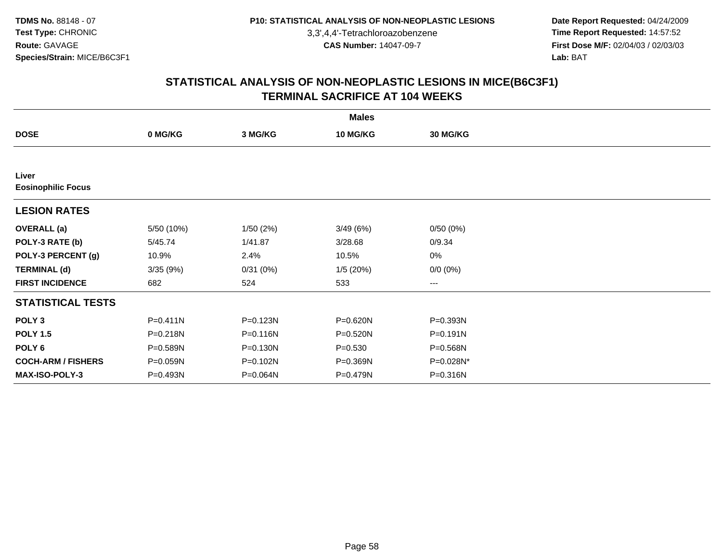3,3',4,4'-Tetrachloroazobenzene

 **Date Report Requested:** 04/24/2009 **Time Report Requested:** 14:57:52 **First Dose M/F:** 02/04/03 / 02/03/03<br>Lab: BAT **Lab:** BAT

|                                    |              |          | <b>Males</b>    |                   |  |
|------------------------------------|--------------|----------|-----------------|-------------------|--|
| <b>DOSE</b>                        | 0 MG/KG      | 3 MG/KG  | <b>10 MG/KG</b> | <b>30 MG/KG</b>   |  |
|                                    |              |          |                 |                   |  |
| Liver<br><b>Eosinophilic Focus</b> |              |          |                 |                   |  |
| <b>LESION RATES</b>                |              |          |                 |                   |  |
| <b>OVERALL</b> (a)                 | 5/50 (10%)   | 1/50(2%) | 3/49(6%)        | 0/50(0%)          |  |
| POLY-3 RATE (b)                    | 5/45.74      | 1/41.87  | 3/28.68         | 0/9.34            |  |
| POLY-3 PERCENT (g)                 | 10.9%        | 2.4%     | 10.5%           | 0%                |  |
| <b>TERMINAL (d)</b>                | 3/35(9%)     | 0/31(0%) | 1/5(20%)        | $0/0 (0\%)$       |  |
| <b>FIRST INCIDENCE</b>             | 682          | 524      | 533             | $\qquad \qquad -$ |  |
| <b>STATISTICAL TESTS</b>           |              |          |                 |                   |  |
| POLY <sub>3</sub>                  | $P = 0.411N$ | P=0.123N | P=0.620N        | P=0.393N          |  |
| <b>POLY 1.5</b>                    | P=0.218N     | P=0.116N | P=0.520N        | $P = 0.191N$      |  |
| POLY <sub>6</sub>                  | P=0.589N     | P=0.130N | $P = 0.530$     | P=0.568N          |  |
| <b>COCH-ARM / FISHERS</b>          | P=0.059N     | P=0.102N | P=0.369N        | P=0.028N*         |  |
| <b>MAX-ISO-POLY-3</b>              | P=0.493N     | P=0.064N | P=0.479N        | P=0.316N          |  |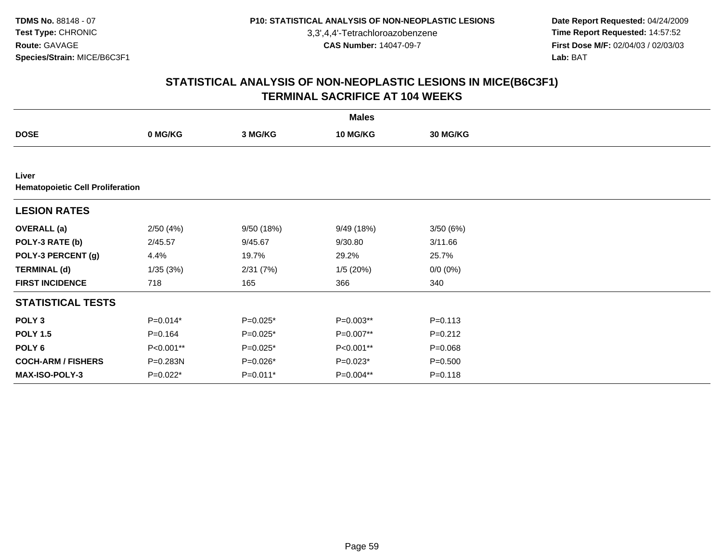3,3',4,4'-Tetrachloroazobenzene

 **Date Report Requested:** 04/24/2009 **Time Report Requested:** 14:57:52 **First Dose M/F:** 02/04/03 / 02/03/03<br>Lab: BAT **Lab:** BAT

|                                                  |             |            | <b>Males</b>    |             |  |
|--------------------------------------------------|-------------|------------|-----------------|-------------|--|
| <b>DOSE</b>                                      | 0 MG/KG     | 3 MG/KG    | <b>10 MG/KG</b> | 30 MG/KG    |  |
|                                                  |             |            |                 |             |  |
| Liver<br><b>Hematopoietic Cell Proliferation</b> |             |            |                 |             |  |
| <b>LESION RATES</b>                              |             |            |                 |             |  |
| <b>OVERALL</b> (a)                               | 2/50(4%)    | 9/50 (18%) | 9/49 (18%)      | 3/50(6%)    |  |
| POLY-3 RATE (b)                                  | 2/45.57     | 9/45.67    | 9/30.80         | 3/11.66     |  |
| POLY-3 PERCENT (g)                               | 4.4%        | 19.7%      | 29.2%           | 25.7%       |  |
| <b>TERMINAL (d)</b>                              | 1/35(3%)    | 2/31(7%)   | 1/5(20%)        | $0/0 (0\%)$ |  |
| <b>FIRST INCIDENCE</b>                           | 718         | 165        | 366             | 340         |  |
| <b>STATISTICAL TESTS</b>                         |             |            |                 |             |  |
| POLY <sub>3</sub>                                | $P=0.014*$  | P=0.025*   | P=0.003**       | $P = 0.113$ |  |
| <b>POLY 1.5</b>                                  | $P = 0.164$ | $P=0.025*$ | P=0.007**       | $P = 0.212$ |  |
| POLY <sub>6</sub>                                | P<0.001**   | $P=0.025*$ | P<0.001**       | $P = 0.068$ |  |
| <b>COCH-ARM / FISHERS</b>                        | P=0.283N    | P=0.026*   | $P=0.023*$      | $P = 0.500$ |  |
| <b>MAX-ISO-POLY-3</b>                            | $P=0.022*$  | P=0.011*   | P=0.004**       | $P = 0.118$ |  |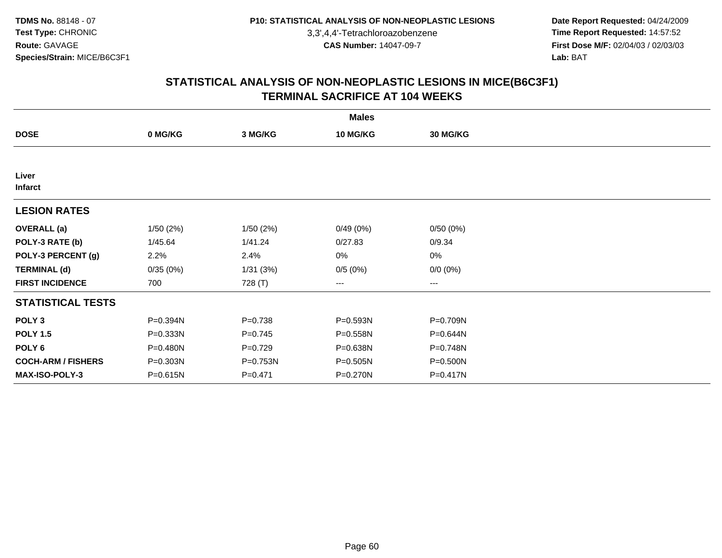3,3',4,4'-Tetrachloroazobenzene

 **Date Report Requested:** 04/24/2009 **Time Report Requested:** 14:57:52 **First Dose M/F:** 02/04/03 / 02/03/03<br>Lab: BAT **Lab:** BAT

|                           |          |             | <b>Males</b>    |             |  |
|---------------------------|----------|-------------|-----------------|-------------|--|
| <b>DOSE</b>               | 0 MG/KG  | 3 MG/KG     | <b>10 MG/KG</b> | 30 MG/KG    |  |
|                           |          |             |                 |             |  |
| Liver<br><b>Infarct</b>   |          |             |                 |             |  |
| <b>LESION RATES</b>       |          |             |                 |             |  |
| <b>OVERALL</b> (a)        | 1/50(2%) | 1/50(2%)    | 0/49(0%)        | 0/50(0%)    |  |
| POLY-3 RATE (b)           | 1/45.64  | 1/41.24     | 0/27.83         | 0/9.34      |  |
| POLY-3 PERCENT (g)        | 2.2%     | 2.4%        | 0%              | 0%          |  |
| <b>TERMINAL (d)</b>       | 0/35(0%) | 1/31(3%)    | 0/5(0%)         | $0/0 (0\%)$ |  |
| <b>FIRST INCIDENCE</b>    | 700      | 728 (T)     | ---             | ---         |  |
| <b>STATISTICAL TESTS</b>  |          |             |                 |             |  |
| POLY <sub>3</sub>         | P=0.394N | $P = 0.738$ | P=0.593N        | P=0.709N    |  |
| <b>POLY 1.5</b>           | P=0.333N | $P=0.745$   | P=0.558N        | P=0.644N    |  |
| POLY <sub>6</sub>         | P=0.480N | $P=0.729$   | P=0.638N        | P=0.748N    |  |
| <b>COCH-ARM / FISHERS</b> | P=0.303N | P=0.753N    | P=0.505N        | P=0.500N    |  |
| MAX-ISO-POLY-3            | P=0.615N | $P = 0.471$ | P=0.270N        | P=0.417N    |  |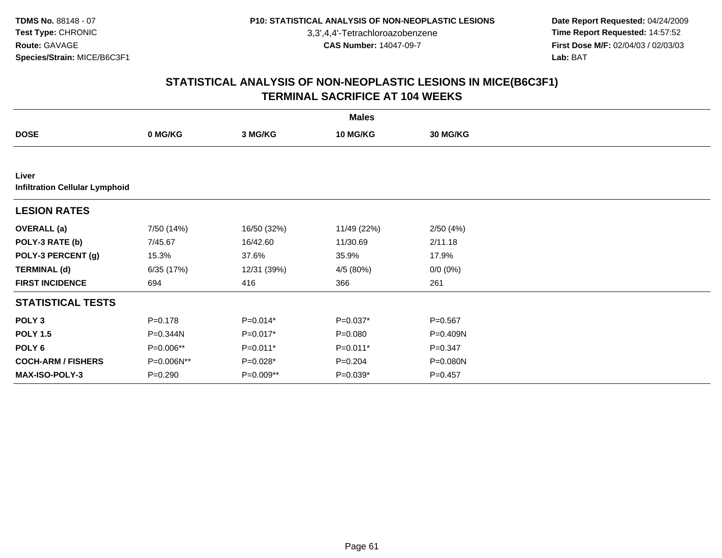3,3',4,4'-Tetrachloroazobenzene

 **Date Report Requested:** 04/24/2009 **Time Report Requested:** 14:57:52 **First Dose M/F:** 02/04/03 / 02/03/03<br>Lab: BAT **Lab:** BAT

|                                                | <b>Males</b> |             |             |                 |  |  |  |  |
|------------------------------------------------|--------------|-------------|-------------|-----------------|--|--|--|--|
| <b>DOSE</b>                                    | 0 MG/KG      | 3 MG/KG     | 10 MG/KG    | <b>30 MG/KG</b> |  |  |  |  |
|                                                |              |             |             |                 |  |  |  |  |
| Liver<br><b>Infiltration Cellular Lymphoid</b> |              |             |             |                 |  |  |  |  |
| <b>LESION RATES</b>                            |              |             |             |                 |  |  |  |  |
| <b>OVERALL</b> (a)                             | 7/50 (14%)   | 16/50 (32%) | 11/49 (22%) | 2/50(4%)        |  |  |  |  |
| POLY-3 RATE (b)                                | 7/45.67      | 16/42.60    | 11/30.69    | 2/11.18         |  |  |  |  |
| POLY-3 PERCENT (g)                             | 15.3%        | 37.6%       | 35.9%       | 17.9%           |  |  |  |  |
| <b>TERMINAL (d)</b>                            | 6/35(17%)    | 12/31 (39%) | 4/5 (80%)   | $0/0 (0\%)$     |  |  |  |  |
| <b>FIRST INCIDENCE</b>                         | 694          | 416         | 366         | 261             |  |  |  |  |
| <b>STATISTICAL TESTS</b>                       |              |             |             |                 |  |  |  |  |
| POLY <sub>3</sub>                              | $P = 0.178$  | $P=0.014*$  | $P=0.037*$  | $P = 0.567$     |  |  |  |  |
| <b>POLY 1.5</b>                                | P=0.344N     | $P=0.017*$  | $P = 0.080$ | P=0.409N        |  |  |  |  |
| POLY 6                                         | P=0.006**    | $P=0.011*$  | P=0.011*    | $P=0.347$       |  |  |  |  |
| <b>COCH-ARM / FISHERS</b>                      | P=0.006N**   | P=0.028*    | $P=0.204$   | P=0.080N        |  |  |  |  |
| MAX-ISO-POLY-3                                 | $P = 0.290$  | P=0.009**   | $P=0.039*$  | $P=0.457$       |  |  |  |  |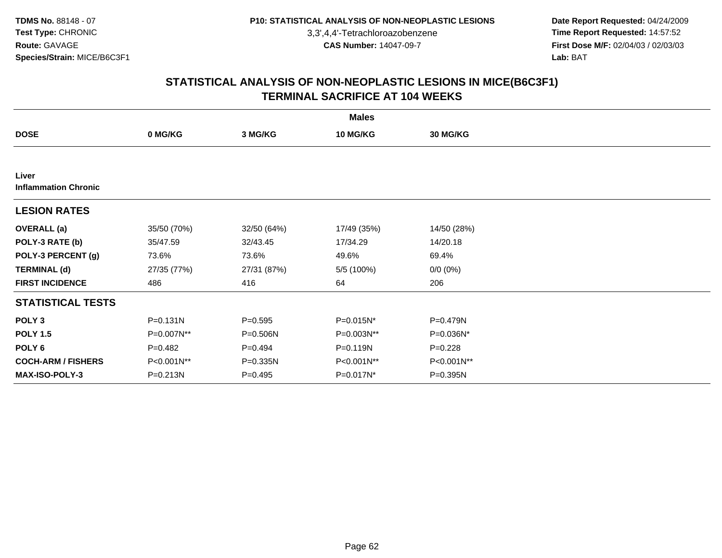3,3',4,4'-Tetrachloroazobenzene

 **Date Report Requested:** 04/24/2009 **Time Report Requested:** 14:57:52 **First Dose M/F:** 02/04/03 / 02/03/03<br>Lab: BAT **Lab:** BAT

|                                      | <b>Males</b> |             |             |                 |  |  |  |  |
|--------------------------------------|--------------|-------------|-------------|-----------------|--|--|--|--|
| <b>DOSE</b>                          | 0 MG/KG      | 3 MG/KG     | 10 MG/KG    | <b>30 MG/KG</b> |  |  |  |  |
|                                      |              |             |             |                 |  |  |  |  |
| Liver<br><b>Inflammation Chronic</b> |              |             |             |                 |  |  |  |  |
| <b>LESION RATES</b>                  |              |             |             |                 |  |  |  |  |
| <b>OVERALL</b> (a)                   | 35/50 (70%)  | 32/50 (64%) | 17/49 (35%) | 14/50 (28%)     |  |  |  |  |
| POLY-3 RATE (b)                      | 35/47.59     | 32/43.45    | 17/34.29    | 14/20.18        |  |  |  |  |
| POLY-3 PERCENT (g)                   | 73.6%        | 73.6%       | 49.6%       | 69.4%           |  |  |  |  |
| <b>TERMINAL (d)</b>                  | 27/35 (77%)  | 27/31 (87%) | 5/5 (100%)  | $0/0(0\%)$      |  |  |  |  |
| <b>FIRST INCIDENCE</b>               | 486          | 416         | 64          | 206             |  |  |  |  |
| <b>STATISTICAL TESTS</b>             |              |             |             |                 |  |  |  |  |
| POLY <sub>3</sub>                    | $P = 0.131N$ | $P = 0.595$ | P=0.015N*   | P=0.479N        |  |  |  |  |
| <b>POLY 1.5</b>                      | P=0.007N**   | P=0.506N    | P=0.003N**  | P=0.036N*       |  |  |  |  |
| POLY 6                               | $P=0.482$    | $P=0.494$   | P=0.119N    | $P = 0.228$     |  |  |  |  |
| <b>COCH-ARM / FISHERS</b>            | P<0.001N**   | P=0.335N    | P<0.001N**  | P<0.001N**      |  |  |  |  |
| <b>MAX-ISO-POLY-3</b>                | P=0.213N     | $P = 0.495$ | P=0.017N*   | P=0.395N        |  |  |  |  |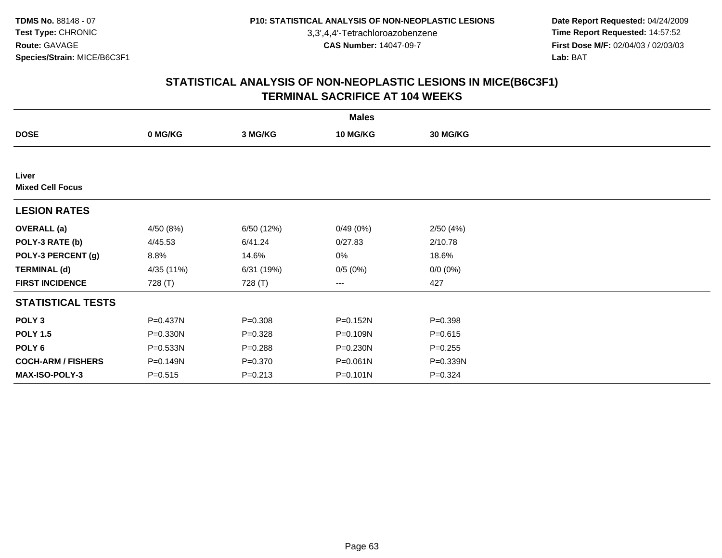3,3',4,4'-Tetrachloroazobenzene

 **Date Report Requested:** 04/24/2009 **Time Report Requested:** 14:57:52 **First Dose M/F:** 02/04/03 / 02/03/03<br>Lab: BAT **Lab:** BAT

|                                  |              |             | <b>Males</b>    |                 |  |
|----------------------------------|--------------|-------------|-----------------|-----------------|--|
| <b>DOSE</b>                      | 0 MG/KG      | 3 MG/KG     | <b>10 MG/KG</b> | <b>30 MG/KG</b> |  |
|                                  |              |             |                 |                 |  |
| Liver<br><b>Mixed Cell Focus</b> |              |             |                 |                 |  |
| <b>LESION RATES</b>              |              |             |                 |                 |  |
| <b>OVERALL</b> (a)               | 4/50 (8%)    | 6/50 (12%)  | 0/49(0%)        | 2/50(4%)        |  |
| POLY-3 RATE (b)                  | 4/45.53      | 6/41.24     | 0/27.83         | 2/10.78         |  |
| POLY-3 PERCENT (g)               | 8.8%         | 14.6%       | 0%              | 18.6%           |  |
| <b>TERMINAL (d)</b>              | 4/35 (11%)   | 6/31 (19%)  | 0/5(0%)         | $0/0 (0\%)$     |  |
| <b>FIRST INCIDENCE</b>           | 728 (T)      | 728 (T)     | ---             | 427             |  |
| <b>STATISTICAL TESTS</b>         |              |             |                 |                 |  |
| POLY <sub>3</sub>                | P=0.437N     | $P = 0.308$ | P=0.152N        | $P = 0.398$     |  |
| <b>POLY 1.5</b>                  | $P = 0.330N$ | $P = 0.328$ | P=0.109N        | $P = 0.615$     |  |
| POLY <sub>6</sub>                | P=0.533N     | $P = 0.288$ | $P = 0.230N$    | $P = 0.255$     |  |
| <b>COCH-ARM / FISHERS</b>        | P=0.149N     | $P = 0.370$ | P=0.061N        | P=0.339N        |  |
| <b>MAX-ISO-POLY-3</b>            | $P = 0.515$  | $P = 0.213$ | $P = 0.101N$    | $P = 0.324$     |  |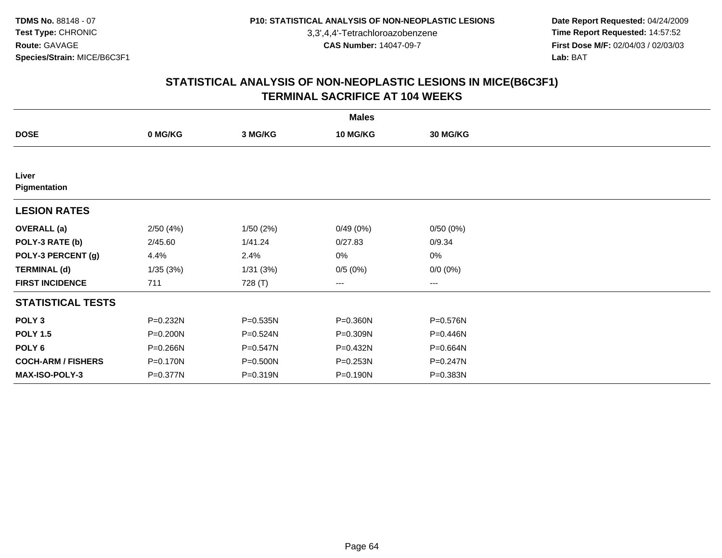3,3',4,4'-Tetrachloroazobenzene

 **Date Report Requested:** 04/24/2009 **Time Report Requested:** 14:57:52 **First Dose M/F:** 02/04/03 / 02/03/03<br>Lab: BAT **Lab:** BAT

|                           |              |          | <b>Males</b> |                   |  |
|---------------------------|--------------|----------|--------------|-------------------|--|
| <b>DOSE</b>               | 0 MG/KG      | 3 MG/KG  | 10 MG/KG     | <b>30 MG/KG</b>   |  |
|                           |              |          |              |                   |  |
| Liver                     |              |          |              |                   |  |
| Pigmentation              |              |          |              |                   |  |
| <b>LESION RATES</b>       |              |          |              |                   |  |
| <b>OVERALL</b> (a)        | 2/50(4%)     | 1/50(2%) | 0/49(0%)     | 0/50(0%)          |  |
| POLY-3 RATE (b)           | 2/45.60      | 1/41.24  | 0/27.83      | 0/9.34            |  |
| POLY-3 PERCENT (g)        | 4.4%         | 2.4%     | 0%           | $0\%$             |  |
| <b>TERMINAL (d)</b>       | 1/35(3%)     | 1/31(3%) | 0/5(0%)      | $0/0 (0\%)$       |  |
| <b>FIRST INCIDENCE</b>    | 711          | 728 (T)  | ---          | $\qquad \qquad -$ |  |
| <b>STATISTICAL TESTS</b>  |              |          |              |                   |  |
| POLY <sub>3</sub>         | P=0.232N     | P=0.535N | P=0.360N     | P=0.576N          |  |
| <b>POLY 1.5</b>           | $P = 0.200N$ | P=0.524N | P=0.309N     | P=0.446N          |  |
| POLY <sub>6</sub>         | P=0.266N     | P=0.547N | P=0.432N     | P=0.664N          |  |
| <b>COCH-ARM / FISHERS</b> | P=0.170N     | P=0.500N | P=0.253N     | P=0.247N          |  |
| <b>MAX-ISO-POLY-3</b>     | P=0.377N     | P=0.319N | P=0.190N     | P=0.383N          |  |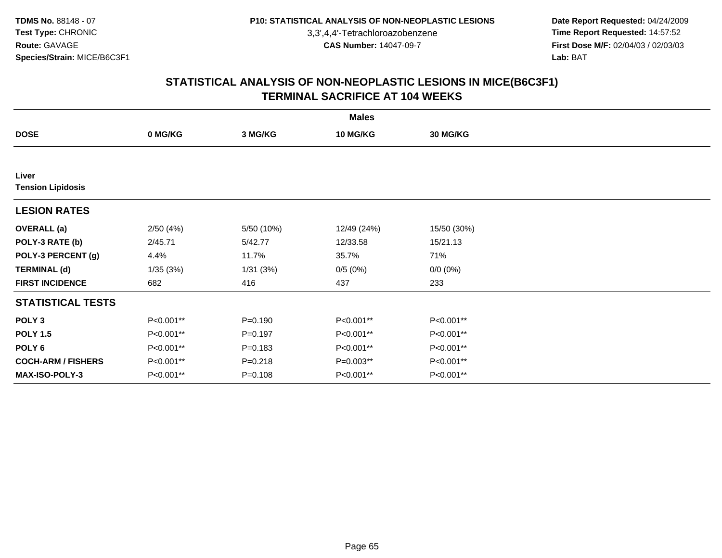3,3',4,4'-Tetrachloroazobenzene

 **Date Report Requested:** 04/24/2009 **Time Report Requested:** 14:57:52 **First Dose M/F:** 02/04/03 / 02/03/03<br>Lab: BAT **Lab:** BAT

|                                   | <b>Males</b> |             |             |                 |  |  |  |  |
|-----------------------------------|--------------|-------------|-------------|-----------------|--|--|--|--|
| <b>DOSE</b>                       | 0 MG/KG      | 3 MG/KG     | 10 MG/KG    | <b>30 MG/KG</b> |  |  |  |  |
|                                   |              |             |             |                 |  |  |  |  |
| Liver<br><b>Tension Lipidosis</b> |              |             |             |                 |  |  |  |  |
| <b>LESION RATES</b>               |              |             |             |                 |  |  |  |  |
| <b>OVERALL</b> (a)                | 2/50(4%)     | 5/50 (10%)  | 12/49 (24%) | 15/50 (30%)     |  |  |  |  |
| POLY-3 RATE (b)                   | 2/45.71      | 5/42.77     | 12/33.58    | 15/21.13        |  |  |  |  |
| POLY-3 PERCENT (g)                | 4.4%         | 11.7%       | 35.7%       | 71%             |  |  |  |  |
| <b>TERMINAL (d)</b>               | 1/35(3%)     | 1/31(3%)    | 0/5(0%)     | $0/0 (0\%)$     |  |  |  |  |
| <b>FIRST INCIDENCE</b>            | 682          | 416         | 437         | 233             |  |  |  |  |
| <b>STATISTICAL TESTS</b>          |              |             |             |                 |  |  |  |  |
| POLY <sub>3</sub>                 | P<0.001**    | $P = 0.190$ | P<0.001**   | P<0.001**       |  |  |  |  |
| <b>POLY 1.5</b>                   | P<0.001**    | $P = 0.197$ | P<0.001**   | P<0.001**       |  |  |  |  |
| POLY <sub>6</sub>                 | P<0.001**    | $P = 0.183$ | P<0.001**   | P<0.001**       |  |  |  |  |
| <b>COCH-ARM / FISHERS</b>         | P<0.001**    | $P = 0.218$ | P=0.003**   | P<0.001**       |  |  |  |  |
| <b>MAX-ISO-POLY-3</b>             | P<0.001**    | $P = 0.108$ | P<0.001**   | P<0.001**       |  |  |  |  |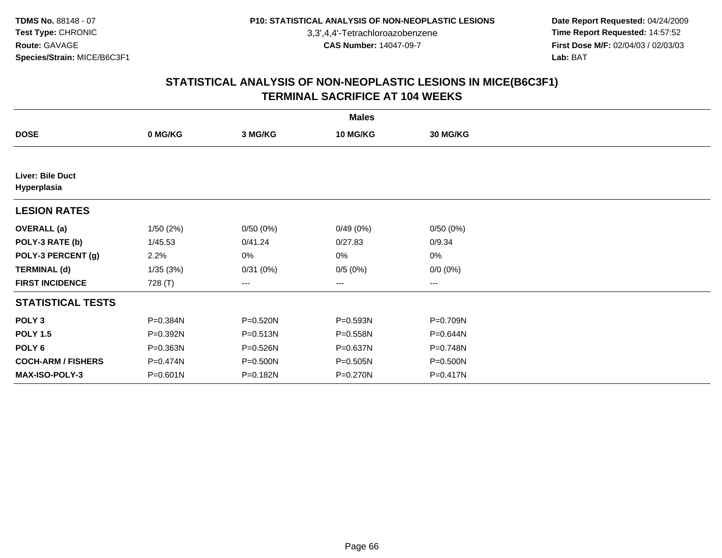3,3',4,4'-Tetrachloroazobenzene

 **Date Report Requested:** 04/24/2009 **Time Report Requested:** 14:57:52 **First Dose M/F:** 02/04/03 / 02/03/03<br>Lab: BAT **Lab:** BAT

|                                 |              |                   | <b>Males</b>    |                   |  |
|---------------------------------|--------------|-------------------|-----------------|-------------------|--|
| <b>DOSE</b>                     | 0 MG/KG      | 3 MG/KG           | <b>10 MG/KG</b> | <b>30 MG/KG</b>   |  |
|                                 |              |                   |                 |                   |  |
| Liver: Bile Duct<br>Hyperplasia |              |                   |                 |                   |  |
| <b>LESION RATES</b>             |              |                   |                 |                   |  |
| <b>OVERALL</b> (a)              | 1/50(2%)     | 0/50(0%)          | 0/49(0%)        | 0/50(0%)          |  |
| POLY-3 RATE (b)                 | 1/45.53      | 0/41.24           | 0/27.83         | 0/9.34            |  |
| POLY-3 PERCENT (g)              | 2.2%         | 0%                | 0%              | 0%                |  |
| <b>TERMINAL (d)</b>             | 1/35(3%)     | 0/31(0%)          | 0/5(0%)         | $0/0 (0\%)$       |  |
| <b>FIRST INCIDENCE</b>          | 728 (T)      | $\qquad \qquad -$ | ---             | $\qquad \qquad -$ |  |
| <b>STATISTICAL TESTS</b>        |              |                   |                 |                   |  |
| POLY <sub>3</sub>               | P=0.384N     | P=0.520N          | P=0.593N        | P=0.709N          |  |
| <b>POLY 1.5</b>                 | P=0.392N     | P=0.513N          | P=0.558N        | P=0.644N          |  |
| POLY <sub>6</sub>               | P=0.363N     | P=0.526N          | P=0.637N        | P=0.748N          |  |
| <b>COCH-ARM / FISHERS</b>       | P=0.474N     | P=0.500N          | $P = 0.505N$    | P=0.500N          |  |
| <b>MAX-ISO-POLY-3</b>           | $P = 0.601N$ | P=0.182N          | P=0.270N        | P=0.417N          |  |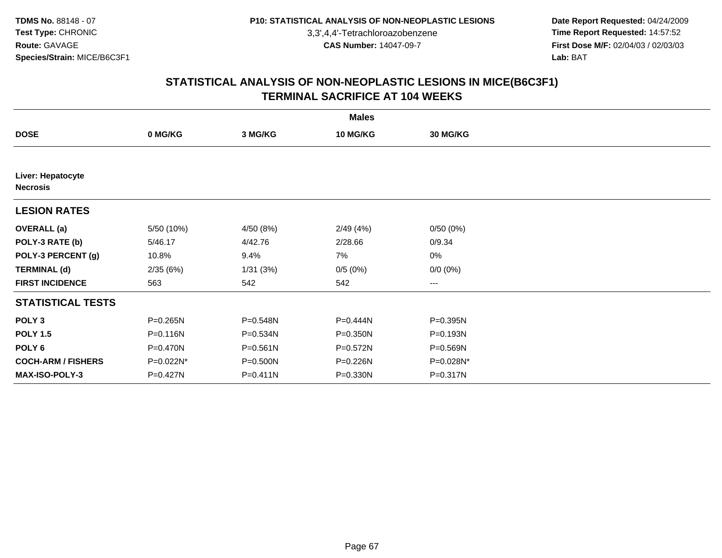3,3',4,4'-Tetrachloroazobenzene

 **Date Report Requested:** 04/24/2009 **Time Report Requested:** 14:57:52 **First Dose M/F:** 02/04/03 / 02/03/03<br>Lab: BAT **Lab:** BAT

|                                      |              |              | <b>Males</b>    |                        |  |
|--------------------------------------|--------------|--------------|-----------------|------------------------|--|
| <b>DOSE</b>                          | 0 MG/KG      | 3 MG/KG      | <b>10 MG/KG</b> | 30 MG/KG               |  |
|                                      |              |              |                 |                        |  |
| Liver: Hepatocyte<br><b>Necrosis</b> |              |              |                 |                        |  |
| <b>LESION RATES</b>                  |              |              |                 |                        |  |
| <b>OVERALL</b> (a)                   | 5/50 (10%)   | 4/50 (8%)    | 2/49(4%)        | 0/50(0%)               |  |
| POLY-3 RATE (b)                      | 5/46.17      | 4/42.76      | 2/28.66         | 0/9.34                 |  |
| POLY-3 PERCENT (g)                   | 10.8%        | 9.4%         | 7%              | 0%                     |  |
| <b>TERMINAL (d)</b>                  | 2/35(6%)     | 1/31(3%)     | 0/5(0%)         | $0/0 (0\%)$            |  |
| <b>FIRST INCIDENCE</b>               | 563          | 542          | 542             | $\qquad \qquad \cdots$ |  |
| <b>STATISTICAL TESTS</b>             |              |              |                 |                        |  |
| POLY <sub>3</sub>                    | P=0.265N     | P=0.548N     | P=0.444N        | P=0.395N               |  |
| <b>POLY 1.5</b>                      | $P = 0.116N$ | P=0.534N     | P=0.350N        | P=0.193N               |  |
| POLY <sub>6</sub>                    | $P = 0.470N$ | $P = 0.561N$ | P=0.572N        | $P = 0.569N$           |  |
| <b>COCH-ARM / FISHERS</b>            | P=0.022N*    | P=0.500N     | P=0.226N        | P=0.028N*              |  |
| <b>MAX-ISO-POLY-3</b>                | P=0.427N     | $P = 0.411N$ | P=0.330N        | P=0.317N               |  |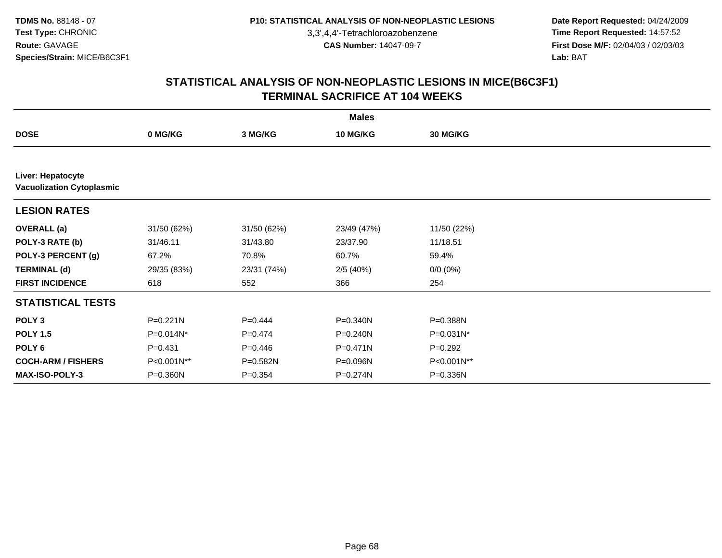3,3',4,4'-Tetrachloroazobenzene

 **Date Report Requested:** 04/24/2009 **Time Report Requested:** 14:57:52 **First Dose M/F:** 02/04/03 / 02/03/03<br>Lab: BAT **Lab:** BAT

|                                                       | <b>Males</b> |             |              |                 |  |  |  |  |
|-------------------------------------------------------|--------------|-------------|--------------|-----------------|--|--|--|--|
| <b>DOSE</b>                                           | 0 MG/KG      | 3 MG/KG     | 10 MG/KG     | <b>30 MG/KG</b> |  |  |  |  |
|                                                       |              |             |              |                 |  |  |  |  |
| Liver: Hepatocyte<br><b>Vacuolization Cytoplasmic</b> |              |             |              |                 |  |  |  |  |
| <b>LESION RATES</b>                                   |              |             |              |                 |  |  |  |  |
| <b>OVERALL</b> (a)                                    | 31/50 (62%)  | 31/50 (62%) | 23/49 (47%)  | 11/50 (22%)     |  |  |  |  |
| POLY-3 RATE (b)                                       | 31/46.11     | 31/43.80    | 23/37.90     | 11/18.51        |  |  |  |  |
| POLY-3 PERCENT (g)                                    | 67.2%        | 70.8%       | 60.7%        | 59.4%           |  |  |  |  |
| <b>TERMINAL (d)</b>                                   | 29/35 (83%)  | 23/31 (74%) | 2/5(40%)     | $0/0 (0\%)$     |  |  |  |  |
| <b>FIRST INCIDENCE</b>                                | 618          | 552         | 366          | 254             |  |  |  |  |
| <b>STATISTICAL TESTS</b>                              |              |             |              |                 |  |  |  |  |
| POLY <sub>3</sub>                                     | P=0.221N     | $P=0.444$   | $P = 0.340N$ | P=0.388N        |  |  |  |  |
| <b>POLY 1.5</b>                                       | P=0.014N*    | $P=0.474$   | P=0.240N     | P=0.031N*       |  |  |  |  |
| POLY 6                                                | $P = 0.431$  | $P = 0.446$ | P=0.471N     | $P=0.292$       |  |  |  |  |
| <b>COCH-ARM / FISHERS</b>                             | P<0.001N**   | P=0.582N    | P=0.096N     | P<0.001N**      |  |  |  |  |
| <b>MAX-ISO-POLY-3</b>                                 | P=0.360N     | $P = 0.354$ | P=0.274N     | P=0.336N        |  |  |  |  |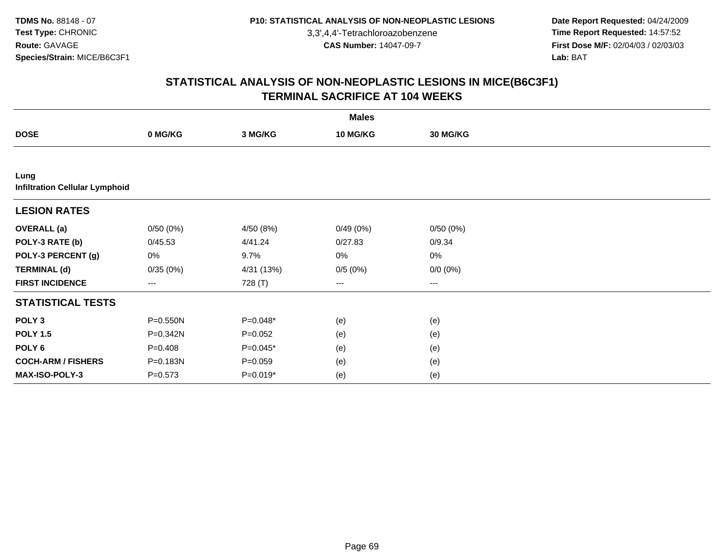3,3',4,4'-Tetrachloroazobenzene

 **Date Report Requested:** 04/24/2009 **Time Report Requested:** 14:57:52 **First Dose M/F:** 02/04/03 / 02/03/03<br>Lab: BAT **Lab:** BAT

|                                               | <b>Males</b> |             |          |             |  |  |  |  |
|-----------------------------------------------|--------------|-------------|----------|-------------|--|--|--|--|
| <b>DOSE</b>                                   | 0 MG/KG      | 3 MG/KG     | 10 MG/KG | 30 MG/KG    |  |  |  |  |
|                                               |              |             |          |             |  |  |  |  |
| Lung<br><b>Infiltration Cellular Lymphoid</b> |              |             |          |             |  |  |  |  |
| <b>LESION RATES</b>                           |              |             |          |             |  |  |  |  |
| <b>OVERALL</b> (a)                            | 0/50(0%)     | 4/50 (8%)   | 0/49(0%) | 0/50(0%)    |  |  |  |  |
| POLY-3 RATE (b)                               | 0/45.53      | 4/41.24     | 0/27.83  | 0/9.34      |  |  |  |  |
| POLY-3 PERCENT (g)                            | 0%           | 9.7%        | 0%       | $0\%$       |  |  |  |  |
| <b>TERMINAL (d)</b>                           | 0/35(0%)     | 4/31 (13%)  | 0/5(0%)  | $0/0 (0\%)$ |  |  |  |  |
| <b>FIRST INCIDENCE</b>                        | ---          | 728 (T)     | $\cdots$ | $\cdots$    |  |  |  |  |
| <b>STATISTICAL TESTS</b>                      |              |             |          |             |  |  |  |  |
| POLY <sub>3</sub>                             | P=0.550N     | $P=0.048*$  | (e)      | (e)         |  |  |  |  |
| <b>POLY 1.5</b>                               | P=0.342N     | $P=0.052$   | (e)      | (e)         |  |  |  |  |
| POLY <sub>6</sub>                             | $P=0.408$    | $P=0.045*$  | (e)      | (e)         |  |  |  |  |
| <b>COCH-ARM / FISHERS</b>                     | P=0.183N     | $P = 0.059$ | (e)      | (e)         |  |  |  |  |
| MAX-ISO-POLY-3                                | $P = 0.573$  | $P=0.019*$  | (e)      | (e)         |  |  |  |  |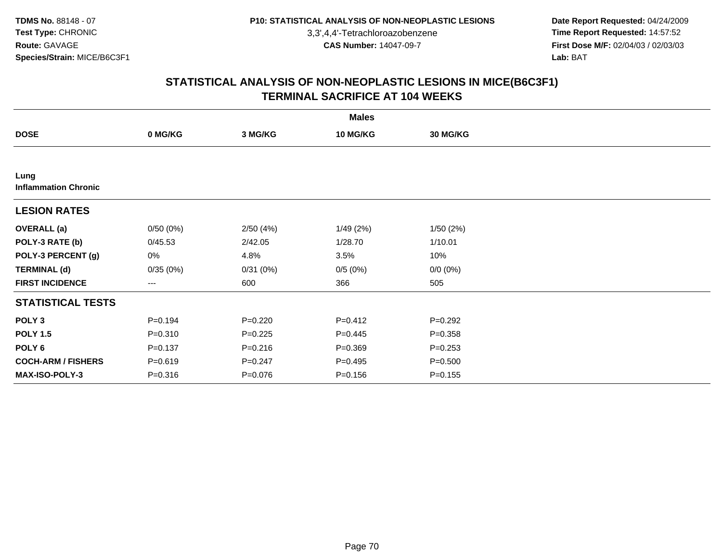3,3',4,4'-Tetrachloroazobenzene

 **Date Report Requested:** 04/24/2009 **Time Report Requested:** 14:57:52 **First Dose M/F:** 02/04/03 / 02/03/03<br>Lab: BAT **Lab:** BAT

|                                     |             |             | <b>Males</b> |                 |  |
|-------------------------------------|-------------|-------------|--------------|-----------------|--|
| <b>DOSE</b>                         | 0 MG/KG     | 3 MG/KG     | 10 MG/KG     | <b>30 MG/KG</b> |  |
|                                     |             |             |              |                 |  |
| Lung<br><b>Inflammation Chronic</b> |             |             |              |                 |  |
| <b>LESION RATES</b>                 |             |             |              |                 |  |
| <b>OVERALL</b> (a)                  | 0/50(0%)    | 2/50(4%)    | 1/49 (2%)    | 1/50(2%)        |  |
| POLY-3 RATE (b)                     | 0/45.53     | 2/42.05     | 1/28.70      | 1/10.01         |  |
| POLY-3 PERCENT (g)                  | 0%          | 4.8%        | 3.5%         | 10%             |  |
| <b>TERMINAL (d)</b>                 | 0/35(0%)    | 0/31(0%)    | 0/5(0%)      | $0/0 (0\%)$     |  |
| <b>FIRST INCIDENCE</b>              | ---         | 600         | 366          | 505             |  |
| <b>STATISTICAL TESTS</b>            |             |             |              |                 |  |
| POLY <sub>3</sub>                   | $P = 0.194$ | $P=0.220$   | $P=0.412$    | $P=0.292$       |  |
| <b>POLY 1.5</b>                     | $P = 0.310$ | $P=0.225$   | $P=0.445$    | $P = 0.358$     |  |
| POLY 6                              | $P = 0.137$ | $P = 0.216$ | $P = 0.369$  | $P = 0.253$     |  |
| <b>COCH-ARM / FISHERS</b>           | $P = 0.619$ | $P = 0.247$ | $P = 0.495$  | $P = 0.500$     |  |
| MAX-ISO-POLY-3                      | $P = 0.316$ | $P = 0.076$ | $P = 0.156$  | $P = 0.155$     |  |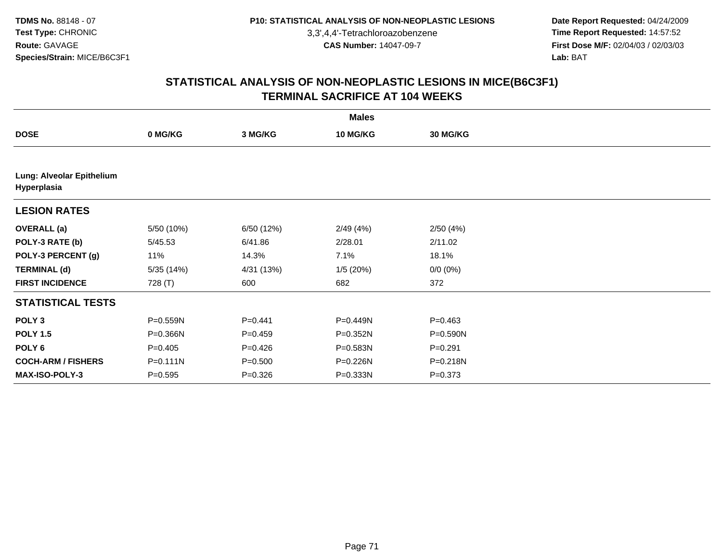3,3',4,4'-Tetrachloroazobenzene

 **Date Report Requested:** 04/24/2009 **Time Report Requested:** 14:57:52 **First Dose M/F:** 02/04/03 / 02/03/03<br>Lab: BAT **Lab:** BAT

|                                          | <b>Males</b> |             |              |             |  |  |  |  |
|------------------------------------------|--------------|-------------|--------------|-------------|--|--|--|--|
| <b>DOSE</b>                              | 0 MG/KG      | 3 MG/KG     | 10 MG/KG     | 30 MG/KG    |  |  |  |  |
|                                          |              |             |              |             |  |  |  |  |
| Lung: Alveolar Epithelium<br>Hyperplasia |              |             |              |             |  |  |  |  |
| <b>LESION RATES</b>                      |              |             |              |             |  |  |  |  |
| <b>OVERALL</b> (a)                       | 5/50 (10%)   | 6/50 (12%)  | 2/49(4%)     | 2/50(4%)    |  |  |  |  |
| POLY-3 RATE (b)                          | 5/45.53      | 6/41.86     | 2/28.01      | 2/11.02     |  |  |  |  |
| POLY-3 PERCENT (g)                       | 11%          | 14.3%       | 7.1%         | 18.1%       |  |  |  |  |
| <b>TERMINAL (d)</b>                      | 5/35 (14%)   | 4/31 (13%)  | 1/5(20%)     | $0/0 (0\%)$ |  |  |  |  |
| <b>FIRST INCIDENCE</b>                   | 728 (T)      | 600         | 682          | 372         |  |  |  |  |
| <b>STATISTICAL TESTS</b>                 |              |             |              |             |  |  |  |  |
| POLY <sub>3</sub>                        | P=0.559N     | $P=0.441$   | P=0.449N     | $P=0.463$   |  |  |  |  |
| <b>POLY 1.5</b>                          | P=0.366N     | $P=0.459$   | $P = 0.352N$ | P=0.590N    |  |  |  |  |
| POLY <sub>6</sub>                        | $P = 0.405$  | $P = 0.426$ | P=0.583N     | $P = 0.291$ |  |  |  |  |
| <b>COCH-ARM / FISHERS</b>                | $P = 0.111N$ | $P = 0.500$ | P=0.226N     | P=0.218N    |  |  |  |  |
| <b>MAX-ISO-POLY-3</b>                    | $P = 0.595$  | $P = 0.326$ | P=0.333N     | $P = 0.373$ |  |  |  |  |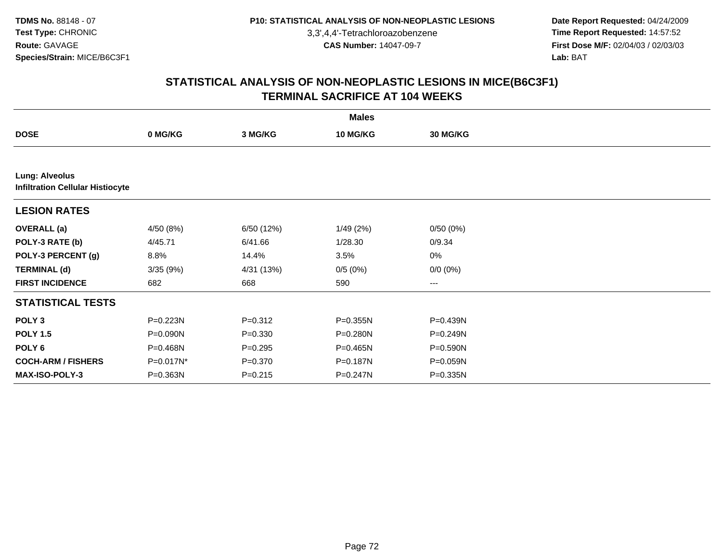3,3',4,4'-Tetrachloroazobenzene

 **Date Report Requested:** 04/24/2009 **Time Report Requested:** 14:57:52 **First Dose M/F:** 02/04/03 / 02/03/03<br>Lab: BAT **Lab:** BAT

|                           |                                         |             | <b>Males</b> |                 |  |  |  |  |  |
|---------------------------|-----------------------------------------|-------------|--------------|-----------------|--|--|--|--|--|
| <b>DOSE</b>               | 0 MG/KG                                 | 3 MG/KG     | 10 MG/KG     | <b>30 MG/KG</b> |  |  |  |  |  |
|                           |                                         |             |              |                 |  |  |  |  |  |
| <b>Lung: Alveolus</b>     | <b>Infiltration Cellular Histiocyte</b> |             |              |                 |  |  |  |  |  |
| <b>LESION RATES</b>       |                                         |             |              |                 |  |  |  |  |  |
| <b>OVERALL</b> (a)        | 4/50 (8%)                               | 6/50 (12%)  | 1/49(2%)     | 0/50(0%)        |  |  |  |  |  |
| POLY-3 RATE (b)           | 4/45.71                                 | 6/41.66     | 1/28.30      | 0/9.34          |  |  |  |  |  |
| POLY-3 PERCENT (g)        | 8.8%                                    | 14.4%       | 3.5%         | 0%              |  |  |  |  |  |
| <b>TERMINAL (d)</b>       | 3/35(9%)                                | 4/31 (13%)  | 0/5(0%)      | $0/0 (0\%)$     |  |  |  |  |  |
| <b>FIRST INCIDENCE</b>    | 682                                     | 668         | 590          | ---             |  |  |  |  |  |
| <b>STATISTICAL TESTS</b>  |                                         |             |              |                 |  |  |  |  |  |
| POLY <sub>3</sub>         | P=0.223N                                | $P = 0.312$ | P=0.355N     | P=0.439N        |  |  |  |  |  |
| <b>POLY 1.5</b>           | P=0.090N                                | $P = 0.330$ | $P = 0.280N$ | P=0.249N        |  |  |  |  |  |
| POLY <sub>6</sub>         | P=0.468N                                | $P = 0.295$ | $P = 0.465N$ | P=0.590N        |  |  |  |  |  |
| <b>COCH-ARM / FISHERS</b> | P=0.017N*                               | $P = 0.370$ | P=0.187N     | P=0.059N        |  |  |  |  |  |
| MAX-ISO-POLY-3            | P=0.363N                                | $P = 0.215$ | $P = 0.247N$ | P=0.335N        |  |  |  |  |  |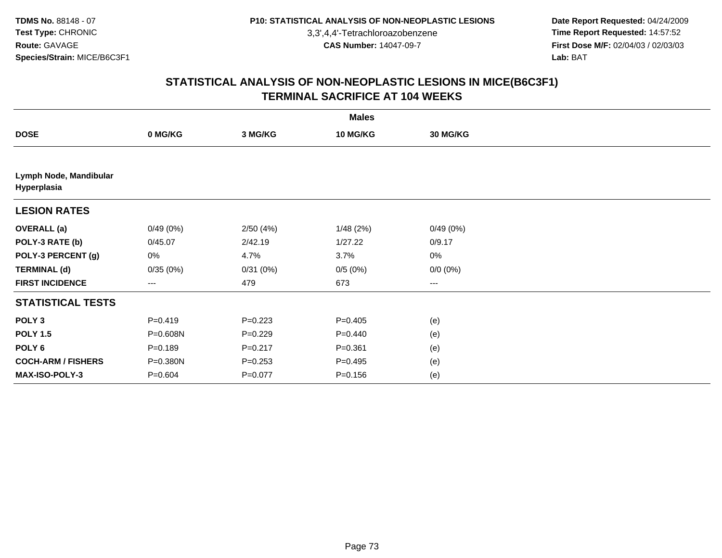3,3',4,4'-Tetrachloroazobenzene

 **Date Report Requested:** 04/24/2009 **Time Report Requested:** 14:57:52 **First Dose M/F:** 02/04/03 / 02/03/03<br>Lab: BAT **Lab:** BAT

|                                       |             |             | <b>Males</b> |             |  |
|---------------------------------------|-------------|-------------|--------------|-------------|--|
| <b>DOSE</b>                           | 0 MG/KG     | 3 MG/KG     | 10 MG/KG     | 30 MG/KG    |  |
|                                       |             |             |              |             |  |
| Lymph Node, Mandibular<br>Hyperplasia |             |             |              |             |  |
| <b>LESION RATES</b>                   |             |             |              |             |  |
| <b>OVERALL</b> (a)                    | 0/49(0%)    | 2/50(4%)    | 1/48(2%)     | 0/49(0%)    |  |
| POLY-3 RATE (b)                       | 0/45.07     | 2/42.19     | 1/27.22      | 0/9.17      |  |
| POLY-3 PERCENT (g)                    | 0%          | 4.7%        | 3.7%         | $0\%$       |  |
| <b>TERMINAL (d)</b>                   | 0/35(0%)    | 0/31(0%)    | 0/5(0%)      | $0/0 (0\%)$ |  |
| <b>FIRST INCIDENCE</b>                | ---         | 479         | 673          | ---         |  |
| <b>STATISTICAL TESTS</b>              |             |             |              |             |  |
| POLY <sub>3</sub>                     | $P = 0.419$ | $P=0.223$   | $P=0.405$    | (e)         |  |
| <b>POLY 1.5</b>                       | P=0.608N    | $P=0.229$   | $P = 0.440$  | (e)         |  |
| POLY <sub>6</sub>                     | $P = 0.189$ | $P = 0.217$ | $P = 0.361$  | (e)         |  |
| <b>COCH-ARM / FISHERS</b>             | P=0.380N    | $P = 0.253$ | $P = 0.495$  | (e)         |  |
| MAX-ISO-POLY-3                        | $P = 0.604$ | $P = 0.077$ | $P = 0.156$  | (e)         |  |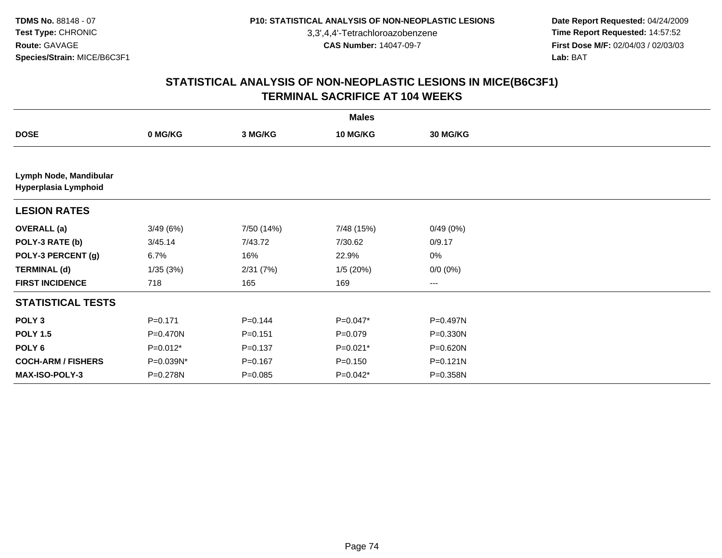3,3',4,4'-Tetrachloroazobenzene

 **Date Report Requested:** 04/24/2009 **Time Report Requested:** 14:57:52 **First Dose M/F:** 02/04/03 / 02/03/03<br>Lab: BAT **Lab:** BAT

|                                                |             |             | <b>Males</b> |             |  |
|------------------------------------------------|-------------|-------------|--------------|-------------|--|
| <b>DOSE</b>                                    | 0 MG/KG     | 3 MG/KG     | 10 MG/KG     | 30 MG/KG    |  |
|                                                |             |             |              |             |  |
| Lymph Node, Mandibular<br>Hyperplasia Lymphoid |             |             |              |             |  |
| <b>LESION RATES</b>                            |             |             |              |             |  |
| <b>OVERALL (a)</b>                             | 3/49(6%)    | 7/50 (14%)  | 7/48 (15%)   | 0/49(0%)    |  |
| POLY-3 RATE (b)                                | 3/45.14     | 7/43.72     | 7/30.62      | 0/9.17      |  |
| POLY-3 PERCENT (g)                             | 6.7%        | 16%         | 22.9%        | $0\%$       |  |
| <b>TERMINAL (d)</b>                            | 1/35(3%)    | 2/31(7%)    | 1/5(20%)     | $0/0 (0\%)$ |  |
| <b>FIRST INCIDENCE</b>                         | 718         | 165         | 169          | $\cdots$    |  |
| <b>STATISTICAL TESTS</b>                       |             |             |              |             |  |
| POLY <sub>3</sub>                              | $P = 0.171$ | $P = 0.144$ | P=0.047*     | P=0.497N    |  |
| <b>POLY 1.5</b>                                | P=0.470N    | $P = 0.151$ | $P = 0.079$  | P=0.330N    |  |
| POLY 6                                         | $P=0.012*$  | $P = 0.137$ | P=0.021*     | P=0.620N    |  |
| <b>COCH-ARM / FISHERS</b>                      | P=0.039N*   | $P = 0.167$ | $P = 0.150$  | P=0.121N    |  |
| MAX-ISO-POLY-3                                 | P=0.278N    | $P = 0.085$ | $P=0.042*$   | P=0.358N    |  |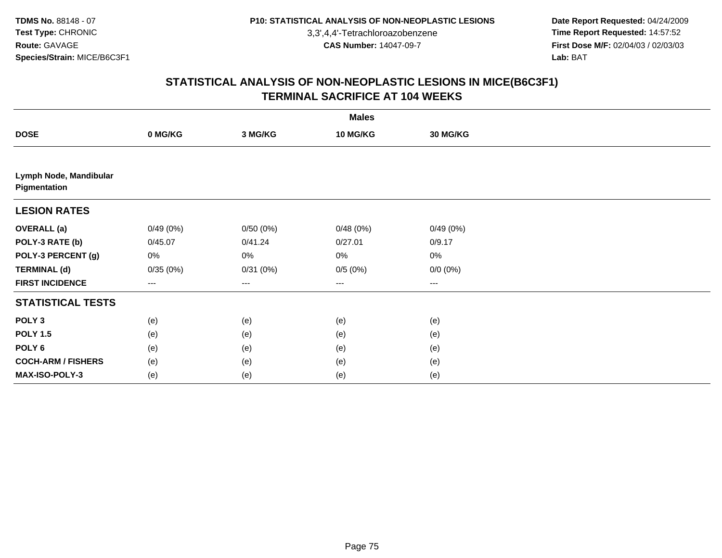3,3',4,4'-Tetrachloroazobenzene

 **Date Report Requested:** 04/24/2009 **Time Report Requested:** 14:57:52 **First Dose M/F:** 02/04/03 / 02/03/03<br>Lab: BAT **Lab:** BAT

|                                        |                   |          | <b>Males</b>      |             |  |
|----------------------------------------|-------------------|----------|-------------------|-------------|--|
| <b>DOSE</b>                            | 0 MG/KG           | 3 MG/KG  | 10 MG/KG          | 30 MG/KG    |  |
|                                        |                   |          |                   |             |  |
| Lymph Node, Mandibular<br>Pigmentation |                   |          |                   |             |  |
| <b>LESION RATES</b>                    |                   |          |                   |             |  |
| <b>OVERALL</b> (a)                     | 0/49(0%)          | 0/50(0%) | 0/48(0%)          | 0/49(0%)    |  |
| POLY-3 RATE (b)                        | 0/45.07           | 0/41.24  | 0/27.01           | 0/9.17      |  |
| POLY-3 PERCENT (g)                     | 0%                | 0%       | 0%                | $0\%$       |  |
| <b>TERMINAL (d)</b>                    | 0/35(0%)          | 0/31(0%) | 0/5(0%)           | $0/0 (0\%)$ |  |
| <b>FIRST INCIDENCE</b>                 | $\qquad \qquad -$ | ---      | $\qquad \qquad -$ | $---$       |  |
| <b>STATISTICAL TESTS</b>               |                   |          |                   |             |  |
| POLY <sub>3</sub>                      | (e)               | (e)      | (e)               | (e)         |  |
| <b>POLY 1.5</b>                        | (e)               | (e)      | (e)               | (e)         |  |
| POLY <sub>6</sub>                      | (e)               | (e)      | (e)               | (e)         |  |
| <b>COCH-ARM / FISHERS</b>              | (e)               | (e)      | (e)               | (e)         |  |
| <b>MAX-ISO-POLY-3</b>                  | (e)               | (e)      | (e)               | (e)         |  |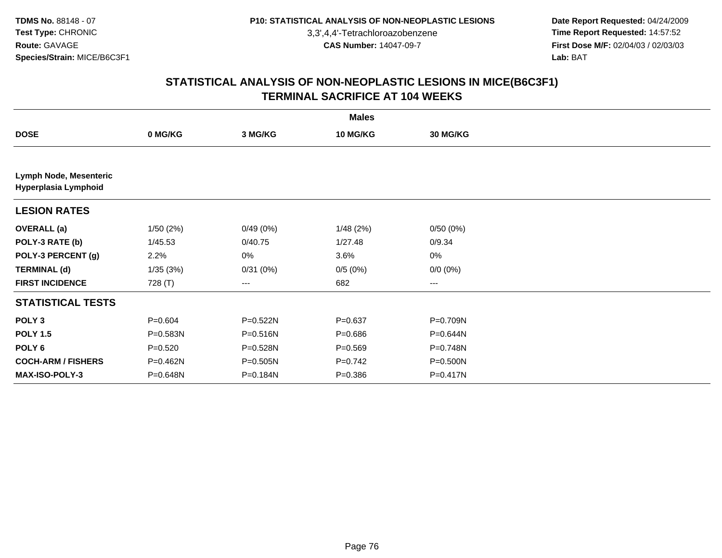3,3',4,4'-Tetrachloroazobenzene

 **Date Report Requested:** 04/24/2009 **Time Report Requested:** 14:57:52 **First Dose M/F:** 02/04/03 / 02/03/03<br>Lab: BAT **Lab:** BAT

|                                                |             |              | <b>Males</b> |                 |  |
|------------------------------------------------|-------------|--------------|--------------|-----------------|--|
| <b>DOSE</b>                                    | 0 MG/KG     | 3 MG/KG      | 10 MG/KG     | <b>30 MG/KG</b> |  |
|                                                |             |              |              |                 |  |
| Lymph Node, Mesenteric<br>Hyperplasia Lymphoid |             |              |              |                 |  |
| <b>LESION RATES</b>                            |             |              |              |                 |  |
| <b>OVERALL</b> (a)                             | 1/50(2%)    | 0/49(0%)     | 1/48(2%)     | 0/50(0%)        |  |
| POLY-3 RATE (b)                                | 1/45.53     | 0/40.75      | 1/27.48      | 0/9.34          |  |
| POLY-3 PERCENT (g)                             | 2.2%        | 0%           | 3.6%         | $0\%$           |  |
| <b>TERMINAL (d)</b>                            | 1/35(3%)    | 0/31(0%)     | 0/5(0%)      | $0/0 (0\%)$     |  |
| <b>FIRST INCIDENCE</b>                         | 728 (T)     | ---          | 682          | ---             |  |
| <b>STATISTICAL TESTS</b>                       |             |              |              |                 |  |
| POLY <sub>3</sub>                              | $P = 0.604$ | P=0.522N     | $P = 0.637$  | P=0.709N        |  |
| <b>POLY 1.5</b>                                | P=0.583N    | $P = 0.516N$ | $P = 0.686$  | P=0.644N        |  |
| POLY <sub>6</sub>                              | $P=0.520$   | P=0.528N     | $P = 0.569$  | P=0.748N        |  |
| <b>COCH-ARM / FISHERS</b>                      | P=0.462N    | P=0.505N     | $P=0.742$    | P=0.500N        |  |
| <b>MAX-ISO-POLY-3</b>                          | P=0.648N    | P=0.184N     | $P = 0.386$  | P=0.417N        |  |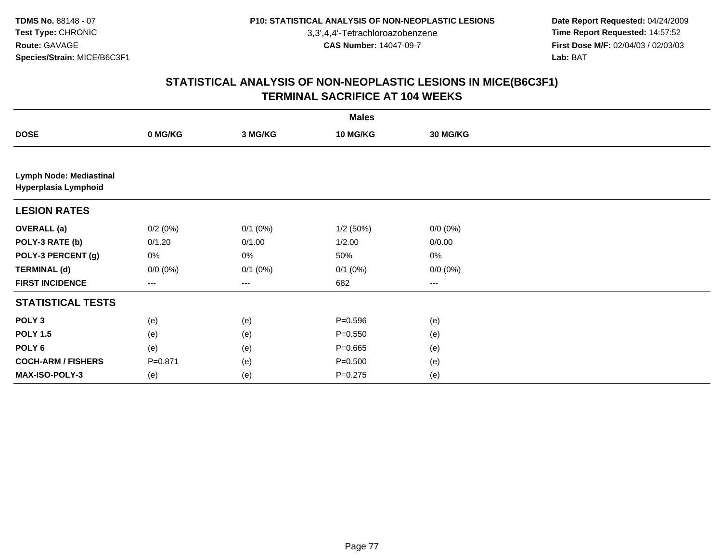3,3',4,4'-Tetrachloroazobenzene

 **Date Report Requested:** 04/24/2009 **Time Report Requested:** 14:57:52 **First Dose M/F:** 02/04/03 / 02/03/03<br>Lab: BAT **Lab:** BAT

|                                                 |             |              | <b>Males</b> |                 |  |
|-------------------------------------------------|-------------|--------------|--------------|-----------------|--|
| <b>DOSE</b>                                     | 0 MG/KG     | 3 MG/KG      | 10 MG/KG     | <b>30 MG/KG</b> |  |
|                                                 |             |              |              |                 |  |
| Lymph Node: Mediastinal<br>Hyperplasia Lymphoid |             |              |              |                 |  |
| <b>LESION RATES</b>                             |             |              |              |                 |  |
| <b>OVERALL (a)</b>                              | 0/2(0%)     | $0/1$ $(0%)$ | 1/2(50%)     | $0/0 (0\%)$     |  |
| POLY-3 RATE (b)                                 | 0/1.20      | 0/1.00       | 1/2.00       | 0/0.00          |  |
| POLY-3 PERCENT (g)                              | 0%          | 0%           | 50%          | 0%              |  |
| <b>TERMINAL (d)</b>                             | $0/0 (0\%)$ | $0/1$ $(0%)$ | $0/1$ $(0%)$ | $0/0 (0\%)$     |  |
| <b>FIRST INCIDENCE</b>                          | $--$        | $--$         | 682          | ---             |  |
| <b>STATISTICAL TESTS</b>                        |             |              |              |                 |  |
| POLY <sub>3</sub>                               | (e)         | (e)          | $P = 0.596$  | (e)             |  |
| <b>POLY 1.5</b>                                 | (e)         | (e)          | $P = 0.550$  | (e)             |  |
| POLY 6                                          | (e)         | (e)          | $P = 0.665$  | (e)             |  |
| <b>COCH-ARM / FISHERS</b>                       | $P = 0.871$ | (e)          | $P = 0.500$  | (e)             |  |
| MAX-ISO-POLY-3                                  | (e)         | (e)          | $P=0.275$    | (e)             |  |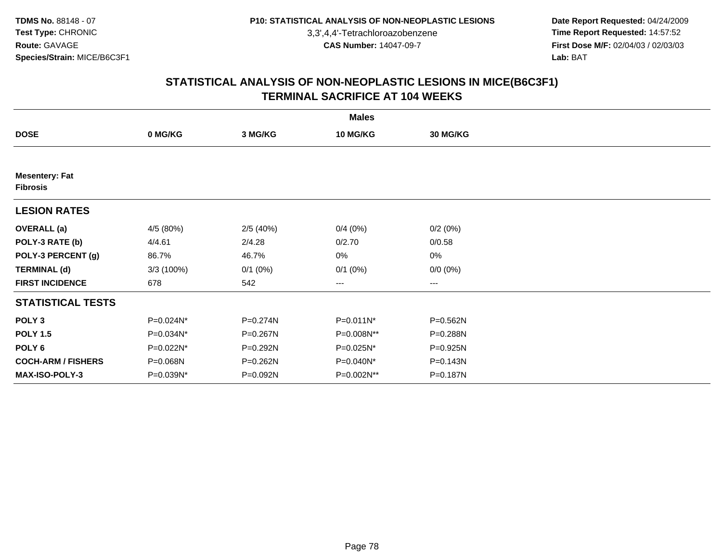3,3',4,4'-Tetrachloroazobenzene

 **Date Report Requested:** 04/24/2009 **Time Report Requested:** 14:57:52 **First Dose M/F:** 02/04/03 / 02/03/03<br>Lab: BAT **Lab:** BAT

|                                          |              |              | <b>Males</b>    |              |  |
|------------------------------------------|--------------|--------------|-----------------|--------------|--|
| <b>DOSE</b>                              | 0 MG/KG      | 3 MG/KG      | <b>10 MG/KG</b> | 30 MG/KG     |  |
|                                          |              |              |                 |              |  |
| <b>Mesentery: Fat</b><br><b>Fibrosis</b> |              |              |                 |              |  |
| <b>LESION RATES</b>                      |              |              |                 |              |  |
| <b>OVERALL</b> (a)                       | 4/5 (80%)    | 2/5(40%)     | 0/4(0%)         | 0/2(0%)      |  |
| POLY-3 RATE (b)                          | 4/4.61       | 2/4.28       | 0/2.70          | 0/0.58       |  |
| POLY-3 PERCENT (g)                       | 86.7%        | 46.7%        | 0%              | 0%           |  |
| <b>TERMINAL (d)</b>                      | $3/3(100\%)$ | $0/1$ $(0%)$ | $0/1$ $(0%)$    | $0/0 (0\%)$  |  |
| <b>FIRST INCIDENCE</b>                   | 678          | 542          | ---             | ---          |  |
| <b>STATISTICAL TESTS</b>                 |              |              |                 |              |  |
| POLY <sub>3</sub>                        | P=0.024N*    | P=0.274N     | P=0.011N*       | $P = 0.562N$ |  |
| <b>POLY 1.5</b>                          | P=0.034N*    | P=0.267N     | P=0.008N**      | P=0.288N     |  |
| POLY <sub>6</sub>                        | P=0.022N*    | P=0.292N     | P=0.025N*       | P=0.925N     |  |
| <b>COCH-ARM / FISHERS</b>                | P=0.068N     | P=0.262N     | P=0.040N*       | $P = 0.143N$ |  |
| MAX-ISO-POLY-3                           | P=0.039N*    | P=0.092N     | P=0.002N**      | P=0.187N     |  |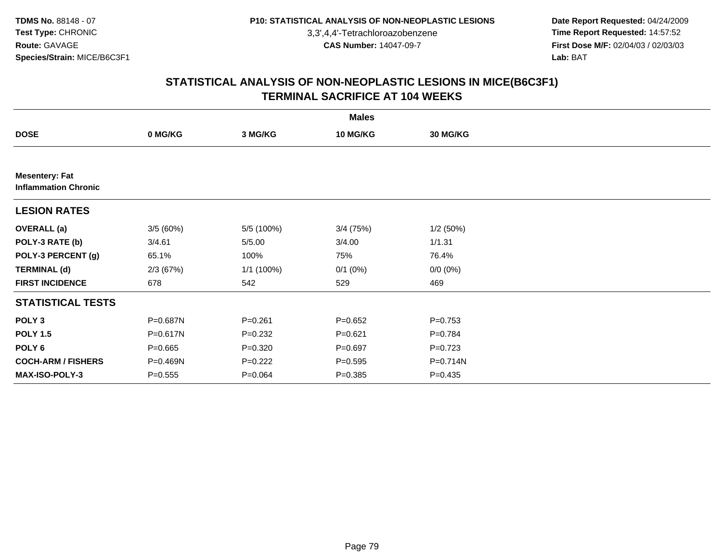3,3',4,4'-Tetrachloroazobenzene

 **Date Report Requested:** 04/24/2009 **Time Report Requested:** 14:57:52 **First Dose M/F:** 02/04/03 / 02/03/03<br>Lab: BAT **Lab:** BAT

|                                                      |             |              | <b>Males</b> |                 |  |
|------------------------------------------------------|-------------|--------------|--------------|-----------------|--|
| <b>DOSE</b>                                          | 0 MG/KG     | 3 MG/KG      | 10 MG/KG     | <b>30 MG/KG</b> |  |
|                                                      |             |              |              |                 |  |
| <b>Mesentery: Fat</b><br><b>Inflammation Chronic</b> |             |              |              |                 |  |
| <b>LESION RATES</b>                                  |             |              |              |                 |  |
| <b>OVERALL</b> (a)                                   | 3/5(60%)    | 5/5 (100%)   | $3/4$ (75%)  | 1/2(50%)        |  |
| POLY-3 RATE (b)                                      | 3/4.61      | 5/5.00       | 3/4.00       | 1/1.31          |  |
| POLY-3 PERCENT (g)                                   | 65.1%       | 100%         | 75%          | 76.4%           |  |
| <b>TERMINAL (d)</b>                                  | 2/3(67%)    | $1/1$ (100%) | $0/1$ $(0%)$ | $0/0 (0\%)$     |  |
| <b>FIRST INCIDENCE</b>                               | 678         | 542          | 529          | 469             |  |
| <b>STATISTICAL TESTS</b>                             |             |              |              |                 |  |
| POLY <sub>3</sub>                                    | P=0.687N    | $P = 0.261$  | $P = 0.652$  | $P = 0.753$     |  |
| <b>POLY 1.5</b>                                      | P=0.617N    | $P=0.232$    | $P = 0.621$  | $P = 0.784$     |  |
| POLY 6                                               | $P = 0.665$ | $P = 0.320$  | $P = 0.697$  | $P=0.723$       |  |
| <b>COCH-ARM / FISHERS</b>                            | P=0.469N    | $P=0.222$    | $P = 0.595$  | P=0.714N        |  |
| <b>MAX-ISO-POLY-3</b>                                | $P = 0.555$ | $P = 0.064$  | $P = 0.385$  | $P = 0.435$     |  |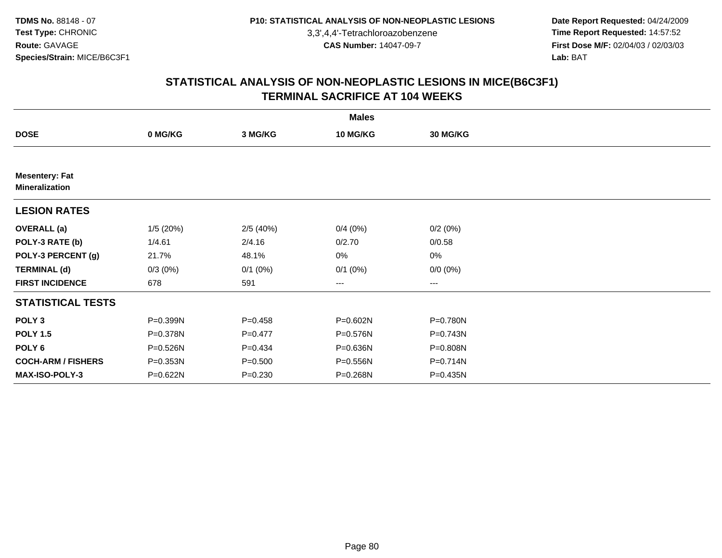3,3',4,4'-Tetrachloroazobenzene

 **Date Report Requested:** 04/24/2009 **Time Report Requested:** 14:57:52 **First Dose M/F:** 02/04/03 / 02/03/03<br>Lab: BAT **Lab:** BAT

|                                                |            |             | <b>Males</b>    |                   |  |
|------------------------------------------------|------------|-------------|-----------------|-------------------|--|
| <b>DOSE</b>                                    | 0 MG/KG    | 3 MG/KG     | <b>10 MG/KG</b> | <b>30 MG/KG</b>   |  |
|                                                |            |             |                 |                   |  |
| <b>Mesentery: Fat</b><br><b>Mineralization</b> |            |             |                 |                   |  |
| <b>LESION RATES</b>                            |            |             |                 |                   |  |
| <b>OVERALL</b> (a)                             | 1/5(20%)   | 2/5(40%)    | 0/4(0%)         | 0/2(0%)           |  |
| POLY-3 RATE (b)                                | 1/4.61     | 2/4.16      | 0/2.70          | 0/0.58            |  |
| POLY-3 PERCENT (g)                             | 21.7%      | 48.1%       | 0%              | 0%                |  |
| <b>TERMINAL (d)</b>                            | $0/3(0\%)$ | $0/1$ (0%)  | $0/1$ $(0%)$    | $0/0 (0\%)$       |  |
| <b>FIRST INCIDENCE</b>                         | 678        | 591         | ---             | $\qquad \qquad -$ |  |
| <b>STATISTICAL TESTS</b>                       |            |             |                 |                   |  |
| POLY <sub>3</sub>                              | P=0.399N   | $P = 0.458$ | P=0.602N        | P=0.780N          |  |
| <b>POLY 1.5</b>                                | P=0.378N   | $P=0.477$   | P=0.576N        | P=0.743N          |  |
| POLY <sub>6</sub>                              | P=0.526N   | $P=0.434$   | P=0.636N        | P=0.808N          |  |
| <b>COCH-ARM / FISHERS</b>                      | P=0.353N   | $P = 0.500$ | P=0.556N        | P=0.714N          |  |
| <b>MAX-ISO-POLY-3</b>                          | P=0.622N   | $P = 0.230$ | P=0.268N        | P=0.435N          |  |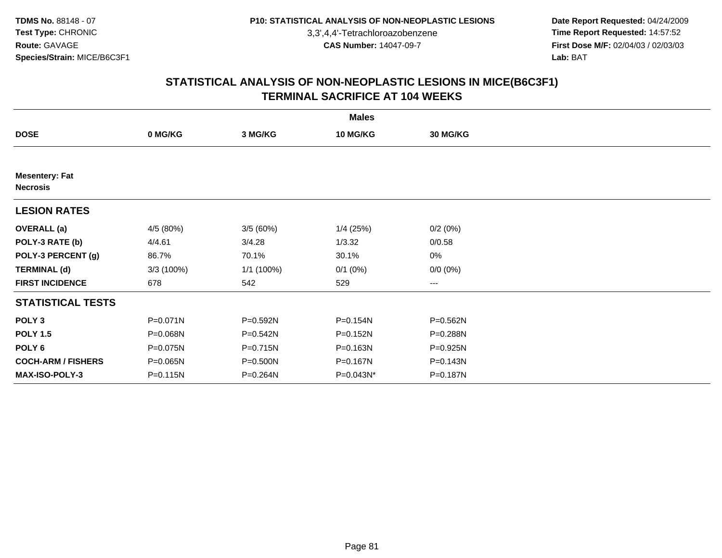3,3',4,4'-Tetrachloroazobenzene

 **Date Report Requested:** 04/24/2009 **Time Report Requested:** 14:57:52 **First Dose M/F:** 02/04/03 / 02/03/03<br>Lab: BAT **Lab:** BAT

|                                          |              |              | <b>Males</b>    |                        |  |
|------------------------------------------|--------------|--------------|-----------------|------------------------|--|
| <b>DOSE</b>                              | 0 MG/KG      | 3 MG/KG      | <b>10 MG/KG</b> | 30 MG/KG               |  |
|                                          |              |              |                 |                        |  |
| <b>Mesentery: Fat</b><br><b>Necrosis</b> |              |              |                 |                        |  |
| <b>LESION RATES</b>                      |              |              |                 |                        |  |
| <b>OVERALL</b> (a)                       | 4/5 (80%)    | 3/5(60%)     | $1/4$ (25%)     | 0/2(0%)                |  |
| POLY-3 RATE (b)                          | 4/4.61       | 3/4.28       | 1/3.32          | 0/0.58                 |  |
| POLY-3 PERCENT (g)                       | 86.7%        | 70.1%        | 30.1%           | 0%                     |  |
| <b>TERMINAL (d)</b>                      | 3/3(100%)    | 1/1 (100%)   | $0/1$ $(0%)$    | $0/0 (0\%)$            |  |
| <b>FIRST INCIDENCE</b>                   | 678          | 542          | 529             | $\qquad \qquad \cdots$ |  |
| <b>STATISTICAL TESTS</b>                 |              |              |                 |                        |  |
| POLY <sub>3</sub>                        | P=0.071N     | P=0.592N     | P=0.154N        | P=0.562N               |  |
| <b>POLY 1.5</b>                          | P=0.068N     | $P = 0.542N$ | P=0.152N        | P=0.288N               |  |
| POLY <sub>6</sub>                        | P=0.075N     | P=0.715N     | P=0.163N        | P=0.925N               |  |
| <b>COCH-ARM / FISHERS</b>                | P=0.065N     | P=0.500N     | P=0.167N        | P=0.143N               |  |
| <b>MAX-ISO-POLY-3</b>                    | $P = 0.115N$ | P=0.264N     | P=0.043N*       | P=0.187N               |  |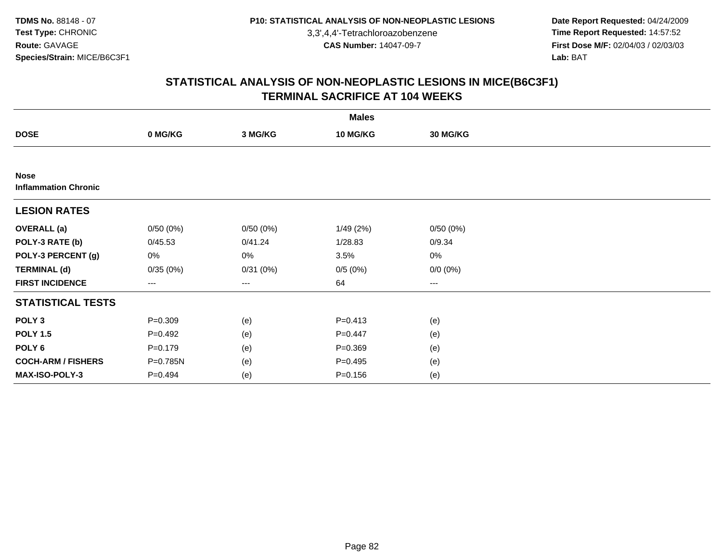3,3',4,4'-Tetrachloroazobenzene

 **Date Report Requested:** 04/24/2009 **Time Report Requested:** 14:57:52 **First Dose M/F:** 02/04/03 / 02/03/03<br>Lab: BAT **Lab:** BAT

|                                            |                        |          | <b>Males</b>    |             |  |
|--------------------------------------------|------------------------|----------|-----------------|-------------|--|
| <b>DOSE</b>                                | 0 MG/KG                | 3 MG/KG  | <b>10 MG/KG</b> | 30 MG/KG    |  |
|                                            |                        |          |                 |             |  |
| <b>Nose</b><br><b>Inflammation Chronic</b> |                        |          |                 |             |  |
| <b>LESION RATES</b>                        |                        |          |                 |             |  |
| <b>OVERALL</b> (a)                         | 0/50(0%)               | 0/50(0%) | 1/49(2%)        | 0/50(0%)    |  |
| POLY-3 RATE (b)                            | 0/45.53                | 0/41.24  | 1/28.83         | 0/9.34      |  |
| POLY-3 PERCENT (g)                         | 0%                     | 0%       | 3.5%            | 0%          |  |
| <b>TERMINAL (d)</b>                        | 0/35(0%)               | 0/31(0%) | 0/5(0%)         | $0/0 (0\%)$ |  |
| <b>FIRST INCIDENCE</b>                     | $\qquad \qquad \cdots$ | ---      | 64              | $---$       |  |
| <b>STATISTICAL TESTS</b>                   |                        |          |                 |             |  |
| POLY <sub>3</sub>                          | $P = 0.309$            | (e)      | $P = 0.413$     | (e)         |  |
| <b>POLY 1.5</b>                            | $P=0.492$              | (e)      | $P = 0.447$     | (e)         |  |
| POLY <sub>6</sub>                          | $P = 0.179$            | (e)      | $P = 0.369$     | (e)         |  |
| <b>COCH-ARM / FISHERS</b>                  | P=0.785N               | (e)      | $P = 0.495$     | (e)         |  |
| MAX-ISO-POLY-3                             | $P = 0.494$            | (e)      | $P = 0.156$     | (e)         |  |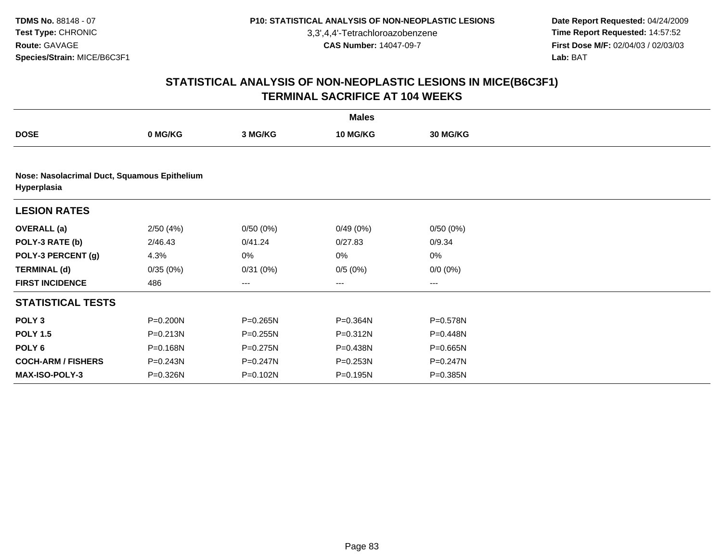3,3',4,4'-Tetrachloroazobenzene

 **Date Report Requested:** 04/24/2009 **Time Report Requested:** 14:57:52 **First Dose M/F:** 02/04/03 / 02/03/03<br>Lab: BAT **Lab:** BAT

|                                                             |          |          | <b>Males</b>           |              |  |  |  |  |  |
|-------------------------------------------------------------|----------|----------|------------------------|--------------|--|--|--|--|--|
| <b>DOSE</b>                                                 | 0 MG/KG  | 3 MG/KG  | 10 MG/KG               | 30 MG/KG     |  |  |  |  |  |
|                                                             |          |          |                        |              |  |  |  |  |  |
| Nose: Nasolacrimal Duct, Squamous Epithelium<br>Hyperplasia |          |          |                        |              |  |  |  |  |  |
| <b>LESION RATES</b>                                         |          |          |                        |              |  |  |  |  |  |
| <b>OVERALL</b> (a)                                          | 2/50(4%) | 0/50(0%) | 0/49(0%)               | 0/50(0%)     |  |  |  |  |  |
| POLY-3 RATE (b)                                             | 2/46.43  | 0/41.24  | 0/27.83                | 0/9.34       |  |  |  |  |  |
| POLY-3 PERCENT (g)                                          | 4.3%     | 0%       | 0%                     | $0\%$        |  |  |  |  |  |
| <b>TERMINAL (d)</b>                                         | 0/35(0%) | 0/31(0%) | 0/5(0%)                | $0/0 (0\%)$  |  |  |  |  |  |
| <b>FIRST INCIDENCE</b>                                      | 486      | ---      | $\qquad \qquad \cdots$ | ---          |  |  |  |  |  |
| <b>STATISTICAL TESTS</b>                                    |          |          |                        |              |  |  |  |  |  |
| POLY <sub>3</sub>                                           | P=0.200N | P=0.265N | P=0.364N               | P=0.578N     |  |  |  |  |  |
| <b>POLY 1.5</b>                                             | P=0.213N | P=0.255N | P=0.312N               | $P = 0.448N$ |  |  |  |  |  |
| POLY <sub>6</sub>                                           | P=0.168N | P=0.275N | P=0.438N               | P=0.665N     |  |  |  |  |  |
| <b>COCH-ARM / FISHERS</b>                                   | P=0.243N | P=0.247N | P=0.253N               | P=0.247N     |  |  |  |  |  |
| <b>MAX-ISO-POLY-3</b>                                       | P=0.326N | P=0.102N | P=0.195N               | P=0.385N     |  |  |  |  |  |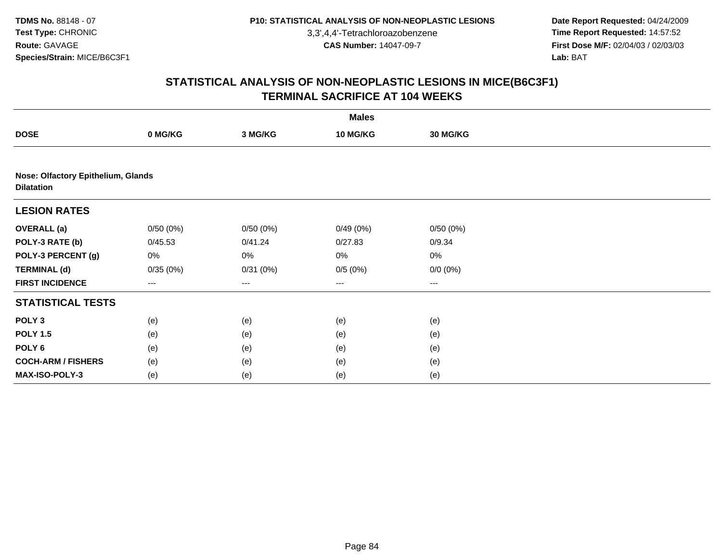3,3',4,4'-Tetrachloroazobenzene

 **Date Report Requested:** 04/24/2009 **Time Report Requested:** 14:57:52 **First Dose M/F:** 02/04/03 / 02/03/03<br>Lab: BAT **Lab:** BAT

|                                                         |          |          | <b>Males</b>      |                 |  |
|---------------------------------------------------------|----------|----------|-------------------|-----------------|--|
| <b>DOSE</b>                                             | 0 MG/KG  | 3 MG/KG  | 10 MG/KG          | <b>30 MG/KG</b> |  |
|                                                         |          |          |                   |                 |  |
| Nose: Olfactory Epithelium, Glands<br><b>Dilatation</b> |          |          |                   |                 |  |
| <b>LESION RATES</b>                                     |          |          |                   |                 |  |
| <b>OVERALL</b> (a)                                      | 0/50(0%) | 0/50(0%) | 0/49(0%)          | 0/50(0%)        |  |
| POLY-3 RATE (b)                                         | 0/45.53  | 0/41.24  | 0/27.83           | 0/9.34          |  |
| POLY-3 PERCENT (g)                                      | 0%       | 0%       | 0%                | $0\%$           |  |
| <b>TERMINAL (d)</b>                                     | 0/35(0%) | 0/31(0%) | 0/5(0%)           | $0/0 (0\%)$     |  |
| <b>FIRST INCIDENCE</b>                                  | ---      | ---      | $\qquad \qquad -$ | $---$           |  |
| <b>STATISTICAL TESTS</b>                                |          |          |                   |                 |  |
| POLY <sub>3</sub>                                       | (e)      | (e)      | (e)               | (e)             |  |
| <b>POLY 1.5</b>                                         | (e)      | (e)      | (e)               | (e)             |  |
| POLY <sub>6</sub>                                       | (e)      | (e)      | (e)               | (e)             |  |
| <b>COCH-ARM / FISHERS</b>                               | (e)      | (e)      | (e)               | (e)             |  |
| MAX-ISO-POLY-3                                          | (e)      | (e)      | (e)               | (e)             |  |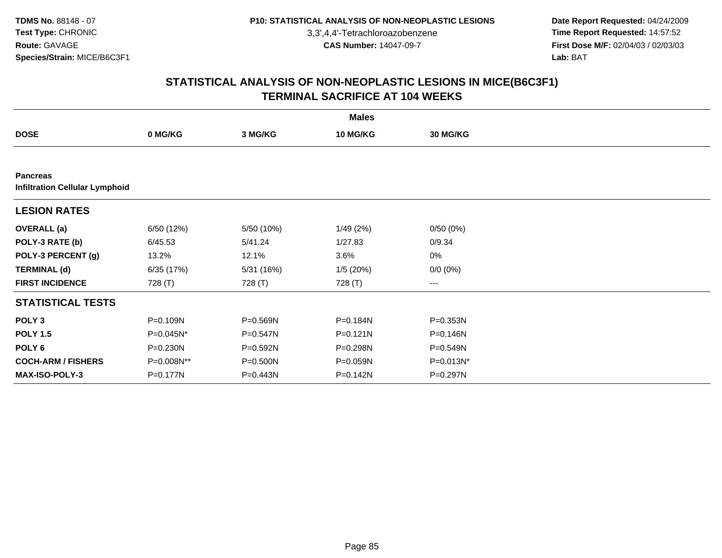3,3',4,4'-Tetrachloroazobenzene

 **Date Report Requested:** 04/24/2009 **Time Report Requested:** 14:57:52 **First Dose M/F:** 02/04/03 / 02/03/03<br>Lab: BAT **Lab:** BAT

|                           | <b>Males</b>                          |            |              |                 |  |  |  |  |  |
|---------------------------|---------------------------------------|------------|--------------|-----------------|--|--|--|--|--|
| <b>DOSE</b>               | 0 MG/KG                               | 3 MG/KG    | 10 MG/KG     | <b>30 MG/KG</b> |  |  |  |  |  |
|                           |                                       |            |              |                 |  |  |  |  |  |
| <b>Pancreas</b>           | <b>Infiltration Cellular Lymphoid</b> |            |              |                 |  |  |  |  |  |
| <b>LESION RATES</b>       |                                       |            |              |                 |  |  |  |  |  |
| <b>OVERALL</b> (a)        | 6/50 (12%)                            | 5/50 (10%) | 1/49(2%)     | 0/50(0%)        |  |  |  |  |  |
| POLY-3 RATE (b)           | 6/45.53                               | 5/41.24    | 1/27.83      | 0/9.34          |  |  |  |  |  |
| POLY-3 PERCENT (g)        | 13.2%                                 | 12.1%      | 3.6%         | 0%              |  |  |  |  |  |
| <b>TERMINAL (d)</b>       | 6/35(17%)                             | 5/31 (16%) | 1/5(20%)     | $0/0 (0\%)$     |  |  |  |  |  |
| <b>FIRST INCIDENCE</b>    | 728 (T)                               | 728 (T)    | 728 (T)      | ---             |  |  |  |  |  |
| <b>STATISTICAL TESTS</b>  |                                       |            |              |                 |  |  |  |  |  |
| POLY <sub>3</sub>         | P=0.109N                              | P=0.569N   | P=0.184N     | P=0.353N        |  |  |  |  |  |
| <b>POLY 1.5</b>           | P=0.045N*                             | P=0.547N   | $P = 0.121N$ | P=0.146N        |  |  |  |  |  |
| POLY 6                    | P=0.230N                              | P=0.592N   | P=0.298N     | P=0.549N        |  |  |  |  |  |
| <b>COCH-ARM / FISHERS</b> | P=0.008N**                            | P=0.500N   | P=0.059N     | $P=0.013N^*$    |  |  |  |  |  |
| <b>MAX-ISO-POLY-3</b>     | P=0.177N                              | P=0.443N   | P=0.142N     | P=0.297N        |  |  |  |  |  |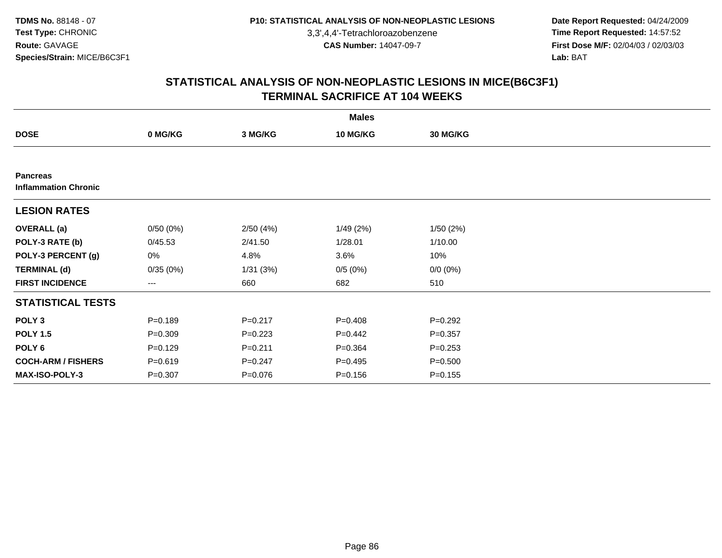3,3',4,4'-Tetrachloroazobenzene

 **Date Report Requested:** 04/24/2009 **Time Report Requested:** 14:57:52 **First Dose M/F:** 02/04/03 / 02/03/03<br>Lab: BAT **Lab:** BAT

|                                                |                   |             | <b>Males</b>    |             |  |
|------------------------------------------------|-------------------|-------------|-----------------|-------------|--|
| <b>DOSE</b>                                    | 0 MG/KG           | 3 MG/KG     | <b>10 MG/KG</b> | 30 MG/KG    |  |
|                                                |                   |             |                 |             |  |
| <b>Pancreas</b><br><b>Inflammation Chronic</b> |                   |             |                 |             |  |
| <b>LESION RATES</b>                            |                   |             |                 |             |  |
| <b>OVERALL</b> (a)                             | 0/50(0%)          | 2/50(4%)    | 1/49(2%)        | 1/50(2%)    |  |
| POLY-3 RATE (b)                                | 0/45.53           | 2/41.50     | 1/28.01         | 1/10.00     |  |
| POLY-3 PERCENT (g)                             | 0%                | 4.8%        | 3.6%            | 10%         |  |
| <b>TERMINAL (d)</b>                            | 0/35(0%)          | 1/31(3%)    | 0/5(0%)         | $0/0 (0\%)$ |  |
| <b>FIRST INCIDENCE</b>                         | $\qquad \qquad -$ | 660         | 682             | 510         |  |
| <b>STATISTICAL TESTS</b>                       |                   |             |                 |             |  |
| POLY <sub>3</sub>                              | $P = 0.189$       | $P = 0.217$ | $P = 0.408$     | $P=0.292$   |  |
| <b>POLY 1.5</b>                                | $P = 0.309$       | $P=0.223$   | $P=0.442$       | $P = 0.357$ |  |
| POLY <sub>6</sub>                              | $P=0.129$         | $P = 0.211$ | $P = 0.364$     | $P = 0.253$ |  |
| <b>COCH-ARM / FISHERS</b>                      | $P = 0.619$       | $P = 0.247$ | $P=0.495$       | $P = 0.500$ |  |
| MAX-ISO-POLY-3                                 | $P = 0.307$       | $P = 0.076$ | $P = 0.156$     | $P = 0.155$ |  |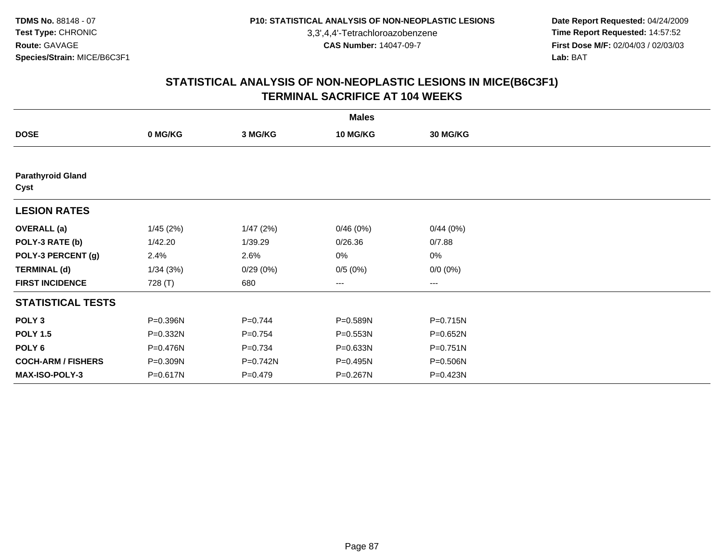3,3',4,4'-Tetrachloroazobenzene

 **Date Report Requested:** 04/24/2009 **Time Report Requested:** 14:57:52 **First Dose M/F:** 02/04/03 / 02/03/03<br>Lab: BAT **Lab:** BAT

|                                  |          |             | <b>Males</b> |                   |  |
|----------------------------------|----------|-------------|--------------|-------------------|--|
| <b>DOSE</b>                      | 0 MG/KG  | 3 MG/KG     | 10 MG/KG     | <b>30 MG/KG</b>   |  |
|                                  |          |             |              |                   |  |
| <b>Parathyroid Gland</b><br>Cyst |          |             |              |                   |  |
| <b>LESION RATES</b>              |          |             |              |                   |  |
| <b>OVERALL</b> (a)               | 1/45(2%) | 1/47(2%)    | 0/46(0%)     | 0/44(0%)          |  |
| POLY-3 RATE (b)                  | 1/42.20  | 1/39.29     | 0/26.36      | 0/7.88            |  |
| POLY-3 PERCENT (g)               | 2.4%     | 2.6%        | 0%           | $0\%$             |  |
| <b>TERMINAL (d)</b>              | 1/34(3%) | 0/29(0%)    | 0/5(0%)      | $0/0 (0\%)$       |  |
| <b>FIRST INCIDENCE</b>           | 728 (T)  | 680         | ---          | $\qquad \qquad -$ |  |
| <b>STATISTICAL TESTS</b>         |          |             |              |                   |  |
| POLY <sub>3</sub>                | P=0.396N | $P = 0.744$ | P=0.589N     | P=0.715N          |  |
| <b>POLY 1.5</b>                  | P=0.332N | $P=0.754$   | $P = 0.553N$ | P=0.652N          |  |
| POLY <sub>6</sub>                | P=0.476N | $P = 0.734$ | P=0.633N     | $P = 0.751N$      |  |
| <b>COCH-ARM / FISHERS</b>        | P=0.309N | P=0.742N    | P=0.495N     | P=0.506N          |  |
| <b>MAX-ISO-POLY-3</b>            | P=0.617N | $P=0.479$   | P=0.267N     | P=0.423N          |  |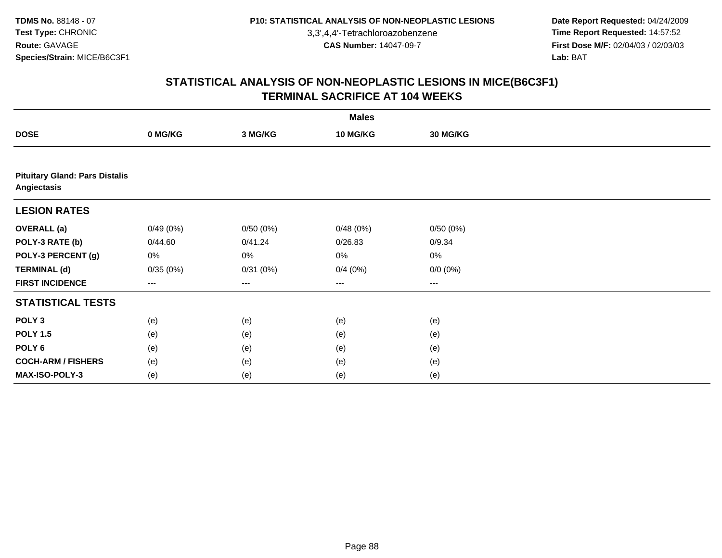3,3',4,4'-Tetrachloroazobenzene

 **Date Report Requested:** 04/24/2009 **Time Report Requested:** 14:57:52 **First Dose M/F:** 02/04/03 / 02/03/03<br>Lab: BAT **Lab:** BAT

|                                                      | <b>Males</b>      |          |                   |             |  |  |  |  |
|------------------------------------------------------|-------------------|----------|-------------------|-------------|--|--|--|--|
| <b>DOSE</b>                                          | 0 MG/KG           | 3 MG/KG  | 10 MG/KG          | 30 MG/KG    |  |  |  |  |
|                                                      |                   |          |                   |             |  |  |  |  |
| <b>Pituitary Gland: Pars Distalis</b><br>Angiectasis |                   |          |                   |             |  |  |  |  |
| <b>LESION RATES</b>                                  |                   |          |                   |             |  |  |  |  |
| <b>OVERALL</b> (a)                                   | 0/49(0%)          | 0/50(0%) | 0/48(0%)          | 0/50(0%)    |  |  |  |  |
| POLY-3 RATE (b)                                      | 0/44.60           | 0/41.24  | 0/26.83           | 0/9.34      |  |  |  |  |
| POLY-3 PERCENT (g)                                   | 0%                | 0%       | $0\%$             | $0\%$       |  |  |  |  |
| <b>TERMINAL (d)</b>                                  | 0/35(0%)          | 0/31(0%) | 0/4(0%)           | $0/0 (0\%)$ |  |  |  |  |
| <b>FIRST INCIDENCE</b>                               | $\qquad \qquad -$ | $---$    | $\qquad \qquad -$ | $---$       |  |  |  |  |
| <b>STATISTICAL TESTS</b>                             |                   |          |                   |             |  |  |  |  |
| POLY <sub>3</sub>                                    | (e)               | (e)      | (e)               | (e)         |  |  |  |  |
| <b>POLY 1.5</b>                                      | (e)               | (e)      | (e)               | (e)         |  |  |  |  |
| POLY <sub>6</sub>                                    | (e)               | (e)      | (e)               | (e)         |  |  |  |  |
| <b>COCH-ARM / FISHERS</b>                            | (e)               | (e)      | (e)               | (e)         |  |  |  |  |
| MAX-ISO-POLY-3                                       | (e)               | (e)      | (e)               | (e)         |  |  |  |  |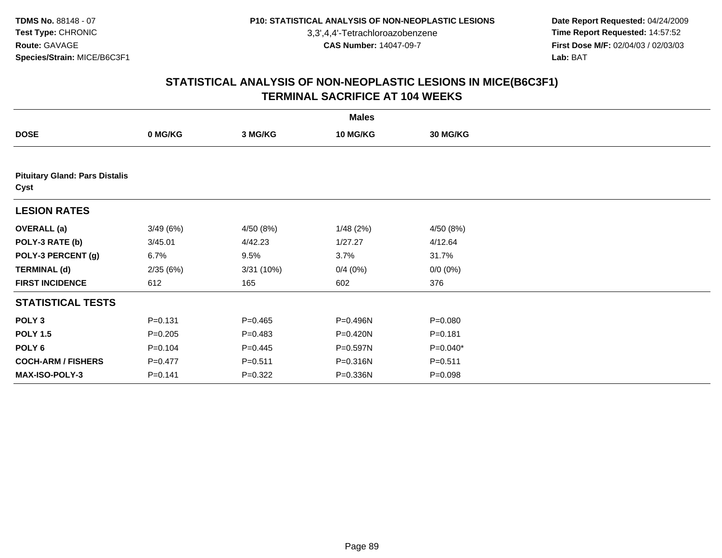3,3',4,4'-Tetrachloroazobenzene

 **Date Report Requested:** 04/24/2009 **Time Report Requested:** 14:57:52 **First Dose M/F:** 02/04/03 / 02/03/03<br>Lab: BAT **Lab:** BAT

|                                               | <b>Males</b> |             |                 |             |  |  |  |  |  |  |
|-----------------------------------------------|--------------|-------------|-----------------|-------------|--|--|--|--|--|--|
| <b>DOSE</b>                                   | 0 MG/KG      | 3 MG/KG     | <b>10 MG/KG</b> | 30 MG/KG    |  |  |  |  |  |  |
|                                               |              |             |                 |             |  |  |  |  |  |  |
| <b>Pituitary Gland: Pars Distalis</b><br>Cyst |              |             |                 |             |  |  |  |  |  |  |
| <b>LESION RATES</b>                           |              |             |                 |             |  |  |  |  |  |  |
| <b>OVERALL</b> (a)                            | 3/49(6%)     | 4/50 (8%)   | 1/48(2%)        | 4/50 (8%)   |  |  |  |  |  |  |
| POLY-3 RATE (b)                               | 3/45.01      | 4/42.23     | 1/27.27         | 4/12.64     |  |  |  |  |  |  |
| POLY-3 PERCENT (g)                            | 6.7%         | 9.5%        | 3.7%            | 31.7%       |  |  |  |  |  |  |
| <b>TERMINAL (d)</b>                           | 2/35(6%)     | 3/31(10%)   | 0/4(0%)         | $0/0 (0\%)$ |  |  |  |  |  |  |
| <b>FIRST INCIDENCE</b>                        | 612          | 165         | 602             | 376         |  |  |  |  |  |  |
| <b>STATISTICAL TESTS</b>                      |              |             |                 |             |  |  |  |  |  |  |
| POLY <sub>3</sub>                             | $P = 0.131$  | $P=0.465$   | P=0.496N        | $P = 0.080$ |  |  |  |  |  |  |
| <b>POLY 1.5</b>                               | $P = 0.205$  | $P=0.483$   | P=0.420N        | $P = 0.181$ |  |  |  |  |  |  |
| POLY 6                                        | $P = 0.104$  | $P=0.445$   | P=0.597N        | $P=0.040*$  |  |  |  |  |  |  |
| <b>COCH-ARM / FISHERS</b>                     | $P=0.477$    | $P = 0.511$ | P=0.316N        | $P = 0.511$ |  |  |  |  |  |  |
| <b>MAX-ISO-POLY-3</b>                         | $P = 0.141$  | $P=0.322$   | P=0.336N        | $P = 0.098$ |  |  |  |  |  |  |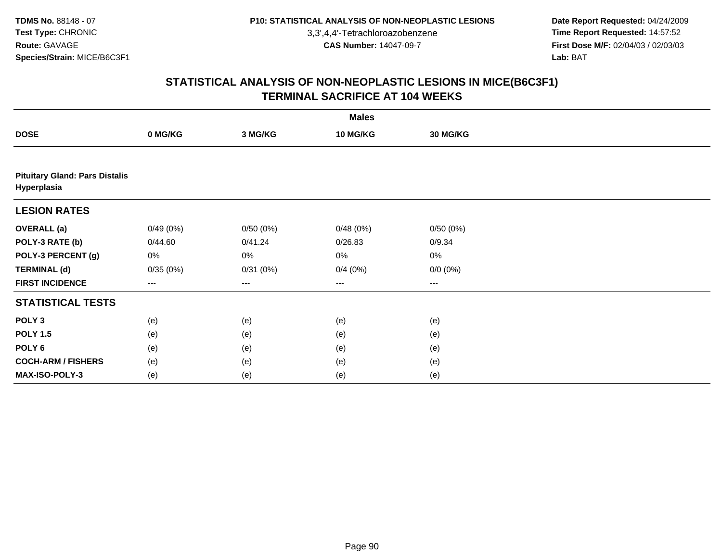3,3',4,4'-Tetrachloroazobenzene

 **Date Report Requested:** 04/24/2009 **Time Report Requested:** 14:57:52 **First Dose M/F:** 02/04/03 / 02/03/03<br>Lab: BAT **Lab:** BAT

|                                                      | <b>Males</b> |          |                   |             |  |  |  |  |
|------------------------------------------------------|--------------|----------|-------------------|-------------|--|--|--|--|
| <b>DOSE</b>                                          | 0 MG/KG      | 3 MG/KG  | 10 MG/KG          | 30 MG/KG    |  |  |  |  |
|                                                      |              |          |                   |             |  |  |  |  |
| <b>Pituitary Gland: Pars Distalis</b><br>Hyperplasia |              |          |                   |             |  |  |  |  |
| <b>LESION RATES</b>                                  |              |          |                   |             |  |  |  |  |
| <b>OVERALL</b> (a)                                   | 0/49(0%)     | 0/50(0%) | 0/48(0%)          | 0/50(0%)    |  |  |  |  |
| POLY-3 RATE (b)                                      | 0/44.60      | 0/41.24  | 0/26.83           | 0/9.34      |  |  |  |  |
| POLY-3 PERCENT (g)                                   | 0%           | 0%       | 0%                | $0\%$       |  |  |  |  |
| <b>TERMINAL (d)</b>                                  | 0/35(0%)     | 0/31(0%) | 0/4(0%)           | $0/0 (0\%)$ |  |  |  |  |
| <b>FIRST INCIDENCE</b>                               | ---          | ---      | $\qquad \qquad -$ | $---$       |  |  |  |  |
| <b>STATISTICAL TESTS</b>                             |              |          |                   |             |  |  |  |  |
| POLY <sub>3</sub>                                    | (e)          | (e)      | (e)               | (e)         |  |  |  |  |
| <b>POLY 1.5</b>                                      | (e)          | (e)      | (e)               | (e)         |  |  |  |  |
| POLY <sub>6</sub>                                    | (e)          | (e)      | (e)               | (e)         |  |  |  |  |
| <b>COCH-ARM / FISHERS</b>                            | (e)          | (e)      | (e)               | (e)         |  |  |  |  |
| MAX-ISO-POLY-3                                       | (e)          | (e)      | (e)               | (e)         |  |  |  |  |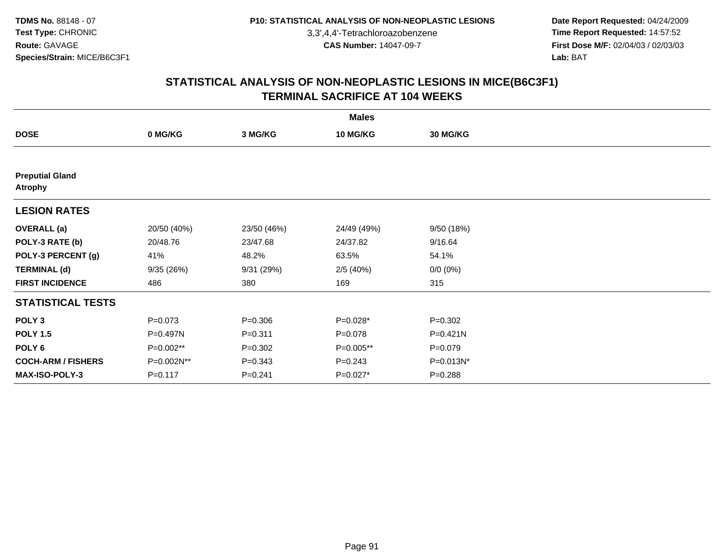3,3',4,4'-Tetrachloroazobenzene

 **Date Report Requested:** 04/24/2009 **Time Report Requested:** 14:57:52 **First Dose M/F:** 02/04/03 / 02/03/03<br>Lab: BAT **Lab:** BAT

|                                          | <b>Males</b> |             |             |                 |  |  |  |  |
|------------------------------------------|--------------|-------------|-------------|-----------------|--|--|--|--|
| <b>DOSE</b>                              | 0 MG/KG      | 3 MG/KG     | 10 MG/KG    | <b>30 MG/KG</b> |  |  |  |  |
|                                          |              |             |             |                 |  |  |  |  |
| <b>Preputial Gland</b><br><b>Atrophy</b> |              |             |             |                 |  |  |  |  |
| <b>LESION RATES</b>                      |              |             |             |                 |  |  |  |  |
| <b>OVERALL</b> (a)                       | 20/50 (40%)  | 23/50 (46%) | 24/49 (49%) | 9/50(18%)       |  |  |  |  |
| POLY-3 RATE (b)                          | 20/48.76     | 23/47.68    | 24/37.82    | 9/16.64         |  |  |  |  |
| POLY-3 PERCENT (g)                       | 41%          | 48.2%       | 63.5%       | 54.1%           |  |  |  |  |
| <b>TERMINAL (d)</b>                      | 9/35(26%)    | 9/31(29%)   | 2/5(40%)    | $0/0 (0\%)$     |  |  |  |  |
| <b>FIRST INCIDENCE</b>                   | 486          | 380         | 169         | 315             |  |  |  |  |
| <b>STATISTICAL TESTS</b>                 |              |             |             |                 |  |  |  |  |
| POLY <sub>3</sub>                        | $P = 0.073$  | $P = 0.306$ | P=0.028*    | $P=0.302$       |  |  |  |  |
| <b>POLY 1.5</b>                          | P=0.497N     | $P = 0.311$ | $P = 0.078$ | $P = 0.421N$    |  |  |  |  |
| POLY <sub>6</sub>                        | P=0.002**    | $P = 0.302$ | P=0.005**   | $P = 0.079$     |  |  |  |  |
| <b>COCH-ARM / FISHERS</b>                | P=0.002N**   | $P = 0.343$ | $P = 0.243$ | P=0.013N*       |  |  |  |  |
| <b>MAX-ISO-POLY-3</b>                    | $P = 0.117$  | $P = 0.241$ | P=0.027*    | $P = 0.288$     |  |  |  |  |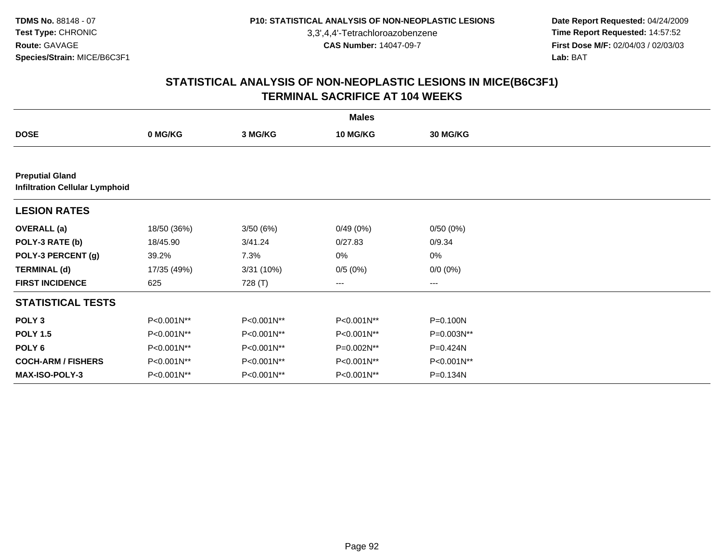3,3',4,4'-Tetrachloroazobenzene

 **Date Report Requested:** 04/24/2009 **Time Report Requested:** 14:57:52 **First Dose M/F:** 02/04/03 / 02/03/03<br>Lab: BAT **Lab:** BAT

|                                                                 | <b>Males</b> |            |                        |                 |  |  |  |  |
|-----------------------------------------------------------------|--------------|------------|------------------------|-----------------|--|--|--|--|
| <b>DOSE</b>                                                     | 0 MG/KG      | 3 MG/KG    | 10 MG/KG               | <b>30 MG/KG</b> |  |  |  |  |
|                                                                 |              |            |                        |                 |  |  |  |  |
| <b>Preputial Gland</b><br><b>Infiltration Cellular Lymphoid</b> |              |            |                        |                 |  |  |  |  |
| <b>LESION RATES</b>                                             |              |            |                        |                 |  |  |  |  |
| <b>OVERALL</b> (a)                                              | 18/50 (36%)  | 3/50(6%)   | 0/49(0%)               | 0/50(0%)        |  |  |  |  |
| POLY-3 RATE (b)                                                 | 18/45.90     | 3/41.24    | 0/27.83                | 0/9.34          |  |  |  |  |
| POLY-3 PERCENT (g)                                              | 39.2%        | 7.3%       | 0%                     | 0%              |  |  |  |  |
| <b>TERMINAL (d)</b>                                             | 17/35 (49%)  | 3/31 (10%) | 0/5(0%)                | $0/0 (0\%)$     |  |  |  |  |
| <b>FIRST INCIDENCE</b>                                          | 625          | 728 (T)    | $\qquad \qquad \cdots$ | ---             |  |  |  |  |
| <b>STATISTICAL TESTS</b>                                        |              |            |                        |                 |  |  |  |  |
| POLY <sub>3</sub>                                               | P<0.001N**   | P<0.001N** | P<0.001N**             | P=0.100N        |  |  |  |  |
| <b>POLY 1.5</b>                                                 | P<0.001N**   | P<0.001N** | P<0.001N**             | P=0.003N**      |  |  |  |  |
| POLY 6                                                          | P<0.001N**   | P<0.001N** | P=0.002N**             | P=0.424N        |  |  |  |  |
| <b>COCH-ARM / FISHERS</b>                                       | P<0.001N**   | P<0.001N** | P<0.001N**             | P<0.001N**      |  |  |  |  |
| <b>MAX-ISO-POLY-3</b>                                           | P<0.001N**   | P<0.001N** | P<0.001N**             | P=0.134N        |  |  |  |  |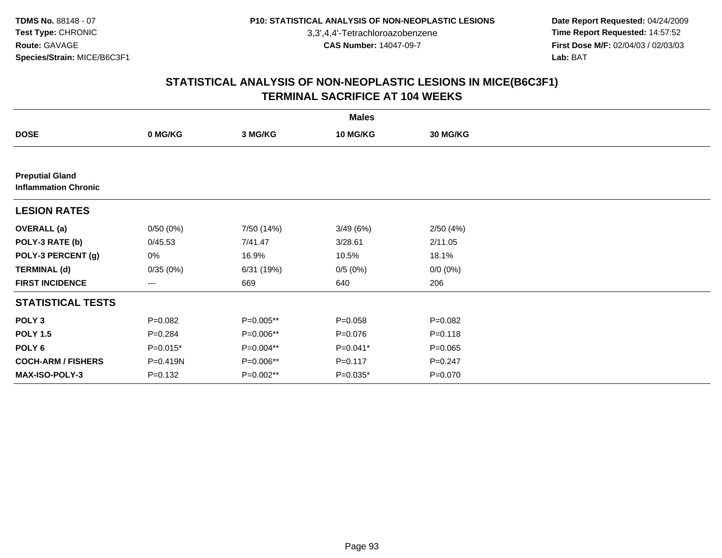3,3',4,4'-Tetrachloroazobenzene

 **Date Report Requested:** 04/24/2009 **Time Report Requested:** 14:57:52 **First Dose M/F:** 02/04/03 / 02/03/03<br>Lab: BAT **Lab:** BAT

| <b>Males</b>                                          |             |            |             |                 |  |  |  |  |
|-------------------------------------------------------|-------------|------------|-------------|-----------------|--|--|--|--|
| <b>DOSE</b>                                           | 0 MG/KG     | 3 MG/KG    | 10 MG/KG    | <b>30 MG/KG</b> |  |  |  |  |
|                                                       |             |            |             |                 |  |  |  |  |
| <b>Preputial Gland</b><br><b>Inflammation Chronic</b> |             |            |             |                 |  |  |  |  |
| <b>LESION RATES</b>                                   |             |            |             |                 |  |  |  |  |
| <b>OVERALL</b> (a)                                    | 0/50(0%)    | 7/50 (14%) | 3/49(6%)    | 2/50(4%)        |  |  |  |  |
| POLY-3 RATE (b)                                       | 0/45.53     | 7/41.47    | 3/28.61     | 2/11.05         |  |  |  |  |
| POLY-3 PERCENT (g)                                    | 0%          | 16.9%      | 10.5%       | 18.1%           |  |  |  |  |
| <b>TERMINAL (d)</b>                                   | 0/35(0%)    | 6/31 (19%) | 0/5(0%)     | $0/0 (0\%)$     |  |  |  |  |
| <b>FIRST INCIDENCE</b>                                | $---$       | 669        | 640         | 206             |  |  |  |  |
| <b>STATISTICAL TESTS</b>                              |             |            |             |                 |  |  |  |  |
| POLY <sub>3</sub>                                     | $P = 0.082$ | P=0.005**  | $P = 0.058$ | $P = 0.082$     |  |  |  |  |
| <b>POLY 1.5</b>                                       | $P = 0.284$ | P=0.006**  | $P = 0.076$ | $P = 0.118$     |  |  |  |  |
| POLY <sub>6</sub>                                     | $P=0.015*$  | P=0.004**  | $P=0.041*$  | $P = 0.065$     |  |  |  |  |
| <b>COCH-ARM / FISHERS</b>                             | P=0.419N    | P=0.006**  | $P = 0.117$ | $P = 0.247$     |  |  |  |  |
| <b>MAX-ISO-POLY-3</b>                                 | $P = 0.132$ | P=0.002**  | $P=0.035*$  | P=0.070         |  |  |  |  |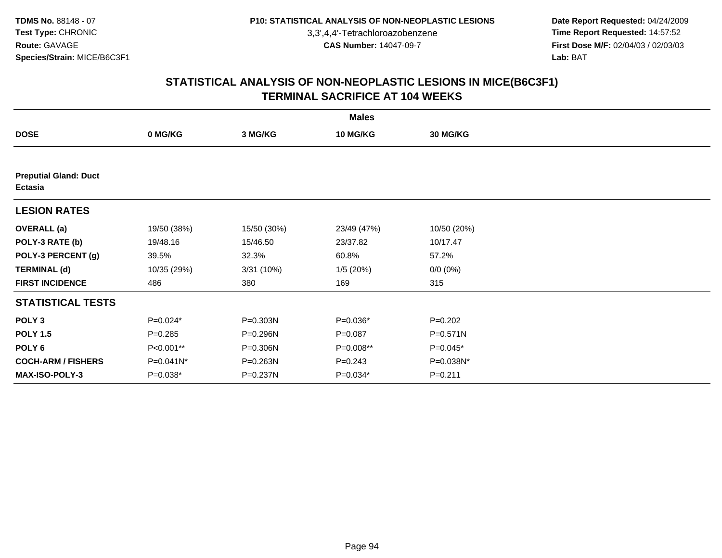3,3',4,4'-Tetrachloroazobenzene

 **Date Report Requested:** 04/24/2009 **Time Report Requested:** 14:57:52 **First Dose M/F:** 02/04/03 / 02/03/03<br>Lab: BAT **Lab:** BAT

|                                         | <b>Males</b> |             |             |                 |  |  |  |  |
|-----------------------------------------|--------------|-------------|-------------|-----------------|--|--|--|--|
| <b>DOSE</b>                             | 0 MG/KG      | 3 MG/KG     | 10 MG/KG    | <b>30 MG/KG</b> |  |  |  |  |
|                                         |              |             |             |                 |  |  |  |  |
| <b>Preputial Gland: Duct</b><br>Ectasia |              |             |             |                 |  |  |  |  |
| <b>LESION RATES</b>                     |              |             |             |                 |  |  |  |  |
| <b>OVERALL</b> (a)                      | 19/50 (38%)  | 15/50 (30%) | 23/49 (47%) | 10/50 (20%)     |  |  |  |  |
| POLY-3 RATE (b)                         | 19/48.16     | 15/46.50    | 23/37.82    | 10/17.47        |  |  |  |  |
| POLY-3 PERCENT (g)                      | 39.5%        | 32.3%       | 60.8%       | 57.2%           |  |  |  |  |
| <b>TERMINAL (d)</b>                     | 10/35 (29%)  | 3/31(10%)   | 1/5(20%)    | $0/0 (0\%)$     |  |  |  |  |
| <b>FIRST INCIDENCE</b>                  | 486          | 380         | 169         | 315             |  |  |  |  |
| <b>STATISTICAL TESTS</b>                |              |             |             |                 |  |  |  |  |
| POLY <sub>3</sub>                       | $P=0.024*$   | P=0.303N    | $P=0.036*$  | $P=0.202$       |  |  |  |  |
| <b>POLY 1.5</b>                         | $P = 0.285$  | P=0.296N    | $P = 0.087$ | $P = 0.571N$    |  |  |  |  |
| POLY <sub>6</sub>                       | P<0.001**    | P=0.306N    | P=0.008**   | $P=0.045*$      |  |  |  |  |
| <b>COCH-ARM / FISHERS</b>               | P=0.041N*    | P=0.263N    | $P = 0.243$ | P=0.038N*       |  |  |  |  |
| <b>MAX-ISO-POLY-3</b>                   | P=0.038*     | P=0.237N    | P=0.034*    | $P = 0.211$     |  |  |  |  |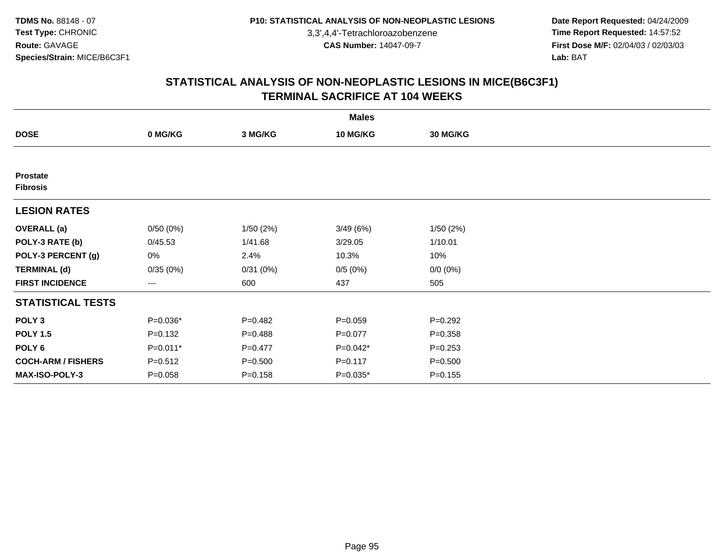3,3',4,4'-Tetrachloroazobenzene

 **Date Report Requested:** 04/24/2009 **Time Report Requested:** 14:57:52 **First Dose M/F:** 02/04/03 / 02/03/03<br>Lab: BAT **Lab:** BAT

|                                    |             |             | <b>Males</b> |             |  |
|------------------------------------|-------------|-------------|--------------|-------------|--|
| <b>DOSE</b>                        | 0 MG/KG     | 3 MG/KG     | 10 MG/KG     | 30 MG/KG    |  |
|                                    |             |             |              |             |  |
| <b>Prostate</b><br><b>Fibrosis</b> |             |             |              |             |  |
| <b>LESION RATES</b>                |             |             |              |             |  |
| <b>OVERALL</b> (a)                 | 0/50(0%)    | 1/50(2%)    | 3/49(6%)     | 1/50(2%)    |  |
| POLY-3 RATE (b)                    | 0/45.53     | 1/41.68     | 3/29.05      | 1/10.01     |  |
| POLY-3 PERCENT (g)                 | 0%          | 2.4%        | 10.3%        | 10%         |  |
| <b>TERMINAL (d)</b>                | 0/35(0%)    | 0/31(0%)    | 0/5(0%)      | $0/0 (0\%)$ |  |
| <b>FIRST INCIDENCE</b>             | $--$        | 600         | 437          | 505         |  |
| <b>STATISTICAL TESTS</b>           |             |             |              |             |  |
| POLY <sub>3</sub>                  | P=0.036*    | $P=0.482$   | $P = 0.059$  | $P=0.292$   |  |
| <b>POLY 1.5</b>                    | $P = 0.132$ | $P = 0.488$ | $P = 0.077$  | $P = 0.358$ |  |
| POLY <sub>6</sub>                  | P=0.011*    | $P=0.477$   | $P=0.042*$   | $P = 0.253$ |  |
| <b>COCH-ARM / FISHERS</b>          | $P = 0.512$ | $P = 0.500$ | $P = 0.117$  | $P = 0.500$ |  |
| <b>MAX-ISO-POLY-3</b>              | $P = 0.058$ | $P = 0.158$ | $P=0.035*$   | $P = 0.155$ |  |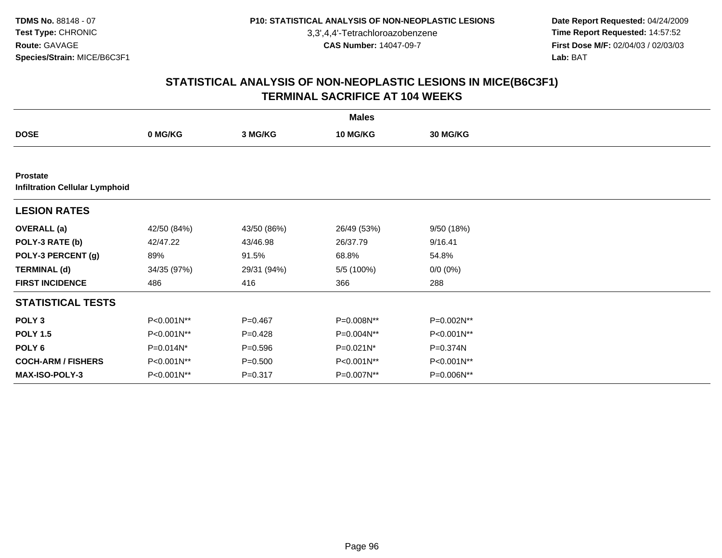3,3',4,4'-Tetrachloroazobenzene

 **Date Report Requested:** 04/24/2009 **Time Report Requested:** 14:57:52 **First Dose M/F:** 02/04/03 / 02/03/03<br>Lab: BAT **Lab:** BAT

|                                                          | <b>Males</b> |             |              |                 |  |  |  |  |
|----------------------------------------------------------|--------------|-------------|--------------|-----------------|--|--|--|--|
| <b>DOSE</b>                                              | 0 MG/KG      | 3 MG/KG     | 10 MG/KG     | <b>30 MG/KG</b> |  |  |  |  |
|                                                          |              |             |              |                 |  |  |  |  |
| <b>Prostate</b><br><b>Infiltration Cellular Lymphoid</b> |              |             |              |                 |  |  |  |  |
| <b>LESION RATES</b>                                      |              |             |              |                 |  |  |  |  |
| <b>OVERALL</b> (a)                                       | 42/50 (84%)  | 43/50 (86%) | 26/49 (53%)  | 9/50 (18%)      |  |  |  |  |
| POLY-3 RATE (b)                                          | 42/47.22     | 43/46.98    | 26/37.79     | 9/16.41         |  |  |  |  |
| POLY-3 PERCENT (g)                                       | 89%          | 91.5%       | 68.8%        | 54.8%           |  |  |  |  |
| <b>TERMINAL (d)</b>                                      | 34/35 (97%)  | 29/31 (94%) | 5/5 (100%)   | $0/0 (0\%)$     |  |  |  |  |
| <b>FIRST INCIDENCE</b>                                   | 486          | 416         | 366          | 288             |  |  |  |  |
| <b>STATISTICAL TESTS</b>                                 |              |             |              |                 |  |  |  |  |
| POLY <sub>3</sub>                                        | P<0.001N**   | $P = 0.467$ | P=0.008N**   | P=0.002N**      |  |  |  |  |
| <b>POLY 1.5</b>                                          | P<0.001N**   | $P=0.428$   | P=0.004N**   | P<0.001N**      |  |  |  |  |
| POLY 6                                                   | P=0.014N*    | $P = 0.596$ | $P=0.021N^*$ | P=0.374N        |  |  |  |  |
| <b>COCH-ARM / FISHERS</b>                                | P<0.001N**   | $P = 0.500$ | P<0.001N**   | P<0.001N**      |  |  |  |  |
| <b>MAX-ISO-POLY-3</b>                                    | P<0.001N**   | $P = 0.317$ | P=0.007N**   | P=0.006N**      |  |  |  |  |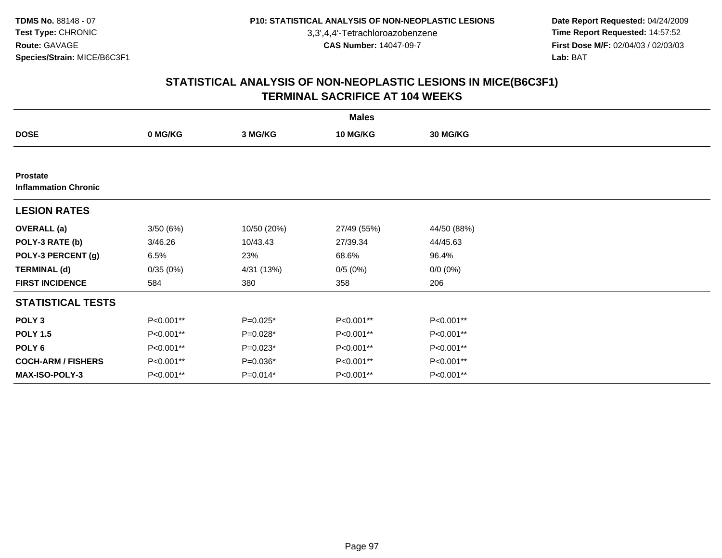3,3',4,4'-Tetrachloroazobenzene

 **Date Report Requested:** 04/24/2009 **Time Report Requested:** 14:57:52 **First Dose M/F:** 02/04/03 / 02/03/03<br>Lab: BAT **Lab:** BAT

|                                                | <b>Males</b> |             |                 |                 |  |  |  |  |
|------------------------------------------------|--------------|-------------|-----------------|-----------------|--|--|--|--|
| <b>DOSE</b>                                    | 0 MG/KG      | 3 MG/KG     | <b>10 MG/KG</b> | <b>30 MG/KG</b> |  |  |  |  |
|                                                |              |             |                 |                 |  |  |  |  |
| <b>Prostate</b><br><b>Inflammation Chronic</b> |              |             |                 |                 |  |  |  |  |
| <b>LESION RATES</b>                            |              |             |                 |                 |  |  |  |  |
| <b>OVERALL</b> (a)                             | 3/50(6%)     | 10/50 (20%) | 27/49 (55%)     | 44/50 (88%)     |  |  |  |  |
| POLY-3 RATE (b)                                | 3/46.26      | 10/43.43    | 27/39.34        | 44/45.63        |  |  |  |  |
| POLY-3 PERCENT (g)                             | 6.5%         | 23%         | 68.6%           | 96.4%           |  |  |  |  |
| <b>TERMINAL (d)</b>                            | 0/35(0%)     | 4/31 (13%)  | 0/5(0%)         | $0/0 (0\%)$     |  |  |  |  |
| <b>FIRST INCIDENCE</b>                         | 584          | 380         | 358             | 206             |  |  |  |  |
| <b>STATISTICAL TESTS</b>                       |              |             |                 |                 |  |  |  |  |
| POLY <sub>3</sub>                              | P<0.001**    | $P=0.025*$  | P<0.001**       | P<0.001**       |  |  |  |  |
| <b>POLY 1.5</b>                                | P<0.001**    | $P=0.028*$  | P<0.001**       | P<0.001**       |  |  |  |  |
| POLY 6                                         | P<0.001**    | $P=0.023*$  | P<0.001**       | P<0.001**       |  |  |  |  |
| <b>COCH-ARM / FISHERS</b>                      | P<0.001**    | $P=0.036*$  | P<0.001**       | P<0.001**       |  |  |  |  |
| <b>MAX-ISO-POLY-3</b>                          | P<0.001**    | $P=0.014*$  | P<0.001**       | P<0.001**       |  |  |  |  |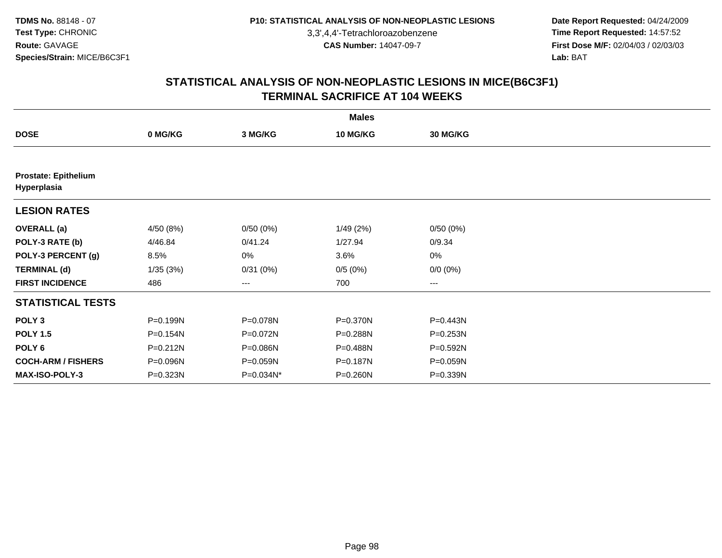3,3',4,4'-Tetrachloroazobenzene

 **Date Report Requested:** 04/24/2009 **Time Report Requested:** 14:57:52 **First Dose M/F:** 02/04/03 / 02/03/03<br>Lab: BAT **Lab:** BAT

|                                            |           |           | <b>Males</b>    |             |  |
|--------------------------------------------|-----------|-----------|-----------------|-------------|--|
| <b>DOSE</b>                                | 0 MG/KG   | 3 MG/KG   | <b>10 MG/KG</b> | 30 MG/KG    |  |
|                                            |           |           |                 |             |  |
| <b>Prostate: Epithelium</b><br>Hyperplasia |           |           |                 |             |  |
| <b>LESION RATES</b>                        |           |           |                 |             |  |
| <b>OVERALL</b> (a)                         | 4/50 (8%) | 0/50(0%)  | 1/49(2%)        | 0/50(0%)    |  |
| POLY-3 RATE (b)                            | 4/46.84   | 0/41.24   | 1/27.94         | 0/9.34      |  |
| POLY-3 PERCENT (g)                         | 8.5%      | 0%        | 3.6%            | 0%          |  |
| <b>TERMINAL (d)</b>                        | 1/35(3%)  | 0/31(0%)  | 0/5(0%)         | $0/0 (0\%)$ |  |
| <b>FIRST INCIDENCE</b>                     | 486       | ---       | 700             | $--$        |  |
| <b>STATISTICAL TESTS</b>                   |           |           |                 |             |  |
| POLY <sub>3</sub>                          | P=0.199N  | P=0.078N  | P=0.370N        | P=0.443N    |  |
| <b>POLY 1.5</b>                            | P=0.154N  | P=0.072N  | P=0.288N        | P=0.253N    |  |
| POLY 6                                     | P=0.212N  | P=0.086N  | P=0.488N        | P=0.592N    |  |
| <b>COCH-ARM / FISHERS</b>                  | P=0.096N  | P=0.059N  | P=0.187N        | P=0.059N    |  |
| MAX-ISO-POLY-3                             | P=0.323N  | P=0.034N* | P=0.260N        | P=0.339N    |  |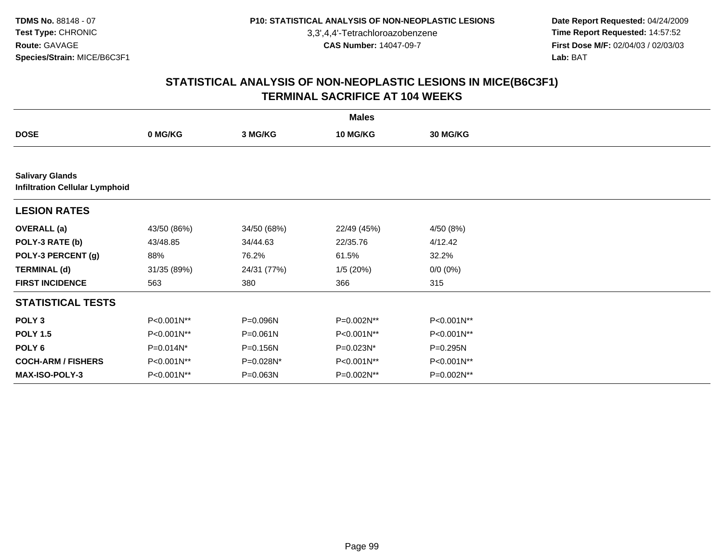3,3',4,4'-Tetrachloroazobenzene

 **Date Report Requested:** 04/24/2009 **Time Report Requested:** 14:57:52 **First Dose M/F:** 02/04/03 / 02/03/03<br>Lab: BAT **Lab:** BAT

|                           | <b>Males</b>                          |              |             |                 |  |  |  |  |  |
|---------------------------|---------------------------------------|--------------|-------------|-----------------|--|--|--|--|--|
| <b>DOSE</b>               | 0 MG/KG                               | 3 MG/KG      | 10 MG/KG    | <b>30 MG/KG</b> |  |  |  |  |  |
|                           |                                       |              |             |                 |  |  |  |  |  |
| <b>Salivary Glands</b>    | <b>Infiltration Cellular Lymphoid</b> |              |             |                 |  |  |  |  |  |
| <b>LESION RATES</b>       |                                       |              |             |                 |  |  |  |  |  |
| <b>OVERALL</b> (a)        | 43/50 (86%)                           | 34/50 (68%)  | 22/49 (45%) | 4/50 (8%)       |  |  |  |  |  |
| POLY-3 RATE (b)           | 43/48.85                              | 34/44.63     | 22/35.76    | 4/12.42         |  |  |  |  |  |
| POLY-3 PERCENT (g)        | 88%                                   | 76.2%        | 61.5%       | 32.2%           |  |  |  |  |  |
| <b>TERMINAL (d)</b>       | 31/35 (89%)                           | 24/31 (77%)  | 1/5(20%)    | $0/0 (0\%)$     |  |  |  |  |  |
| <b>FIRST INCIDENCE</b>    | 563                                   | 380          | 366         | 315             |  |  |  |  |  |
| <b>STATISTICAL TESTS</b>  |                                       |              |             |                 |  |  |  |  |  |
| POLY <sub>3</sub>         | P<0.001N**                            | P=0.096N     | P=0.002N**  | P<0.001N**      |  |  |  |  |  |
| <b>POLY 1.5</b>           | P<0.001N**                            | $P = 0.061N$ | P<0.001N**  | P<0.001N**      |  |  |  |  |  |
| POLY 6                    | P=0.014N*                             | P=0.156N     | P=0.023N*   | P=0.295N        |  |  |  |  |  |
| <b>COCH-ARM / FISHERS</b> | P<0.001N**                            | P=0.028N*    | P<0.001N**  | P<0.001N**      |  |  |  |  |  |
| MAX-ISO-POLY-3            | P<0.001N**                            | P=0.063N     | P=0.002N**  | P=0.002N**      |  |  |  |  |  |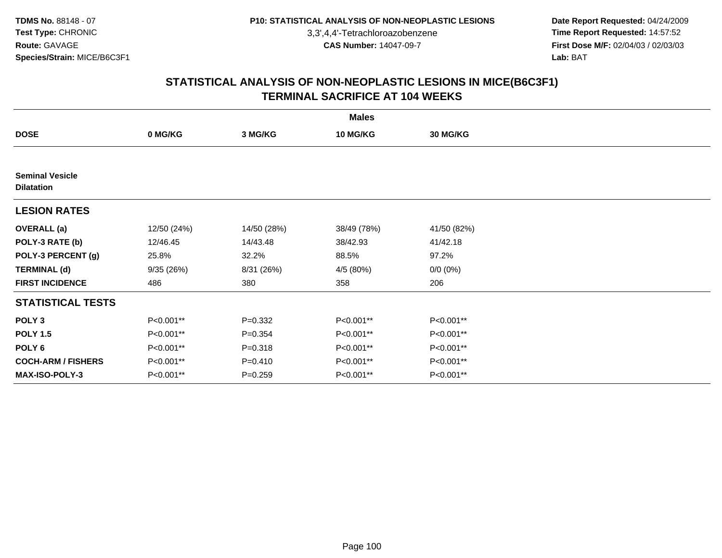3,3',4,4'-Tetrachloroazobenzene

 **Date Report Requested:** 04/24/2009 **Time Report Requested:** 14:57:52 **First Dose M/F:** 02/04/03 / 02/03/03<br>Lab: BAT **Lab:** BAT

|                                             | <b>Males</b> |             |             |                 |  |  |  |
|---------------------------------------------|--------------|-------------|-------------|-----------------|--|--|--|
| <b>DOSE</b>                                 | 0 MG/KG      | 3 MG/KG     | 10 MG/KG    | <b>30 MG/KG</b> |  |  |  |
|                                             |              |             |             |                 |  |  |  |
| <b>Seminal Vesicle</b><br><b>Dilatation</b> |              |             |             |                 |  |  |  |
| <b>LESION RATES</b>                         |              |             |             |                 |  |  |  |
| <b>OVERALL</b> (a)                          | 12/50 (24%)  | 14/50 (28%) | 38/49 (78%) | 41/50 (82%)     |  |  |  |
| POLY-3 RATE (b)                             | 12/46.45     | 14/43.48    | 38/42.93    | 41/42.18        |  |  |  |
| POLY-3 PERCENT (g)                          | 25.8%        | 32.2%       | 88.5%       | 97.2%           |  |  |  |
| <b>TERMINAL (d)</b>                         | 9/35(26%)    | 8/31 (26%)  | 4/5 (80%)   | $0/0 (0\%)$     |  |  |  |
| <b>FIRST INCIDENCE</b>                      | 486          | 380         | 358         | 206             |  |  |  |
| <b>STATISTICAL TESTS</b>                    |              |             |             |                 |  |  |  |
| POLY <sub>3</sub>                           | P<0.001**    | $P=0.332$   | P<0.001**   | P<0.001**       |  |  |  |
| <b>POLY 1.5</b>                             | P<0.001**    | $P = 0.354$ | P<0.001**   | P<0.001**       |  |  |  |
| POLY <sub>6</sub>                           | P<0.001**    | $P = 0.318$ | P<0.001**   | P<0.001**       |  |  |  |
| <b>COCH-ARM / FISHERS</b>                   | P<0.001**    | $P=0.410$   | P<0.001**   | P<0.001**       |  |  |  |
| <b>MAX-ISO-POLY-3</b>                       | P<0.001**    | $P = 0.259$ | P<0.001**   | P<0.001**       |  |  |  |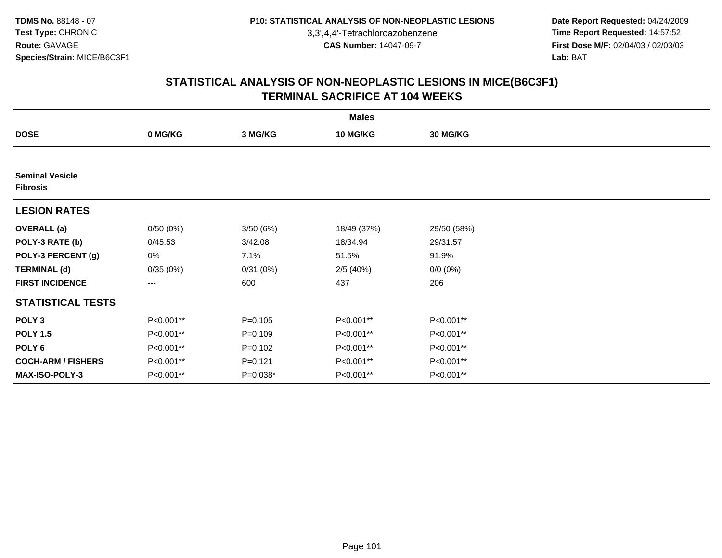3,3',4,4'-Tetrachloroazobenzene

 **Date Report Requested:** 04/24/2009 **Time Report Requested:** 14:57:52 **First Dose M/F:** 02/04/03 / 02/03/03<br>Lab: BAT **Lab:** BAT

|                                           | <b>Males</b> |             |             |             |  |  |  |
|-------------------------------------------|--------------|-------------|-------------|-------------|--|--|--|
| <b>DOSE</b>                               | 0 MG/KG      | 3 MG/KG     | 10 MG/KG    | 30 MG/KG    |  |  |  |
|                                           |              |             |             |             |  |  |  |
| <b>Seminal Vesicle</b><br><b>Fibrosis</b> |              |             |             |             |  |  |  |
| <b>LESION RATES</b>                       |              |             |             |             |  |  |  |
| <b>OVERALL</b> (a)                        | 0/50(0%)     | 3/50(6%)    | 18/49 (37%) | 29/50 (58%) |  |  |  |
| POLY-3 RATE (b)                           | 0/45.53      | 3/42.08     | 18/34.94    | 29/31.57    |  |  |  |
| POLY-3 PERCENT (g)                        | 0%           | 7.1%        | 51.5%       | 91.9%       |  |  |  |
| <b>TERMINAL (d)</b>                       | 0/35(0%)     | 0/31(0%)    | 2/5(40%)    | $0/0 (0\%)$ |  |  |  |
| <b>FIRST INCIDENCE</b>                    | $---$        | 600         | 437         | 206         |  |  |  |
| <b>STATISTICAL TESTS</b>                  |              |             |             |             |  |  |  |
| POLY <sub>3</sub>                         | P<0.001**    | $P = 0.105$ | P<0.001**   | P<0.001**   |  |  |  |
| <b>POLY 1.5</b>                           | P<0.001**    | $P = 0.109$ | P<0.001**   | P<0.001**   |  |  |  |
| POLY <sub>6</sub>                         | P<0.001**    | $P = 0.102$ | P<0.001**   | P<0.001**   |  |  |  |
| <b>COCH-ARM / FISHERS</b>                 | P<0.001**    | $P = 0.121$ | P<0.001**   | P<0.001**   |  |  |  |
| <b>MAX-ISO-POLY-3</b>                     | P<0.001**    | P=0.038*    | P<0.001**   | P<0.001**   |  |  |  |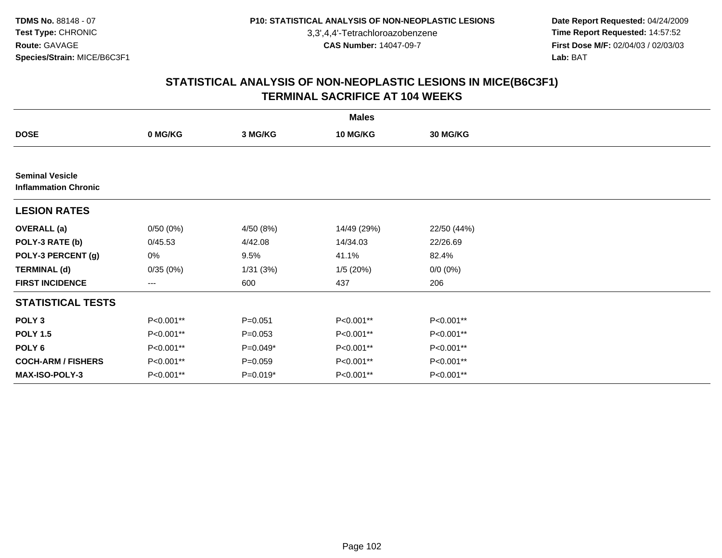3,3',4,4'-Tetrachloroazobenzene

 **Date Report Requested:** 04/24/2009 **Time Report Requested:** 14:57:52 **First Dose M/F:** 02/04/03 / 02/03/03<br>Lab: BAT **Lab:** BAT

|                                                       |           |             | <b>Males</b> |                 |  |
|-------------------------------------------------------|-----------|-------------|--------------|-----------------|--|
| <b>DOSE</b>                                           | 0 MG/KG   | 3 MG/KG     | 10 MG/KG     | <b>30 MG/KG</b> |  |
|                                                       |           |             |              |                 |  |
| <b>Seminal Vesicle</b><br><b>Inflammation Chronic</b> |           |             |              |                 |  |
| <b>LESION RATES</b>                                   |           |             |              |                 |  |
| <b>OVERALL</b> (a)                                    | 0/50(0%)  | 4/50 (8%)   | 14/49 (29%)  | 22/50 (44%)     |  |
| POLY-3 RATE (b)                                       | 0/45.53   | 4/42.08     | 14/34.03     | 22/26.69        |  |
| POLY-3 PERCENT (g)                                    | 0%        | 9.5%        | 41.1%        | 82.4%           |  |
| <b>TERMINAL (d)</b>                                   | 0/35(0%)  | 1/31(3%)    | 1/5(20%)     | $0/0 (0\%)$     |  |
| <b>FIRST INCIDENCE</b>                                | ---       | 600         | 437          | 206             |  |
| <b>STATISTICAL TESTS</b>                              |           |             |              |                 |  |
| POLY <sub>3</sub>                                     | P<0.001** | $P = 0.051$ | P<0.001**    | P<0.001**       |  |
| <b>POLY 1.5</b>                                       | P<0.001** | $P = 0.053$ | P<0.001**    | P<0.001**       |  |
| POLY 6                                                | P<0.001** | $P=0.049*$  | P<0.001**    | P<0.001**       |  |
| <b>COCH-ARM / FISHERS</b>                             | P<0.001** | $P = 0.059$ | P<0.001**    | P<0.001**       |  |
| MAX-ISO-POLY-3                                        | P<0.001** | P=0.019*    | P<0.001**    | P<0.001**       |  |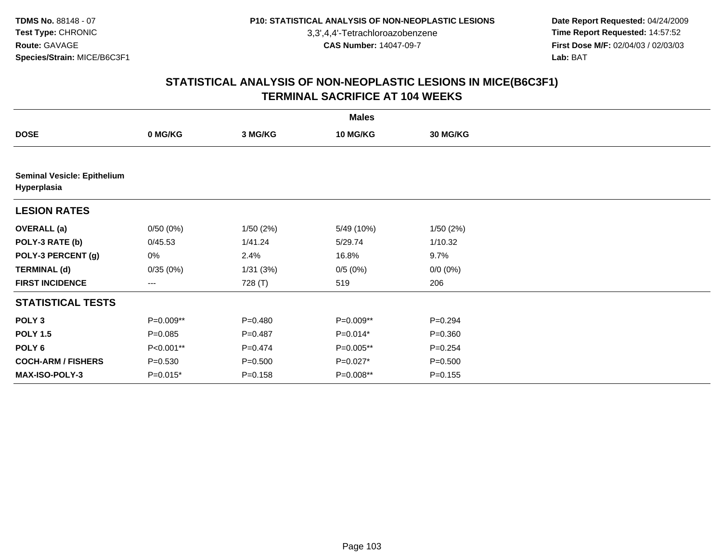3,3',4,4'-Tetrachloroazobenzene

 **Date Report Requested:** 04/24/2009 **Time Report Requested:** 14:57:52 **First Dose M/F:** 02/04/03 / 02/03/03<br>Lab: BAT **Lab:** BAT

|                                                   |             |             | <b>Males</b> |             |  |
|---------------------------------------------------|-------------|-------------|--------------|-------------|--|
| <b>DOSE</b>                                       | 0 MG/KG     | 3 MG/KG     | 10 MG/KG     | 30 MG/KG    |  |
|                                                   |             |             |              |             |  |
| <b>Seminal Vesicle: Epithelium</b><br>Hyperplasia |             |             |              |             |  |
| <b>LESION RATES</b>                               |             |             |              |             |  |
| <b>OVERALL</b> (a)                                | 0/50(0%)    | 1/50(2%)    | 5/49 (10%)   | 1/50(2%)    |  |
| POLY-3 RATE (b)                                   | 0/45.53     | 1/41.24     | 5/29.74      | 1/10.32     |  |
| POLY-3 PERCENT (g)                                | 0%          | 2.4%        | 16.8%        | 9.7%        |  |
| <b>TERMINAL (d)</b>                               | 0/35(0%)    | 1/31(3%)    | 0/5(0%)      | $0/0 (0\%)$ |  |
| <b>FIRST INCIDENCE</b>                            | $--$        | 728 (T)     | 519          | 206         |  |
| <b>STATISTICAL TESTS</b>                          |             |             |              |             |  |
| POLY <sub>3</sub>                                 | P=0.009**   | $P = 0.480$ | P=0.009**    | $P = 0.294$ |  |
| <b>POLY 1.5</b>                                   | $P = 0.085$ | $P = 0.487$ | $P=0.014*$   | $P = 0.360$ |  |
| POLY <sub>6</sub>                                 | P<0.001**   | $P=0.474$   | P=0.005**    | $P = 0.254$ |  |
| <b>COCH-ARM / FISHERS</b>                         | $P = 0.530$ | $P = 0.500$ | $P=0.027*$   | $P = 0.500$ |  |
| <b>MAX-ISO-POLY-3</b>                             | $P=0.015*$  | $P = 0.158$ | P=0.008**    | $P = 0.155$ |  |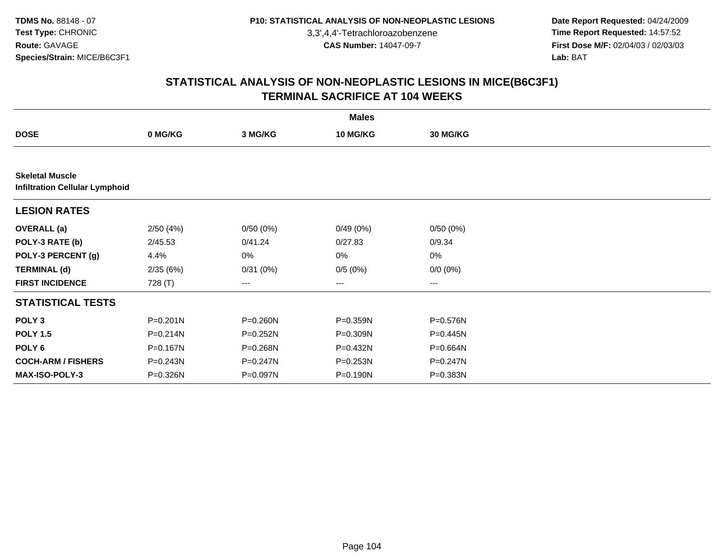3,3',4,4'-Tetrachloroazobenzene

 **Date Report Requested:** 04/24/2009 **Time Report Requested:** 14:57:52 **First Dose M/F:** 02/04/03 / 02/03/03<br>Lab: BAT **Lab:** BAT

|                                                                 |              |              | <b>Males</b> |                 |  |  |  |  |
|-----------------------------------------------------------------|--------------|--------------|--------------|-----------------|--|--|--|--|
| <b>DOSE</b>                                                     | 0 MG/KG      | 3 MG/KG      | 10 MG/KG     | <b>30 MG/KG</b> |  |  |  |  |
|                                                                 |              |              |              |                 |  |  |  |  |
| <b>Skeletal Muscle</b><br><b>Infiltration Cellular Lymphoid</b> |              |              |              |                 |  |  |  |  |
| <b>LESION RATES</b>                                             |              |              |              |                 |  |  |  |  |
| <b>OVERALL</b> (a)                                              | 2/50(4%)     | 0/50(0%)     | 0/49(0%)     | 0/50(0%)        |  |  |  |  |
| POLY-3 RATE (b)                                                 | 2/45.53      | 0/41.24      | 0/27.83      | 0/9.34          |  |  |  |  |
| POLY-3 PERCENT (g)                                              | 4.4%         | 0%           | 0%           | $0\%$           |  |  |  |  |
| <b>TERMINAL (d)</b>                                             | 2/35(6%)     | 0/31(0%)     | 0/5(0%)      | $0/0 (0\%)$     |  |  |  |  |
| <b>FIRST INCIDENCE</b>                                          | 728 (T)      | $---$        | $\cdots$     | $\cdots$        |  |  |  |  |
| <b>STATISTICAL TESTS</b>                                        |              |              |              |                 |  |  |  |  |
| POLY <sub>3</sub>                                               | P=0.201N     | P=0.260N     | $P = 0.359N$ | $P = 0.576N$    |  |  |  |  |
| <b>POLY 1.5</b>                                                 | $P = 0.214N$ | $P = 0.252N$ | P=0.309N     | $P=0.445N$      |  |  |  |  |
| POLY <sub>6</sub>                                               | P=0.167N     | P=0.268N     | P=0.432N     | P=0.664N        |  |  |  |  |
| <b>COCH-ARM / FISHERS</b>                                       | P=0.243N     | P=0.247N     | P=0.253N     | $P = 0.247N$    |  |  |  |  |
| <b>MAX-ISO-POLY-3</b>                                           | P=0.326N     | P=0.097N     | P=0.190N     | P=0.383N        |  |  |  |  |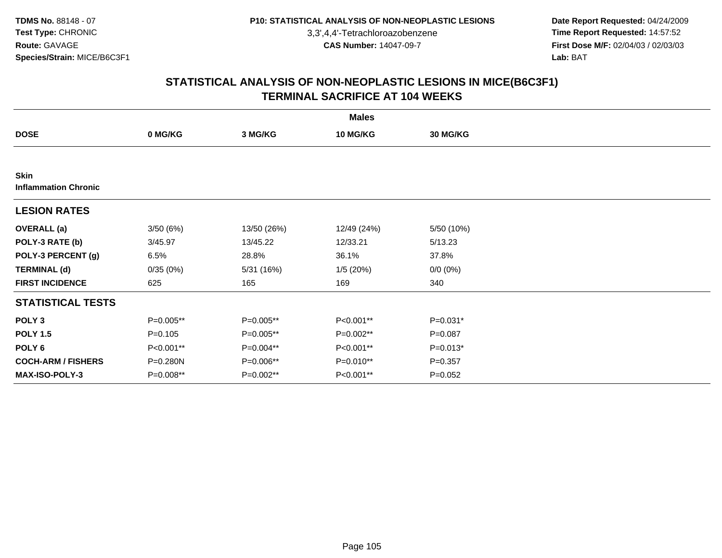3,3',4,4'-Tetrachloroazobenzene

 **Date Report Requested:** 04/24/2009 **Time Report Requested:** 14:57:52 **First Dose M/F:** 02/04/03 / 02/03/03<br>Lab: BAT **Lab:** BAT

|                                            | <b>Males</b> |             |             |                 |  |  |  |  |
|--------------------------------------------|--------------|-------------|-------------|-----------------|--|--|--|--|
| <b>DOSE</b>                                | 0 MG/KG      | 3 MG/KG     | 10 MG/KG    | <b>30 MG/KG</b> |  |  |  |  |
|                                            |              |             |             |                 |  |  |  |  |
| <b>Skin</b><br><b>Inflammation Chronic</b> |              |             |             |                 |  |  |  |  |
| <b>LESION RATES</b>                        |              |             |             |                 |  |  |  |  |
| <b>OVERALL</b> (a)                         | 3/50(6%)     | 13/50 (26%) | 12/49 (24%) | 5/50 (10%)      |  |  |  |  |
| POLY-3 RATE (b)                            | 3/45.97      | 13/45.22    | 12/33.21    | 5/13.23         |  |  |  |  |
| POLY-3 PERCENT (g)                         | 6.5%         | 28.8%       | 36.1%       | 37.8%           |  |  |  |  |
| <b>TERMINAL (d)</b>                        | 0/35(0%)     | 5/31 (16%)  | 1/5(20%)    | $0/0 (0\%)$     |  |  |  |  |
| <b>FIRST INCIDENCE</b>                     | 625          | 165         | 169         | 340             |  |  |  |  |
| <b>STATISTICAL TESTS</b>                   |              |             |             |                 |  |  |  |  |
| POLY <sub>3</sub>                          | P=0.005**    | P=0.005**   | P<0.001**   | P=0.031*        |  |  |  |  |
| <b>POLY 1.5</b>                            | $P = 0.105$  | P=0.005**   | P=0.002**   | $P = 0.087$     |  |  |  |  |
| POLY 6                                     | P<0.001**    | P=0.004**   | P<0.001**   | $P=0.013*$      |  |  |  |  |
| <b>COCH-ARM / FISHERS</b>                  | P=0.280N     | P=0.006**   | P=0.010**   | $P = 0.357$     |  |  |  |  |
| MAX-ISO-POLY-3                             | P=0.008**    | P=0.002**   | P<0.001**   | $P=0.052$       |  |  |  |  |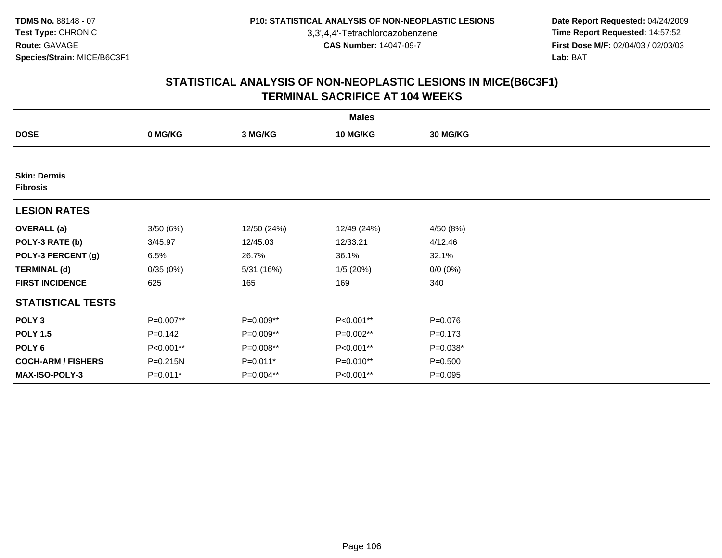3,3',4,4'-Tetrachloroazobenzene

 **Date Report Requested:** 04/24/2009 **Time Report Requested:** 14:57:52 **First Dose M/F:** 02/04/03 / 02/03/03<br>Lab: BAT **Lab:** BAT

|                                        | <b>Males</b> |             |                 |             |  |  |  |  |
|----------------------------------------|--------------|-------------|-----------------|-------------|--|--|--|--|
| <b>DOSE</b>                            | 0 MG/KG      | 3 MG/KG     | <b>10 MG/KG</b> | 30 MG/KG    |  |  |  |  |
|                                        |              |             |                 |             |  |  |  |  |
| <b>Skin: Dermis</b><br><b>Fibrosis</b> |              |             |                 |             |  |  |  |  |
| <b>LESION RATES</b>                    |              |             |                 |             |  |  |  |  |
| <b>OVERALL</b> (a)                     | 3/50(6%)     | 12/50 (24%) | 12/49 (24%)     | 4/50 (8%)   |  |  |  |  |
| POLY-3 RATE (b)                        | 3/45.97      | 12/45.03    | 12/33.21        | 4/12.46     |  |  |  |  |
| POLY-3 PERCENT (g)                     | 6.5%         | 26.7%       | 36.1%           | 32.1%       |  |  |  |  |
| <b>TERMINAL (d)</b>                    | 0/35(0%)     | 5/31 (16%)  | 1/5(20%)        | $0/0 (0\%)$ |  |  |  |  |
| <b>FIRST INCIDENCE</b>                 | 625          | 165         | 169             | 340         |  |  |  |  |
| <b>STATISTICAL TESTS</b>               |              |             |                 |             |  |  |  |  |
| POLY <sub>3</sub>                      | P=0.007**    | P=0.009**   | P<0.001**       | $P = 0.076$ |  |  |  |  |
| <b>POLY 1.5</b>                        | $P=0.142$    | P=0.009**   | P=0.002**       | $P = 0.173$ |  |  |  |  |
| POLY <sub>6</sub>                      | P<0.001**    | P=0.008**   | P<0.001**       | $P=0.038*$  |  |  |  |  |
| <b>COCH-ARM / FISHERS</b>              | $P = 0.215N$ | $P=0.011*$  | P=0.010**       | $P = 0.500$ |  |  |  |  |
| MAX-ISO-POLY-3                         | $P=0.011*$   | P=0.004**   | P<0.001**       | $P=0.095$   |  |  |  |  |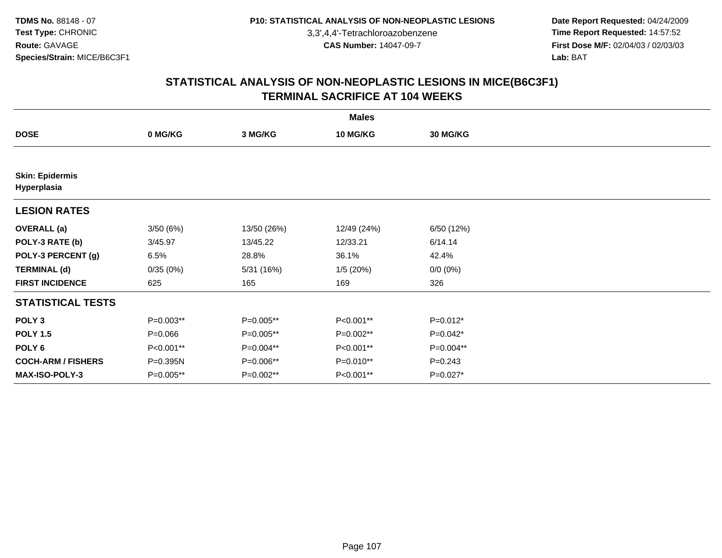3,3',4,4'-Tetrachloroazobenzene

 **Date Report Requested:** 04/24/2009 **Time Report Requested:** 14:57:52 **First Dose M/F:** 02/04/03 / 02/03/03<br>Lab: BAT **Lab:** BAT

|                                       | <b>Males</b> |             |             |                 |  |  |  |  |
|---------------------------------------|--------------|-------------|-------------|-----------------|--|--|--|--|
| <b>DOSE</b>                           | 0 MG/KG      | 3 MG/KG     | 10 MG/KG    | <b>30 MG/KG</b> |  |  |  |  |
|                                       |              |             |             |                 |  |  |  |  |
| <b>Skin: Epidermis</b><br>Hyperplasia |              |             |             |                 |  |  |  |  |
| <b>LESION RATES</b>                   |              |             |             |                 |  |  |  |  |
| <b>OVERALL</b> (a)                    | 3/50(6%)     | 13/50 (26%) | 12/49 (24%) | 6/50 (12%)      |  |  |  |  |
| POLY-3 RATE (b)                       | 3/45.97      | 13/45.22    | 12/33.21    | 6/14.14         |  |  |  |  |
| POLY-3 PERCENT (g)                    | 6.5%         | 28.8%       | 36.1%       | 42.4%           |  |  |  |  |
| <b>TERMINAL (d)</b>                   | 0/35(0%)     | 5/31 (16%)  | 1/5(20%)    | $0/0 (0\%)$     |  |  |  |  |
| <b>FIRST INCIDENCE</b>                | 625          | 165         | 169         | 326             |  |  |  |  |
| <b>STATISTICAL TESTS</b>              |              |             |             |                 |  |  |  |  |
| POLY <sub>3</sub>                     | $P=0.003**$  | P=0.005**   | P<0.001**   | $P=0.012*$      |  |  |  |  |
| <b>POLY 1.5</b>                       | $P = 0.066$  | P=0.005**   | P=0.002**   | $P=0.042*$      |  |  |  |  |
| POLY <sub>6</sub>                     | P<0.001**    | P=0.004**   | P<0.001**   | P=0.004**       |  |  |  |  |
| <b>COCH-ARM / FISHERS</b>             | P=0.395N     | P=0.006**   | P=0.010**   | $P = 0.243$     |  |  |  |  |
| MAX-ISO-POLY-3                        | P=0.005**    | P=0.002**   | P<0.001**   | $P=0.027*$      |  |  |  |  |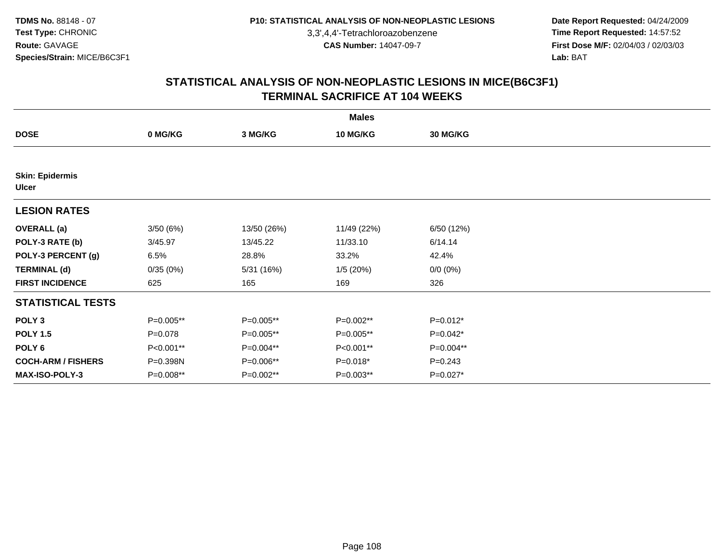3,3',4,4'-Tetrachloroazobenzene

 **Date Report Requested:** 04/24/2009 **Time Report Requested:** 14:57:52 **First Dose M/F:** 02/04/03 / 02/03/03<br>Lab: BAT **Lab:** BAT

|                                        | <b>Males</b> |             |                 |                 |  |  |  |  |
|----------------------------------------|--------------|-------------|-----------------|-----------------|--|--|--|--|
| <b>DOSE</b>                            | 0 MG/KG      | 3 MG/KG     | <b>10 MG/KG</b> | <b>30 MG/KG</b> |  |  |  |  |
|                                        |              |             |                 |                 |  |  |  |  |
| <b>Skin: Epidermis</b><br><b>Ulcer</b> |              |             |                 |                 |  |  |  |  |
| <b>LESION RATES</b>                    |              |             |                 |                 |  |  |  |  |
| <b>OVERALL</b> (a)                     | 3/50(6%)     | 13/50 (26%) | 11/49 (22%)     | 6/50 (12%)      |  |  |  |  |
| POLY-3 RATE (b)                        | 3/45.97      | 13/45.22    | 11/33.10        | 6/14.14         |  |  |  |  |
| POLY-3 PERCENT (g)                     | 6.5%         | 28.8%       | 33.2%           | 42.4%           |  |  |  |  |
| <b>TERMINAL (d)</b>                    | 0/35(0%)     | 5/31 (16%)  | 1/5(20%)        | $0/0 (0\%)$     |  |  |  |  |
| <b>FIRST INCIDENCE</b>                 | 625          | 165         | 169             | 326             |  |  |  |  |
| <b>STATISTICAL TESTS</b>               |              |             |                 |                 |  |  |  |  |
| POLY <sub>3</sub>                      | P=0.005**    | P=0.005**   | P=0.002**       | $P=0.012*$      |  |  |  |  |
| <b>POLY 1.5</b>                        | $P = 0.078$  | P=0.005**   | P=0.005**       | $P=0.042*$      |  |  |  |  |
| POLY <sub>6</sub>                      | P<0.001**    | P=0.004**   | P<0.001**       | P=0.004**       |  |  |  |  |
| <b>COCH-ARM / FISHERS</b>              | P=0.398N     | P=0.006**   | P=0.018*        | $P = 0.243$     |  |  |  |  |
| <b>MAX-ISO-POLY-3</b>                  | P=0.008**    | P=0.002**   | P=0.003**       | $P=0.027*$      |  |  |  |  |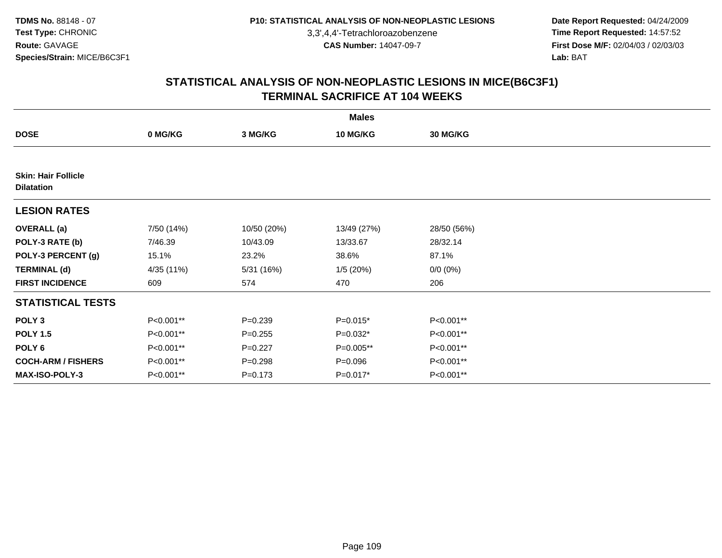3,3',4,4'-Tetrachloroazobenzene

 **Date Report Requested:** 04/24/2009 **Time Report Requested:** 14:57:52 **First Dose M/F:** 02/04/03 / 02/03/03<br>Lab: BAT **Lab:** BAT

| <b>Males</b>                                    |            |             |                 |             |  |  |
|-------------------------------------------------|------------|-------------|-----------------|-------------|--|--|
| <b>DOSE</b>                                     | 0 MG/KG    | 3 MG/KG     | <b>10 MG/KG</b> | 30 MG/KG    |  |  |
|                                                 |            |             |                 |             |  |  |
| <b>Skin: Hair Follicle</b><br><b>Dilatation</b> |            |             |                 |             |  |  |
| <b>LESION RATES</b>                             |            |             |                 |             |  |  |
| <b>OVERALL</b> (a)                              | 7/50 (14%) | 10/50 (20%) | 13/49 (27%)     | 28/50 (56%) |  |  |
| POLY-3 RATE (b)                                 | 7/46.39    | 10/43.09    | 13/33.67        | 28/32.14    |  |  |
| POLY-3 PERCENT (g)                              | 15.1%      | 23.2%       | 38.6%           | 87.1%       |  |  |
| <b>TERMINAL (d)</b>                             | 4/35 (11%) | 5/31(16%)   | 1/5(20%)        | $0/0 (0\%)$ |  |  |
| <b>FIRST INCIDENCE</b>                          | 609        | 574         | 470             | 206         |  |  |
| <b>STATISTICAL TESTS</b>                        |            |             |                 |             |  |  |
| POLY <sub>3</sub>                               | P<0.001**  | $P = 0.239$ | $P=0.015*$      | P<0.001**   |  |  |
| <b>POLY 1.5</b>                                 | P<0.001**  | $P = 0.255$ | P=0.032*        | P<0.001**   |  |  |
| POLY <sub>6</sub>                               | P<0.001**  | $P=0.227$   | P=0.005**       | P<0.001**   |  |  |
| <b>COCH-ARM / FISHERS</b>                       | P<0.001**  | $P = 0.298$ | $P = 0.096$     | P<0.001**   |  |  |
| <b>MAX-ISO-POLY-3</b>                           | P<0.001**  | $P = 0.173$ | P=0.017*        | P<0.001**   |  |  |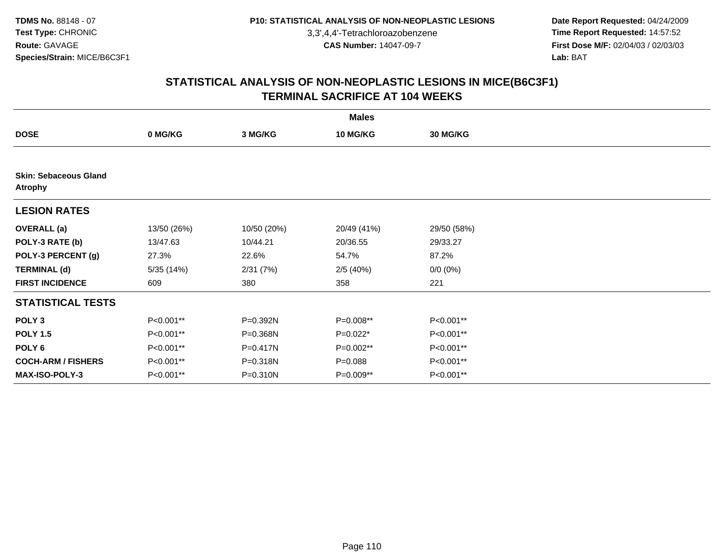3,3',4,4'-Tetrachloroazobenzene

 **Date Report Requested:** 04/24/2009 **Time Report Requested:** 14:57:52 **First Dose M/F:** 02/04/03 / 02/03/03<br>Lab: BAT **Lab:** BAT

| <b>Males</b>                                   |             |              |             |             |  |  |
|------------------------------------------------|-------------|--------------|-------------|-------------|--|--|
| <b>DOSE</b>                                    | 0 MG/KG     | 3 MG/KG      | 10 MG/KG    | 30 MG/KG    |  |  |
|                                                |             |              |             |             |  |  |
| <b>Skin: Sebaceous Gland</b><br><b>Atrophy</b> |             |              |             |             |  |  |
| <b>LESION RATES</b>                            |             |              |             |             |  |  |
| <b>OVERALL</b> (a)                             | 13/50 (26%) | 10/50 (20%)  | 20/49 (41%) | 29/50 (58%) |  |  |
| POLY-3 RATE (b)                                | 13/47.63    | 10/44.21     | 20/36.55    | 29/33.27    |  |  |
| POLY-3 PERCENT (g)                             | 27.3%       | 22.6%        | 54.7%       | 87.2%       |  |  |
| <b>TERMINAL (d)</b>                            | 5/35 (14%)  | 2/31(7%)     | 2/5(40%)    | $0/0 (0\%)$ |  |  |
| <b>FIRST INCIDENCE</b>                         | 609         | 380          | 358         | 221         |  |  |
| <b>STATISTICAL TESTS</b>                       |             |              |             |             |  |  |
| POLY <sub>3</sub>                              | P<0.001**   | P=0.392N     | P=0.008**   | P<0.001**   |  |  |
| <b>POLY 1.5</b>                                | P<0.001**   | P=0.368N     | $P=0.022*$  | P<0.001**   |  |  |
| POLY 6                                         | P<0.001**   | $P = 0.417N$ | P=0.002**   | P<0.001**   |  |  |
| <b>COCH-ARM / FISHERS</b>                      | P<0.001**   | P=0.318N     | $P = 0.088$ | P<0.001**   |  |  |
| MAX-ISO-POLY-3                                 | P<0.001**   | P=0.310N     | P=0.009**   | P<0.001**   |  |  |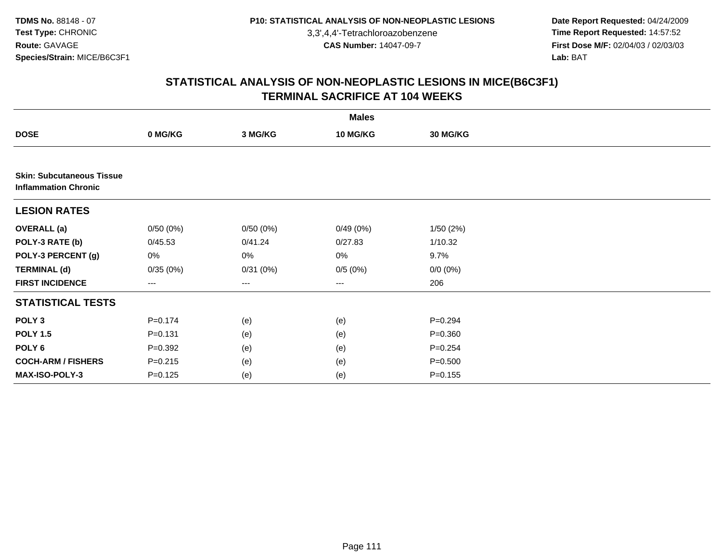3,3',4,4'-Tetrachloroazobenzene

 **Date Report Requested:** 04/24/2009 **Time Report Requested:** 14:57:52 **First Dose M/F:** 02/04/03 / 02/03/03<br>Lab: BAT **Lab:** BAT

|                                                                 |                        |          | <b>Males</b> |                 |  |
|-----------------------------------------------------------------|------------------------|----------|--------------|-----------------|--|
| <b>DOSE</b>                                                     | 0 MG/KG                | 3 MG/KG  | 10 MG/KG     | <b>30 MG/KG</b> |  |
|                                                                 |                        |          |              |                 |  |
| <b>Skin: Subcutaneous Tissue</b><br><b>Inflammation Chronic</b> |                        |          |              |                 |  |
| <b>LESION RATES</b>                                             |                        |          |              |                 |  |
| <b>OVERALL (a)</b>                                              | 0/50(0%)               | 0/50(0%) | 0/49(0%)     | 1/50(2%)        |  |
| POLY-3 RATE (b)                                                 | 0/45.53                | 0/41.24  | 0/27.83      | 1/10.32         |  |
| POLY-3 PERCENT (g)                                              | 0%                     | 0%       | 0%           | 9.7%            |  |
| <b>TERMINAL (d)</b>                                             | 0/35(0%)               | 0/31(0%) | 0/5(0%)      | $0/0 (0\%)$     |  |
| <b>FIRST INCIDENCE</b>                                          | $\qquad \qquad \cdots$ | ---      | $---$        | 206             |  |
| <b>STATISTICAL TESTS</b>                                        |                        |          |              |                 |  |
| POLY <sub>3</sub>                                               | $P=0.174$              | (e)      | (e)          | $P = 0.294$     |  |
| <b>POLY 1.5</b>                                                 | $P = 0.131$            | (e)      | (e)          | $P = 0.360$     |  |
| POLY 6                                                          | $P=0.392$              | (e)      | (e)          | $P = 0.254$     |  |
| <b>COCH-ARM / FISHERS</b>                                       | $P = 0.215$            | (e)      | (e)          | $P = 0.500$     |  |
| MAX-ISO-POLY-3                                                  | $P=0.125$              | (e)      | (e)          | $P = 0.155$     |  |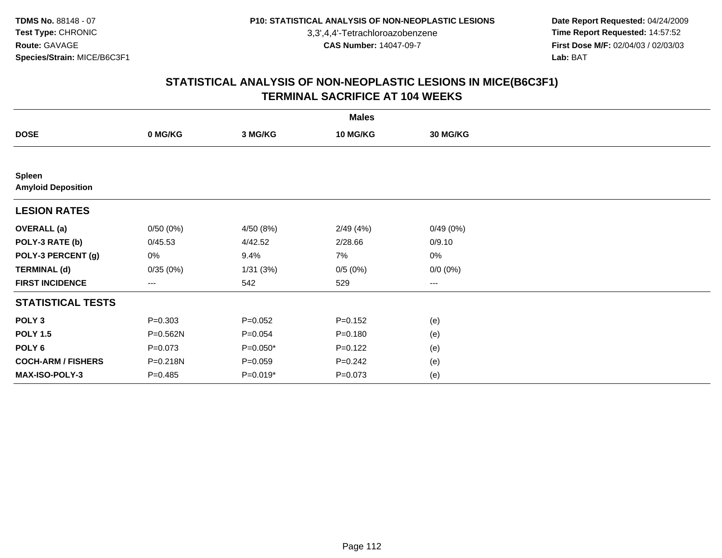3,3',4,4'-Tetrachloroazobenzene

 **Date Report Requested:** 04/24/2009 **Time Report Requested:** 14:57:52 **First Dose M/F:** 02/04/03 / 02/03/03<br>Lab: BAT **Lab:** BAT

|                                            |             |             | <b>Males</b>    |             |  |
|--------------------------------------------|-------------|-------------|-----------------|-------------|--|
| <b>DOSE</b>                                | 0 MG/KG     | 3 MG/KG     | <b>10 MG/KG</b> | 30 MG/KG    |  |
|                                            |             |             |                 |             |  |
| <b>Spleen</b><br><b>Amyloid Deposition</b> |             |             |                 |             |  |
| <b>LESION RATES</b>                        |             |             |                 |             |  |
| <b>OVERALL</b> (a)                         | 0/50(0%)    | 4/50 (8%)   | 2/49(4%)        | 0/49(0%)    |  |
| POLY-3 RATE (b)                            | 0/45.53     | 4/42.52     | 2/28.66         | 0/9.10      |  |
| POLY-3 PERCENT (g)                         | 0%          | 9.4%        | 7%              | 0%          |  |
| <b>TERMINAL (d)</b>                        | 0/35(0%)    | 1/31(3%)    | 0/5(0%)         | $0/0 (0\%)$ |  |
| <b>FIRST INCIDENCE</b>                     | $--$        | 542         | 529             | $---$       |  |
| <b>STATISTICAL TESTS</b>                   |             |             |                 |             |  |
| POLY <sub>3</sub>                          | $P = 0.303$ | $P = 0.052$ | $P = 0.152$     | (e)         |  |
| <b>POLY 1.5</b>                            | P=0.562N    | $P = 0.054$ | $P = 0.180$     | (e)         |  |
| POLY <sub>6</sub>                          | $P = 0.073$ | $P=0.050*$  | $P = 0.122$     | (e)         |  |
| <b>COCH-ARM / FISHERS</b>                  | P=0.218N    | $P = 0.059$ | $P = 0.242$     | (e)         |  |
| MAX-ISO-POLY-3                             | $P=0.485$   | P=0.019*    | $P = 0.073$     | (e)         |  |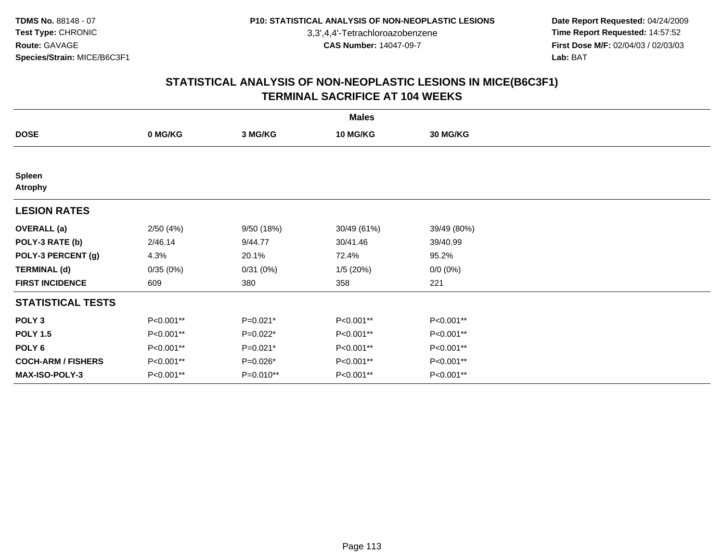3,3',4,4'-Tetrachloroazobenzene

 **Date Report Requested:** 04/24/2009 **Time Report Requested:** 14:57:52 **First Dose M/F:** 02/04/03 / 02/03/03<br>Lab: BAT **Lab:** BAT

| <b>Males</b>                    |           |            |             |                 |  |  |
|---------------------------------|-----------|------------|-------------|-----------------|--|--|
| <b>DOSE</b>                     | 0 MG/KG   | 3 MG/KG    | 10 MG/KG    | <b>30 MG/KG</b> |  |  |
|                                 |           |            |             |                 |  |  |
| <b>Spleen</b><br><b>Atrophy</b> |           |            |             |                 |  |  |
| <b>LESION RATES</b>             |           |            |             |                 |  |  |
| <b>OVERALL (a)</b>              | 2/50(4%)  | 9/50 (18%) | 30/49 (61%) | 39/49 (80%)     |  |  |
| POLY-3 RATE (b)                 | 2/46.14   | 9/44.77    | 30/41.46    | 39/40.99        |  |  |
| POLY-3 PERCENT (g)              | 4.3%      | 20.1%      | 72.4%       | 95.2%           |  |  |
| <b>TERMINAL (d)</b>             | 0/35(0%)  | 0/31(0%)   | 1/5(20%)    | $0/0 (0\%)$     |  |  |
| <b>FIRST INCIDENCE</b>          | 609       | 380        | 358         | 221             |  |  |
| <b>STATISTICAL TESTS</b>        |           |            |             |                 |  |  |
| POLY <sub>3</sub>               | P<0.001** | $P=0.021*$ | P<0.001**   | P<0.001**       |  |  |
| <b>POLY 1.5</b>                 | P<0.001** | $P=0.022*$ | P<0.001**   | P<0.001**       |  |  |
| POLY <sub>6</sub>               | P<0.001** | P=0.021*   | P<0.001**   | P<0.001**       |  |  |
| <b>COCH-ARM / FISHERS</b>       | P<0.001** | P=0.026*   | P<0.001**   | P<0.001**       |  |  |
| <b>MAX-ISO-POLY-3</b>           | P<0.001** | P=0.010**  | P<0.001**   | P<0.001**       |  |  |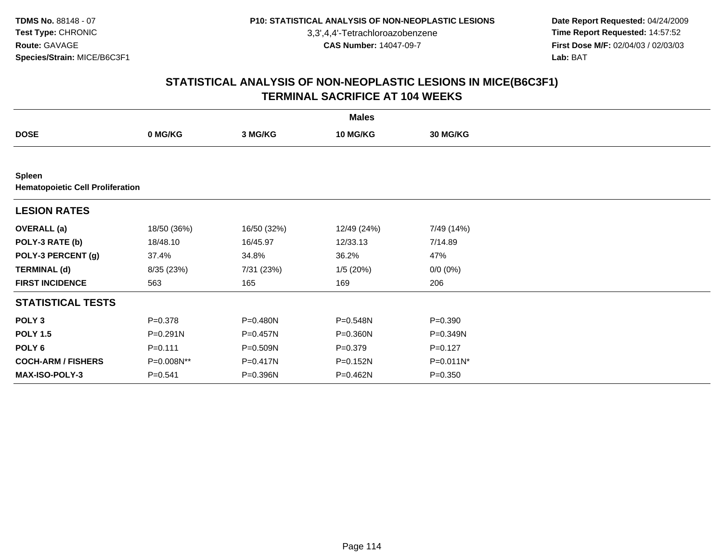3,3',4,4'-Tetrachloroazobenzene

 **Date Report Requested:** 04/24/2009 **Time Report Requested:** 14:57:52 **First Dose M/F:** 02/04/03 / 02/03/03<br>Lab: BAT **Lab:** BAT

| <b>Males</b>                                      |              |             |                 |             |  |  |  |
|---------------------------------------------------|--------------|-------------|-----------------|-------------|--|--|--|
| <b>DOSE</b>                                       | 0 MG/KG      | 3 MG/KG     | <b>10 MG/KG</b> | 30 MG/KG    |  |  |  |
|                                                   |              |             |                 |             |  |  |  |
| Spleen<br><b>Hematopoietic Cell Proliferation</b> |              |             |                 |             |  |  |  |
| <b>LESION RATES</b>                               |              |             |                 |             |  |  |  |
| <b>OVERALL</b> (a)                                | 18/50 (36%)  | 16/50 (32%) | 12/49 (24%)     | 7/49 (14%)  |  |  |  |
| POLY-3 RATE (b)                                   | 18/48.10     | 16/45.97    | 12/33.13        | 7/14.89     |  |  |  |
| POLY-3 PERCENT (g)                                | 37.4%        | 34.8%       | 36.2%           | 47%         |  |  |  |
| <b>TERMINAL (d)</b>                               | 8/35 (23%)   | 7/31 (23%)  | 1/5(20%)        | $0/0 (0\%)$ |  |  |  |
| <b>FIRST INCIDENCE</b>                            | 563          | 165         | 169             | 206         |  |  |  |
| <b>STATISTICAL TESTS</b>                          |              |             |                 |             |  |  |  |
| POLY <sub>3</sub>                                 | $P = 0.378$  | P=0.480N    | P=0.548N        | $P = 0.390$ |  |  |  |
| <b>POLY 1.5</b>                                   | $P = 0.291N$ | P=0.457N    | P=0.360N        | P=0.349N    |  |  |  |
| POLY <sub>6</sub>                                 | $P = 0.111$  | P=0.509N    | $P = 0.379$     | $P = 0.127$ |  |  |  |
| <b>COCH-ARM / FISHERS</b>                         | P=0.008N**   | P=0.417N    | P=0.152N        | P=0.011N*   |  |  |  |
| <b>MAX-ISO-POLY-3</b>                             | $P = 0.541$  | P=0.396N    | P=0.462N        | $P = 0.350$ |  |  |  |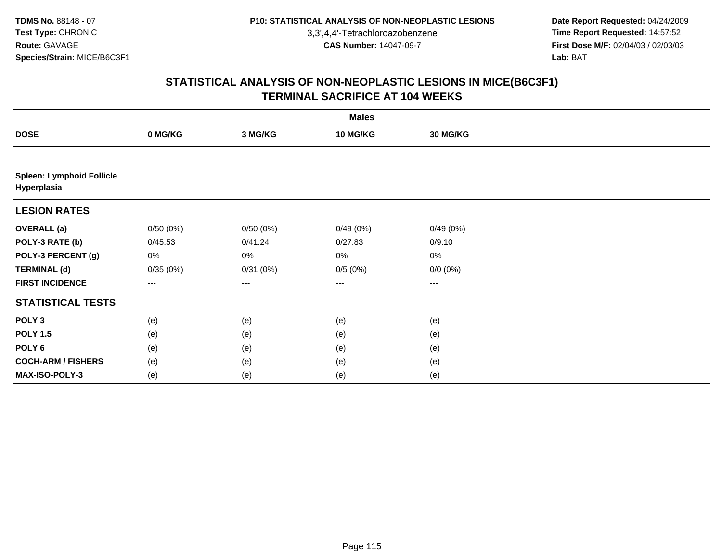3,3',4,4'-Tetrachloroazobenzene

 **Date Report Requested:** 04/24/2009 **Time Report Requested:** 14:57:52 **First Dose M/F:** 02/04/03 / 02/03/03<br>Lab: BAT **Lab:** BAT

|                                                 |          |          | <b>Males</b>      |                 |  |
|-------------------------------------------------|----------|----------|-------------------|-----------------|--|
| <b>DOSE</b>                                     | 0 MG/KG  | 3 MG/KG  | 10 MG/KG          | <b>30 MG/KG</b> |  |
|                                                 |          |          |                   |                 |  |
| <b>Spleen: Lymphoid Follicle</b><br>Hyperplasia |          |          |                   |                 |  |
| <b>LESION RATES</b>                             |          |          |                   |                 |  |
| <b>OVERALL</b> (a)                              | 0/50(0%) | 0/50(0%) | 0/49(0%)          | 0/49(0%)        |  |
| POLY-3 RATE (b)                                 | 0/45.53  | 0/41.24  | 0/27.83           | 0/9.10          |  |
| POLY-3 PERCENT (g)                              | 0%       | 0%       | 0%                | $0\%$           |  |
| <b>TERMINAL (d)</b>                             | 0/35(0%) | 0/31(0%) | 0/5(0%)           | $0/0 (0\%)$     |  |
| <b>FIRST INCIDENCE</b>                          | ---      | ---      | $\qquad \qquad -$ | $---$           |  |
| <b>STATISTICAL TESTS</b>                        |          |          |                   |                 |  |
| POLY <sub>3</sub>                               | (e)      | (e)      | (e)               | (e)             |  |
| <b>POLY 1.5</b>                                 | (e)      | (e)      | (e)               | (e)             |  |
| POLY <sub>6</sub>                               | (e)      | (e)      | (e)               | (e)             |  |
| <b>COCH-ARM / FISHERS</b>                       | (e)      | (e)      | (e)               | (e)             |  |
| MAX-ISO-POLY-3                                  | (e)      | (e)      | (e)               | (e)             |  |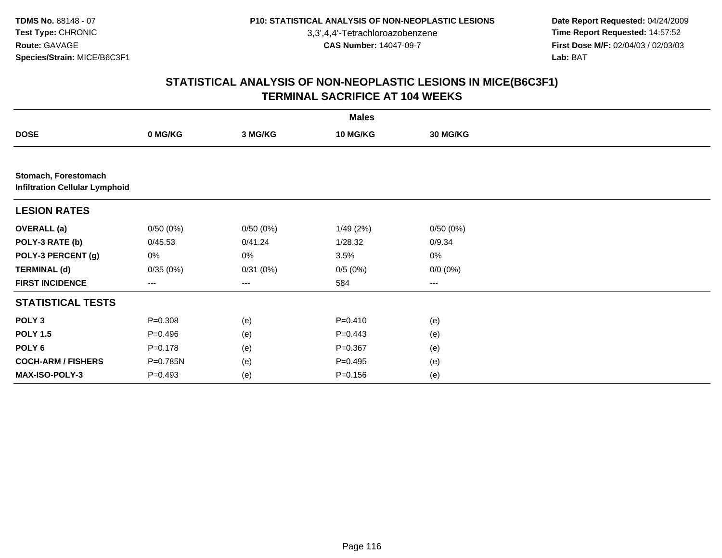3,3',4,4'-Tetrachloroazobenzene

 **Date Report Requested:** 04/24/2009 **Time Report Requested:** 14:57:52 **First Dose M/F:** 02/04/03 / 02/03/03<br>Lab: BAT **Lab:** BAT

|                           |                                       |          | <b>Males</b> |                 |  |  |  |  |  |
|---------------------------|---------------------------------------|----------|--------------|-----------------|--|--|--|--|--|
| <b>DOSE</b>               | 0 MG/KG                               | 3 MG/KG  | 10 MG/KG     | <b>30 MG/KG</b> |  |  |  |  |  |
|                           |                                       |          |              |                 |  |  |  |  |  |
| Stomach, Forestomach      | <b>Infiltration Cellular Lymphoid</b> |          |              |                 |  |  |  |  |  |
| <b>LESION RATES</b>       |                                       |          |              |                 |  |  |  |  |  |
| <b>OVERALL</b> (a)        | 0/50(0%)                              | 0/50(0%) | 1/49(2%)     | 0/50(0%)        |  |  |  |  |  |
| POLY-3 RATE (b)           | 0/45.53                               | 0/41.24  | 1/28.32      | 0/9.34          |  |  |  |  |  |
| POLY-3 PERCENT (g)        | 0%                                    | 0%       | 3.5%         | 0%              |  |  |  |  |  |
| <b>TERMINAL (d)</b>       | 0/35(0%)                              | 0/31(0%) | 0/5(0%)      | $0/0 (0\%)$     |  |  |  |  |  |
| <b>FIRST INCIDENCE</b>    | ---                                   | $--$     | 584          | ---             |  |  |  |  |  |
| <b>STATISTICAL TESTS</b>  |                                       |          |              |                 |  |  |  |  |  |
| POLY <sub>3</sub>         | $P = 0.308$                           | (e)      | $P = 0.410$  | (e)             |  |  |  |  |  |
| <b>POLY 1.5</b>           | $P=0.496$                             | (e)      | $P=0.443$    | (e)             |  |  |  |  |  |
| POLY 6                    | $P = 0.178$                           | (e)      | $P = 0.367$  | (e)             |  |  |  |  |  |
| <b>COCH-ARM / FISHERS</b> | P=0.785N                              | (e)      | $P=0.495$    | (e)             |  |  |  |  |  |
| MAX-ISO-POLY-3            | $P=0.493$                             | (e)      | $P = 0.156$  | (e)             |  |  |  |  |  |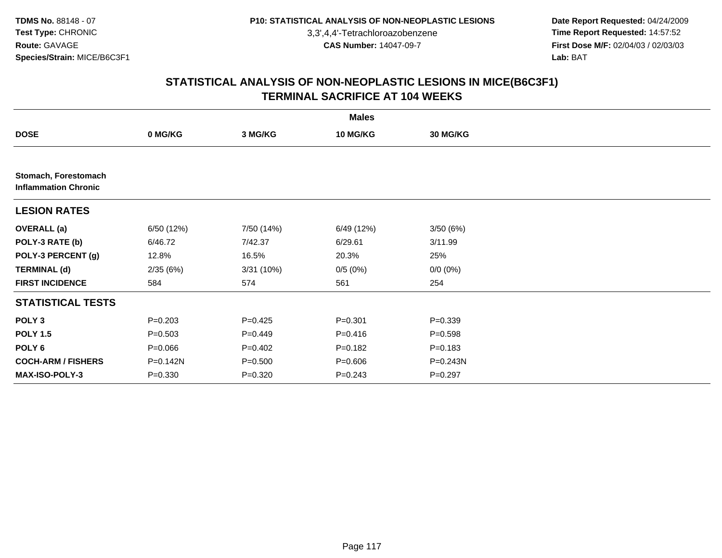3,3',4,4'-Tetrachloroazobenzene

 **Date Report Requested:** 04/24/2009 **Time Report Requested:** 14:57:52 **First Dose M/F:** 02/04/03 / 02/03/03<br>Lab: BAT **Lab:** BAT

|                                                     |             |             | <b>Males</b> |                 |  |
|-----------------------------------------------------|-------------|-------------|--------------|-----------------|--|
| <b>DOSE</b>                                         | 0 MG/KG     | 3 MG/KG     | 10 MG/KG     | <b>30 MG/KG</b> |  |
|                                                     |             |             |              |                 |  |
| Stomach, Forestomach<br><b>Inflammation Chronic</b> |             |             |              |                 |  |
| <b>LESION RATES</b>                                 |             |             |              |                 |  |
| <b>OVERALL (a)</b>                                  | 6/50 (12%)  | 7/50 (14%)  | 6/49 (12%)   | 3/50(6%)        |  |
| POLY-3 RATE (b)                                     | 6/46.72     | 7/42.37     | 6/29.61      | 3/11.99         |  |
| POLY-3 PERCENT (g)                                  | 12.8%       | 16.5%       | 20.3%        | 25%             |  |
| <b>TERMINAL (d)</b>                                 | 2/35(6%)    | 3/31 (10%)  | 0/5(0%)      | $0/0 (0\%)$     |  |
| <b>FIRST INCIDENCE</b>                              | 584         | 574         | 561          | 254             |  |
| <b>STATISTICAL TESTS</b>                            |             |             |              |                 |  |
| POLY <sub>3</sub>                                   | $P = 0.203$ | $P=0.425$   | $P = 0.301$  | $P = 0.339$     |  |
| <b>POLY 1.5</b>                                     | $P = 0.503$ | $P=0.449$   | $P = 0.416$  | $P = 0.598$     |  |
| POLY <sub>6</sub>                                   | $P = 0.066$ | $P=0.402$   | $P = 0.182$  | $P = 0.183$     |  |
| <b>COCH-ARM / FISHERS</b>                           | P=0.142N    | $P = 0.500$ | $P = 0.606$  | P=0.243N        |  |
| MAX-ISO-POLY-3                                      | $P = 0.330$ | $P=0.320$   | $P=0.243$    | $P=0.297$       |  |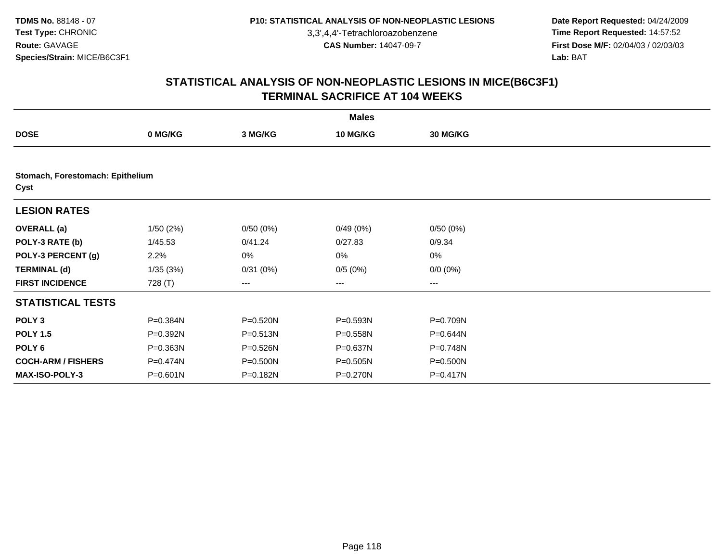3,3',4,4'-Tetrachloroazobenzene

 **Date Report Requested:** 04/24/2009 **Time Report Requested:** 14:57:52 **First Dose M/F:** 02/04/03 / 02/03/03<br>Lab: BAT **Lab:** BAT

|                                          |          |          | <b>Males</b>    |             |  |
|------------------------------------------|----------|----------|-----------------|-------------|--|
| <b>DOSE</b>                              | 0 MG/KG  | 3 MG/KG  | <b>10 MG/KG</b> | 30 MG/KG    |  |
|                                          |          |          |                 |             |  |
| Stomach, Forestomach: Epithelium<br>Cyst |          |          |                 |             |  |
| <b>LESION RATES</b>                      |          |          |                 |             |  |
| <b>OVERALL</b> (a)                       | 1/50(2%) | 0/50(0%) | 0/49(0%)        | 0/50(0%)    |  |
| POLY-3 RATE (b)                          | 1/45.53  | 0/41.24  | 0/27.83         | 0/9.34      |  |
| POLY-3 PERCENT (g)                       | 2.2%     | 0%       | 0%              | 0%          |  |
| <b>TERMINAL (d)</b>                      | 1/35(3%) | 0/31(0%) | 0/5(0%)         | $0/0 (0\%)$ |  |
| <b>FIRST INCIDENCE</b>                   | 728 (T)  | ---      | ---             | $--$        |  |
| <b>STATISTICAL TESTS</b>                 |          |          |                 |             |  |
| POLY <sub>3</sub>                        | P=0.384N | P=0.520N | P=0.593N        | P=0.709N    |  |
| <b>POLY 1.5</b>                          | P=0.392N | P=0.513N | P=0.558N        | P=0.644N    |  |
| POLY 6                                   | P=0.363N | P=0.526N | P=0.637N        | P=0.748N    |  |
| <b>COCH-ARM / FISHERS</b>                | P=0.474N | P=0.500N | P=0.505N        | P=0.500N    |  |
| <b>MAX-ISO-POLY-3</b>                    | P=0.601N | P=0.182N | P=0.270N        | P=0.417N    |  |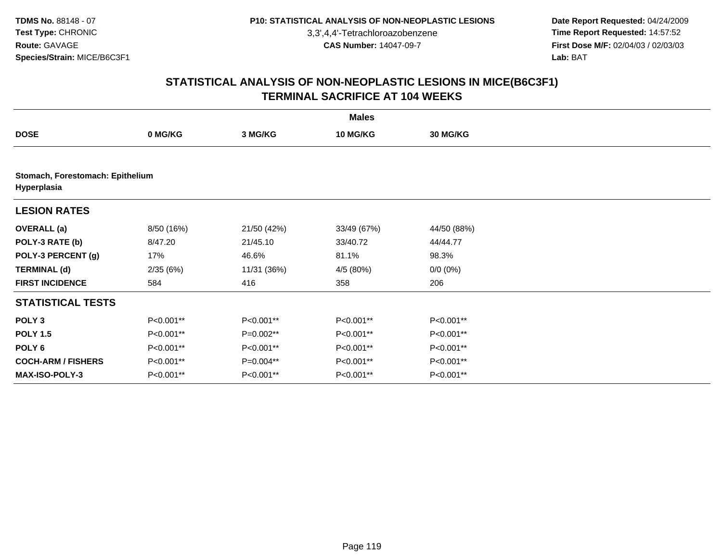3,3',4,4'-Tetrachloroazobenzene

 **Date Report Requested:** 04/24/2009 **Time Report Requested:** 14:57:52 **First Dose M/F:** 02/04/03 / 02/03/03<br>Lab: BAT **Lab:** BAT

|                                                 | <b>Males</b> |             |             |             |  |  |  |
|-------------------------------------------------|--------------|-------------|-------------|-------------|--|--|--|
| <b>DOSE</b>                                     | 0 MG/KG      | 3 MG/KG     | 10 MG/KG    | 30 MG/KG    |  |  |  |
|                                                 |              |             |             |             |  |  |  |
| Stomach, Forestomach: Epithelium<br>Hyperplasia |              |             |             |             |  |  |  |
| <b>LESION RATES</b>                             |              |             |             |             |  |  |  |
| <b>OVERALL</b> (a)                              | 8/50 (16%)   | 21/50 (42%) | 33/49 (67%) | 44/50 (88%) |  |  |  |
| POLY-3 RATE (b)                                 | 8/47.20      | 21/45.10    | 33/40.72    | 44/44.77    |  |  |  |
| POLY-3 PERCENT (g)                              | 17%          | 46.6%       | 81.1%       | 98.3%       |  |  |  |
| <b>TERMINAL (d)</b>                             | 2/35(6%)     | 11/31 (36%) | 4/5 (80%)   | $0/0 (0\%)$ |  |  |  |
| <b>FIRST INCIDENCE</b>                          | 584          | 416         | 358         | 206         |  |  |  |
| <b>STATISTICAL TESTS</b>                        |              |             |             |             |  |  |  |
| POLY <sub>3</sub>                               | P<0.001**    | P<0.001**   | P<0.001**   | P<0.001**   |  |  |  |
| <b>POLY 1.5</b>                                 | P<0.001**    | P=0.002**   | P<0.001**   | P<0.001**   |  |  |  |
| POLY <sub>6</sub>                               | P<0.001**    | P<0.001**   | P<0.001**   | P<0.001**   |  |  |  |
| <b>COCH-ARM / FISHERS</b>                       | P<0.001**    | P=0.004**   | P<0.001**   | P<0.001**   |  |  |  |
| <b>MAX-ISO-POLY-3</b>                           | P<0.001**    | P<0.001**   | P<0.001**   | P<0.001**   |  |  |  |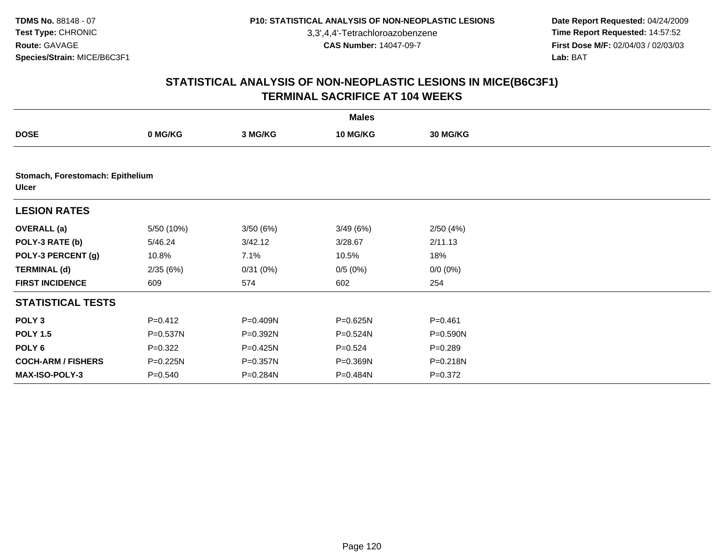3,3',4,4'-Tetrachloroazobenzene

 **Date Report Requested:** 04/24/2009 **Time Report Requested:** 14:57:52 **First Dose M/F:** 02/04/03 / 02/03/03<br>Lab: BAT **Lab:** BAT

|                           |                                  |          | <b>Males</b>    |             |  |  |  |  |  |
|---------------------------|----------------------------------|----------|-----------------|-------------|--|--|--|--|--|
| <b>DOSE</b>               | 0 MG/KG                          | 3 MG/KG  | <b>10 MG/KG</b> | 30 MG/KG    |  |  |  |  |  |
|                           |                                  |          |                 |             |  |  |  |  |  |
| <b>Ulcer</b>              | Stomach, Forestomach: Epithelium |          |                 |             |  |  |  |  |  |
| <b>LESION RATES</b>       |                                  |          |                 |             |  |  |  |  |  |
| <b>OVERALL</b> (a)        | 5/50 (10%)                       | 3/50(6%) | 3/49(6%)        | 2/50(4%)    |  |  |  |  |  |
| POLY-3 RATE (b)           | 5/46.24                          | 3/42.12  | 3/28.67         | 2/11.13     |  |  |  |  |  |
| POLY-3 PERCENT (g)        | 10.8%                            | 7.1%     | 10.5%           | 18%         |  |  |  |  |  |
| <b>TERMINAL (d)</b>       | 2/35(6%)                         | 0/31(0%) | 0/5(0%)         | $0/0 (0\%)$ |  |  |  |  |  |
| <b>FIRST INCIDENCE</b>    | 609                              | 574      | 602             | 254         |  |  |  |  |  |
| <b>STATISTICAL TESTS</b>  |                                  |          |                 |             |  |  |  |  |  |
| POLY <sub>3</sub>         | $P = 0.412$                      | P=0.409N | P=0.625N        | $P = 0.461$ |  |  |  |  |  |
| <b>POLY 1.5</b>           | P=0.537N                         | P=0.392N | P=0.524N        | P=0.590N    |  |  |  |  |  |
| POLY 6                    | $P=0.322$                        | P=0.425N | $P = 0.524$     | $P = 0.289$ |  |  |  |  |  |
| <b>COCH-ARM / FISHERS</b> | P=0.225N                         | P=0.357N | P=0.369N        | P=0.218N    |  |  |  |  |  |
| <b>MAX-ISO-POLY-3</b>     | $P = 0.540$                      | P=0.284N | P=0.484N        | $P = 0.372$ |  |  |  |  |  |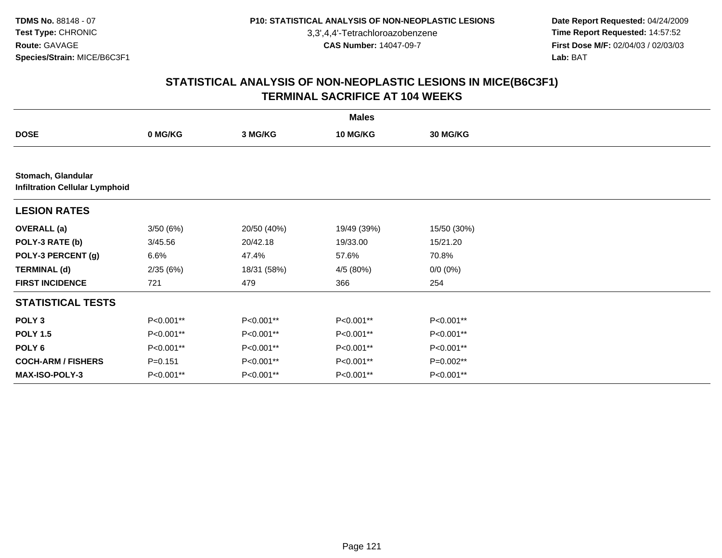3,3',4,4'-Tetrachloroazobenzene

 **Date Report Requested:** 04/24/2009 **Time Report Requested:** 14:57:52 **First Dose M/F:** 02/04/03 / 02/03/03<br>Lab: BAT **Lab:** BAT

|                                                             | <b>Males</b> |             |             |                 |  |  |  |
|-------------------------------------------------------------|--------------|-------------|-------------|-----------------|--|--|--|
| <b>DOSE</b>                                                 | 0 MG/KG      | 3 MG/KG     | 10 MG/KG    | <b>30 MG/KG</b> |  |  |  |
|                                                             |              |             |             |                 |  |  |  |
| Stomach, Glandular<br><b>Infiltration Cellular Lymphoid</b> |              |             |             |                 |  |  |  |
| <b>LESION RATES</b>                                         |              |             |             |                 |  |  |  |
| <b>OVERALL</b> (a)                                          | 3/50(6%)     | 20/50 (40%) | 19/49 (39%) | 15/50 (30%)     |  |  |  |
| POLY-3 RATE (b)                                             | 3/45.56      | 20/42.18    | 19/33.00    | 15/21.20        |  |  |  |
| POLY-3 PERCENT (g)                                          | 6.6%         | 47.4%       | 57.6%       | 70.8%           |  |  |  |
| <b>TERMINAL (d)</b>                                         | 2/35(6%)     | 18/31 (58%) | 4/5 (80%)   | $0/0 (0\%)$     |  |  |  |
| <b>FIRST INCIDENCE</b>                                      | 721          | 479         | 366         | 254             |  |  |  |
| <b>STATISTICAL TESTS</b>                                    |              |             |             |                 |  |  |  |
| POLY <sub>3</sub>                                           | P<0.001**    | P<0.001**   | P<0.001**   | P<0.001**       |  |  |  |
| <b>POLY 1.5</b>                                             | P<0.001**    | P<0.001**   | P<0.001**   | P<0.001**       |  |  |  |
| POLY 6                                                      | P<0.001**    | P<0.001**   | P<0.001**   | P<0.001**       |  |  |  |
| <b>COCH-ARM / FISHERS</b>                                   | $P=0.151$    | P<0.001**   | P<0.001**   | $P=0.002**$     |  |  |  |
| <b>MAX-ISO-POLY-3</b>                                       | P<0.001**    | P<0.001**   | P<0.001**   | P<0.001**       |  |  |  |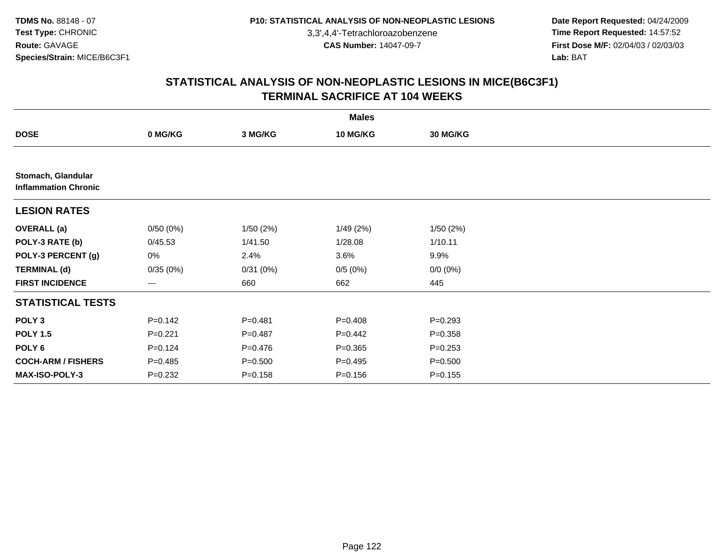3,3',4,4'-Tetrachloroazobenzene

 **Date Report Requested:** 04/24/2009 **Time Report Requested:** 14:57:52 **First Dose M/F:** 02/04/03 / 02/03/03<br>Lab: BAT **Lab:** BAT

|                                                   |             |             | <b>Males</b> |                 |  |
|---------------------------------------------------|-------------|-------------|--------------|-----------------|--|
| <b>DOSE</b>                                       | 0 MG/KG     | 3 MG/KG     | 10 MG/KG     | <b>30 MG/KG</b> |  |
|                                                   |             |             |              |                 |  |
| Stomach, Glandular<br><b>Inflammation Chronic</b> |             |             |              |                 |  |
| <b>LESION RATES</b>                               |             |             |              |                 |  |
| <b>OVERALL</b> (a)                                | 0/50(0%)    | 1/50(2%)    | 1/49(2%)     | 1/50(2%)        |  |
| POLY-3 RATE (b)                                   | 0/45.53     | 1/41.50     | 1/28.08      | 1/10.11         |  |
| POLY-3 PERCENT (g)                                | 0%          | 2.4%        | 3.6%         | 9.9%            |  |
| <b>TERMINAL (d)</b>                               | 0/35(0%)    | 0/31(0%)    | 0/5(0%)      | $0/0 (0\%)$     |  |
| <b>FIRST INCIDENCE</b>                            | $---$       | 660         | 662          | 445             |  |
| <b>STATISTICAL TESTS</b>                          |             |             |              |                 |  |
| POLY <sub>3</sub>                                 | $P = 0.142$ | $P = 0.481$ | $P=0.408$    | $P = 0.293$     |  |
| <b>POLY 1.5</b>                                   | $P=0.221$   | $P=0.487$   | $P=0.442$    | $P = 0.358$     |  |
| POLY 6                                            | $P=0.124$   | $P = 0.476$ | $P = 0.365$  | $P = 0.253$     |  |
| <b>COCH-ARM / FISHERS</b>                         | $P=0.485$   | $P = 0.500$ | $P=0.495$    | $P = 0.500$     |  |
| <b>MAX-ISO-POLY-3</b>                             | $P = 0.232$ | $P = 0.158$ | $P = 0.156$  | $P = 0.155$     |  |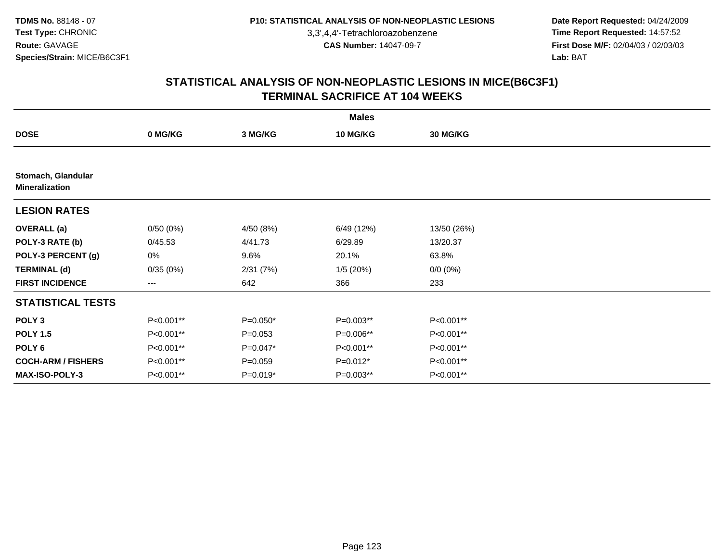3,3',4,4'-Tetrachloroazobenzene

 **Date Report Requested:** 04/24/2009 **Time Report Requested:** 14:57:52 **First Dose M/F:** 02/04/03 / 02/03/03<br>Lab: BAT **Lab:** BAT

|                                             |           |             | <b>Males</b> |                 |  |
|---------------------------------------------|-----------|-------------|--------------|-----------------|--|
| <b>DOSE</b>                                 | 0 MG/KG   | 3 MG/KG     | 10 MG/KG     | <b>30 MG/KG</b> |  |
|                                             |           |             |              |                 |  |
| Stomach, Glandular<br><b>Mineralization</b> |           |             |              |                 |  |
| <b>LESION RATES</b>                         |           |             |              |                 |  |
| <b>OVERALL</b> (a)                          | 0/50(0%)  | 4/50 (8%)   | 6/49 (12%)   | 13/50 (26%)     |  |
| POLY-3 RATE (b)                             | 0/45.53   | 4/41.73     | 6/29.89      | 13/20.37        |  |
| POLY-3 PERCENT (g)                          | 0%        | 9.6%        | 20.1%        | 63.8%           |  |
| <b>TERMINAL (d)</b>                         | 0/35(0%)  | 2/31(7%)    | 1/5(20%)     | $0/0 (0\%)$     |  |
| <b>FIRST INCIDENCE</b>                      | ---       | 642         | 366          | 233             |  |
| <b>STATISTICAL TESTS</b>                    |           |             |              |                 |  |
| POLY <sub>3</sub>                           | P<0.001** | $P=0.050*$  | P=0.003**    | P<0.001**       |  |
| <b>POLY 1.5</b>                             | P<0.001** | $P = 0.053$ | P=0.006**    | P<0.001**       |  |
| POLY 6                                      | P<0.001** | $P=0.047*$  | P<0.001**    | P<0.001**       |  |
| <b>COCH-ARM / FISHERS</b>                   | P<0.001** | $P = 0.059$ | $P=0.012*$   | P<0.001**       |  |
| MAX-ISO-POLY-3                              | P<0.001** | P=0.019*    | $P=0.003**$  | P<0.001**       |  |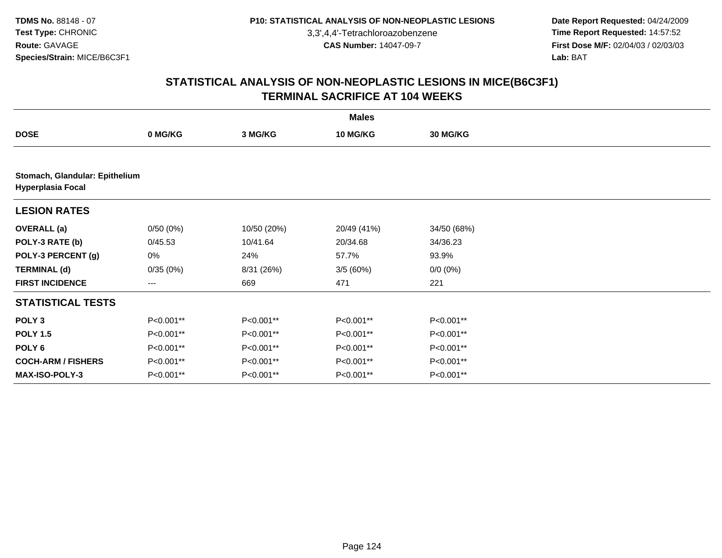3,3',4,4'-Tetrachloroazobenzene

 **Date Report Requested:** 04/24/2009 **Time Report Requested:** 14:57:52 **First Dose M/F:** 02/04/03 / 02/03/03<br>Lab: BAT **Lab:** BAT

|                           | <b>Males</b>                   |             |             |                 |  |  |  |
|---------------------------|--------------------------------|-------------|-------------|-----------------|--|--|--|
| <b>DOSE</b>               | 0 MG/KG                        | 3 MG/KG     | 10 MG/KG    | <b>30 MG/KG</b> |  |  |  |
|                           |                                |             |             |                 |  |  |  |
| <b>Hyperplasia Focal</b>  | Stomach, Glandular: Epithelium |             |             |                 |  |  |  |
| <b>LESION RATES</b>       |                                |             |             |                 |  |  |  |
| <b>OVERALL</b> (a)        | 0/50(0%)                       | 10/50 (20%) | 20/49 (41%) | 34/50 (68%)     |  |  |  |
| POLY-3 RATE (b)           | 0/45.53                        | 10/41.64    | 20/34.68    | 34/36.23        |  |  |  |
| POLY-3 PERCENT (g)        | 0%                             | 24%         | 57.7%       | 93.9%           |  |  |  |
| <b>TERMINAL (d)</b>       | 0/35(0%)                       | 8/31 (26%)  | 3/5(60%)    | $0/0 (0\%)$     |  |  |  |
| <b>FIRST INCIDENCE</b>    | $---$                          | 669         | 471         | 221             |  |  |  |
| <b>STATISTICAL TESTS</b>  |                                |             |             |                 |  |  |  |
| POLY <sub>3</sub>         | P<0.001**                      | P<0.001**   | P<0.001**   | P<0.001**       |  |  |  |
| <b>POLY 1.5</b>           | P<0.001**                      | P<0.001**   | P<0.001**   | P<0.001**       |  |  |  |
| POLY 6                    | P<0.001**                      | P<0.001**   | P<0.001**   | P<0.001**       |  |  |  |
| <b>COCH-ARM / FISHERS</b> | P<0.001**                      | P<0.001**   | P<0.001**   | P<0.001**       |  |  |  |
| <b>MAX-ISO-POLY-3</b>     | P<0.001**                      | P<0.001**   | P<0.001**   | P<0.001**       |  |  |  |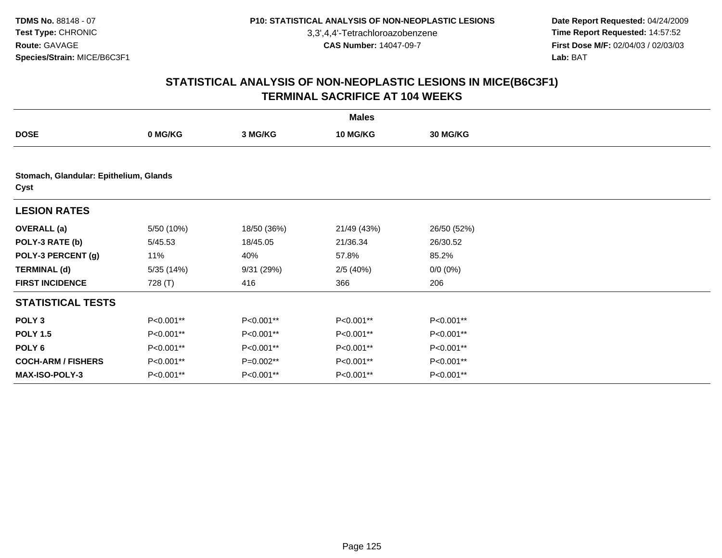3,3',4,4'-Tetrachloroazobenzene

 **Date Report Requested:** 04/24/2009 **Time Report Requested:** 14:57:52 **First Dose M/F:** 02/04/03 / 02/03/03<br>Lab: BAT **Lab:** BAT

| <b>Males</b>                                   |            |             |             |                 |  |  |  |
|------------------------------------------------|------------|-------------|-------------|-----------------|--|--|--|
| <b>DOSE</b>                                    | 0 MG/KG    | 3 MG/KG     | 10 MG/KG    | <b>30 MG/KG</b> |  |  |  |
|                                                |            |             |             |                 |  |  |  |
| Stomach, Glandular: Epithelium, Glands<br>Cyst |            |             |             |                 |  |  |  |
| <b>LESION RATES</b>                            |            |             |             |                 |  |  |  |
| <b>OVERALL</b> (a)                             | 5/50 (10%) | 18/50 (36%) | 21/49 (43%) | 26/50 (52%)     |  |  |  |
| POLY-3 RATE (b)                                | 5/45.53    | 18/45.05    | 21/36.34    | 26/30.52        |  |  |  |
| POLY-3 PERCENT (g)                             | 11%        | 40%         | 57.8%       | 85.2%           |  |  |  |
| <b>TERMINAL (d)</b>                            | 5/35(14%)  | 9/31(29%)   | 2/5(40%)    | $0/0 (0\%)$     |  |  |  |
| <b>FIRST INCIDENCE</b>                         | 728 (T)    | 416         | 366         | 206             |  |  |  |
| <b>STATISTICAL TESTS</b>                       |            |             |             |                 |  |  |  |
| POLY <sub>3</sub>                              | P<0.001**  | P<0.001**   | P<0.001**   | P<0.001**       |  |  |  |
| <b>POLY 1.5</b>                                | P<0.001**  | P<0.001**   | P<0.001**   | P<0.001**       |  |  |  |
| POLY <sub>6</sub>                              | P<0.001**  | P<0.001**   | P<0.001**   | P<0.001**       |  |  |  |
| <b>COCH-ARM / FISHERS</b>                      | P<0.001**  | P=0.002**   | P<0.001**   | P<0.001**       |  |  |  |
| <b>MAX-ISO-POLY-3</b>                          | P<0.001**  | P<0.001**   | P<0.001**   | P<0.001**       |  |  |  |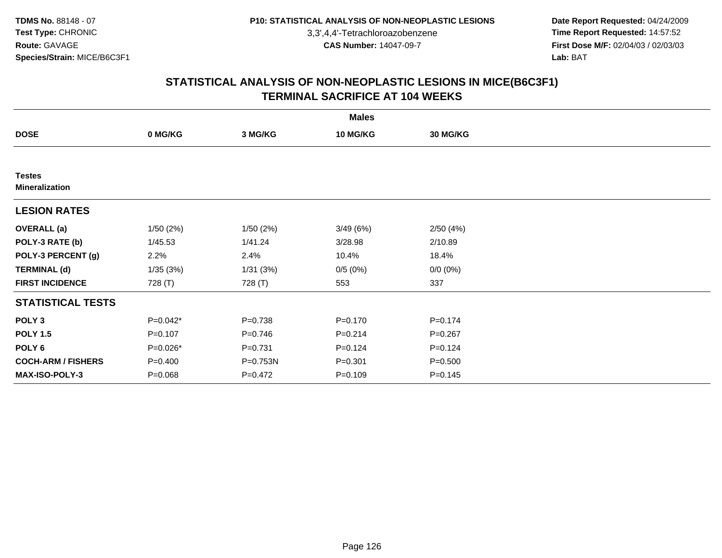3,3',4,4'-Tetrachloroazobenzene

 **Date Report Requested:** 04/24/2009 **Time Report Requested:** 14:57:52 **First Dose M/F:** 02/04/03 / 02/03/03<br>Lab: BAT **Lab:** BAT

|                                        |             |             | <b>Males</b>    |                 |  |
|----------------------------------------|-------------|-------------|-----------------|-----------------|--|
| <b>DOSE</b>                            | 0 MG/KG     | 3 MG/KG     | <b>10 MG/KG</b> | <b>30 MG/KG</b> |  |
|                                        |             |             |                 |                 |  |
| <b>Testes</b><br><b>Mineralization</b> |             |             |                 |                 |  |
| <b>LESION RATES</b>                    |             |             |                 |                 |  |
| <b>OVERALL</b> (a)                     | 1/50(2%)    | 1/50(2%)    | 3/49(6%)        | 2/50(4%)        |  |
| POLY-3 RATE (b)                        | 1/45.53     | 1/41.24     | 3/28.98         | 2/10.89         |  |
| POLY-3 PERCENT (g)                     | 2.2%        | 2.4%        | 10.4%           | 18.4%           |  |
| <b>TERMINAL (d)</b>                    | 1/35(3%)    | 1/31(3%)    | 0/5(0%)         | $0/0 (0\%)$     |  |
| <b>FIRST INCIDENCE</b>                 | 728 (T)     | 728 (T)     | 553             | 337             |  |
| <b>STATISTICAL TESTS</b>               |             |             |                 |                 |  |
| POLY <sub>3</sub>                      | $P=0.042*$  | $P = 0.738$ | $P = 0.170$     | $P = 0.174$     |  |
| <b>POLY 1.5</b>                        | $P = 0.107$ | $P=0.746$   | $P=0.214$       | $P=0.267$       |  |
| POLY <sub>6</sub>                      | P=0.026*    | $P = 0.731$ | $P = 0.124$     | $P = 0.124$     |  |
| <b>COCH-ARM / FISHERS</b>              | $P = 0.400$ | P=0.753N    | $P = 0.301$     | $P = 0.500$     |  |
| <b>MAX-ISO-POLY-3</b>                  | $P = 0.068$ | $P=0.472$   | $P = 0.109$     | $P = 0.145$     |  |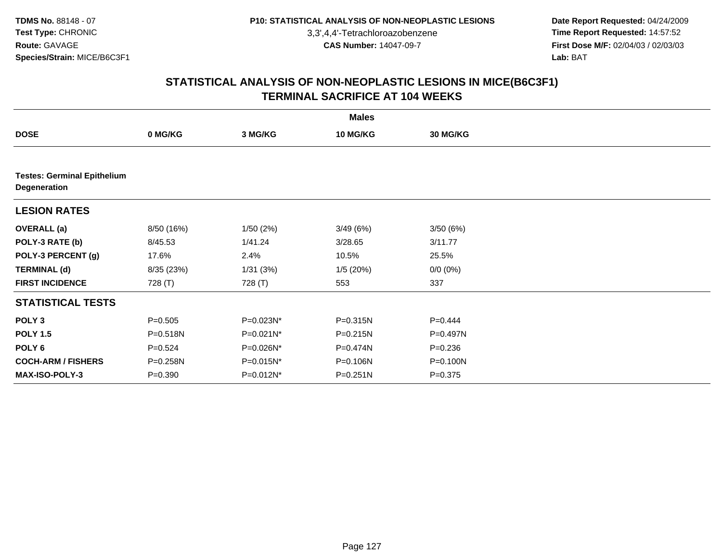3,3',4,4'-Tetrachloroazobenzene

 **Date Report Requested:** 04/24/2009 **Time Report Requested:** 14:57:52 **First Dose M/F:** 02/04/03 / 02/03/03<br>Lab: BAT **Lab:** BAT

|                                                    |             |           | <b>Males</b> |                 |  |
|----------------------------------------------------|-------------|-----------|--------------|-----------------|--|
| <b>DOSE</b>                                        | 0 MG/KG     | 3 MG/KG   | 10 MG/KG     | <b>30 MG/KG</b> |  |
|                                                    |             |           |              |                 |  |
| <b>Testes: Germinal Epithelium</b><br>Degeneration |             |           |              |                 |  |
| <b>LESION RATES</b>                                |             |           |              |                 |  |
| <b>OVERALL</b> (a)                                 | 8/50 (16%)  | 1/50(2%)  | 3/49(6%)     | 3/50(6%)        |  |
| POLY-3 RATE (b)                                    | 8/45.53     | 1/41.24   | 3/28.65      | 3/11.77         |  |
| POLY-3 PERCENT (g)                                 | 17.6%       | 2.4%      | 10.5%        | 25.5%           |  |
| <b>TERMINAL (d)</b>                                | 8/35 (23%)  | 1/31(3%)  | 1/5 (20%)    | $0/0 (0\%)$     |  |
| <b>FIRST INCIDENCE</b>                             | 728 (T)     | 728 (T)   | 553          | 337             |  |
| <b>STATISTICAL TESTS</b>                           |             |           |              |                 |  |
| POLY <sub>3</sub>                                  | $P = 0.505$ | P=0.023N* | P=0.315N     | $P=0.444$       |  |
| <b>POLY 1.5</b>                                    | P=0.518N    | P=0.021N* | $P = 0.215N$ | P=0.497N        |  |
| POLY 6                                             | $P = 0.524$ | P=0.026N* | P=0.474N     | $P = 0.236$     |  |
| <b>COCH-ARM / FISHERS</b>                          | P=0.258N    | P=0.015N* | P=0.106N     | P=0.100N        |  |
| <b>MAX-ISO-POLY-3</b>                              | $P = 0.390$ | P=0.012N* | $P = 0.251N$ | $P = 0.375$     |  |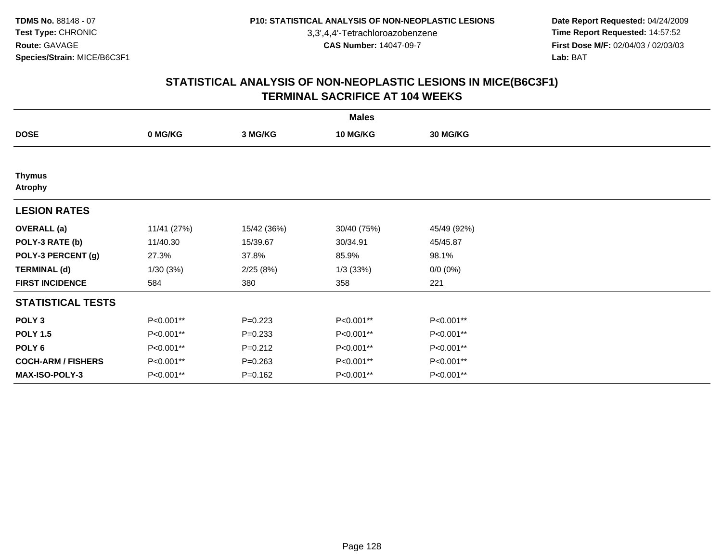3,3',4,4'-Tetrachloroazobenzene

 **Date Report Requested:** 04/24/2009 **Time Report Requested:** 14:57:52 **First Dose M/F:** 02/04/03 / 02/03/03<br>Lab: BAT **Lab:** BAT

| <b>Males</b>                    |             |             |                 |             |  |  |
|---------------------------------|-------------|-------------|-----------------|-------------|--|--|
| <b>DOSE</b>                     | 0 MG/KG     | 3 MG/KG     | <b>10 MG/KG</b> | 30 MG/KG    |  |  |
|                                 |             |             |                 |             |  |  |
| <b>Thymus</b><br><b>Atrophy</b> |             |             |                 |             |  |  |
| <b>LESION RATES</b>             |             |             |                 |             |  |  |
| <b>OVERALL</b> (a)              | 11/41 (27%) | 15/42 (36%) | 30/40 (75%)     | 45/49 (92%) |  |  |
| POLY-3 RATE (b)                 | 11/40.30    | 15/39.67    | 30/34.91        | 45/45.87    |  |  |
| POLY-3 PERCENT (g)              | 27.3%       | 37.8%       | 85.9%           | 98.1%       |  |  |
| <b>TERMINAL (d)</b>             | 1/30(3%)    | 2/25(8%)    | 1/3(33%)        | $0/0 (0\%)$ |  |  |
| <b>FIRST INCIDENCE</b>          | 584         | 380         | 358             | 221         |  |  |
| <b>STATISTICAL TESTS</b>        |             |             |                 |             |  |  |
| POLY <sub>3</sub>               | P<0.001**   | $P=0.223$   | P<0.001**       | P<0.001**   |  |  |
| <b>POLY 1.5</b>                 | P<0.001**   | $P = 0.233$ | P<0.001**       | P<0.001**   |  |  |
| POLY <sub>6</sub>               | P<0.001**   | $P = 0.212$ | P<0.001**       | P<0.001**   |  |  |
| <b>COCH-ARM / FISHERS</b>       | P<0.001**   | $P = 0.263$ | P<0.001**       | P<0.001**   |  |  |
| <b>MAX-ISO-POLY-3</b>           | P<0.001**   | $P = 0.162$ | P<0.001**       | P<0.001**   |  |  |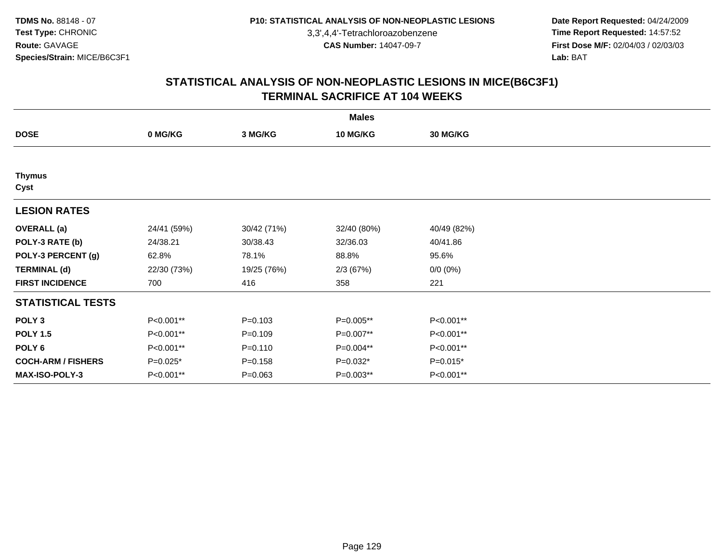3,3',4,4'-Tetrachloroazobenzene

 **Date Report Requested:** 04/24/2009 **Time Report Requested:** 14:57:52 **First Dose M/F:** 02/04/03 / 02/03/03<br>Lab: BAT **Lab:** BAT

|                           | <b>Males</b> |             |                 |                 |  |  |  |
|---------------------------|--------------|-------------|-----------------|-----------------|--|--|--|
| <b>DOSE</b>               | 0 MG/KG      | 3 MG/KG     | <b>10 MG/KG</b> | <b>30 MG/KG</b> |  |  |  |
|                           |              |             |                 |                 |  |  |  |
| <b>Thymus</b><br>Cyst     |              |             |                 |                 |  |  |  |
| <b>LESION RATES</b>       |              |             |                 |                 |  |  |  |
| <b>OVERALL</b> (a)        | 24/41 (59%)  | 30/42 (71%) | 32/40 (80%)     | 40/49 (82%)     |  |  |  |
| POLY-3 RATE (b)           | 24/38.21     | 30/38.43    | 32/36.03        | 40/41.86        |  |  |  |
| POLY-3 PERCENT (g)        | 62.8%        | 78.1%       | 88.8%           | 95.6%           |  |  |  |
| <b>TERMINAL (d)</b>       | 22/30 (73%)  | 19/25 (76%) | 2/3 (67%)       | $0/0 (0\%)$     |  |  |  |
| <b>FIRST INCIDENCE</b>    | 700          | 416         | 358             | 221             |  |  |  |
| <b>STATISTICAL TESTS</b>  |              |             |                 |                 |  |  |  |
| POLY <sub>3</sub>         | P<0.001**    | $P = 0.103$ | P=0.005**       | P<0.001**       |  |  |  |
| <b>POLY 1.5</b>           | P<0.001**    | $P = 0.109$ | P=0.007**       | P<0.001**       |  |  |  |
| POLY <sub>6</sub>         | P<0.001**    | $P = 0.110$ | P=0.004**       | P<0.001**       |  |  |  |
| <b>COCH-ARM / FISHERS</b> | $P=0.025*$   | $P = 0.158$ | P=0.032*        | $P=0.015*$      |  |  |  |
| MAX-ISO-POLY-3            | P<0.001**    | $P = 0.063$ | P=0.003**       | P<0.001**       |  |  |  |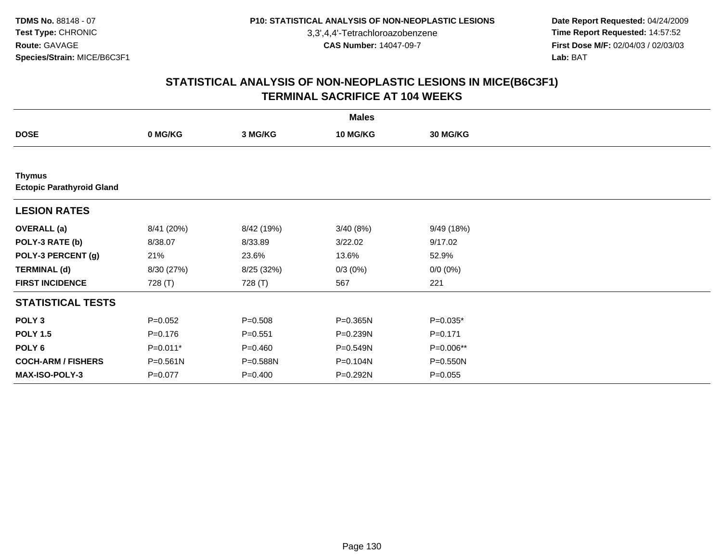3,3',4,4'-Tetrachloroazobenzene

 **Date Report Requested:** 04/24/2009 **Time Report Requested:** 14:57:52 **First Dose M/F:** 02/04/03 / 02/03/03<br>Lab: BAT **Lab:** BAT

|                                                   |             |             | <b>Males</b> |             |  |
|---------------------------------------------------|-------------|-------------|--------------|-------------|--|
| <b>DOSE</b>                                       | 0 MG/KG     | 3 MG/KG     | 10 MG/KG     | 30 MG/KG    |  |
|                                                   |             |             |              |             |  |
| <b>Thymus</b><br><b>Ectopic Parathyroid Gland</b> |             |             |              |             |  |
| <b>LESION RATES</b>                               |             |             |              |             |  |
| <b>OVERALL</b> (a)                                | 8/41 (20%)  | 8/42 (19%)  | 3/40(8%)     | 9/49(18%)   |  |
| POLY-3 RATE (b)                                   | 8/38.07     | 8/33.89     | 3/22.02      | 9/17.02     |  |
| POLY-3 PERCENT (g)                                | 21%         | 23.6%       | 13.6%        | 52.9%       |  |
| <b>TERMINAL (d)</b>                               | 8/30 (27%)  | 8/25 (32%)  | $0/3(0\%)$   | $0/0 (0\%)$ |  |
| <b>FIRST INCIDENCE</b>                            | 728 (T)     | 728 (T)     | 567          | 221         |  |
| <b>STATISTICAL TESTS</b>                          |             |             |              |             |  |
| POLY <sub>3</sub>                                 | $P=0.052$   | $P = 0.508$ | P=0.365N     | P=0.035*    |  |
| <b>POLY 1.5</b>                                   | $P = 0.176$ | $P = 0.551$ | P=0.239N     | $P = 0.171$ |  |
| POLY <sub>6</sub>                                 | $P=0.011*$  | $P=0.460$   | P=0.549N     | P=0.006**   |  |
| <b>COCH-ARM / FISHERS</b>                         | P=0.561N    | P=0.588N    | P=0.104N     | P=0.550N    |  |
| <b>MAX-ISO-POLY-3</b>                             | $P=0.077$   | $P = 0.400$ | P=0.292N     | $P = 0.055$ |  |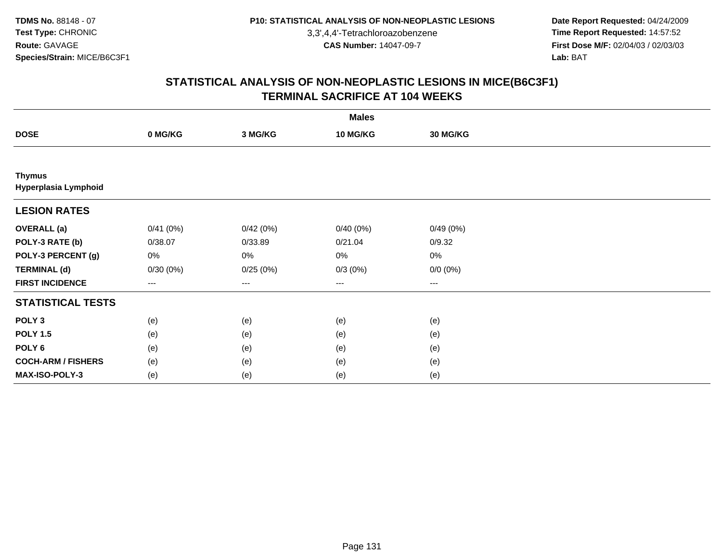3,3',4,4'-Tetrachloroazobenzene

 **Date Report Requested:** 04/24/2009 **Time Report Requested:** 14:57:52 **First Dose M/F:** 02/04/03 / 02/03/03<br>Lab: BAT **Lab:** BAT

| <b>Males</b>                          |                   |                   |                 |                   |  |  |
|---------------------------------------|-------------------|-------------------|-----------------|-------------------|--|--|
| <b>DOSE</b>                           | 0 MG/KG           | 3 MG/KG           | <b>10 MG/KG</b> | 30 MG/KG          |  |  |
|                                       |                   |                   |                 |                   |  |  |
| <b>Thymus</b><br>Hyperplasia Lymphoid |                   |                   |                 |                   |  |  |
| <b>LESION RATES</b>                   |                   |                   |                 |                   |  |  |
| <b>OVERALL</b> (a)                    | 0/41(0%)          | 0/42(0%)          | 0/40(0%)        | 0/49(0%)          |  |  |
| POLY-3 RATE (b)                       | 0/38.07           | 0/33.89           | 0/21.04         | 0/9.32            |  |  |
| POLY-3 PERCENT (g)                    | 0%                | 0%                | 0%              | 0%                |  |  |
| <b>TERMINAL (d)</b>                   | 0/30(0%)          | 0/25(0%)          | $0/3(0\%)$      | $0/0 (0\%)$       |  |  |
| <b>FIRST INCIDENCE</b>                | $\qquad \qquad -$ | $\qquad \qquad -$ | $---$           | $\qquad \qquad -$ |  |  |
| <b>STATISTICAL TESTS</b>              |                   |                   |                 |                   |  |  |
| POLY <sub>3</sub>                     | (e)               | (e)               | (e)             | (e)               |  |  |
| <b>POLY 1.5</b>                       | (e)               | (e)               | (e)             | (e)               |  |  |
| POLY <sub>6</sub>                     | (e)               | (e)               | (e)             | (e)               |  |  |
| <b>COCH-ARM / FISHERS</b>             | (e)               | (e)               | (e)             | (e)               |  |  |
| <b>MAX-ISO-POLY-3</b>                 | (e)               | (e)               | (e)             | (e)               |  |  |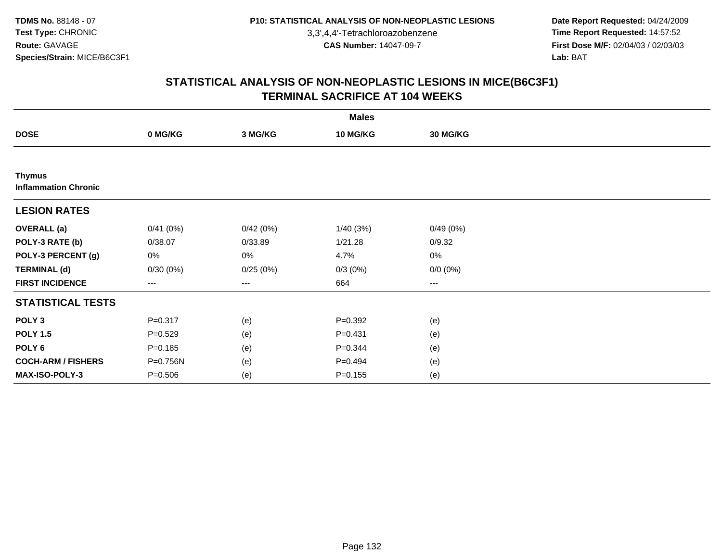3,3',4,4'-Tetrachloroazobenzene

 **Date Report Requested:** 04/24/2009 **Time Report Requested:** 14:57:52 **First Dose M/F:** 02/04/03 / 02/03/03<br>Lab: BAT **Lab:** BAT

|                                              |             |          | <b>Males</b>    |             |  |
|----------------------------------------------|-------------|----------|-----------------|-------------|--|
| <b>DOSE</b>                                  | 0 MG/KG     | 3 MG/KG  | <b>10 MG/KG</b> | 30 MG/KG    |  |
|                                              |             |          |                 |             |  |
| <b>Thymus</b><br><b>Inflammation Chronic</b> |             |          |                 |             |  |
| <b>LESION RATES</b>                          |             |          |                 |             |  |
| <b>OVERALL</b> (a)                           | 0/41(0%)    | 0/42(0%) | 1/40(3%)        | 0/49(0%)    |  |
| POLY-3 RATE (b)                              | 0/38.07     | 0/33.89  | 1/21.28         | 0/9.32      |  |
| POLY-3 PERCENT (g)                           | 0%          | $0\%$    | 4.7%            | 0%          |  |
| <b>TERMINAL (d)</b>                          | 0/30(0%)    | 0/25(0%) | $0/3(0\%)$      | $0/0 (0\%)$ |  |
| <b>FIRST INCIDENCE</b>                       | $--$        | ---      | 664             | $---$       |  |
| <b>STATISTICAL TESTS</b>                     |             |          |                 |             |  |
| POLY <sub>3</sub>                            | $P = 0.317$ | (e)      | $P = 0.392$     | (e)         |  |
| <b>POLY 1.5</b>                              | $P = 0.529$ | (e)      | $P = 0.431$     | (e)         |  |
| POLY <sub>6</sub>                            | $P = 0.185$ | (e)      | $P = 0.344$     | (e)         |  |
| <b>COCH-ARM / FISHERS</b>                    | P=0.756N    | (e)      | $P=0.494$       | (e)         |  |
| MAX-ISO-POLY-3                               | $P = 0.506$ | (e)      | $P = 0.155$     | (e)         |  |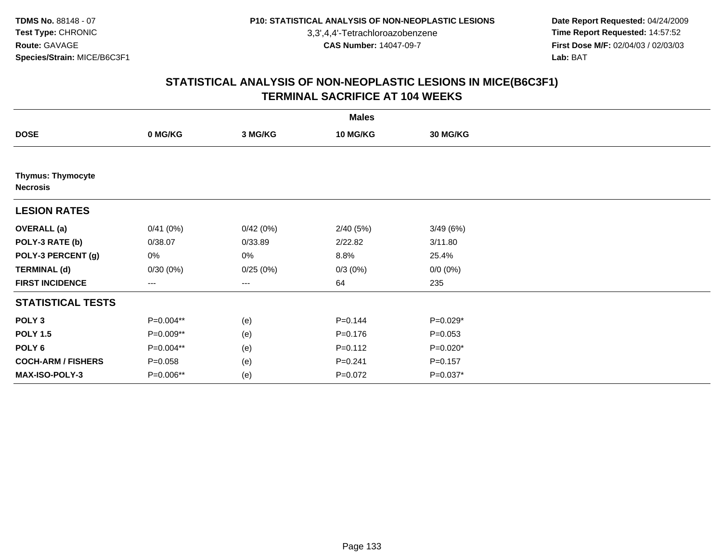3,3',4,4'-Tetrachloroazobenzene

 **Date Report Requested:** 04/24/2009 **Time Report Requested:** 14:57:52 **First Dose M/F:** 02/04/03 / 02/03/03<br>Lab: BAT **Lab:** BAT

|                                             |                   |          | <b>Males</b>    |             |  |
|---------------------------------------------|-------------------|----------|-----------------|-------------|--|
| <b>DOSE</b>                                 | 0 MG/KG           | 3 MG/KG  | <b>10 MG/KG</b> | 30 MG/KG    |  |
|                                             |                   |          |                 |             |  |
| <b>Thymus: Thymocyte</b><br><b>Necrosis</b> |                   |          |                 |             |  |
| <b>LESION RATES</b>                         |                   |          |                 |             |  |
| <b>OVERALL</b> (a)                          | 0/41(0%)          | 0/42(0%) | 2/40(5%)        | 3/49(6%)    |  |
| POLY-3 RATE (b)                             | 0/38.07           | 0/33.89  | 2/22.82         | 3/11.80     |  |
| POLY-3 PERCENT (g)                          | 0%                | $0\%$    | 8.8%            | 25.4%       |  |
| <b>TERMINAL (d)</b>                         | 0/30(0%)          | 0/25(0%) | $0/3(0\%)$      | $0/0 (0\%)$ |  |
| <b>FIRST INCIDENCE</b>                      | $\qquad \qquad -$ | ---      | 64              | 235         |  |
| <b>STATISTICAL TESTS</b>                    |                   |          |                 |             |  |
| POLY <sub>3</sub>                           | P=0.004**         | (e)      | $P=0.144$       | P=0.029*    |  |
| <b>POLY 1.5</b>                             | P=0.009**         | (e)      | $P = 0.176$     | $P = 0.053$ |  |
| POLY <sub>6</sub>                           | P=0.004**         | (e)      | $P = 0.112$     | P=0.020*    |  |
| <b>COCH-ARM / FISHERS</b>                   | $P = 0.058$       | (e)      | $P = 0.241$     | $P = 0.157$ |  |
| MAX-ISO-POLY-3                              | P=0.006**         | (e)      | $P=0.072$       | P=0.037*    |  |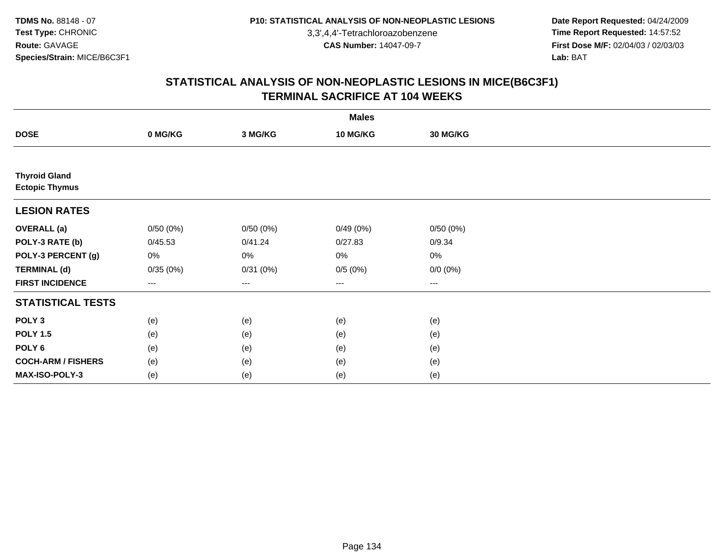3,3',4,4'-Tetrachloroazobenzene

 **Date Report Requested:** 04/24/2009 **Time Report Requested:** 14:57:52 **First Dose M/F:** 02/04/03 / 02/03/03<br>Lab: BAT **Lab:** BAT

| <b>Males</b>                                  |               |          |                 |             |  |  |  |
|-----------------------------------------------|---------------|----------|-----------------|-------------|--|--|--|
| <b>DOSE</b>                                   | 0 MG/KG       | 3 MG/KG  | <b>10 MG/KG</b> | 30 MG/KG    |  |  |  |
|                                               |               |          |                 |             |  |  |  |
| <b>Thyroid Gland</b><br><b>Ectopic Thymus</b> |               |          |                 |             |  |  |  |
| <b>LESION RATES</b>                           |               |          |                 |             |  |  |  |
| <b>OVERALL</b> (a)                            | 0/50(0%)      | 0/50(0%) | 0/49(0%)        | 0/50(0%)    |  |  |  |
| POLY-3 RATE (b)                               | 0/45.53       | 0/41.24  | 0/27.83         | 0/9.34      |  |  |  |
| POLY-3 PERCENT (g)                            | 0%            | $0\%$    | 0%              | 0%          |  |  |  |
| <b>TERMINAL (d)</b>                           | 0/35(0%)      | 0/31(0%) | 0/5(0%)         | $0/0 (0\%)$ |  |  |  |
| <b>FIRST INCIDENCE</b>                        | $\sim$ $\sim$ | $\cdots$ | $\cdots$        | $\cdots$    |  |  |  |
| <b>STATISTICAL TESTS</b>                      |               |          |                 |             |  |  |  |
| POLY <sub>3</sub>                             | (e)           | (e)      | (e)             | (e)         |  |  |  |
| <b>POLY 1.5</b>                               | (e)           | (e)      | (e)             | (e)         |  |  |  |
| POLY <sub>6</sub>                             | (e)           | (e)      | (e)             | (e)         |  |  |  |
| <b>COCH-ARM / FISHERS</b>                     | (e)           | (e)      | (e)             | (e)         |  |  |  |
| MAX-ISO-POLY-3                                | (e)           | (e)      | (e)             | (e)         |  |  |  |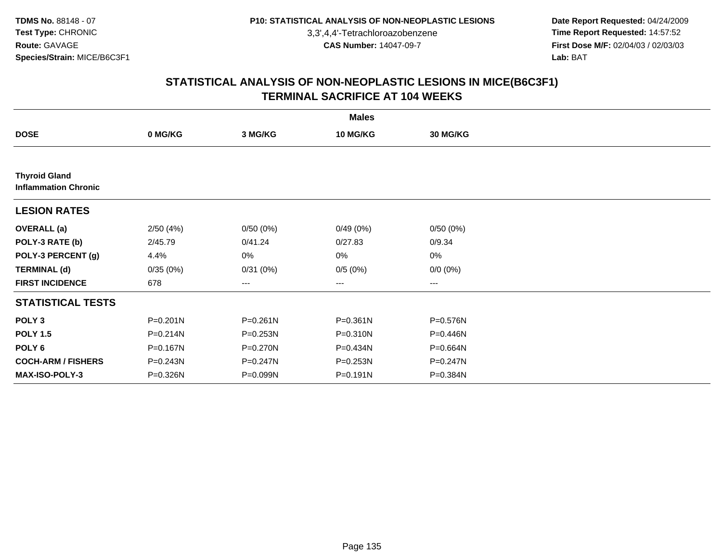3,3',4,4'-Tetrachloroazobenzene

 **Date Report Requested:** 04/24/2009 **Time Report Requested:** 14:57:52 **First Dose M/F:** 02/04/03 / 02/03/03<br>Lab: BAT **Lab:** BAT

|                                                     |          |          | <b>Males</b> |             |  |
|-----------------------------------------------------|----------|----------|--------------|-------------|--|
| <b>DOSE</b>                                         | 0 MG/KG  | 3 MG/KG  | 10 MG/KG     | 30 MG/KG    |  |
|                                                     |          |          |              |             |  |
| <b>Thyroid Gland</b><br><b>Inflammation Chronic</b> |          |          |              |             |  |
| <b>LESION RATES</b>                                 |          |          |              |             |  |
| <b>OVERALL</b> (a)                                  | 2/50(4%) | 0/50(0%) | 0/49(0%)     | 0/50(0%)    |  |
| POLY-3 RATE (b)                                     | 2/45.79  | 0/41.24  | 0/27.83      | 0/9.34      |  |
| POLY-3 PERCENT (g)                                  | 4.4%     | 0%       | 0%           | $0\%$       |  |
| <b>TERMINAL (d)</b>                                 | 0/35(0%) | 0/31(0%) | 0/5(0%)      | $0/0 (0\%)$ |  |
| <b>FIRST INCIDENCE</b>                              | 678      | $---$    | $\cdots$     | $\cdots$    |  |
| <b>STATISTICAL TESTS</b>                            |          |          |              |             |  |
| POLY <sub>3</sub>                                   | P=0.201N | P=0.261N | $P = 0.361N$ | P=0.576N    |  |
| <b>POLY 1.5</b>                                     | P=0.214N | P=0.253N | P=0.310N     | P=0.446N    |  |
| POLY <sub>6</sub>                                   | P=0.167N | P=0.270N | P=0.434N     | P=0.664N    |  |
| <b>COCH-ARM / FISHERS</b>                           | P=0.243N | P=0.247N | P=0.253N     | P=0.247N    |  |
| <b>MAX-ISO-POLY-3</b>                               | P=0.326N | P=0.099N | P=0.191N     | P=0.384N    |  |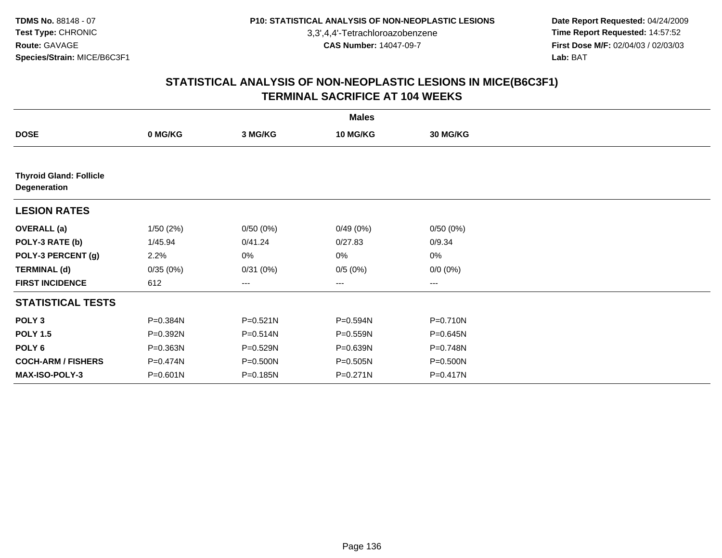3,3',4,4'-Tetrachloroazobenzene

 **Date Report Requested:** 04/24/2009 **Time Report Requested:** 14:57:52 **First Dose M/F:** 02/04/03 / 02/03/03<br>Lab: BAT **Lab:** BAT

| <b>Males</b>                                   |          |          |              |                 |  |  |  |
|------------------------------------------------|----------|----------|--------------|-----------------|--|--|--|
| <b>DOSE</b>                                    | 0 MG/KG  | 3 MG/KG  | 10 MG/KG     | <b>30 MG/KG</b> |  |  |  |
|                                                |          |          |              |                 |  |  |  |
| <b>Thyroid Gland: Follicle</b><br>Degeneration |          |          |              |                 |  |  |  |
| <b>LESION RATES</b>                            |          |          |              |                 |  |  |  |
| <b>OVERALL</b> (a)                             | 1/50(2%) | 0/50(0%) | 0/49(0%)     | 0/50(0%)        |  |  |  |
| POLY-3 RATE (b)                                | 1/45.94  | 0/41.24  | 0/27.83      | 0/9.34          |  |  |  |
| POLY-3 PERCENT (g)                             | 2.2%     | 0%       | 0%           | 0%              |  |  |  |
| <b>TERMINAL (d)</b>                            | 0/35(0%) | 0/31(0%) | 0/5(0%)      | $0/0 (0\%)$     |  |  |  |
| <b>FIRST INCIDENCE</b>                         | 612      | ---      | ---          | ---             |  |  |  |
| <b>STATISTICAL TESTS</b>                       |          |          |              |                 |  |  |  |
| POLY <sub>3</sub>                              | P=0.384N | P=0.521N | P=0.594N     | P=0.710N        |  |  |  |
| <b>POLY 1.5</b>                                | P=0.392N | P=0.514N | P=0.559N     | P=0.645N        |  |  |  |
| POLY <sub>6</sub>                              | P=0.363N | P=0.529N | P=0.639N     | P=0.748N        |  |  |  |
| <b>COCH-ARM / FISHERS</b>                      | P=0.474N | P=0.500N | P=0.505N     | P=0.500N        |  |  |  |
| <b>MAX-ISO-POLY-3</b>                          | P=0.601N | P=0.185N | $P = 0.271N$ | P=0.417N        |  |  |  |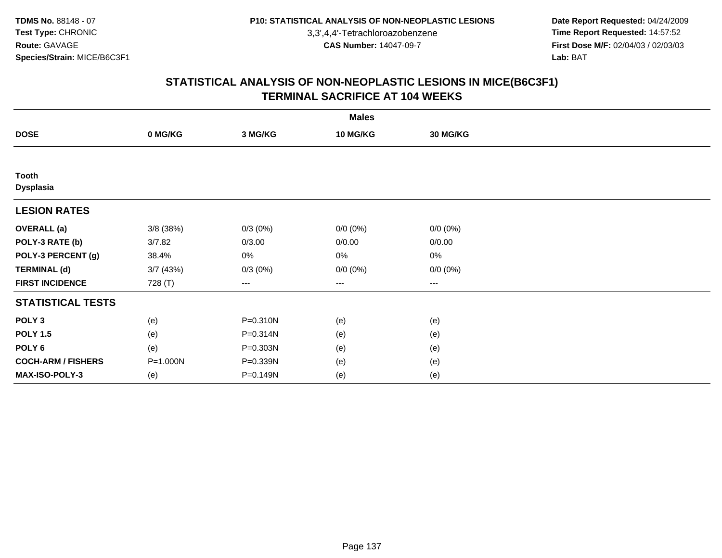3,3',4,4'-Tetrachloroazobenzene

 **Date Report Requested:** 04/24/2009 **Time Report Requested:** 14:57:52 **First Dose M/F:** 02/04/03 / 02/03/03<br>Lab: BAT **Lab:** BAT

|                           |             |            | <b>Males</b>    |             |  |
|---------------------------|-------------|------------|-----------------|-------------|--|
| <b>DOSE</b>               | 0 MG/KG     | 3 MG/KG    | <b>10 MG/KG</b> | 30 MG/KG    |  |
|                           |             |            |                 |             |  |
| Tooth<br><b>Dysplasia</b> |             |            |                 |             |  |
| <b>LESION RATES</b>       |             |            |                 |             |  |
| <b>OVERALL</b> (a)        | $3/8$ (38%) | 0/3(0%)    | $0/0 (0\%)$     | $0/0 (0\%)$ |  |
| POLY-3 RATE (b)           | 3/7.82      | 0/3.00     | 0/0.00          | 0/0.00      |  |
| POLY-3 PERCENT (g)        | 38.4%       | $0\%$      | 0%              | 0%          |  |
| <b>TERMINAL (d)</b>       | 3/7(43%)    | $0/3(0\%)$ | $0/0 (0\%)$     | $0/0 (0\%)$ |  |
| <b>FIRST INCIDENCE</b>    | 728 (T)     | ---        | ---             | $---$       |  |
| <b>STATISTICAL TESTS</b>  |             |            |                 |             |  |
| POLY <sub>3</sub>         | (e)         | P=0.310N   | (e)             | (e)         |  |
| <b>POLY 1.5</b>           | (e)         | P=0.314N   | (e)             | (e)         |  |
| POLY <sub>6</sub>         | (e)         | P=0.303N   | (e)             | (e)         |  |
| <b>COCH-ARM / FISHERS</b> | P=1.000N    | P=0.339N   | (e)             | (e)         |  |
| MAX-ISO-POLY-3            | (e)         | P=0.149N   | (e)             | (e)         |  |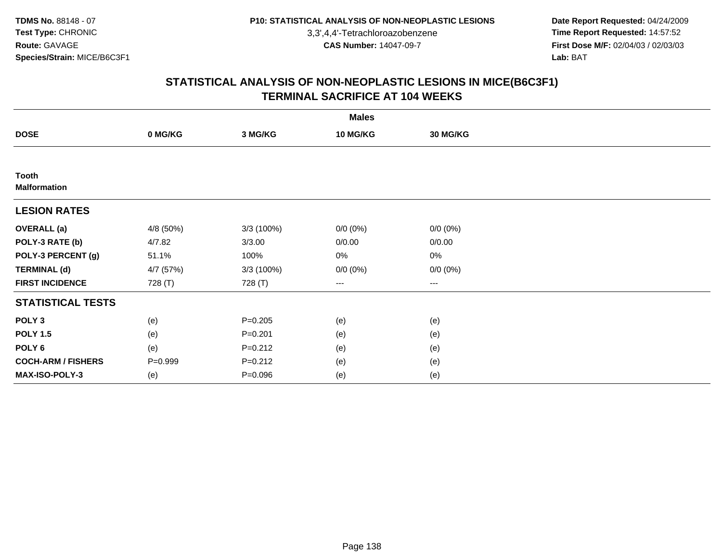3,3',4,4'-Tetrachloroazobenzene

 **Date Report Requested:** 04/24/2009 **Time Report Requested:** 14:57:52 **First Dose M/F:** 02/04/03 / 02/03/03<br>Lab: BAT **Lab:** BAT

|                              | <b>Males</b> |             |             |                 |  |  |  |  |
|------------------------------|--------------|-------------|-------------|-----------------|--|--|--|--|
| <b>DOSE</b>                  | 0 MG/KG      | 3 MG/KG     | 10 MG/KG    | <b>30 MG/KG</b> |  |  |  |  |
|                              |              |             |             |                 |  |  |  |  |
| Tooth<br><b>Malformation</b> |              |             |             |                 |  |  |  |  |
| <b>LESION RATES</b>          |              |             |             |                 |  |  |  |  |
| <b>OVERALL (a)</b>           | 4/8 (50%)    | 3/3 (100%)  | $0/0 (0\%)$ | $0/0 (0\%)$     |  |  |  |  |
| POLY-3 RATE (b)              | 4/7.82       | 3/3.00      | 0/0.00      | 0/0.00          |  |  |  |  |
| POLY-3 PERCENT (g)           | 51.1%        | 100%        | 0%          | $0\%$           |  |  |  |  |
| <b>TERMINAL (d)</b>          | 4/7 (57%)    | 3/3 (100%)  | $0/0 (0\%)$ | $0/0 (0\%)$     |  |  |  |  |
| <b>FIRST INCIDENCE</b>       | 728 (T)      | 728 (T)     | $---$       | ---             |  |  |  |  |
| <b>STATISTICAL TESTS</b>     |              |             |             |                 |  |  |  |  |
| POLY <sub>3</sub>            | (e)          | $P = 0.205$ | (e)         | (e)             |  |  |  |  |
| <b>POLY 1.5</b>              | (e)          | $P = 0.201$ | (e)         | (e)             |  |  |  |  |
| POLY <sub>6</sub>            | (e)          | $P=0.212$   | (e)         | (e)             |  |  |  |  |
| <b>COCH-ARM / FISHERS</b>    | $P = 0.999$  | $P=0.212$   | (e)         | (e)             |  |  |  |  |
| MAX-ISO-POLY-3               | (e)          | $P = 0.096$ | (e)         | (e)             |  |  |  |  |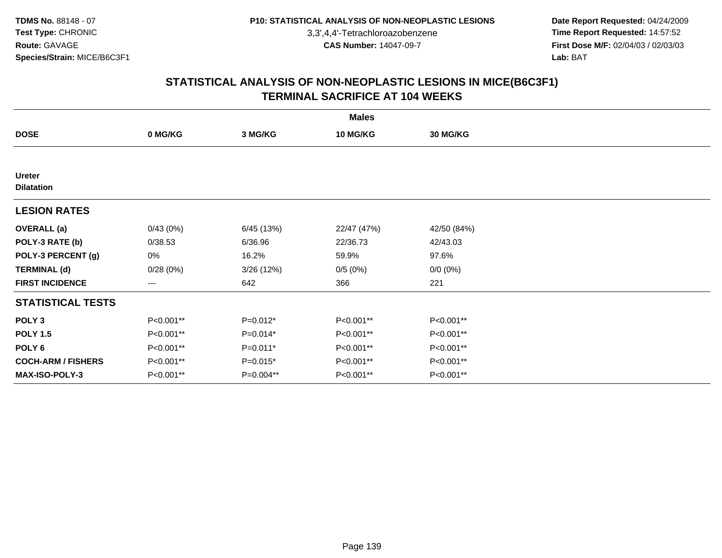3,3',4,4'-Tetrachloroazobenzene

 **Date Report Requested:** 04/24/2009 **Time Report Requested:** 14:57:52 **First Dose M/F:** 02/04/03 / 02/03/03<br>Lab: BAT **Lab:** BAT

|                                    | <b>Males</b> |            |                 |                 |  |  |  |  |
|------------------------------------|--------------|------------|-----------------|-----------------|--|--|--|--|
| <b>DOSE</b>                        | 0 MG/KG      | 3 MG/KG    | <b>10 MG/KG</b> | <b>30 MG/KG</b> |  |  |  |  |
|                                    |              |            |                 |                 |  |  |  |  |
| <b>Ureter</b><br><b>Dilatation</b> |              |            |                 |                 |  |  |  |  |
| <b>LESION RATES</b>                |              |            |                 |                 |  |  |  |  |
| <b>OVERALL</b> (a)                 | 0/43(0%)     | 6/45 (13%) | 22/47 (47%)     | 42/50 (84%)     |  |  |  |  |
| POLY-3 RATE (b)                    | 0/38.53      | 6/36.96    | 22/36.73        | 42/43.03        |  |  |  |  |
| POLY-3 PERCENT (g)                 | 0%           | 16.2%      | 59.9%           | 97.6%           |  |  |  |  |
| <b>TERMINAL (d)</b>                | 0/28(0%)     | 3/26(12%)  | 0/5(0%)         | $0/0 (0\%)$     |  |  |  |  |
| <b>FIRST INCIDENCE</b>             | $--$         | 642        | 366             | 221             |  |  |  |  |
| <b>STATISTICAL TESTS</b>           |              |            |                 |                 |  |  |  |  |
| POLY <sub>3</sub>                  | P<0.001**    | $P=0.012*$ | P<0.001**       | P<0.001**       |  |  |  |  |
| <b>POLY 1.5</b>                    | P<0.001**    | $P=0.014*$ | P<0.001**       | P<0.001**       |  |  |  |  |
| POLY <sub>6</sub>                  | P<0.001**    | P=0.011*   | P<0.001**       | P<0.001**       |  |  |  |  |
| <b>COCH-ARM / FISHERS</b>          | P<0.001**    | $P=0.015*$ | P<0.001**       | P<0.001**       |  |  |  |  |
| <b>MAX-ISO-POLY-3</b>              | P<0.001**    | P=0.004**  | P<0.001**       | P<0.001**       |  |  |  |  |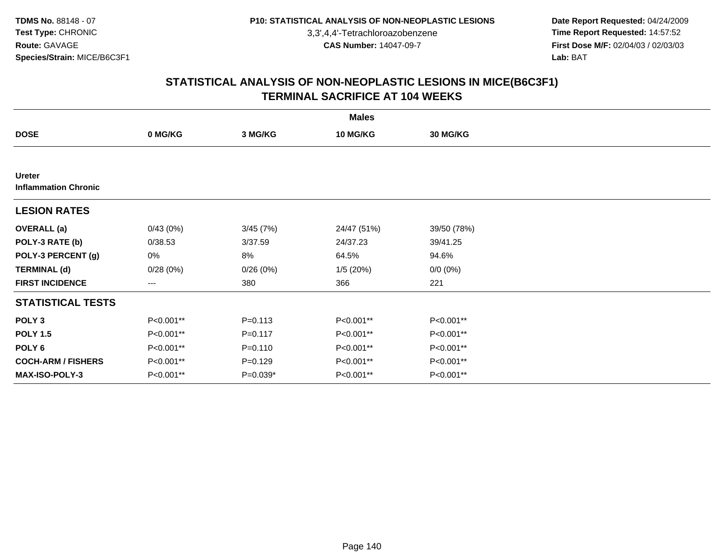3,3',4,4'-Tetrachloroazobenzene

 **Date Report Requested:** 04/24/2009 **Time Report Requested:** 14:57:52 **First Dose M/F:** 02/04/03 / 02/03/03<br>Lab: BAT **Lab:** BAT

| <b>Males</b>                                 |           |             |             |                 |  |  |  |
|----------------------------------------------|-----------|-------------|-------------|-----------------|--|--|--|
| <b>DOSE</b>                                  | 0 MG/KG   | 3 MG/KG     | 10 MG/KG    | <b>30 MG/KG</b> |  |  |  |
|                                              |           |             |             |                 |  |  |  |
| <b>Ureter</b><br><b>Inflammation Chronic</b> |           |             |             |                 |  |  |  |
| <b>LESION RATES</b>                          |           |             |             |                 |  |  |  |
| <b>OVERALL</b> (a)                           | 0/43(0%)  | 3/45(7%)    | 24/47 (51%) | 39/50 (78%)     |  |  |  |
| POLY-3 RATE (b)                              | 0/38.53   | 3/37.59     | 24/37.23    | 39/41.25        |  |  |  |
| POLY-3 PERCENT (g)                           | 0%        | 8%          | 64.5%       | 94.6%           |  |  |  |
| <b>TERMINAL (d)</b>                          | 0/28(0%)  | 0/26(0%)    | 1/5(20%)    | $0/0 (0\%)$     |  |  |  |
| <b>FIRST INCIDENCE</b>                       | $--$      | 380         | 366         | 221             |  |  |  |
| <b>STATISTICAL TESTS</b>                     |           |             |             |                 |  |  |  |
| POLY <sub>3</sub>                            | P<0.001** | $P = 0.113$ | P<0.001**   | P<0.001**       |  |  |  |
| <b>POLY 1.5</b>                              | P<0.001** | $P = 0.117$ | P<0.001**   | P<0.001**       |  |  |  |
| POLY <sub>6</sub>                            | P<0.001** | $P = 0.110$ | P<0.001**   | P<0.001**       |  |  |  |
| <b>COCH-ARM / FISHERS</b>                    | P<0.001** | $P = 0.129$ | P<0.001**   | P<0.001**       |  |  |  |
| <b>MAX-ISO-POLY-3</b>                        | P<0.001** | P=0.039*    | P<0.001**   | P<0.001**       |  |  |  |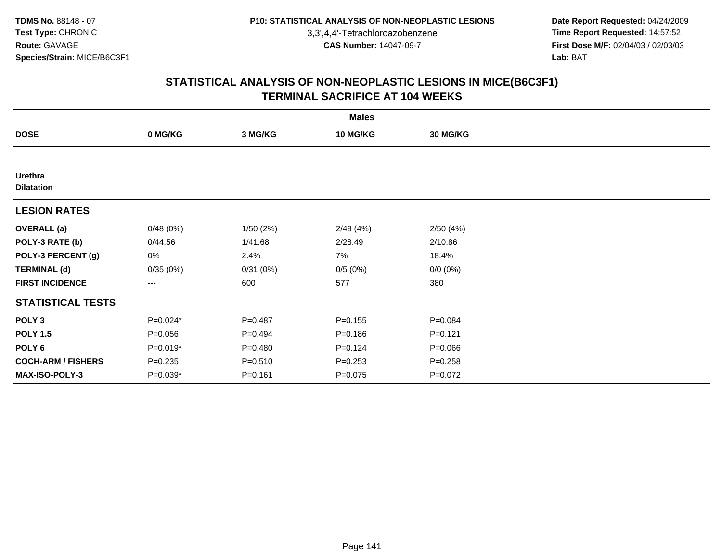3,3',4,4'-Tetrachloroazobenzene

 **Date Report Requested:** 04/24/2009 **Time Report Requested:** 14:57:52 **First Dose M/F:** 02/04/03 / 02/03/03<br>Lab: BAT **Lab:** BAT

|                                     |             |             | <b>Males</b>    |             |  |
|-------------------------------------|-------------|-------------|-----------------|-------------|--|
| <b>DOSE</b>                         | 0 MG/KG     | 3 MG/KG     | <b>10 MG/KG</b> | 30 MG/KG    |  |
|                                     |             |             |                 |             |  |
| <b>Urethra</b><br><b>Dilatation</b> |             |             |                 |             |  |
| <b>LESION RATES</b>                 |             |             |                 |             |  |
| <b>OVERALL</b> (a)                  | 0/48(0%)    | 1/50(2%)    | 2/49(4%)        | 2/50(4%)    |  |
| POLY-3 RATE (b)                     | 0/44.56     | 1/41.68     | 2/28.49         | 2/10.86     |  |
| POLY-3 PERCENT (g)                  | 0%          | 2.4%        | 7%              | 18.4%       |  |
| <b>TERMINAL (d)</b>                 | 0/35(0%)    | 0/31(0%)    | 0/5(0%)         | $0/0 (0\%)$ |  |
| <b>FIRST INCIDENCE</b>              | $--$        | 600         | 577             | 380         |  |
| <b>STATISTICAL TESTS</b>            |             |             |                 |             |  |
| POLY <sub>3</sub>                   | $P=0.024*$  | $P = 0.487$ | $P = 0.155$     | $P = 0.084$ |  |
| <b>POLY 1.5</b>                     | $P = 0.056$ | $P=0.494$   | $P = 0.186$     | $P = 0.121$ |  |
| POLY <sub>6</sub>                   | $P=0.019*$  | $P = 0.480$ | $P = 0.124$     | $P = 0.066$ |  |
| <b>COCH-ARM / FISHERS</b>           | $P = 0.235$ | $P = 0.510$ | $P = 0.253$     | $P = 0.258$ |  |
| <b>MAX-ISO-POLY-3</b>               | $P=0.039*$  | $P = 0.161$ | $P = 0.075$     | $P=0.072$   |  |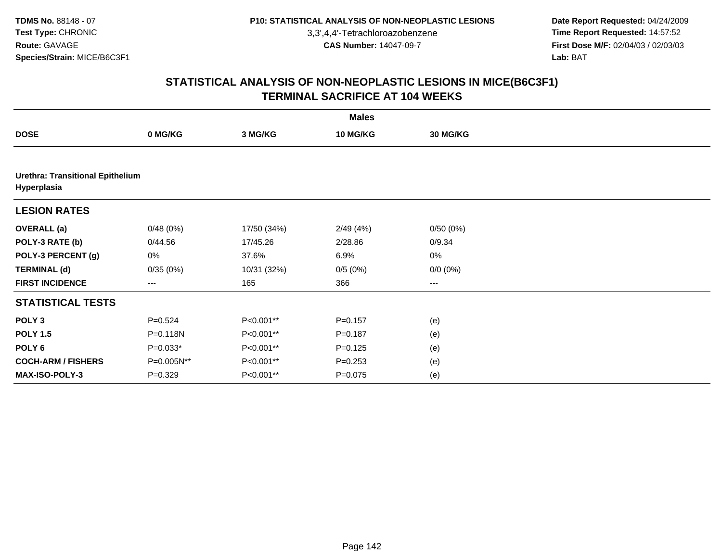3,3',4,4'-Tetrachloroazobenzene

 **Date Report Requested:** 04/24/2009 **Time Report Requested:** 14:57:52 **First Dose M/F:** 02/04/03 / 02/03/03<br>Lab: BAT **Lab:** BAT

|                           | <b>Males</b>                            |             |             |                 |  |  |  |  |  |
|---------------------------|-----------------------------------------|-------------|-------------|-----------------|--|--|--|--|--|
| <b>DOSE</b>               | 0 MG/KG                                 | 3 MG/KG     | 10 MG/KG    | <b>30 MG/KG</b> |  |  |  |  |  |
|                           |                                         |             |             |                 |  |  |  |  |  |
| Hyperplasia               | <b>Urethra: Transitional Epithelium</b> |             |             |                 |  |  |  |  |  |
| <b>LESION RATES</b>       |                                         |             |             |                 |  |  |  |  |  |
| <b>OVERALL</b> (a)        | 0/48(0%)                                | 17/50 (34%) | 2/49(4%)    | 0/50(0%)        |  |  |  |  |  |
| POLY-3 RATE (b)           | 0/44.56                                 | 17/45.26    | 2/28.86     | 0/9.34          |  |  |  |  |  |
| POLY-3 PERCENT (g)        | 0%                                      | 37.6%       | 6.9%        | $0\%$           |  |  |  |  |  |
| <b>TERMINAL (d)</b>       | 0/35(0%)                                | 10/31 (32%) | 0/5(0%)     | $0/0 (0\%)$     |  |  |  |  |  |
| <b>FIRST INCIDENCE</b>    | $\cdots$                                | 165         | 366         | $\cdots$        |  |  |  |  |  |
| <b>STATISTICAL TESTS</b>  |                                         |             |             |                 |  |  |  |  |  |
| POLY <sub>3</sub>         | $P = 0.524$                             | P<0.001**   | $P = 0.157$ | (e)             |  |  |  |  |  |
| <b>POLY 1.5</b>           | P=0.118N                                | P<0.001**   | $P = 0.187$ | (e)             |  |  |  |  |  |
| POLY <sub>6</sub>         | $P=0.033*$                              | P<0.001**   | $P = 0.125$ | (e)             |  |  |  |  |  |
| <b>COCH-ARM / FISHERS</b> | P=0.005N**                              | P<0.001**   | $P = 0.253$ | (e)             |  |  |  |  |  |
| <b>MAX-ISO-POLY-3</b>     | $P = 0.329$                             | P<0.001**   | $P = 0.075$ | (e)             |  |  |  |  |  |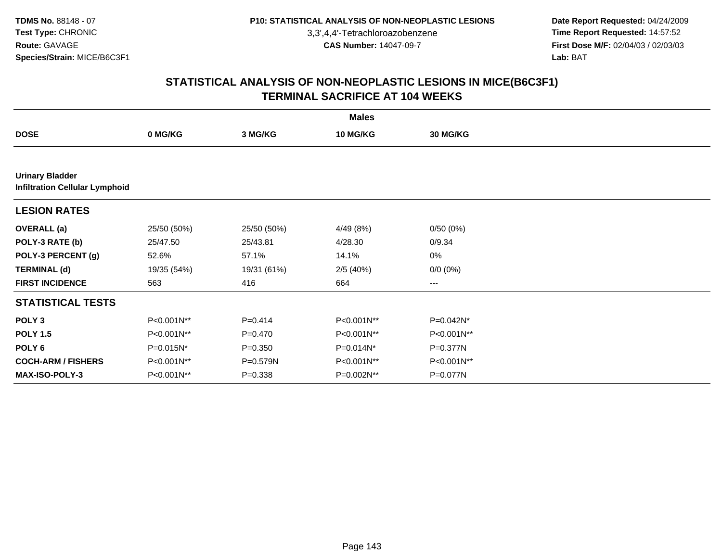3,3',4,4'-Tetrachloroazobenzene

 **Date Report Requested:** 04/24/2009 **Time Report Requested:** 14:57:52 **First Dose M/F:** 02/04/03 / 02/03/03<br>Lab: BAT **Lab:** BAT

|                                                                 | <b>Males</b> |             |            |                 |  |  |  |  |
|-----------------------------------------------------------------|--------------|-------------|------------|-----------------|--|--|--|--|
| <b>DOSE</b>                                                     | 0 MG/KG      | 3 MG/KG     | 10 MG/KG   | <b>30 MG/KG</b> |  |  |  |  |
|                                                                 |              |             |            |                 |  |  |  |  |
| <b>Urinary Bladder</b><br><b>Infiltration Cellular Lymphoid</b> |              |             |            |                 |  |  |  |  |
| <b>LESION RATES</b>                                             |              |             |            |                 |  |  |  |  |
| <b>OVERALL</b> (a)                                              | 25/50 (50%)  | 25/50 (50%) | 4/49(8%)   | 0/50(0%)        |  |  |  |  |
| POLY-3 RATE (b)                                                 | 25/47.50     | 25/43.81    | 4/28.30    | 0/9.34          |  |  |  |  |
| POLY-3 PERCENT (g)                                              | 52.6%        | 57.1%       | 14.1%      | 0%              |  |  |  |  |
| <b>TERMINAL (d)</b>                                             | 19/35 (54%)  | 19/31 (61%) | 2/5(40%)   | $0/0 (0\%)$     |  |  |  |  |
| <b>FIRST INCIDENCE</b>                                          | 563          | 416         | 664        | ---             |  |  |  |  |
| <b>STATISTICAL TESTS</b>                                        |              |             |            |                 |  |  |  |  |
| POLY <sub>3</sub>                                               | P<0.001N**   | $P = 0.414$ | P<0.001N** | P=0.042N*       |  |  |  |  |
| <b>POLY 1.5</b>                                                 | P<0.001N**   | $P=0.470$   | P<0.001N** | P<0.001N**      |  |  |  |  |
| POLY 6                                                          | P=0.015N*    | $P = 0.350$ | P=0.014N*  | P=0.377N        |  |  |  |  |
| <b>COCH-ARM / FISHERS</b>                                       | P<0.001N**   | P=0.579N    | P<0.001N** | P<0.001N**      |  |  |  |  |
| <b>MAX-ISO-POLY-3</b>                                           | P<0.001N**   | $P = 0.338$ | P=0.002N** | P=0.077N        |  |  |  |  |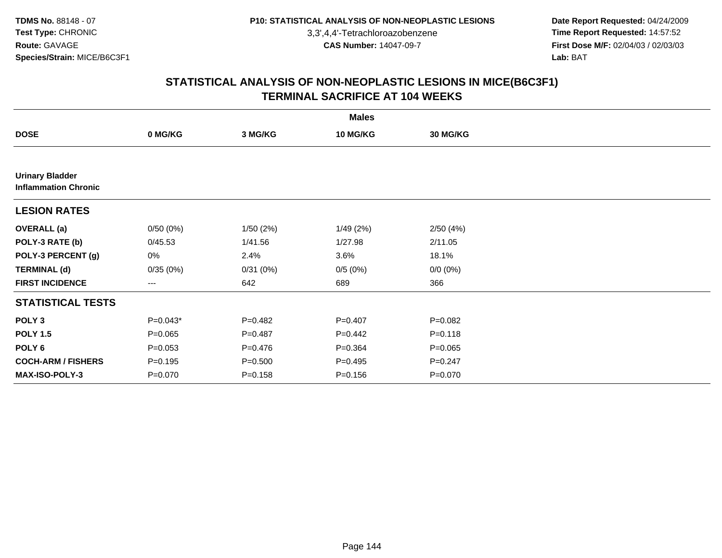3,3',4,4'-Tetrachloroazobenzene

 **Date Report Requested:** 04/24/2009 **Time Report Requested:** 14:57:52 **First Dose M/F:** 02/04/03 / 02/03/03<br>Lab: BAT **Lab:** BAT

|                                                       |             |             | <b>Males</b> |             |  |
|-------------------------------------------------------|-------------|-------------|--------------|-------------|--|
| <b>DOSE</b>                                           | 0 MG/KG     | 3 MG/KG     | 10 MG/KG     | 30 MG/KG    |  |
|                                                       |             |             |              |             |  |
| <b>Urinary Bladder</b><br><b>Inflammation Chronic</b> |             |             |              |             |  |
| <b>LESION RATES</b>                                   |             |             |              |             |  |
| <b>OVERALL</b> (a)                                    | 0/50(0%)    | 1/50(2%)    | 1/49(2%)     | 2/50(4%)    |  |
| POLY-3 RATE (b)                                       | 0/45.53     | 1/41.56     | 1/27.98      | 2/11.05     |  |
| POLY-3 PERCENT (g)                                    | 0%          | 2.4%        | 3.6%         | 18.1%       |  |
| <b>TERMINAL (d)</b>                                   | 0/35(0%)    | 0/31(0%)    | 0/5(0%)      | $0/0 (0\%)$ |  |
| <b>FIRST INCIDENCE</b>                                | $\cdots$    | 642         | 689          | 366         |  |
| <b>STATISTICAL TESTS</b>                              |             |             |              |             |  |
| POLY <sub>3</sub>                                     | $P=0.043*$  | $P=0.482$   | $P = 0.407$  | $P = 0.082$ |  |
| <b>POLY 1.5</b>                                       | $P = 0.065$ | $P = 0.487$ | $P=0.442$    | $P = 0.118$ |  |
| POLY <sub>6</sub>                                     | $P = 0.053$ | $P = 0.476$ | $P=0.364$    | $P = 0.065$ |  |
| <b>COCH-ARM / FISHERS</b>                             | $P = 0.195$ | $P = 0.500$ | $P = 0.495$  | $P = 0.247$ |  |
| <b>MAX-ISO-POLY-3</b>                                 | $P = 0.070$ | $P = 0.158$ | $P = 0.156$  | $P = 0.070$ |  |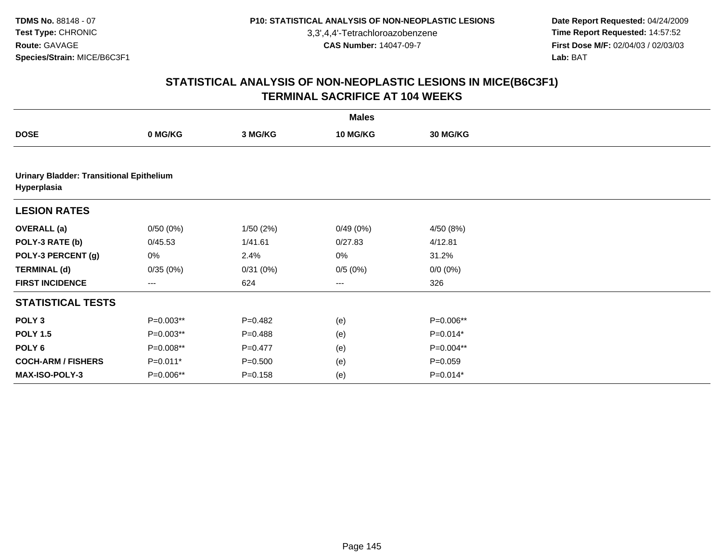3,3',4,4'-Tetrachloroazobenzene

 **Date Report Requested:** 04/24/2009 **Time Report Requested:** 14:57:52 **First Dose M/F:** 02/04/03 / 02/03/03<br>Lab: BAT **Lab:** BAT

|                           |                                                 |             | <b>Males</b>      |                 |  |  |  |  |  |
|---------------------------|-------------------------------------------------|-------------|-------------------|-----------------|--|--|--|--|--|
| <b>DOSE</b>               | 0 MG/KG                                         | 3 MG/KG     | 10 MG/KG          | <b>30 MG/KG</b> |  |  |  |  |  |
|                           |                                                 |             |                   |                 |  |  |  |  |  |
| Hyperplasia               | <b>Urinary Bladder: Transitional Epithelium</b> |             |                   |                 |  |  |  |  |  |
| <b>LESION RATES</b>       |                                                 |             |                   |                 |  |  |  |  |  |
| <b>OVERALL</b> (a)        | 0/50(0%)                                        | 1/50(2%)    | 0/49(0%)          | 4/50 (8%)       |  |  |  |  |  |
| POLY-3 RATE (b)           | 0/45.53                                         | 1/41.61     | 0/27.83           | 4/12.81         |  |  |  |  |  |
| POLY-3 PERCENT (g)        | 0%                                              | 2.4%        | 0%                | 31.2%           |  |  |  |  |  |
| <b>TERMINAL (d)</b>       | 0/35(0%)                                        | 0/31(0%)    | 0/5(0%)           | $0/0 (0\%)$     |  |  |  |  |  |
| <b>FIRST INCIDENCE</b>    | ---                                             | 624         | $\qquad \qquad -$ | 326             |  |  |  |  |  |
| <b>STATISTICAL TESTS</b>  |                                                 |             |                   |                 |  |  |  |  |  |
| POLY <sub>3</sub>         | P=0.003**                                       | $P=0.482$   | (e)               | P=0.006**       |  |  |  |  |  |
| <b>POLY 1.5</b>           | $P=0.003**$                                     | $P = 0.488$ | (e)               | $P=0.014*$      |  |  |  |  |  |
| POLY 6                    | P=0.008**                                       | $P=0.477$   | (e)               | P=0.004**       |  |  |  |  |  |
| <b>COCH-ARM / FISHERS</b> | $P=0.011*$                                      | $P = 0.500$ | (e)               | $P = 0.059$     |  |  |  |  |  |
| <b>MAX-ISO-POLY-3</b>     | P=0.006**                                       | $P = 0.158$ | (e)               | P=0.014*        |  |  |  |  |  |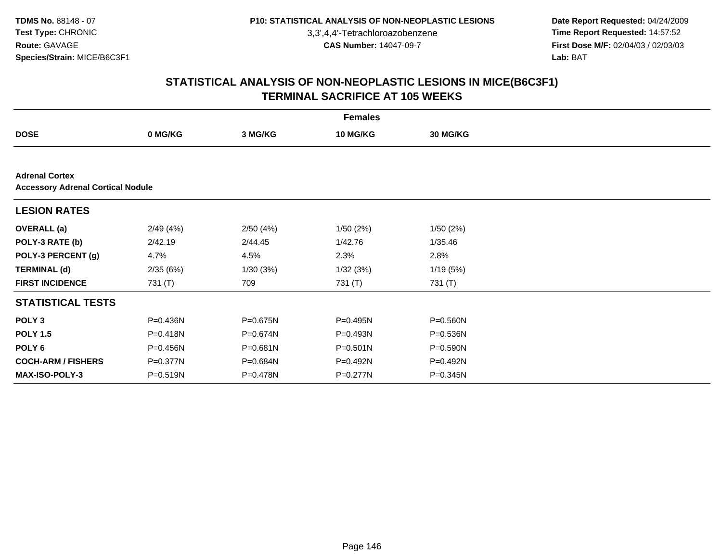3,3',4,4'-Tetrachloroazobenzene

 **Date Report Requested:** 04/24/2009 **Time Report Requested:** 14:57:52 **First Dose M/F:** 02/04/03 / 02/03/03<br>Lab: BAT **Lab:** BAT

|                                                                   |          |          | <b>Females</b> |                 |  |  |  |  |  |
|-------------------------------------------------------------------|----------|----------|----------------|-----------------|--|--|--|--|--|
| <b>DOSE</b>                                                       | 0 MG/KG  | 3 MG/KG  | 10 MG/KG       | <b>30 MG/KG</b> |  |  |  |  |  |
|                                                                   |          |          |                |                 |  |  |  |  |  |
| <b>Adrenal Cortex</b><br><b>Accessory Adrenal Cortical Nodule</b> |          |          |                |                 |  |  |  |  |  |
| <b>LESION RATES</b>                                               |          |          |                |                 |  |  |  |  |  |
| <b>OVERALL</b> (a)                                                | 2/49(4%) | 2/50(4%) | 1/50(2%)       | 1/50(2%)        |  |  |  |  |  |
| POLY-3 RATE (b)                                                   | 2/42.19  | 2/44.45  | 1/42.76        | 1/35.46         |  |  |  |  |  |
| POLY-3 PERCENT (g)                                                | 4.7%     | 4.5%     | 2.3%           | 2.8%            |  |  |  |  |  |
| <b>TERMINAL (d)</b>                                               | 2/35(6%) | 1/30(3%) | 1/32(3%)       | 1/19(5%)        |  |  |  |  |  |
| <b>FIRST INCIDENCE</b>                                            | 731 (T)  | 709      | 731 (T)        | 731 (T)         |  |  |  |  |  |
| <b>STATISTICAL TESTS</b>                                          |          |          |                |                 |  |  |  |  |  |
| POLY <sub>3</sub>                                                 | P=0.436N | P=0.675N | P=0.495N       | P=0.560N        |  |  |  |  |  |
| <b>POLY 1.5</b>                                                   | P=0.418N | P=0.674N | P=0.493N       | P=0.536N        |  |  |  |  |  |
| POLY <sub>6</sub>                                                 | P=0.456N | P=0.681N | $P = 0.501N$   | P=0.590N        |  |  |  |  |  |
| <b>COCH-ARM / FISHERS</b>                                         | P=0.377N | P=0.684N | P=0.492N       | P=0.492N        |  |  |  |  |  |
| <b>MAX-ISO-POLY-3</b>                                             | P=0.519N | P=0.478N | P=0.277N       | P=0.345N        |  |  |  |  |  |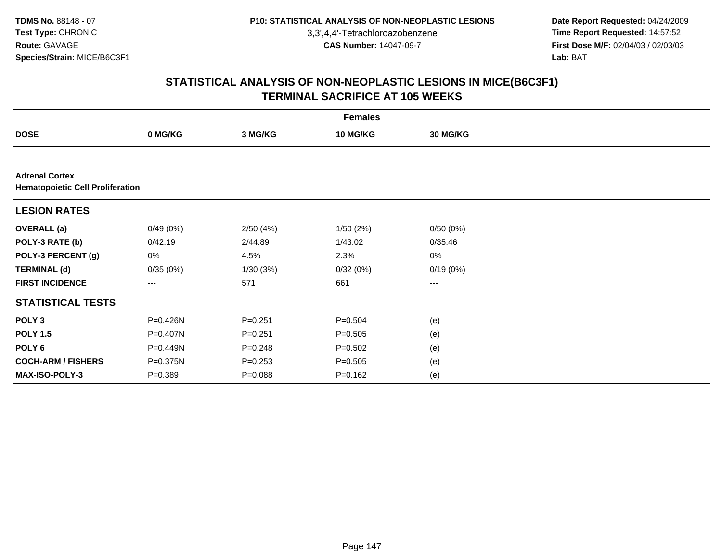3,3',4,4'-Tetrachloroazobenzene

 **Date Report Requested:** 04/24/2009 **Time Report Requested:** 14:57:52 **First Dose M/F:** 02/04/03 / 02/03/03<br>Lab: BAT **Lab:** BAT

|                                                                  |             |             | <b>Females</b> |                      |  |
|------------------------------------------------------------------|-------------|-------------|----------------|----------------------|--|
| <b>DOSE</b>                                                      | 0 MG/KG     | 3 MG/KG     | 10 MG/KG       | 30 MG/KG             |  |
|                                                                  |             |             |                |                      |  |
| <b>Adrenal Cortex</b><br><b>Hematopoietic Cell Proliferation</b> |             |             |                |                      |  |
| <b>LESION RATES</b>                                              |             |             |                |                      |  |
| <b>OVERALL</b> (a)                                               | 0/49(0%)    | 2/50(4%)    | 1/50(2%)       | 0/50(0%)             |  |
| POLY-3 RATE (b)                                                  | 0/42.19     | 2/44.89     | 1/43.02        | 0/35.46              |  |
| POLY-3 PERCENT (g)                                               | 0%          | 4.5%        | 2.3%           | $0\%$                |  |
| <b>TERMINAL (d)</b>                                              | 0/35(0%)    | 1/30(3%)    | 0/32(0%)       | 0/19(0%)             |  |
| <b>FIRST INCIDENCE</b>                                           | ---         | 571         | 661            | $\scriptstyle\cdots$ |  |
| <b>STATISTICAL TESTS</b>                                         |             |             |                |                      |  |
| POLY <sub>3</sub>                                                | P=0.426N    | $P = 0.251$ | $P = 0.504$    | (e)                  |  |
| <b>POLY 1.5</b>                                                  | P=0.407N    | $P = 0.251$ | $P = 0.505$    | (e)                  |  |
| POLY 6                                                           | P=0.449N    | $P = 0.248$ | $P = 0.502$    | (e)                  |  |
| <b>COCH-ARM / FISHERS</b>                                        | P=0.375N    | $P = 0.253$ | $P = 0.505$    | (e)                  |  |
| <b>MAX-ISO-POLY-3</b>                                            | $P = 0.389$ | $P = 0.088$ | $P = 0.162$    | (e)                  |  |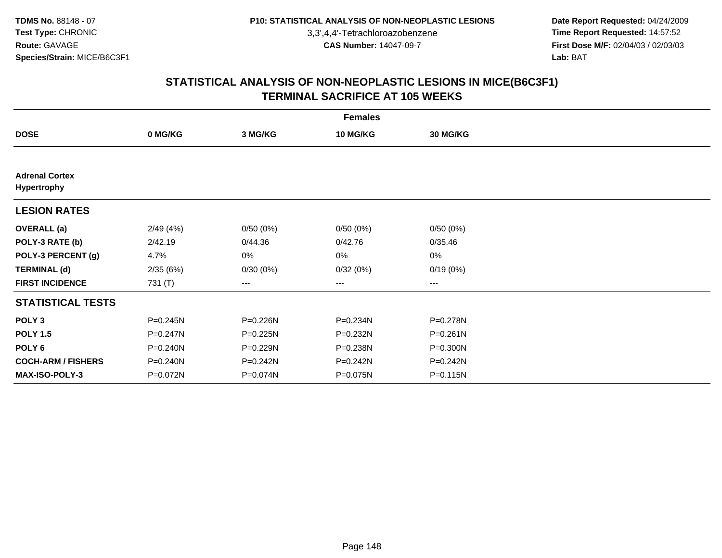3,3',4,4'-Tetrachloroazobenzene

 **Date Report Requested:** 04/24/2009 **Time Report Requested:** 14:57:52 **First Dose M/F:** 02/04/03 / 02/03/03<br>Lab: BAT **Lab:** BAT

| <b>Females</b>                       |              |              |                 |              |  |  |  |
|--------------------------------------|--------------|--------------|-----------------|--------------|--|--|--|
| <b>DOSE</b>                          | 0 MG/KG      | 3 MG/KG      | <b>10 MG/KG</b> | 30 MG/KG     |  |  |  |
|                                      |              |              |                 |              |  |  |  |
| <b>Adrenal Cortex</b><br>Hypertrophy |              |              |                 |              |  |  |  |
| <b>LESION RATES</b>                  |              |              |                 |              |  |  |  |
| <b>OVERALL</b> (a)                   | 2/49(4%)     | 0/50(0%)     | 0/50(0%)        | 0/50(0%)     |  |  |  |
| POLY-3 RATE (b)                      | 2/42.19      | 0/44.36      | 0/42.76         | 0/35.46      |  |  |  |
| POLY-3 PERCENT (g)                   | 4.7%         | 0%           | 0%              | 0%           |  |  |  |
| <b>TERMINAL (d)</b>                  | 2/35(6%)     | 0/30(0%)     | 0/32(0%)        | 0/19(0%)     |  |  |  |
| <b>FIRST INCIDENCE</b>               | 731 (T)      | ---          | ---             | ---          |  |  |  |
| <b>STATISTICAL TESTS</b>             |              |              |                 |              |  |  |  |
| POLY <sub>3</sub>                    | $P = 0.245N$ | P=0.226N     | P=0.234N        | P=0.278N     |  |  |  |
| <b>POLY 1.5</b>                      | $P = 0.247N$ | $P = 0.225N$ | P=0.232N        | $P = 0.261N$ |  |  |  |
| POLY <sub>6</sub>                    | P=0.240N     | P=0.229N     | P=0.238N        | $P = 0.300N$ |  |  |  |
| <b>COCH-ARM / FISHERS</b>            | P=0.240N     | P=0.242N     | P=0.242N        | $P = 0.242N$ |  |  |  |
| <b>MAX-ISO-POLY-3</b>                | P=0.072N     | P=0.074N     | P=0.075N        | $P = 0.115N$ |  |  |  |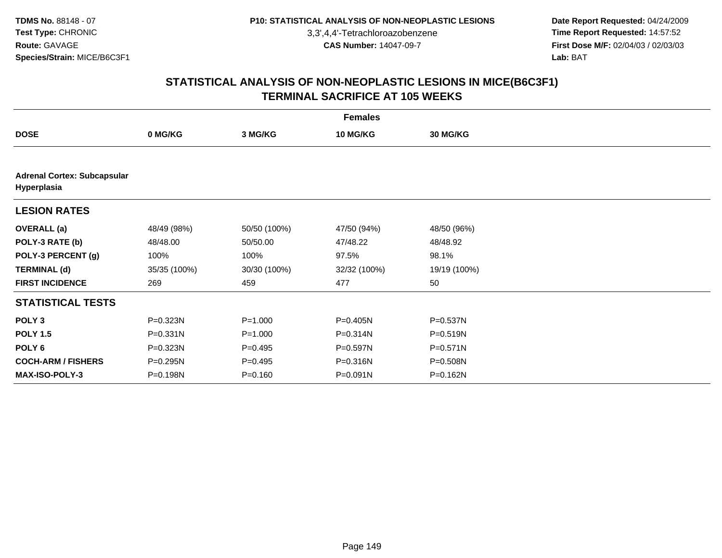3,3',4,4'-Tetrachloroazobenzene

 **Date Report Requested:** 04/24/2009 **Time Report Requested:** 14:57:52 **First Dose M/F:** 02/04/03 / 02/03/03<br>Lab: BAT **Lab:** BAT

| <b>Females</b>                                    |              |              |              |                 |  |  |  |
|---------------------------------------------------|--------------|--------------|--------------|-----------------|--|--|--|
| <b>DOSE</b>                                       | 0 MG/KG      | 3 MG/KG      | 10 MG/KG     | <b>30 MG/KG</b> |  |  |  |
|                                                   |              |              |              |                 |  |  |  |
| <b>Adrenal Cortex: Subcapsular</b><br>Hyperplasia |              |              |              |                 |  |  |  |
| <b>LESION RATES</b>                               |              |              |              |                 |  |  |  |
| <b>OVERALL</b> (a)                                | 48/49 (98%)  | 50/50 (100%) | 47/50 (94%)  | 48/50 (96%)     |  |  |  |
| POLY-3 RATE (b)                                   | 48/48.00     | 50/50.00     | 47/48.22     | 48/48.92        |  |  |  |
| POLY-3 PERCENT (g)                                | 100%         | 100%         | 97.5%        | 98.1%           |  |  |  |
| <b>TERMINAL (d)</b>                               | 35/35 (100%) | 30/30 (100%) | 32/32 (100%) | 19/19 (100%)    |  |  |  |
| <b>FIRST INCIDENCE</b>                            | 269          | 459          | 477          | 50              |  |  |  |
| <b>STATISTICAL TESTS</b>                          |              |              |              |                 |  |  |  |
| POLY <sub>3</sub>                                 | P=0.323N     | $P = 1.000$  | P=0.405N     | $P = 0.537N$    |  |  |  |
| <b>POLY 1.5</b>                                   | $P = 0.331N$ | $P = 1.000$  | $P = 0.314N$ | P=0.519N        |  |  |  |
| POLY <sub>6</sub>                                 | P=0.323N     | $P = 0.495$  | P=0.597N     | P=0.571N        |  |  |  |
| <b>COCH-ARM / FISHERS</b>                         | P=0.295N     | $P = 0.495$  | P=0.316N     | P=0.508N        |  |  |  |
| <b>MAX-ISO-POLY-3</b>                             | P=0.198N     | $P = 0.160$  | $P = 0.091N$ | P=0.162N        |  |  |  |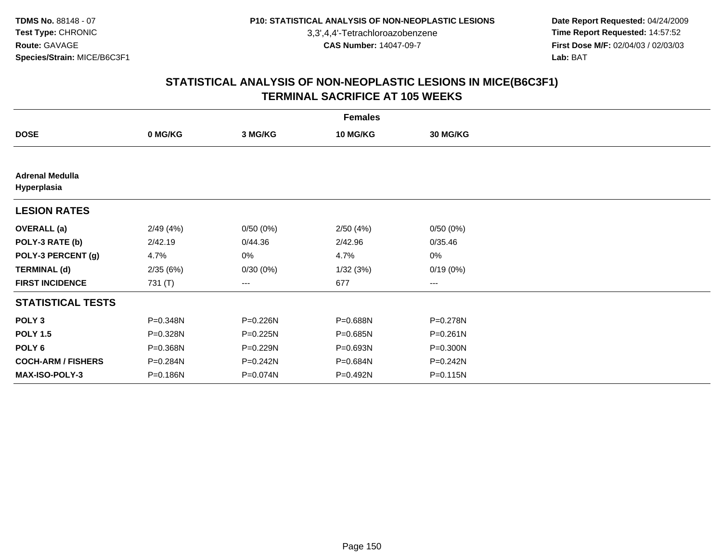3,3',4,4'-Tetrachloroazobenzene

 **Date Report Requested:** 04/24/2009 **Time Report Requested:** 14:57:52 **First Dose M/F:** 02/04/03 / 02/03/03<br>Lab: BAT **Lab:** BAT

|                                       | <b>Females</b> |          |                 |              |  |  |  |  |
|---------------------------------------|----------------|----------|-----------------|--------------|--|--|--|--|
| <b>DOSE</b>                           | 0 MG/KG        | 3 MG/KG  | <b>10 MG/KG</b> | 30 MG/KG     |  |  |  |  |
|                                       |                |          |                 |              |  |  |  |  |
| <b>Adrenal Medulla</b><br>Hyperplasia |                |          |                 |              |  |  |  |  |
| <b>LESION RATES</b>                   |                |          |                 |              |  |  |  |  |
| <b>OVERALL</b> (a)                    | 2/49(4%)       | 0/50(0%) | 2/50(4%)        | 0/50(0%)     |  |  |  |  |
| POLY-3 RATE (b)                       | 2/42.19        | 0/44.36  | 2/42.96         | 0/35.46      |  |  |  |  |
| POLY-3 PERCENT (g)                    | 4.7%           | 0%       | 4.7%            | 0%           |  |  |  |  |
| <b>TERMINAL (d)</b>                   | 2/35(6%)       | 0/30(0%) | 1/32(3%)        | 0/19(0%)     |  |  |  |  |
| <b>FIRST INCIDENCE</b>                | 731 (T)        | $---$    | 677             | $--$         |  |  |  |  |
| <b>STATISTICAL TESTS</b>              |                |          |                 |              |  |  |  |  |
| POLY <sub>3</sub>                     | P=0.348N       | P=0.226N | P=0.688N        | P=0.278N     |  |  |  |  |
| <b>POLY 1.5</b>                       | P=0.328N       | P=0.225N | P=0.685N        | $P = 0.261N$ |  |  |  |  |
| POLY <sub>6</sub>                     | P=0.368N       | P=0.229N | P=0.693N        | $P = 0.300N$ |  |  |  |  |
| <b>COCH-ARM / FISHERS</b>             | P=0.284N       | P=0.242N | P=0.684N        | P=0.242N     |  |  |  |  |
| <b>MAX-ISO-POLY-3</b>                 | P=0.186N       | P=0.074N | P=0.492N        | P=0.115N     |  |  |  |  |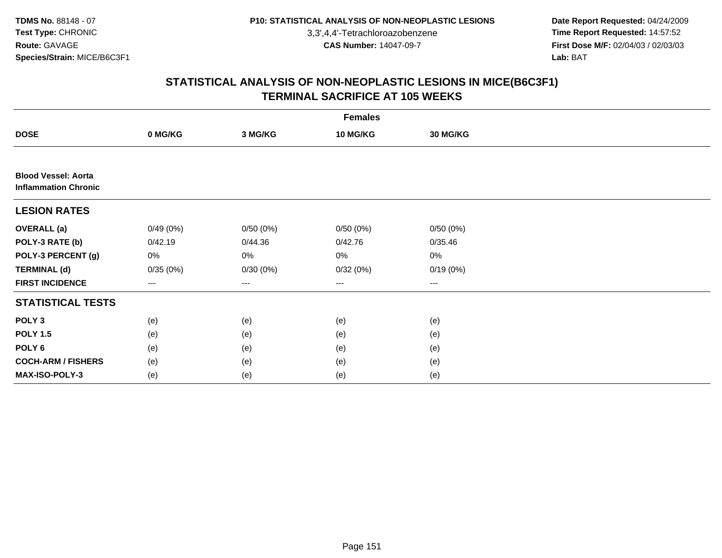3,3',4,4'-Tetrachloroazobenzene

 **Date Report Requested:** 04/24/2009 **Time Report Requested:** 14:57:52 **First Dose M/F:** 02/04/03 / 02/03/03<br>Lab: BAT **Lab:** BAT

|                                                           | <b>Females</b> |          |                        |                 |  |  |  |  |
|-----------------------------------------------------------|----------------|----------|------------------------|-----------------|--|--|--|--|
| <b>DOSE</b>                                               | 0 MG/KG        | 3 MG/KG  | 10 MG/KG               | <b>30 MG/KG</b> |  |  |  |  |
|                                                           |                |          |                        |                 |  |  |  |  |
| <b>Blood Vessel: Aorta</b><br><b>Inflammation Chronic</b> |                |          |                        |                 |  |  |  |  |
| <b>LESION RATES</b>                                       |                |          |                        |                 |  |  |  |  |
| <b>OVERALL</b> (a)                                        | 0/49(0%)       | 0/50(0%) | 0/50(0%)               | 0/50(0%)        |  |  |  |  |
| POLY-3 RATE (b)                                           | 0/42.19        | 0/44.36  | 0/42.76                | 0/35.46         |  |  |  |  |
| POLY-3 PERCENT (g)                                        | 0%             | 0%       | 0%                     | $0\%$           |  |  |  |  |
| <b>TERMINAL (d)</b>                                       | 0/35(0%)       | 0/30(0%) | 0/32(0%)               | 0/19(0%)        |  |  |  |  |
| <b>FIRST INCIDENCE</b>                                    | ---            | ---      | $\qquad \qquad \cdots$ | ---             |  |  |  |  |
| <b>STATISTICAL TESTS</b>                                  |                |          |                        |                 |  |  |  |  |
| POLY <sub>3</sub>                                         | (e)            | (e)      | (e)                    | (e)             |  |  |  |  |
| <b>POLY 1.5</b>                                           | (e)            | (e)      | (e)                    | (e)             |  |  |  |  |
| POLY <sub>6</sub>                                         | (e)            | (e)      | (e)                    | (e)             |  |  |  |  |
| <b>COCH-ARM / FISHERS</b>                                 | (e)            | (e)      | (e)                    | (e)             |  |  |  |  |
| <b>MAX-ISO-POLY-3</b>                                     | (e)            | (e)      | (e)                    | (e)             |  |  |  |  |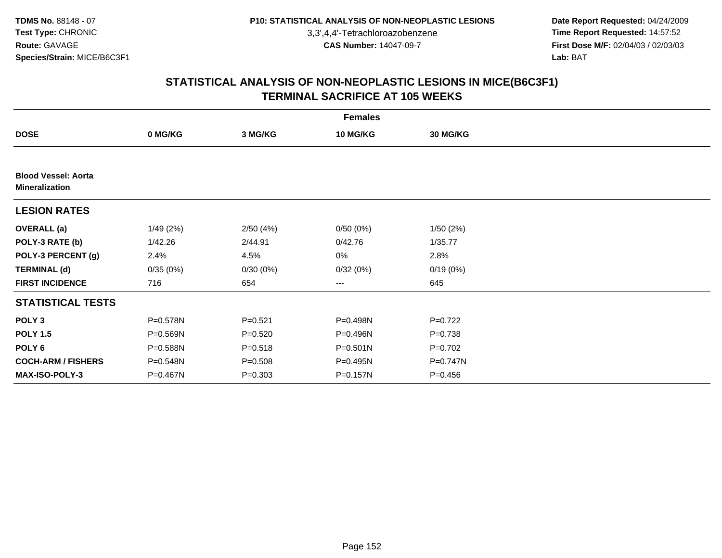3,3',4,4'-Tetrachloroazobenzene

 **Date Report Requested:** 04/24/2009 **Time Report Requested:** 14:57:52 **First Dose M/F:** 02/04/03 / 02/03/03<br>Lab: BAT **Lab:** BAT

|                                                     |          |             | <b>Females</b> |                 |  |
|-----------------------------------------------------|----------|-------------|----------------|-----------------|--|
| <b>DOSE</b>                                         | 0 MG/KG  | 3 MG/KG     | 10 MG/KG       | <b>30 MG/KG</b> |  |
|                                                     |          |             |                |                 |  |
| <b>Blood Vessel: Aorta</b><br><b>Mineralization</b> |          |             |                |                 |  |
| <b>LESION RATES</b>                                 |          |             |                |                 |  |
| <b>OVERALL</b> (a)                                  | 1/49(2%) | 2/50(4%)    | 0/50(0%)       | 1/50(2%)        |  |
| POLY-3 RATE (b)                                     | 1/42.26  | 2/44.91     | 0/42.76        | 1/35.77         |  |
| POLY-3 PERCENT (g)                                  | 2.4%     | 4.5%        | 0%             | 2.8%            |  |
| <b>TERMINAL (d)</b>                                 | 0/35(0%) | 0/30(0%)    | 0/32(0%)       | 0/19(0%)        |  |
| <b>FIRST INCIDENCE</b>                              | 716      | 654         | ---            | 645             |  |
| <b>STATISTICAL TESTS</b>                            |          |             |                |                 |  |
| POLY <sub>3</sub>                                   | P=0.578N | $P = 0.521$ | P=0.498N       | $P=0.722$       |  |
| <b>POLY 1.5</b>                                     | P=0.569N | $P = 0.520$ | P=0.496N       | $P = 0.738$     |  |
| POLY 6                                              | P=0.588N | $P = 0.518$ | $P = 0.501N$   | $P=0.702$       |  |
| <b>COCH-ARM / FISHERS</b>                           | P=0.548N | $P = 0.508$ | P=0.495N       | $P=0.747N$      |  |
| <b>MAX-ISO-POLY-3</b>                               | P=0.467N | $P = 0.303$ | P=0.157N       | $P = 0.456$     |  |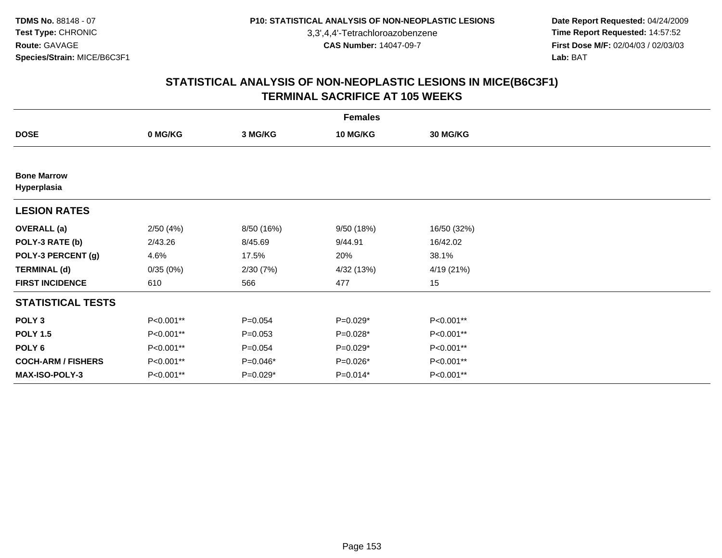3,3',4,4'-Tetrachloroazobenzene

 **Date Report Requested:** 04/24/2009 **Time Report Requested:** 14:57:52 **First Dose M/F:** 02/04/03 / 02/03/03<br>Lab: BAT **Lab:** BAT

| <b>Females</b>                    |           |             |                 |                 |  |  |  |
|-----------------------------------|-----------|-------------|-----------------|-----------------|--|--|--|
| <b>DOSE</b>                       | 0 MG/KG   | 3 MG/KG     | <b>10 MG/KG</b> | <b>30 MG/KG</b> |  |  |  |
|                                   |           |             |                 |                 |  |  |  |
| <b>Bone Marrow</b><br>Hyperplasia |           |             |                 |                 |  |  |  |
| <b>LESION RATES</b>               |           |             |                 |                 |  |  |  |
| <b>OVERALL</b> (a)                | 2/50(4%)  | 8/50 (16%)  | 9/50 (18%)      | 16/50 (32%)     |  |  |  |
| POLY-3 RATE (b)                   | 2/43.26   | 8/45.69     | 9/44.91         | 16/42.02        |  |  |  |
| POLY-3 PERCENT (g)                | 4.6%      | 17.5%       | 20%             | 38.1%           |  |  |  |
| <b>TERMINAL (d)</b>               | 0/35(0%)  | 2/30(7%)    | 4/32 (13%)      | 4/19 (21%)      |  |  |  |
| <b>FIRST INCIDENCE</b>            | 610       | 566         | 477             | 15              |  |  |  |
| <b>STATISTICAL TESTS</b>          |           |             |                 |                 |  |  |  |
| POLY <sub>3</sub>                 | P<0.001** | $P=0.054$   | $P=0.029*$      | P<0.001**       |  |  |  |
| <b>POLY 1.5</b>                   | P<0.001** | $P = 0.053$ | $P=0.028*$      | P<0.001**       |  |  |  |
| POLY <sub>6</sub>                 | P<0.001** | $P = 0.054$ | $P=0.029*$      | P<0.001**       |  |  |  |
| <b>COCH-ARM / FISHERS</b>         | P<0.001** | P=0.046*    | P=0.026*        | P<0.001**       |  |  |  |
| MAX-ISO-POLY-3                    | P<0.001** | P=0.029*    | $P=0.014*$      | P<0.001**       |  |  |  |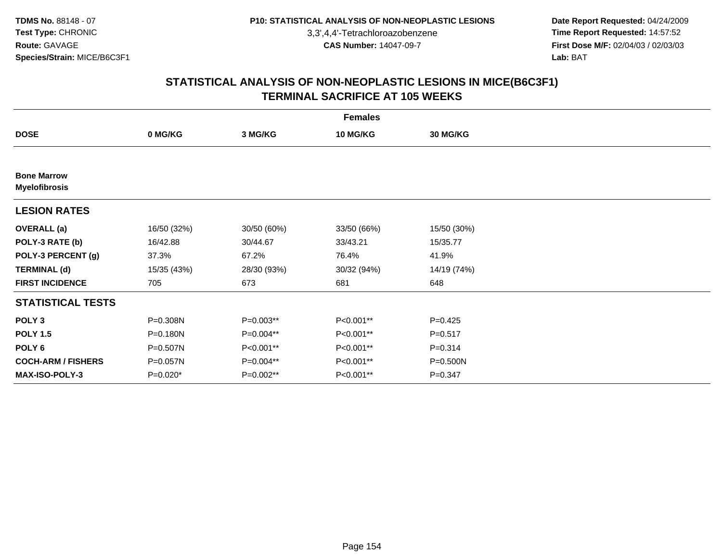3,3',4,4'-Tetrachloroazobenzene

 **Date Report Requested:** 04/24/2009 **Time Report Requested:** 14:57:52 **First Dose M/F:** 02/04/03 / 02/03/03<br>Lab: BAT **Lab:** BAT

| <b>Females</b>                             |              |             |             |             |  |  |  |
|--------------------------------------------|--------------|-------------|-------------|-------------|--|--|--|
| <b>DOSE</b>                                | 0 MG/KG      | 3 MG/KG     | 10 MG/KG    | 30 MG/KG    |  |  |  |
|                                            |              |             |             |             |  |  |  |
| <b>Bone Marrow</b><br><b>Myelofibrosis</b> |              |             |             |             |  |  |  |
| <b>LESION RATES</b>                        |              |             |             |             |  |  |  |
| <b>OVERALL</b> (a)                         | 16/50 (32%)  | 30/50 (60%) | 33/50 (66%) | 15/50 (30%) |  |  |  |
| POLY-3 RATE (b)                            | 16/42.88     | 30/44.67    | 33/43.21    | 15/35.77    |  |  |  |
| POLY-3 PERCENT (g)                         | 37.3%        | 67.2%       | 76.4%       | 41.9%       |  |  |  |
| <b>TERMINAL (d)</b>                        | 15/35 (43%)  | 28/30 (93%) | 30/32 (94%) | 14/19 (74%) |  |  |  |
| <b>FIRST INCIDENCE</b>                     | 705          | 673         | 681         | 648         |  |  |  |
| <b>STATISTICAL TESTS</b>                   |              |             |             |             |  |  |  |
| POLY <sub>3</sub>                          | P=0.308N     | $P=0.003**$ | P<0.001**   | $P=0.425$   |  |  |  |
| <b>POLY 1.5</b>                            | $P = 0.180N$ | P=0.004**   | P<0.001**   | $P = 0.517$ |  |  |  |
| POLY <sub>6</sub>                          | P=0.507N     | P<0.001**   | P<0.001**   | $P = 0.314$ |  |  |  |
| <b>COCH-ARM / FISHERS</b>                  | P=0.057N     | P=0.004**   | P<0.001**   | P=0.500N    |  |  |  |
| MAX-ISO-POLY-3                             | P=0.020*     | P=0.002**   | P<0.001**   | $P = 0.347$ |  |  |  |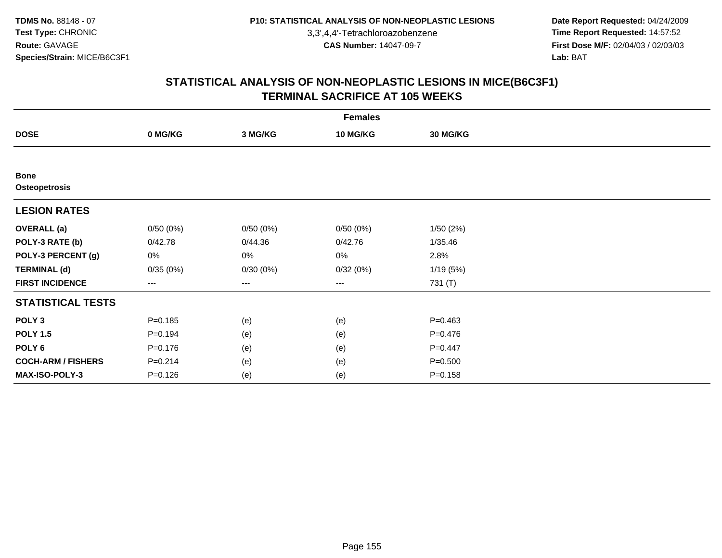3,3',4,4'-Tetrachloroazobenzene

 **Date Report Requested:** 04/24/2009 **Time Report Requested:** 14:57:52 **First Dose M/F:** 02/04/03 / 02/03/03<br>Lab: BAT **Lab:** BAT

|                              | <b>Females</b>         |          |          |             |  |  |  |  |
|------------------------------|------------------------|----------|----------|-------------|--|--|--|--|
| <b>DOSE</b>                  | 0 MG/KG                | 3 MG/KG  | 10 MG/KG | 30 MG/KG    |  |  |  |  |
|                              |                        |          |          |             |  |  |  |  |
| <b>Bone</b><br>Osteopetrosis |                        |          |          |             |  |  |  |  |
| <b>LESION RATES</b>          |                        |          |          |             |  |  |  |  |
| <b>OVERALL</b> (a)           | 0/50(0%)               | 0/50(0%) | 0/50(0%) | 1/50(2%)    |  |  |  |  |
| POLY-3 RATE (b)              | 0/42.78                | 0/44.36  | 0/42.76  | 1/35.46     |  |  |  |  |
| POLY-3 PERCENT (g)           | 0%                     | 0%       | 0%       | 2.8%        |  |  |  |  |
| <b>TERMINAL (d)</b>          | 0/35(0%)               | 0/30(0%) | 0/32(0%) | 1/19(5%)    |  |  |  |  |
| <b>FIRST INCIDENCE</b>       | $\qquad \qquad \cdots$ | ---      | ---      | 731 (T)     |  |  |  |  |
| <b>STATISTICAL TESTS</b>     |                        |          |          |             |  |  |  |  |
| POLY <sub>3</sub>            | $P = 0.185$            | (e)      | (e)      | $P=0.463$   |  |  |  |  |
| <b>POLY 1.5</b>              | $P = 0.194$            | (e)      | (e)      | $P=0.476$   |  |  |  |  |
| POLY <sub>6</sub>            | $P = 0.176$            | (e)      | (e)      | $P = 0.447$ |  |  |  |  |
| <b>COCH-ARM / FISHERS</b>    | $P = 0.214$            | (e)      | (e)      | $P = 0.500$ |  |  |  |  |
| MAX-ISO-POLY-3               | $P = 0.126$            | (e)      | (e)      | $P = 0.158$ |  |  |  |  |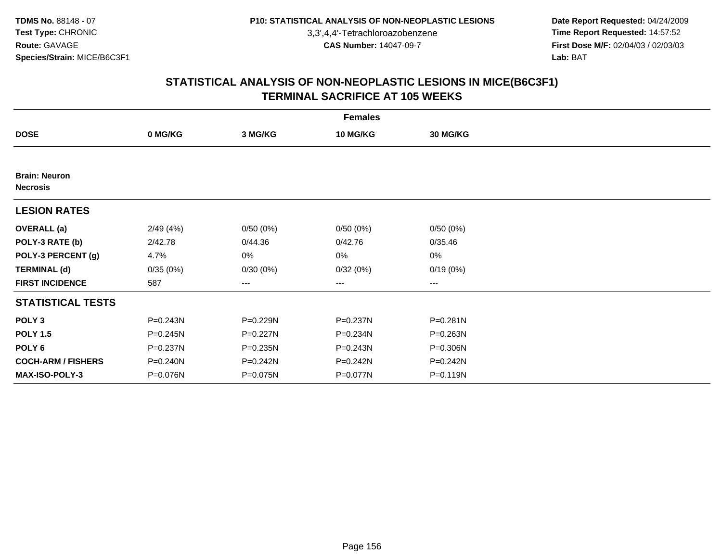3,3',4,4'-Tetrachloroazobenzene

 **Date Report Requested:** 04/24/2009 **Time Report Requested:** 14:57:52 **First Dose M/F:** 02/04/03 / 02/03/03<br>Lab: BAT **Lab:** BAT

|                                         | <b>Females</b> |          |                 |                   |  |  |  |  |
|-----------------------------------------|----------------|----------|-----------------|-------------------|--|--|--|--|
| <b>DOSE</b>                             | 0 MG/KG        | 3 MG/KG  | <b>10 MG/KG</b> | 30 MG/KG          |  |  |  |  |
|                                         |                |          |                 |                   |  |  |  |  |
| <b>Brain: Neuron</b><br><b>Necrosis</b> |                |          |                 |                   |  |  |  |  |
| <b>LESION RATES</b>                     |                |          |                 |                   |  |  |  |  |
| <b>OVERALL</b> (a)                      | 2/49(4%)       | 0/50(0%) | 0/50(0%)        | 0/50(0%)          |  |  |  |  |
| POLY-3 RATE (b)                         | 2/42.78        | 0/44.36  | 0/42.76         | 0/35.46           |  |  |  |  |
| POLY-3 PERCENT (g)                      | 4.7%           | 0%       | 0%              | 0%                |  |  |  |  |
| <b>TERMINAL (d)</b>                     | 0/35(0%)       | 0/30(0%) | 0/32(0%)        | 0/19(0%)          |  |  |  |  |
| <b>FIRST INCIDENCE</b>                  | 587            | $---$    | ---             | $\qquad \qquad -$ |  |  |  |  |
| <b>STATISTICAL TESTS</b>                |                |          |                 |                   |  |  |  |  |
| POLY <sub>3</sub>                       | $P = 0.243N$   | P=0.229N | P=0.237N        | $P = 0.281N$      |  |  |  |  |
| <b>POLY 1.5</b>                         | $P = 0.245N$   | P=0.227N | P=0.234N        | $P = 0.263N$      |  |  |  |  |
| POLY <sub>6</sub>                       | P=0.237N       | P=0.235N | P=0.243N        | P=0.306N          |  |  |  |  |
| <b>COCH-ARM / FISHERS</b>               | $P = 0.240N$   | P=0.242N | P=0.242N        | P=0.242N          |  |  |  |  |
| <b>MAX-ISO-POLY-3</b>                   | P=0.076N       | P=0.075N | P=0.077N        | $P = 0.119N$      |  |  |  |  |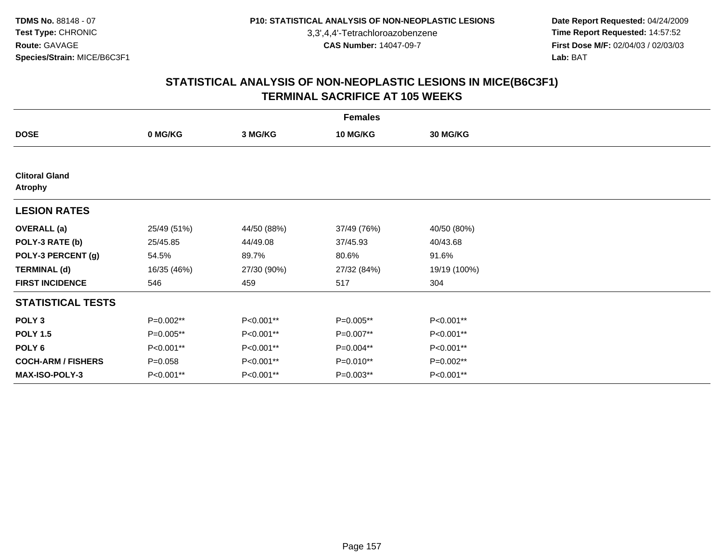3,3',4,4'-Tetrachloroazobenzene

 **Date Report Requested:** 04/24/2009 **Time Report Requested:** 14:57:52 **First Dose M/F:** 02/04/03 / 02/03/03<br>Lab: BAT **Lab:** BAT

|                                         | <b>Females</b> |             |                 |                 |  |  |  |  |
|-----------------------------------------|----------------|-------------|-----------------|-----------------|--|--|--|--|
| <b>DOSE</b>                             | 0 MG/KG        | 3 MG/KG     | <b>10 MG/KG</b> | <b>30 MG/KG</b> |  |  |  |  |
|                                         |                |             |                 |                 |  |  |  |  |
| <b>Clitoral Gland</b><br><b>Atrophy</b> |                |             |                 |                 |  |  |  |  |
| <b>LESION RATES</b>                     |                |             |                 |                 |  |  |  |  |
| <b>OVERALL</b> (a)                      | 25/49 (51%)    | 44/50 (88%) | 37/49 (76%)     | 40/50 (80%)     |  |  |  |  |
| POLY-3 RATE (b)                         | 25/45.85       | 44/49.08    | 37/45.93        | 40/43.68        |  |  |  |  |
| POLY-3 PERCENT (g)                      | 54.5%          | 89.7%       | 80.6%           | 91.6%           |  |  |  |  |
| <b>TERMINAL (d)</b>                     | 16/35 (46%)    | 27/30 (90%) | 27/32 (84%)     | 19/19 (100%)    |  |  |  |  |
| <b>FIRST INCIDENCE</b>                  | 546            | 459         | 517             | 304             |  |  |  |  |
| <b>STATISTICAL TESTS</b>                |                |             |                 |                 |  |  |  |  |
| POLY <sub>3</sub>                       | P=0.002**      | P<0.001**   | P=0.005**       | P<0.001**       |  |  |  |  |
| <b>POLY 1.5</b>                         | P=0.005**      | P<0.001**   | P=0.007**       | P<0.001**       |  |  |  |  |
| POLY <sub>6</sub>                       | P<0.001**      | P<0.001**   | P=0.004**       | P<0.001**       |  |  |  |  |
| <b>COCH-ARM / FISHERS</b>               | $P = 0.058$    | P<0.001**   | P=0.010**       | P=0.002**       |  |  |  |  |
| MAX-ISO-POLY-3                          | P<0.001**      | P<0.001**   | P=0.003**       | P<0.001**       |  |  |  |  |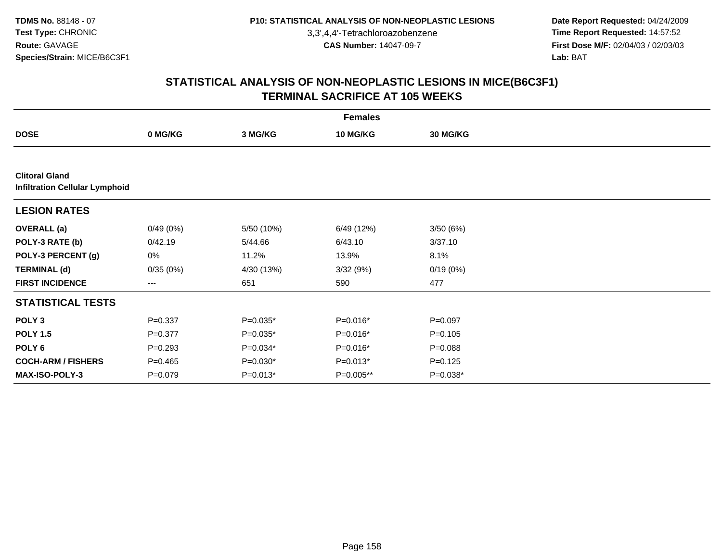3,3',4,4'-Tetrachloroazobenzene

 **Date Report Requested:** 04/24/2009 **Time Report Requested:** 14:57:52 **First Dose M/F:** 02/04/03 / 02/03/03<br>Lab: BAT **Lab:** BAT

|                                                                | <b>Females</b> |            |            |                 |  |  |  |  |
|----------------------------------------------------------------|----------------|------------|------------|-----------------|--|--|--|--|
| <b>DOSE</b>                                                    | 0 MG/KG        | 3 MG/KG    | 10 MG/KG   | <b>30 MG/KG</b> |  |  |  |  |
|                                                                |                |            |            |                 |  |  |  |  |
| <b>Clitoral Gland</b><br><b>Infiltration Cellular Lymphoid</b> |                |            |            |                 |  |  |  |  |
| <b>LESION RATES</b>                                            |                |            |            |                 |  |  |  |  |
| <b>OVERALL</b> (a)                                             | 0/49(0%)       | 5/50 (10%) | 6/49 (12%) | 3/50(6%)        |  |  |  |  |
| POLY-3 RATE (b)                                                | 0/42.19        | 5/44.66    | 6/43.10    | 3/37.10         |  |  |  |  |
| POLY-3 PERCENT (g)                                             | 0%             | 11.2%      | 13.9%      | 8.1%            |  |  |  |  |
| <b>TERMINAL (d)</b>                                            | 0/35(0%)       | 4/30 (13%) | 3/32(9%)   | 0/19(0%)        |  |  |  |  |
| <b>FIRST INCIDENCE</b>                                         | ---            | 651        | 590        | 477             |  |  |  |  |
| <b>STATISTICAL TESTS</b>                                       |                |            |            |                 |  |  |  |  |
| POLY <sub>3</sub>                                              | $P = 0.337$    | P=0.035*   | P=0.016*   | $P = 0.097$     |  |  |  |  |
| <b>POLY 1.5</b>                                                | $P = 0.377$    | P=0.035*   | P=0.016*   | $P = 0.105$     |  |  |  |  |
| POLY 6                                                         | $P = 0.293$    | P=0.034*   | P=0.016*   | $P = 0.088$     |  |  |  |  |
| <b>COCH-ARM / FISHERS</b>                                      | $P=0.465$      | $P=0.030*$ | $P=0.013*$ | $P = 0.125$     |  |  |  |  |
| <b>MAX-ISO-POLY-3</b>                                          | $P = 0.079$    | $P=0.013*$ | P=0.005**  | $P=0.038*$      |  |  |  |  |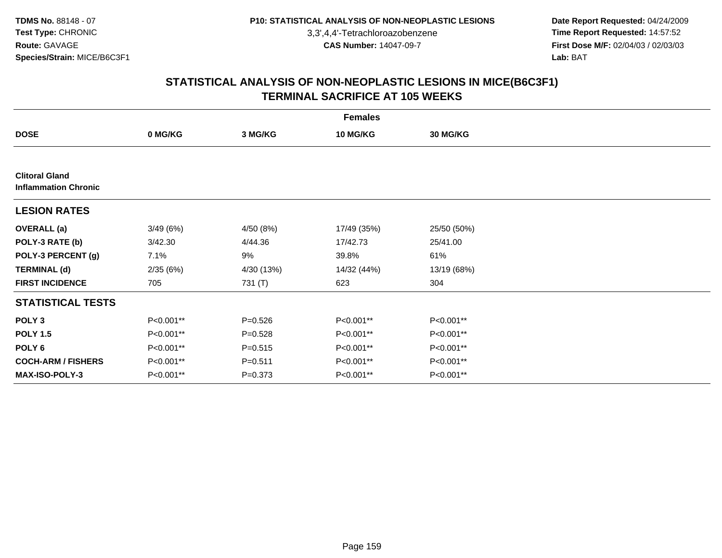3,3',4,4'-Tetrachloroazobenzene

 **Date Report Requested:** 04/24/2009 **Time Report Requested:** 14:57:52 **First Dose M/F:** 02/04/03 / 02/03/03<br>Lab: BAT **Lab:** BAT

|                                                      | <b>Females</b> |             |             |                 |  |  |  |  |
|------------------------------------------------------|----------------|-------------|-------------|-----------------|--|--|--|--|
| <b>DOSE</b>                                          | 0 MG/KG        | 3 MG/KG     | 10 MG/KG    | <b>30 MG/KG</b> |  |  |  |  |
|                                                      |                |             |             |                 |  |  |  |  |
| <b>Clitoral Gland</b><br><b>Inflammation Chronic</b> |                |             |             |                 |  |  |  |  |
| <b>LESION RATES</b>                                  |                |             |             |                 |  |  |  |  |
| <b>OVERALL</b> (a)                                   | 3/49(6%)       | 4/50 (8%)   | 17/49 (35%) | 25/50 (50%)     |  |  |  |  |
| POLY-3 RATE (b)                                      | 3/42.30        | 4/44.36     | 17/42.73    | 25/41.00        |  |  |  |  |
| POLY-3 PERCENT (g)                                   | 7.1%           | 9%          | 39.8%       | 61%             |  |  |  |  |
| <b>TERMINAL (d)</b>                                  | 2/35(6%)       | 4/30 (13%)  | 14/32 (44%) | 13/19 (68%)     |  |  |  |  |
| <b>FIRST INCIDENCE</b>                               | 705            | 731 (T)     | 623         | 304             |  |  |  |  |
| <b>STATISTICAL TESTS</b>                             |                |             |             |                 |  |  |  |  |
| POLY <sub>3</sub>                                    | P<0.001**      | $P = 0.526$ | P<0.001**   | P<0.001**       |  |  |  |  |
| <b>POLY 1.5</b>                                      | P<0.001**      | $P = 0.528$ | P<0.001**   | P<0.001**       |  |  |  |  |
| POLY 6                                               | P<0.001**      | $P = 0.515$ | P<0.001**   | P<0.001**       |  |  |  |  |
| <b>COCH-ARM / FISHERS</b>                            | P<0.001**      | $P = 0.511$ | P<0.001**   | P<0.001**       |  |  |  |  |
| <b>MAX-ISO-POLY-3</b>                                | P<0.001**      | $P = 0.373$ | P<0.001**   | P<0.001**       |  |  |  |  |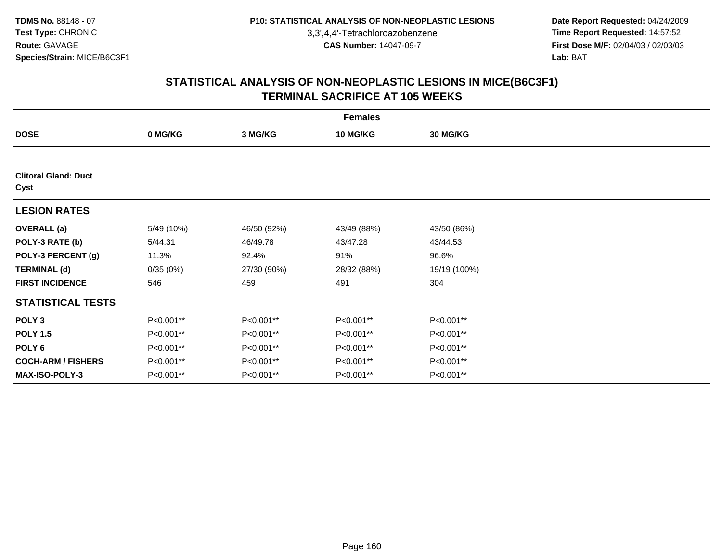3,3',4,4'-Tetrachloroazobenzene

 **Date Report Requested:** 04/24/2009 **Time Report Requested:** 14:57:52 **First Dose M/F:** 02/04/03 / 02/03/03<br>Lab: BAT **Lab:** BAT

| <b>Females</b>                      |            |             |                 |                 |  |  |  |
|-------------------------------------|------------|-------------|-----------------|-----------------|--|--|--|
| <b>DOSE</b>                         | 0 MG/KG    | 3 MG/KG     | <b>10 MG/KG</b> | <b>30 MG/KG</b> |  |  |  |
|                                     |            |             |                 |                 |  |  |  |
| <b>Clitoral Gland: Duct</b><br>Cyst |            |             |                 |                 |  |  |  |
| <b>LESION RATES</b>                 |            |             |                 |                 |  |  |  |
| <b>OVERALL</b> (a)                  | 5/49 (10%) | 46/50 (92%) | 43/49 (88%)     | 43/50 (86%)     |  |  |  |
| POLY-3 RATE (b)                     | 5/44.31    | 46/49.78    | 43/47.28        | 43/44.53        |  |  |  |
| POLY-3 PERCENT (g)                  | 11.3%      | 92.4%       | 91%             | 96.6%           |  |  |  |
| <b>TERMINAL (d)</b>                 | 0/35(0%)   | 27/30 (90%) | 28/32 (88%)     | 19/19 (100%)    |  |  |  |
| <b>FIRST INCIDENCE</b>              | 546        | 459         | 491             | 304             |  |  |  |
| <b>STATISTICAL TESTS</b>            |            |             |                 |                 |  |  |  |
| POLY <sub>3</sub>                   | P<0.001**  | P<0.001**   | P<0.001**       | P<0.001**       |  |  |  |
| <b>POLY 1.5</b>                     | P<0.001**  | P<0.001**   | P<0.001**       | P<0.001**       |  |  |  |
| POLY <sub>6</sub>                   | P<0.001**  | P<0.001**   | P<0.001**       | P<0.001**       |  |  |  |
| <b>COCH-ARM / FISHERS</b>           | P<0.001**  | P<0.001**   | P<0.001**       | P<0.001**       |  |  |  |
| <b>MAX-ISO-POLY-3</b>               | P<0.001**  | P<0.001**   | P<0.001**       | P<0.001**       |  |  |  |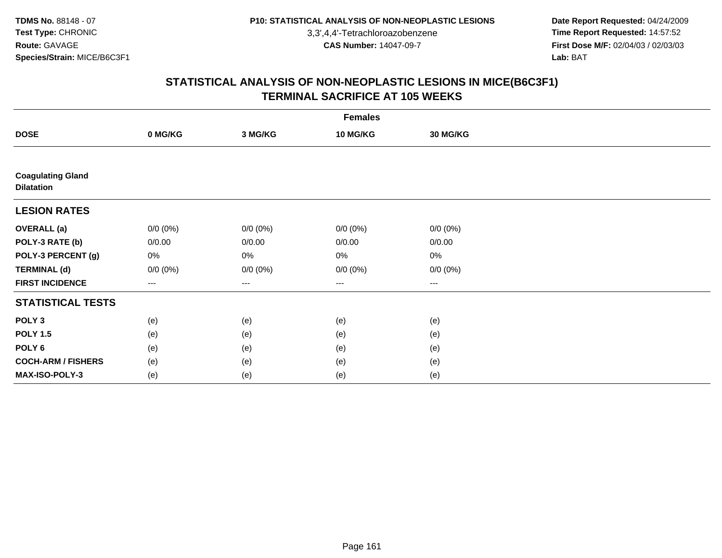3,3',4,4'-Tetrachloroazobenzene

 **Date Report Requested:** 04/24/2009 **Time Report Requested:** 14:57:52 **First Dose M/F:** 02/04/03 / 02/03/03<br>Lab: BAT **Lab:** BAT

|                                               | <b>Females</b> |             |             |             |  |  |  |  |  |
|-----------------------------------------------|----------------|-------------|-------------|-------------|--|--|--|--|--|
| <b>DOSE</b>                                   | 0 MG/KG        | 3 MG/KG     | 10 MG/KG    | 30 MG/KG    |  |  |  |  |  |
|                                               |                |             |             |             |  |  |  |  |  |
| <b>Coagulating Gland</b><br><b>Dilatation</b> |                |             |             |             |  |  |  |  |  |
| <b>LESION RATES</b>                           |                |             |             |             |  |  |  |  |  |
| <b>OVERALL</b> (a)                            | $0/0 (0\%)$    | $0/0 (0\%)$ | $0/0 (0\%)$ | $0/0 (0\%)$ |  |  |  |  |  |
| POLY-3 RATE (b)                               | 0/0.00         | 0/0.00      | 0/0.00      | 0/0.00      |  |  |  |  |  |
| POLY-3 PERCENT (g)                            | 0%             | 0%          | 0%          | 0%          |  |  |  |  |  |
| <b>TERMINAL (d)</b>                           | $0/0 (0\%)$    | $0/0 (0\%)$ | $0/0 (0\%)$ | $0/0 (0\%)$ |  |  |  |  |  |
| <b>FIRST INCIDENCE</b>                        | $---$          | ---         | ---         | $---$       |  |  |  |  |  |
| <b>STATISTICAL TESTS</b>                      |                |             |             |             |  |  |  |  |  |
| POLY <sub>3</sub>                             | (e)            | (e)         | (e)         | (e)         |  |  |  |  |  |
| <b>POLY 1.5</b>                               | (e)            | (e)         | (e)         | (e)         |  |  |  |  |  |
| POLY <sub>6</sub>                             | (e)            | (e)         | (e)         | (e)         |  |  |  |  |  |
| <b>COCH-ARM / FISHERS</b>                     | (e)            | (e)         | (e)         | (e)         |  |  |  |  |  |
| MAX-ISO-POLY-3                                | (e)            | (e)         | (e)         | (e)         |  |  |  |  |  |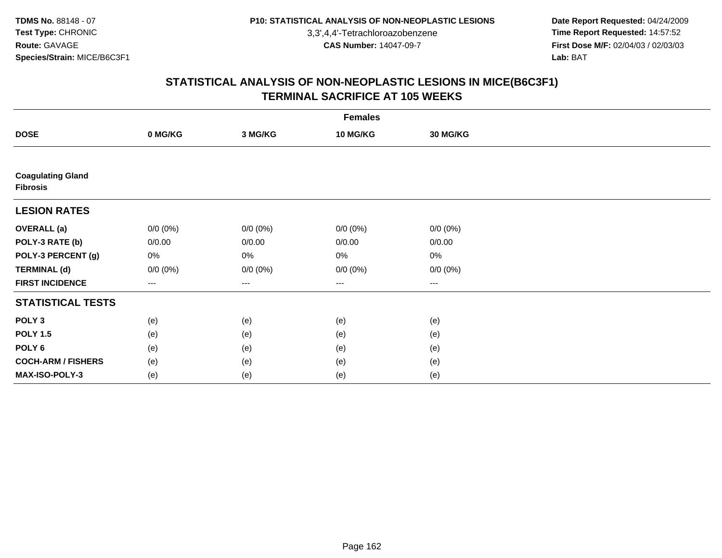3,3',4,4'-Tetrachloroazobenzene

 **Date Report Requested:** 04/24/2009 **Time Report Requested:** 14:57:52 **First Dose M/F:** 02/04/03 / 02/03/03<br>Lab: BAT **Lab:** BAT

|                                             | <b>Females</b> |             |             |             |  |  |  |  |
|---------------------------------------------|----------------|-------------|-------------|-------------|--|--|--|--|
| <b>DOSE</b>                                 | 0 MG/KG        | 3 MG/KG     | 10 MG/KG    | 30 MG/KG    |  |  |  |  |
|                                             |                |             |             |             |  |  |  |  |
| <b>Coagulating Gland</b><br><b>Fibrosis</b> |                |             |             |             |  |  |  |  |
| <b>LESION RATES</b>                         |                |             |             |             |  |  |  |  |
| <b>OVERALL</b> (a)                          | $0/0 (0\%)$    | $0/0 (0\%)$ | $0/0 (0\%)$ | $0/0 (0\%)$ |  |  |  |  |
| POLY-3 RATE (b)                             | 0/0.00         | 0/0.00      | 0/0.00      | 0/0.00      |  |  |  |  |
| POLY-3 PERCENT (g)                          | 0%             | 0%          | 0%          | 0%          |  |  |  |  |
| <b>TERMINAL (d)</b>                         | $0/0 (0\%)$    | $0/0 (0\%)$ | $0/0 (0\%)$ | $0/0 (0\%)$ |  |  |  |  |
| <b>FIRST INCIDENCE</b>                      | $---$          | ---         | ---         | $---$       |  |  |  |  |
| <b>STATISTICAL TESTS</b>                    |                |             |             |             |  |  |  |  |
| POLY <sub>3</sub>                           | (e)            | (e)         | (e)         | (e)         |  |  |  |  |
| <b>POLY 1.5</b>                             | (e)            | (e)         | (e)         | (e)         |  |  |  |  |
| POLY <sub>6</sub>                           | (e)            | (e)         | (e)         | (e)         |  |  |  |  |
| <b>COCH-ARM / FISHERS</b>                   | (e)            | (e)         | (e)         | (e)         |  |  |  |  |
| MAX-ISO-POLY-3                              | (e)            | (e)         | (e)         | (e)         |  |  |  |  |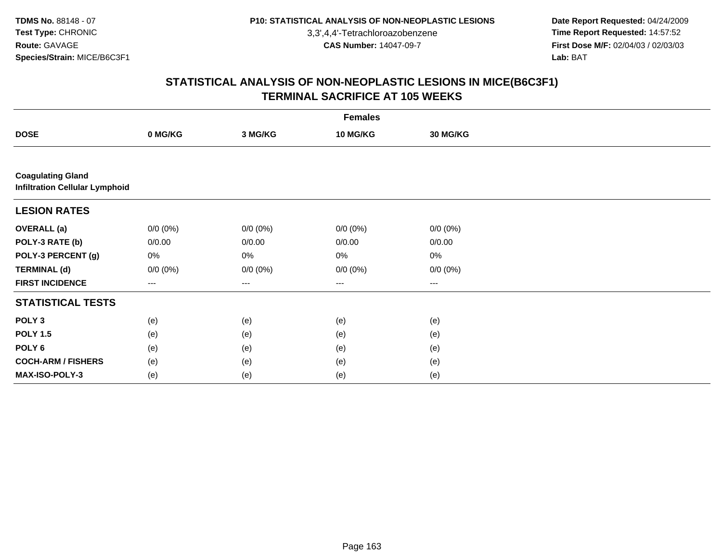3,3',4,4'-Tetrachloroazobenzene

 **Date Report Requested:** 04/24/2009 **Time Report Requested:** 14:57:52 **First Dose M/F:** 02/04/03 / 02/03/03<br>Lab: BAT **Lab:** BAT

|                                                                   | <b>Females</b> |             |                   |             |  |  |  |  |
|-------------------------------------------------------------------|----------------|-------------|-------------------|-------------|--|--|--|--|
| <b>DOSE</b>                                                       | 0 MG/KG        | 3 MG/KG     | 10 MG/KG          | 30 MG/KG    |  |  |  |  |
|                                                                   |                |             |                   |             |  |  |  |  |
| <b>Coagulating Gland</b><br><b>Infiltration Cellular Lymphoid</b> |                |             |                   |             |  |  |  |  |
| <b>LESION RATES</b>                                               |                |             |                   |             |  |  |  |  |
| <b>OVERALL</b> (a)                                                | $0/0 (0\%)$    | $0/0 (0\%)$ | $0/0 (0\%)$       | $0/0 (0\%)$ |  |  |  |  |
| POLY-3 RATE (b)                                                   | 0/0.00         | 0/0.00      | 0/0.00            | 0/0.00      |  |  |  |  |
| POLY-3 PERCENT (g)                                                | 0%             | 0%          | 0%                | 0%          |  |  |  |  |
| <b>TERMINAL (d)</b>                                               | $0/0 (0\%)$    | $0/0 (0\%)$ | $0/0 (0\%)$       | $0/0 (0\%)$ |  |  |  |  |
| <b>FIRST INCIDENCE</b>                                            | $---$          | $---$       | $\qquad \qquad -$ | ---         |  |  |  |  |
| <b>STATISTICAL TESTS</b>                                          |                |             |                   |             |  |  |  |  |
| POLY <sub>3</sub>                                                 | (e)            | (e)         | (e)               | (e)         |  |  |  |  |
| <b>POLY 1.5</b>                                                   | (e)            | (e)         | (e)               | (e)         |  |  |  |  |
| POLY <sub>6</sub>                                                 | (e)            | (e)         | (e)               | (e)         |  |  |  |  |
| <b>COCH-ARM / FISHERS</b>                                         | (e)            | (e)         | (e)               | (e)         |  |  |  |  |
| MAX-ISO-POLY-3                                                    | (e)            | (e)         | (e)               | (e)         |  |  |  |  |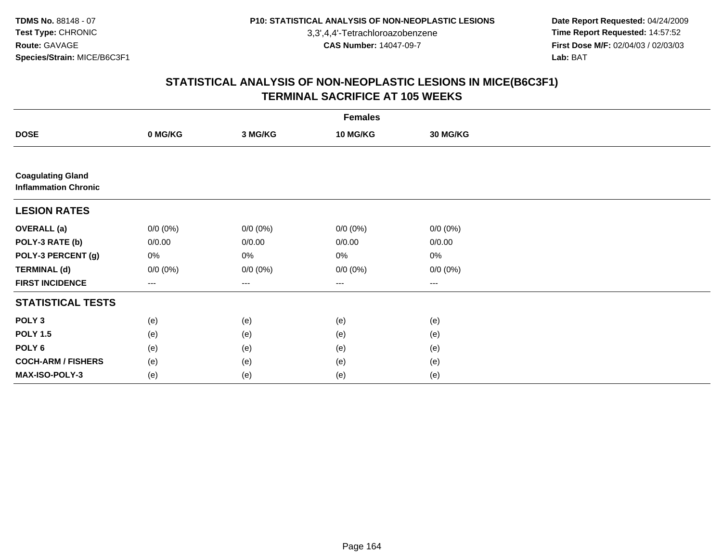3,3',4,4'-Tetrachloroazobenzene

 **Date Report Requested:** 04/24/2009 **Time Report Requested:** 14:57:52 **First Dose M/F:** 02/04/03 / 02/03/03<br>Lab: BAT **Lab:** BAT

|                                                         | <b>Females</b> |             |                        |                 |  |  |  |  |
|---------------------------------------------------------|----------------|-------------|------------------------|-----------------|--|--|--|--|
| <b>DOSE</b>                                             | 0 MG/KG        | 3 MG/KG     | 10 MG/KG               | <b>30 MG/KG</b> |  |  |  |  |
|                                                         |                |             |                        |                 |  |  |  |  |
| <b>Coagulating Gland</b><br><b>Inflammation Chronic</b> |                |             |                        |                 |  |  |  |  |
| <b>LESION RATES</b>                                     |                |             |                        |                 |  |  |  |  |
| <b>OVERALL</b> (a)                                      | $0/0 (0\%)$    | $0/0 (0\%)$ | $0/0 (0\%)$            | $0/0 (0\%)$     |  |  |  |  |
| POLY-3 RATE (b)                                         | 0/0.00         | 0/0.00      | 0/0.00                 | 0/0.00          |  |  |  |  |
| POLY-3 PERCENT (g)                                      | 0%             | 0%          | 0%                     | $0\%$           |  |  |  |  |
| <b>TERMINAL (d)</b>                                     | $0/0 (0\%)$    | $0/0 (0\%)$ | $0/0 (0\%)$            | $0/0 (0\%)$     |  |  |  |  |
| <b>FIRST INCIDENCE</b>                                  | ---            | $---$       | $\qquad \qquad \cdots$ | $\cdots$        |  |  |  |  |
| <b>STATISTICAL TESTS</b>                                |                |             |                        |                 |  |  |  |  |
| POLY <sub>3</sub>                                       | (e)            | (e)         | (e)                    | (e)             |  |  |  |  |
| <b>POLY 1.5</b>                                         | (e)            | (e)         | (e)                    | (e)             |  |  |  |  |
| POLY <sub>6</sub>                                       | (e)            | (e)         | (e)                    | (e)             |  |  |  |  |
| <b>COCH-ARM / FISHERS</b>                               | (e)            | (e)         | (e)                    | (e)             |  |  |  |  |
| MAX-ISO-POLY-3                                          | (e)            | (e)         | (e)                    | (e)             |  |  |  |  |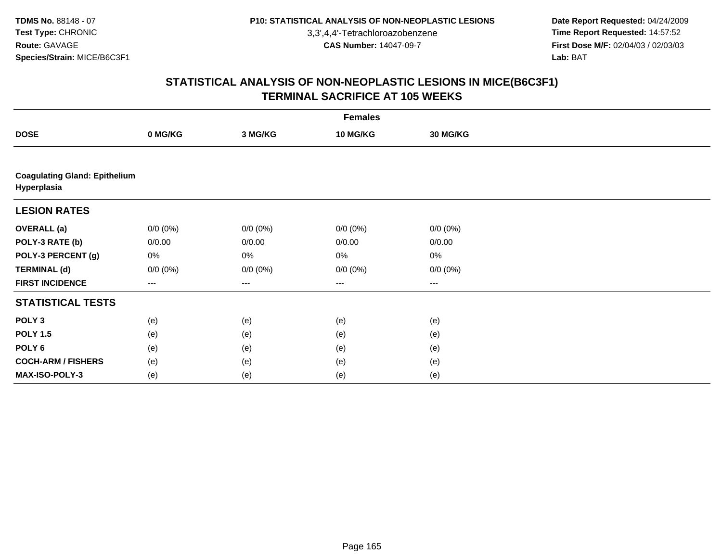3,3',4,4'-Tetrachloroazobenzene

 **Date Report Requested:** 04/24/2009 **Time Report Requested:** 14:57:52 **First Dose M/F:** 02/04/03 / 02/03/03<br>Lab: BAT **Lab:** BAT

|                                                     | <b>Females</b> |             |             |             |  |  |  |  |
|-----------------------------------------------------|----------------|-------------|-------------|-------------|--|--|--|--|
| <b>DOSE</b>                                         | 0 MG/KG        | 3 MG/KG     | 10 MG/KG    | 30 MG/KG    |  |  |  |  |
|                                                     |                |             |             |             |  |  |  |  |
| <b>Coagulating Gland: Epithelium</b><br>Hyperplasia |                |             |             |             |  |  |  |  |
| <b>LESION RATES</b>                                 |                |             |             |             |  |  |  |  |
| <b>OVERALL</b> (a)                                  | $0/0 (0\%)$    | $0/0 (0\%)$ | $0/0 (0\%)$ | $0/0 (0\%)$ |  |  |  |  |
| POLY-3 RATE (b)                                     | 0/0.00         | 0/0.00      | 0/0.00      | 0/0.00      |  |  |  |  |
| POLY-3 PERCENT (g)                                  | 0%             | 0%          | 0%          | $0\%$       |  |  |  |  |
| <b>TERMINAL (d)</b>                                 | $0/0 (0\%)$    | $0/0 (0\%)$ | $0/0 (0\%)$ | $0/0 (0\%)$ |  |  |  |  |
| <b>FIRST INCIDENCE</b>                              | ---            | ---         | $\cdots$    | $\cdots$    |  |  |  |  |
| <b>STATISTICAL TESTS</b>                            |                |             |             |             |  |  |  |  |
| POLY <sub>3</sub>                                   | (e)            | (e)         | (e)         | (e)         |  |  |  |  |
| <b>POLY 1.5</b>                                     | (e)            | (e)         | (e)         | (e)         |  |  |  |  |
| POLY 6                                              | (e)            | (e)         | (e)         | (e)         |  |  |  |  |
| <b>COCH-ARM / FISHERS</b>                           | (e)            | (e)         | (e)         | (e)         |  |  |  |  |
| MAX-ISO-POLY-3                                      | (e)            | (e)         | (e)         | (e)         |  |  |  |  |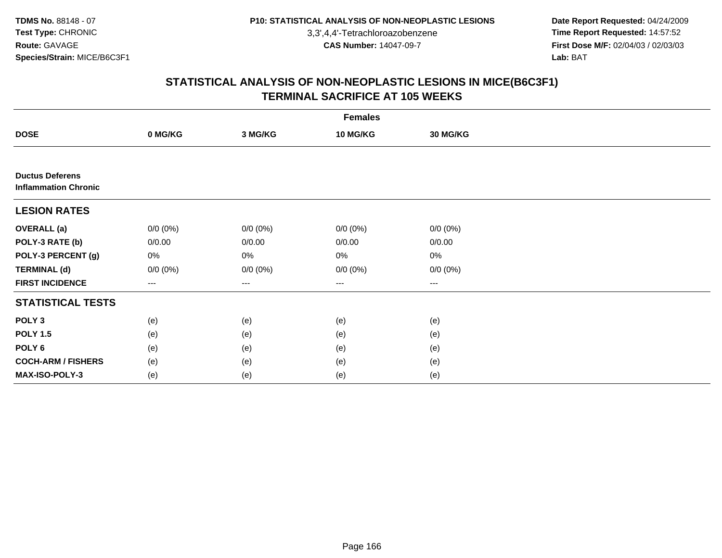3,3',4,4'-Tetrachloroazobenzene

 **Date Report Requested:** 04/24/2009 **Time Report Requested:** 14:57:52 **First Dose M/F:** 02/04/03 / 02/03/03<br>Lab: BAT **Lab:** BAT

|                                                       | <b>Females</b> |             |             |             |  |  |  |  |
|-------------------------------------------------------|----------------|-------------|-------------|-------------|--|--|--|--|
| <b>DOSE</b>                                           | 0 MG/KG        | 3 MG/KG     | 10 MG/KG    | 30 MG/KG    |  |  |  |  |
|                                                       |                |             |             |             |  |  |  |  |
| <b>Ductus Deferens</b><br><b>Inflammation Chronic</b> |                |             |             |             |  |  |  |  |
| <b>LESION RATES</b>                                   |                |             |             |             |  |  |  |  |
| <b>OVERALL (a)</b>                                    | $0/0 (0\%)$    | $0/0 (0\%)$ | $0/0 (0\%)$ | $0/0 (0\%)$ |  |  |  |  |
| POLY-3 RATE (b)                                       | 0/0.00         | 0/0.00      | 0/0.00      | 0/0.00      |  |  |  |  |
| POLY-3 PERCENT (g)                                    | 0%             | 0%          | 0%          | $0\%$       |  |  |  |  |
| <b>TERMINAL (d)</b>                                   | $0/0 (0\%)$    | $0/0 (0\%)$ | $0/0 (0\%)$ | $0/0 (0\%)$ |  |  |  |  |
| <b>FIRST INCIDENCE</b>                                | ---            | ---         | $---$       | ---         |  |  |  |  |
| <b>STATISTICAL TESTS</b>                              |                |             |             |             |  |  |  |  |
| POLY <sub>3</sub>                                     | (e)            | (e)         | (e)         | (e)         |  |  |  |  |
| <b>POLY 1.5</b>                                       | (e)            | (e)         | (e)         | (e)         |  |  |  |  |
| POLY <sub>6</sub>                                     | (e)            | (e)         | (e)         | (e)         |  |  |  |  |
| <b>COCH-ARM / FISHERS</b>                             | (e)            | (e)         | (e)         | (e)         |  |  |  |  |
| <b>MAX-ISO-POLY-3</b>                                 | (e)            | (e)         | (e)         | (e)         |  |  |  |  |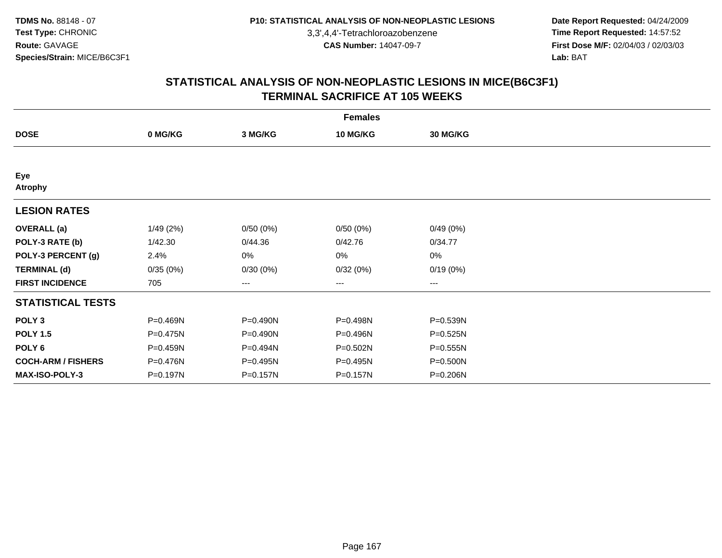3,3',4,4'-Tetrachloroazobenzene

 **Date Report Requested:** 04/24/2009 **Time Report Requested:** 14:57:52 **First Dose M/F:** 02/04/03 / 02/03/03<br>Lab: BAT **Lab:** BAT

|                           | <b>Females</b> |          |                 |                 |  |  |  |  |  |
|---------------------------|----------------|----------|-----------------|-----------------|--|--|--|--|--|
| <b>DOSE</b>               | 0 MG/KG        | 3 MG/KG  | <b>10 MG/KG</b> | <b>30 MG/KG</b> |  |  |  |  |  |
|                           |                |          |                 |                 |  |  |  |  |  |
| Eye<br><b>Atrophy</b>     |                |          |                 |                 |  |  |  |  |  |
| <b>LESION RATES</b>       |                |          |                 |                 |  |  |  |  |  |
| <b>OVERALL</b> (a)        | 1/49(2%)       | 0/50(0%) | 0/50(0%)        | 0/49(0%)        |  |  |  |  |  |
| POLY-3 RATE (b)           | 1/42.30        | 0/44.36  | 0/42.76         | 0/34.77         |  |  |  |  |  |
| POLY-3 PERCENT (g)        | 2.4%           | 0%       | 0%              | 0%              |  |  |  |  |  |
| <b>TERMINAL (d)</b>       | 0/35(0%)       | 0/30(0%) | 0/32(0%)        | 0/19(0%)        |  |  |  |  |  |
| <b>FIRST INCIDENCE</b>    | 705            | ---      | ---             | $---$           |  |  |  |  |  |
| <b>STATISTICAL TESTS</b>  |                |          |                 |                 |  |  |  |  |  |
| POLY <sub>3</sub>         | P=0.469N       | P=0.490N | P=0.498N        | P=0.539N        |  |  |  |  |  |
| <b>POLY 1.5</b>           | P=0.475N       | P=0.490N | P=0.496N        | $P = 0.525N$    |  |  |  |  |  |
| POLY <sub>6</sub>         | P=0.459N       | P=0.494N | P=0.502N        | $P = 0.555N$    |  |  |  |  |  |
| <b>COCH-ARM / FISHERS</b> | P=0.476N       | P=0.495N | P=0.495N        | P=0.500N        |  |  |  |  |  |
| <b>MAX-ISO-POLY-3</b>     | P=0.197N       | P=0.157N | P=0.157N        | P=0.206N        |  |  |  |  |  |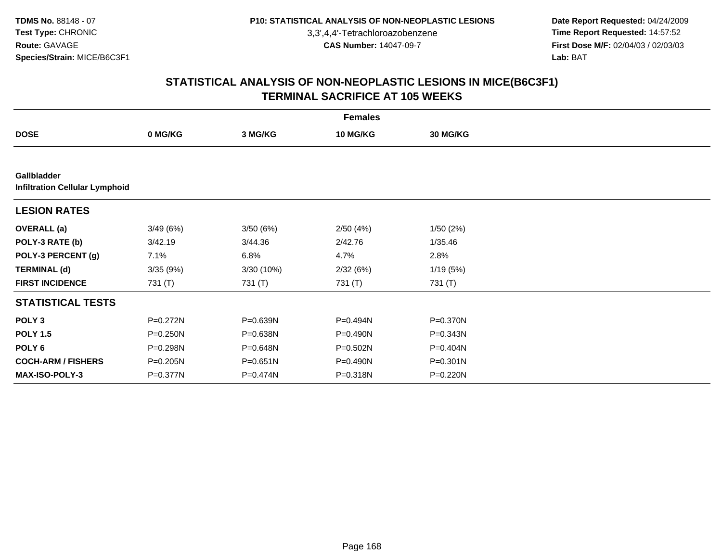3,3',4,4'-Tetrachloroazobenzene

 **Date Report Requested:** 04/24/2009 **Time Report Requested:** 14:57:52 **First Dose M/F:** 02/04/03 / 02/03/03<br>Lab: BAT **Lab:** BAT

| <b>Females</b>                                              |              |              |              |                 |  |  |  |  |
|-------------------------------------------------------------|--------------|--------------|--------------|-----------------|--|--|--|--|
| <b>DOSE</b>                                                 | 0 MG/KG      | 3 MG/KG      | 10 MG/KG     | <b>30 MG/KG</b> |  |  |  |  |
|                                                             |              |              |              |                 |  |  |  |  |
| <b>Gallbladder</b><br><b>Infiltration Cellular Lymphoid</b> |              |              |              |                 |  |  |  |  |
| <b>LESION RATES</b>                                         |              |              |              |                 |  |  |  |  |
| <b>OVERALL</b> (a)                                          | 3/49(6%)     | 3/50(6%)     | 2/50(4%)     | 1/50(2%)        |  |  |  |  |
| POLY-3 RATE (b)                                             | 3/42.19      | 3/44.36      | 2/42.76      | 1/35.46         |  |  |  |  |
| POLY-3 PERCENT (g)                                          | 7.1%         | 6.8%         | 4.7%         | 2.8%            |  |  |  |  |
| <b>TERMINAL (d)</b>                                         | 3/35(9%)     | 3/30 (10%)   | 2/32(6%)     | 1/19(5%)        |  |  |  |  |
| <b>FIRST INCIDENCE</b>                                      | 731 (T)      | 731 (T)      | 731 (T)      | 731 (T)         |  |  |  |  |
| <b>STATISTICAL TESTS</b>                                    |              |              |              |                 |  |  |  |  |
| POLY <sub>3</sub>                                           | P=0.272N     | P=0.639N     | P=0.494N     | P=0.370N        |  |  |  |  |
| <b>POLY 1.5</b>                                             | $P = 0.250N$ | P=0.638N     | P=0.490N     | P=0.343N        |  |  |  |  |
| POLY 6                                                      | P=0.298N     | P=0.648N     | P=0.502N     | P=0.404N        |  |  |  |  |
| <b>COCH-ARM / FISHERS</b>                                   | P=0.205N     | $P = 0.651N$ | $P = 0.490N$ | P=0.301N        |  |  |  |  |
| <b>MAX-ISO-POLY-3</b>                                       | P=0.377N     | P=0.474N     | P=0.318N     | P=0.220N        |  |  |  |  |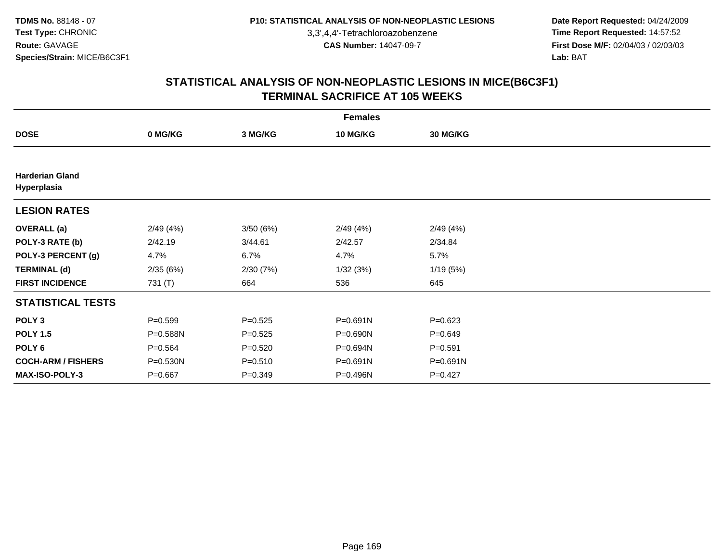3,3',4,4'-Tetrachloroazobenzene

 **Date Report Requested:** 04/24/2009 **Time Report Requested:** 14:57:52 **First Dose M/F:** 02/04/03 / 02/03/03<br>Lab: BAT **Lab:** BAT

|                                       | <b>Females</b> |             |                 |                 |  |  |  |  |
|---------------------------------------|----------------|-------------|-----------------|-----------------|--|--|--|--|
| <b>DOSE</b>                           | 0 MG/KG        | 3 MG/KG     | <b>10 MG/KG</b> | <b>30 MG/KG</b> |  |  |  |  |
|                                       |                |             |                 |                 |  |  |  |  |
| <b>Harderian Gland</b><br>Hyperplasia |                |             |                 |                 |  |  |  |  |
| <b>LESION RATES</b>                   |                |             |                 |                 |  |  |  |  |
| <b>OVERALL</b> (a)                    | 2/49(4%)       | 3/50(6%)    | 2/49(4%)        | 2/49(4%)        |  |  |  |  |
| POLY-3 RATE (b)                       | 2/42.19        | 3/44.61     | 2/42.57         | 2/34.84         |  |  |  |  |
| POLY-3 PERCENT (g)                    | 4.7%           | 6.7%        | 4.7%            | 5.7%            |  |  |  |  |
| <b>TERMINAL (d)</b>                   | 2/35(6%)       | 2/30(7%)    | 1/32(3%)        | 1/19(5%)        |  |  |  |  |
| <b>FIRST INCIDENCE</b>                | 731 (T)        | 664         | 536             | 645             |  |  |  |  |
| <b>STATISTICAL TESTS</b>              |                |             |                 |                 |  |  |  |  |
| POLY <sub>3</sub>                     | $P = 0.599$    | $P = 0.525$ | P=0.691N        | $P = 0.623$     |  |  |  |  |
| <b>POLY 1.5</b>                       | P=0.588N       | $P = 0.525$ | $P = 0.690N$    | $P = 0.649$     |  |  |  |  |
| POLY <sub>6</sub>                     | $P = 0.564$    | $P = 0.520$ | P=0.694N        | $P = 0.591$     |  |  |  |  |
| <b>COCH-ARM / FISHERS</b>             | $P = 0.530N$   | $P = 0.510$ | P=0.691N        | $P = 0.691N$    |  |  |  |  |
| <b>MAX-ISO-POLY-3</b>                 | $P = 0.667$    | $P = 0.349$ | P=0.496N        | $P=0.427$       |  |  |  |  |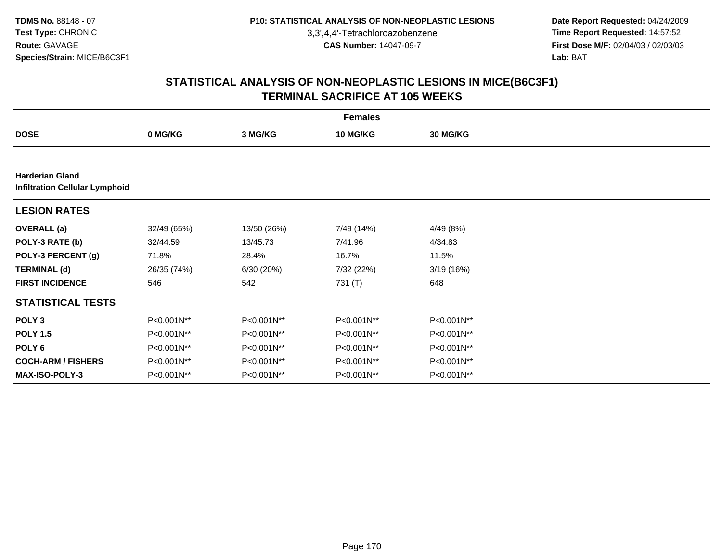3,3',4,4'-Tetrachloroazobenzene

 **Date Report Requested:** 04/24/2009 **Time Report Requested:** 14:57:52 **First Dose M/F:** 02/04/03 / 02/03/03<br>Lab: BAT **Lab:** BAT

|                                                                 | <b>Females</b> |             |            |                 |  |  |  |  |
|-----------------------------------------------------------------|----------------|-------------|------------|-----------------|--|--|--|--|
| <b>DOSE</b>                                                     | 0 MG/KG        | 3 MG/KG     | 10 MG/KG   | <b>30 MG/KG</b> |  |  |  |  |
|                                                                 |                |             |            |                 |  |  |  |  |
| <b>Harderian Gland</b><br><b>Infiltration Cellular Lymphoid</b> |                |             |            |                 |  |  |  |  |
| <b>LESION RATES</b>                                             |                |             |            |                 |  |  |  |  |
| <b>OVERALL</b> (a)                                              | 32/49 (65%)    | 13/50 (26%) | 7/49 (14%) | 4/49 (8%)       |  |  |  |  |
| POLY-3 RATE (b)                                                 | 32/44.59       | 13/45.73    | 7/41.96    | 4/34.83         |  |  |  |  |
| POLY-3 PERCENT (g)                                              | 71.8%          | 28.4%       | 16.7%      | 11.5%           |  |  |  |  |
| <b>TERMINAL (d)</b>                                             | 26/35 (74%)    | 6/30 (20%)  | 7/32 (22%) | 3/19(16%)       |  |  |  |  |
| <b>FIRST INCIDENCE</b>                                          | 546            | 542         | 731 (T)    | 648             |  |  |  |  |
| <b>STATISTICAL TESTS</b>                                        |                |             |            |                 |  |  |  |  |
| POLY <sub>3</sub>                                               | P<0.001N**     | P<0.001N**  | P<0.001N** | P<0.001N**      |  |  |  |  |
| <b>POLY 1.5</b>                                                 | P<0.001N**     | P<0.001N**  | P<0.001N** | P<0.001N**      |  |  |  |  |
| POLY <sub>6</sub>                                               | P<0.001N**     | P<0.001N**  | P<0.001N** | P<0.001N**      |  |  |  |  |
| <b>COCH-ARM / FISHERS</b>                                       | P<0.001N**     | P<0.001N**  | P<0.001N** | P<0.001N**      |  |  |  |  |
| <b>MAX-ISO-POLY-3</b>                                           | P<0.001N**     | P<0.001N**  | P<0.001N** | P<0.001N**      |  |  |  |  |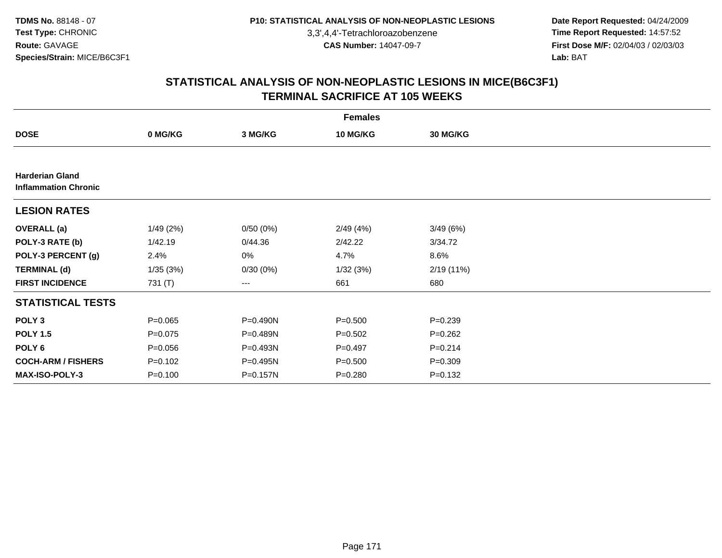3,3',4,4'-Tetrachloroazobenzene

 **Date Report Requested:** 04/24/2009 **Time Report Requested:** 14:57:52 **First Dose M/F:** 02/04/03 / 02/03/03<br>Lab: BAT **Lab:** BAT

|                                                       |             |          | <b>Females</b> |             |  |
|-------------------------------------------------------|-------------|----------|----------------|-------------|--|
| <b>DOSE</b>                                           | 0 MG/KG     | 3 MG/KG  | 10 MG/KG       | 30 MG/KG    |  |
|                                                       |             |          |                |             |  |
| <b>Harderian Gland</b><br><b>Inflammation Chronic</b> |             |          |                |             |  |
| <b>LESION RATES</b>                                   |             |          |                |             |  |
| <b>OVERALL (a)</b>                                    | 1/49(2%)    | 0/50(0%) | 2/49(4%)       | 3/49(6%)    |  |
| POLY-3 RATE (b)                                       | 1/42.19     | 0/44.36  | 2/42.22        | 3/34.72     |  |
| POLY-3 PERCENT (g)                                    | 2.4%        | 0%       | 4.7%           | 8.6%        |  |
| <b>TERMINAL (d)</b>                                   | 1/35(3%)    | 0/30(0%) | 1/32(3%)       | 2/19(11%)   |  |
| <b>FIRST INCIDENCE</b>                                | 731 (T)     | ---      | 661            | 680         |  |
| <b>STATISTICAL TESTS</b>                              |             |          |                |             |  |
| POLY <sub>3</sub>                                     | $P = 0.065$ | P=0.490N | $P = 0.500$    | $P = 0.239$ |  |
| <b>POLY 1.5</b>                                       | $P = 0.075$ | P=0.489N | $P = 0.502$    | $P = 0.262$ |  |
| POLY 6                                                | $P = 0.056$ | P=0.493N | $P=0.497$      | $P = 0.214$ |  |
| <b>COCH-ARM / FISHERS</b>                             | $P = 0.102$ | P=0.495N | $P = 0.500$    | $P = 0.309$ |  |
| <b>MAX-ISO-POLY-3</b>                                 | $P = 0.100$ | P=0.157N | $P = 0.280$    | $P = 0.132$ |  |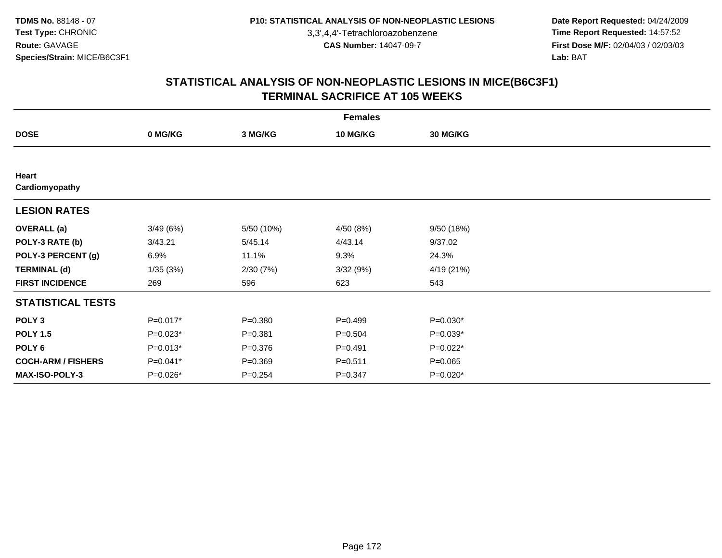3,3',4,4'-Tetrachloroazobenzene

 **Date Report Requested:** 04/24/2009 **Time Report Requested:** 14:57:52 **First Dose M/F:** 02/04/03 / 02/03/03<br>Lab: BAT **Lab:** BAT

|                           | <b>Females</b> |             |                 |                 |  |  |  |
|---------------------------|----------------|-------------|-----------------|-----------------|--|--|--|
| <b>DOSE</b>               | 0 MG/KG        | 3 MG/KG     | <b>10 MG/KG</b> | <b>30 MG/KG</b> |  |  |  |
|                           |                |             |                 |                 |  |  |  |
| Heart                     |                |             |                 |                 |  |  |  |
| Cardiomyopathy            |                |             |                 |                 |  |  |  |
| <b>LESION RATES</b>       |                |             |                 |                 |  |  |  |
| <b>OVERALL</b> (a)        | 3/49(6%)       | 5/50 (10%)  | 4/50 (8%)       | 9/50 (18%)      |  |  |  |
| POLY-3 RATE (b)           | 3/43.21        | 5/45.14     | 4/43.14         | 9/37.02         |  |  |  |
| POLY-3 PERCENT (g)        | 6.9%           | 11.1%       | 9.3%            | 24.3%           |  |  |  |
| <b>TERMINAL (d)</b>       | 1/35(3%)       | 2/30(7%)    | 3/32 (9%)       | 4/19 (21%)      |  |  |  |
| <b>FIRST INCIDENCE</b>    | 269            | 596         | 623             | 543             |  |  |  |
| <b>STATISTICAL TESTS</b>  |                |             |                 |                 |  |  |  |
| POLY <sub>3</sub>         | $P=0.017*$     | $P = 0.380$ | $P=0.499$       | $P=0.030*$      |  |  |  |
| <b>POLY 1.5</b>           | $P=0.023*$     | $P = 0.381$ | $P = 0.504$     | $P=0.039*$      |  |  |  |
| POLY <sub>6</sub>         | $P=0.013*$     | $P = 0.376$ | $P=0.491$       | $P=0.022*$      |  |  |  |
| <b>COCH-ARM / FISHERS</b> | P=0.041*       | $P = 0.369$ | $P = 0.511$     | $P=0.065$       |  |  |  |
| <b>MAX-ISO-POLY-3</b>     | $P=0.026*$     | $P = 0.254$ | $P = 0.347$     | $P=0.020*$      |  |  |  |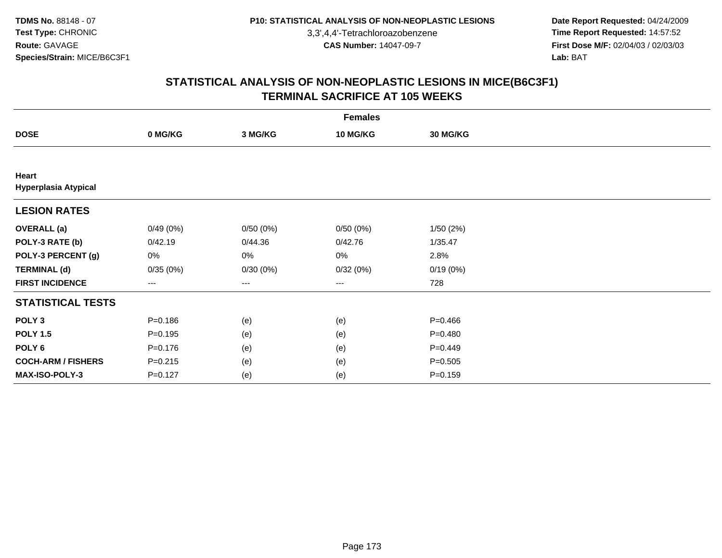3,3',4,4'-Tetrachloroazobenzene

 **Date Report Requested:** 04/24/2009 **Time Report Requested:** 14:57:52 **First Dose M/F:** 02/04/03 / 02/03/03<br>Lab: BAT **Lab:** BAT

|                                      | <b>Females</b> |          |                 |             |  |  |  |
|--------------------------------------|----------------|----------|-----------------|-------------|--|--|--|
| <b>DOSE</b>                          | 0 MG/KG        | 3 MG/KG  | <b>10 MG/KG</b> | 30 MG/KG    |  |  |  |
|                                      |                |          |                 |             |  |  |  |
| Heart<br><b>Hyperplasia Atypical</b> |                |          |                 |             |  |  |  |
| <b>LESION RATES</b>                  |                |          |                 |             |  |  |  |
| <b>OVERALL</b> (a)                   | 0/49(0%)       | 0/50(0%) | 0/50(0%)        | 1/50(2%)    |  |  |  |
| POLY-3 RATE (b)                      | 0/42.19        | 0/44.36  | 0/42.76         | 1/35.47     |  |  |  |
| POLY-3 PERCENT (g)                   | 0%             | 0%       | 0%              | 2.8%        |  |  |  |
| <b>TERMINAL (d)</b>                  | 0/35(0%)       | 0/30(0%) | 0/32(0%)        | 0/19(0%)    |  |  |  |
| <b>FIRST INCIDENCE</b>               | $---$          | $---$    | ---             | 728         |  |  |  |
| <b>STATISTICAL TESTS</b>             |                |          |                 |             |  |  |  |
| POLY <sub>3</sub>                    | $P = 0.186$    | (e)      | (e)             | $P=0.466$   |  |  |  |
| <b>POLY 1.5</b>                      | $P = 0.195$    | (e)      | (e)             | $P = 0.480$ |  |  |  |
| POLY <sub>6</sub>                    | $P = 0.176$    | (e)      | (e)             | $P=0.449$   |  |  |  |
| <b>COCH-ARM / FISHERS</b>            | $P = 0.215$    | (e)      | (e)             | $P = 0.505$ |  |  |  |
| <b>MAX-ISO-POLY-3</b>                | $P = 0.127$    | (e)      | (e)             | $P = 0.159$ |  |  |  |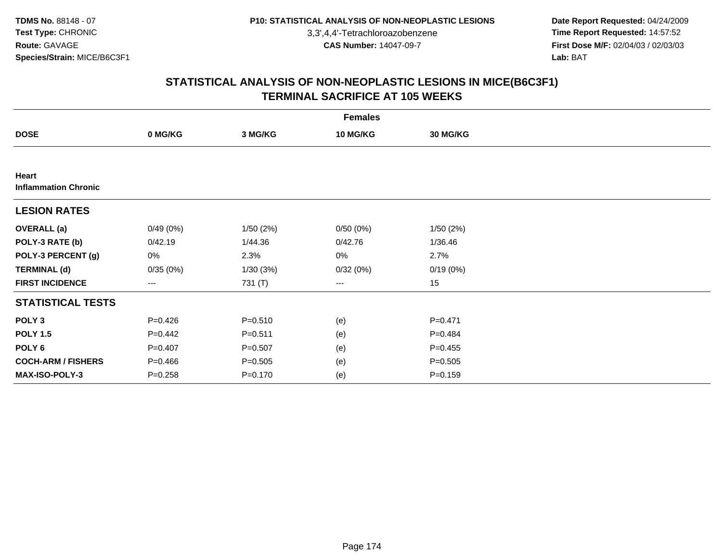3,3',4,4'-Tetrachloroazobenzene

 **Date Report Requested:** 04/24/2009 **Time Report Requested:** 14:57:52 **First Dose M/F:** 02/04/03 / 02/03/03<br>Lab: BAT **Lab:** BAT

|                                      |             |             | <b>Females</b> |                 |  |
|--------------------------------------|-------------|-------------|----------------|-----------------|--|
| <b>DOSE</b>                          | 0 MG/KG     | 3 MG/KG     | 10 MG/KG       | <b>30 MG/KG</b> |  |
|                                      |             |             |                |                 |  |
| Heart<br><b>Inflammation Chronic</b> |             |             |                |                 |  |
| <b>LESION RATES</b>                  |             |             |                |                 |  |
| <b>OVERALL</b> (a)                   | 0/49(0%)    | 1/50(2%)    | 0/50(0%)       | 1/50(2%)        |  |
| POLY-3 RATE (b)                      | 0/42.19     | 1/44.36     | 0/42.76        | 1/36.46         |  |
| POLY-3 PERCENT (g)                   | 0%          | 2.3%        | 0%             | 2.7%            |  |
| <b>TERMINAL (d)</b>                  | 0/35(0%)    | 1/30(3%)    | 0/32(0%)       | 0/19(0%)        |  |
| <b>FIRST INCIDENCE</b>               | ---         | 731 (T)     | $---$          | 15              |  |
| <b>STATISTICAL TESTS</b>             |             |             |                |                 |  |
| POLY <sub>3</sub>                    | $P=0.426$   | $P = 0.510$ | (e)            | $P = 0.471$     |  |
| <b>POLY 1.5</b>                      | $P=0.442$   | $P = 0.511$ | (e)            | $P=0.484$       |  |
| POLY <sub>6</sub>                    | $P = 0.407$ | $P = 0.507$ | (e)            | $P=0.455$       |  |
| <b>COCH-ARM / FISHERS</b>            | $P=0.466$   | $P = 0.505$ | (e)            | $P = 0.505$     |  |
| MAX-ISO-POLY-3                       | $P = 0.258$ | $P = 0.170$ | (e)            | $P = 0.159$     |  |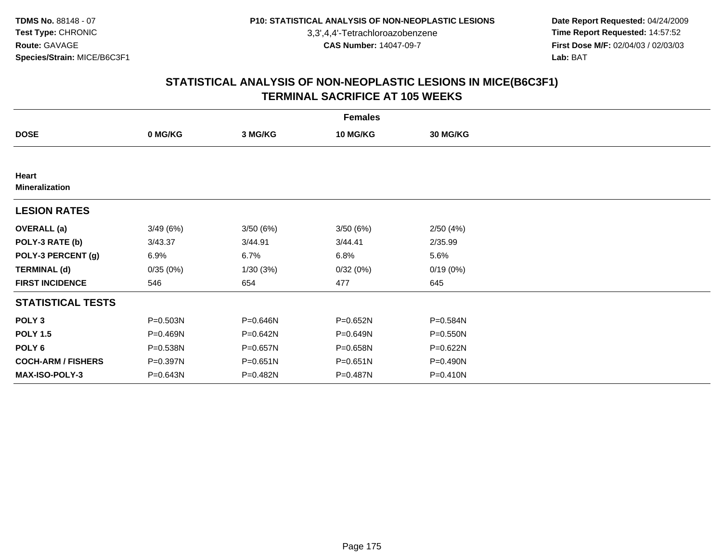3,3',4,4'-Tetrachloroazobenzene

 **Date Report Requested:** 04/24/2009 **Time Report Requested:** 14:57:52 **First Dose M/F:** 02/04/03 / 02/03/03<br>Lab: BAT **Lab:** BAT

|                                |          |              | <b>Females</b>  |                 |  |
|--------------------------------|----------|--------------|-----------------|-----------------|--|
| <b>DOSE</b>                    | 0 MG/KG  | 3 MG/KG      | <b>10 MG/KG</b> | <b>30 MG/KG</b> |  |
|                                |          |              |                 |                 |  |
| Heart<br><b>Mineralization</b> |          |              |                 |                 |  |
| <b>LESION RATES</b>            |          |              |                 |                 |  |
| <b>OVERALL</b> (a)             | 3/49(6%) | 3/50(6%)     | 3/50(6%)        | 2/50(4%)        |  |
| POLY-3 RATE (b)                | 3/43.37  | 3/44.91      | 3/44.41         | 2/35.99         |  |
| POLY-3 PERCENT (g)             | 6.9%     | 6.7%         | 6.8%            | 5.6%            |  |
| <b>TERMINAL (d)</b>            | 0/35(0%) | 1/30(3%)     | 0/32(0%)        | 0/19(0%)        |  |
| <b>FIRST INCIDENCE</b>         | 546      | 654          | 477             | 645             |  |
| <b>STATISTICAL TESTS</b>       |          |              |                 |                 |  |
| POLY <sub>3</sub>              | P=0.503N | P=0.646N     | P=0.652N        | P=0.584N        |  |
| <b>POLY 1.5</b>                | P=0.469N | P=0.642N     | $P = 0.649N$    | P=0.550N        |  |
| POLY <sub>6</sub>              | P=0.538N | P=0.657N     | P=0.658N        | $P = 0.622N$    |  |
| <b>COCH-ARM / FISHERS</b>      | P=0.397N | $P = 0.651N$ | $P = 0.651N$    | P=0.490N        |  |
| <b>MAX-ISO-POLY-3</b>          | P=0.643N | P=0.482N     | P=0.487N        | P=0.410N        |  |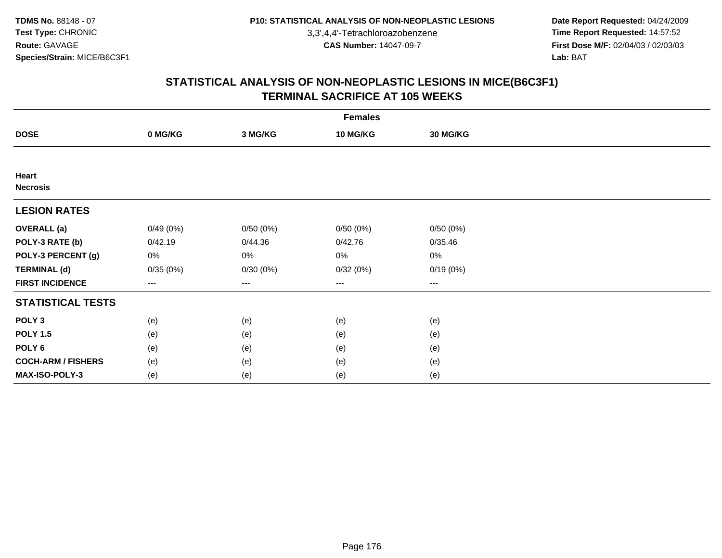3,3',4,4'-Tetrachloroazobenzene

 **Date Report Requested:** 04/24/2009 **Time Report Requested:** 14:57:52 **First Dose M/F:** 02/04/03 / 02/03/03<br>Lab: BAT **Lab:** BAT

|                           | <b>Females</b> |          |          |          |  |  |  |
|---------------------------|----------------|----------|----------|----------|--|--|--|
| <b>DOSE</b>               | 0 MG/KG        | 3 MG/KG  | 10 MG/KG | 30 MG/KG |  |  |  |
|                           |                |          |          |          |  |  |  |
| Heart<br><b>Necrosis</b>  |                |          |          |          |  |  |  |
| <b>LESION RATES</b>       |                |          |          |          |  |  |  |
| <b>OVERALL</b> (a)        | 0/49(0%)       | 0/50(0%) | 0/50(0%) | 0/50(0%) |  |  |  |
| POLY-3 RATE (b)           | 0/42.19        | 0/44.36  | 0/42.76  | 0/35.46  |  |  |  |
| POLY-3 PERCENT (g)        | 0%             | 0%       | 0%       | 0%       |  |  |  |
| <b>TERMINAL (d)</b>       | 0/35(0%)       | 0/30(0%) | 0/32(0%) | 0/19(0%) |  |  |  |
| <b>FIRST INCIDENCE</b>    | $--$           | ---      | ---      | $--$     |  |  |  |
| <b>STATISTICAL TESTS</b>  |                |          |          |          |  |  |  |
| POLY <sub>3</sub>         | (e)            | (e)      | (e)      | (e)      |  |  |  |
| <b>POLY 1.5</b>           | (e)            | (e)      | (e)      | (e)      |  |  |  |
| POLY <sub>6</sub>         | (e)            | (e)      | (e)      | (e)      |  |  |  |
| <b>COCH-ARM / FISHERS</b> | (e)            | (e)      | (e)      | (e)      |  |  |  |
| <b>MAX-ISO-POLY-3</b>     | (e)            | (e)      | (e)      | (e)      |  |  |  |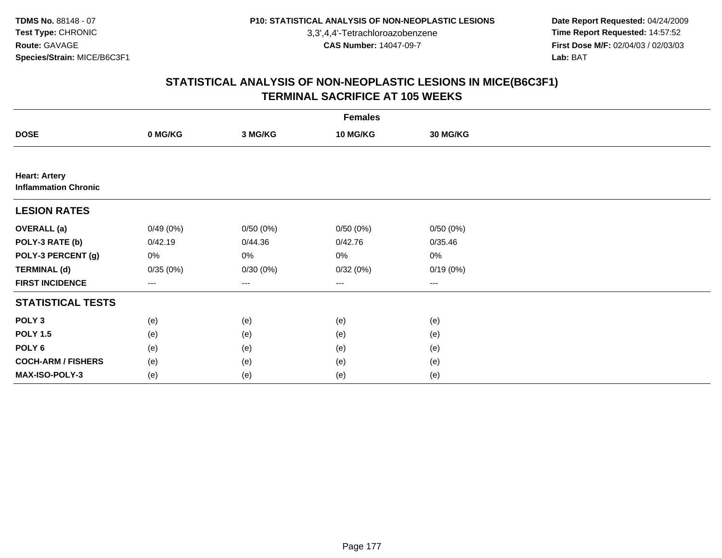3,3',4,4'-Tetrachloroazobenzene

 **Date Report Requested:** 04/24/2009 **Time Report Requested:** 14:57:52 **First Dose M/F:** 02/04/03 / 02/03/03<br>Lab: BAT **Lab:** BAT

|                                                     | <b>Females</b>         |                   |          |                 |  |  |  |  |
|-----------------------------------------------------|------------------------|-------------------|----------|-----------------|--|--|--|--|
| <b>DOSE</b>                                         | 0 MG/KG                | 3 MG/KG           | 10 MG/KG | <b>30 MG/KG</b> |  |  |  |  |
|                                                     |                        |                   |          |                 |  |  |  |  |
| <b>Heart: Artery</b><br><b>Inflammation Chronic</b> |                        |                   |          |                 |  |  |  |  |
| <b>LESION RATES</b>                                 |                        |                   |          |                 |  |  |  |  |
| <b>OVERALL</b> (a)                                  | 0/49(0%)               | 0/50(0%)          | 0/50(0%) | 0/50(0%)        |  |  |  |  |
| POLY-3 RATE (b)                                     | 0/42.19                | 0/44.36           | 0/42.76  | 0/35.46         |  |  |  |  |
| POLY-3 PERCENT (g)                                  | 0%                     | 0%                | 0%       | $0\%$           |  |  |  |  |
| <b>TERMINAL (d)</b>                                 | 0/35(0%)               | 0/30(0%)          | 0/32(0%) | 0/19(0%)        |  |  |  |  |
| <b>FIRST INCIDENCE</b>                              | $\qquad \qquad \cdots$ | $\qquad \qquad -$ | $\cdots$ | $\cdots$        |  |  |  |  |
| <b>STATISTICAL TESTS</b>                            |                        |                   |          |                 |  |  |  |  |
| POLY <sub>3</sub>                                   | (e)                    | (e)               | (e)      | (e)             |  |  |  |  |
| <b>POLY 1.5</b>                                     | (e)                    | (e)               | (e)      | (e)             |  |  |  |  |
| POLY <sub>6</sub>                                   | (e)                    | (e)               | (e)      | (e)             |  |  |  |  |
| <b>COCH-ARM / FISHERS</b>                           | (e)                    | (e)               | (e)      | (e)             |  |  |  |  |
| MAX-ISO-POLY-3                                      | (e)                    | (e)               | (e)      | (e)             |  |  |  |  |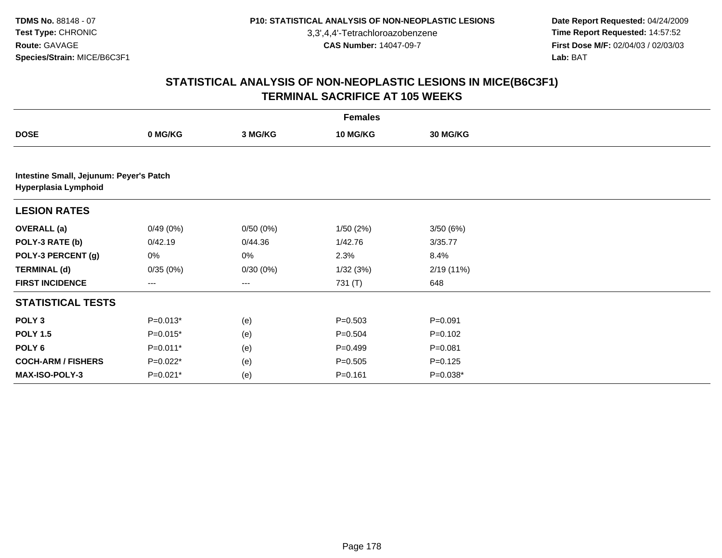3,3',4,4'-Tetrachloroazobenzene

 **Date Report Requested:** 04/24/2009 **Time Report Requested:** 14:57:52 **First Dose M/F:** 02/04/03 / 02/03/03<br>Lab: BAT **Lab:** BAT

|                                                                 |            |          | <b>Females</b> |                 |  |
|-----------------------------------------------------------------|------------|----------|----------------|-----------------|--|
| <b>DOSE</b>                                                     | 0 MG/KG    | 3 MG/KG  | 10 MG/KG       | <b>30 MG/KG</b> |  |
|                                                                 |            |          |                |                 |  |
| Intestine Small, Jejunum: Peyer's Patch<br>Hyperplasia Lymphoid |            |          |                |                 |  |
| <b>LESION RATES</b>                                             |            |          |                |                 |  |
| <b>OVERALL</b> (a)                                              | 0/49(0%)   | 0/50(0%) | 1/50(2%)       | 3/50(6%)        |  |
| POLY-3 RATE (b)                                                 | 0/42.19    | 0/44.36  | 1/42.76        | 3/35.77         |  |
| POLY-3 PERCENT (g)                                              | 0%         | 0%       | 2.3%           | 8.4%            |  |
| <b>TERMINAL (d)</b>                                             | 0/35(0%)   | 0/30(0%) | 1/32(3%)       | 2/19 (11%)      |  |
| <b>FIRST INCIDENCE</b>                                          | $---$      | ---      | 731 (T)        | 648             |  |
| <b>STATISTICAL TESTS</b>                                        |            |          |                |                 |  |
| POLY <sub>3</sub>                                               | $P=0.013*$ | (e)      | $P = 0.503$    | $P = 0.091$     |  |
| <b>POLY 1.5</b>                                                 | $P=0.015*$ | (e)      | $P = 0.504$    | $P = 0.102$     |  |
| POLY <sub>6</sub>                                               | P=0.011*   | (e)      | $P=0.499$      | $P = 0.081$     |  |
| <b>COCH-ARM / FISHERS</b>                                       | P=0.022*   | (e)      | $P = 0.505$    | $P = 0.125$     |  |
| MAX-ISO-POLY-3                                                  | P=0.021*   | (e)      | $P = 0.161$    | $P=0.038*$      |  |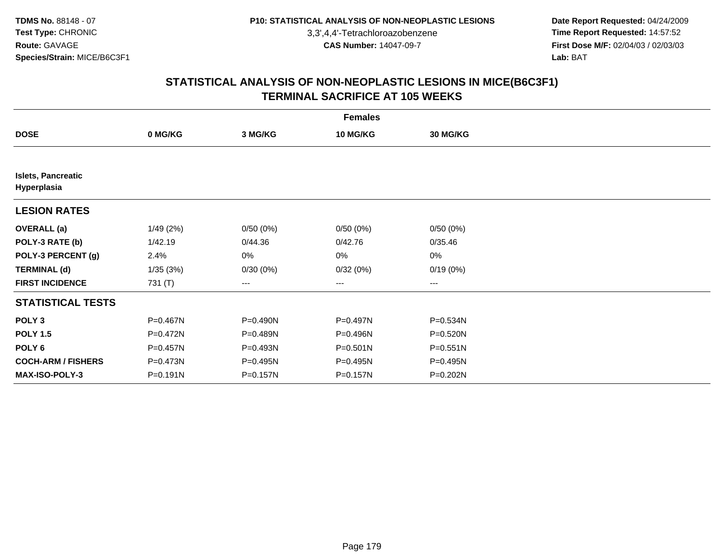3,3',4,4'-Tetrachloroazobenzene

 **Date Report Requested:** 04/24/2009 **Time Report Requested:** 14:57:52 **First Dose M/F:** 02/04/03 / 02/03/03<br>Lab: BAT **Lab:** BAT

| <b>Females</b>                           |              |                   |                 |                   |  |  |  |
|------------------------------------------|--------------|-------------------|-----------------|-------------------|--|--|--|
| <b>DOSE</b>                              | 0 MG/KG      | 3 MG/KG           | <b>10 MG/KG</b> | <b>30 MG/KG</b>   |  |  |  |
|                                          |              |                   |                 |                   |  |  |  |
| <b>Islets, Pancreatic</b><br>Hyperplasia |              |                   |                 |                   |  |  |  |
| <b>LESION RATES</b>                      |              |                   |                 |                   |  |  |  |
| <b>OVERALL</b> (a)                       | 1/49(2%)     | 0/50(0%)          | 0/50(0%)        | 0/50(0%)          |  |  |  |
| POLY-3 RATE (b)                          | 1/42.19      | 0/44.36           | 0/42.76         | 0/35.46           |  |  |  |
| POLY-3 PERCENT (g)                       | 2.4%         | 0%                | 0%              | 0%                |  |  |  |
| <b>TERMINAL (d)</b>                      | 1/35(3%)     | 0/30(0%)          | 0/32(0%)        | 0/19(0%)          |  |  |  |
| <b>FIRST INCIDENCE</b>                   | 731 (T)      | $\qquad \qquad -$ | ---             | $\qquad \qquad -$ |  |  |  |
| <b>STATISTICAL TESTS</b>                 |              |                   |                 |                   |  |  |  |
| POLY <sub>3</sub>                        | P=0.467N     | P=0.490N          | P=0.497N        | P=0.534N          |  |  |  |
| <b>POLY 1.5</b>                          | $P = 0.472N$ | P=0.489N          | P=0.496N        | P=0.520N          |  |  |  |
| POLY <sub>6</sub>                        | $P = 0.457N$ | P=0.493N          | $P = 0.501N$    | $P = 0.551N$      |  |  |  |
| <b>COCH-ARM / FISHERS</b>                | P=0.473N     | P=0.495N          | P=0.495N        | P=0.495N          |  |  |  |
| <b>MAX-ISO-POLY-3</b>                    | $P = 0.191N$ | P=0.157N          | P=0.157N        | P=0.202N          |  |  |  |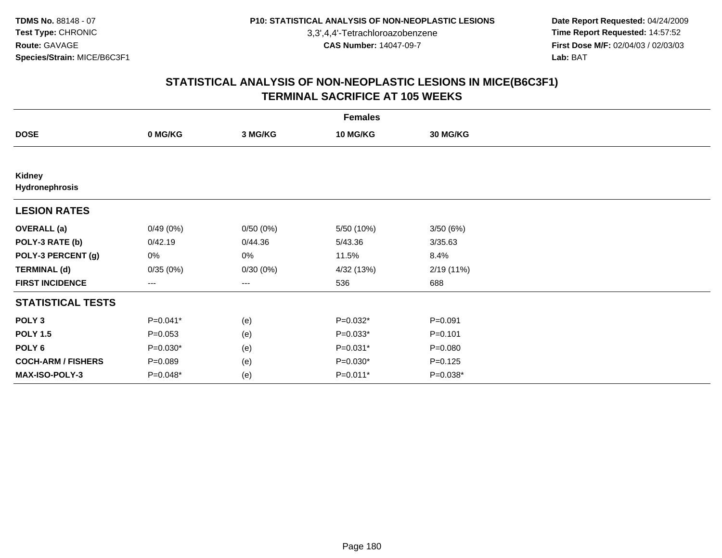3,3',4,4'-Tetrachloroazobenzene

 **Date Report Requested:** 04/24/2009 **Time Report Requested:** 14:57:52 **First Dose M/F:** 02/04/03 / 02/03/03<br>Lab: BAT **Lab:** BAT

|                           | <b>Females</b> |          |                 |             |  |  |  |
|---------------------------|----------------|----------|-----------------|-------------|--|--|--|
| <b>DOSE</b>               | 0 MG/KG        | 3 MG/KG  | <b>10 MG/KG</b> | 30 MG/KG    |  |  |  |
|                           |                |          |                 |             |  |  |  |
| Kidney<br>Hydronephrosis  |                |          |                 |             |  |  |  |
| <b>LESION RATES</b>       |                |          |                 |             |  |  |  |
| <b>OVERALL</b> (a)        | 0/49(0%)       | 0/50(0%) | 5/50 (10%)      | 3/50(6%)    |  |  |  |
| POLY-3 RATE (b)           | 0/42.19        | 0/44.36  | 5/43.36         | 3/35.63     |  |  |  |
| POLY-3 PERCENT (g)        | 0%             | 0%       | 11.5%           | 8.4%        |  |  |  |
| <b>TERMINAL (d)</b>       | 0/35(0%)       | 0/30(0%) | 4/32 (13%)      | 2/19(11%)   |  |  |  |
| <b>FIRST INCIDENCE</b>    | $---$          | $---$    | 536             | 688         |  |  |  |
| <b>STATISTICAL TESTS</b>  |                |          |                 |             |  |  |  |
| POLY <sub>3</sub>         | $P=0.041*$     | (e)      | $P=0.032*$      | $P = 0.091$ |  |  |  |
| <b>POLY 1.5</b>           | $P = 0.053$    | (e)      | $P=0.033*$      | $P = 0.101$ |  |  |  |
| POLY <sub>6</sub>         | $P=0.030*$     | (e)      | P=0.031*        | $P = 0.080$ |  |  |  |
| <b>COCH-ARM / FISHERS</b> | $P = 0.089$    | (e)      | $P=0.030*$      | $P = 0.125$ |  |  |  |
| <b>MAX-ISO-POLY-3</b>     | P=0.048*       | (e)      | P=0.011*        | $P=0.038*$  |  |  |  |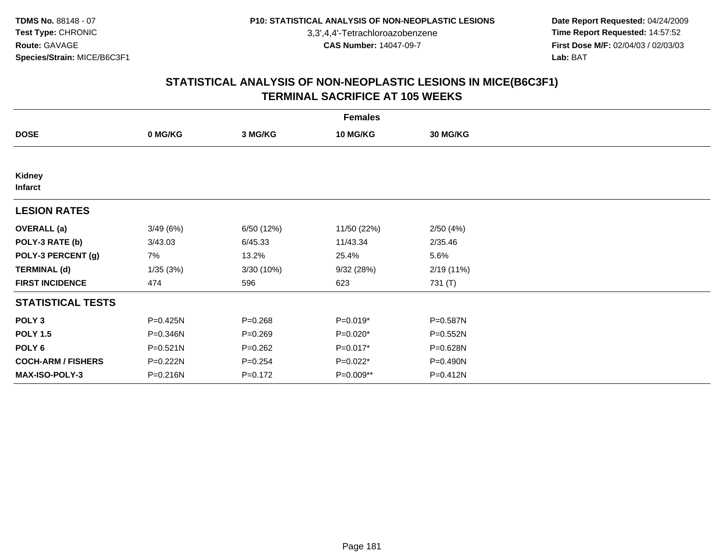3,3',4,4'-Tetrachloroazobenzene

 **Date Report Requested:** 04/24/2009 **Time Report Requested:** 14:57:52 **First Dose M/F:** 02/04/03 / 02/03/03<br>Lab: BAT **Lab:** BAT

| <b>Females</b>                  |              |             |                 |           |  |  |  |
|---------------------------------|--------------|-------------|-----------------|-----------|--|--|--|
| <b>DOSE</b>                     | 0 MG/KG      | 3 MG/KG     | <b>10 MG/KG</b> | 30 MG/KG  |  |  |  |
|                                 |              |             |                 |           |  |  |  |
| <b>Kidney</b><br><b>Infarct</b> |              |             |                 |           |  |  |  |
| <b>LESION RATES</b>             |              |             |                 |           |  |  |  |
| <b>OVERALL</b> (a)              | 3/49(6%)     | 6/50 (12%)  | 11/50 (22%)     | 2/50(4%)  |  |  |  |
| POLY-3 RATE (b)                 | 3/43.03      | 6/45.33     | 11/43.34        | 2/35.46   |  |  |  |
| POLY-3 PERCENT (g)              | 7%           | 13.2%       | 25.4%           | 5.6%      |  |  |  |
| <b>TERMINAL (d)</b>             | 1/35(3%)     | 3/30(10%)   | 9/32(28%)       | 2/19(11%) |  |  |  |
| <b>FIRST INCIDENCE</b>          | 474          | 596         | 623             | 731 (T)   |  |  |  |
| <b>STATISTICAL TESTS</b>        |              |             |                 |           |  |  |  |
| POLY <sub>3</sub>               | P=0.425N     | $P = 0.268$ | $P=0.019*$      | P=0.587N  |  |  |  |
| <b>POLY 1.5</b>                 | P=0.346N     | $P = 0.269$ | P=0.020*        | P=0.552N  |  |  |  |
| POLY <sub>6</sub>               | $P = 0.521N$ | $P = 0.262$ | P=0.017*        | P=0.628N  |  |  |  |
| <b>COCH-ARM / FISHERS</b>       | P=0.222N     | $P = 0.254$ | P=0.022*        | P=0.490N  |  |  |  |
| <b>MAX-ISO-POLY-3</b>           | P=0.216N     | $P = 0.172$ | P=0.009**       | P=0.412N  |  |  |  |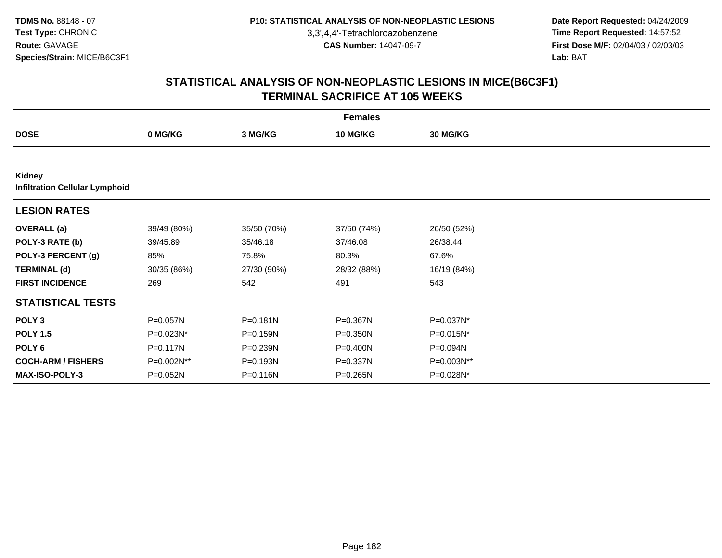3,3',4,4'-Tetrachloroazobenzene

 **Date Report Requested:** 04/24/2009 **Time Report Requested:** 14:57:52 **First Dose M/F:** 02/04/03 / 02/03/03<br>Lab: BAT **Lab:** BAT

|                                                 | <b>Females</b> |              |             |                 |  |  |  |  |
|-------------------------------------------------|----------------|--------------|-------------|-----------------|--|--|--|--|
| <b>DOSE</b>                                     | 0 MG/KG        | 3 MG/KG      | 10 MG/KG    | <b>30 MG/KG</b> |  |  |  |  |
|                                                 |                |              |             |                 |  |  |  |  |
| Kidney<br><b>Infiltration Cellular Lymphoid</b> |                |              |             |                 |  |  |  |  |
| <b>LESION RATES</b>                             |                |              |             |                 |  |  |  |  |
| <b>OVERALL</b> (a)                              | 39/49 (80%)    | 35/50 (70%)  | 37/50 (74%) | 26/50 (52%)     |  |  |  |  |
| POLY-3 RATE (b)                                 | 39/45.89       | 35/46.18     | 37/46.08    | 26/38.44        |  |  |  |  |
| POLY-3 PERCENT (g)                              | 85%            | 75.8%        | 80.3%       | 67.6%           |  |  |  |  |
| <b>TERMINAL (d)</b>                             | 30/35 (86%)    | 27/30 (90%)  | 28/32 (88%) | 16/19 (84%)     |  |  |  |  |
| <b>FIRST INCIDENCE</b>                          | 269            | 542          | 491         | 543             |  |  |  |  |
| <b>STATISTICAL TESTS</b>                        |                |              |             |                 |  |  |  |  |
| POLY <sub>3</sub>                               | P=0.057N       | $P = 0.181N$ | P=0.367N    | P=0.037N*       |  |  |  |  |
| <b>POLY 1.5</b>                                 | P=0.023N*      | P=0.159N     | P=0.350N    | P=0.015N*       |  |  |  |  |
| POLY <sub>6</sub>                               | P=0.117N       | P=0.239N     | P=0.400N    | P=0.094N        |  |  |  |  |
| <b>COCH-ARM / FISHERS</b>                       | P=0.002N**     | P=0.193N     | P=0.337N    | P=0.003N**      |  |  |  |  |
| <b>MAX-ISO-POLY-3</b>                           | P=0.052N       | P=0.116N     | P=0.265N    | P=0.028N*       |  |  |  |  |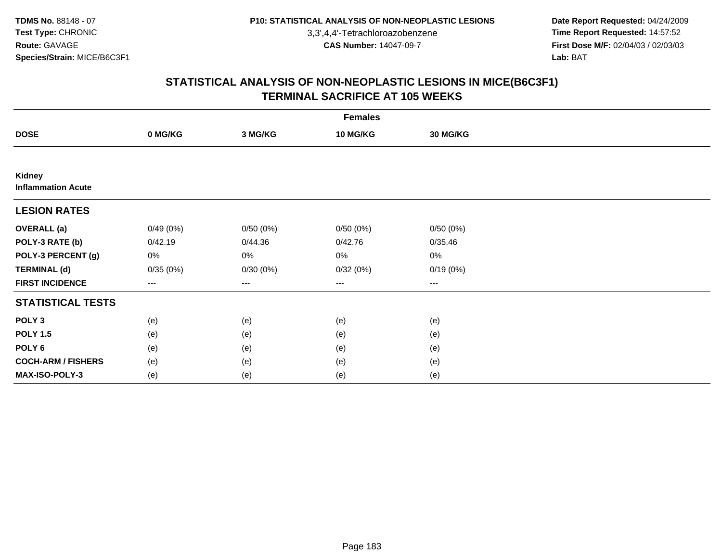3,3',4,4'-Tetrachloroazobenzene

 **Date Report Requested:** 04/24/2009 **Time Report Requested:** 14:57:52 **First Dose M/F:** 02/04/03 / 02/03/03<br>Lab: BAT **Lab:** BAT

|                                     | <b>Females</b> |                   |                 |          |  |  |  |  |
|-------------------------------------|----------------|-------------------|-----------------|----------|--|--|--|--|
| <b>DOSE</b>                         | 0 MG/KG        | 3 MG/KG           | <b>10 MG/KG</b> | 30 MG/KG |  |  |  |  |
|                                     |                |                   |                 |          |  |  |  |  |
| Kidney<br><b>Inflammation Acute</b> |                |                   |                 |          |  |  |  |  |
| <b>LESION RATES</b>                 |                |                   |                 |          |  |  |  |  |
| <b>OVERALL</b> (a)                  | 0/49(0%)       | 0/50(0%)          | 0/50(0%)        | 0/50(0%) |  |  |  |  |
| POLY-3 RATE (b)                     | 0/42.19        | 0/44.36           | 0/42.76         | 0/35.46  |  |  |  |  |
| POLY-3 PERCENT (g)                  | 0%             | 0%                | 0%              | 0%       |  |  |  |  |
| <b>TERMINAL (d)</b>                 | 0/35(0%)       | 0/30(0%)          | 0/32(0%)        | 0/19(0%) |  |  |  |  |
| <b>FIRST INCIDENCE</b>              | $---$          | $\qquad \qquad -$ | ---             | $\cdots$ |  |  |  |  |
| <b>STATISTICAL TESTS</b>            |                |                   |                 |          |  |  |  |  |
| POLY <sub>3</sub>                   | (e)            | (e)               | (e)             | (e)      |  |  |  |  |
| <b>POLY 1.5</b>                     | (e)            | (e)               | (e)             | (e)      |  |  |  |  |
| POLY <sub>6</sub>                   | (e)            | (e)               | (e)             | (e)      |  |  |  |  |
| <b>COCH-ARM / FISHERS</b>           | (e)            | (e)               | (e)             | (e)      |  |  |  |  |
| MAX-ISO-POLY-3                      | (e)            | (e)               | (e)             | (e)      |  |  |  |  |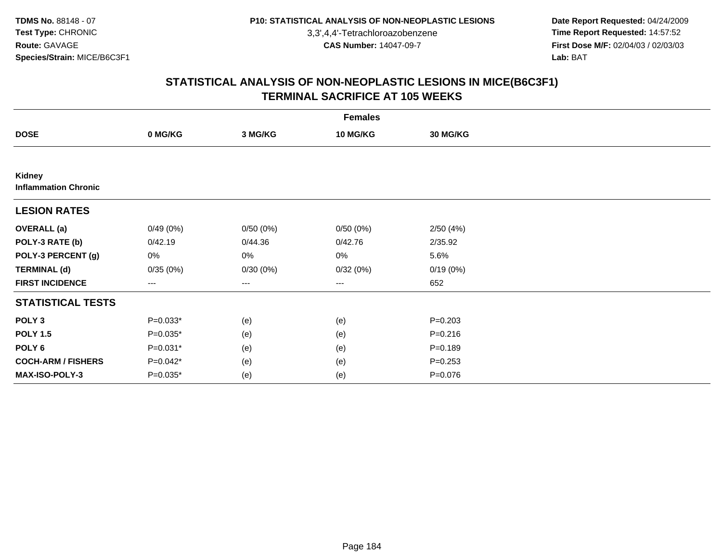3,3',4,4'-Tetrachloroazobenzene

 **Date Report Requested:** 04/24/2009 **Time Report Requested:** 14:57:52 **First Dose M/F:** 02/04/03 / 02/03/03<br>Lab: BAT **Lab:** BAT

|                                       | <b>Females</b> |          |                 |             |  |  |  |  |
|---------------------------------------|----------------|----------|-----------------|-------------|--|--|--|--|
| <b>DOSE</b>                           | 0 MG/KG        | 3 MG/KG  | <b>10 MG/KG</b> | 30 MG/KG    |  |  |  |  |
|                                       |                |          |                 |             |  |  |  |  |
| Kidney<br><b>Inflammation Chronic</b> |                |          |                 |             |  |  |  |  |
| <b>LESION RATES</b>                   |                |          |                 |             |  |  |  |  |
| <b>OVERALL</b> (a)                    | 0/49(0%)       | 0/50(0%) | 0/50(0%)        | 2/50(4%)    |  |  |  |  |
| POLY-3 RATE (b)                       | 0/42.19        | 0/44.36  | 0/42.76         | 2/35.92     |  |  |  |  |
| POLY-3 PERCENT (g)                    | 0%             | $0\%$    | 0%              | 5.6%        |  |  |  |  |
| <b>TERMINAL (d)</b>                   | 0/35(0%)       | 0/30(0%) | 0/32(0%)        | 0/19(0%)    |  |  |  |  |
| <b>FIRST INCIDENCE</b>                | $--$           | ---      | ---             | 652         |  |  |  |  |
| <b>STATISTICAL TESTS</b>              |                |          |                 |             |  |  |  |  |
| POLY <sub>3</sub>                     | $P=0.033*$     | (e)      | (e)             | $P = 0.203$ |  |  |  |  |
| <b>POLY 1.5</b>                       | $P=0.035*$     | (e)      | (e)             | $P = 0.216$ |  |  |  |  |
| POLY <sub>6</sub>                     | $P=0.031*$     | (e)      | (e)             | $P = 0.189$ |  |  |  |  |
| <b>COCH-ARM / FISHERS</b>             | $P=0.042*$     | (e)      | (e)             | $P = 0.253$ |  |  |  |  |
| MAX-ISO-POLY-3                        | $P=0.035*$     | (e)      | (e)             | $P = 0.076$ |  |  |  |  |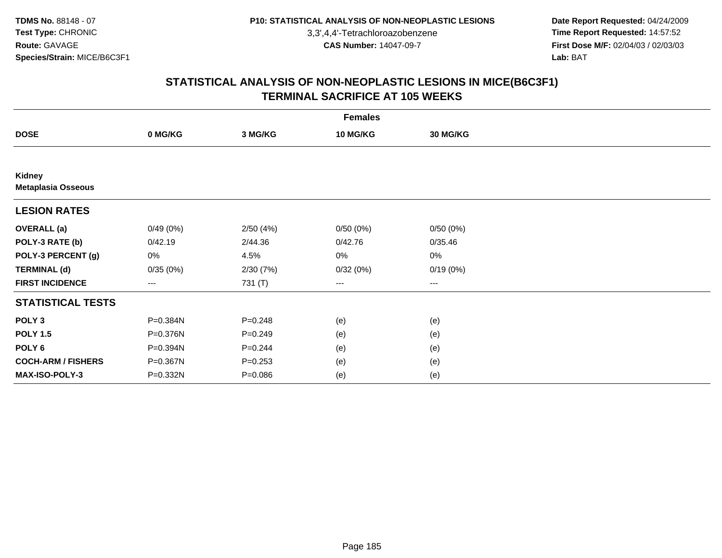3,3',4,4'-Tetrachloroazobenzene

 **Date Report Requested:** 04/24/2009 **Time Report Requested:** 14:57:52 **First Dose M/F:** 02/04/03 / 02/03/03<br>Lab: BAT **Lab:** BAT

|                                     | <b>Females</b>    |             |                 |                   |  |  |  |  |
|-------------------------------------|-------------------|-------------|-----------------|-------------------|--|--|--|--|
| <b>DOSE</b>                         | 0 MG/KG           | 3 MG/KG     | <b>10 MG/KG</b> | <b>30 MG/KG</b>   |  |  |  |  |
|                                     |                   |             |                 |                   |  |  |  |  |
| Kidney<br><b>Metaplasia Osseous</b> |                   |             |                 |                   |  |  |  |  |
| <b>LESION RATES</b>                 |                   |             |                 |                   |  |  |  |  |
| <b>OVERALL</b> (a)                  | 0/49(0%)          | 2/50(4%)    | 0/50(0%)        | 0/50(0%)          |  |  |  |  |
| POLY-3 RATE (b)                     | 0/42.19           | 2/44.36     | 0/42.76         | 0/35.46           |  |  |  |  |
| POLY-3 PERCENT (g)                  | 0%                | 4.5%        | 0%              | 0%                |  |  |  |  |
| <b>TERMINAL (d)</b>                 | 0/35(0%)          | 2/30(7%)    | 0/32(0%)        | 0/19(0%)          |  |  |  |  |
| <b>FIRST INCIDENCE</b>              | $\qquad \qquad -$ | 731 (T)     | ---             | $\qquad \qquad -$ |  |  |  |  |
| <b>STATISTICAL TESTS</b>            |                   |             |                 |                   |  |  |  |  |
| POLY <sub>3</sub>                   | P=0.384N          | $P = 0.248$ | (e)             | (e)               |  |  |  |  |
| <b>POLY 1.5</b>                     | P=0.376N          | $P = 0.249$ | (e)             | (e)               |  |  |  |  |
| POLY <sub>6</sub>                   | P=0.394N          | $P = 0.244$ | (e)             | (e)               |  |  |  |  |
| <b>COCH-ARM / FISHERS</b>           | P=0.367N          | $P = 0.253$ | (e)             | (e)               |  |  |  |  |
| MAX-ISO-POLY-3                      | P=0.332N          | $P = 0.086$ | (e)             | (e)               |  |  |  |  |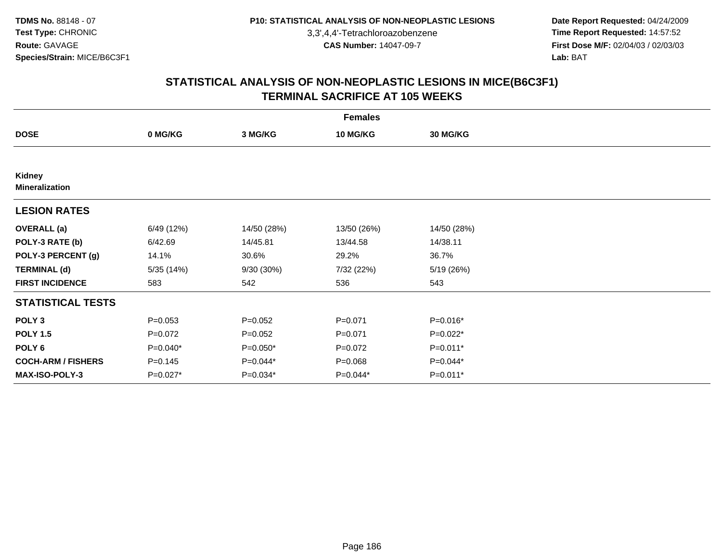3,3',4,4'-Tetrachloroazobenzene

 **Date Report Requested:** 04/24/2009 **Time Report Requested:** 14:57:52 **First Dose M/F:** 02/04/03 / 02/03/03<br>Lab: BAT **Lab:** BAT

|                                 | <b>Females</b> |              |                 |             |  |  |  |  |
|---------------------------------|----------------|--------------|-----------------|-------------|--|--|--|--|
| <b>DOSE</b>                     | 0 MG/KG        | 3 MG/KG      | <b>10 MG/KG</b> | 30 MG/KG    |  |  |  |  |
|                                 |                |              |                 |             |  |  |  |  |
| Kidney<br><b>Mineralization</b> |                |              |                 |             |  |  |  |  |
| <b>LESION RATES</b>             |                |              |                 |             |  |  |  |  |
| <b>OVERALL</b> (a)              | 6/49 (12%)     | 14/50 (28%)  | 13/50 (26%)     | 14/50 (28%) |  |  |  |  |
| POLY-3 RATE (b)                 | 6/42.69        | 14/45.81     | 13/44.58        | 14/38.11    |  |  |  |  |
| POLY-3 PERCENT (g)              | 14.1%          | 30.6%        | 29.2%           | 36.7%       |  |  |  |  |
| <b>TERMINAL (d)</b>             | 5/35(14%)      | $9/30(30\%)$ | 7/32 (22%)      | 5/19 (26%)  |  |  |  |  |
| <b>FIRST INCIDENCE</b>          | 583            | 542          | 536             | 543         |  |  |  |  |
| <b>STATISTICAL TESTS</b>        |                |              |                 |             |  |  |  |  |
| POLY <sub>3</sub>               | $P = 0.053$    | $P=0.052$    | $P = 0.071$     | P=0.016*    |  |  |  |  |
| <b>POLY 1.5</b>                 | $P = 0.072$    | $P=0.052$    | $P = 0.071$     | $P=0.022*$  |  |  |  |  |
| POLY <sub>6</sub>               | $P=0.040*$     | $P=0.050*$   | $P=0.072$       | $P=0.011*$  |  |  |  |  |
| <b>COCH-ARM / FISHERS</b>       | $P = 0.145$    | P=0.044*     | $P = 0.068$     | $P=0.044*$  |  |  |  |  |
| <b>MAX-ISO-POLY-3</b>           | $P=0.027*$     | P=0.034*     | P=0.044*        | $P=0.011*$  |  |  |  |  |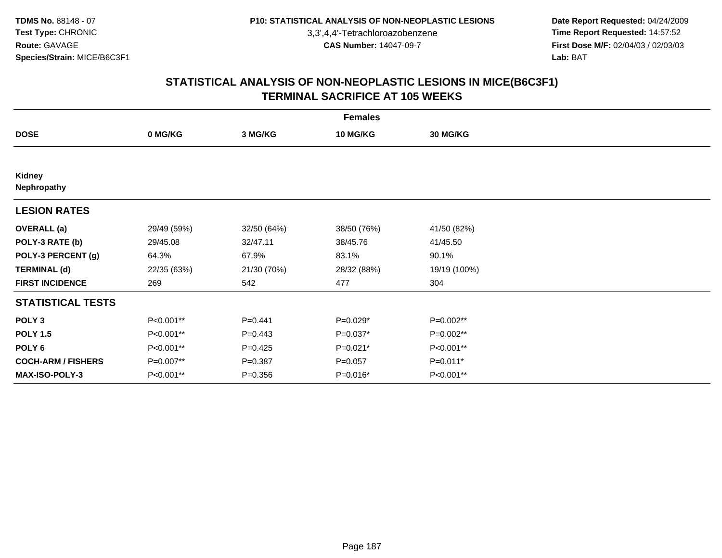3,3',4,4'-Tetrachloroazobenzene

 **Date Report Requested:** 04/24/2009 **Time Report Requested:** 14:57:52 **First Dose M/F:** 02/04/03 / 02/03/03<br>Lab: BAT **Lab:** BAT

| <b>Females</b>            |             |             |                 |              |  |  |  |
|---------------------------|-------------|-------------|-----------------|--------------|--|--|--|
| <b>DOSE</b>               | 0 MG/KG     | 3 MG/KG     | <b>10 MG/KG</b> | 30 MG/KG     |  |  |  |
|                           |             |             |                 |              |  |  |  |
| Kidney<br>Nephropathy     |             |             |                 |              |  |  |  |
| <b>LESION RATES</b>       |             |             |                 |              |  |  |  |
| <b>OVERALL</b> (a)        | 29/49 (59%) | 32/50 (64%) | 38/50 (76%)     | 41/50 (82%)  |  |  |  |
| POLY-3 RATE (b)           | 29/45.08    | 32/47.11    | 38/45.76        | 41/45.50     |  |  |  |
| POLY-3 PERCENT (g)        | 64.3%       | 67.9%       | 83.1%           | 90.1%        |  |  |  |
| <b>TERMINAL (d)</b>       | 22/35 (63%) | 21/30 (70%) | 28/32 (88%)     | 19/19 (100%) |  |  |  |
| <b>FIRST INCIDENCE</b>    | 269         | 542         | 477             | 304          |  |  |  |
| <b>STATISTICAL TESTS</b>  |             |             |                 |              |  |  |  |
| POLY <sub>3</sub>         | P<0.001**   | $P=0.441$   | P=0.029*        | P=0.002**    |  |  |  |
| <b>POLY 1.5</b>           | P<0.001**   | $P=0.443$   | P=0.037*        | P=0.002**    |  |  |  |
| POLY <sub>6</sub>         | P<0.001**   | $P=0.425$   | $P=0.021*$      | P<0.001**    |  |  |  |
| <b>COCH-ARM / FISHERS</b> | P=0.007**   | $P = 0.387$ | $P = 0.057$     | $P=0.011*$   |  |  |  |
| MAX-ISO-POLY-3            | P<0.001**   | $P = 0.356$ | P=0.016*        | P<0.001**    |  |  |  |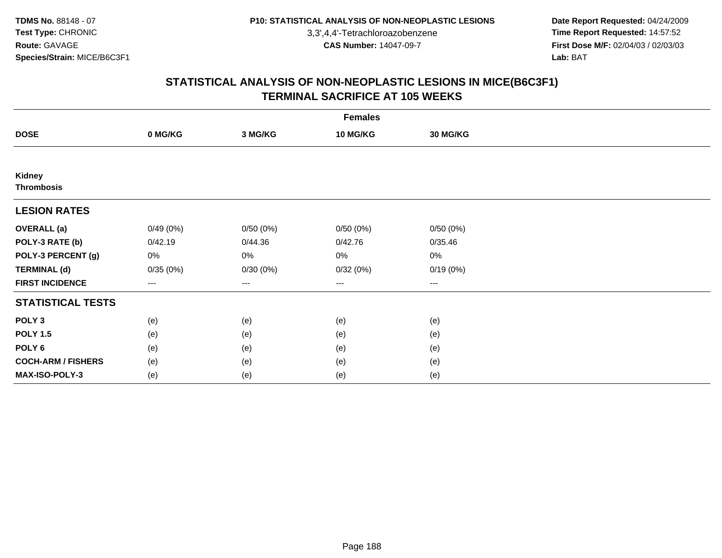3,3',4,4'-Tetrachloroazobenzene

 **Date Report Requested:** 04/24/2009 **Time Report Requested:** 14:57:52 **First Dose M/F:** 02/04/03 / 02/03/03<br>Lab: BAT **Lab:** BAT

|                             | <b>Females</b>         |          |          |          |  |  |  |  |  |
|-----------------------------|------------------------|----------|----------|----------|--|--|--|--|--|
| <b>DOSE</b>                 | 0 MG/KG                | 3 MG/KG  | 10 MG/KG | 30 MG/KG |  |  |  |  |  |
|                             |                        |          |          |          |  |  |  |  |  |
| Kidney<br><b>Thrombosis</b> |                        |          |          |          |  |  |  |  |  |
| <b>LESION RATES</b>         |                        |          |          |          |  |  |  |  |  |
| <b>OVERALL</b> (a)          | 0/49(0%)               | 0/50(0%) | 0/50(0%) | 0/50(0%) |  |  |  |  |  |
| POLY-3 RATE (b)             | 0/42.19                | 0/44.36  | 0/42.76  | 0/35.46  |  |  |  |  |  |
| POLY-3 PERCENT (g)          | 0%                     | 0%       | 0%       | 0%       |  |  |  |  |  |
| <b>TERMINAL (d)</b>         | 0/35(0%)               | 0/30(0%) | 0/32(0%) | 0/19(0%) |  |  |  |  |  |
| <b>FIRST INCIDENCE</b>      | $\qquad \qquad \cdots$ | ---      | $---$    | $\cdots$ |  |  |  |  |  |
| <b>STATISTICAL TESTS</b>    |                        |          |          |          |  |  |  |  |  |
| POLY <sub>3</sub>           | (e)                    | (e)      | (e)      | (e)      |  |  |  |  |  |
| <b>POLY 1.5</b>             | (e)                    | (e)      | (e)      | (e)      |  |  |  |  |  |
| POLY <sub>6</sub>           | (e)                    | (e)      | (e)      | (e)      |  |  |  |  |  |
| <b>COCH-ARM / FISHERS</b>   | (e)                    | (e)      | (e)      | (e)      |  |  |  |  |  |
| MAX-ISO-POLY-3              | (e)                    | (e)      | (e)      | (e)      |  |  |  |  |  |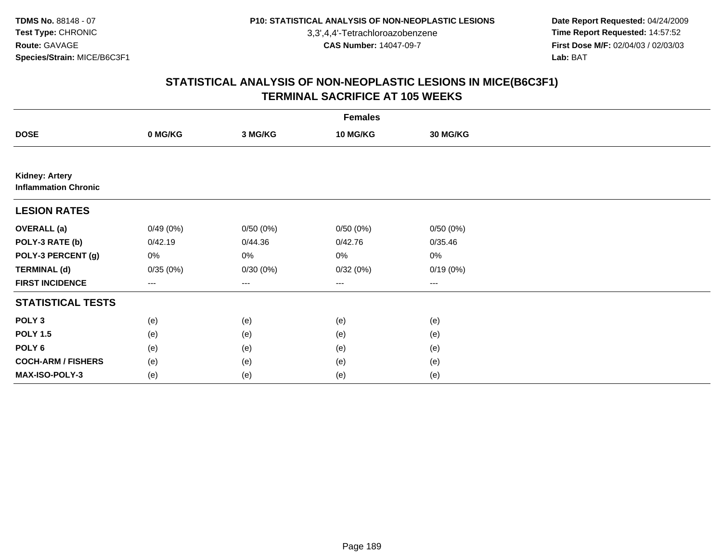3,3',4,4'-Tetrachloroazobenzene

 **Date Report Requested:** 04/24/2009 **Time Report Requested:** 14:57:52 **First Dose M/F:** 02/04/03 / 02/03/03<br>Lab: BAT **Lab:** BAT

|                                                      | <b>Females</b> |          |          |          |  |  |  |  |
|------------------------------------------------------|----------------|----------|----------|----------|--|--|--|--|
| <b>DOSE</b>                                          | 0 MG/KG        | 3 MG/KG  | 10 MG/KG | 30 MG/KG |  |  |  |  |
|                                                      |                |          |          |          |  |  |  |  |
| <b>Kidney: Artery</b><br><b>Inflammation Chronic</b> |                |          |          |          |  |  |  |  |
| <b>LESION RATES</b>                                  |                |          |          |          |  |  |  |  |
| <b>OVERALL</b> (a)                                   | 0/49(0%)       | 0/50(0%) | 0/50(0%) | 0/50(0%) |  |  |  |  |
| POLY-3 RATE (b)                                      | 0/42.19        | 0/44.36  | 0/42.76  | 0/35.46  |  |  |  |  |
| POLY-3 PERCENT (g)                                   | 0%             | 0%       | 0%       | $0\%$    |  |  |  |  |
| <b>TERMINAL (d)</b>                                  | 0/35(0%)       | 0/30(0%) | 0/32(0%) | 0/19(0%) |  |  |  |  |
| <b>FIRST INCIDENCE</b>                               | $---$          | $\cdots$ | $\cdots$ | $\cdots$ |  |  |  |  |
| <b>STATISTICAL TESTS</b>                             |                |          |          |          |  |  |  |  |
| POLY <sub>3</sub>                                    | (e)            | (e)      | (e)      | (e)      |  |  |  |  |
| <b>POLY 1.5</b>                                      | (e)            | (e)      | (e)      | (e)      |  |  |  |  |
| POLY 6                                               | (e)            | (e)      | (e)      | (e)      |  |  |  |  |
| <b>COCH-ARM / FISHERS</b>                            | (e)            | (e)      | (e)      | (e)      |  |  |  |  |
| MAX-ISO-POLY-3                                       | (e)            | (e)      | (e)      | (e)      |  |  |  |  |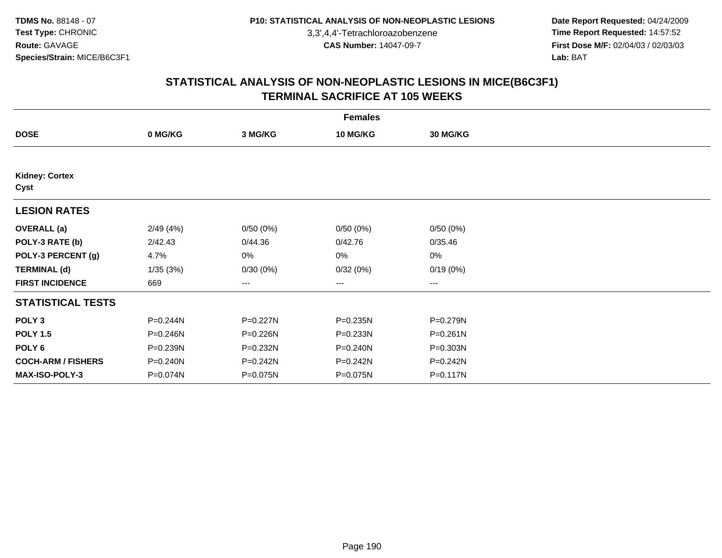3,3',4,4'-Tetrachloroazobenzene

 **Date Report Requested:** 04/24/2009 **Time Report Requested:** 14:57:52 **First Dose M/F:** 02/04/03 / 02/03/03<br>Lab: BAT **Lab:** BAT

|                               | <b>Females</b> |              |                 |                   |  |  |  |  |  |
|-------------------------------|----------------|--------------|-----------------|-------------------|--|--|--|--|--|
| <b>DOSE</b>                   | 0 MG/KG        | 3 MG/KG      | <b>10 MG/KG</b> | <b>30 MG/KG</b>   |  |  |  |  |  |
|                               |                |              |                 |                   |  |  |  |  |  |
| <b>Kidney: Cortex</b><br>Cyst |                |              |                 |                   |  |  |  |  |  |
| <b>LESION RATES</b>           |                |              |                 |                   |  |  |  |  |  |
| <b>OVERALL</b> (a)            | 2/49(4%)       | 0/50(0%)     | 0/50(0%)        | 0/50(0%)          |  |  |  |  |  |
| POLY-3 RATE (b)               | 2/42.43        | 0/44.36      | 0/42.76         | 0/35.46           |  |  |  |  |  |
| POLY-3 PERCENT (g)            | 4.7%           | $0\%$        | 0%              | $0\%$             |  |  |  |  |  |
| <b>TERMINAL (d)</b>           | 1/35(3%)       | 0/30(0%)     | 0/32(0%)        | 0/19(0%)          |  |  |  |  |  |
| <b>FIRST INCIDENCE</b>        | 669            | $---$        | ---             | $\qquad \qquad -$ |  |  |  |  |  |
| <b>STATISTICAL TESTS</b>      |                |              |                 |                   |  |  |  |  |  |
| POLY <sub>3</sub>             | P=0.244N       | P=0.227N     | P=0.235N        | P=0.279N          |  |  |  |  |  |
| <b>POLY 1.5</b>               | $P = 0.246N$   | $P = 0.226N$ | $P = 0.233N$    | $P = 0.261N$      |  |  |  |  |  |
| POLY <sub>6</sub>             | P=0.239N       | P=0.232N     | $P = 0.240N$    | P=0.303N          |  |  |  |  |  |
| <b>COCH-ARM / FISHERS</b>     | P=0.240N       | P=0.242N     | $P = 0.242N$    | P=0.242N          |  |  |  |  |  |
| <b>MAX-ISO-POLY-3</b>         | P=0.074N       | P=0.075N     | P=0.075N        | P=0.117N          |  |  |  |  |  |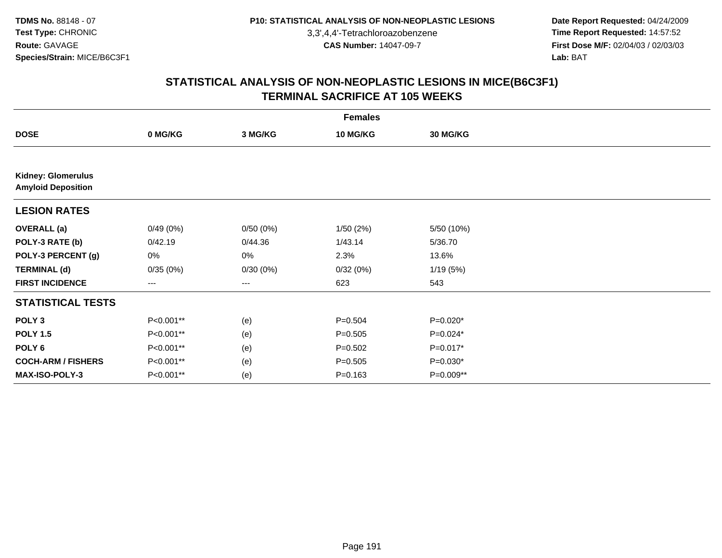3,3',4,4'-Tetrachloroazobenzene

 **Date Report Requested:** 04/24/2009 **Time Report Requested:** 14:57:52 **First Dose M/F:** 02/04/03 / 02/03/03<br>Lab: BAT **Lab:** BAT

| <b>Females</b>                                         |           |          |             |                 |  |  |  |
|--------------------------------------------------------|-----------|----------|-------------|-----------------|--|--|--|
| <b>DOSE</b>                                            | 0 MG/KG   | 3 MG/KG  | 10 MG/KG    | <b>30 MG/KG</b> |  |  |  |
|                                                        |           |          |             |                 |  |  |  |
| <b>Kidney: Glomerulus</b><br><b>Amyloid Deposition</b> |           |          |             |                 |  |  |  |
| <b>LESION RATES</b>                                    |           |          |             |                 |  |  |  |
| <b>OVERALL</b> (a)                                     | 0/49(0%)  | 0/50(0%) | 1/50(2%)    | 5/50 (10%)      |  |  |  |
| POLY-3 RATE (b)                                        | 0/42.19   | 0/44.36  | 1/43.14     | 5/36.70         |  |  |  |
| POLY-3 PERCENT (g)                                     | 0%        | 0%       | 2.3%        | 13.6%           |  |  |  |
| <b>TERMINAL (d)</b>                                    | 0/35(0%)  | 0/30(0%) | 0/32(0%)    | 1/19(5%)        |  |  |  |
| <b>FIRST INCIDENCE</b>                                 | ---       | ---      | 623         | 543             |  |  |  |
| <b>STATISTICAL TESTS</b>                               |           |          |             |                 |  |  |  |
| POLY <sub>3</sub>                                      | P<0.001** | (e)      | $P = 0.504$ | $P=0.020*$      |  |  |  |
| <b>POLY 1.5</b>                                        | P<0.001** | (e)      | $P = 0.505$ | $P=0.024*$      |  |  |  |
| POLY 6                                                 | P<0.001** | (e)      | $P=0.502$   | $P=0.017*$      |  |  |  |
| <b>COCH-ARM / FISHERS</b>                              | P<0.001** | (e)      | $P = 0.505$ | $P=0.030*$      |  |  |  |
| MAX-ISO-POLY-3                                         | P<0.001** | (e)      | $P = 0.163$ | P=0.009**       |  |  |  |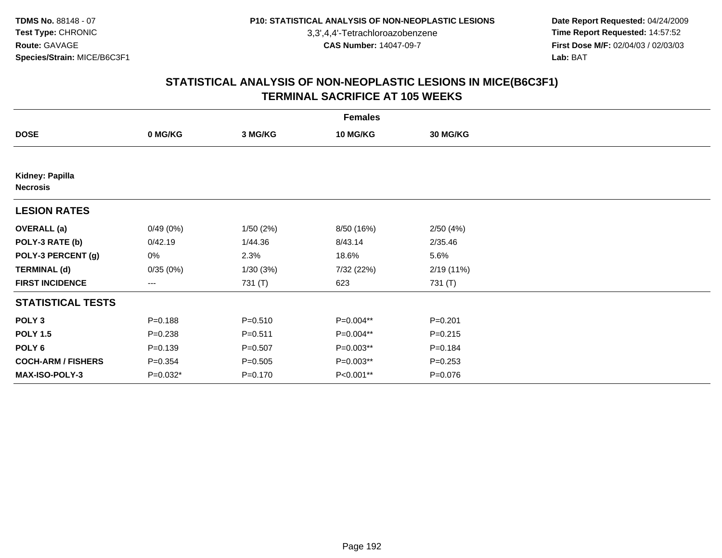3,3',4,4'-Tetrachloroazobenzene

 **Date Report Requested:** 04/24/2009 **Time Report Requested:** 14:57:52 **First Dose M/F:** 02/04/03 / 02/03/03<br>Lab: BAT **Lab:** BAT

|                                    | <b>Females</b> |             |                 |             |  |  |  |  |  |
|------------------------------------|----------------|-------------|-----------------|-------------|--|--|--|--|--|
| <b>DOSE</b>                        | 0 MG/KG        | 3 MG/KG     | <b>10 MG/KG</b> | 30 MG/KG    |  |  |  |  |  |
|                                    |                |             |                 |             |  |  |  |  |  |
| Kidney: Papilla<br><b>Necrosis</b> |                |             |                 |             |  |  |  |  |  |
| <b>LESION RATES</b>                |                |             |                 |             |  |  |  |  |  |
| <b>OVERALL</b> (a)                 | 0/49(0%)       | 1/50(2%)    | 8/50 (16%)      | 2/50(4%)    |  |  |  |  |  |
| POLY-3 RATE (b)                    | 0/42.19        | 1/44.36     | 8/43.14         | 2/35.46     |  |  |  |  |  |
| POLY-3 PERCENT (g)                 | 0%             | 2.3%        | 18.6%           | 5.6%        |  |  |  |  |  |
| <b>TERMINAL (d)</b>                | 0/35(0%)       | 1/30(3%)    | 7/32 (22%)      | 2/19(11%)   |  |  |  |  |  |
| <b>FIRST INCIDENCE</b>             | ---            | 731 (T)     | 623             | 731 (T)     |  |  |  |  |  |
| <b>STATISTICAL TESTS</b>           |                |             |                 |             |  |  |  |  |  |
| POLY <sub>3</sub>                  | $P = 0.188$    | $P = 0.510$ | P=0.004**       | $P = 0.201$ |  |  |  |  |  |
| <b>POLY 1.5</b>                    | $P = 0.238$    | $P = 0.511$ | P=0.004**       | $P = 0.215$ |  |  |  |  |  |
| POLY <sub>6</sub>                  | $P = 0.139$    | $P = 0.507$ | P=0.003**       | $P = 0.184$ |  |  |  |  |  |
| <b>COCH-ARM / FISHERS</b>          | $P = 0.354$    | $P = 0.505$ | P=0.003**       | $P = 0.253$ |  |  |  |  |  |
| MAX-ISO-POLY-3                     | P=0.032*       | $P = 0.170$ | P<0.001**       | $P = 0.076$ |  |  |  |  |  |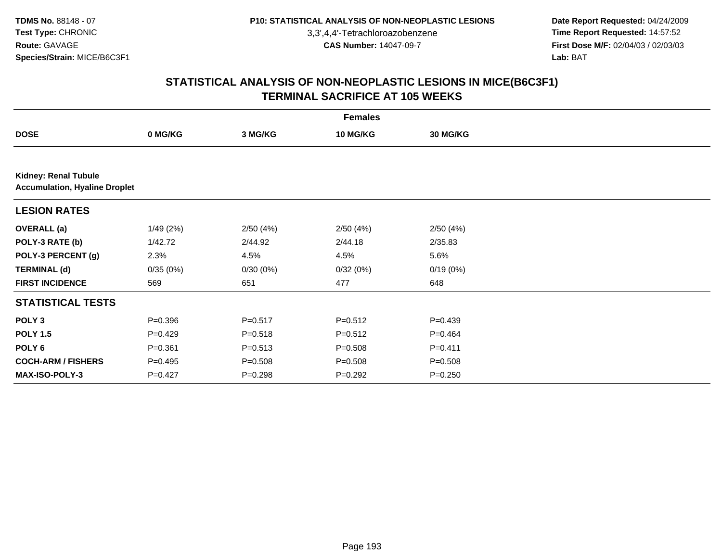3,3',4,4'-Tetrachloroazobenzene

 **Date Report Requested:** 04/24/2009 **Time Report Requested:** 14:57:52 **First Dose M/F:** 02/04/03 / 02/03/03<br>Lab: BAT **Lab:** BAT

| <b>Females</b>                                                      |             |             |             |                 |  |  |  |  |
|---------------------------------------------------------------------|-------------|-------------|-------------|-----------------|--|--|--|--|
| <b>DOSE</b>                                                         | 0 MG/KG     | 3 MG/KG     | 10 MG/KG    | <b>30 MG/KG</b> |  |  |  |  |
|                                                                     |             |             |             |                 |  |  |  |  |
| <b>Kidney: Renal Tubule</b><br><b>Accumulation, Hyaline Droplet</b> |             |             |             |                 |  |  |  |  |
| <b>LESION RATES</b>                                                 |             |             |             |                 |  |  |  |  |
| <b>OVERALL</b> (a)                                                  | 1/49(2%)    | 2/50(4%)    | 2/50(4%)    | 2/50(4%)        |  |  |  |  |
| POLY-3 RATE (b)                                                     | 1/42.72     | 2/44.92     | 2/44.18     | 2/35.83         |  |  |  |  |
| POLY-3 PERCENT (g)                                                  | 2.3%        | 4.5%        | 4.5%        | 5.6%            |  |  |  |  |
| <b>TERMINAL (d)</b>                                                 | 0/35(0%)    | 0/30(0%)    | 0/32(0%)    | 0/19(0%)        |  |  |  |  |
| <b>FIRST INCIDENCE</b>                                              | 569         | 651         | 477         | 648             |  |  |  |  |
| <b>STATISTICAL TESTS</b>                                            |             |             |             |                 |  |  |  |  |
| POLY <sub>3</sub>                                                   | $P = 0.396$ | $P = 0.517$ | $P = 0.512$ | $P=0.439$       |  |  |  |  |
| <b>POLY 1.5</b>                                                     | $P=0.429$   | $P = 0.518$ | $P = 0.512$ | $P = 0.464$     |  |  |  |  |
| POLY 6                                                              | $P = 0.361$ | $P = 0.513$ | $P = 0.508$ | $P = 0.411$     |  |  |  |  |
| <b>COCH-ARM / FISHERS</b>                                           | $P=0.495$   | $P = 0.508$ | $P = 0.508$ | $P = 0.508$     |  |  |  |  |
| MAX-ISO-POLY-3                                                      | $P=0.427$   | $P = 0.298$ | $P = 0.292$ | $P = 0.250$     |  |  |  |  |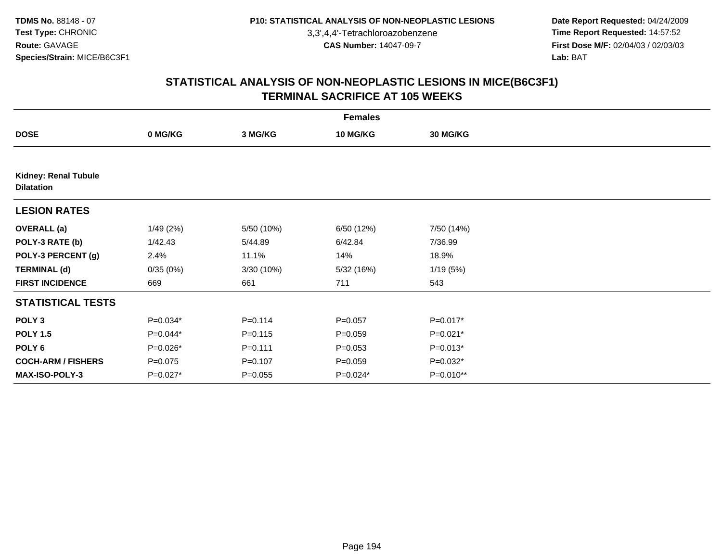3,3',4,4'-Tetrachloroazobenzene

 **Date Report Requested:** 04/24/2009 **Time Report Requested:** 14:57:52 **First Dose M/F:** 02/04/03 / 02/03/03<br>Lab: BAT **Lab:** BAT

|                                                  | <b>Females</b> |             |                 |             |  |  |  |  |  |
|--------------------------------------------------|----------------|-------------|-----------------|-------------|--|--|--|--|--|
| <b>DOSE</b>                                      | 0 MG/KG        | 3 MG/KG     | <b>10 MG/KG</b> | 30 MG/KG    |  |  |  |  |  |
|                                                  |                |             |                 |             |  |  |  |  |  |
| <b>Kidney: Renal Tubule</b><br><b>Dilatation</b> |                |             |                 |             |  |  |  |  |  |
| <b>LESION RATES</b>                              |                |             |                 |             |  |  |  |  |  |
| <b>OVERALL</b> (a)                               | 1/49(2%)       | 5/50 (10%)  | 6/50 (12%)      | 7/50 (14%)  |  |  |  |  |  |
| POLY-3 RATE (b)                                  | 1/42.43        | 5/44.89     | 6/42.84         | 7/36.99     |  |  |  |  |  |
| POLY-3 PERCENT (g)                               | 2.4%           | 11.1%       | 14%             | 18.9%       |  |  |  |  |  |
| <b>TERMINAL (d)</b>                              | 0/35(0%)       | 3/30 (10%)  | 5/32 (16%)      | 1/19(5%)    |  |  |  |  |  |
| <b>FIRST INCIDENCE</b>                           | 669            | 661         | 711             | 543         |  |  |  |  |  |
| <b>STATISTICAL TESTS</b>                         |                |             |                 |             |  |  |  |  |  |
| POLY <sub>3</sub>                                | P=0.034*       | $P = 0.114$ | $P = 0.057$     | $P=0.017*$  |  |  |  |  |  |
| <b>POLY 1.5</b>                                  | P=0.044*       | $P=0.115$   | $P = 0.059$     | $P=0.021*$  |  |  |  |  |  |
| POLY 6                                           | P=0.026*       | $P = 0.111$ | $P = 0.053$     | $P=0.013*$  |  |  |  |  |  |
| <b>COCH-ARM / FISHERS</b>                        | $P=0.075$      | $P = 0.107$ | $P = 0.059$     | $P=0.032*$  |  |  |  |  |  |
| <b>MAX-ISO-POLY-3</b>                            | $P=0.027*$     | $P = 0.055$ | $P=0.024*$      | $P=0.010**$ |  |  |  |  |  |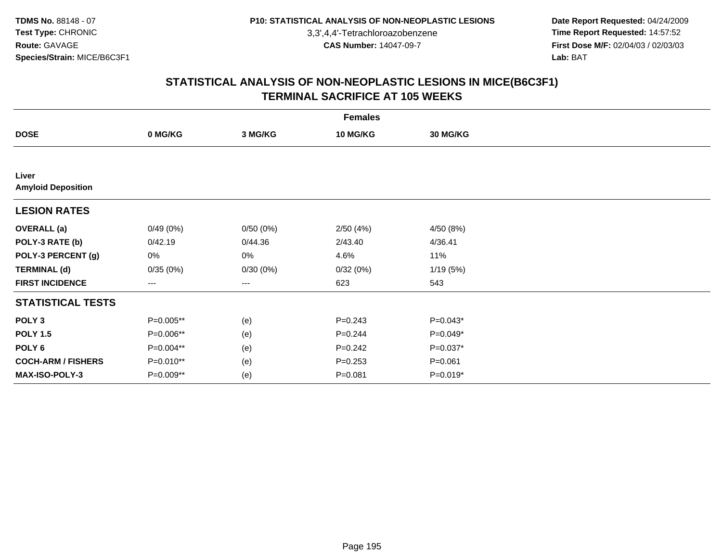3,3',4,4'-Tetrachloroazobenzene

 **Date Report Requested:** 04/24/2009 **Time Report Requested:** 14:57:52 **First Dose M/F:** 02/04/03 / 02/03/03<br>Lab: BAT **Lab:** BAT

|                                    | <b>Females</b>         |          |                 |             |  |  |  |  |
|------------------------------------|------------------------|----------|-----------------|-------------|--|--|--|--|
| <b>DOSE</b>                        | 0 MG/KG                | 3 MG/KG  | <b>10 MG/KG</b> | 30 MG/KG    |  |  |  |  |
|                                    |                        |          |                 |             |  |  |  |  |
| Liver<br><b>Amyloid Deposition</b> |                        |          |                 |             |  |  |  |  |
|                                    |                        |          |                 |             |  |  |  |  |
| <b>LESION RATES</b>                |                        |          |                 |             |  |  |  |  |
| <b>OVERALL</b> (a)                 | 0/49(0%)               | 0/50(0%) | 2/50(4%)        | 4/50(8%)    |  |  |  |  |
| POLY-3 RATE (b)                    | 0/42.19                | 0/44.36  | 2/43.40         | 4/36.41     |  |  |  |  |
| POLY-3 PERCENT (g)                 | 0%                     | 0%       | 4.6%            | 11%         |  |  |  |  |
| <b>TERMINAL (d)</b>                | 0/35(0%)               | 0/30(0%) | 0/32(0%)        | 1/19(5%)    |  |  |  |  |
| <b>FIRST INCIDENCE</b>             | $\qquad \qquad \cdots$ | $--$     | 623             | 543         |  |  |  |  |
| <b>STATISTICAL TESTS</b>           |                        |          |                 |             |  |  |  |  |
| POLY <sub>3</sub>                  | P=0.005**              | (e)      | $P = 0.243$     | $P=0.043*$  |  |  |  |  |
| <b>POLY 1.5</b>                    | P=0.006**              | (e)      | $P = 0.244$     | $P=0.049*$  |  |  |  |  |
| POLY <sub>6</sub>                  | P=0.004**              | (e)      | $P = 0.242$     | $P=0.037*$  |  |  |  |  |
| <b>COCH-ARM / FISHERS</b>          | P=0.010**              | (e)      | $P = 0.253$     | $P = 0.061$ |  |  |  |  |
| MAX-ISO-POLY-3                     | P=0.009**              | (e)      | $P = 0.081$     | $P=0.019*$  |  |  |  |  |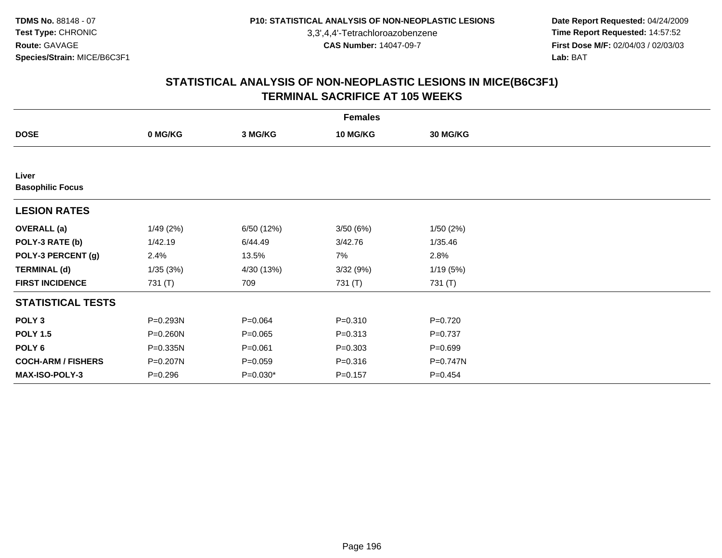3,3',4,4'-Tetrachloroazobenzene

 **Date Report Requested:** 04/24/2009 **Time Report Requested:** 14:57:52 **First Dose M/F:** 02/04/03 / 02/03/03<br>Lab: BAT **Lab:** BAT

|                           | <b>Females</b> |             |                 |                 |  |  |  |  |
|---------------------------|----------------|-------------|-----------------|-----------------|--|--|--|--|
| <b>DOSE</b>               | 0 MG/KG        | 3 MG/KG     | <b>10 MG/KG</b> | <b>30 MG/KG</b> |  |  |  |  |
|                           |                |             |                 |                 |  |  |  |  |
| Liver                     |                |             |                 |                 |  |  |  |  |
| <b>Basophilic Focus</b>   |                |             |                 |                 |  |  |  |  |
| <b>LESION RATES</b>       |                |             |                 |                 |  |  |  |  |
| <b>OVERALL</b> (a)        | 1/49(2%)       | 6/50(12%)   | 3/50(6%)        | 1/50(2%)        |  |  |  |  |
| POLY-3 RATE (b)           | 1/42.19        | 6/44.49     | 3/42.76         | 1/35.46         |  |  |  |  |
| POLY-3 PERCENT (g)        | 2.4%           | 13.5%       | 7%              | 2.8%            |  |  |  |  |
| <b>TERMINAL (d)</b>       | 1/35(3%)       | 4/30 (13%)  | 3/32 (9%)       | 1/19(5%)        |  |  |  |  |
| <b>FIRST INCIDENCE</b>    | 731 (T)        | 709         | 731 (T)         | 731 (T)         |  |  |  |  |
| <b>STATISTICAL TESTS</b>  |                |             |                 |                 |  |  |  |  |
| POLY <sub>3</sub>         | P=0.293N       | $P = 0.064$ | $P = 0.310$     | $P=0.720$       |  |  |  |  |
| <b>POLY 1.5</b>           | $P = 0.260N$   | $P=0.065$   | $P = 0.313$     | $P = 0.737$     |  |  |  |  |
| POLY <sub>6</sub>         | P=0.335N       | $P = 0.061$ | $P = 0.303$     | $P = 0.699$     |  |  |  |  |
| <b>COCH-ARM / FISHERS</b> | P=0.207N       | $P = 0.059$ | $P = 0.316$     | $P = 0.747N$    |  |  |  |  |
| <b>MAX-ISO-POLY-3</b>     | $P = 0.296$    | $P=0.030*$  | $P = 0.157$     | $P = 0.454$     |  |  |  |  |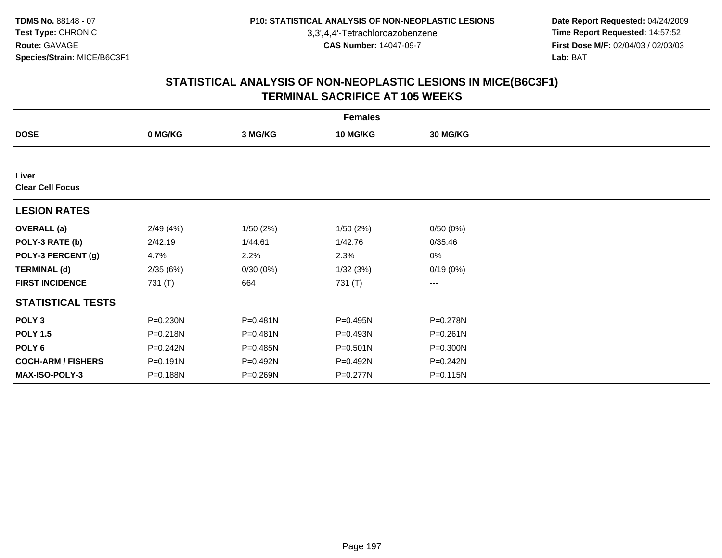3,3',4,4'-Tetrachloroazobenzene

 **Date Report Requested:** 04/24/2009 **Time Report Requested:** 14:57:52 **First Dose M/F:** 02/04/03 / 02/03/03<br>Lab: BAT **Lab:** BAT

|                                  | <b>Females</b> |              |                 |                 |  |  |  |  |
|----------------------------------|----------------|--------------|-----------------|-----------------|--|--|--|--|
| <b>DOSE</b>                      | 0 MG/KG        | 3 MG/KG      | <b>10 MG/KG</b> | <b>30 MG/KG</b> |  |  |  |  |
|                                  |                |              |                 |                 |  |  |  |  |
| Liver<br><b>Clear Cell Focus</b> |                |              |                 |                 |  |  |  |  |
|                                  |                |              |                 |                 |  |  |  |  |
| <b>LESION RATES</b>              |                |              |                 |                 |  |  |  |  |
| <b>OVERALL</b> (a)               | 2/49(4%)       | 1/50(2%)     | 1/50(2%)        | 0/50(0%)        |  |  |  |  |
| POLY-3 RATE (b)                  | 2/42.19        | 1/44.61      | 1/42.76         | 0/35.46         |  |  |  |  |
| POLY-3 PERCENT (g)               | 4.7%           | 2.2%         | 2.3%            | 0%              |  |  |  |  |
| <b>TERMINAL (d)</b>              | 2/35(6%)       | 0/30(0%)     | 1/32(3%)        | 0/19(0%)        |  |  |  |  |
| <b>FIRST INCIDENCE</b>           | 731 (T)        | 664          | 731 (T)         | $---$           |  |  |  |  |
| <b>STATISTICAL TESTS</b>         |                |              |                 |                 |  |  |  |  |
| POLY <sub>3</sub>                | $P = 0.230N$   | P=0.481N     | P=0.495N        | P=0.278N        |  |  |  |  |
| <b>POLY 1.5</b>                  | $P = 0.218N$   | $P = 0.481N$ | P=0.493N        | $P = 0.261N$    |  |  |  |  |
| POLY <sub>6</sub>                | P=0.242N       | P=0.485N     | P=0.501N        | $P = 0.300N$    |  |  |  |  |
| <b>COCH-ARM / FISHERS</b>        | $P = 0.191N$   | P=0.492N     | P=0.492N        | $P = 0.242N$    |  |  |  |  |
| <b>MAX-ISO-POLY-3</b>            | P=0.188N       | P=0.269N     | P=0.277N        | $P = 0.115N$    |  |  |  |  |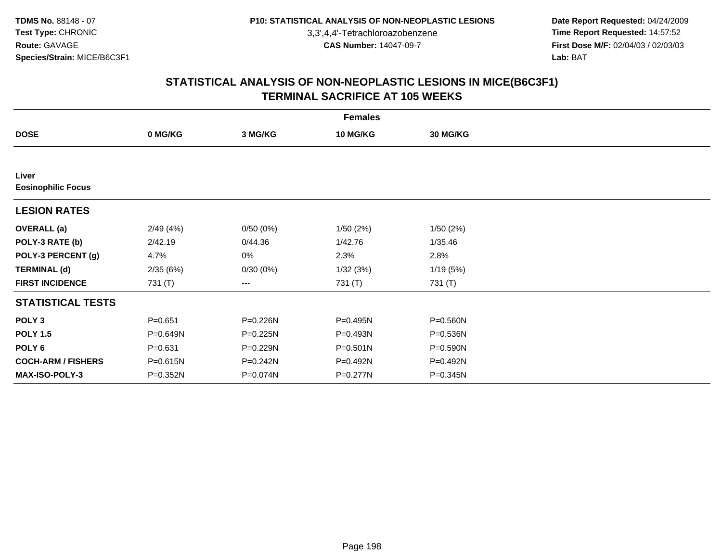3,3',4,4'-Tetrachloroazobenzene

 **Date Report Requested:** 04/24/2009 **Time Report Requested:** 14:57:52 **First Dose M/F:** 02/04/03 / 02/03/03<br>Lab: BAT **Lab:** BAT

|                           | <b>Females</b> |          |              |                 |  |  |  |  |
|---------------------------|----------------|----------|--------------|-----------------|--|--|--|--|
| <b>DOSE</b>               | 0 MG/KG        | 3 MG/KG  | 10 MG/KG     | <b>30 MG/KG</b> |  |  |  |  |
|                           |                |          |              |                 |  |  |  |  |
| Liver                     |                |          |              |                 |  |  |  |  |
| <b>Eosinophilic Focus</b> |                |          |              |                 |  |  |  |  |
| <b>LESION RATES</b>       |                |          |              |                 |  |  |  |  |
| <b>OVERALL</b> (a)        | 2/49(4%)       | 0/50(0%) | 1/50(2%)     | 1/50(2%)        |  |  |  |  |
| POLY-3 RATE (b)           | 2/42.19        | 0/44.36  | 1/42.76      | 1/35.46         |  |  |  |  |
| POLY-3 PERCENT (g)        | 4.7%           | 0%       | 2.3%         | 2.8%            |  |  |  |  |
| <b>TERMINAL (d)</b>       | 2/35(6%)       | 0/30(0%) | 1/32(3%)     | 1/19(5%)        |  |  |  |  |
| <b>FIRST INCIDENCE</b>    | 731 (T)        | ---      | 731 (T)      | 731 (T)         |  |  |  |  |
| <b>STATISTICAL TESTS</b>  |                |          |              |                 |  |  |  |  |
| POLY <sub>3</sub>         | $P = 0.651$    | P=0.226N | P=0.495N     | P=0.560N        |  |  |  |  |
| <b>POLY 1.5</b>           | P=0.649N       | P=0.225N | P=0.493N     | P=0.536N        |  |  |  |  |
| POLY <sub>6</sub>         | $P = 0.631$    | P=0.229N | $P = 0.501N$ | P=0.590N        |  |  |  |  |
| <b>COCH-ARM / FISHERS</b> | P=0.615N       | P=0.242N | P=0.492N     | P=0.492N        |  |  |  |  |
| <b>MAX-ISO-POLY-3</b>     | P=0.352N       | P=0.074N | P=0.277N     | $P = 0.345N$    |  |  |  |  |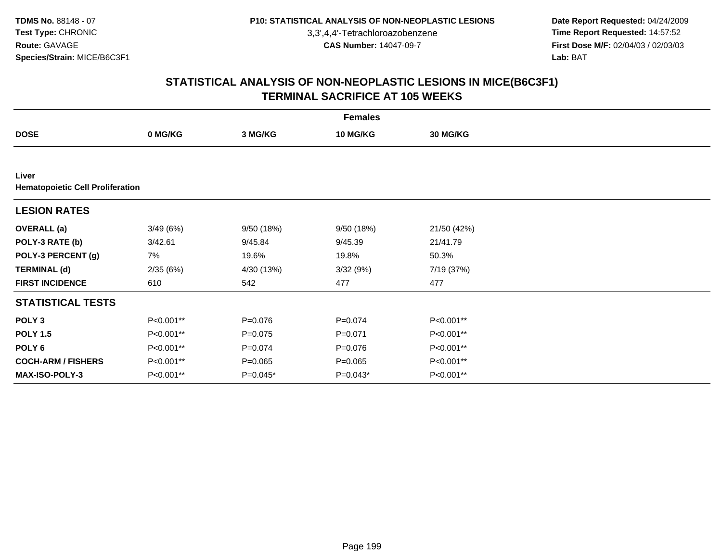3,3',4,4'-Tetrachloroazobenzene

 **Date Report Requested:** 04/24/2009 **Time Report Requested:** 14:57:52 **First Dose M/F:** 02/04/03 / 02/03/03<br>Lab: BAT **Lab:** BAT

|                                                  | <b>Females</b> |             |             |                 |  |  |  |  |
|--------------------------------------------------|----------------|-------------|-------------|-----------------|--|--|--|--|
| <b>DOSE</b>                                      | 0 MG/KG        | 3 MG/KG     | 10 MG/KG    | <b>30 MG/KG</b> |  |  |  |  |
|                                                  |                |             |             |                 |  |  |  |  |
| Liver<br><b>Hematopoietic Cell Proliferation</b> |                |             |             |                 |  |  |  |  |
| <b>LESION RATES</b>                              |                |             |             |                 |  |  |  |  |
| <b>OVERALL</b> (a)                               | 3/49(6%)       | 9/50 (18%)  | 9/50 (18%)  | 21/50 (42%)     |  |  |  |  |
| POLY-3 RATE (b)                                  | 3/42.61        | 9/45.84     | 9/45.39     | 21/41.79        |  |  |  |  |
| POLY-3 PERCENT (g)                               | 7%             | 19.6%       | 19.8%       | 50.3%           |  |  |  |  |
| <b>TERMINAL (d)</b>                              | 2/35(6%)       | 4/30 (13%)  | 3/32(9%)    | 7/19 (37%)      |  |  |  |  |
| <b>FIRST INCIDENCE</b>                           | 610            | 542         | 477         | 477             |  |  |  |  |
| <b>STATISTICAL TESTS</b>                         |                |             |             |                 |  |  |  |  |
| POLY <sub>3</sub>                                | P<0.001**      | $P = 0.076$ | $P = 0.074$ | P<0.001**       |  |  |  |  |
| <b>POLY 1.5</b>                                  | P<0.001**      | $P = 0.075$ | $P = 0.071$ | P<0.001**       |  |  |  |  |
| POLY 6                                           | P<0.001**      | $P = 0.074$ | $P=0.076$   | P<0.001**       |  |  |  |  |
| <b>COCH-ARM / FISHERS</b>                        | P<0.001**      | $P = 0.065$ | $P=0.065$   | P<0.001**       |  |  |  |  |
| <b>MAX-ISO-POLY-3</b>                            | P<0.001**      | $P=0.045*$  | $P=0.043*$  | P<0.001**       |  |  |  |  |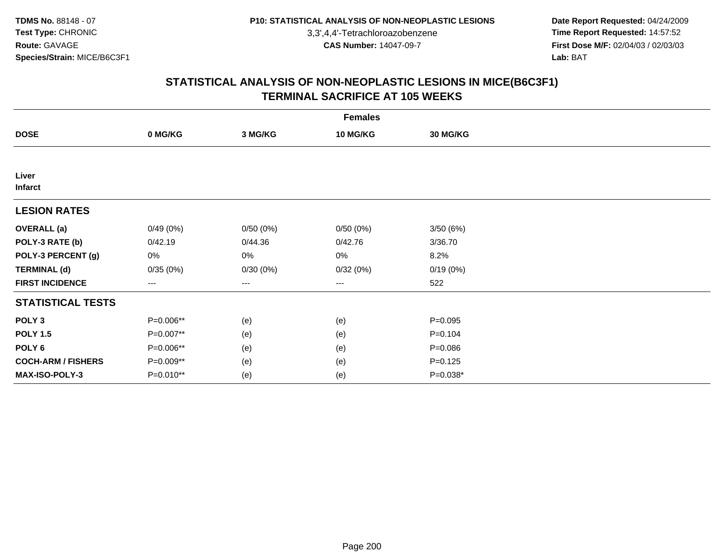3,3',4,4'-Tetrachloroazobenzene

 **Date Report Requested:** 04/24/2009 **Time Report Requested:** 14:57:52 **First Dose M/F:** 02/04/03 / 02/03/03<br>Lab: BAT **Lab:** BAT

|                           | <b>Females</b>    |          |                 |             |  |  |  |  |
|---------------------------|-------------------|----------|-----------------|-------------|--|--|--|--|
| <b>DOSE</b>               | 0 MG/KG           | 3 MG/KG  | <b>10 MG/KG</b> | 30 MG/KG    |  |  |  |  |
|                           |                   |          |                 |             |  |  |  |  |
| Liver<br>Infarct          |                   |          |                 |             |  |  |  |  |
| <b>LESION RATES</b>       |                   |          |                 |             |  |  |  |  |
| <b>OVERALL</b> (a)        | 0/49(0%)          | 0/50(0%) | 0/50(0%)        | 3/50(6%)    |  |  |  |  |
| POLY-3 RATE (b)           | 0/42.19           | 0/44.36  | 0/42.76         | 3/36.70     |  |  |  |  |
| POLY-3 PERCENT (g)        | 0%                | $0\%$    | 0%              | 8.2%        |  |  |  |  |
| <b>TERMINAL (d)</b>       | 0/35(0%)          | 0/30(0%) | 0/32(0%)        | 0/19(0%)    |  |  |  |  |
| <b>FIRST INCIDENCE</b>    | $\qquad \qquad -$ | ---      | ---             | 522         |  |  |  |  |
| <b>STATISTICAL TESTS</b>  |                   |          |                 |             |  |  |  |  |
| POLY <sub>3</sub>         | P=0.006**         | (e)      | (e)             | $P=0.095$   |  |  |  |  |
| <b>POLY 1.5</b>           | P=0.007**         | (e)      | (e)             | $P = 0.104$ |  |  |  |  |
| POLY <sub>6</sub>         | P=0.006**         | (e)      | (e)             | $P = 0.086$ |  |  |  |  |
| <b>COCH-ARM / FISHERS</b> | P=0.009**         | (e)      | (e)             | $P = 0.125$ |  |  |  |  |
| MAX-ISO-POLY-3            | P=0.010**         | (e)      | (e)             | P=0.038*    |  |  |  |  |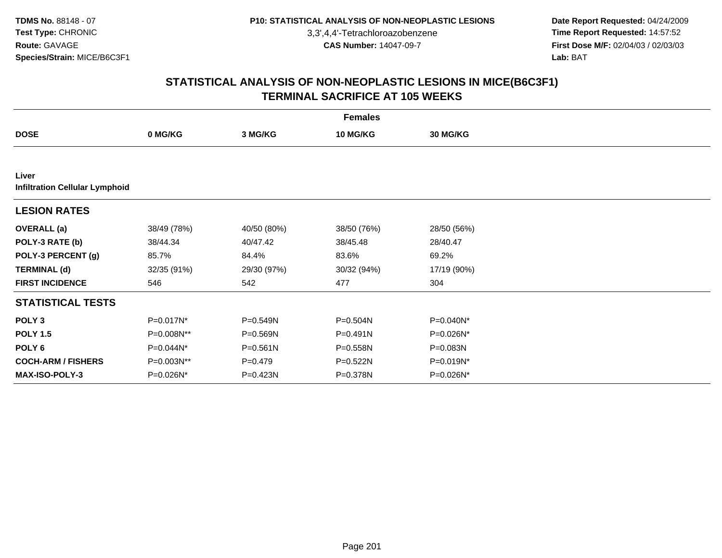3,3',4,4'-Tetrachloroazobenzene

 **Date Report Requested:** 04/24/2009 **Time Report Requested:** 14:57:52 **First Dose M/F:** 02/04/03 / 02/03/03<br>Lab: BAT **Lab:** BAT

|                                                | <b>Females</b> |              |              |                 |  |  |  |  |
|------------------------------------------------|----------------|--------------|--------------|-----------------|--|--|--|--|
| <b>DOSE</b>                                    | 0 MG/KG        | 3 MG/KG      | 10 MG/KG     | <b>30 MG/KG</b> |  |  |  |  |
|                                                |                |              |              |                 |  |  |  |  |
| Liver<br><b>Infiltration Cellular Lymphoid</b> |                |              |              |                 |  |  |  |  |
| <b>LESION RATES</b>                            |                |              |              |                 |  |  |  |  |
| <b>OVERALL</b> (a)                             | 38/49 (78%)    | 40/50 (80%)  | 38/50 (76%)  | 28/50 (56%)     |  |  |  |  |
| POLY-3 RATE (b)                                | 38/44.34       | 40/47.42     | 38/45.48     | 28/40.47        |  |  |  |  |
| POLY-3 PERCENT (g)                             | 85.7%          | 84.4%        | 83.6%        | 69.2%           |  |  |  |  |
| <b>TERMINAL (d)</b>                            | 32/35 (91%)    | 29/30 (97%)  | 30/32 (94%)  | 17/19 (90%)     |  |  |  |  |
| <b>FIRST INCIDENCE</b>                         | 546            | 542          | 477          | 304             |  |  |  |  |
| <b>STATISTICAL TESTS</b>                       |                |              |              |                 |  |  |  |  |
| POLY <sub>3</sub>                              | P=0.017N*      | P=0.549N     | $P = 0.504N$ | P=0.040N*       |  |  |  |  |
| <b>POLY 1.5</b>                                | P=0.008N**     | $P = 0.569N$ | $P = 0.491N$ | $P=0.026N^*$    |  |  |  |  |
| POLY <sub>6</sub>                              | P=0.044N*      | P=0.561N     | P=0.558N     | P=0.083N        |  |  |  |  |
| <b>COCH-ARM / FISHERS</b>                      | P=0.003N**     | $P=0.479$    | P=0.522N     | P=0.019N*       |  |  |  |  |
| <b>MAX-ISO-POLY-3</b>                          | P=0.026N*      | P=0.423N     | P=0.378N     | P=0.026N*       |  |  |  |  |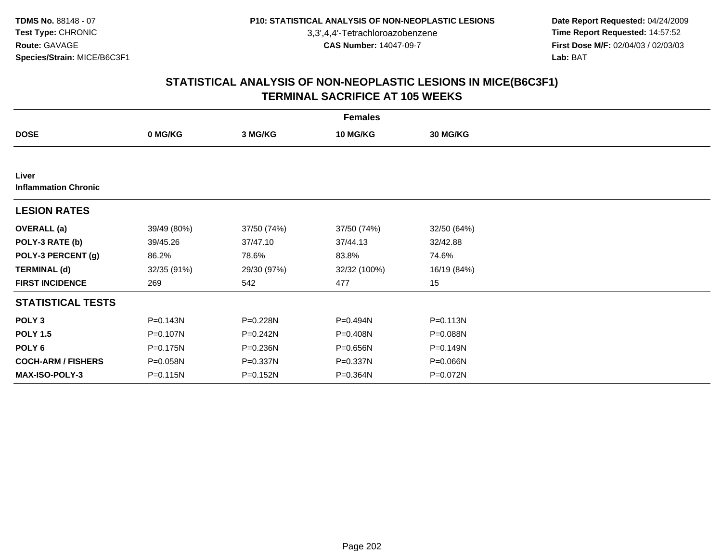3,3',4,4'-Tetrachloroazobenzene

 **Date Report Requested:** 04/24/2009 **Time Report Requested:** 14:57:52 **First Dose M/F:** 02/04/03 / 02/03/03<br>Lab: BAT **Lab:** BAT

| <b>Females</b>                       |              |             |                 |                 |  |  |  |
|--------------------------------------|--------------|-------------|-----------------|-----------------|--|--|--|
| <b>DOSE</b>                          | 0 MG/KG      | 3 MG/KG     | <b>10 MG/KG</b> | <b>30 MG/KG</b> |  |  |  |
|                                      |              |             |                 |                 |  |  |  |
| Liver<br><b>Inflammation Chronic</b> |              |             |                 |                 |  |  |  |
| <b>LESION RATES</b>                  |              |             |                 |                 |  |  |  |
| <b>OVERALL</b> (a)                   | 39/49 (80%)  | 37/50 (74%) | 37/50 (74%)     | 32/50 (64%)     |  |  |  |
| POLY-3 RATE (b)                      | 39/45.26     | 37/47.10    | 37/44.13        | 32/42.88        |  |  |  |
| POLY-3 PERCENT (g)                   | 86.2%        | 78.6%       | 83.8%           | 74.6%           |  |  |  |
| <b>TERMINAL (d)</b>                  | 32/35 (91%)  | 29/30 (97%) | 32/32 (100%)    | 16/19 (84%)     |  |  |  |
| <b>FIRST INCIDENCE</b>               | 269          | 542         | 477             | 15              |  |  |  |
| <b>STATISTICAL TESTS</b>             |              |             |                 |                 |  |  |  |
| POLY <sub>3</sub>                    | $P = 0.143N$ | P=0.228N    | P=0.494N        | $P = 0.113N$    |  |  |  |
| <b>POLY 1.5</b>                      | P=0.107N     | P=0.242N    | P=0.408N        | P=0.088N        |  |  |  |
| POLY <sub>6</sub>                    | P=0.175N     | P=0.236N    | P=0.656N        | P=0.149N        |  |  |  |
| <b>COCH-ARM / FISHERS</b>            | P=0.058N     | P=0.337N    | P=0.337N        | P=0.066N        |  |  |  |
| <b>MAX-ISO-POLY-3</b>                | $P = 0.115N$ | P=0.152N    | P=0.364N        | P=0.072N        |  |  |  |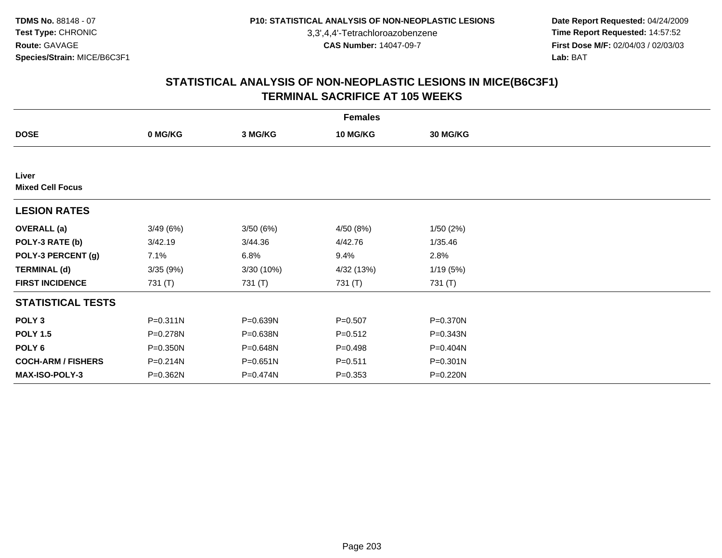3,3',4,4'-Tetrachloroazobenzene

 **Date Report Requested:** 04/24/2009 **Time Report Requested:** 14:57:52 **First Dose M/F:** 02/04/03 / 02/03/03<br>Lab: BAT **Lab:** BAT

|                                  | <b>Females</b> |            |                 |                 |  |  |  |  |
|----------------------------------|----------------|------------|-----------------|-----------------|--|--|--|--|
| <b>DOSE</b>                      | 0 MG/KG        | 3 MG/KG    | <b>10 MG/KG</b> | <b>30 MG/KG</b> |  |  |  |  |
|                                  |                |            |                 |                 |  |  |  |  |
| Liver<br><b>Mixed Cell Focus</b> |                |            |                 |                 |  |  |  |  |
| <b>LESION RATES</b>              |                |            |                 |                 |  |  |  |  |
| <b>OVERALL</b> (a)               | 3/49(6%)       | 3/50 (6%)  | 4/50 (8%)       | 1/50(2%)        |  |  |  |  |
| POLY-3 RATE (b)                  | 3/42.19        | 3/44.36    | 4/42.76         | 1/35.46         |  |  |  |  |
| POLY-3 PERCENT (g)               | 7.1%           | 6.8%       | 9.4%            | 2.8%            |  |  |  |  |
| <b>TERMINAL (d)</b>              | 3/35(9%)       | 3/30 (10%) | 4/32 (13%)      | 1/19(5%)        |  |  |  |  |
| <b>FIRST INCIDENCE</b>           | 731 (T)        | 731 (T)    | 731 (T)         | 731 (T)         |  |  |  |  |
| <b>STATISTICAL TESTS</b>         |                |            |                 |                 |  |  |  |  |
| POLY <sub>3</sub>                | P=0.311N       | P=0.639N   | $P = 0.507$     | $P = 0.370N$    |  |  |  |  |
| <b>POLY 1.5</b>                  | P=0.278N       | P=0.638N   | $P = 0.512$     | P=0.343N        |  |  |  |  |
| POLY <sub>6</sub>                | P=0.350N       | P=0.648N   | $P = 0.498$     | P=0.404N        |  |  |  |  |
| <b>COCH-ARM / FISHERS</b>        | $P = 0.214N$   | P=0.651N   | $P = 0.511$     | $P = 0.301N$    |  |  |  |  |
| MAX-ISO-POLY-3                   | P=0.362N       | P=0.474N   | $P = 0.353$     | P=0.220N        |  |  |  |  |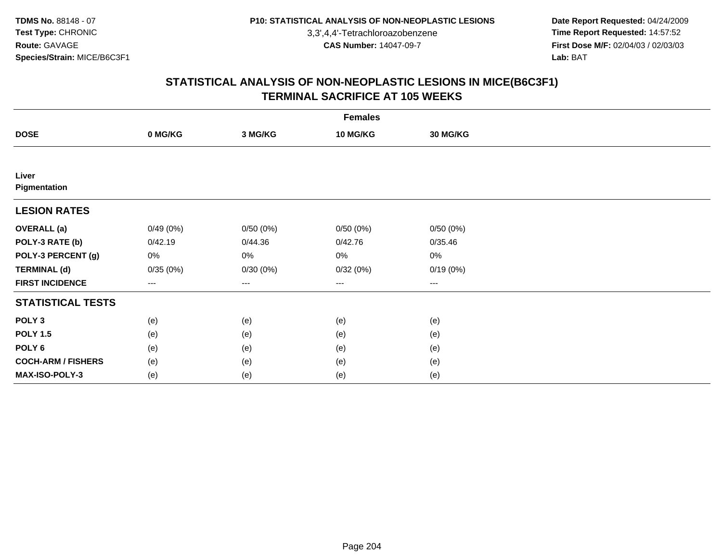3,3',4,4'-Tetrachloroazobenzene

 **Date Report Requested:** 04/24/2009 **Time Report Requested:** 14:57:52 **First Dose M/F:** 02/04/03 / 02/03/03<br>Lab: BAT **Lab:** BAT

|                           | <b>Females</b>         |          |          |          |  |  |  |  |  |
|---------------------------|------------------------|----------|----------|----------|--|--|--|--|--|
| <b>DOSE</b>               | 0 MG/KG                | 3 MG/KG  | 10 MG/KG | 30 MG/KG |  |  |  |  |  |
|                           |                        |          |          |          |  |  |  |  |  |
| Liver<br>Pigmentation     |                        |          |          |          |  |  |  |  |  |
| <b>LESION RATES</b>       |                        |          |          |          |  |  |  |  |  |
| <b>OVERALL</b> (a)        | 0/49(0%)               | 0/50(0%) | 0/50(0%) | 0/50(0%) |  |  |  |  |  |
| POLY-3 RATE (b)           | 0/42.19                | 0/44.36  | 0/42.76  | 0/35.46  |  |  |  |  |  |
| POLY-3 PERCENT (g)        | 0%                     | 0%       | 0%       | 0%       |  |  |  |  |  |
| <b>TERMINAL (d)</b>       | 0/35(0%)               | 0/30(0%) | 0/32(0%) | 0/19(0%) |  |  |  |  |  |
| <b>FIRST INCIDENCE</b>    | $\qquad \qquad \cdots$ | ---      | $---$    | $\cdots$ |  |  |  |  |  |
| <b>STATISTICAL TESTS</b>  |                        |          |          |          |  |  |  |  |  |
| POLY <sub>3</sub>         | (e)                    | (e)      | (e)      | (e)      |  |  |  |  |  |
| <b>POLY 1.5</b>           | (e)                    | (e)      | (e)      | (e)      |  |  |  |  |  |
| POLY <sub>6</sub>         | (e)                    | (e)      | (e)      | (e)      |  |  |  |  |  |
| <b>COCH-ARM / FISHERS</b> | (e)                    | (e)      | (e)      | (e)      |  |  |  |  |  |
| MAX-ISO-POLY-3            | (e)                    | (e)      | (e)      | (e)      |  |  |  |  |  |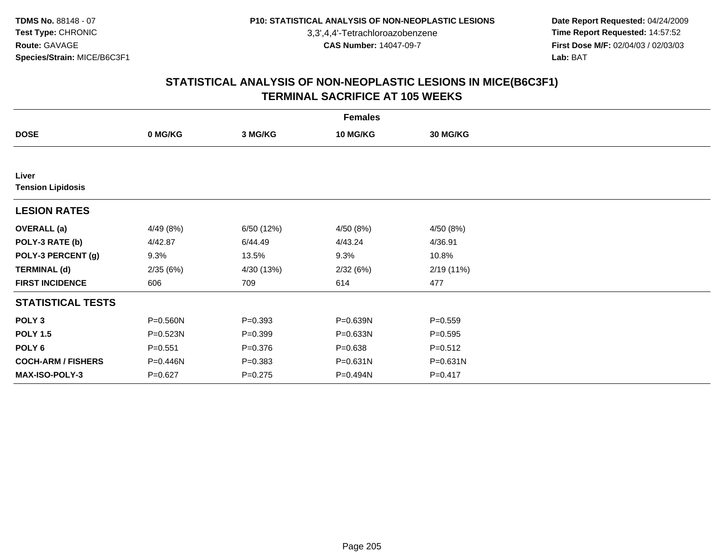3,3',4,4'-Tetrachloroazobenzene

 **Date Report Requested:** 04/24/2009 **Time Report Requested:** 14:57:52 **First Dose M/F:** 02/04/03 / 02/03/03<br>Lab: BAT **Lab:** BAT

|                           |             |             | <b>Females</b> |                 |  |
|---------------------------|-------------|-------------|----------------|-----------------|--|
| <b>DOSE</b>               | 0 MG/KG     | 3 MG/KG     | 10 MG/KG       | <b>30 MG/KG</b> |  |
|                           |             |             |                |                 |  |
| Liver                     |             |             |                |                 |  |
| <b>Tension Lipidosis</b>  |             |             |                |                 |  |
| <b>LESION RATES</b>       |             |             |                |                 |  |
| <b>OVERALL</b> (a)        | 4/49 (8%)   | 6/50 (12%)  | 4/50 (8%)      | 4/50 (8%)       |  |
| POLY-3 RATE (b)           | 4/42.87     | 6/44.49     | 4/43.24        | 4/36.91         |  |
| POLY-3 PERCENT (g)        | 9.3%        | 13.5%       | 9.3%           | 10.8%           |  |
| <b>TERMINAL (d)</b>       | 2/35(6%)    | 4/30 (13%)  | 2/32(6%)       | 2/19(11%)       |  |
| <b>FIRST INCIDENCE</b>    | 606         | 709         | 614            | 477             |  |
| <b>STATISTICAL TESTS</b>  |             |             |                |                 |  |
| POLY <sub>3</sub>         | P=0.560N    | $P = 0.393$ | P=0.639N       | $P = 0.559$     |  |
| <b>POLY 1.5</b>           | P=0.523N    | $P = 0.399$ | P=0.633N       | $P = 0.595$     |  |
| POLY 6                    | $P = 0.551$ | $P = 0.376$ | $P = 0.638$    | $P = 0.512$     |  |
| <b>COCH-ARM / FISHERS</b> | P=0.446N    | $P = 0.383$ | P=0.631N       | P=0.631N        |  |
| <b>MAX-ISO-POLY-3</b>     | $P=0.627$   | $P=0.275$   | P=0.494N       | $P = 0.417$     |  |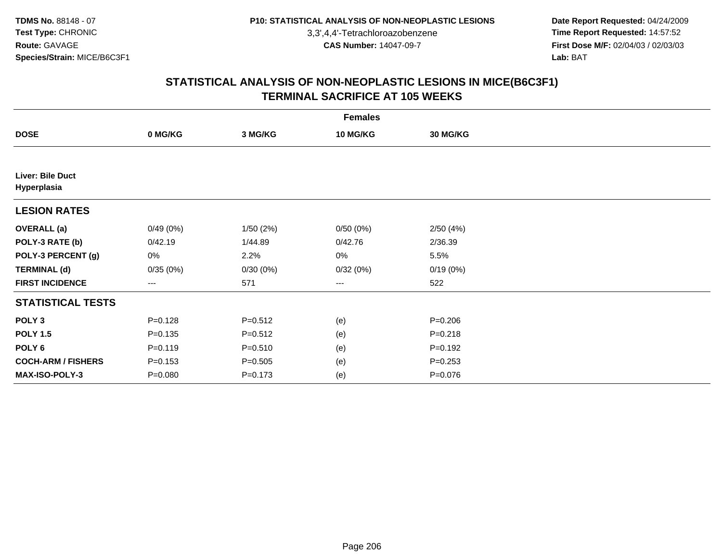3,3',4,4'-Tetrachloroazobenzene

 **Date Report Requested:** 04/24/2009 **Time Report Requested:** 14:57:52 **First Dose M/F:** 02/04/03 / 02/03/03<br>Lab: BAT **Lab:** BAT

| <b>Females</b>                  |                        |             |                 |             |  |  |  |
|---------------------------------|------------------------|-------------|-----------------|-------------|--|--|--|
| <b>DOSE</b>                     | 0 MG/KG                | 3 MG/KG     | <b>10 MG/KG</b> | 30 MG/KG    |  |  |  |
|                                 |                        |             |                 |             |  |  |  |
| Liver: Bile Duct<br>Hyperplasia |                        |             |                 |             |  |  |  |
| <b>LESION RATES</b>             |                        |             |                 |             |  |  |  |
| <b>OVERALL</b> (a)              | 0/49(0%)               | 1/50(2%)    | 0/50(0%)        | 2/50(4%)    |  |  |  |
| POLY-3 RATE (b)                 | 0/42.19                | 1/44.89     | 0/42.76         | 2/36.39     |  |  |  |
| POLY-3 PERCENT (g)              | 0%                     | 2.2%        | 0%              | 5.5%        |  |  |  |
| <b>TERMINAL (d)</b>             | 0/35(0%)               | 0/30(0%)    | 0/32(0%)        | 0/19(0%)    |  |  |  |
| <b>FIRST INCIDENCE</b>          | $\qquad \qquad \cdots$ | 571         | ---             | 522         |  |  |  |
| <b>STATISTICAL TESTS</b>        |                        |             |                 |             |  |  |  |
| POLY <sub>3</sub>               | $P = 0.128$            | $P = 0.512$ | (e)             | $P = 0.206$ |  |  |  |
| <b>POLY 1.5</b>                 | $P = 0.135$            | $P = 0.512$ | (e)             | $P = 0.218$ |  |  |  |
| POLY <sub>6</sub>               | $P = 0.119$            | $P = 0.510$ | (e)             | $P = 0.192$ |  |  |  |
| <b>COCH-ARM / FISHERS</b>       | $P = 0.153$            | $P = 0.505$ | (e)             | $P = 0.253$ |  |  |  |
| <b>MAX-ISO-POLY-3</b>           | $P = 0.080$            | $P = 0.173$ | (e)             | $P = 0.076$ |  |  |  |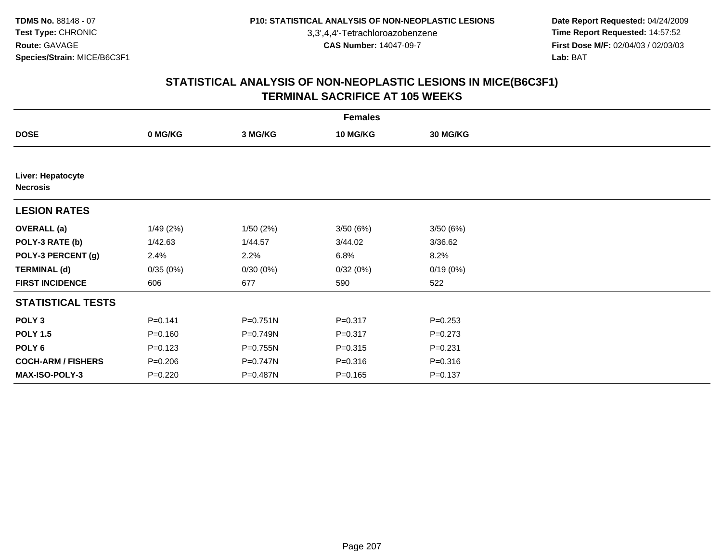3,3',4,4'-Tetrachloroazobenzene

 **Date Report Requested:** 04/24/2009 **Time Report Requested:** 14:57:52 **First Dose M/F:** 02/04/03 / 02/03/03<br>Lab: BAT **Lab:** BAT

|                                      |             |              | <b>Females</b>  |             |  |
|--------------------------------------|-------------|--------------|-----------------|-------------|--|
| <b>DOSE</b>                          | 0 MG/KG     | 3 MG/KG      | <b>10 MG/KG</b> | 30 MG/KG    |  |
|                                      |             |              |                 |             |  |
| Liver: Hepatocyte<br><b>Necrosis</b> |             |              |                 |             |  |
| <b>LESION RATES</b>                  |             |              |                 |             |  |
| <b>OVERALL</b> (a)                   | 1/49(2%)    | 1/50(2%)     | 3/50 (6%)       | 3/50(6%)    |  |
| POLY-3 RATE (b)                      | 1/42.63     | 1/44.57      | 3/44.02         | 3/36.62     |  |
| POLY-3 PERCENT (g)                   | 2.4%        | 2.2%         | 6.8%            | 8.2%        |  |
| <b>TERMINAL (d)</b>                  | 0/35(0%)    | 0/30(0%)     | 0/32(0%)        | 0/19(0%)    |  |
| <b>FIRST INCIDENCE</b>               | 606         | 677          | 590             | 522         |  |
| <b>STATISTICAL TESTS</b>             |             |              |                 |             |  |
| POLY <sub>3</sub>                    | $P = 0.141$ | $P = 0.751N$ | $P = 0.317$     | $P=0.253$   |  |
| <b>POLY 1.5</b>                      | $P = 0.160$ | P=0.749N     | $P = 0.317$     | $P=0.273$   |  |
| POLY <sub>6</sub>                    | $P = 0.123$ | P=0.755N     | $P = 0.315$     | $P = 0.231$ |  |
| <b>COCH-ARM / FISHERS</b>            | $P = 0.206$ | P=0.747N     | $P = 0.316$     | $P = 0.316$ |  |
| MAX-ISO-POLY-3                       | $P = 0.220$ | P=0.487N     | $P = 0.165$     | $P = 0.137$ |  |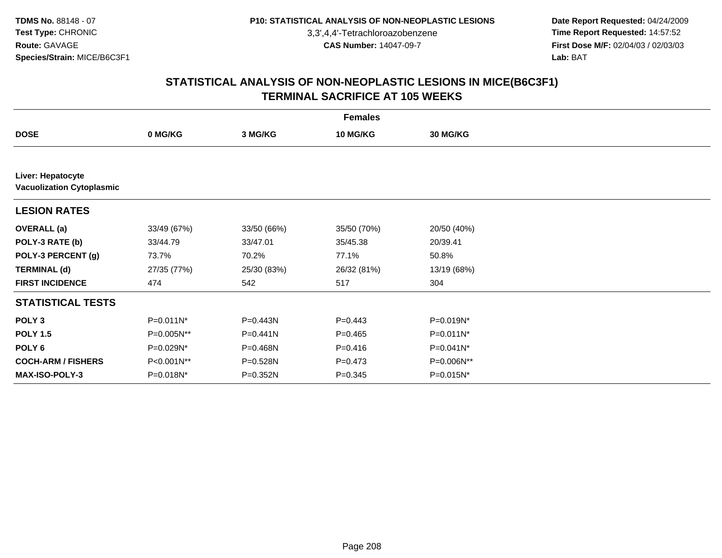3,3',4,4'-Tetrachloroazobenzene

 **Date Report Requested:** 04/24/2009 **Time Report Requested:** 14:57:52 **First Dose M/F:** 02/04/03 / 02/03/03<br>Lab: BAT **Lab:** BAT

| <b>Females</b>                                        |              |              |             |                 |  |  |
|-------------------------------------------------------|--------------|--------------|-------------|-----------------|--|--|
| <b>DOSE</b>                                           | 0 MG/KG      | 3 MG/KG      | 10 MG/KG    | <b>30 MG/KG</b> |  |  |
|                                                       |              |              |             |                 |  |  |
| Liver: Hepatocyte<br><b>Vacuolization Cytoplasmic</b> |              |              |             |                 |  |  |
| <b>LESION RATES</b>                                   |              |              |             |                 |  |  |
| <b>OVERALL</b> (a)                                    | 33/49 (67%)  | 33/50 (66%)  | 35/50 (70%) | 20/50 (40%)     |  |  |
| POLY-3 RATE (b)                                       | 33/44.79     | 33/47.01     | 35/45.38    | 20/39.41        |  |  |
| POLY-3 PERCENT (g)                                    | 73.7%        | 70.2%        | 77.1%       | 50.8%           |  |  |
| <b>TERMINAL (d)</b>                                   | 27/35 (77%)  | 25/30 (83%)  | 26/32 (81%) | 13/19 (68%)     |  |  |
| <b>FIRST INCIDENCE</b>                                | 474          | 542          | 517         | 304             |  |  |
| <b>STATISTICAL TESTS</b>                              |              |              |             |                 |  |  |
| POLY <sub>3</sub>                                     | $P=0.011N^*$ | P=0.443N     | $P=0.443$   | P=0.019N*       |  |  |
| <b>POLY 1.5</b>                                       | P=0.005N**   | $P = 0.441N$ | $P=0.465$   | $P=0.011N^*$    |  |  |
| POLY <sub>6</sub>                                     | P=0.029N*    | P=0.468N     | $P = 0.416$ | P=0.041N*       |  |  |
| <b>COCH-ARM / FISHERS</b>                             | P<0.001N**   | P=0.528N     | $P=0.473$   | P=0.006N**      |  |  |
| <b>MAX-ISO-POLY-3</b>                                 | P=0.018N*    | P=0.352N     | $P = 0.345$ | P=0.015N*       |  |  |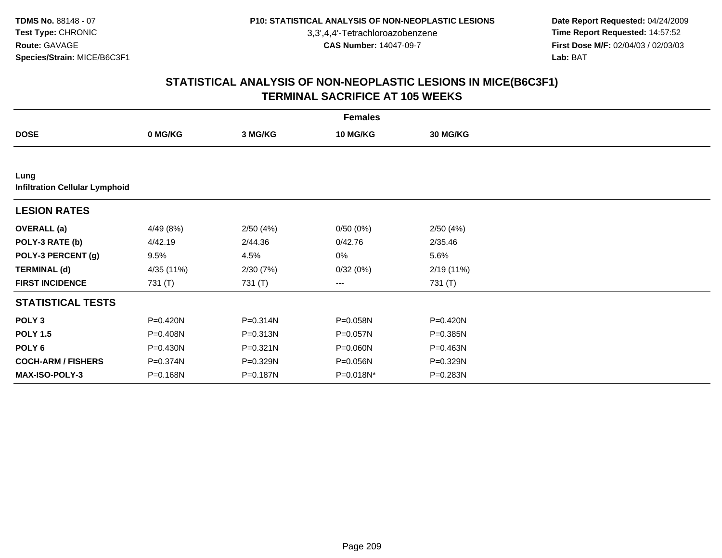3,3',4,4'-Tetrachloroazobenzene

 **Date Report Requested:** 04/24/2009 **Time Report Requested:** 14:57:52 **First Dose M/F:** 02/04/03 / 02/03/03<br>Lab: BAT **Lab:** BAT

|                                               |              |          | <b>Females</b>  |                 |  |
|-----------------------------------------------|--------------|----------|-----------------|-----------------|--|
| <b>DOSE</b>                                   | 0 MG/KG      | 3 MG/KG  | <b>10 MG/KG</b> | <b>30 MG/KG</b> |  |
|                                               |              |          |                 |                 |  |
| Lung<br><b>Infiltration Cellular Lymphoid</b> |              |          |                 |                 |  |
| <b>LESION RATES</b>                           |              |          |                 |                 |  |
| <b>OVERALL</b> (a)                            | 4/49 (8%)    | 2/50(4%) | 0/50(0%)        | 2/50(4%)        |  |
| POLY-3 RATE (b)                               | 4/42.19      | 2/44.36  | 0/42.76         | 2/35.46         |  |
| POLY-3 PERCENT (g)                            | 9.5%         | 4.5%     | 0%              | 5.6%            |  |
| <b>TERMINAL (d)</b>                           | 4/35 (11%)   | 2/30(7%) | 0/32(0%)        | 2/19(11%)       |  |
| <b>FIRST INCIDENCE</b>                        | 731 (T)      | 731 (T)  | $---$           | 731 (T)         |  |
| <b>STATISTICAL TESTS</b>                      |              |          |                 |                 |  |
| POLY <sub>3</sub>                             | P=0.420N     | P=0.314N | P=0.058N        | P=0.420N        |  |
| <b>POLY 1.5</b>                               | P=0.408N     | P=0.313N | P=0.057N        | $P = 0.385N$    |  |
| POLY 6                                        | $P = 0.430N$ | P=0.321N | P=0.060N        | P=0.463N        |  |
| <b>COCH-ARM / FISHERS</b>                     | $P = 0.374N$ | P=0.329N | P=0.056N        | P=0.329N        |  |
| <b>MAX-ISO-POLY-3</b>                         | P=0.168N     | P=0.187N | P=0.018N*       | P=0.283N        |  |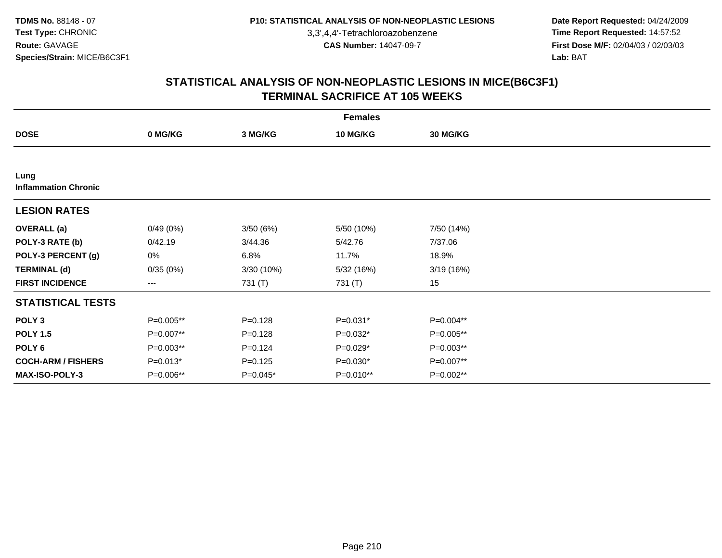3,3',4,4'-Tetrachloroazobenzene

 **Date Report Requested:** 04/24/2009 **Time Report Requested:** 14:57:52 **First Dose M/F:** 02/04/03 / 02/03/03<br>Lab: BAT **Lab:** BAT

|                                     |            |             | <b>Females</b> |                 |  |
|-------------------------------------|------------|-------------|----------------|-----------------|--|
| <b>DOSE</b>                         | 0 MG/KG    | 3 MG/KG     | 10 MG/KG       | <b>30 MG/KG</b> |  |
|                                     |            |             |                |                 |  |
| Lung<br><b>Inflammation Chronic</b> |            |             |                |                 |  |
| <b>LESION RATES</b>                 |            |             |                |                 |  |
| <b>OVERALL</b> (a)                  | 0/49(0%)   | 3/50(6%)    | 5/50 (10%)     | 7/50 (14%)      |  |
| POLY-3 RATE (b)                     | 0/42.19    | 3/44.36     | 5/42.76        | 7/37.06         |  |
| POLY-3 PERCENT (g)                  | 0%         | 6.8%        | 11.7%          | 18.9%           |  |
| <b>TERMINAL (d)</b>                 | 0/35(0%)   | 3/30(10%)   | 5/32 (16%)     | 3/19(16%)       |  |
| <b>FIRST INCIDENCE</b>              | ---        | 731 (T)     | 731 (T)        | 15              |  |
| <b>STATISTICAL TESTS</b>            |            |             |                |                 |  |
| POLY <sub>3</sub>                   | P=0.005**  | $P = 0.128$ | P=0.031*       | P=0.004**       |  |
| <b>POLY 1.5</b>                     | P=0.007**  | $P = 0.128$ | P=0.032*       | P=0.005**       |  |
| POLY 6                              | P=0.003**  | $P = 0.124$ | P=0.029*       | P=0.003**       |  |
| <b>COCH-ARM / FISHERS</b>           | $P=0.013*$ | $P = 0.125$ | $P=0.030*$     | P=0.007**       |  |
| <b>MAX-ISO-POLY-3</b>               | P=0.006**  | P=0.045*    | P=0.010**      | P=0.002**       |  |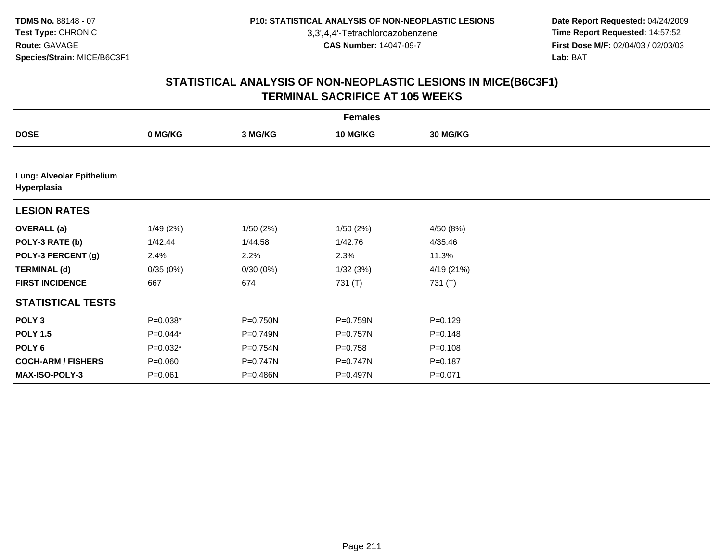3,3',4,4'-Tetrachloroazobenzene

 **Date Report Requested:** 04/24/2009 **Time Report Requested:** 14:57:52 **First Dose M/F:** 02/04/03 / 02/03/03<br>Lab: BAT **Lab:** BAT

|                                          |             |          | <b>Females</b> |             |  |
|------------------------------------------|-------------|----------|----------------|-------------|--|
| <b>DOSE</b>                              | 0 MG/KG     | 3 MG/KG  | 10 MG/KG       | 30 MG/KG    |  |
|                                          |             |          |                |             |  |
| Lung: Alveolar Epithelium<br>Hyperplasia |             |          |                |             |  |
| <b>LESION RATES</b>                      |             |          |                |             |  |
| <b>OVERALL (a)</b>                       | 1/49(2%)    | 1/50(2%) | 1/50(2%)       | 4/50 (8%)   |  |
| POLY-3 RATE (b)                          | 1/42.44     | 1/44.58  | 1/42.76        | 4/35.46     |  |
| POLY-3 PERCENT (g)                       | 2.4%        | 2.2%     | 2.3%           | 11.3%       |  |
| <b>TERMINAL (d)</b>                      | 0/35(0%)    | 0/30(0%) | 1/32(3%)       | 4/19 (21%)  |  |
| <b>FIRST INCIDENCE</b>                   | 667         | 674      | 731 (T)        | 731 (T)     |  |
| <b>STATISTICAL TESTS</b>                 |             |          |                |             |  |
| POLY <sub>3</sub>                        | $P=0.038*$  | P=0.750N | P=0.759N       | $P = 0.129$ |  |
| <b>POLY 1.5</b>                          | $P=0.044*$  | P=0.749N | P=0.757N       | $P = 0.148$ |  |
| POLY 6                                   | $P=0.032*$  | P=0.754N | $P = 0.758$    | $P = 0.108$ |  |
| <b>COCH-ARM / FISHERS</b>                | $P = 0.060$ | P=0.747N | P=0.747N       | $P = 0.187$ |  |
| MAX-ISO-POLY-3                           | $P = 0.061$ | P=0.486N | P=0.497N       | $P = 0.071$ |  |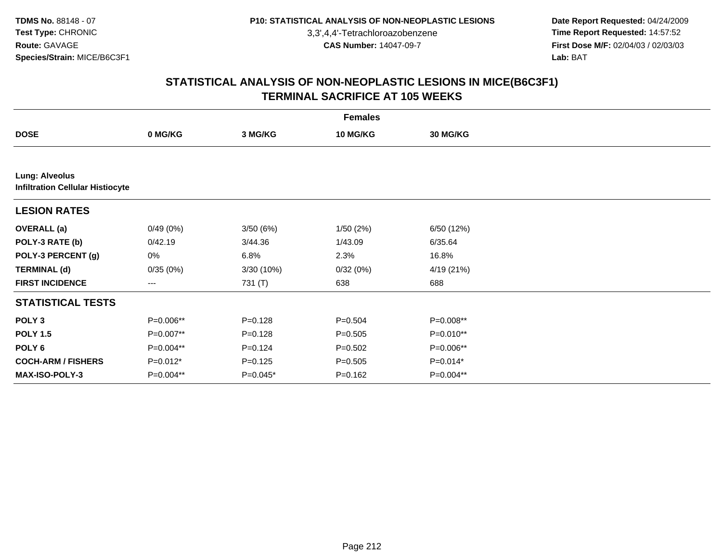3,3',4,4'-Tetrachloroazobenzene

 **Date Report Requested:** 04/24/2009 **Time Report Requested:** 14:57:52 **First Dose M/F:** 02/04/03 / 02/03/03<br>Lab: BAT **Lab:** BAT

|                                                                  |            |             | <b>Females</b> |                 |  |
|------------------------------------------------------------------|------------|-------------|----------------|-----------------|--|
| <b>DOSE</b>                                                      | 0 MG/KG    | 3 MG/KG     | 10 MG/KG       | <b>30 MG/KG</b> |  |
|                                                                  |            |             |                |                 |  |
| <b>Lung: Alveolus</b><br><b>Infiltration Cellular Histiocyte</b> |            |             |                |                 |  |
| <b>LESION RATES</b>                                              |            |             |                |                 |  |
| <b>OVERALL</b> (a)                                               | 0/49(0%)   | 3/50(6%)    | 1/50(2%)       | 6/50 (12%)      |  |
| POLY-3 RATE (b)                                                  | 0/42.19    | 3/44.36     | 1/43.09        | 6/35.64         |  |
| POLY-3 PERCENT (g)                                               | 0%         | 6.8%        | 2.3%           | 16.8%           |  |
| <b>TERMINAL (d)</b>                                              | 0/35(0%)   | 3/30 (10%)  | 0/32(0%)       | 4/19 (21%)      |  |
| <b>FIRST INCIDENCE</b>                                           | $---$      | 731 (T)     | 638            | 688             |  |
| <b>STATISTICAL TESTS</b>                                         |            |             |                |                 |  |
| POLY <sub>3</sub>                                                | P=0.006**  | $P = 0.128$ | $P = 0.504$    | P=0.008**       |  |
| <b>POLY 1.5</b>                                                  | P=0.007**  | $P = 0.128$ | $P = 0.505$    | P=0.010**       |  |
| POLY <sub>6</sub>                                                | P=0.004**  | $P = 0.124$ | $P = 0.502$    | P=0.006**       |  |
| <b>COCH-ARM / FISHERS</b>                                        | $P=0.012*$ | $P = 0.125$ | $P = 0.505$    | $P=0.014*$      |  |
| <b>MAX-ISO-POLY-3</b>                                            | P=0.004**  | $P=0.045*$  | $P = 0.162$    | P=0.004**       |  |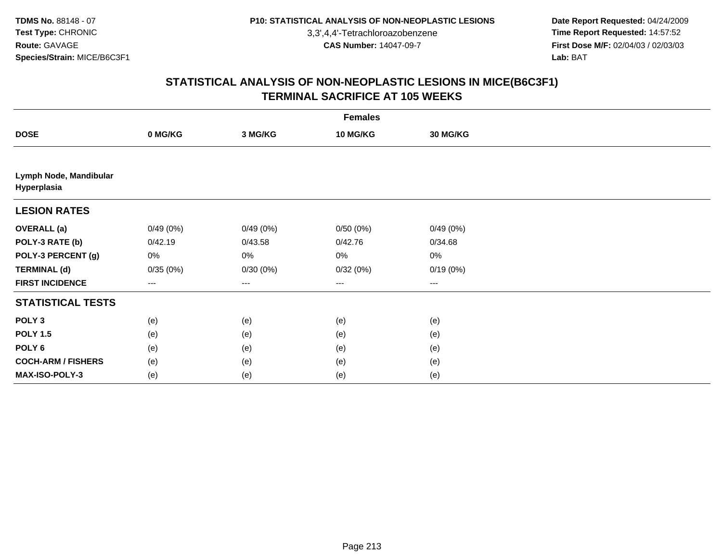3,3',4,4'-Tetrachloroazobenzene

 **Date Report Requested:** 04/24/2009 **Time Report Requested:** 14:57:52 **First Dose M/F:** 02/04/03 / 02/03/03<br>Lab: BAT **Lab:** BAT

| <b>Females</b>                        |          |          |                   |          |  |  |
|---------------------------------------|----------|----------|-------------------|----------|--|--|
| <b>DOSE</b>                           | 0 MG/KG  | 3 MG/KG  | 10 MG/KG          | 30 MG/KG |  |  |
|                                       |          |          |                   |          |  |  |
| Lymph Node, Mandibular<br>Hyperplasia |          |          |                   |          |  |  |
| <b>LESION RATES</b>                   |          |          |                   |          |  |  |
| <b>OVERALL</b> (a)                    | 0/49(0%) | 0/49(0%) | 0/50(0%)          | 0/49(0%) |  |  |
| POLY-3 RATE (b)                       | 0/42.19  | 0/43.58  | 0/42.76           | 0/34.68  |  |  |
| POLY-3 PERCENT (g)                    | 0%       | 0%       | 0%                | $0\%$    |  |  |
| <b>TERMINAL (d)</b>                   | 0/35(0%) | 0/30(0%) | 0/32(0%)          | 0/19(0%) |  |  |
| <b>FIRST INCIDENCE</b>                | ---      | ---      | $\qquad \qquad -$ | $---$    |  |  |
| <b>STATISTICAL TESTS</b>              |          |          |                   |          |  |  |
| POLY <sub>3</sub>                     | (e)      | (e)      | (e)               | (e)      |  |  |
| <b>POLY 1.5</b>                       | (e)      | (e)      | (e)               | (e)      |  |  |
| POLY <sub>6</sub>                     | (e)      | (e)      | (e)               | (e)      |  |  |
| <b>COCH-ARM / FISHERS</b>             | (e)      | (e)      | (e)               | (e)      |  |  |
| <b>MAX-ISO-POLY-3</b>                 | (e)      | (e)      | (e)               | (e)      |  |  |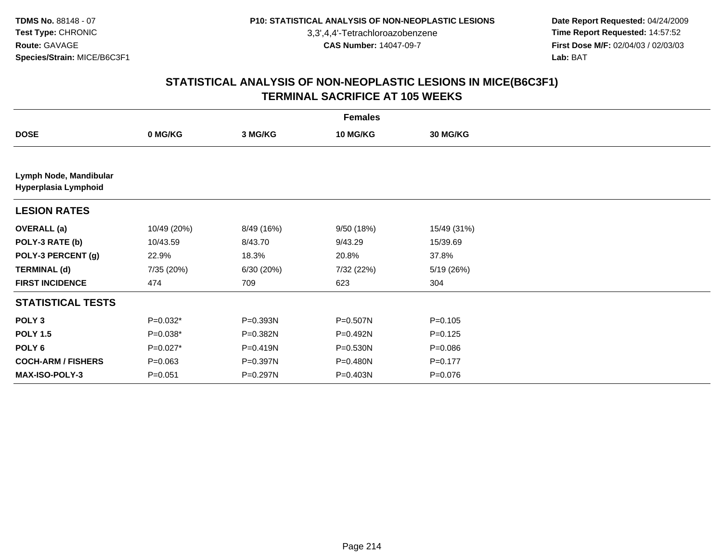3,3',4,4'-Tetrachloroazobenzene

 **Date Report Requested:** 04/24/2009 **Time Report Requested:** 14:57:52 **First Dose M/F:** 02/04/03 / 02/03/03<br>Lab: BAT **Lab:** BAT

|                                                |             |            | <b>Females</b> |                 |  |
|------------------------------------------------|-------------|------------|----------------|-----------------|--|
| <b>DOSE</b>                                    | 0 MG/KG     | 3 MG/KG    | 10 MG/KG       | <b>30 MG/KG</b> |  |
|                                                |             |            |                |                 |  |
| Lymph Node, Mandibular<br>Hyperplasia Lymphoid |             |            |                |                 |  |
| <b>LESION RATES</b>                            |             |            |                |                 |  |
| <b>OVERALL</b> (a)                             | 10/49 (20%) | 8/49 (16%) | 9/50 (18%)     | 15/49 (31%)     |  |
| POLY-3 RATE (b)                                | 10/43.59    | 8/43.70    | 9/43.29        | 15/39.69        |  |
| POLY-3 PERCENT (g)                             | 22.9%       | 18.3%      | 20.8%          | 37.8%           |  |
| <b>TERMINAL (d)</b>                            | 7/35 (20%)  | 6/30 (20%) | 7/32 (22%)     | 5/19 (26%)      |  |
| <b>FIRST INCIDENCE</b>                         | 474         | 709        | 623            | 304             |  |
| <b>STATISTICAL TESTS</b>                       |             |            |                |                 |  |
| POLY <sub>3</sub>                              | $P=0.032*$  | P=0.393N   | P=0.507N       | $P = 0.105$     |  |
| <b>POLY 1.5</b>                                | $P=0.038*$  | P=0.382N   | P=0.492N       | $P=0.125$       |  |
| POLY <sub>6</sub>                              | $P=0.027*$  | P=0.419N   | $P = 0.530N$   | $P = 0.086$     |  |
| <b>COCH-ARM / FISHERS</b>                      | $P = 0.063$ | P=0.397N   | P=0.480N       | $P = 0.177$     |  |
| <b>MAX-ISO-POLY-3</b>                          | $P = 0.051$ | P=0.297N   | P=0.403N       | $P = 0.076$     |  |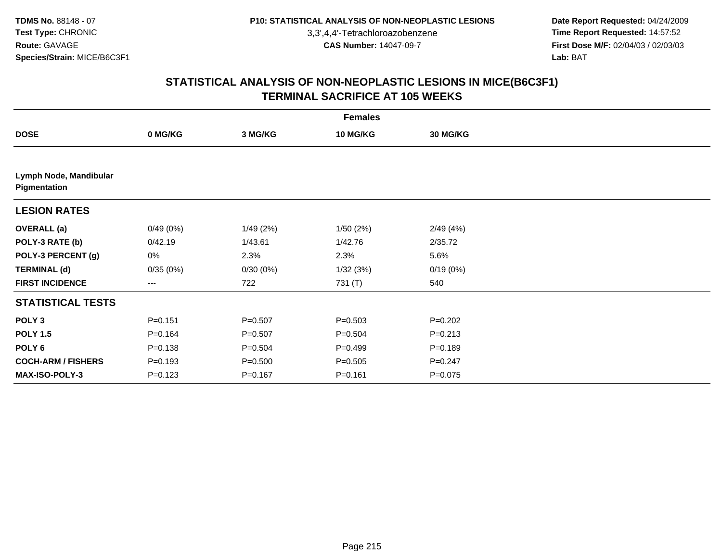3,3',4,4'-Tetrachloroazobenzene

 **Date Report Requested:** 04/24/2009 **Time Report Requested:** 14:57:52 **First Dose M/F:** 02/04/03 / 02/03/03<br>Lab: BAT **Lab:** BAT

|                                        |                     |             | <b>Females</b> |             |  |
|----------------------------------------|---------------------|-------------|----------------|-------------|--|
| <b>DOSE</b>                            | 0 MG/KG             | 3 MG/KG     | 10 MG/KG       | 30 MG/KG    |  |
|                                        |                     |             |                |             |  |
| Lymph Node, Mandibular<br>Pigmentation |                     |             |                |             |  |
| <b>LESION RATES</b>                    |                     |             |                |             |  |
| <b>OVERALL</b> (a)                     | 0/49(0%)            | 1/49(2%)    | 1/50(2%)       | 2/49(4%)    |  |
| POLY-3 RATE (b)                        | 0/42.19             | 1/43.61     | 1/42.76        | 2/35.72     |  |
| POLY-3 PERCENT (g)                     | 0%                  | 2.3%        | 2.3%           | 5.6%        |  |
| <b>TERMINAL (d)</b>                    | 0/35(0%)            | 0/30(0%)    | 1/32(3%)       | 0/19(0%)    |  |
| <b>FIRST INCIDENCE</b>                 | $\qquad \qquad - -$ | 722         | 731 (T)        | 540         |  |
| <b>STATISTICAL TESTS</b>               |                     |             |                |             |  |
| POLY <sub>3</sub>                      | $P = 0.151$         | $P = 0.507$ | $P = 0.503$    | $P = 0.202$ |  |
| <b>POLY 1.5</b>                        | $P = 0.164$         | $P = 0.507$ | $P = 0.504$    | $P = 0.213$ |  |
| POLY 6                                 | $P = 0.138$         | $P = 0.504$ | $P=0.499$      | $P = 0.189$ |  |
| <b>COCH-ARM / FISHERS</b>              | $P = 0.193$         | $P = 0.500$ | $P = 0.505$    | $P = 0.247$ |  |
| <b>MAX-ISO-POLY-3</b>                  | $P = 0.123$         | $P = 0.167$ | $P = 0.161$    | $P = 0.075$ |  |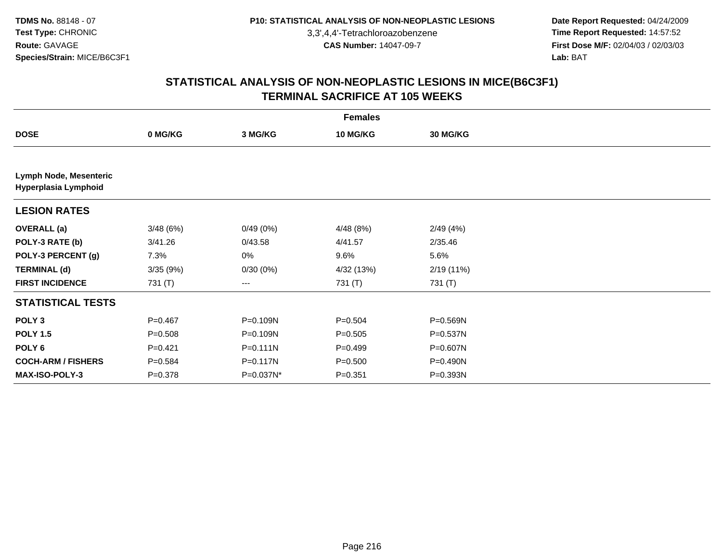3,3',4,4'-Tetrachloroazobenzene

 **Date Report Requested:** 04/24/2009 **Time Report Requested:** 14:57:52 **First Dose M/F:** 02/04/03 / 02/03/03<br>Lab: BAT **Lab:** BAT

|                                                |             |              | <b>Females</b> |              |  |
|------------------------------------------------|-------------|--------------|----------------|--------------|--|
| <b>DOSE</b>                                    | 0 MG/KG     | 3 MG/KG      | 10 MG/KG       | 30 MG/KG     |  |
|                                                |             |              |                |              |  |
| Lymph Node, Mesenteric<br>Hyperplasia Lymphoid |             |              |                |              |  |
| <b>LESION RATES</b>                            |             |              |                |              |  |
| <b>OVERALL</b> (a)                             | 3/48(6%)    | 0/49(0%)     | 4/48 (8%)      | 2/49(4%)     |  |
| POLY-3 RATE (b)                                | 3/41.26     | 0/43.58      | 4/41.57        | 2/35.46      |  |
| POLY-3 PERCENT (g)                             | 7.3%        | 0%           | 9.6%           | 5.6%         |  |
| <b>TERMINAL (d)</b>                            | 3/35(9%)    | 0/30(0%)     | 4/32 (13%)     | 2/19 (11%)   |  |
| <b>FIRST INCIDENCE</b>                         | 731 (T)     | ---          | 731 (T)        | 731 (T)      |  |
| <b>STATISTICAL TESTS</b>                       |             |              |                |              |  |
| POLY <sub>3</sub>                              | $P=0.467$   | P=0.109N     | $P=0.504$      | $P = 0.569N$ |  |
| <b>POLY 1.5</b>                                | $P = 0.508$ | P=0.109N     | $P = 0.505$    | P=0.537N     |  |
| POLY <sub>6</sub>                              | $P=0.421$   | $P = 0.111N$ | $P = 0.499$    | P=0.607N     |  |
| <b>COCH-ARM / FISHERS</b>                      | $P = 0.584$ | P=0.117N     | $P = 0.500$    | P=0.490N     |  |
| <b>MAX-ISO-POLY-3</b>                          | $P = 0.378$ | P=0.037N*    | $P = 0.351$    | P=0.393N     |  |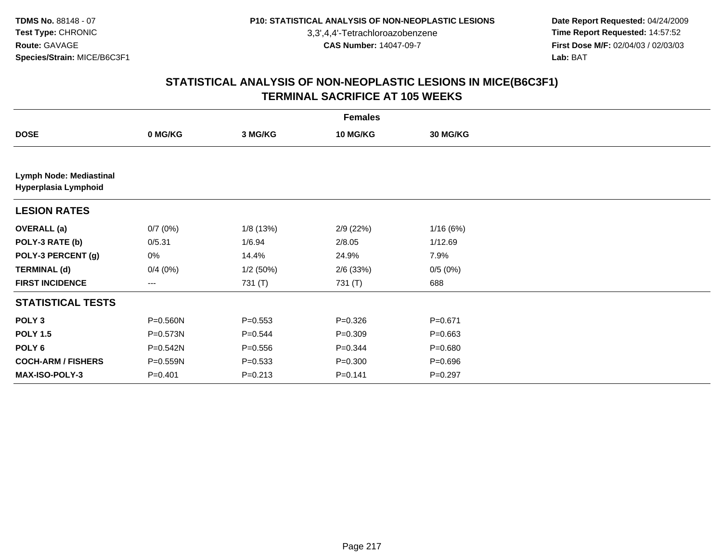3,3',4,4'-Tetrachloroazobenzene

 **Date Report Requested:** 04/24/2009 **Time Report Requested:** 14:57:52 **First Dose M/F:** 02/04/03 / 02/03/03<br>Lab: BAT **Lab:** BAT

| <b>Females</b>                                         |              |             |             |                 |  |  |  |
|--------------------------------------------------------|--------------|-------------|-------------|-----------------|--|--|--|
| <b>DOSE</b>                                            | 0 MG/KG      | 3 MG/KG     | 10 MG/KG    | <b>30 MG/KG</b> |  |  |  |
|                                                        |              |             |             |                 |  |  |  |
| <b>Lymph Node: Mediastinal</b><br>Hyperplasia Lymphoid |              |             |             |                 |  |  |  |
| <b>LESION RATES</b>                                    |              |             |             |                 |  |  |  |
| <b>OVERALL</b> (a)                                     | 0/7(0%)      | 1/8 (13%)   | 2/9(22%)    | 1/16(6%)        |  |  |  |
| POLY-3 RATE (b)                                        | 0/5.31       | 1/6.94      | 2/8.05      | 1/12.69         |  |  |  |
| POLY-3 PERCENT (g)                                     | 0%           | 14.4%       | 24.9%       | 7.9%            |  |  |  |
| <b>TERMINAL (d)</b>                                    | 0/4(0%)      | 1/2 (50%)   | $2/6$ (33%) | 0/5(0%)         |  |  |  |
| <b>FIRST INCIDENCE</b>                                 | $---$        | 731 (T)     | 731 (T)     | 688             |  |  |  |
| <b>STATISTICAL TESTS</b>                               |              |             |             |                 |  |  |  |
| POLY <sub>3</sub>                                      | P=0.560N     | $P = 0.553$ | $P = 0.326$ | $P = 0.671$     |  |  |  |
| <b>POLY 1.5</b>                                        | P=0.573N     | $P = 0.544$ | $P = 0.309$ | $P = 0.663$     |  |  |  |
| POLY <sub>6</sub>                                      | $P = 0.542N$ | $P = 0.556$ | $P = 0.344$ | $P = 0.680$     |  |  |  |
| <b>COCH-ARM / FISHERS</b>                              | P=0.559N     | $P = 0.533$ | $P = 0.300$ | $P = 0.696$     |  |  |  |
| <b>MAX-ISO-POLY-3</b>                                  | $P = 0.401$  | $P = 0.213$ | $P = 0.141$ | $P=0.297$       |  |  |  |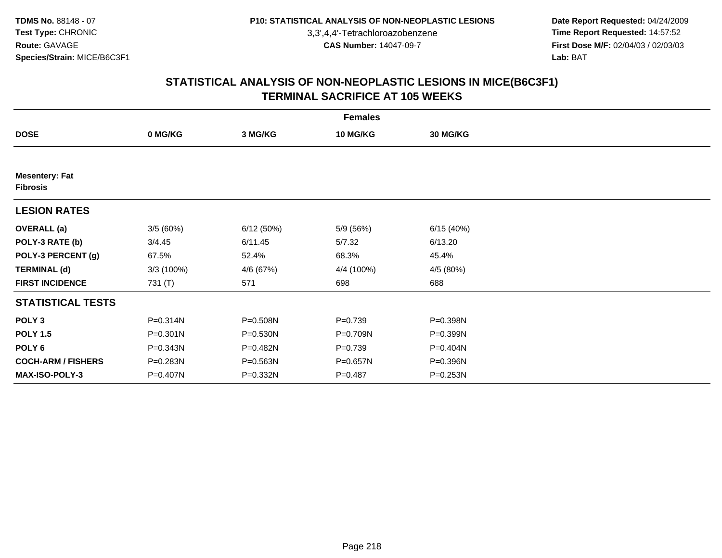3,3',4,4'-Tetrachloroazobenzene

 **Date Report Requested:** 04/24/2009 **Time Report Requested:** 14:57:52 **First Dose M/F:** 02/04/03 / 02/03/03<br>Lab: BAT **Lab:** BAT

| <b>Females</b>                           |              |           |                 |                 |  |  |  |
|------------------------------------------|--------------|-----------|-----------------|-----------------|--|--|--|
| <b>DOSE</b>                              | 0 MG/KG      | 3 MG/KG   | <b>10 MG/KG</b> | <b>30 MG/KG</b> |  |  |  |
|                                          |              |           |                 |                 |  |  |  |
| <b>Mesentery: Fat</b><br><b>Fibrosis</b> |              |           |                 |                 |  |  |  |
| <b>LESION RATES</b>                      |              |           |                 |                 |  |  |  |
| <b>OVERALL</b> (a)                       | 3/5(60%)     | 6/12(50%) | 5/9 (56%)       | 6/15 (40%)      |  |  |  |
| POLY-3 RATE (b)                          | 3/4.45       | 6/11.45   | 5/7.32          | 6/13.20         |  |  |  |
| POLY-3 PERCENT (g)                       | 67.5%        | 52.4%     | 68.3%           | 45.4%           |  |  |  |
| <b>TERMINAL (d)</b>                      | 3/3(100%)    | 4/6 (67%) | 4/4 (100%)      | 4/5 (80%)       |  |  |  |
| <b>FIRST INCIDENCE</b>                   | 731 (T)      | 571       | 698             | 688             |  |  |  |
| <b>STATISTICAL TESTS</b>                 |              |           |                 |                 |  |  |  |
| POLY <sub>3</sub>                        | P=0.314N     | P=0.508N  | $P=0.739$       | P=0.398N        |  |  |  |
| <b>POLY 1.5</b>                          | $P = 0.301N$ | P=0.530N  | P=0.709N        | P=0.399N        |  |  |  |
| POLY <sub>6</sub>                        | P=0.343N     | P=0.482N  | $P=0.739$       | P=0.404N        |  |  |  |
| <b>COCH-ARM / FISHERS</b>                | P=0.283N     | P=0.563N  | P=0.657N        | P=0.396N        |  |  |  |
| MAX-ISO-POLY-3                           | P=0.407N     | P=0.332N  | $P = 0.487$     | P=0.253N        |  |  |  |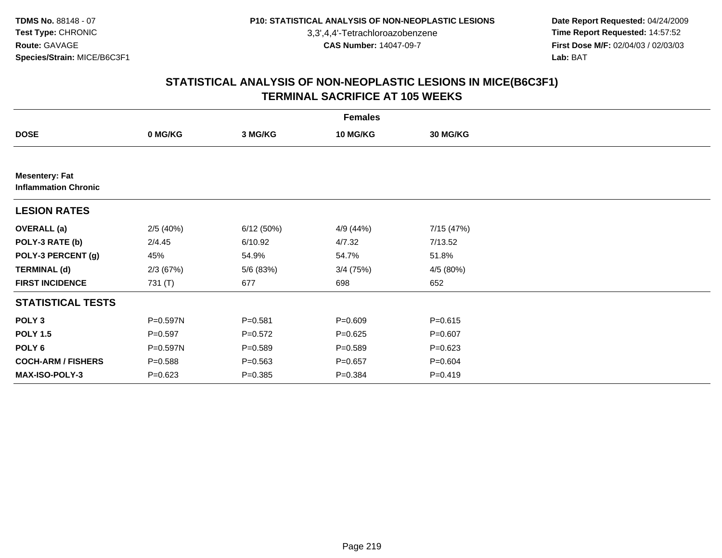3,3',4,4'-Tetrachloroazobenzene

 **Date Report Requested:** 04/24/2009 **Time Report Requested:** 14:57:52 **First Dose M/F:** 02/04/03 / 02/03/03<br>Lab: BAT **Lab:** BAT

| <b>Females</b>                                       |             |             |             |                 |  |  |  |
|------------------------------------------------------|-------------|-------------|-------------|-----------------|--|--|--|
| <b>DOSE</b>                                          | 0 MG/KG     | 3 MG/KG     | 10 MG/KG    | <b>30 MG/KG</b> |  |  |  |
|                                                      |             |             |             |                 |  |  |  |
| <b>Mesentery: Fat</b><br><b>Inflammation Chronic</b> |             |             |             |                 |  |  |  |
| <b>LESION RATES</b>                                  |             |             |             |                 |  |  |  |
| <b>OVERALL</b> (a)                                   | 2/5(40%)    | 6/12(50%)   | 4/9 (44%)   | 7/15 (47%)      |  |  |  |
| POLY-3 RATE (b)                                      | 2/4.45      | 6/10.92     | 4/7.32      | 7/13.52         |  |  |  |
| POLY-3 PERCENT (g)                                   | 45%         | 54.9%       | 54.7%       | 51.8%           |  |  |  |
| <b>TERMINAL (d)</b>                                  | 2/3(67%)    | 5/6 (83%)   | $3/4$ (75%) | 4/5 (80%)       |  |  |  |
| <b>FIRST INCIDENCE</b>                               | 731 (T)     | 677         | 698         | 652             |  |  |  |
| <b>STATISTICAL TESTS</b>                             |             |             |             |                 |  |  |  |
| POLY <sub>3</sub>                                    | P=0.597N    | $P = 0.581$ | $P = 0.609$ | $P = 0.615$     |  |  |  |
| <b>POLY 1.5</b>                                      | $P = 0.597$ | $P = 0.572$ | $P = 0.625$ | $P = 0.607$     |  |  |  |
| POLY 6                                               | P=0.597N    | $P = 0.589$ | $P = 0.589$ | $P = 0.623$     |  |  |  |
| <b>COCH-ARM / FISHERS</b>                            | $P = 0.588$ | $P = 0.563$ | $P = 0.657$ | $P = 0.604$     |  |  |  |
| <b>MAX-ISO-POLY-3</b>                                | $P = 0.623$ | $P = 0.385$ | $P = 0.384$ | $P = 0.419$     |  |  |  |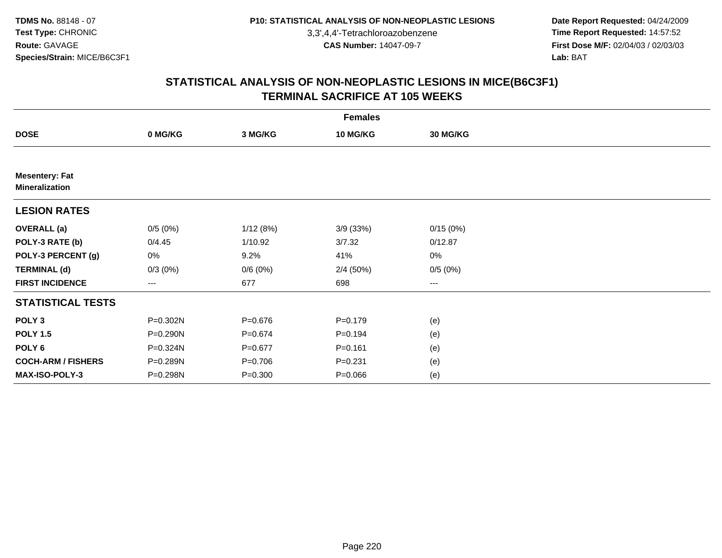3,3',4,4'-Tetrachloroazobenzene

 **Date Report Requested:** 04/24/2009 **Time Report Requested:** 14:57:52 **First Dose M/F:** 02/04/03 / 02/03/03<br>Lab: BAT **Lab:** BAT

| <b>Females</b>                                 |                   |             |                 |                   |  |  |  |
|------------------------------------------------|-------------------|-------------|-----------------|-------------------|--|--|--|
| <b>DOSE</b>                                    | 0 MG/KG           | 3 MG/KG     | <b>10 MG/KG</b> | <b>30 MG/KG</b>   |  |  |  |
|                                                |                   |             |                 |                   |  |  |  |
| <b>Mesentery: Fat</b><br><b>Mineralization</b> |                   |             |                 |                   |  |  |  |
| <b>LESION RATES</b>                            |                   |             |                 |                   |  |  |  |
| <b>OVERALL</b> (a)                             | 0/5(0%)           | 1/12(8%)    | 3/9 (33%)       | 0/15(0%)          |  |  |  |
| POLY-3 RATE (b)                                | 0/4.45            | 1/10.92     | 3/7.32          | 0/12.87           |  |  |  |
| POLY-3 PERCENT (g)                             | 0%                | 9.2%        | 41%             | 0%                |  |  |  |
| <b>TERMINAL (d)</b>                            | $0/3(0\%)$        | 0/6(0%)     | 2/4(50%)        | 0/5(0%)           |  |  |  |
| <b>FIRST INCIDENCE</b>                         | $\qquad \qquad -$ | 677         | 698             | $\qquad \qquad -$ |  |  |  |
| <b>STATISTICAL TESTS</b>                       |                   |             |                 |                   |  |  |  |
| POLY <sub>3</sub>                              | P=0.302N          | $P = 0.676$ | $P = 0.179$     | (e)               |  |  |  |
| <b>POLY 1.5</b>                                | P=0.290N          | $P = 0.674$ | $P = 0.194$     | (e)               |  |  |  |
| POLY <sub>6</sub>                              | P=0.324N          | $P=0.677$   | $P = 0.161$     | (e)               |  |  |  |
| <b>COCH-ARM / FISHERS</b>                      | P=0.289N          | $P = 0.706$ | $P = 0.231$     | (e)               |  |  |  |
| MAX-ISO-POLY-3                                 | P=0.298N          | $P = 0.300$ | $P = 0.066$     | (e)               |  |  |  |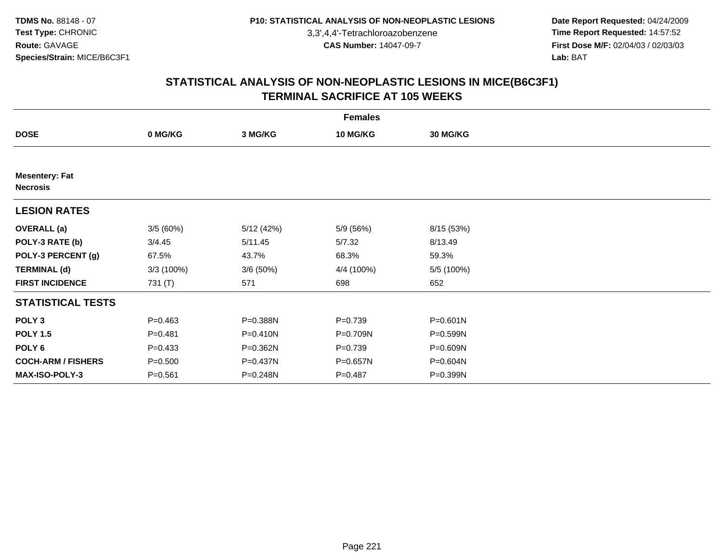3,3',4,4'-Tetrachloroazobenzene

 **Date Report Requested:** 04/24/2009 **Time Report Requested:** 14:57:52 **First Dose M/F:** 02/04/03 / 02/03/03<br>Lab: BAT **Lab:** BAT

|                                          | <b>Females</b> |              |                 |            |  |  |  |  |
|------------------------------------------|----------------|--------------|-----------------|------------|--|--|--|--|
| <b>DOSE</b>                              | 0 MG/KG        | 3 MG/KG      | <b>10 MG/KG</b> | 30 MG/KG   |  |  |  |  |
|                                          |                |              |                 |            |  |  |  |  |
| <b>Mesentery: Fat</b><br><b>Necrosis</b> |                |              |                 |            |  |  |  |  |
| <b>LESION RATES</b>                      |                |              |                 |            |  |  |  |  |
| <b>OVERALL</b> (a)                       | 3/5(60%)       | 5/12 (42%)   | 5/9 (56%)       | 8/15 (53%) |  |  |  |  |
| POLY-3 RATE (b)                          | 3/4.45         | 5/11.45      | 5/7.32          | 8/13.49    |  |  |  |  |
| POLY-3 PERCENT (g)                       | 67.5%          | 43.7%        | 68.3%           | 59.3%      |  |  |  |  |
| <b>TERMINAL (d)</b>                      | 3/3(100%)      | 3/6(50%)     | 4/4 (100%)      | 5/5 (100%) |  |  |  |  |
| <b>FIRST INCIDENCE</b>                   | 731 (T)        | 571          | 698             | 652        |  |  |  |  |
| <b>STATISTICAL TESTS</b>                 |                |              |                 |            |  |  |  |  |
| POLY <sub>3</sub>                        | $P=0.463$      | P=0.388N     | $P = 0.739$     | P=0.601N   |  |  |  |  |
| <b>POLY 1.5</b>                          | $P = 0.481$    | $P = 0.410N$ | P=0.709N        | P=0.599N   |  |  |  |  |
| POLY <sub>6</sub>                        | $P=0.433$      | P=0.362N     | $P = 0.739$     | P=0.609N   |  |  |  |  |
| <b>COCH-ARM / FISHERS</b>                | $P = 0.500$    | P=0.437N     | P=0.657N        | P=0.604N   |  |  |  |  |
| <b>MAX-ISO-POLY-3</b>                    | $P = 0.561$    | P=0.248N     | $P = 0.487$     | P=0.399N   |  |  |  |  |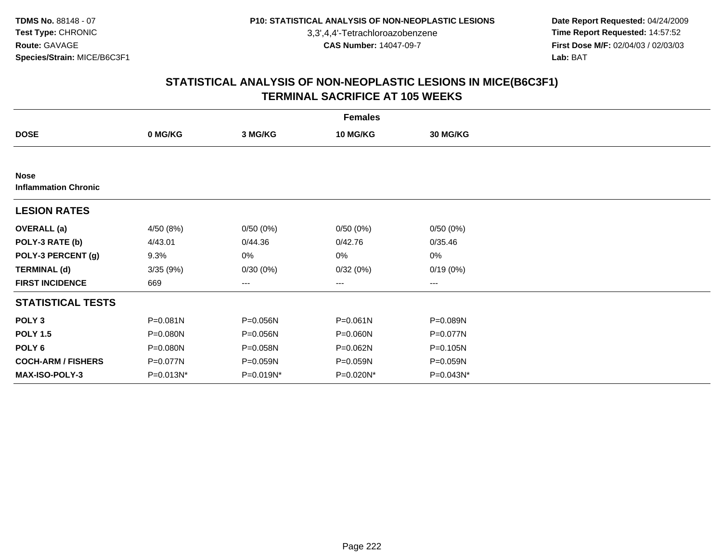3,3',4,4'-Tetrachloroazobenzene

 **Date Report Requested:** 04/24/2009 **Time Report Requested:** 14:57:52 **First Dose M/F:** 02/04/03 / 02/03/03<br>Lab: BAT **Lab:** BAT

|                                            | <b>Females</b> |           |              |           |  |  |  |  |
|--------------------------------------------|----------------|-----------|--------------|-----------|--|--|--|--|
| <b>DOSE</b>                                | 0 MG/KG        | 3 MG/KG   | 10 MG/KG     | 30 MG/KG  |  |  |  |  |
|                                            |                |           |              |           |  |  |  |  |
| <b>Nose</b><br><b>Inflammation Chronic</b> |                |           |              |           |  |  |  |  |
| <b>LESION RATES</b>                        |                |           |              |           |  |  |  |  |
| <b>OVERALL</b> (a)                         | 4/50 (8%)      | 0/50(0%)  | 0/50(0%)     | 0/50(0%)  |  |  |  |  |
| POLY-3 RATE (b)                            | 4/43.01        | 0/44.36   | 0/42.76      | 0/35.46   |  |  |  |  |
| POLY-3 PERCENT (g)                         | 9.3%           | 0%        | 0%           | 0%        |  |  |  |  |
| <b>TERMINAL (d)</b>                        | 3/35(9%)       | 0/30(0%)  | 0/32(0%)     | 0/19(0%)  |  |  |  |  |
| <b>FIRST INCIDENCE</b>                     | 669            | ---       | ---          | ---       |  |  |  |  |
| <b>STATISTICAL TESTS</b>                   |                |           |              |           |  |  |  |  |
| POLY <sub>3</sub>                          | P=0.081N       | P=0.056N  | $P = 0.061N$ | P=0.089N  |  |  |  |  |
| <b>POLY 1.5</b>                            | P=0.080N       | P=0.056N  | P=0.060N     | P=0.077N  |  |  |  |  |
| POLY 6                                     | P=0.080N       | P=0.058N  | P=0.062N     | P=0.105N  |  |  |  |  |
| <b>COCH-ARM / FISHERS</b>                  | P=0.077N       | P=0.059N  | P=0.059N     | P=0.059N  |  |  |  |  |
| <b>MAX-ISO-POLY-3</b>                      | P=0.013N*      | P=0.019N* | P=0.020N*    | P=0.043N* |  |  |  |  |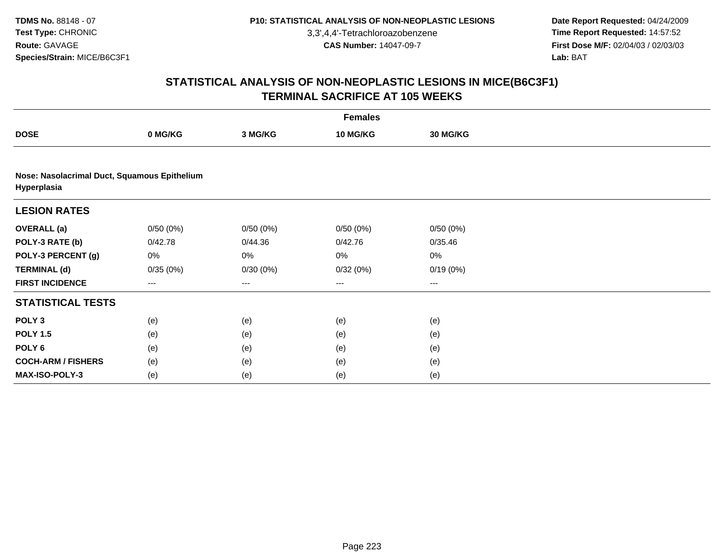3,3',4,4'-Tetrachloroazobenzene

 **Date Report Requested:** 04/24/2009 **Time Report Requested:** 14:57:52 **First Dose M/F:** 02/04/03 / 02/03/03<br>Lab: BAT **Lab:** BAT

| <b>Females</b>                                              |          |          |                        |                 |  |  |  |
|-------------------------------------------------------------|----------|----------|------------------------|-----------------|--|--|--|
| <b>DOSE</b>                                                 | 0 MG/KG  | 3 MG/KG  | 10 MG/KG               | <b>30 MG/KG</b> |  |  |  |
|                                                             |          |          |                        |                 |  |  |  |
| Nose: Nasolacrimal Duct, Squamous Epithelium<br>Hyperplasia |          |          |                        |                 |  |  |  |
| <b>LESION RATES</b>                                         |          |          |                        |                 |  |  |  |
| <b>OVERALL</b> (a)                                          | 0/50(0%) | 0/50(0%) | 0/50(0%)               | 0/50(0%)        |  |  |  |
| POLY-3 RATE (b)                                             | 0/42.78  | 0/44.36  | 0/42.76                | 0/35.46         |  |  |  |
| POLY-3 PERCENT (g)                                          | 0%       | 0%       | 0%                     | $0\%$           |  |  |  |
| <b>TERMINAL (d)</b>                                         | 0/35(0%) | 0/30(0%) | 0/32(0%)               | 0/19(0%)        |  |  |  |
| <b>FIRST INCIDENCE</b>                                      | ---      | $---$    | $\qquad \qquad \cdots$ | ---             |  |  |  |
| <b>STATISTICAL TESTS</b>                                    |          |          |                        |                 |  |  |  |
| POLY <sub>3</sub>                                           | (e)      | (e)      | (e)                    | (e)             |  |  |  |
| <b>POLY 1.5</b>                                             | (e)      | (e)      | (e)                    | (e)             |  |  |  |
| POLY <sub>6</sub>                                           | (e)      | (e)      | (e)                    | (e)             |  |  |  |
| <b>COCH-ARM / FISHERS</b>                                   | (e)      | (e)      | (e)                    | (e)             |  |  |  |
| <b>MAX-ISO-POLY-3</b>                                       | (e)      | (e)      | (e)                    | (e)             |  |  |  |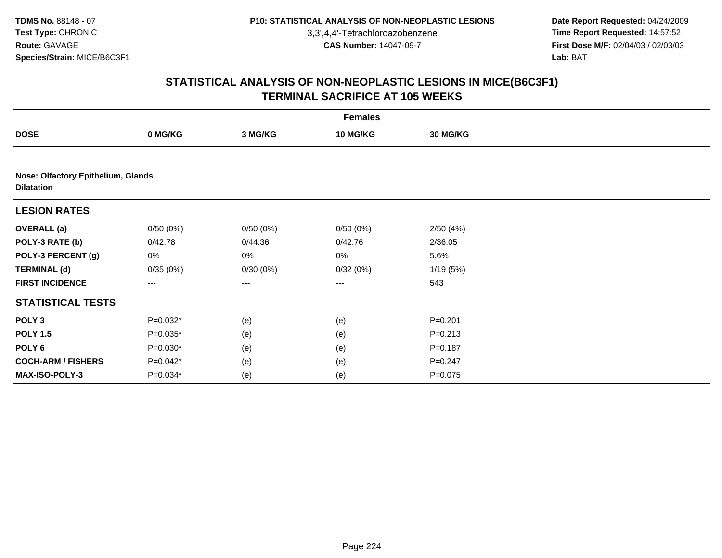3,3',4,4'-Tetrachloroazobenzene

 **Date Report Requested:** 04/24/2009 **Time Report Requested:** 14:57:52 **First Dose M/F:** 02/04/03 / 02/03/03<br>Lab: BAT **Lab:** BAT

| <b>Females</b>            |                                    |          |                   |                 |  |  |  |  |
|---------------------------|------------------------------------|----------|-------------------|-----------------|--|--|--|--|
| <b>DOSE</b>               | 0 MG/KG                            | 3 MG/KG  | 10 MG/KG          | <b>30 MG/KG</b> |  |  |  |  |
|                           |                                    |          |                   |                 |  |  |  |  |
| <b>Dilatation</b>         | Nose: Olfactory Epithelium, Glands |          |                   |                 |  |  |  |  |
| <b>LESION RATES</b>       |                                    |          |                   |                 |  |  |  |  |
| <b>OVERALL</b> (a)        | 0/50(0%)                           | 0/50(0%) | 0/50(0%)          | 2/50(4%)        |  |  |  |  |
| POLY-3 RATE (b)           | 0/42.78                            | 0/44.36  | 0/42.76           | 2/36.05         |  |  |  |  |
| POLY-3 PERCENT (g)        | 0%                                 | 0%       | 0%                | 5.6%            |  |  |  |  |
| <b>TERMINAL (d)</b>       | 0/35(0%)                           | 0/30(0%) | 0/32(0%)          | 1/19(5%)        |  |  |  |  |
| <b>FIRST INCIDENCE</b>    | ---                                | ---      | $\qquad \qquad -$ | 543             |  |  |  |  |
| <b>STATISTICAL TESTS</b>  |                                    |          |                   |                 |  |  |  |  |
| POLY <sub>3</sub>         | $P=0.032*$                         | (e)      | (e)               | $P = 0.201$     |  |  |  |  |
| <b>POLY 1.5</b>           | $P=0.035*$                         | (e)      | (e)               | $P = 0.213$     |  |  |  |  |
| POLY <sub>6</sub>         | $P=0.030*$                         | (e)      | (e)               | $P = 0.187$     |  |  |  |  |
| <b>COCH-ARM / FISHERS</b> | $P=0.042*$                         | (e)      | (e)               | $P = 0.247$     |  |  |  |  |
| <b>MAX-ISO-POLY-3</b>     | P=0.034*                           | (e)      | (e)               | $P = 0.075$     |  |  |  |  |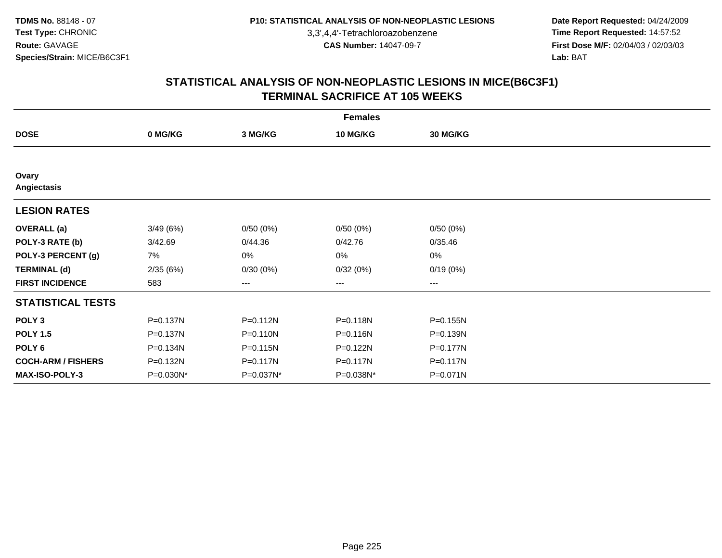3,3',4,4'-Tetrachloroazobenzene

 **Date Report Requested:** 04/24/2009 **Time Report Requested:** 14:57:52 **First Dose M/F:** 02/04/03 / 02/03/03<br>Lab: BAT **Lab:** BAT

| <b>Females</b>            |           |           |           |              |  |  |  |
|---------------------------|-----------|-----------|-----------|--------------|--|--|--|
| <b>DOSE</b>               | 0 MG/KG   | 3 MG/KG   | 10 MG/KG  | 30 MG/KG     |  |  |  |
|                           |           |           |           |              |  |  |  |
| Ovary<br>Angiectasis      |           |           |           |              |  |  |  |
| <b>LESION RATES</b>       |           |           |           |              |  |  |  |
| <b>OVERALL</b> (a)        | 3/49(6%)  | 0/50(0%)  | 0/50(0%)  | 0/50(0%)     |  |  |  |
| POLY-3 RATE (b)           | 3/42.69   | 0/44.36   | 0/42.76   | 0/35.46      |  |  |  |
| POLY-3 PERCENT (g)        | 7%        | 0%        | 0%        | 0%           |  |  |  |
| <b>TERMINAL (d)</b>       | 2/35(6%)  | 0/30(0%)  | 0/32(0%)  | 0/19(0%)     |  |  |  |
| <b>FIRST INCIDENCE</b>    | 583       | ---       | $---$     | ---          |  |  |  |
| <b>STATISTICAL TESTS</b>  |           |           |           |              |  |  |  |
| POLY <sub>3</sub>         | P=0.137N  | P=0.112N  | P=0.118N  | $P = 0.155N$ |  |  |  |
| <b>POLY 1.5</b>           | P=0.137N  | P=0.110N  | P=0.116N  | P=0.139N     |  |  |  |
| POLY <sub>6</sub>         | P=0.134N  | P=0.115N  | P=0.122N  | P=0.177N     |  |  |  |
| <b>COCH-ARM / FISHERS</b> | P=0.132N  | P=0.117N  | P=0.117N  | $P = 0.117N$ |  |  |  |
| <b>MAX-ISO-POLY-3</b>     | P=0.030N* | P=0.037N* | P=0.038N* | P=0.071N     |  |  |  |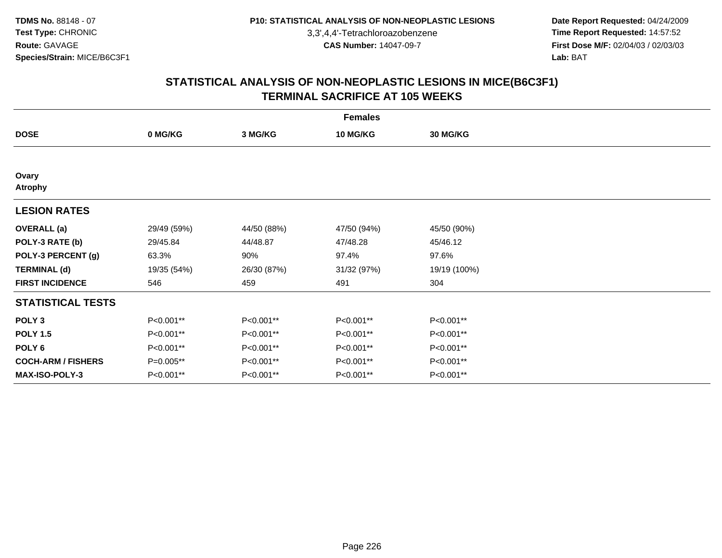3,3',4,4'-Tetrachloroazobenzene

 **Date Report Requested:** 04/24/2009 **Time Report Requested:** 14:57:52 **First Dose M/F:** 02/04/03 / 02/03/03<br>Lab: BAT **Lab:** BAT

| <b>Females</b>            |             |             |             |                 |  |  |  |
|---------------------------|-------------|-------------|-------------|-----------------|--|--|--|
| <b>DOSE</b>               | 0 MG/KG     | 3 MG/KG     | 10 MG/KG    | <b>30 MG/KG</b> |  |  |  |
|                           |             |             |             |                 |  |  |  |
| Ovary<br><b>Atrophy</b>   |             |             |             |                 |  |  |  |
| <b>LESION RATES</b>       |             |             |             |                 |  |  |  |
| <b>OVERALL</b> (a)        | 29/49 (59%) | 44/50 (88%) | 47/50 (94%) | 45/50 (90%)     |  |  |  |
| POLY-3 RATE (b)           | 29/45.84    | 44/48.87    | 47/48.28    | 45/46.12        |  |  |  |
| POLY-3 PERCENT (g)        | 63.3%       | 90%         | 97.4%       | 97.6%           |  |  |  |
| <b>TERMINAL (d)</b>       | 19/35 (54%) | 26/30 (87%) | 31/32 (97%) | 19/19 (100%)    |  |  |  |
| <b>FIRST INCIDENCE</b>    | 546         | 459         | 491         | 304             |  |  |  |
| <b>STATISTICAL TESTS</b>  |             |             |             |                 |  |  |  |
| POLY <sub>3</sub>         | P<0.001**   | P<0.001**   | P<0.001**   | P<0.001**       |  |  |  |
| <b>POLY 1.5</b>           | P<0.001**   | P<0.001**   | P<0.001**   | P<0.001**       |  |  |  |
| POLY 6                    | P<0.001**   | P<0.001**   | P<0.001**   | P<0.001**       |  |  |  |
| <b>COCH-ARM / FISHERS</b> | $P=0.005**$ | P<0.001**   | P<0.001**   | P<0.001**       |  |  |  |
| <b>MAX-ISO-POLY-3</b>     | P<0.001**   | P<0.001**   | P<0.001**   | P<0.001**       |  |  |  |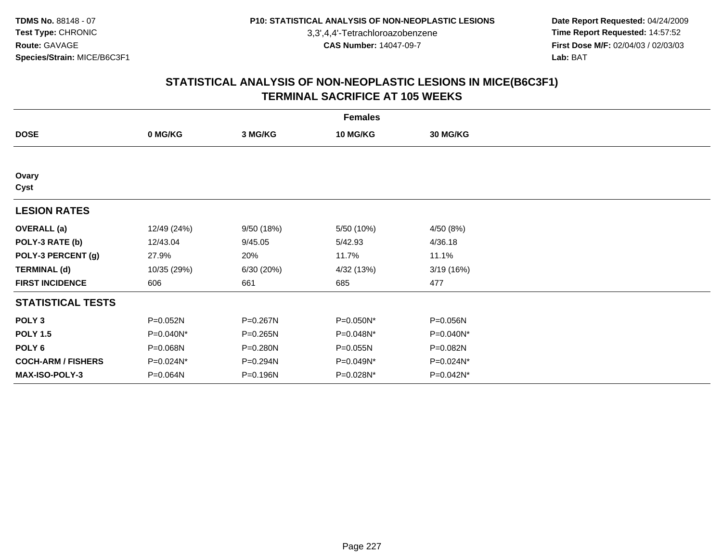3,3',4,4'-Tetrachloroazobenzene

 **Date Report Requested:** 04/24/2009 **Time Report Requested:** 14:57:52 **First Dose M/F:** 02/04/03 / 02/03/03<br>Lab: BAT **Lab:** BAT

| <b>Females</b>            |             |            |            |                 |  |  |  |
|---------------------------|-------------|------------|------------|-----------------|--|--|--|
| <b>DOSE</b>               | 0 MG/KG     | 3 MG/KG    | 10 MG/KG   | <b>30 MG/KG</b> |  |  |  |
|                           |             |            |            |                 |  |  |  |
| Ovary<br>Cyst             |             |            |            |                 |  |  |  |
| <b>LESION RATES</b>       |             |            |            |                 |  |  |  |
| <b>OVERALL</b> (a)        | 12/49 (24%) | 9/50 (18%) | 5/50 (10%) | 4/50 (8%)       |  |  |  |
| POLY-3 RATE (b)           | 12/43.04    | 9/45.05    | 5/42.93    | 4/36.18         |  |  |  |
| POLY-3 PERCENT (g)        | 27.9%       | 20%        | 11.7%      | 11.1%           |  |  |  |
| <b>TERMINAL (d)</b>       | 10/35 (29%) | 6/30 (20%) | 4/32 (13%) | 3/19 (16%)      |  |  |  |
| <b>FIRST INCIDENCE</b>    | 606         | 661        | 685        | 477             |  |  |  |
| <b>STATISTICAL TESTS</b>  |             |            |            |                 |  |  |  |
| POLY <sub>3</sub>         | P=0.052N    | P=0.267N   | P=0.050N*  | P=0.056N        |  |  |  |
| <b>POLY 1.5</b>           | P=0.040N*   | P=0.265N   | P=0.048N*  | P=0.040N*       |  |  |  |
| POLY <sub>6</sub>         | P=0.068N    | P=0.280N   | P=0.055N   | P=0.082N        |  |  |  |
| <b>COCH-ARM / FISHERS</b> | P=0.024N*   | P=0.294N   | P=0.049N*  | P=0.024N*       |  |  |  |
| <b>MAX-ISO-POLY-3</b>     | P=0.064N    | P=0.196N   | P=0.028N*  | P=0.042N*       |  |  |  |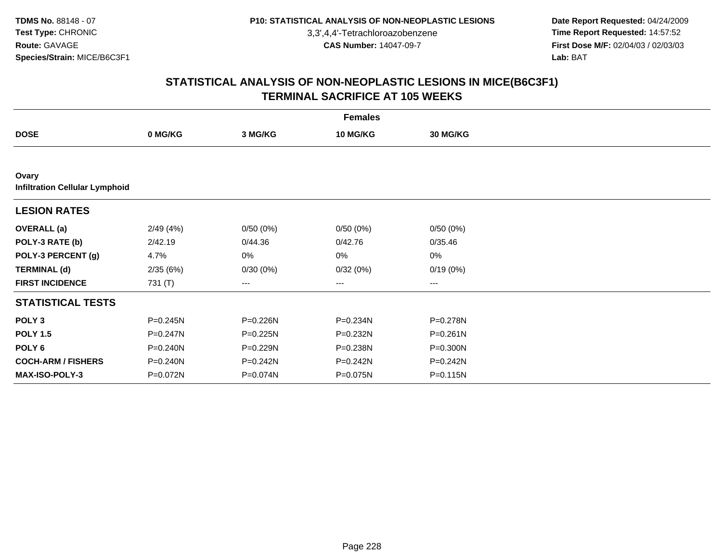3,3',4,4'-Tetrachloroazobenzene

 **Date Report Requested:** 04/24/2009 **Time Report Requested:** 14:57:52 **First Dose M/F:** 02/04/03 / 02/03/03<br>Lab: BAT **Lab:** BAT

| <b>Females</b>                                 |              |          |              |                 |  |  |  |
|------------------------------------------------|--------------|----------|--------------|-----------------|--|--|--|
| <b>DOSE</b>                                    | 0 MG/KG      | 3 MG/KG  | 10 MG/KG     | <b>30 MG/KG</b> |  |  |  |
|                                                |              |          |              |                 |  |  |  |
| Ovary<br><b>Infiltration Cellular Lymphoid</b> |              |          |              |                 |  |  |  |
| <b>LESION RATES</b>                            |              |          |              |                 |  |  |  |
| <b>OVERALL</b> (a)                             | 2/49(4%)     | 0/50(0%) | 0/50(0%)     | 0/50(0%)        |  |  |  |
| POLY-3 RATE (b)                                | 2/42.19      | 0/44.36  | 0/42.76      | 0/35.46         |  |  |  |
| POLY-3 PERCENT (g)                             | 4.7%         | 0%       | 0%           | 0%              |  |  |  |
| <b>TERMINAL (d)</b>                            | 2/35(6%)     | 0/30(0%) | 0/32(0%)     | 0/19(0%)        |  |  |  |
| <b>FIRST INCIDENCE</b>                         | 731 (T)      | $---$    | $---$        | ---             |  |  |  |
| <b>STATISTICAL TESTS</b>                       |              |          |              |                 |  |  |  |
| POLY <sub>3</sub>                              | P=0.245N     | P=0.226N | P=0.234N     | P=0.278N        |  |  |  |
| <b>POLY 1.5</b>                                | $P = 0.247N$ | P=0.225N | P=0.232N     | $P = 0.261N$    |  |  |  |
| POLY 6                                         | P=0.240N     | P=0.229N | P=0.238N     | P=0.300N        |  |  |  |
| <b>COCH-ARM / FISHERS</b>                      | $P = 0.240N$ | P=0.242N | $P = 0.242N$ | P=0.242N        |  |  |  |
| <b>MAX-ISO-POLY-3</b>                          | P=0.072N     | P=0.074N | P=0.075N     | $P = 0.115N$    |  |  |  |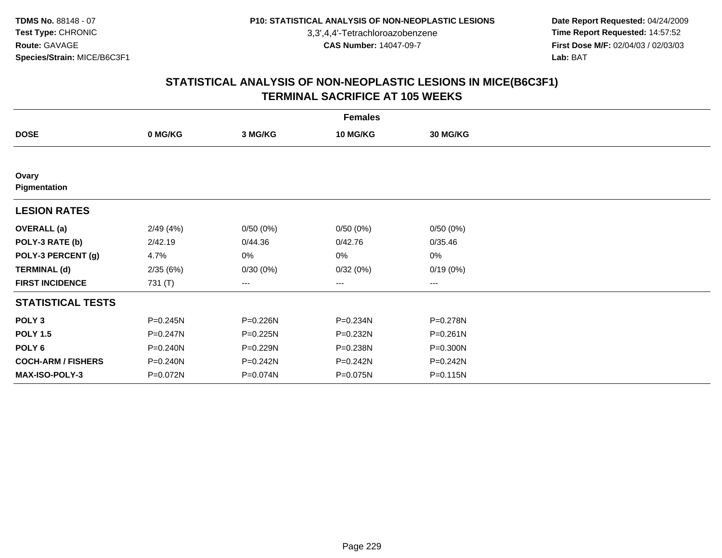3,3',4,4'-Tetrachloroazobenzene

 **Date Report Requested:** 04/24/2009 **Time Report Requested:** 14:57:52 **First Dose M/F:** 02/04/03 / 02/03/03<br>Lab: BAT **Lab:** BAT

|                           |              |                   | <b>Females</b>  |              |  |
|---------------------------|--------------|-------------------|-----------------|--------------|--|
| <b>DOSE</b>               | 0 MG/KG      | 3 MG/KG           | <b>10 MG/KG</b> | 30 MG/KG     |  |
|                           |              |                   |                 |              |  |
| Ovary<br>Pigmentation     |              |                   |                 |              |  |
| <b>LESION RATES</b>       |              |                   |                 |              |  |
| <b>OVERALL</b> (a)        | 2/49(4%)     | 0/50(0%)          | 0/50(0%)        | 0/50(0%)     |  |
| POLY-3 RATE (b)           | 2/42.19      | 0/44.36           | 0/42.76         | 0/35.46      |  |
| POLY-3 PERCENT (g)        | 4.7%         | 0%                | 0%              | 0%           |  |
| <b>TERMINAL (d)</b>       | 2/35(6%)     | 0/30(0%)          | 0/32(0%)        | 0/19(0%)     |  |
| <b>FIRST INCIDENCE</b>    | 731 (T)      | $\qquad \qquad -$ | ---             | $--$         |  |
| <b>STATISTICAL TESTS</b>  |              |                   |                 |              |  |
| POLY <sub>3</sub>         | $P = 0.245N$ | P=0.226N          | P=0.234N        | P=0.278N     |  |
| <b>POLY 1.5</b>           | P=0.247N     | P=0.225N          | P=0.232N        | $P = 0.261N$ |  |
| POLY <sub>6</sub>         | $P = 0.240N$ | P=0.229N          | P=0.238N        | P=0.300N     |  |
| <b>COCH-ARM / FISHERS</b> | $P = 0.240N$ | P=0.242N          | $P = 0.242N$    | $P = 0.242N$ |  |
| <b>MAX-ISO-POLY-3</b>     | P=0.072N     | P=0.074N          | P=0.075N        | $P = 0.115N$ |  |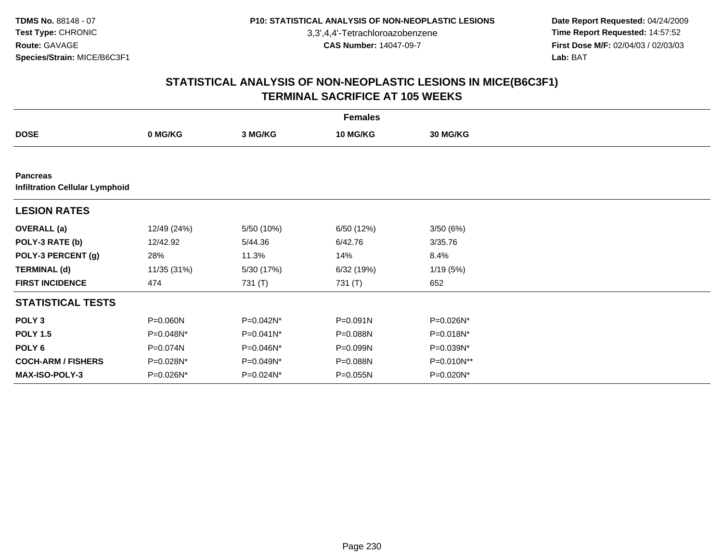3,3',4,4'-Tetrachloroazobenzene

 **Date Report Requested:** 04/24/2009 **Time Report Requested:** 14:57:52 **First Dose M/F:** 02/04/03 / 02/03/03<br>Lab: BAT **Lab:** BAT

|                                                          |             |              | <b>Females</b> |                 |  |
|----------------------------------------------------------|-------------|--------------|----------------|-----------------|--|
| <b>DOSE</b>                                              | 0 MG/KG     | 3 MG/KG      | 10 MG/KG       | <b>30 MG/KG</b> |  |
|                                                          |             |              |                |                 |  |
| <b>Pancreas</b><br><b>Infiltration Cellular Lymphoid</b> |             |              |                |                 |  |
| <b>LESION RATES</b>                                      |             |              |                |                 |  |
| <b>OVERALL</b> (a)                                       | 12/49 (24%) | 5/50 (10%)   | 6/50 (12%)     | 3/50(6%)        |  |
| POLY-3 RATE (b)                                          | 12/42.92    | 5/44.36      | 6/42.76        | 3/35.76         |  |
| POLY-3 PERCENT (g)                                       | 28%         | 11.3%        | 14%            | 8.4%            |  |
| <b>TERMINAL (d)</b>                                      | 11/35 (31%) | 5/30 (17%)   | 6/32(19%)      | 1/19(5%)        |  |
| <b>FIRST INCIDENCE</b>                                   | 474         | 731 (T)      | 731 (T)        | 652             |  |
| <b>STATISTICAL TESTS</b>                                 |             |              |                |                 |  |
| POLY <sub>3</sub>                                        | P=0.060N    | P=0.042N*    | $P = 0.091N$   | P=0.026N*       |  |
| <b>POLY 1.5</b>                                          | P=0.048N*   | $P=0.041N^*$ | P=0.088N       | P=0.018N*       |  |
| POLY <sub>6</sub>                                        | P=0.074N    | P=0.046N*    | P=0.099N       | P=0.039N*       |  |
| <b>COCH-ARM / FISHERS</b>                                | P=0.028N*   | P=0.049N*    | P=0.088N       | P=0.010N**      |  |
| <b>MAX-ISO-POLY-3</b>                                    | P=0.026N*   | P=0.024N*    | P=0.055N       | P=0.020N*       |  |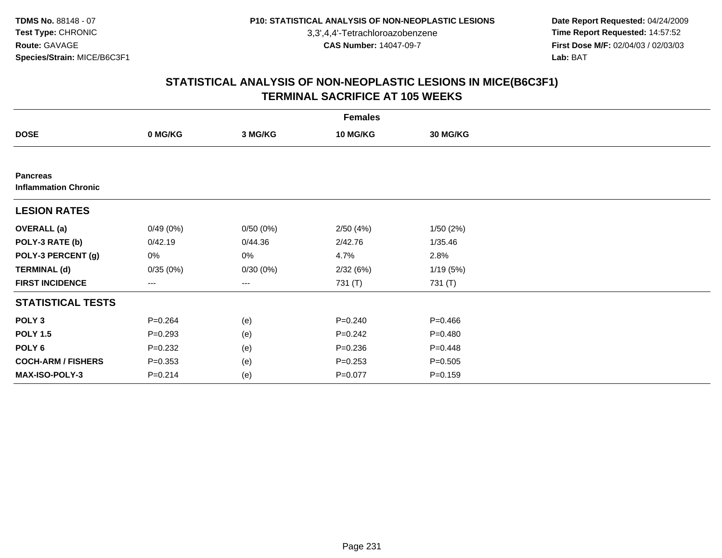3,3',4,4'-Tetrachloroazobenzene

 **Date Report Requested:** 04/24/2009 **Time Report Requested:** 14:57:52 **First Dose M/F:** 02/04/03 / 02/03/03<br>Lab: BAT **Lab:** BAT

|                                                |             |          | <b>Females</b> |                 |  |
|------------------------------------------------|-------------|----------|----------------|-----------------|--|
| <b>DOSE</b>                                    | 0 MG/KG     | 3 MG/KG  | 10 MG/KG       | <b>30 MG/KG</b> |  |
|                                                |             |          |                |                 |  |
| <b>Pancreas</b><br><b>Inflammation Chronic</b> |             |          |                |                 |  |
| <b>LESION RATES</b>                            |             |          |                |                 |  |
| <b>OVERALL</b> (a)                             | 0/49(0%)    | 0/50(0%) | 2/50(4%)       | 1/50(2%)        |  |
| POLY-3 RATE (b)                                | 0/42.19     | 0/44.36  | 2/42.76        | 1/35.46         |  |
| POLY-3 PERCENT (g)                             | 0%          | 0%       | 4.7%           | 2.8%            |  |
| <b>TERMINAL (d)</b>                            | 0/35(0%)    | 0/30(0%) | 2/32(6%)       | 1/19(5%)        |  |
| <b>FIRST INCIDENCE</b>                         | ---         | ---      | 731 (T)        | 731 (T)         |  |
| <b>STATISTICAL TESTS</b>                       |             |          |                |                 |  |
| POLY <sub>3</sub>                              | $P = 0.264$ | (e)      | $P=0.240$      | $P = 0.466$     |  |
| <b>POLY 1.5</b>                                | $P = 0.293$ | (e)      | $P=0.242$      | $P = 0.480$     |  |
| POLY 6                                         | $P = 0.232$ | (e)      | $P = 0.236$    | $P = 0.448$     |  |
| <b>COCH-ARM / FISHERS</b>                      | $P = 0.353$ | (e)      | $P = 0.253$    | $P = 0.505$     |  |
| MAX-ISO-POLY-3                                 | $P = 0.214$ | (e)      | $P = 0.077$    | $P = 0.159$     |  |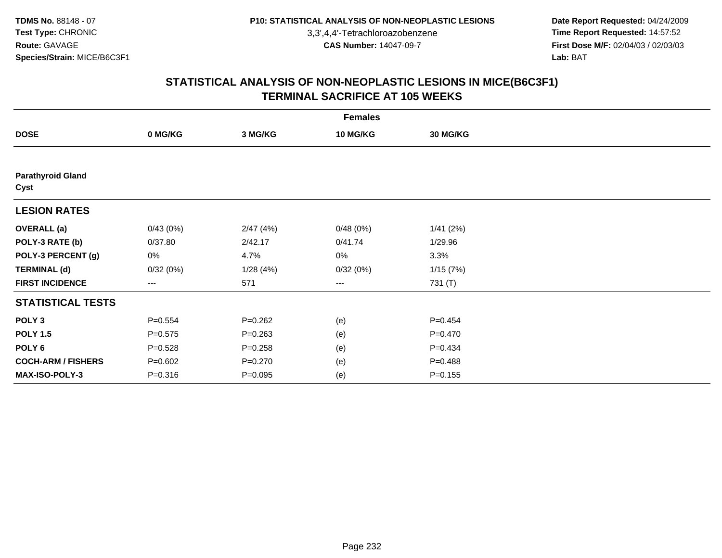3,3',4,4'-Tetrachloroazobenzene

 **Date Report Requested:** 04/24/2009 **Time Report Requested:** 14:57:52 **First Dose M/F:** 02/04/03 / 02/03/03<br>Lab: BAT **Lab:** BAT

|                                  | <b>Females</b> |             |                 |             |  |  |  |
|----------------------------------|----------------|-------------|-----------------|-------------|--|--|--|
| <b>DOSE</b>                      | 0 MG/KG        | 3 MG/KG     | <b>10 MG/KG</b> | 30 MG/KG    |  |  |  |
|                                  |                |             |                 |             |  |  |  |
| <b>Parathyroid Gland</b><br>Cyst |                |             |                 |             |  |  |  |
| <b>LESION RATES</b>              |                |             |                 |             |  |  |  |
| <b>OVERALL</b> (a)               | 0/43(0%)       | 2/47(4%)    | 0/48(0%)        | 1/41(2%)    |  |  |  |
| POLY-3 RATE (b)                  | 0/37.80        | 2/42.17     | 0/41.74         | 1/29.96     |  |  |  |
| POLY-3 PERCENT (g)               | 0%             | 4.7%        | 0%              | 3.3%        |  |  |  |
| <b>TERMINAL (d)</b>              | 0/32(0%)       | 1/28(4%)    | 0/32(0%)        | 1/15(7%)    |  |  |  |
| <b>FIRST INCIDENCE</b>           | ---            | 571         | ---             | 731 (T)     |  |  |  |
| <b>STATISTICAL TESTS</b>         |                |             |                 |             |  |  |  |
| POLY <sub>3</sub>                | $P = 0.554$    | $P=0.262$   | (e)             | $P=0.454$   |  |  |  |
| <b>POLY 1.5</b>                  | $P = 0.575$    | $P = 0.263$ | (e)             | $P=0.470$   |  |  |  |
| POLY <sub>6</sub>                | $P = 0.528$    | $P = 0.258$ | (e)             | $P=0.434$   |  |  |  |
| <b>COCH-ARM / FISHERS</b>        | $P = 0.602$    | $P=0.270$   | (e)             | $P=0.488$   |  |  |  |
| <b>MAX-ISO-POLY-3</b>            | $P = 0.316$    | $P=0.095$   | (e)             | $P = 0.155$ |  |  |  |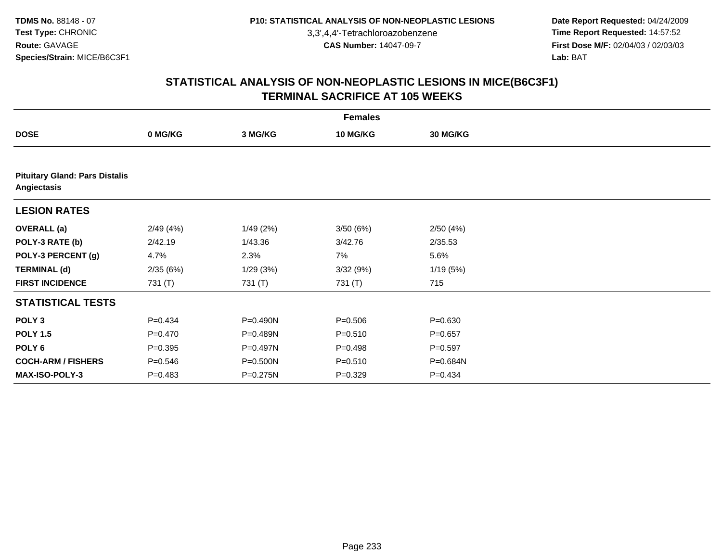3,3',4,4'-Tetrachloroazobenzene

 **Date Report Requested:** 04/24/2009 **Time Report Requested:** 14:57:52 **First Dose M/F:** 02/04/03 / 02/03/03<br>Lab: BAT **Lab:** BAT

|                                                      |             |          | <b>Females</b> |             |  |
|------------------------------------------------------|-------------|----------|----------------|-------------|--|
| <b>DOSE</b>                                          | 0 MG/KG     | 3 MG/KG  | 10 MG/KG       | 30 MG/KG    |  |
|                                                      |             |          |                |             |  |
| <b>Pituitary Gland: Pars Distalis</b><br>Angiectasis |             |          |                |             |  |
| <b>LESION RATES</b>                                  |             |          |                |             |  |
| <b>OVERALL</b> (a)                                   | 2/49(4%)    | 1/49(2%) | 3/50(6%)       | 2/50(4%)    |  |
| POLY-3 RATE (b)                                      | 2/42.19     | 1/43.36  | 3/42.76        | 2/35.53     |  |
| POLY-3 PERCENT (g)                                   | 4.7%        | 2.3%     | 7%             | 5.6%        |  |
| <b>TERMINAL (d)</b>                                  | 2/35(6%)    | 1/29(3%) | 3/32(9%)       | 1/19(5%)    |  |
| <b>FIRST INCIDENCE</b>                               | 731 (T)     | 731 (T)  | 731 (T)        | 715         |  |
| <b>STATISTICAL TESTS</b>                             |             |          |                |             |  |
| POLY <sub>3</sub>                                    | $P = 0.434$ | P=0.490N | $P = 0.506$    | $P = 0.630$ |  |
| <b>POLY 1.5</b>                                      | $P=0.470$   | P=0.489N | $P = 0.510$    | $P = 0.657$ |  |
| POLY <sub>6</sub>                                    | $P = 0.395$ | P=0.497N | $P = 0.498$    | $P = 0.597$ |  |
| <b>COCH-ARM / FISHERS</b>                            | $P = 0.546$ | P=0.500N | $P = 0.510$    | P=0.684N    |  |
| <b>MAX-ISO-POLY-3</b>                                | $P = 0.483$ | P=0.275N | $P=0.329$      | $P = 0.434$ |  |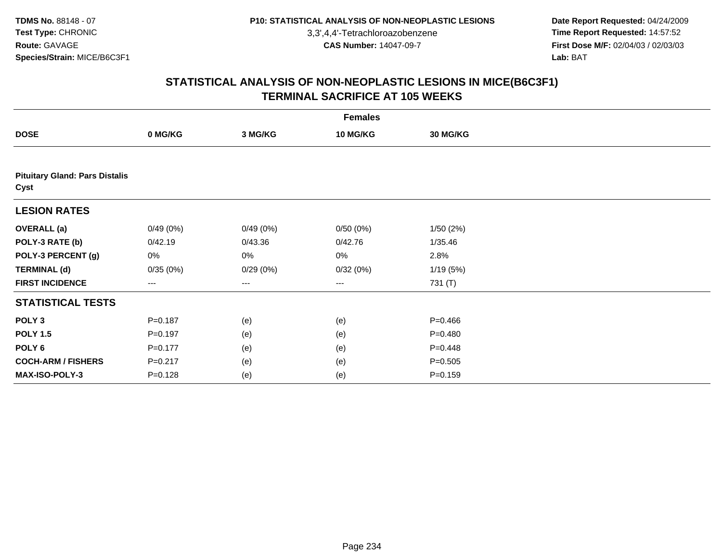3,3',4,4'-Tetrachloroazobenzene

 **Date Report Requested:** 04/24/2009 **Time Report Requested:** 14:57:52 **First Dose M/F:** 02/04/03 / 02/03/03<br>Lab: BAT **Lab:** BAT

|                                               | <b>Females</b>         |          |                 |             |  |  |  |
|-----------------------------------------------|------------------------|----------|-----------------|-------------|--|--|--|
| <b>DOSE</b>                                   | 0 MG/KG                | 3 MG/KG  | <b>10 MG/KG</b> | 30 MG/KG    |  |  |  |
|                                               |                        |          |                 |             |  |  |  |
| <b>Pituitary Gland: Pars Distalis</b><br>Cyst |                        |          |                 |             |  |  |  |
| <b>LESION RATES</b>                           |                        |          |                 |             |  |  |  |
| <b>OVERALL</b> (a)                            | 0/49(0%)               | 0/49(0%) | 0/50(0%)        | 1/50(2%)    |  |  |  |
| POLY-3 RATE (b)                               | 0/42.19                | 0/43.36  | 0/42.76         | 1/35.46     |  |  |  |
| POLY-3 PERCENT (g)                            | $0\%$                  | 0%       | 0%              | 2.8%        |  |  |  |
| <b>TERMINAL (d)</b>                           | 0/35(0%)               | 0/29(0%) | 0/32(0%)        | 1/19(5%)    |  |  |  |
| <b>FIRST INCIDENCE</b>                        | $\qquad \qquad \cdots$ | $---$    | ---             | 731 (T)     |  |  |  |
| <b>STATISTICAL TESTS</b>                      |                        |          |                 |             |  |  |  |
| POLY <sub>3</sub>                             | $P = 0.187$            | (e)      | (e)             | $P = 0.466$ |  |  |  |
| <b>POLY 1.5</b>                               | $P = 0.197$            | (e)      | (e)             | $P=0.480$   |  |  |  |
| POLY 6                                        | $P = 0.177$            | (e)      | (e)             | $P=0.448$   |  |  |  |
| <b>COCH-ARM / FISHERS</b>                     | $P = 0.217$            | (e)      | (e)             | $P = 0.505$ |  |  |  |
| MAX-ISO-POLY-3                                | $P = 0.128$            | (e)      | (e)             | $P = 0.159$ |  |  |  |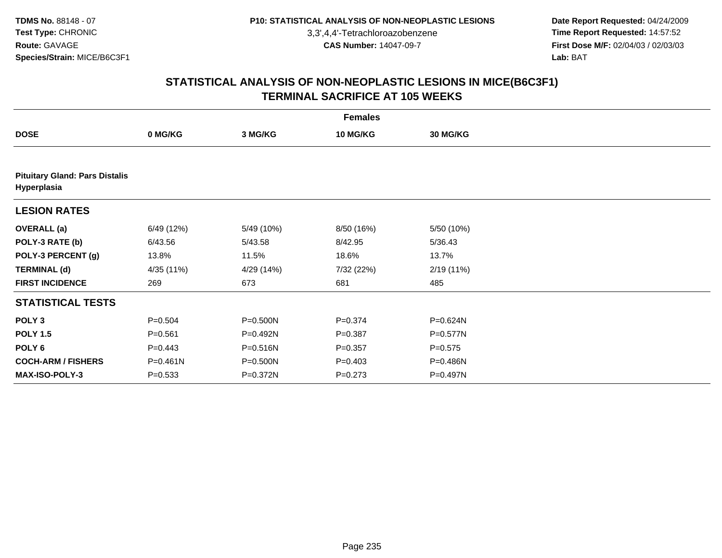3,3',4,4'-Tetrachloroazobenzene

 **Date Report Requested:** 04/24/2009 **Time Report Requested:** 14:57:52 **First Dose M/F:** 02/04/03 / 02/03/03<br>Lab: BAT **Lab:** BAT

| <b>Females</b>                                       |             |            |             |                 |  |  |
|------------------------------------------------------|-------------|------------|-------------|-----------------|--|--|
| <b>DOSE</b>                                          | 0 MG/KG     | 3 MG/KG    | 10 MG/KG    | <b>30 MG/KG</b> |  |  |
|                                                      |             |            |             |                 |  |  |
| <b>Pituitary Gland: Pars Distalis</b><br>Hyperplasia |             |            |             |                 |  |  |
| <b>LESION RATES</b>                                  |             |            |             |                 |  |  |
| <b>OVERALL</b> (a)                                   | 6/49 (12%)  | 5/49 (10%) | 8/50 (16%)  | 5/50 (10%)      |  |  |
| POLY-3 RATE (b)                                      | 6/43.56     | 5/43.58    | 8/42.95     | 5/36.43         |  |  |
| POLY-3 PERCENT (g)                                   | 13.8%       | 11.5%      | 18.6%       | 13.7%           |  |  |
| <b>TERMINAL (d)</b>                                  | 4/35 (11%)  | 4/29 (14%) | 7/32 (22%)  | 2/19(11%)       |  |  |
| <b>FIRST INCIDENCE</b>                               | 269         | 673        | 681         | 485             |  |  |
| <b>STATISTICAL TESTS</b>                             |             |            |             |                 |  |  |
| POLY <sub>3</sub>                                    | $P = 0.504$ | P=0.500N   | $P = 0.374$ | P=0.624N        |  |  |
| <b>POLY 1.5</b>                                      | $P = 0.561$ | P=0.492N   | $P = 0.387$ | P=0.577N        |  |  |
| POLY <sub>6</sub>                                    | $P=0.443$   | P=0.516N   | $P = 0.357$ | $P = 0.575$     |  |  |
| <b>COCH-ARM / FISHERS</b>                            | P=0.461N    | P=0.500N   | $P = 0.403$ | P=0.486N        |  |  |
| <b>MAX-ISO-POLY-3</b>                                | $P = 0.533$ | P=0.372N   | $P = 0.273$ | P=0.497N        |  |  |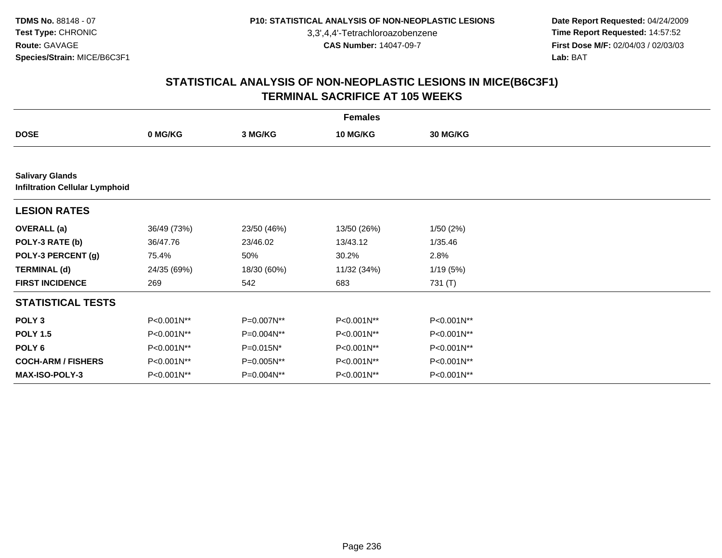3,3',4,4'-Tetrachloroazobenzene

 **Date Report Requested:** 04/24/2009 **Time Report Requested:** 14:57:52 **First Dose M/F:** 02/04/03 / 02/03/03<br>Lab: BAT **Lab:** BAT

|                                                                 | <b>Females</b> |             |                 |                 |  |  |  |
|-----------------------------------------------------------------|----------------|-------------|-----------------|-----------------|--|--|--|
| <b>DOSE</b>                                                     | 0 MG/KG        | 3 MG/KG     | <b>10 MG/KG</b> | <b>30 MG/KG</b> |  |  |  |
|                                                                 |                |             |                 |                 |  |  |  |
| <b>Salivary Glands</b><br><b>Infiltration Cellular Lymphoid</b> |                |             |                 |                 |  |  |  |
| <b>LESION RATES</b>                                             |                |             |                 |                 |  |  |  |
| <b>OVERALL</b> (a)                                              | 36/49 (73%)    | 23/50 (46%) | 13/50 (26%)     | 1/50(2%)        |  |  |  |
| POLY-3 RATE (b)                                                 | 36/47.76       | 23/46.02    | 13/43.12        | 1/35.46         |  |  |  |
| POLY-3 PERCENT (g)                                              | 75.4%          | 50%         | 30.2%           | 2.8%            |  |  |  |
| <b>TERMINAL (d)</b>                                             | 24/35 (69%)    | 18/30 (60%) | 11/32 (34%)     | 1/19(5%)        |  |  |  |
| <b>FIRST INCIDENCE</b>                                          | 269            | 542         | 683             | 731 (T)         |  |  |  |
| <b>STATISTICAL TESTS</b>                                        |                |             |                 |                 |  |  |  |
| POLY <sub>3</sub>                                               | P<0.001N**     | P=0.007N**  | P<0.001N**      | P<0.001N**      |  |  |  |
| <b>POLY 1.5</b>                                                 | P<0.001N**     | P=0.004N**  | P<0.001N**      | P<0.001N**      |  |  |  |
| POLY 6                                                          | P<0.001N**     | P=0.015N*   | P<0.001N**      | P<0.001N**      |  |  |  |
| <b>COCH-ARM / FISHERS</b>                                       | P<0.001N**     | P=0.005N**  | P<0.001N**      | P<0.001N**      |  |  |  |
| <b>MAX-ISO-POLY-3</b>                                           | P<0.001N**     | P=0.004N**  | P<0.001N**      | P<0.001N**      |  |  |  |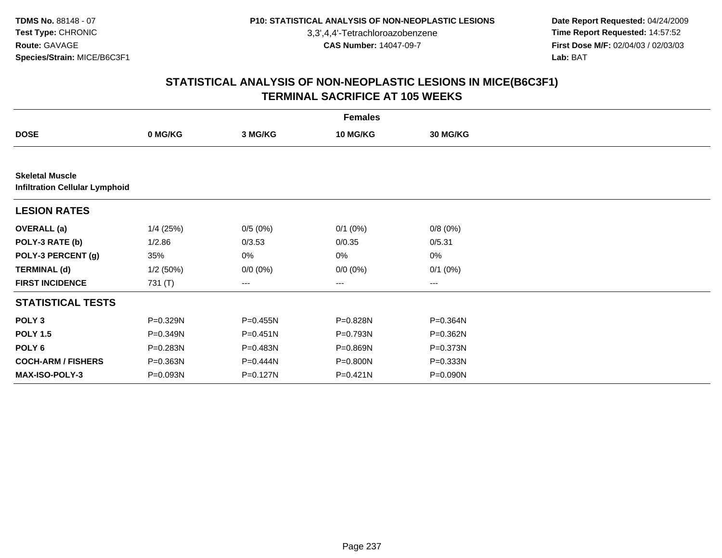3,3',4,4'-Tetrachloroazobenzene

 **Date Report Requested:** 04/24/2009 **Time Report Requested:** 14:57:52 **First Dose M/F:** 02/04/03 / 02/03/03<br>Lab: BAT **Lab:** BAT

|                                                                 |             |              | <b>Females</b> |              |  |
|-----------------------------------------------------------------|-------------|--------------|----------------|--------------|--|
| <b>DOSE</b>                                                     | 0 MG/KG     | 3 MG/KG      | 10 MG/KG       | 30 MG/KG     |  |
|                                                                 |             |              |                |              |  |
| <b>Skeletal Muscle</b><br><b>Infiltration Cellular Lymphoid</b> |             |              |                |              |  |
| <b>LESION RATES</b>                                             |             |              |                |              |  |
| <b>OVERALL</b> (a)                                              | $1/4$ (25%) | 0/5(0%)      | $0/1$ (0%)     | 0/8(0%)      |  |
| POLY-3 RATE (b)                                                 | 1/2.86      | 0/3.53       | 0/0.35         | 0/5.31       |  |
| POLY-3 PERCENT (g)                                              | 35%         | 0%           | 0%             | 0%           |  |
| <b>TERMINAL (d)</b>                                             | 1/2(50%)    | $0/0 (0\%)$  | $0/0 (0\%)$    | $0/1$ $(0%)$ |  |
| <b>FIRST INCIDENCE</b>                                          | 731 (T)     | ---          | ---            | ---          |  |
| <b>STATISTICAL TESTS</b>                                        |             |              |                |              |  |
| POLY <sub>3</sub>                                               | P=0.329N    | P=0.455N     | P=0.828N       | P=0.364N     |  |
| <b>POLY 1.5</b>                                                 | P=0.349N    | $P = 0.451N$ | P=0.793N       | P=0.362N     |  |
| POLY 6                                                          | P=0.283N    | $P = 0.483N$ | P=0.869N       | P=0.373N     |  |
| <b>COCH-ARM / FISHERS</b>                                       | P=0.363N    | P=0.444N     | P=0.800N       | P=0.333N     |  |
| <b>MAX-ISO-POLY-3</b>                                           | P=0.093N    | P=0.127N     | P=0.421N       | P=0.090N     |  |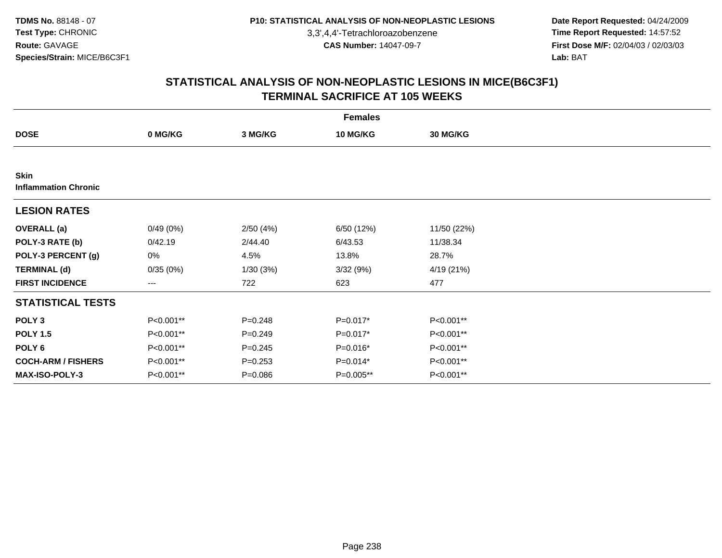3,3',4,4'-Tetrachloroazobenzene

 **Date Report Requested:** 04/24/2009 **Time Report Requested:** 14:57:52 **First Dose M/F:** 02/04/03 / 02/03/03<br>Lab: BAT **Lab:** BAT

|                                            |           |             | <b>Females</b> |                 |  |
|--------------------------------------------|-----------|-------------|----------------|-----------------|--|
| <b>DOSE</b>                                | 0 MG/KG   | 3 MG/KG     | 10 MG/KG       | <b>30 MG/KG</b> |  |
|                                            |           |             |                |                 |  |
| <b>Skin</b><br><b>Inflammation Chronic</b> |           |             |                |                 |  |
| <b>LESION RATES</b>                        |           |             |                |                 |  |
| <b>OVERALL</b> (a)                         | 0/49(0%)  | 2/50(4%)    | 6/50 (12%)     | 11/50 (22%)     |  |
| POLY-3 RATE (b)                            | 0/42.19   | 2/44.40     | 6/43.53        | 11/38.34        |  |
| POLY-3 PERCENT (g)                         | 0%        | 4.5%        | 13.8%          | 28.7%           |  |
| <b>TERMINAL (d)</b>                        | 0/35(0%)  | 1/30(3%)    | 3/32(9%)       | 4/19 (21%)      |  |
| <b>FIRST INCIDENCE</b>                     | ---       | 722         | 623            | 477             |  |
| <b>STATISTICAL TESTS</b>                   |           |             |                |                 |  |
| POLY <sub>3</sub>                          | P<0.001** | $P = 0.248$ | $P=0.017*$     | P<0.001**       |  |
| <b>POLY 1.5</b>                            | P<0.001** | $P=0.249$   | $P=0.017*$     | P<0.001**       |  |
| POLY 6                                     | P<0.001** | $P = 0.245$ | P=0.016*       | P<0.001**       |  |
| <b>COCH-ARM / FISHERS</b>                  | P<0.001** | $P = 0.253$ | $P=0.014*$     | P<0.001**       |  |
| MAX-ISO-POLY-3                             | P<0.001** | $P = 0.086$ | P=0.005**      | P<0.001**       |  |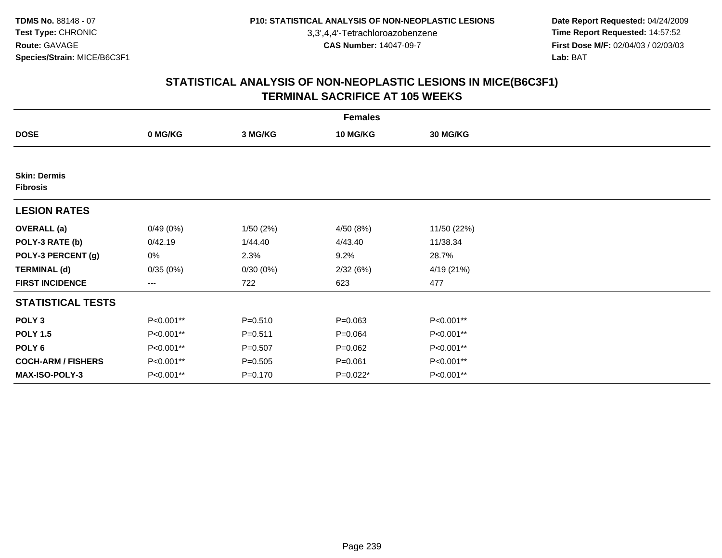3,3',4,4'-Tetrachloroazobenzene

 **Date Report Requested:** 04/24/2009 **Time Report Requested:** 14:57:52 **First Dose M/F:** 02/04/03 / 02/03/03<br>Lab: BAT **Lab:** BAT

|                                        |                        |             | <b>Females</b>  |             |  |
|----------------------------------------|------------------------|-------------|-----------------|-------------|--|
| <b>DOSE</b>                            | 0 MG/KG                | 3 MG/KG     | <b>10 MG/KG</b> | 30 MG/KG    |  |
|                                        |                        |             |                 |             |  |
| <b>Skin: Dermis</b><br><b>Fibrosis</b> |                        |             |                 |             |  |
| <b>LESION RATES</b>                    |                        |             |                 |             |  |
| <b>OVERALL</b> (a)                     | 0/49(0%)               | 1/50(2%)    | 4/50 (8%)       | 11/50 (22%) |  |
| POLY-3 RATE (b)                        | 0/42.19                | 1/44.40     | 4/43.40         | 11/38.34    |  |
| POLY-3 PERCENT (g)                     | 0%                     | 2.3%        | 9.2%            | 28.7%       |  |
| <b>TERMINAL (d)</b>                    | 0/35(0%)               | 0/30(0%)    | 2/32(6%)        | 4/19 (21%)  |  |
| <b>FIRST INCIDENCE</b>                 | $\qquad \qquad \cdots$ | 722         | 623             | 477         |  |
| <b>STATISTICAL TESTS</b>               |                        |             |                 |             |  |
| POLY <sub>3</sub>                      | P<0.001**              | $P = 0.510$ | $P = 0.063$     | P<0.001**   |  |
| <b>POLY 1.5</b>                        | P<0.001**              | $P = 0.511$ | $P = 0.064$     | P<0.001**   |  |
| POLY <sub>6</sub>                      | P<0.001**              | $P = 0.507$ | $P=0.062$       | P<0.001**   |  |
| <b>COCH-ARM / FISHERS</b>              | P<0.001**              | $P = 0.505$ | $P = 0.061$     | P<0.001**   |  |
| MAX-ISO-POLY-3                         | P<0.001**              | $P = 0.170$ | $P=0.022*$      | P<0.001**   |  |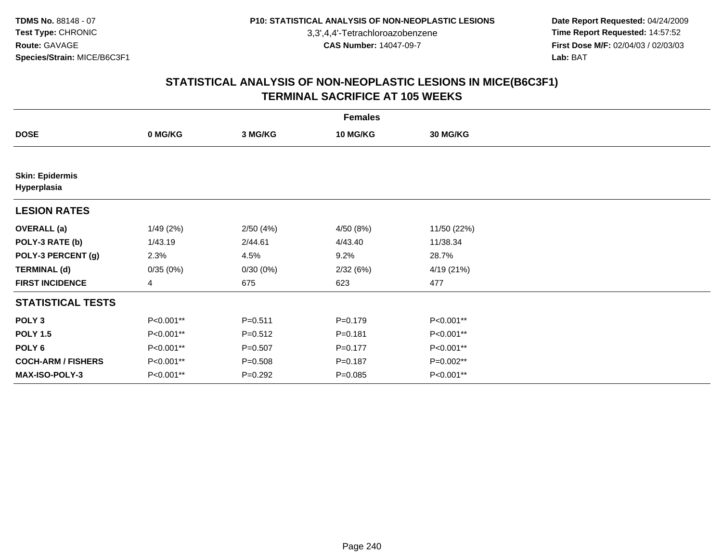3,3',4,4'-Tetrachloroazobenzene

 **Date Report Requested:** 04/24/2009 **Time Report Requested:** 14:57:52 **First Dose M/F:** 02/04/03 / 02/03/03<br>Lab: BAT **Lab:** BAT

|                                       |                |             | <b>Females</b>  |                 |  |
|---------------------------------------|----------------|-------------|-----------------|-----------------|--|
| <b>DOSE</b>                           | 0 MG/KG        | 3 MG/KG     | <b>10 MG/KG</b> | <b>30 MG/KG</b> |  |
|                                       |                |             |                 |                 |  |
| <b>Skin: Epidermis</b><br>Hyperplasia |                |             |                 |                 |  |
| <b>LESION RATES</b>                   |                |             |                 |                 |  |
| <b>OVERALL</b> (a)                    | 1/49(2%)       | 2/50(4%)    | 4/50 (8%)       | 11/50 (22%)     |  |
| POLY-3 RATE (b)                       | 1/43.19        | 2/44.61     | 4/43.40         | 11/38.34        |  |
| POLY-3 PERCENT (g)                    | 2.3%           | 4.5%        | 9.2%            | 28.7%           |  |
| <b>TERMINAL (d)</b>                   | 0/35(0%)       | 0/30(0%)    | 2/32(6%)        | 4/19 (21%)      |  |
| <b>FIRST INCIDENCE</b>                | $\overline{4}$ | 675         | 623             | 477             |  |
| <b>STATISTICAL TESTS</b>              |                |             |                 |                 |  |
| POLY <sub>3</sub>                     | P<0.001**      | $P = 0.511$ | $P=0.179$       | P<0.001**       |  |
| <b>POLY 1.5</b>                       | P<0.001**      | $P = 0.512$ | $P = 0.181$     | P<0.001**       |  |
| POLY <sub>6</sub>                     | P<0.001**      | $P = 0.507$ | $P=0.177$       | P<0.001**       |  |
| <b>COCH-ARM / FISHERS</b>             | P<0.001**      | $P = 0.508$ | $P = 0.187$     | P=0.002**       |  |
| MAX-ISO-POLY-3                        | P<0.001**      | $P=0.292$   | $P=0.085$       | P<0.001**       |  |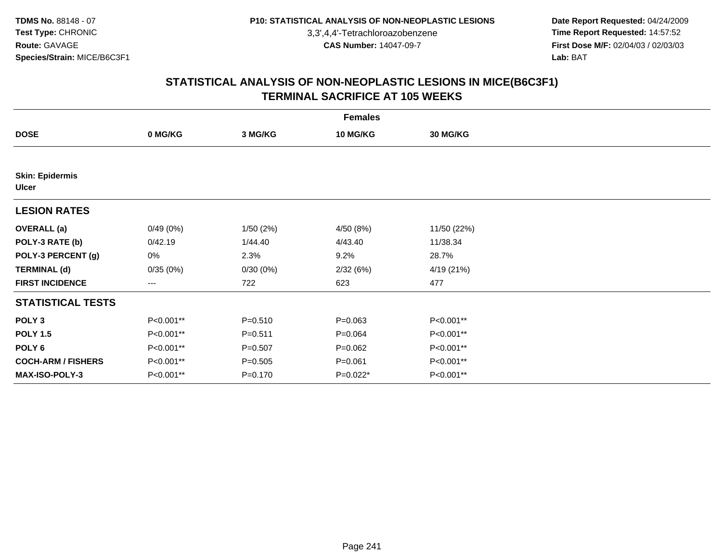3,3',4,4'-Tetrachloroazobenzene

 **Date Report Requested:** 04/24/2009 **Time Report Requested:** 14:57:52 **First Dose M/F:** 02/04/03 / 02/03/03<br>Lab: BAT **Lab:** BAT

|                                        | <b>Females</b>         |             |                 |             |  |  |  |  |
|----------------------------------------|------------------------|-------------|-----------------|-------------|--|--|--|--|
| <b>DOSE</b>                            | 0 MG/KG                | 3 MG/KG     | <b>10 MG/KG</b> | 30 MG/KG    |  |  |  |  |
|                                        |                        |             |                 |             |  |  |  |  |
| <b>Skin: Epidermis</b><br><b>Ulcer</b> |                        |             |                 |             |  |  |  |  |
| <b>LESION RATES</b>                    |                        |             |                 |             |  |  |  |  |
| <b>OVERALL</b> (a)                     | 0/49(0%)               | 1/50(2%)    | 4/50 (8%)       | 11/50 (22%) |  |  |  |  |
| POLY-3 RATE (b)                        | 0/42.19                | 1/44.40     | 4/43.40         | 11/38.34    |  |  |  |  |
| POLY-3 PERCENT (g)                     | 0%                     | 2.3%        | 9.2%            | 28.7%       |  |  |  |  |
| <b>TERMINAL (d)</b>                    | 0/35(0%)               | 0/30(0%)    | 2/32(6%)        | 4/19 (21%)  |  |  |  |  |
| <b>FIRST INCIDENCE</b>                 | $\qquad \qquad \cdots$ | 722         | 623             | 477         |  |  |  |  |
| <b>STATISTICAL TESTS</b>               |                        |             |                 |             |  |  |  |  |
| POLY <sub>3</sub>                      | P<0.001**              | $P = 0.510$ | $P = 0.063$     | P<0.001**   |  |  |  |  |
| <b>POLY 1.5</b>                        | P<0.001**              | $P = 0.511$ | $P = 0.064$     | P<0.001**   |  |  |  |  |
| POLY <sub>6</sub>                      | P<0.001**              | $P = 0.507$ | $P=0.062$       | P<0.001**   |  |  |  |  |
| <b>COCH-ARM / FISHERS</b>              | P<0.001**              | $P = 0.505$ | $P = 0.061$     | P<0.001**   |  |  |  |  |
| MAX-ISO-POLY-3                         | P<0.001**              | $P = 0.170$ | $P=0.022*$      | P<0.001**   |  |  |  |  |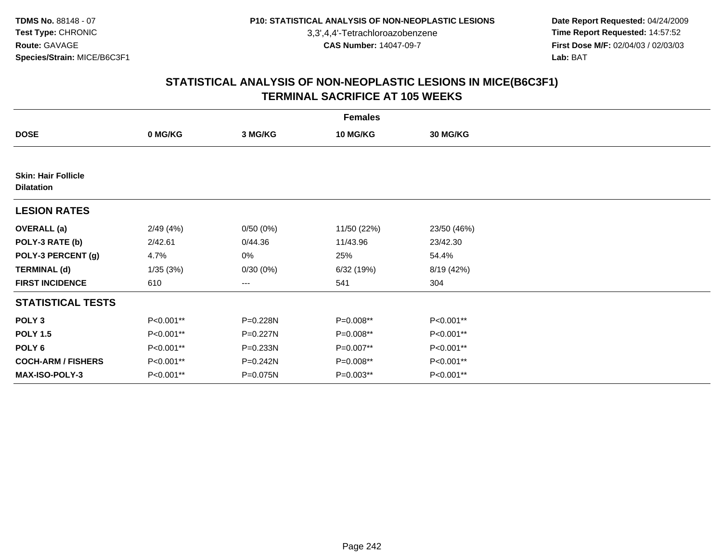3,3',4,4'-Tetrachloroazobenzene

 **Date Report Requested:** 04/24/2009 **Time Report Requested:** 14:57:52 **First Dose M/F:** 02/04/03 / 02/03/03<br>Lab: BAT **Lab:** BAT

|                                                 | <b>Females</b> |          |             |                 |  |  |  |  |
|-------------------------------------------------|----------------|----------|-------------|-----------------|--|--|--|--|
| <b>DOSE</b>                                     | 0 MG/KG        | 3 MG/KG  | 10 MG/KG    | <b>30 MG/KG</b> |  |  |  |  |
|                                                 |                |          |             |                 |  |  |  |  |
| <b>Skin: Hair Follicle</b><br><b>Dilatation</b> |                |          |             |                 |  |  |  |  |
| <b>LESION RATES</b>                             |                |          |             |                 |  |  |  |  |
| <b>OVERALL</b> (a)                              | 2/49(4%)       | 0/50(0%) | 11/50 (22%) | 23/50 (46%)     |  |  |  |  |
| POLY-3 RATE (b)                                 | 2/42.61        | 0/44.36  | 11/43.96    | 23/42.30        |  |  |  |  |
| POLY-3 PERCENT (g)                              | 4.7%           | 0%       | 25%         | 54.4%           |  |  |  |  |
| <b>TERMINAL (d)</b>                             | 1/35(3%)       | 0/30(0%) | 6/32 (19%)  | 8/19 (42%)      |  |  |  |  |
| <b>FIRST INCIDENCE</b>                          | 610            | ---      | 541         | 304             |  |  |  |  |
| <b>STATISTICAL TESTS</b>                        |                |          |             |                 |  |  |  |  |
| POLY <sub>3</sub>                               | P<0.001**      | P=0.228N | P=0.008**   | P<0.001**       |  |  |  |  |
| <b>POLY 1.5</b>                                 | P<0.001**      | P=0.227N | P=0.008**   | P<0.001**       |  |  |  |  |
| POLY <sub>6</sub>                               | P<0.001**      | P=0.233N | P=0.007**   | P<0.001**       |  |  |  |  |
| <b>COCH-ARM / FISHERS</b>                       | P<0.001**      | P=0.242N | P=0.008**   | P<0.001**       |  |  |  |  |
| <b>MAX-ISO-POLY-3</b>                           | P<0.001**      | P=0.075N | P=0.003**   | P<0.001**       |  |  |  |  |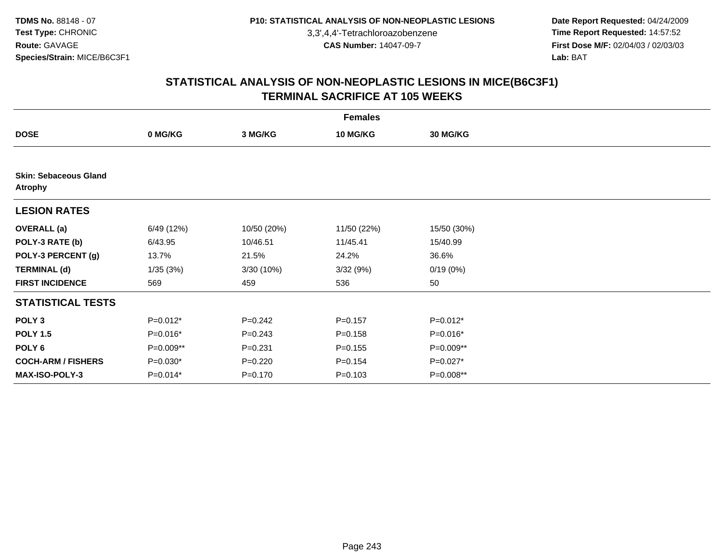3,3',4,4'-Tetrachloroazobenzene

 **Date Report Requested:** 04/24/2009 **Time Report Requested:** 14:57:52 **First Dose M/F:** 02/04/03 / 02/03/03<br>Lab: BAT **Lab:** BAT

| <b>Females</b>                                 |            |             |                 |                 |  |  |  |
|------------------------------------------------|------------|-------------|-----------------|-----------------|--|--|--|
| <b>DOSE</b>                                    | 0 MG/KG    | 3 MG/KG     | <b>10 MG/KG</b> | <b>30 MG/KG</b> |  |  |  |
|                                                |            |             |                 |                 |  |  |  |
| <b>Skin: Sebaceous Gland</b><br><b>Atrophy</b> |            |             |                 |                 |  |  |  |
| <b>LESION RATES</b>                            |            |             |                 |                 |  |  |  |
| <b>OVERALL</b> (a)                             | 6/49 (12%) | 10/50 (20%) | 11/50 (22%)     | 15/50 (30%)     |  |  |  |
| POLY-3 RATE (b)                                | 6/43.95    | 10/46.51    | 11/45.41        | 15/40.99        |  |  |  |
| POLY-3 PERCENT (g)                             | 13.7%      | 21.5%       | 24.2%           | 36.6%           |  |  |  |
| <b>TERMINAL (d)</b>                            | 1/35(3%)   | 3/30 (10%)  | 3/32(9%)        | 0/19(0%)        |  |  |  |
| <b>FIRST INCIDENCE</b>                         | 569        | 459         | 536             | 50              |  |  |  |
| <b>STATISTICAL TESTS</b>                       |            |             |                 |                 |  |  |  |
| POLY <sub>3</sub>                              | P=0.012*   | $P = 0.242$ | $P = 0.157$     | $P=0.012*$      |  |  |  |
| <b>POLY 1.5</b>                                | $P=0.016*$ | $P = 0.243$ | $P = 0.158$     | $P=0.016*$      |  |  |  |
| POLY 6                                         | P=0.009**  | $P = 0.231$ | $P = 0.155$     | P=0.009**       |  |  |  |
| <b>COCH-ARM / FISHERS</b>                      | P=0.030*   | $P = 0.220$ | $P = 0.154$     | P=0.027*        |  |  |  |
| <b>MAX-ISO-POLY-3</b>                          | $P=0.014*$ | $P = 0.170$ | $P = 0.103$     | $P=0.008**$     |  |  |  |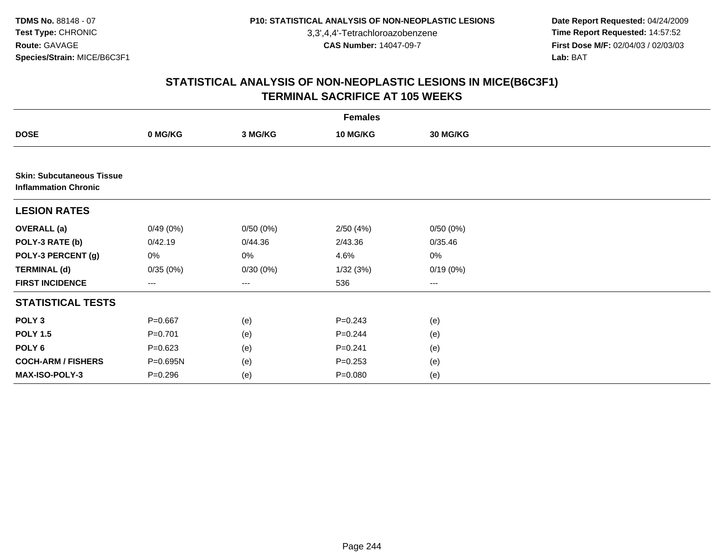3,3',4,4'-Tetrachloroazobenzene

 **Date Report Requested:** 04/24/2009 **Time Report Requested:** 14:57:52 **First Dose M/F:** 02/04/03 / 02/03/03<br>Lab: BAT **Lab:** BAT

|                                                                 | <b>Females</b> |          |                 |                 |  |  |  |  |
|-----------------------------------------------------------------|----------------|----------|-----------------|-----------------|--|--|--|--|
| <b>DOSE</b>                                                     | 0 MG/KG        | 3 MG/KG  | <b>10 MG/KG</b> | <b>30 MG/KG</b> |  |  |  |  |
|                                                                 |                |          |                 |                 |  |  |  |  |
| <b>Skin: Subcutaneous Tissue</b><br><b>Inflammation Chronic</b> |                |          |                 |                 |  |  |  |  |
| <b>LESION RATES</b>                                             |                |          |                 |                 |  |  |  |  |
| <b>OVERALL</b> (a)                                              | 0/49(0%)       | 0/50(0%) | 2/50(4%)        | 0/50(0%)        |  |  |  |  |
| POLY-3 RATE (b)                                                 | 0/42.19        | 0/44.36  | 2/43.36         | 0/35.46         |  |  |  |  |
| POLY-3 PERCENT (g)                                              | 0%             | 0%       | 4.6%            | 0%              |  |  |  |  |
| <b>TERMINAL (d)</b>                                             | 0/35(0%)       | 0/30(0%) | 1/32(3%)        | 0/19(0%)        |  |  |  |  |
| <b>FIRST INCIDENCE</b>                                          | $---$          | ---      | 536             | ---             |  |  |  |  |
| <b>STATISTICAL TESTS</b>                                        |                |          |                 |                 |  |  |  |  |
| POLY <sub>3</sub>                                               | $P = 0.667$    | (e)      | $P = 0.243$     | (e)             |  |  |  |  |
| <b>POLY 1.5</b>                                                 | $P = 0.701$    | (e)      | $P=0.244$       | (e)             |  |  |  |  |
| POLY <sub>6</sub>                                               | $P = 0.623$    | (e)      | $P = 0.241$     | (e)             |  |  |  |  |
| <b>COCH-ARM / FISHERS</b>                                       | P=0.695N       | (e)      | $P = 0.253$     | (e)             |  |  |  |  |
| MAX-ISO-POLY-3                                                  | $P = 0.296$    | (e)      | $P = 0.080$     | (e)             |  |  |  |  |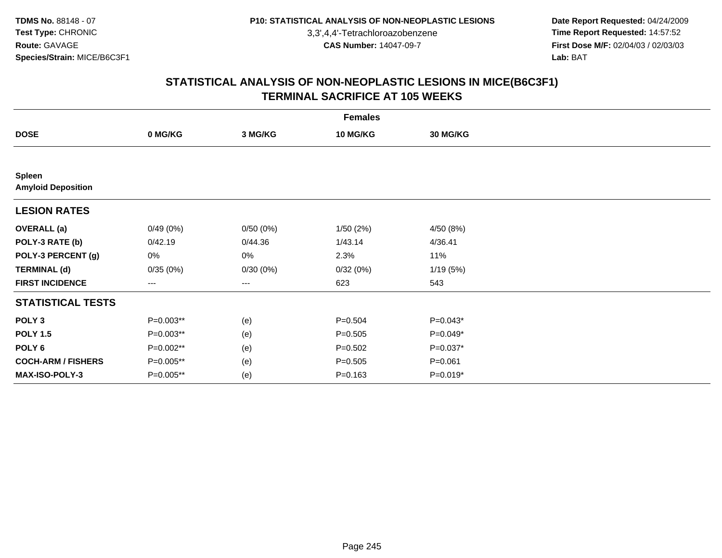3,3',4,4'-Tetrachloroazobenzene

 **Date Report Requested:** 04/24/2009 **Time Report Requested:** 14:57:52 **First Dose M/F:** 02/04/03 / 02/03/03<br>Lab: BAT **Lab:** BAT

| <b>Females</b>                             |                   |                   |                 |                 |  |  |  |
|--------------------------------------------|-------------------|-------------------|-----------------|-----------------|--|--|--|
| <b>DOSE</b>                                | 0 MG/KG           | 3 MG/KG           | <b>10 MG/KG</b> | <b>30 MG/KG</b> |  |  |  |
|                                            |                   |                   |                 |                 |  |  |  |
| <b>Spleen</b><br><b>Amyloid Deposition</b> |                   |                   |                 |                 |  |  |  |
| <b>LESION RATES</b>                        |                   |                   |                 |                 |  |  |  |
| <b>OVERALL</b> (a)                         | 0/49(0%)          | 0/50(0%)          | 1/50(2%)        | 4/50(8%)        |  |  |  |
| POLY-3 RATE (b)                            | 0/42.19           | 0/44.36           | 1/43.14         | 4/36.41         |  |  |  |
| POLY-3 PERCENT (g)                         | 0%                | 0%                | 2.3%            | 11%             |  |  |  |
| <b>TERMINAL (d)</b>                        | 0/35(0%)          | 0/30(0%)          | 0/32(0%)        | 1/19(5%)        |  |  |  |
| <b>FIRST INCIDENCE</b>                     | $\qquad \qquad -$ | $\qquad \qquad -$ | 623             | 543             |  |  |  |
| <b>STATISTICAL TESTS</b>                   |                   |                   |                 |                 |  |  |  |
| POLY <sub>3</sub>                          | P=0.003**         | (e)               | $P = 0.504$     | $P=0.043*$      |  |  |  |
| <b>POLY 1.5</b>                            | P=0.003**         | (e)               | $P = 0.505$     | $P=0.049*$      |  |  |  |
| POLY <sub>6</sub>                          | P=0.002**         | (e)               | $P = 0.502$     | $P=0.037*$      |  |  |  |
| <b>COCH-ARM / FISHERS</b>                  | P=0.005**         | (e)               | $P = 0.505$     | $P = 0.061$     |  |  |  |
| MAX-ISO-POLY-3                             | P=0.005**         | (e)               | $P = 0.163$     | $P=0.019*$      |  |  |  |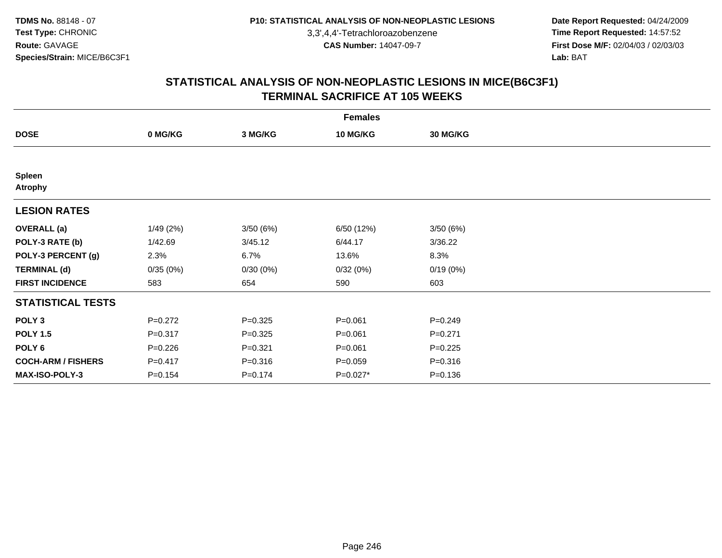3,3',4,4'-Tetrachloroazobenzene

 **Date Report Requested:** 04/24/2009 **Time Report Requested:** 14:57:52 **First Dose M/F:** 02/04/03 / 02/03/03<br>Lab: BAT **Lab:** BAT

| <b>Females</b>            |             |             |                 |             |  |  |  |
|---------------------------|-------------|-------------|-----------------|-------------|--|--|--|
| <b>DOSE</b>               | 0 MG/KG     | 3 MG/KG     | <b>10 MG/KG</b> | 30 MG/KG    |  |  |  |
|                           |             |             |                 |             |  |  |  |
| <b>Spleen</b><br>Atrophy  |             |             |                 |             |  |  |  |
| <b>LESION RATES</b>       |             |             |                 |             |  |  |  |
| <b>OVERALL</b> (a)        | 1/49(2%)    | 3/50(6%)    | 6/50 (12%)      | 3/50(6%)    |  |  |  |
| POLY-3 RATE (b)           | 1/42.69     | 3/45.12     | 6/44.17         | 3/36.22     |  |  |  |
| POLY-3 PERCENT (g)        | 2.3%        | 6.7%        | 13.6%           | 8.3%        |  |  |  |
| <b>TERMINAL (d)</b>       | 0/35(0%)    | 0/30(0%)    | 0/32(0%)        | 0/19(0%)    |  |  |  |
| <b>FIRST INCIDENCE</b>    | 583         | 654         | 590             | 603         |  |  |  |
| <b>STATISTICAL TESTS</b>  |             |             |                 |             |  |  |  |
| POLY <sub>3</sub>         | $P=0.272$   | $P = 0.325$ | $P = 0.061$     | $P=0.249$   |  |  |  |
| <b>POLY 1.5</b>           | $P = 0.317$ | $P = 0.325$ | $P = 0.061$     | $P = 0.271$ |  |  |  |
| POLY <sub>6</sub>         | $P = 0.226$ | $P = 0.321$ | $P = 0.061$     | $P=0.225$   |  |  |  |
| <b>COCH-ARM / FISHERS</b> | $P = 0.417$ | $P = 0.316$ | $P = 0.059$     | $P = 0.316$ |  |  |  |
| MAX-ISO-POLY-3            | $P = 0.154$ | $P = 0.174$ | P=0.027*        | $P = 0.136$ |  |  |  |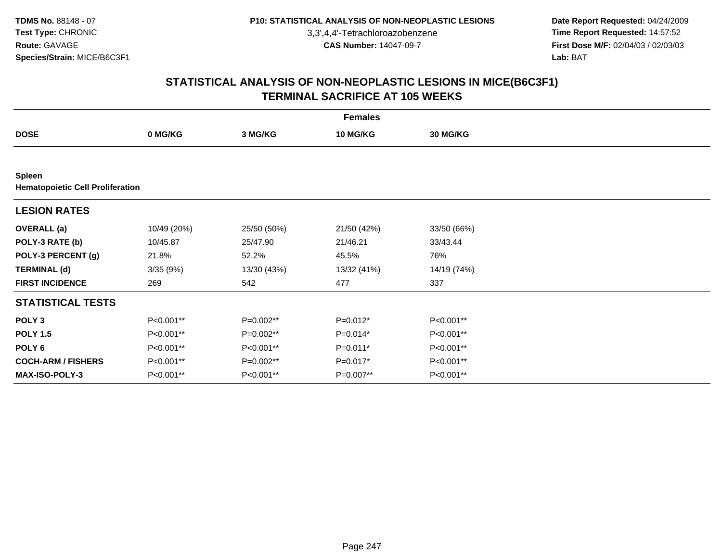3,3',4,4'-Tetrachloroazobenzene

 **Date Report Requested:** 04/24/2009 **Time Report Requested:** 14:57:52 **First Dose M/F:** 02/04/03 / 02/03/03<br>Lab: BAT **Lab:** BAT

| <b>Females</b>                                           |             |             |             |                 |  |  |  |
|----------------------------------------------------------|-------------|-------------|-------------|-----------------|--|--|--|
| <b>DOSE</b>                                              | 0 MG/KG     | 3 MG/KG     | 10 MG/KG    | <b>30 MG/KG</b> |  |  |  |
|                                                          |             |             |             |                 |  |  |  |
| <b>Spleen</b><br><b>Hematopoietic Cell Proliferation</b> |             |             |             |                 |  |  |  |
| <b>LESION RATES</b>                                      |             |             |             |                 |  |  |  |
| <b>OVERALL</b> (a)                                       | 10/49 (20%) | 25/50 (50%) | 21/50 (42%) | 33/50 (66%)     |  |  |  |
| POLY-3 RATE (b)                                          | 10/45.87    | 25/47.90    | 21/46.21    | 33/43.44        |  |  |  |
| POLY-3 PERCENT (g)                                       | 21.8%       | 52.2%       | 45.5%       | 76%             |  |  |  |
| <b>TERMINAL (d)</b>                                      | 3/35(9%)    | 13/30 (43%) | 13/32 (41%) | 14/19 (74%)     |  |  |  |
| <b>FIRST INCIDENCE</b>                                   | 269         | 542         | 477         | 337             |  |  |  |
| <b>STATISTICAL TESTS</b>                                 |             |             |             |                 |  |  |  |
| POLY <sub>3</sub>                                        | P<0.001**   | P=0.002**   | $P=0.012*$  | P<0.001**       |  |  |  |
| <b>POLY 1.5</b>                                          | P<0.001**   | P=0.002**   | $P=0.014*$  | P<0.001**       |  |  |  |
| POLY <sub>6</sub>                                        | P<0.001**   | P<0.001**   | $P=0.011*$  | P<0.001**       |  |  |  |
| <b>COCH-ARM / FISHERS</b>                                | P<0.001**   | P=0.002**   | $P=0.017*$  | P<0.001**       |  |  |  |
| <b>MAX-ISO-POLY-3</b>                                    | P<0.001**   | P<0.001**   | P=0.007**   | P<0.001**       |  |  |  |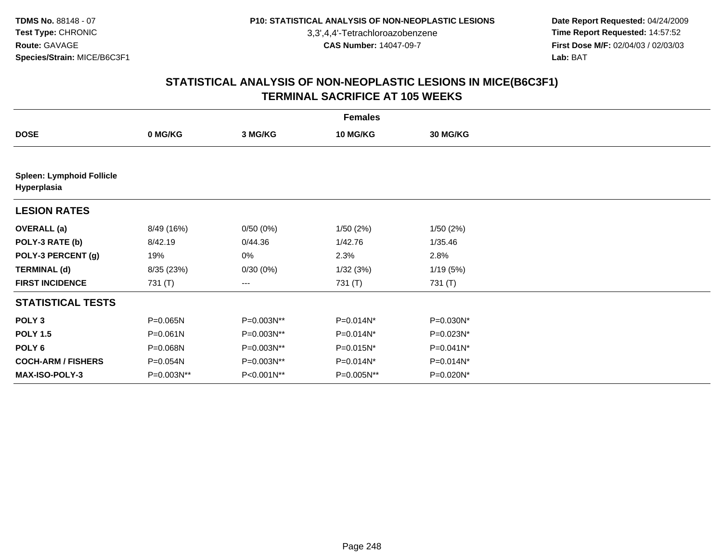3,3',4,4'-Tetrachloroazobenzene

 **Date Report Requested:** 04/24/2009 **Time Report Requested:** 14:57:52 **First Dose M/F:** 02/04/03 / 02/03/03<br>Lab: BAT **Lab:** BAT

| <b>Females</b>                                  |              |            |            |           |  |  |  |
|-------------------------------------------------|--------------|------------|------------|-----------|--|--|--|
| <b>DOSE</b>                                     | 0 MG/KG      | 3 MG/KG    | 10 MG/KG   | 30 MG/KG  |  |  |  |
|                                                 |              |            |            |           |  |  |  |
| <b>Spleen: Lymphoid Follicle</b><br>Hyperplasia |              |            |            |           |  |  |  |
| <b>LESION RATES</b>                             |              |            |            |           |  |  |  |
| <b>OVERALL</b> (a)                              | 8/49 (16%)   | 0/50(0%)   | 1/50(2%)   | 1/50(2%)  |  |  |  |
| POLY-3 RATE (b)                                 | 8/42.19      | 0/44.36    | 1/42.76    | 1/35.46   |  |  |  |
| POLY-3 PERCENT (g)                              | 19%          | 0%         | 2.3%       | 2.8%      |  |  |  |
| <b>TERMINAL (d)</b>                             | 8/35 (23%)   | 0/30(0%)   | 1/32(3%)   | 1/19(5%)  |  |  |  |
| <b>FIRST INCIDENCE</b>                          | 731 (T)      | ---        | 731 (T)    | 731 (T)   |  |  |  |
| <b>STATISTICAL TESTS</b>                        |              |            |            |           |  |  |  |
| POLY <sub>3</sub>                               | P=0.065N     | P=0.003N** | P=0.014N*  | P=0.030N* |  |  |  |
| <b>POLY 1.5</b>                                 | $P = 0.061N$ | P=0.003N** | P=0.014N*  | P=0.023N* |  |  |  |
| POLY 6                                          | P=0.068N     | P=0.003N** | P=0.015N*  | P=0.041N* |  |  |  |
| <b>COCH-ARM / FISHERS</b>                       | P=0.054N     | P=0.003N** | P=0.014N*  | P=0.014N* |  |  |  |
| <b>MAX-ISO-POLY-3</b>                           | P=0.003N**   | P<0.001N** | P=0.005N** | P=0.020N* |  |  |  |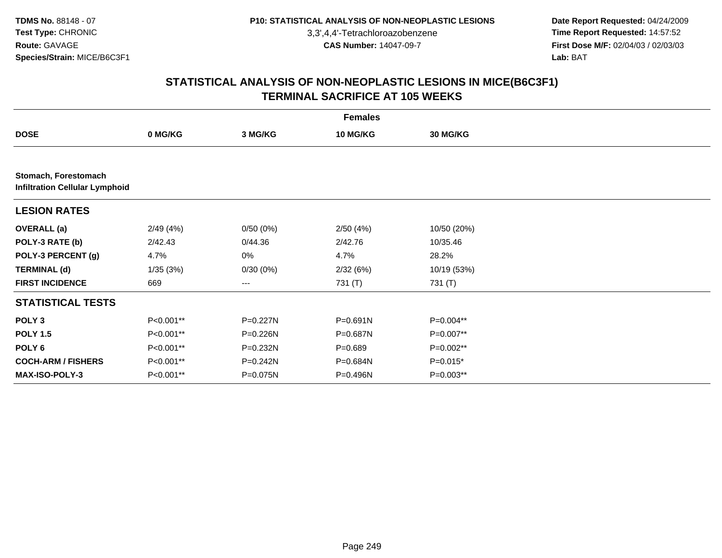3,3',4,4'-Tetrachloroazobenzene

 **Date Report Requested:** 04/24/2009 **Time Report Requested:** 14:57:52 **First Dose M/F:** 02/04/03 / 02/03/03<br>Lab: BAT **Lab:** BAT

|                                                               | <b>Females</b> |              |              |                 |  |  |  |  |
|---------------------------------------------------------------|----------------|--------------|--------------|-----------------|--|--|--|--|
| <b>DOSE</b>                                                   | 0 MG/KG        | 3 MG/KG      | 10 MG/KG     | <b>30 MG/KG</b> |  |  |  |  |
|                                                               |                |              |              |                 |  |  |  |  |
| Stomach, Forestomach<br><b>Infiltration Cellular Lymphoid</b> |                |              |              |                 |  |  |  |  |
| <b>LESION RATES</b>                                           |                |              |              |                 |  |  |  |  |
| <b>OVERALL</b> (a)                                            | 2/49(4%)       | 0/50(0%)     | 2/50(4%)     | 10/50 (20%)     |  |  |  |  |
| POLY-3 RATE (b)                                               | 2/42.43        | 0/44.36      | 2/42.76      | 10/35.46        |  |  |  |  |
| POLY-3 PERCENT (g)                                            | 4.7%           | 0%           | 4.7%         | 28.2%           |  |  |  |  |
| <b>TERMINAL (d)</b>                                           | 1/35(3%)       | 0/30(0%)     | 2/32(6%)     | 10/19 (53%)     |  |  |  |  |
| <b>FIRST INCIDENCE</b>                                        | 669            | $--$         | 731 (T)      | 731 (T)         |  |  |  |  |
| <b>STATISTICAL TESTS</b>                                      |                |              |              |                 |  |  |  |  |
| POLY <sub>3</sub>                                             | P<0.001**      | $P=0.227N$   | $P = 0.691N$ | P=0.004**       |  |  |  |  |
| <b>POLY 1.5</b>                                               | P<0.001**      | P=0.226N     | P=0.687N     | P=0.007**       |  |  |  |  |
| POLY 6                                                        | P<0.001**      | P=0.232N     | $P = 0.689$  | P=0.002**       |  |  |  |  |
| <b>COCH-ARM / FISHERS</b>                                     | P<0.001**      | $P = 0.242N$ | P=0.684N     | $P=0.015*$      |  |  |  |  |
| MAX-ISO-POLY-3                                                | P<0.001**      | P=0.075N     | P=0.496N     | P=0.003**       |  |  |  |  |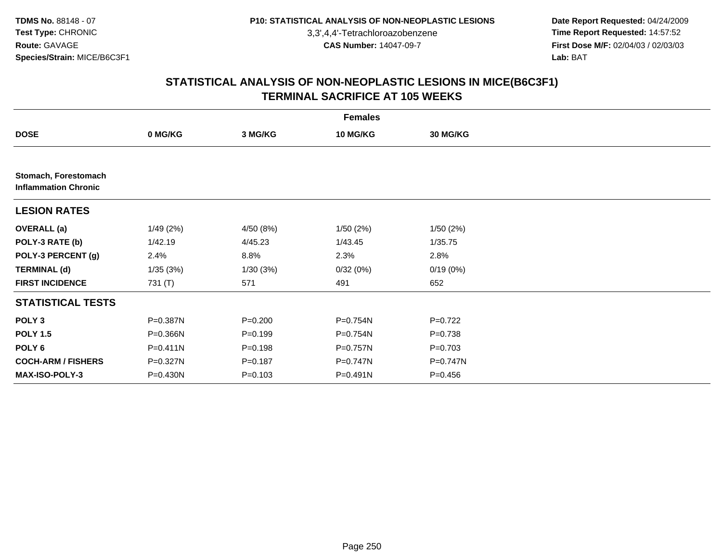3,3',4,4'-Tetrachloroazobenzene

 **Date Report Requested:** 04/24/2009 **Time Report Requested:** 14:57:52 **First Dose M/F:** 02/04/03 / 02/03/03<br>Lab: BAT **Lab:** BAT

|                                                     |              |             | <b>Females</b> |                 |  |
|-----------------------------------------------------|--------------|-------------|----------------|-----------------|--|
| <b>DOSE</b>                                         | 0 MG/KG      | 3 MG/KG     | 10 MG/KG       | <b>30 MG/KG</b> |  |
|                                                     |              |             |                |                 |  |
| Stomach, Forestomach<br><b>Inflammation Chronic</b> |              |             |                |                 |  |
| <b>LESION RATES</b>                                 |              |             |                |                 |  |
| <b>OVERALL</b> (a)                                  | 1/49(2%)     | 4/50 (8%)   | 1/50(2%)       | 1/50(2%)        |  |
| POLY-3 RATE (b)                                     | 1/42.19      | 4/45.23     | 1/43.45        | 1/35.75         |  |
| POLY-3 PERCENT (g)                                  | 2.4%         | 8.8%        | 2.3%           | 2.8%            |  |
| <b>TERMINAL (d)</b>                                 | 1/35(3%)     | 1/30(3%)    | 0/32(0%)       | 0/19(0%)        |  |
| <b>FIRST INCIDENCE</b>                              | 731 (T)      | 571         | 491            | 652             |  |
| <b>STATISTICAL TESTS</b>                            |              |             |                |                 |  |
| POLY <sub>3</sub>                                   | P=0.387N     | $P = 0.200$ | P=0.754N       | $P=0.722$       |  |
| <b>POLY 1.5</b>                                     | P=0.366N     | $P = 0.199$ | P=0.754N       | $P = 0.738$     |  |
| POLY <sub>6</sub>                                   | $P = 0.411N$ | $P = 0.198$ | P=0.757N       | $P=0.703$       |  |
| <b>COCH-ARM / FISHERS</b>                           | P=0.327N     | $P = 0.187$ | $P=0.747N$     | $P = 0.747N$    |  |
| <b>MAX-ISO-POLY-3</b>                               | P=0.430N     | $P = 0.103$ | $P = 0.491N$   | $P = 0.456$     |  |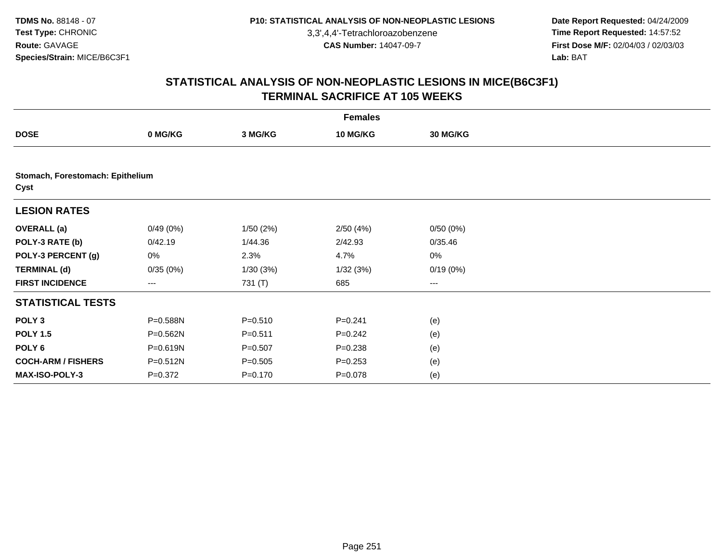3,3',4,4'-Tetrachloroazobenzene

 **Date Report Requested:** 04/24/2009 **Time Report Requested:** 14:57:52 **First Dose M/F:** 02/04/03 / 02/03/03<br>Lab: BAT **Lab:** BAT

|                                          | <b>Females</b> |             |                 |          |  |  |  |  |
|------------------------------------------|----------------|-------------|-----------------|----------|--|--|--|--|
| <b>DOSE</b>                              | 0 MG/KG        | 3 MG/KG     | <b>10 MG/KG</b> | 30 MG/KG |  |  |  |  |
|                                          |                |             |                 |          |  |  |  |  |
| Stomach, Forestomach: Epithelium<br>Cyst |                |             |                 |          |  |  |  |  |
| <b>LESION RATES</b>                      |                |             |                 |          |  |  |  |  |
| <b>OVERALL</b> (a)                       | 0/49(0%)       | 1/50(2%)    | 2/50(4%)        | 0/50(0%) |  |  |  |  |
| POLY-3 RATE (b)                          | 0/42.19        | 1/44.36     | 2/42.93         | 0/35.46  |  |  |  |  |
| POLY-3 PERCENT (g)                       | 0%             | 2.3%        | 4.7%            | 0%       |  |  |  |  |
| <b>TERMINAL (d)</b>                      | 0/35(0%)       | 1/30(3%)    | 1/32(3%)        | 0/19(0%) |  |  |  |  |
| <b>FIRST INCIDENCE</b>                   | $--$           | 731 (T)     | 685             | $--$     |  |  |  |  |
| <b>STATISTICAL TESTS</b>                 |                |             |                 |          |  |  |  |  |
| POLY <sub>3</sub>                        | P=0.588N       | $P = 0.510$ | $P = 0.241$     | (e)      |  |  |  |  |
| <b>POLY 1.5</b>                          | P=0.562N       | $P = 0.511$ | $P = 0.242$     | (e)      |  |  |  |  |
| POLY 6                                   | P=0.619N       | $P = 0.507$ | $P = 0.238$     | (e)      |  |  |  |  |
| <b>COCH-ARM / FISHERS</b>                | P=0.512N       | $P = 0.505$ | $P = 0.253$     | (e)      |  |  |  |  |
| <b>MAX-ISO-POLY-3</b>                    | $P = 0.372$    | $P = 0.170$ | $P = 0.078$     | (e)      |  |  |  |  |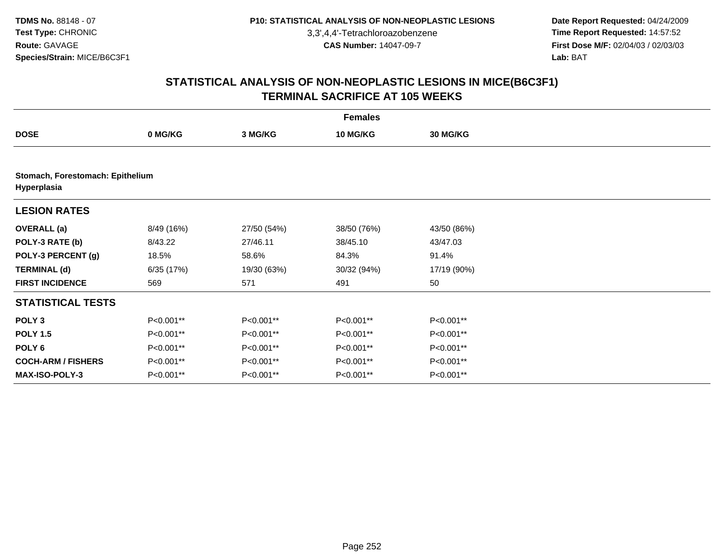3,3',4,4'-Tetrachloroazobenzene

 **Date Report Requested:** 04/24/2009 **Time Report Requested:** 14:57:52 **First Dose M/F:** 02/04/03 / 02/03/03<br>Lab: BAT **Lab:** BAT

|                                                 | <b>Females</b> |             |             |                 |  |  |  |  |
|-------------------------------------------------|----------------|-------------|-------------|-----------------|--|--|--|--|
| <b>DOSE</b>                                     | 0 MG/KG        | 3 MG/KG     | 10 MG/KG    | <b>30 MG/KG</b> |  |  |  |  |
|                                                 |                |             |             |                 |  |  |  |  |
| Stomach, Forestomach: Epithelium<br>Hyperplasia |                |             |             |                 |  |  |  |  |
| <b>LESION RATES</b>                             |                |             |             |                 |  |  |  |  |
| <b>OVERALL</b> (a)                              | 8/49 (16%)     | 27/50 (54%) | 38/50 (76%) | 43/50 (86%)     |  |  |  |  |
| POLY-3 RATE (b)                                 | 8/43.22        | 27/46.11    | 38/45.10    | 43/47.03        |  |  |  |  |
| POLY-3 PERCENT (g)                              | 18.5%          | 58.6%       | 84.3%       | 91.4%           |  |  |  |  |
| <b>TERMINAL (d)</b>                             | 6/35 (17%)     | 19/30 (63%) | 30/32 (94%) | 17/19 (90%)     |  |  |  |  |
| <b>FIRST INCIDENCE</b>                          | 569            | 571         | 491         | 50              |  |  |  |  |
| <b>STATISTICAL TESTS</b>                        |                |             |             |                 |  |  |  |  |
| POLY <sub>3</sub>                               | P<0.001**      | P<0.001**   | P<0.001**   | P<0.001**       |  |  |  |  |
| <b>POLY 1.5</b>                                 | P<0.001**      | P<0.001**   | P<0.001**   | P<0.001**       |  |  |  |  |
| POLY 6                                          | P<0.001**      | P<0.001**   | P<0.001**   | P<0.001**       |  |  |  |  |
| <b>COCH-ARM / FISHERS</b>                       | P<0.001**      | P<0.001**   | P<0.001**   | P<0.001**       |  |  |  |  |
| <b>MAX-ISO-POLY-3</b>                           | P<0.001**      | P<0.001**   | P<0.001**   | P<0.001**       |  |  |  |  |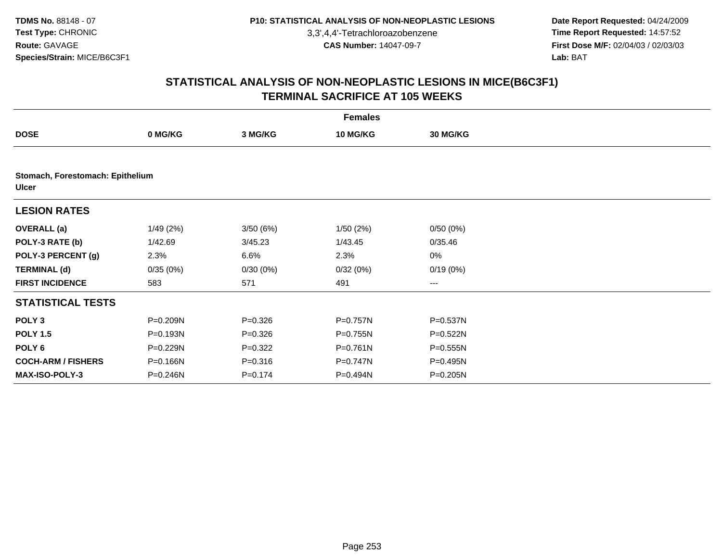3,3',4,4'-Tetrachloroazobenzene

 **Date Report Requested:** 04/24/2009 **Time Report Requested:** 14:57:52 **First Dose M/F:** 02/04/03 / 02/03/03<br>Lab: BAT **Lab:** BAT

|                                                  |          |             | <b>Females</b> |              |  |  |  |  |  |
|--------------------------------------------------|----------|-------------|----------------|--------------|--|--|--|--|--|
| <b>DOSE</b>                                      | 0 MG/KG  | 3 MG/KG     | 10 MG/KG       | 30 MG/KG     |  |  |  |  |  |
|                                                  |          |             |                |              |  |  |  |  |  |
| Stomach, Forestomach: Epithelium<br><b>Ulcer</b> |          |             |                |              |  |  |  |  |  |
| <b>LESION RATES</b>                              |          |             |                |              |  |  |  |  |  |
| <b>OVERALL</b> (a)                               | 1/49(2%) | 3/50(6%)    | 1/50(2%)       | 0/50(0%)     |  |  |  |  |  |
| POLY-3 RATE (b)                                  | 1/42.69  | 3/45.23     | 1/43.45        | 0/35.46      |  |  |  |  |  |
| POLY-3 PERCENT (g)                               | 2.3%     | 6.6%        | 2.3%           | 0%           |  |  |  |  |  |
| <b>TERMINAL (d)</b>                              | 0/35(0%) | 0/30(0%)    | 0/32(0%)       | 0/19(0%)     |  |  |  |  |  |
| <b>FIRST INCIDENCE</b>                           | 583      | 571         | 491            | ---          |  |  |  |  |  |
| <b>STATISTICAL TESTS</b>                         |          |             |                |              |  |  |  |  |  |
| POLY <sub>3</sub>                                | P=0.209N | $P = 0.326$ | P=0.757N       | P=0.537N     |  |  |  |  |  |
| <b>POLY 1.5</b>                                  | P=0.193N | $P = 0.326$ | P=0.755N       | P=0.522N     |  |  |  |  |  |
| POLY 6                                           | P=0.229N | $P=0.322$   | $P = 0.761N$   | $P = 0.555N$ |  |  |  |  |  |
| <b>COCH-ARM / FISHERS</b>                        | P=0.166N | $P = 0.316$ | $P=0.747N$     | P=0.495N     |  |  |  |  |  |
| <b>MAX-ISO-POLY-3</b>                            | P=0.246N | $P = 0.174$ | P=0.494N       | $P = 0.205N$ |  |  |  |  |  |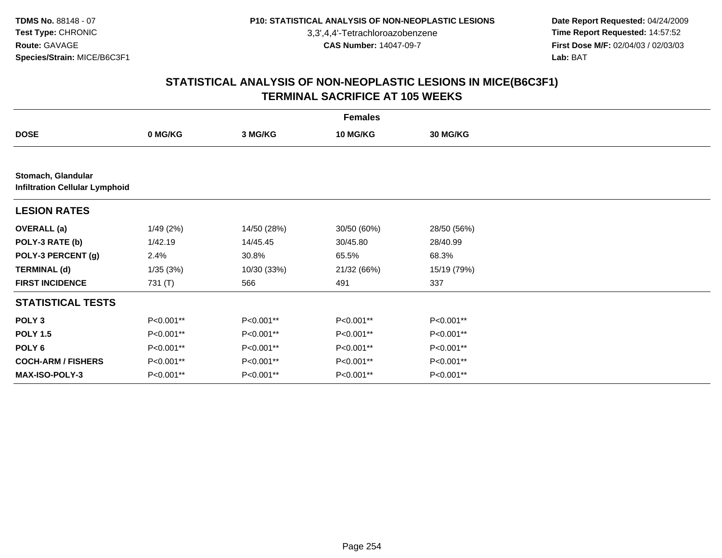3,3',4,4'-Tetrachloroazobenzene

 **Date Report Requested:** 04/24/2009 **Time Report Requested:** 14:57:52 **First Dose M/F:** 02/04/03 / 02/03/03<br>Lab: BAT **Lab:** BAT

|                                                             | <b>Females</b> |             |             |                 |  |  |  |
|-------------------------------------------------------------|----------------|-------------|-------------|-----------------|--|--|--|
| <b>DOSE</b>                                                 | 0 MG/KG        | 3 MG/KG     | 10 MG/KG    | <b>30 MG/KG</b> |  |  |  |
|                                                             |                |             |             |                 |  |  |  |
| Stomach, Glandular<br><b>Infiltration Cellular Lymphoid</b> |                |             |             |                 |  |  |  |
| <b>LESION RATES</b>                                         |                |             |             |                 |  |  |  |
| <b>OVERALL</b> (a)                                          | 1/49(2%)       | 14/50 (28%) | 30/50 (60%) | 28/50 (56%)     |  |  |  |
| POLY-3 RATE (b)                                             | 1/42.19        | 14/45.45    | 30/45.80    | 28/40.99        |  |  |  |
| POLY-3 PERCENT (g)                                          | 2.4%           | 30.8%       | 65.5%       | 68.3%           |  |  |  |
| <b>TERMINAL (d)</b>                                         | 1/35(3%)       | 10/30 (33%) | 21/32 (66%) | 15/19 (79%)     |  |  |  |
| <b>FIRST INCIDENCE</b>                                      | 731 (T)        | 566         | 491         | 337             |  |  |  |
| <b>STATISTICAL TESTS</b>                                    |                |             |             |                 |  |  |  |
| POLY <sub>3</sub>                                           | P<0.001**      | P<0.001**   | P<0.001**   | P<0.001**       |  |  |  |
| <b>POLY 1.5</b>                                             | P<0.001**      | P<0.001**   | P<0.001**   | P<0.001**       |  |  |  |
| POLY 6                                                      | P<0.001**      | P<0.001**   | P<0.001**   | P<0.001**       |  |  |  |
| <b>COCH-ARM / FISHERS</b>                                   | P<0.001**      | P<0.001**   | P<0.001**   | P<0.001**       |  |  |  |
| <b>MAX-ISO-POLY-3</b>                                       | P<0.001**      | P<0.001**   | P<0.001**   | P<0.001**       |  |  |  |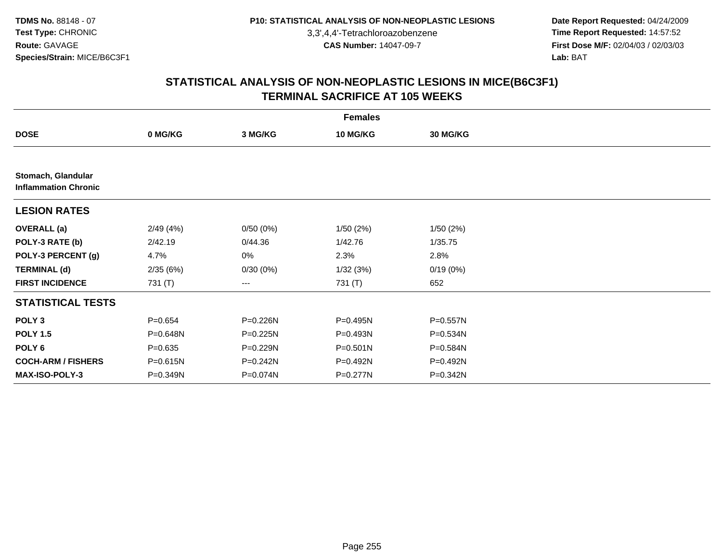3,3',4,4'-Tetrachloroazobenzene

 **Date Report Requested:** 04/24/2009 **Time Report Requested:** 14:57:52 **First Dose M/F:** 02/04/03 / 02/03/03<br>Lab: BAT **Lab:** BAT

|                                                   |             |              | <b>Females</b> |          |  |
|---------------------------------------------------|-------------|--------------|----------------|----------|--|
| <b>DOSE</b>                                       | 0 MG/KG     | 3 MG/KG      | 10 MG/KG       | 30 MG/KG |  |
|                                                   |             |              |                |          |  |
| Stomach, Glandular<br><b>Inflammation Chronic</b> |             |              |                |          |  |
| <b>LESION RATES</b>                               |             |              |                |          |  |
| <b>OVERALL</b> (a)                                | 2/49(4%)    | 0/50(0%)     | 1/50(2%)       | 1/50(2%) |  |
| POLY-3 RATE (b)                                   | 2/42.19     | 0/44.36      | 1/42.76        | 1/35.75  |  |
| POLY-3 PERCENT (g)                                | 4.7%        | 0%           | 2.3%           | 2.8%     |  |
| <b>TERMINAL (d)</b>                               | 2/35(6%)    | 0/30(0%)     | 1/32(3%)       | 0/19(0%) |  |
| <b>FIRST INCIDENCE</b>                            | 731 (T)     | ---          | 731 (T)        | 652      |  |
| <b>STATISTICAL TESTS</b>                          |             |              |                |          |  |
| POLY <sub>3</sub>                                 | $P = 0.654$ | P=0.226N     | P=0.495N       | P=0.557N |  |
| <b>POLY 1.5</b>                                   | P=0.648N    | $P = 0.225N$ | $P = 0.493N$   | P=0.534N |  |
| POLY 6                                            | $P = 0.635$ | P=0.229N     | $P = 0.501N$   | P=0.584N |  |
| <b>COCH-ARM / FISHERS</b>                         | P=0.615N    | P=0.242N     | P=0.492N       | P=0.492N |  |
| <b>MAX-ISO-POLY-3</b>                             | P=0.349N    | P=0.074N     | P=0.277N       | P=0.342N |  |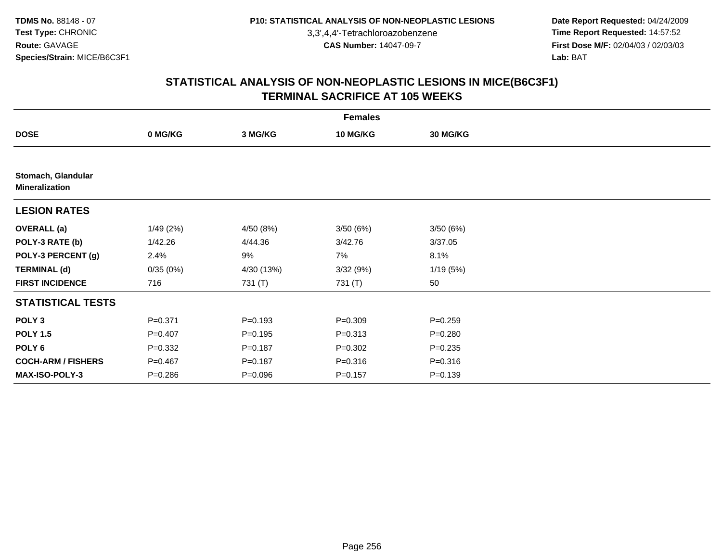3,3',4,4'-Tetrachloroazobenzene

 **Date Report Requested:** 04/24/2009 **Time Report Requested:** 14:57:52 **First Dose M/F:** 02/04/03 / 02/03/03<br>Lab: BAT **Lab:** BAT

|                                             |             |             | <b>Females</b> |                 |  |
|---------------------------------------------|-------------|-------------|----------------|-----------------|--|
| <b>DOSE</b>                                 | 0 MG/KG     | 3 MG/KG     | 10 MG/KG       | <b>30 MG/KG</b> |  |
|                                             |             |             |                |                 |  |
| Stomach, Glandular<br><b>Mineralization</b> |             |             |                |                 |  |
| <b>LESION RATES</b>                         |             |             |                |                 |  |
| <b>OVERALL (a)</b>                          | 1/49(2%)    | 4/50 (8%)   | 3/50(6%)       | 3/50(6%)        |  |
| POLY-3 RATE (b)                             | 1/42.26     | 4/44.36     | 3/42.76        | 3/37.05         |  |
| POLY-3 PERCENT (g)                          | 2.4%        | 9%          | 7%             | 8.1%            |  |
| <b>TERMINAL (d)</b>                         | 0/35(0%)    | 4/30 (13%)  | 3/32(9%)       | 1/19(5%)        |  |
| <b>FIRST INCIDENCE</b>                      | 716         | 731 (T)     | 731 (T)        | 50              |  |
| <b>STATISTICAL TESTS</b>                    |             |             |                |                 |  |
| POLY <sub>3</sub>                           | $P = 0.371$ | $P = 0.193$ | $P = 0.309$    | $P = 0.259$     |  |
| <b>POLY 1.5</b>                             | $P = 0.407$ | $P = 0.195$ | $P = 0.313$    | $P = 0.280$     |  |
| POLY <sub>6</sub>                           | $P = 0.332$ | $P = 0.187$ | $P = 0.302$    | $P = 0.235$     |  |
| <b>COCH-ARM / FISHERS</b>                   | $P = 0.467$ | $P = 0.187$ | $P = 0.316$    | $P = 0.316$     |  |
| MAX-ISO-POLY-3                              | $P = 0.286$ | $P = 0.096$ | $P=0.157$      | $P = 0.139$     |  |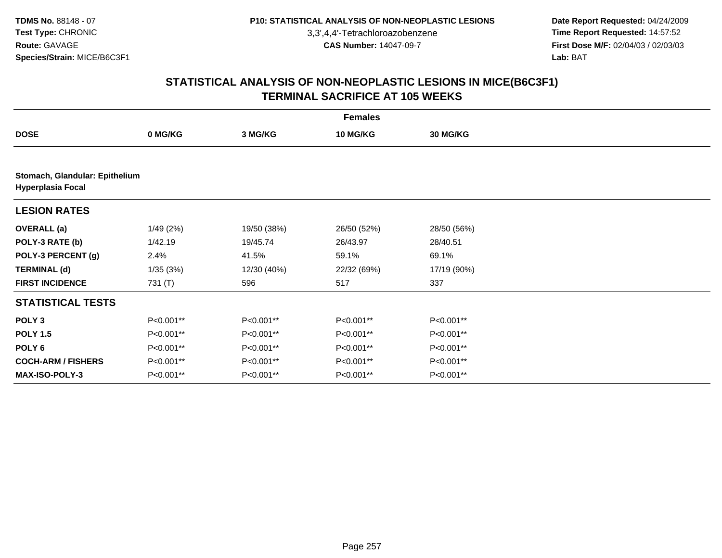3,3',4,4'-Tetrachloroazobenzene

 **Date Report Requested:** 04/24/2009 **Time Report Requested:** 14:57:52 **First Dose M/F:** 02/04/03 / 02/03/03<br>Lab: BAT **Lab:** BAT

|                                                            | <b>Females</b> |             |             |                 |  |  |  |
|------------------------------------------------------------|----------------|-------------|-------------|-----------------|--|--|--|
| <b>DOSE</b>                                                | 0 MG/KG        | 3 MG/KG     | 10 MG/KG    | <b>30 MG/KG</b> |  |  |  |
|                                                            |                |             |             |                 |  |  |  |
| Stomach, Glandular: Epithelium<br><b>Hyperplasia Focal</b> |                |             |             |                 |  |  |  |
| <b>LESION RATES</b>                                        |                |             |             |                 |  |  |  |
| <b>OVERALL</b> (a)                                         | 1/49(2%)       | 19/50 (38%) | 26/50 (52%) | 28/50 (56%)     |  |  |  |
| POLY-3 RATE (b)                                            | 1/42.19        | 19/45.74    | 26/43.97    | 28/40.51        |  |  |  |
| POLY-3 PERCENT (g)                                         | 2.4%           | 41.5%       | 59.1%       | 69.1%           |  |  |  |
| <b>TERMINAL (d)</b>                                        | 1/35(3%)       | 12/30 (40%) | 22/32 (69%) | 17/19 (90%)     |  |  |  |
| <b>FIRST INCIDENCE</b>                                     | 731 (T)        | 596         | 517         | 337             |  |  |  |
| <b>STATISTICAL TESTS</b>                                   |                |             |             |                 |  |  |  |
| POLY <sub>3</sub>                                          | P<0.001**      | P<0.001**   | P<0.001**   | P<0.001**       |  |  |  |
| <b>POLY 1.5</b>                                            | P<0.001**      | P<0.001**   | P<0.001**   | P<0.001**       |  |  |  |
| POLY 6                                                     | P<0.001**      | P<0.001**   | P<0.001**   | P<0.001**       |  |  |  |
| <b>COCH-ARM / FISHERS</b>                                  | P<0.001**      | P<0.001**   | P<0.001**   | P<0.001**       |  |  |  |
| <b>MAX-ISO-POLY-3</b>                                      | P<0.001**      | P<0.001**   | P<0.001**   | P<0.001**       |  |  |  |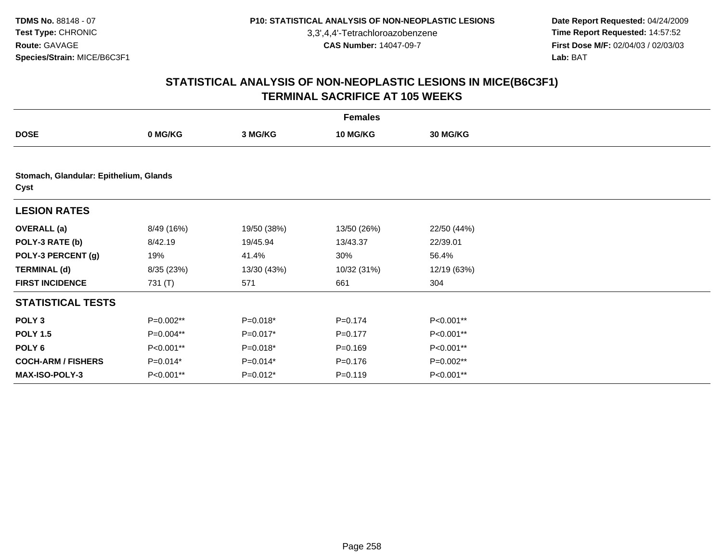3,3',4,4'-Tetrachloroazobenzene

 **Date Report Requested:** 04/24/2009 **Time Report Requested:** 14:57:52 **First Dose M/F:** 02/04/03 / 02/03/03<br>Lab: BAT **Lab:** BAT

|                                                |            |             | <b>Females</b> |                 |  |
|------------------------------------------------|------------|-------------|----------------|-----------------|--|
| <b>DOSE</b>                                    | 0 MG/KG    | 3 MG/KG     | 10 MG/KG       | <b>30 MG/KG</b> |  |
|                                                |            |             |                |                 |  |
| Stomach, Glandular: Epithelium, Glands<br>Cyst |            |             |                |                 |  |
| <b>LESION RATES</b>                            |            |             |                |                 |  |
| <b>OVERALL</b> (a)                             | 8/49 (16%) | 19/50 (38%) | 13/50 (26%)    | 22/50 (44%)     |  |
| POLY-3 RATE (b)                                | 8/42.19    | 19/45.94    | 13/43.37       | 22/39.01        |  |
| POLY-3 PERCENT (g)                             | 19%        | 41.4%       | 30%            | 56.4%           |  |
| <b>TERMINAL (d)</b>                            | 8/35 (23%) | 13/30 (43%) | 10/32 (31%)    | 12/19 (63%)     |  |
| <b>FIRST INCIDENCE</b>                         | 731 (T)    | 571         | 661            | 304             |  |
| <b>STATISTICAL TESTS</b>                       |            |             |                |                 |  |
| POLY <sub>3</sub>                              | P=0.002**  | $P=0.018*$  | $P = 0.174$    | P<0.001**       |  |
| <b>POLY 1.5</b>                                | P=0.004**  | P=0.017*    | $P=0.177$      | P<0.001**       |  |
| POLY 6                                         | P<0.001**  | $P=0.018*$  | $P = 0.169$    | P<0.001**       |  |
| <b>COCH-ARM / FISHERS</b>                      | $P=0.014*$ | $P=0.014*$  | $P = 0.176$    | P=0.002**       |  |
| <b>MAX-ISO-POLY-3</b>                          | P<0.001**  | $P=0.012*$  | $P = 0.119$    | P<0.001**       |  |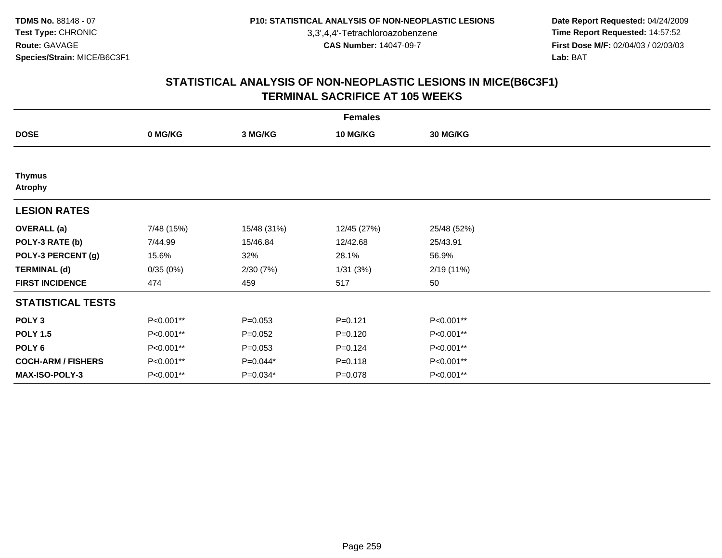3,3',4,4'-Tetrachloroazobenzene

 **Date Report Requested:** 04/24/2009 **Time Report Requested:** 14:57:52 **First Dose M/F:** 02/04/03 / 02/03/03<br>Lab: BAT **Lab:** BAT

|                                 | <b>Females</b> |             |                 |             |  |  |  |
|---------------------------------|----------------|-------------|-----------------|-------------|--|--|--|
| <b>DOSE</b>                     | 0 MG/KG        | 3 MG/KG     | <b>10 MG/KG</b> | 30 MG/KG    |  |  |  |
|                                 |                |             |                 |             |  |  |  |
| <b>Thymus</b><br><b>Atrophy</b> |                |             |                 |             |  |  |  |
| <b>LESION RATES</b>             |                |             |                 |             |  |  |  |
| <b>OVERALL</b> (a)              | 7/48 (15%)     | 15/48 (31%) | 12/45 (27%)     | 25/48 (52%) |  |  |  |
| POLY-3 RATE (b)                 | 7/44.99        | 15/46.84    | 12/42.68        | 25/43.91    |  |  |  |
| POLY-3 PERCENT (g)              | 15.6%          | 32%         | 28.1%           | 56.9%       |  |  |  |
| <b>TERMINAL (d)</b>             | 0/35(0%)       | 2/30(7%)    | 1/31(3%)        | 2/19(11%)   |  |  |  |
| <b>FIRST INCIDENCE</b>          | 474            | 459         | 517             | 50          |  |  |  |
| <b>STATISTICAL TESTS</b>        |                |             |                 |             |  |  |  |
| POLY <sub>3</sub>               | P<0.001**      | $P = 0.053$ | $P = 0.121$     | P<0.001**   |  |  |  |
| <b>POLY 1.5</b>                 | P<0.001**      | $P=0.052$   | $P = 0.120$     | P<0.001**   |  |  |  |
| POLY <sub>6</sub>               | P<0.001**      | $P = 0.053$ | $P = 0.124$     | P<0.001**   |  |  |  |
| <b>COCH-ARM / FISHERS</b>       | P<0.001**      | $P=0.044*$  | $P = 0.118$     | P<0.001**   |  |  |  |
| MAX-ISO-POLY-3                  | P<0.001**      | P=0.034*    | $P = 0.078$     | P<0.001**   |  |  |  |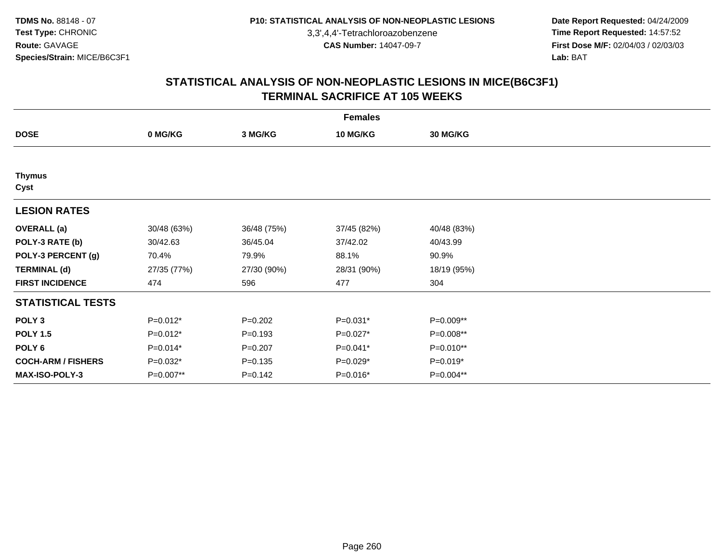3,3',4,4'-Tetrachloroazobenzene

 **Date Report Requested:** 04/24/2009 **Time Report Requested:** 14:57:52 **First Dose M/F:** 02/04/03 / 02/03/03<br>Lab: BAT **Lab:** BAT

|                           | <b>Females</b> |             |                 |             |  |  |  |  |
|---------------------------|----------------|-------------|-----------------|-------------|--|--|--|--|
| <b>DOSE</b>               | 0 MG/KG        | 3 MG/KG     | <b>10 MG/KG</b> | 30 MG/KG    |  |  |  |  |
|                           |                |             |                 |             |  |  |  |  |
| <b>Thymus</b><br>Cyst     |                |             |                 |             |  |  |  |  |
| <b>LESION RATES</b>       |                |             |                 |             |  |  |  |  |
| <b>OVERALL</b> (a)        | 30/48 (63%)    | 36/48 (75%) | 37/45 (82%)     | 40/48 (83%) |  |  |  |  |
| POLY-3 RATE (b)           | 30/42.63       | 36/45.04    | 37/42.02        | 40/43.99    |  |  |  |  |
| POLY-3 PERCENT (g)        | 70.4%          | 79.9%       | 88.1%           | 90.9%       |  |  |  |  |
| <b>TERMINAL (d)</b>       | 27/35 (77%)    | 27/30 (90%) | 28/31 (90%)     | 18/19 (95%) |  |  |  |  |
| <b>FIRST INCIDENCE</b>    | 474            | 596         | 477             | 304         |  |  |  |  |
| <b>STATISTICAL TESTS</b>  |                |             |                 |             |  |  |  |  |
| POLY <sub>3</sub>         | P=0.012*       | $P=0.202$   | $P=0.031*$      | P=0.009**   |  |  |  |  |
| <b>POLY 1.5</b>           | $P=0.012*$     | $P = 0.193$ | P=0.027*        | P=0.008**   |  |  |  |  |
| POLY 6                    | $P=0.014*$     | $P = 0.207$ | P=0.041*        | P=0.010**   |  |  |  |  |
| <b>COCH-ARM / FISHERS</b> | P=0.032*       | $P = 0.135$ | P=0.029*        | $P=0.019*$  |  |  |  |  |
| <b>MAX-ISO-POLY-3</b>     | P=0.007**      | $P = 0.142$ | P=0.016*        | P=0.004**   |  |  |  |  |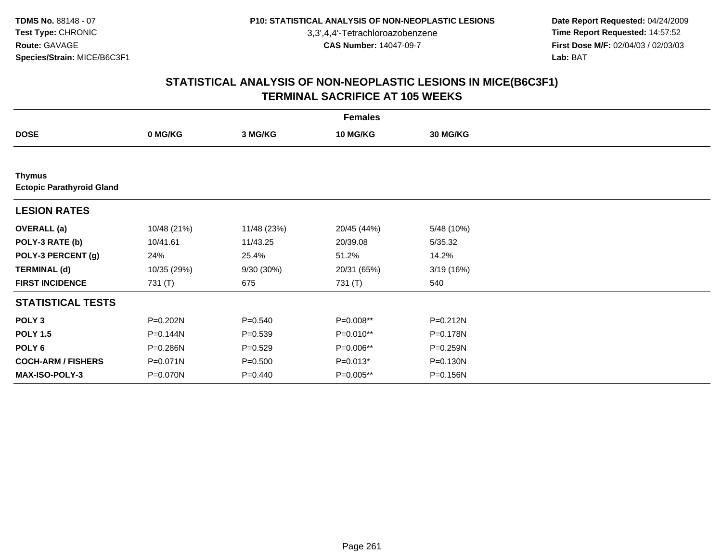3,3',4,4'-Tetrachloroazobenzene

 **Date Report Requested:** 04/24/2009 **Time Report Requested:** 14:57:52 **First Dose M/F:** 02/04/03 / 02/03/03<br>Lab: BAT **Lab:** BAT

|                                                   | <b>Females</b> |             |             |                 |  |  |  |  |
|---------------------------------------------------|----------------|-------------|-------------|-----------------|--|--|--|--|
| <b>DOSE</b>                                       | 0 MG/KG        | 3 MG/KG     | 10 MG/KG    | <b>30 MG/KG</b> |  |  |  |  |
|                                                   |                |             |             |                 |  |  |  |  |
| <b>Thymus</b><br><b>Ectopic Parathyroid Gland</b> |                |             |             |                 |  |  |  |  |
| <b>LESION RATES</b>                               |                |             |             |                 |  |  |  |  |
| <b>OVERALL</b> (a)                                | 10/48 (21%)    | 11/48 (23%) | 20/45 (44%) | 5/48 (10%)      |  |  |  |  |
| POLY-3 RATE (b)                                   | 10/41.61       | 11/43.25    | 20/39.08    | 5/35.32         |  |  |  |  |
| POLY-3 PERCENT (g)                                | 24%            | 25.4%       | 51.2%       | 14.2%           |  |  |  |  |
| <b>TERMINAL (d)</b>                               | 10/35 (29%)    | 9/30 (30%)  | 20/31 (65%) | 3/19(16%)       |  |  |  |  |
| <b>FIRST INCIDENCE</b>                            | 731 $(T)$      | 675         | 731 (T)     | 540             |  |  |  |  |
| <b>STATISTICAL TESTS</b>                          |                |             |             |                 |  |  |  |  |
| POLY <sub>3</sub>                                 | P=0.202N       | $P = 0.540$ | P=0.008**   | P=0.212N        |  |  |  |  |
| <b>POLY 1.5</b>                                   | P=0.144N       | $P = 0.539$ | $P=0.010**$ | P=0.178N        |  |  |  |  |
| POLY 6                                            | P=0.286N       | $P=0.529$   | P=0.006**   | P=0.259N        |  |  |  |  |
| <b>COCH-ARM / FISHERS</b>                         | $P = 0.071N$   | $P = 0.500$ | $P=0.013*$  | P=0.130N        |  |  |  |  |
| MAX-ISO-POLY-3                                    | P=0.070N       | $P=0.440$   | P=0.005**   | P=0.156N        |  |  |  |  |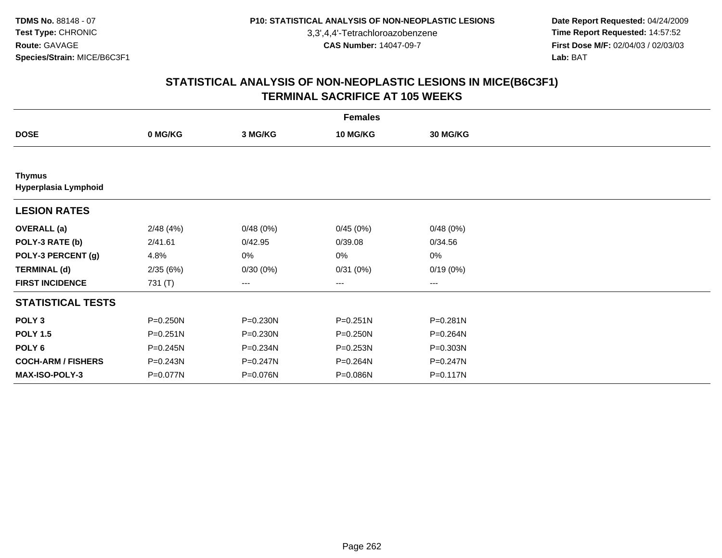3,3',4,4'-Tetrachloroazobenzene

 **Date Report Requested:** 04/24/2009 **Time Report Requested:** 14:57:52 **First Dose M/F:** 02/04/03 / 02/03/03<br>Lab: BAT **Lab:** BAT

|                                       | <b>Females</b> |              |                 |                 |  |  |  |  |
|---------------------------------------|----------------|--------------|-----------------|-----------------|--|--|--|--|
| <b>DOSE</b>                           | 0 MG/KG        | 3 MG/KG      | <b>10 MG/KG</b> | <b>30 MG/KG</b> |  |  |  |  |
|                                       |                |              |                 |                 |  |  |  |  |
| <b>Thymus</b><br>Hyperplasia Lymphoid |                |              |                 |                 |  |  |  |  |
| <b>LESION RATES</b>                   |                |              |                 |                 |  |  |  |  |
| <b>OVERALL</b> (a)                    | 2/48(4%)       | 0/48(0%)     | 0/45(0%)        | 0/48(0%)        |  |  |  |  |
| POLY-3 RATE (b)                       | 2/41.61        | 0/42.95      | 0/39.08         | 0/34.56         |  |  |  |  |
| POLY-3 PERCENT (g)                    | 4.8%           | 0%           | 0%              | 0%              |  |  |  |  |
| <b>TERMINAL (d)</b>                   | 2/35(6%)       | 0/30(0%)     | 0/31(0%)        | 0/19(0%)        |  |  |  |  |
| <b>FIRST INCIDENCE</b>                | 731 (T)        | ---          | $---$           | $---$           |  |  |  |  |
| <b>STATISTICAL TESTS</b>              |                |              |                 |                 |  |  |  |  |
| POLY <sub>3</sub>                     | $P = 0.250N$   | P=0.230N     | P=0.251N        | P=0.281N        |  |  |  |  |
| <b>POLY 1.5</b>                       | $P = 0.251N$   | $P = 0.230N$ | P=0.250N        | P=0.264N        |  |  |  |  |
| POLY <sub>6</sub>                     | P=0.245N       | P=0.234N     | P=0.253N        | P=0.303N        |  |  |  |  |
| <b>COCH-ARM / FISHERS</b>             | P=0.243N       | P=0.247N     | P=0.264N        | $P = 0.247N$    |  |  |  |  |
| <b>MAX-ISO-POLY-3</b>                 | P=0.077N       | P=0.076N     | P=0.086N        | P=0.117N        |  |  |  |  |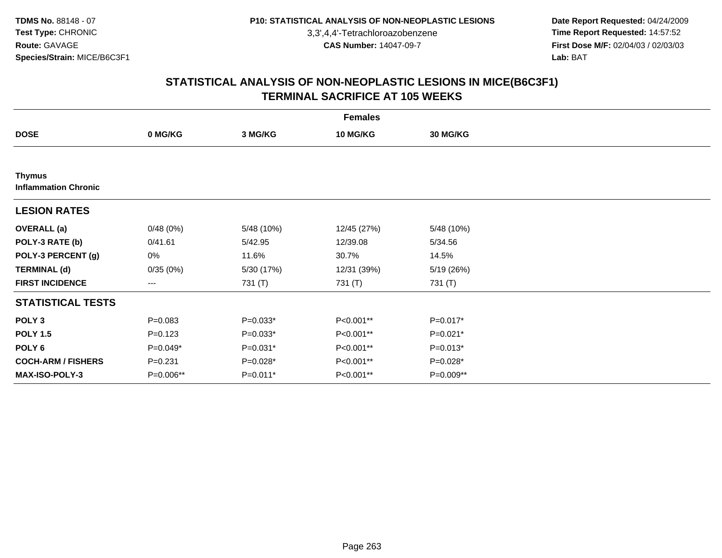3,3',4,4'-Tetrachloroazobenzene

 **Date Report Requested:** 04/24/2009 **Time Report Requested:** 14:57:52 **First Dose M/F:** 02/04/03 / 02/03/03<br>Lab: BAT **Lab:** BAT

|                                              |             |            | <b>Females</b> |                 |  |
|----------------------------------------------|-------------|------------|----------------|-----------------|--|
| <b>DOSE</b>                                  | 0 MG/KG     | 3 MG/KG    | 10 MG/KG       | <b>30 MG/KG</b> |  |
|                                              |             |            |                |                 |  |
| <b>Thymus</b><br><b>Inflammation Chronic</b> |             |            |                |                 |  |
| <b>LESION RATES</b>                          |             |            |                |                 |  |
| <b>OVERALL</b> (a)                           | 0/48(0%)    | 5/48 (10%) | 12/45 (27%)    | 5/48 (10%)      |  |
| POLY-3 RATE (b)                              | 0/41.61     | 5/42.95    | 12/39.08       | 5/34.56         |  |
| POLY-3 PERCENT (g)                           | 0%          | 11.6%      | 30.7%          | 14.5%           |  |
| <b>TERMINAL (d)</b>                          | 0/35(0%)    | 5/30 (17%) | 12/31 (39%)    | 5/19 (26%)      |  |
| <b>FIRST INCIDENCE</b>                       | ---         | 731 (T)    | 731 (T)        | 731 (T)         |  |
| <b>STATISTICAL TESTS</b>                     |             |            |                |                 |  |
| POLY <sub>3</sub>                            | $P = 0.083$ | $P=0.033*$ | P<0.001**      | $P=0.017*$      |  |
| <b>POLY 1.5</b>                              | $P = 0.123$ | $P=0.033*$ | P<0.001**      | $P=0.021*$      |  |
| POLY 6                                       | $P=0.049*$  | $P=0.031*$ | P<0.001**      | $P=0.013*$      |  |
| <b>COCH-ARM / FISHERS</b>                    | $P = 0.231$ | $P=0.028*$ | P<0.001**      | P=0.028*        |  |
| MAX-ISO-POLY-3                               | P=0.006**   | $P=0.011*$ | P<0.001**      | P=0.009**       |  |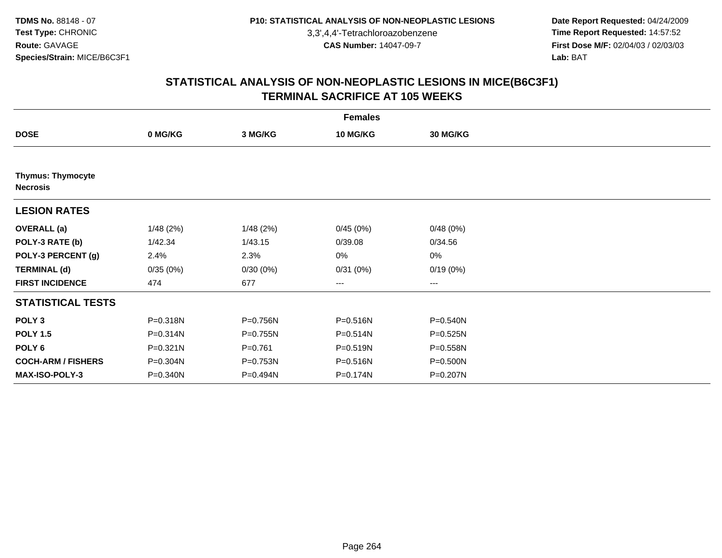3,3',4,4'-Tetrachloroazobenzene

 **Date Report Requested:** 04/24/2009 **Time Report Requested:** 14:57:52 **First Dose M/F:** 02/04/03 / 02/03/03<br>Lab: BAT **Lab:** BAT

|                                             |              |             | <b>Females</b>  |          |  |
|---------------------------------------------|--------------|-------------|-----------------|----------|--|
| <b>DOSE</b>                                 | 0 MG/KG      | 3 MG/KG     | <b>10 MG/KG</b> | 30 MG/KG |  |
|                                             |              |             |                 |          |  |
| <b>Thymus: Thymocyte</b><br><b>Necrosis</b> |              |             |                 |          |  |
| <b>LESION RATES</b>                         |              |             |                 |          |  |
| <b>OVERALL</b> (a)                          | 1/48(2%)     | 1/48(2%)    | 0/45(0%)        | 0/48(0%) |  |
| POLY-3 RATE (b)                             | 1/42.34      | 1/43.15     | 0/39.08         | 0/34.56  |  |
| POLY-3 PERCENT (g)                          | 2.4%         | 2.3%        | 0%              | 0%       |  |
| <b>TERMINAL (d)</b>                         | 0/35(0%)     | 0/30(0%)    | 0/31(0%)        | 0/19(0%) |  |
| <b>FIRST INCIDENCE</b>                      | 474          | 677         | ---             | $---$    |  |
| <b>STATISTICAL TESTS</b>                    |              |             |                 |          |  |
| POLY <sub>3</sub>                           | P=0.318N     | P=0.756N    | P=0.516N        | P=0.540N |  |
| <b>POLY 1.5</b>                             | P=0.314N     | P=0.755N    | P=0.514N        | P=0.525N |  |
| POLY <sub>6</sub>                           | P=0.321N     | $P = 0.761$ | P=0.519N        | P=0.558N |  |
| <b>COCH-ARM / FISHERS</b>                   | P=0.304N     | P=0.753N    | P=0.516N        | P=0.500N |  |
| <b>MAX-ISO-POLY-3</b>                       | $P = 0.340N$ | P=0.494N    | P=0.174N        | P=0.207N |  |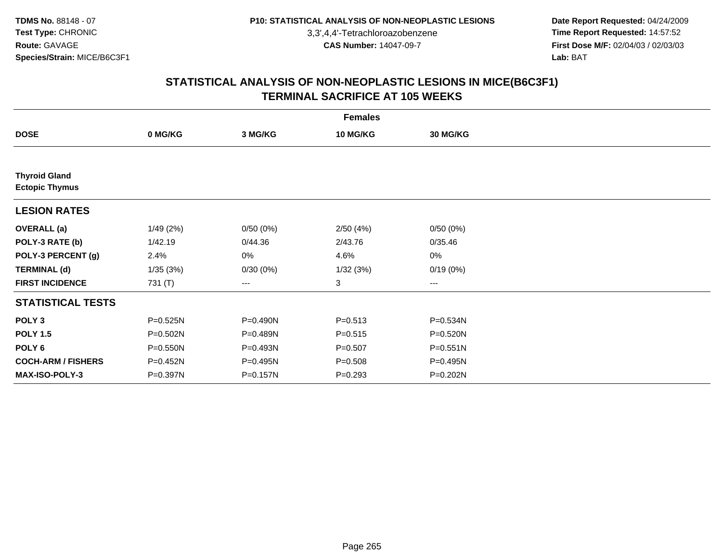3,3',4,4'-Tetrachloroazobenzene

 **Date Report Requested:** 04/24/2009 **Time Report Requested:** 14:57:52 **First Dose M/F:** 02/04/03 / 02/03/03<br>Lab: BAT **Lab:** BAT

|                                               | <b>Females</b> |          |                 |                        |  |  |  |  |
|-----------------------------------------------|----------------|----------|-----------------|------------------------|--|--|--|--|
| <b>DOSE</b>                                   | 0 MG/KG        | 3 MG/KG  | <b>10 MG/KG</b> | 30 MG/KG               |  |  |  |  |
|                                               |                |          |                 |                        |  |  |  |  |
| <b>Thyroid Gland</b><br><b>Ectopic Thymus</b> |                |          |                 |                        |  |  |  |  |
| <b>LESION RATES</b>                           |                |          |                 |                        |  |  |  |  |
| <b>OVERALL</b> (a)                            | 1/49(2%)       | 0/50(0%) | 2/50(4%)        | 0/50(0%)               |  |  |  |  |
| POLY-3 RATE (b)                               | 1/42.19        | 0/44.36  | 2/43.76         | 0/35.46                |  |  |  |  |
| POLY-3 PERCENT (g)                            | 2.4%           | 0%       | 4.6%            | 0%                     |  |  |  |  |
| <b>TERMINAL (d)</b>                           | 1/35(3%)       | 0/30(0%) | 1/32(3%)        | 0/19(0%)               |  |  |  |  |
| <b>FIRST INCIDENCE</b>                        | 731 (T)        | ---      | 3               | $\qquad \qquad \cdots$ |  |  |  |  |
| <b>STATISTICAL TESTS</b>                      |                |          |                 |                        |  |  |  |  |
| POLY <sub>3</sub>                             | P=0.525N       | P=0.490N | $P = 0.513$     | P=0.534N               |  |  |  |  |
| <b>POLY 1.5</b>                               | $P = 0.502N$   | P=0.489N | $P = 0.515$     | P=0.520N               |  |  |  |  |
| POLY <sub>6</sub>                             | P=0.550N       | P=0.493N | $P = 0.507$     | $P = 0.551N$           |  |  |  |  |
| <b>COCH-ARM / FISHERS</b>                     | P=0.452N       | P=0.495N | $P = 0.508$     | P=0.495N               |  |  |  |  |
| <b>MAX-ISO-POLY-3</b>                         | P=0.397N       | P=0.157N | $P = 0.293$     | P=0.202N               |  |  |  |  |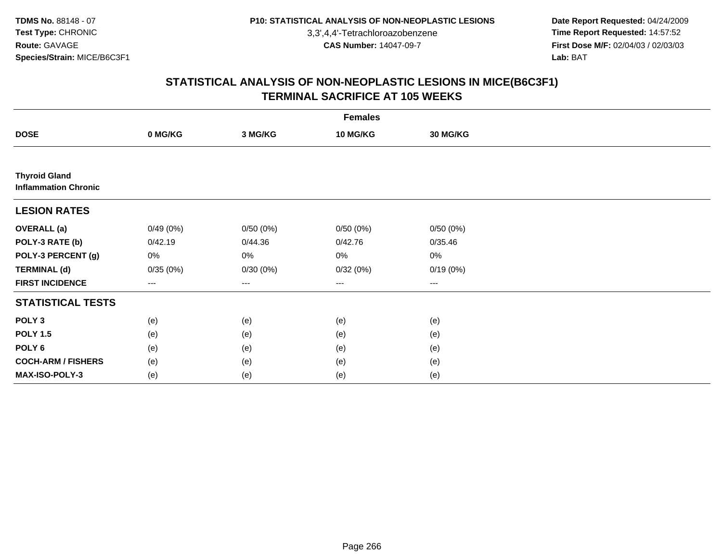3,3',4,4'-Tetrachloroazobenzene

 **Date Report Requested:** 04/24/2009 **Time Report Requested:** 14:57:52 **First Dose M/F:** 02/04/03 / 02/03/03<br>Lab: BAT **Lab:** BAT

|                                                     | <b>Females</b>         |                   |          |                 |  |  |  |  |
|-----------------------------------------------------|------------------------|-------------------|----------|-----------------|--|--|--|--|
| <b>DOSE</b>                                         | 0 MG/KG                | 3 MG/KG           | 10 MG/KG | <b>30 MG/KG</b> |  |  |  |  |
|                                                     |                        |                   |          |                 |  |  |  |  |
| <b>Thyroid Gland</b><br><b>Inflammation Chronic</b> |                        |                   |          |                 |  |  |  |  |
| <b>LESION RATES</b>                                 |                        |                   |          |                 |  |  |  |  |
| <b>OVERALL</b> (a)                                  | 0/49(0%)               | 0/50(0%)          | 0/50(0%) | 0/50(0%)        |  |  |  |  |
| POLY-3 RATE (b)                                     | 0/42.19                | 0/44.36           | 0/42.76  | 0/35.46         |  |  |  |  |
| POLY-3 PERCENT (g)                                  | 0%                     | 0%                | 0%       | $0\%$           |  |  |  |  |
| <b>TERMINAL (d)</b>                                 | 0/35(0%)               | 0/30(0%)          | 0/32(0%) | 0/19(0%)        |  |  |  |  |
| <b>FIRST INCIDENCE</b>                              | $\qquad \qquad \cdots$ | $\qquad \qquad -$ | $\cdots$ | $\cdots$        |  |  |  |  |
| <b>STATISTICAL TESTS</b>                            |                        |                   |          |                 |  |  |  |  |
| POLY <sub>3</sub>                                   | (e)                    | (e)               | (e)      | (e)             |  |  |  |  |
| <b>POLY 1.5</b>                                     | (e)                    | (e)               | (e)      | (e)             |  |  |  |  |
| POLY <sub>6</sub>                                   | (e)                    | (e)               | (e)      | (e)             |  |  |  |  |
| <b>COCH-ARM / FISHERS</b>                           | (e)                    | (e)               | (e)      | (e)             |  |  |  |  |
| MAX-ISO-POLY-3                                      | (e)                    | (e)               | (e)      | (e)             |  |  |  |  |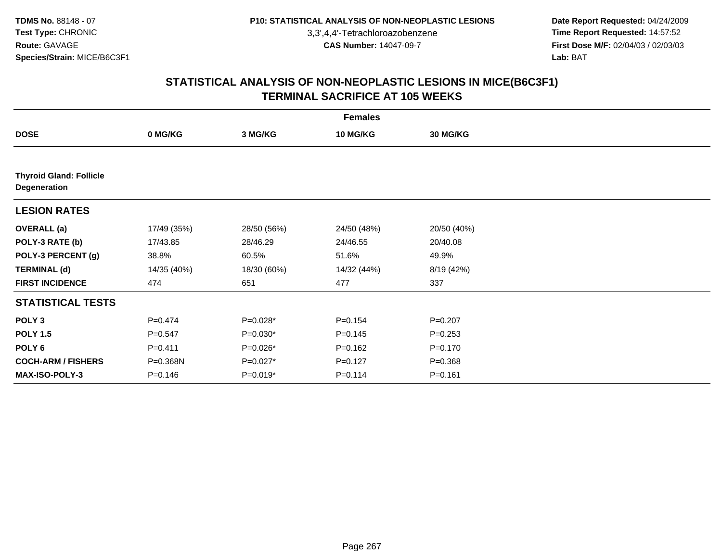3,3',4,4'-Tetrachloroazobenzene

 **Date Report Requested:** 04/24/2009 **Time Report Requested:** 14:57:52 **First Dose M/F:** 02/04/03 / 02/03/03<br>Lab: BAT **Lab:** BAT

|                                                | <b>Females</b> |             |             |                 |  |  |  |  |
|------------------------------------------------|----------------|-------------|-------------|-----------------|--|--|--|--|
| <b>DOSE</b>                                    | 0 MG/KG        | 3 MG/KG     | 10 MG/KG    | <b>30 MG/KG</b> |  |  |  |  |
|                                                |                |             |             |                 |  |  |  |  |
| <b>Thyroid Gland: Follicle</b><br>Degeneration |                |             |             |                 |  |  |  |  |
| <b>LESION RATES</b>                            |                |             |             |                 |  |  |  |  |
| <b>OVERALL</b> (a)                             | 17/49 (35%)    | 28/50 (56%) | 24/50 (48%) | 20/50 (40%)     |  |  |  |  |
| POLY-3 RATE (b)                                | 17/43.85       | 28/46.29    | 24/46.55    | 20/40.08        |  |  |  |  |
| POLY-3 PERCENT (g)                             | 38.8%          | 60.5%       | 51.6%       | 49.9%           |  |  |  |  |
| <b>TERMINAL (d)</b>                            | 14/35 (40%)    | 18/30 (60%) | 14/32 (44%) | 8/19 (42%)      |  |  |  |  |
| <b>FIRST INCIDENCE</b>                         | 474            | 651         | 477         | 337             |  |  |  |  |
| <b>STATISTICAL TESTS</b>                       |                |             |             |                 |  |  |  |  |
| POLY <sub>3</sub>                              | $P=0.474$      | P=0.028*    | $P = 0.154$ | $P = 0.207$     |  |  |  |  |
| <b>POLY 1.5</b>                                | $P = 0.547$    | $P=0.030*$  | $P = 0.145$ | $P = 0.253$     |  |  |  |  |
| POLY 6                                         | $P = 0.411$    | P=0.026*    | $P = 0.162$ | $P = 0.170$     |  |  |  |  |
| <b>COCH-ARM / FISHERS</b>                      | P=0.368N       | $P=0.027*$  | $P = 0.127$ | $P = 0.368$     |  |  |  |  |
| <b>MAX-ISO-POLY-3</b>                          | $P = 0.146$    | $P=0.019*$  | $P = 0.114$ | $P = 0.161$     |  |  |  |  |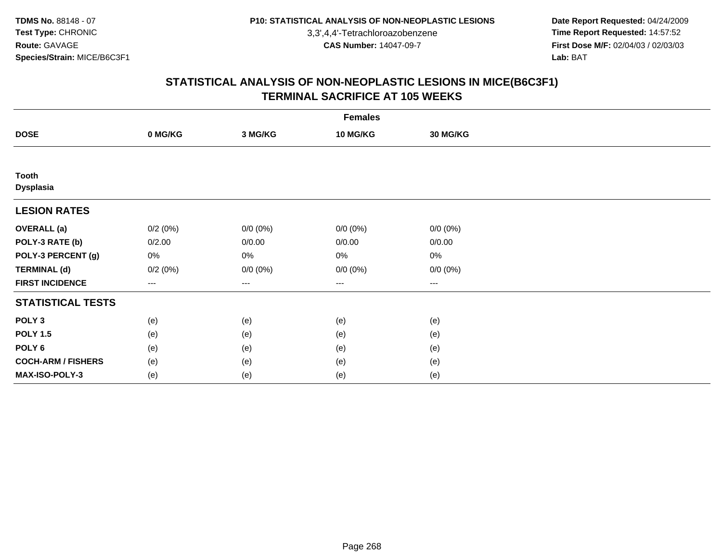3,3',4,4'-Tetrachloroazobenzene

 **Date Report Requested:** 04/24/2009 **Time Report Requested:** 14:57:52 **First Dose M/F:** 02/04/03 / 02/03/03<br>Lab: BAT **Lab:** BAT

|                           | <b>Females</b>         |             |             |             |  |  |  |  |
|---------------------------|------------------------|-------------|-------------|-------------|--|--|--|--|
| <b>DOSE</b>               | 0 MG/KG                | 3 MG/KG     | 10 MG/KG    | 30 MG/KG    |  |  |  |  |
|                           |                        |             |             |             |  |  |  |  |
| <b>Tooth</b>              |                        |             |             |             |  |  |  |  |
| <b>Dysplasia</b>          |                        |             |             |             |  |  |  |  |
| <b>LESION RATES</b>       |                        |             |             |             |  |  |  |  |
| <b>OVERALL (a)</b>        | 0/2(0%)                | $0/0 (0\%)$ | $0/0 (0\%)$ | $0/0 (0\%)$ |  |  |  |  |
| POLY-3 RATE (b)           | 0/2.00                 | 0/0.00      | 0/0.00      | 0/0.00      |  |  |  |  |
| POLY-3 PERCENT (g)        | 0%                     | 0%          | 0%          | 0%          |  |  |  |  |
| <b>TERMINAL (d)</b>       | 0/2(0%)                | $0/0 (0\%)$ | $0/0 (0\%)$ | $0/0 (0\%)$ |  |  |  |  |
| <b>FIRST INCIDENCE</b>    | $\qquad \qquad \cdots$ | ---         | $---$       | $\cdots$    |  |  |  |  |
| <b>STATISTICAL TESTS</b>  |                        |             |             |             |  |  |  |  |
| POLY <sub>3</sub>         | (e)                    | (e)         | (e)         | (e)         |  |  |  |  |
| <b>POLY 1.5</b>           | (e)                    | (e)         | (e)         | (e)         |  |  |  |  |
| POLY <sub>6</sub>         | (e)                    | (e)         | (e)         | (e)         |  |  |  |  |
| <b>COCH-ARM / FISHERS</b> | (e)                    | (e)         | (e)         | (e)         |  |  |  |  |
| MAX-ISO-POLY-3            | (e)                    | (e)         | (e)         | (e)         |  |  |  |  |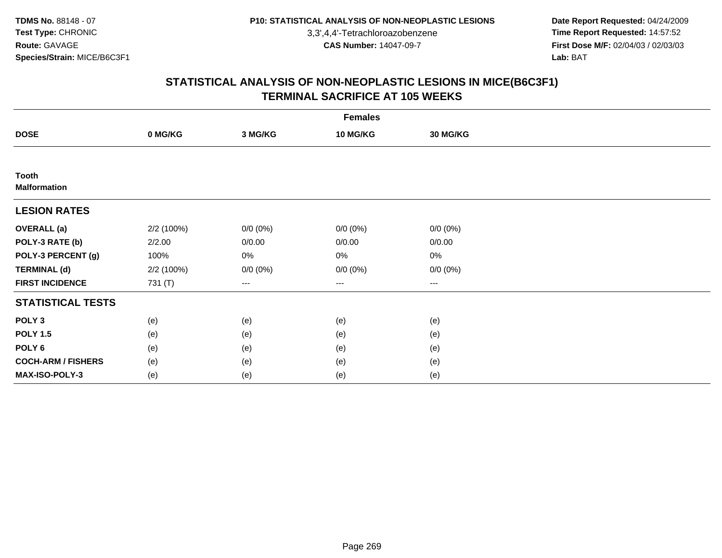3,3',4,4'-Tetrachloroazobenzene

 **Date Report Requested:** 04/24/2009 **Time Report Requested:** 14:57:52 **First Dose M/F:** 02/04/03 / 02/03/03<br>Lab: BAT **Lab:** BAT

|                              | <b>Females</b> |                        |             |             |  |  |  |  |
|------------------------------|----------------|------------------------|-------------|-------------|--|--|--|--|
| <b>DOSE</b>                  | 0 MG/KG        | 3 MG/KG                | 10 MG/KG    | 30 MG/KG    |  |  |  |  |
|                              |                |                        |             |             |  |  |  |  |
| Tooth<br><b>Malformation</b> |                |                        |             |             |  |  |  |  |
| <b>LESION RATES</b>          |                |                        |             |             |  |  |  |  |
| <b>OVERALL</b> (a)           | 2/2 (100%)     | $0/0 (0\%)$            | $0/0 (0\%)$ | $0/0 (0\%)$ |  |  |  |  |
| POLY-3 RATE (b)              | 2/2.00         | 0/0.00                 | 0/0.00      | 0/0.00      |  |  |  |  |
| POLY-3 PERCENT (g)           | 100%           | 0%                     | 0%          | 0%          |  |  |  |  |
| <b>TERMINAL (d)</b>          | 2/2 (100%)     | $0/0 (0\%)$            | $0/0 (0\%)$ | $0/0 (0\%)$ |  |  |  |  |
| <b>FIRST INCIDENCE</b>       | 731 (T)        | $\qquad \qquad \cdots$ | ---         | $\cdots$    |  |  |  |  |
| <b>STATISTICAL TESTS</b>     |                |                        |             |             |  |  |  |  |
| POLY <sub>3</sub>            | (e)            | (e)                    | (e)         | (e)         |  |  |  |  |
| <b>POLY 1.5</b>              | (e)            | (e)                    | (e)         | (e)         |  |  |  |  |
| POLY <sub>6</sub>            | (e)            | (e)                    | (e)         | (e)         |  |  |  |  |
| <b>COCH-ARM / FISHERS</b>    | (e)            | (e)                    | (e)         | (e)         |  |  |  |  |
| MAX-ISO-POLY-3               | (e)            | (e)                    | (e)         | (e)         |  |  |  |  |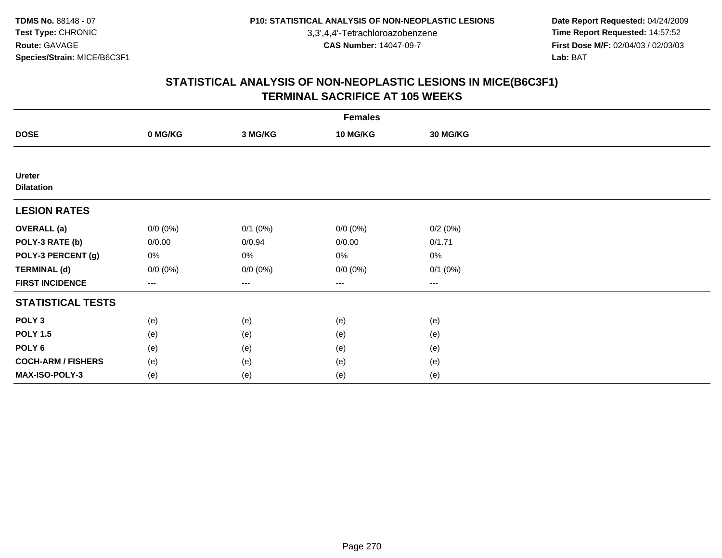3,3',4,4'-Tetrachloroazobenzene

 **Date Report Requested:** 04/24/2009 **Time Report Requested:** 14:57:52 **First Dose M/F:** 02/04/03 / 02/03/03<br>Lab: BAT **Lab:** BAT

|                                    | <b>Females</b> |              |             |              |  |  |  |  |
|------------------------------------|----------------|--------------|-------------|--------------|--|--|--|--|
| <b>DOSE</b>                        | 0 MG/KG        | 3 MG/KG      | 10 MG/KG    | 30 MG/KG     |  |  |  |  |
|                                    |                |              |             |              |  |  |  |  |
| <b>Ureter</b><br><b>Dilatation</b> |                |              |             |              |  |  |  |  |
| <b>LESION RATES</b>                |                |              |             |              |  |  |  |  |
| <b>OVERALL</b> (a)                 | $0/0 (0\%)$    | $0/1$ $(0%)$ | $0/0 (0\%)$ | 0/2(0%)      |  |  |  |  |
| POLY-3 RATE (b)                    | 0/0.00         | 0/0.94       | 0/0.00      | 0/1.71       |  |  |  |  |
| POLY-3 PERCENT (g)                 | 0%             | 0%           | 0%          | 0%           |  |  |  |  |
| <b>TERMINAL (d)</b>                | $0/0 (0\%)$    | $0/0 (0\%)$  | $0/0 (0\%)$ | $0/1$ $(0%)$ |  |  |  |  |
| <b>FIRST INCIDENCE</b>             | $---$          | ---          | ---         | $--$         |  |  |  |  |
| <b>STATISTICAL TESTS</b>           |                |              |             |              |  |  |  |  |
| POLY <sub>3</sub>                  | (e)            | (e)          | (e)         | (e)          |  |  |  |  |
| <b>POLY 1.5</b>                    | (e)            | (e)          | (e)         | (e)          |  |  |  |  |
| POLY <sub>6</sub>                  | (e)            | (e)          | (e)         | (e)          |  |  |  |  |
| <b>COCH-ARM / FISHERS</b>          | (e)            | (e)          | (e)         | (e)          |  |  |  |  |
| MAX-ISO-POLY-3                     | (e)            | (e)          | (e)         | (e)          |  |  |  |  |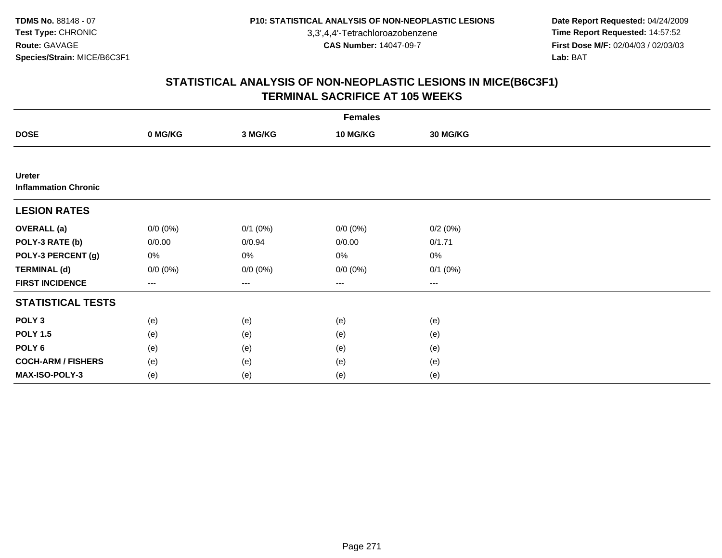3,3',4,4'-Tetrachloroazobenzene

 **Date Report Requested:** 04/24/2009 **Time Report Requested:** 14:57:52 **First Dose M/F:** 02/04/03 / 02/03/03<br>Lab: BAT **Lab:** BAT

|                                              | <b>Females</b> |              |                   |              |  |  |  |  |
|----------------------------------------------|----------------|--------------|-------------------|--------------|--|--|--|--|
| <b>DOSE</b>                                  | 0 MG/KG        | 3 MG/KG      | 10 MG/KG          | 30 MG/KG     |  |  |  |  |
|                                              |                |              |                   |              |  |  |  |  |
| <b>Ureter</b><br><b>Inflammation Chronic</b> |                |              |                   |              |  |  |  |  |
| <b>LESION RATES</b>                          |                |              |                   |              |  |  |  |  |
| <b>OVERALL</b> (a)                           | $0/0 (0\%)$    | $0/1$ $(0%)$ | $0/0 (0\%)$       | 0/2(0%)      |  |  |  |  |
| POLY-3 RATE (b)                              | 0/0.00         | 0/0.94       | 0/0.00            | 0/1.71       |  |  |  |  |
| POLY-3 PERCENT (g)                           | 0%             | 0%           | 0%                | $0\%$        |  |  |  |  |
| <b>TERMINAL (d)</b>                          | $0/0 (0\%)$    | $0/0 (0\%)$  | $0/0 (0\%)$       | $0/1$ $(0%)$ |  |  |  |  |
| <b>FIRST INCIDENCE</b>                       | $---$          | ---          | $\qquad \qquad -$ | $---$        |  |  |  |  |
| <b>STATISTICAL TESTS</b>                     |                |              |                   |              |  |  |  |  |
| POLY <sub>3</sub>                            | (e)            | (e)          | (e)               | (e)          |  |  |  |  |
| <b>POLY 1.5</b>                              | (e)            | (e)          | (e)               | (e)          |  |  |  |  |
| POLY <sub>6</sub>                            | (e)            | (e)          | (e)               | (e)          |  |  |  |  |
| <b>COCH-ARM / FISHERS</b>                    | (e)            | (e)          | (e)               | (e)          |  |  |  |  |
| MAX-ISO-POLY-3                               | (e)            | (e)          | (e)               | (e)          |  |  |  |  |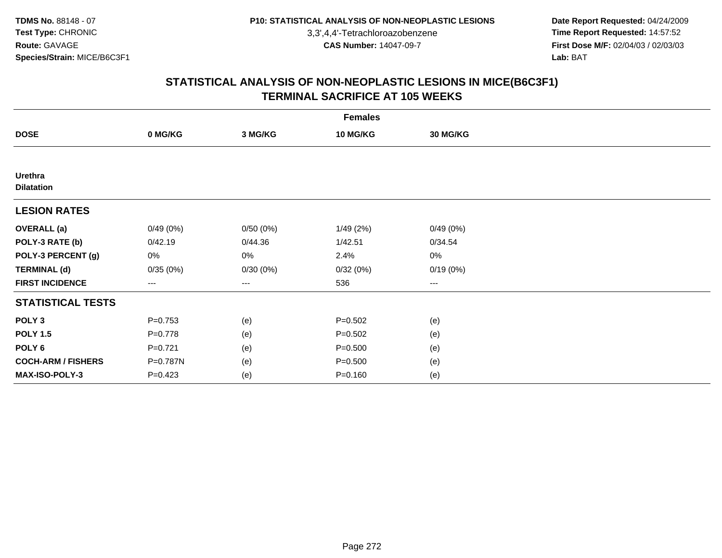3,3',4,4'-Tetrachloroazobenzene

 **Date Report Requested:** 04/24/2009 **Time Report Requested:** 14:57:52 **First Dose M/F:** 02/04/03 / 02/03/03<br>Lab: BAT **Lab:** BAT

|                                     | <b>Females</b>         |          |             |                 |  |  |  |  |
|-------------------------------------|------------------------|----------|-------------|-----------------|--|--|--|--|
| <b>DOSE</b>                         | 0 MG/KG                | 3 MG/KG  | 10 MG/KG    | <b>30 MG/KG</b> |  |  |  |  |
|                                     |                        |          |             |                 |  |  |  |  |
| <b>Urethra</b><br><b>Dilatation</b> |                        |          |             |                 |  |  |  |  |
| <b>LESION RATES</b>                 |                        |          |             |                 |  |  |  |  |
| <b>OVERALL</b> (a)                  | 0/49(0%)               | 0/50(0%) | 1/49(2%)    | 0/49(0%)        |  |  |  |  |
| POLY-3 RATE (b)                     | 0/42.19                | 0/44.36  | 1/42.51     | 0/34.54         |  |  |  |  |
| POLY-3 PERCENT (g)                  | 0%                     | 0%       | 2.4%        | 0%              |  |  |  |  |
| <b>TERMINAL (d)</b>                 | 0/35(0%)               | 0/30(0%) | 0/32(0%)    | 0/19(0%)        |  |  |  |  |
| <b>FIRST INCIDENCE</b>              | $\qquad \qquad \cdots$ | ---      | 536         | $--$            |  |  |  |  |
| <b>STATISTICAL TESTS</b>            |                        |          |             |                 |  |  |  |  |
| POLY <sub>3</sub>                   | $P=0.753$              | (e)      | $P = 0.502$ | (e)             |  |  |  |  |
| <b>POLY 1.5</b>                     | $P=0.778$              | (e)      | $P = 0.502$ | (e)             |  |  |  |  |
| POLY <sub>6</sub>                   | $P=0.721$              | (e)      | $P = 0.500$ | (e)             |  |  |  |  |
| <b>COCH-ARM / FISHERS</b>           | P=0.787N               | (e)      | $P = 0.500$ | (e)             |  |  |  |  |
| <b>MAX-ISO-POLY-3</b>               | $P=0.423$              | (e)      | $P = 0.160$ | (e)             |  |  |  |  |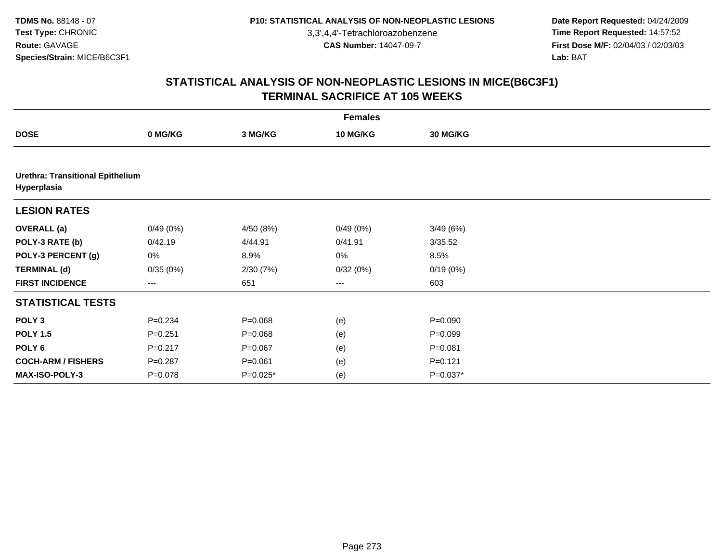3,3',4,4'-Tetrachloroazobenzene

 **Date Report Requested:** 04/24/2009 **Time Report Requested:** 14:57:52 **First Dose M/F:** 02/04/03 / 02/03/03<br>Lab: BAT **Lab:** BAT

|                                                        | <b>Females</b> |             |                   |                 |  |  |  |  |
|--------------------------------------------------------|----------------|-------------|-------------------|-----------------|--|--|--|--|
| <b>DOSE</b>                                            | 0 MG/KG        | 3 MG/KG     | <b>10 MG/KG</b>   | <b>30 MG/KG</b> |  |  |  |  |
|                                                        |                |             |                   |                 |  |  |  |  |
| <b>Urethra: Transitional Epithelium</b><br>Hyperplasia |                |             |                   |                 |  |  |  |  |
| <b>LESION RATES</b>                                    |                |             |                   |                 |  |  |  |  |
| <b>OVERALL</b> (a)                                     | 0/49(0%)       | 4/50 (8%)   | 0/49(0%)          | 3/49(6%)        |  |  |  |  |
| POLY-3 RATE (b)                                        | 0/42.19        | 4/44.91     | 0/41.91           | 3/35.52         |  |  |  |  |
| POLY-3 PERCENT (g)                                     | 0%             | 8.9%        | 0%                | 8.5%            |  |  |  |  |
| <b>TERMINAL (d)</b>                                    | 0/35(0%)       | 2/30(7%)    | 0/32(0%)          | 0/19(0%)        |  |  |  |  |
| <b>FIRST INCIDENCE</b>                                 | $---$          | 651         | $\qquad \qquad -$ | 603             |  |  |  |  |
| <b>STATISTICAL TESTS</b>                               |                |             |                   |                 |  |  |  |  |
| POLY <sub>3</sub>                                      | $P = 0.234$    | $P = 0.068$ | (e)               | $P = 0.090$     |  |  |  |  |
| <b>POLY 1.5</b>                                        | $P = 0.251$    | $P = 0.068$ | (e)               | $P = 0.099$     |  |  |  |  |
| POLY <sub>6</sub>                                      | $P = 0.217$    | $P = 0.067$ | (e)               | $P = 0.081$     |  |  |  |  |
| <b>COCH-ARM / FISHERS</b>                              | $P = 0.287$    | $P = 0.061$ | (e)               | $P = 0.121$     |  |  |  |  |
| <b>MAX-ISO-POLY-3</b>                                  | $P = 0.078$    | $P=0.025*$  | (e)               | $P=0.037*$      |  |  |  |  |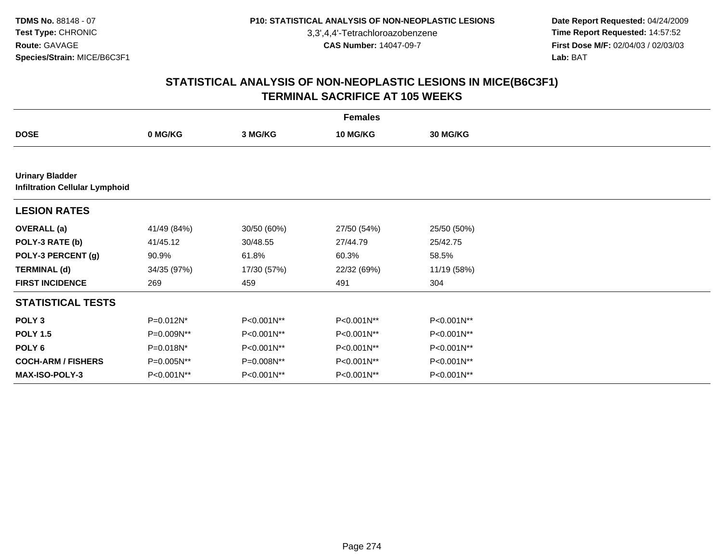3,3',4,4'-Tetrachloroazobenzene

 **Date Report Requested:** 04/24/2009 **Time Report Requested:** 14:57:52 **First Dose M/F:** 02/04/03 / 02/03/03<br>Lab: BAT **Lab:** BAT

|                                                                 | <b>Females</b> |             |             |                 |  |  |  |  |
|-----------------------------------------------------------------|----------------|-------------|-------------|-----------------|--|--|--|--|
| <b>DOSE</b>                                                     | 0 MG/KG        | 3 MG/KG     | 10 MG/KG    | <b>30 MG/KG</b> |  |  |  |  |
|                                                                 |                |             |             |                 |  |  |  |  |
| <b>Urinary Bladder</b><br><b>Infiltration Cellular Lymphoid</b> |                |             |             |                 |  |  |  |  |
| <b>LESION RATES</b>                                             |                |             |             |                 |  |  |  |  |
| <b>OVERALL</b> (a)                                              | 41/49 (84%)    | 30/50 (60%) | 27/50 (54%) | 25/50 (50%)     |  |  |  |  |
| POLY-3 RATE (b)                                                 | 41/45.12       | 30/48.55    | 27/44.79    | 25/42.75        |  |  |  |  |
| POLY-3 PERCENT (g)                                              | 90.9%          | 61.8%       | 60.3%       | 58.5%           |  |  |  |  |
| <b>TERMINAL (d)</b>                                             | 34/35 (97%)    | 17/30 (57%) | 22/32 (69%) | 11/19 (58%)     |  |  |  |  |
| <b>FIRST INCIDENCE</b>                                          | 269            | 459         | 491         | 304             |  |  |  |  |
| <b>STATISTICAL TESTS</b>                                        |                |             |             |                 |  |  |  |  |
| POLY <sub>3</sub>                                               | P=0.012N*      | P<0.001N**  | P<0.001N**  | P<0.001N**      |  |  |  |  |
| <b>POLY 1.5</b>                                                 | P=0.009N**     | P<0.001N**  | P<0.001N**  | P<0.001N**      |  |  |  |  |
| POLY 6                                                          | P=0.018N*      | P<0.001N**  | P<0.001N**  | P<0.001N**      |  |  |  |  |
| <b>COCH-ARM / FISHERS</b>                                       | P=0.005N**     | P=0.008N**  | P<0.001N**  | P<0.001N**      |  |  |  |  |
| <b>MAX-ISO-POLY-3</b>                                           | P<0.001N**     | P<0.001N**  | P<0.001N**  | P<0.001N**      |  |  |  |  |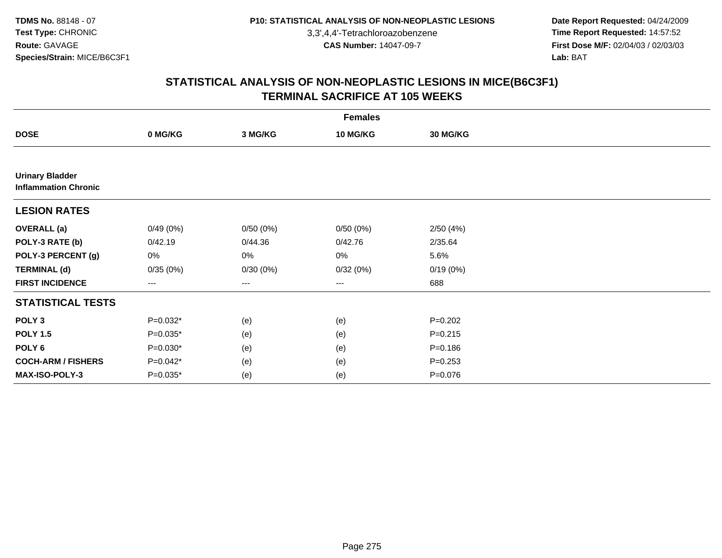3,3',4,4'-Tetrachloroazobenzene

 **Date Report Requested:** 04/24/2009 **Time Report Requested:** 14:57:52 **First Dose M/F:** 02/04/03 / 02/03/03<br>Lab: BAT **Lab:** BAT

|                                                       | <b>Females</b> |          |                   |                 |  |  |  |  |
|-------------------------------------------------------|----------------|----------|-------------------|-----------------|--|--|--|--|
| <b>DOSE</b>                                           | 0 MG/KG        | 3 MG/KG  | <b>10 MG/KG</b>   | <b>30 MG/KG</b> |  |  |  |  |
|                                                       |                |          |                   |                 |  |  |  |  |
| <b>Urinary Bladder</b><br><b>Inflammation Chronic</b> |                |          |                   |                 |  |  |  |  |
| <b>LESION RATES</b>                                   |                |          |                   |                 |  |  |  |  |
| <b>OVERALL</b> (a)                                    | 0/49(0%)       | 0/50(0%) | 0/50(0%)          | 2/50(4%)        |  |  |  |  |
| POLY-3 RATE (b)                                       | 0/42.19        | 0/44.36  | 0/42.76           | 2/35.64         |  |  |  |  |
| POLY-3 PERCENT (g)                                    | 0%             | 0%       | 0%                | 5.6%            |  |  |  |  |
| <b>TERMINAL (d)</b>                                   | 0/35(0%)       | 0/30(0%) | 0/32(0%)          | 0/19(0%)        |  |  |  |  |
| <b>FIRST INCIDENCE</b>                                | $---$          | ---      | $\qquad \qquad -$ | 688             |  |  |  |  |
| <b>STATISTICAL TESTS</b>                              |                |          |                   |                 |  |  |  |  |
| POLY <sub>3</sub>                                     | $P=0.032*$     | (e)      | (e)               | $P = 0.202$     |  |  |  |  |
| <b>POLY 1.5</b>                                       | $P=0.035*$     | (e)      | (e)               | $P = 0.215$     |  |  |  |  |
| POLY <sub>6</sub>                                     | $P=0.030*$     | (e)      | (e)               | $P = 0.186$     |  |  |  |  |
| <b>COCH-ARM / FISHERS</b>                             | $P=0.042*$     | (e)      | (e)               | $P = 0.253$     |  |  |  |  |
| MAX-ISO-POLY-3                                        | $P=0.035*$     | (e)      | (e)               | $P = 0.076$     |  |  |  |  |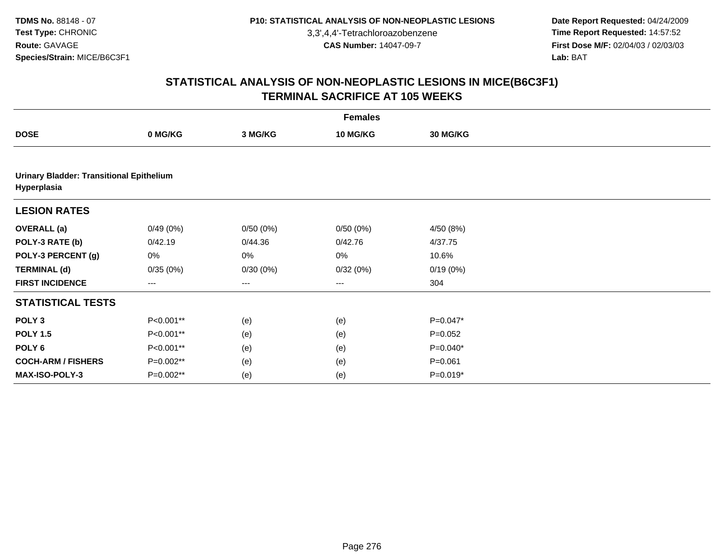3,3',4,4'-Tetrachloroazobenzene

 **Date Report Requested:** 04/24/2009 **Time Report Requested:** 14:57:52 **First Dose M/F:** 02/04/03 / 02/03/03<br>Lab: BAT **Lab:** BAT

|                                                                | <b>Females</b> |          |          |                 |  |  |  |  |
|----------------------------------------------------------------|----------------|----------|----------|-----------------|--|--|--|--|
| <b>DOSE</b>                                                    | 0 MG/KG        | 3 MG/KG  | 10 MG/KG | <b>30 MG/KG</b> |  |  |  |  |
|                                                                |                |          |          |                 |  |  |  |  |
| <b>Urinary Bladder: Transitional Epithelium</b><br>Hyperplasia |                |          |          |                 |  |  |  |  |
| <b>LESION RATES</b>                                            |                |          |          |                 |  |  |  |  |
| <b>OVERALL</b> (a)                                             | 0/49(0%)       | 0/50(0%) | 0/50(0%) | 4/50 (8%)       |  |  |  |  |
| POLY-3 RATE (b)                                                | 0/42.19        | 0/44.36  | 0/42.76  | 4/37.75         |  |  |  |  |
| POLY-3 PERCENT (g)                                             | 0%             | 0%       | 0%       | 10.6%           |  |  |  |  |
| <b>TERMINAL (d)</b>                                            | 0/35(0%)       | 0/30(0%) | 0/32(0%) | 0/19(0%)        |  |  |  |  |
| <b>FIRST INCIDENCE</b>                                         | ---            | $---$    | $---$    | 304             |  |  |  |  |
| <b>STATISTICAL TESTS</b>                                       |                |          |          |                 |  |  |  |  |
| POLY <sub>3</sub>                                              | P<0.001**      | (e)      | (e)      | P=0.047*        |  |  |  |  |
| <b>POLY 1.5</b>                                                | P<0.001**      | (e)      | (e)      | $P = 0.052$     |  |  |  |  |
| POLY <sub>6</sub>                                              | P<0.001**      | (e)      | (e)      | $P=0.040*$      |  |  |  |  |
| <b>COCH-ARM / FISHERS</b>                                      | P=0.002**      | (e)      | (e)      | $P = 0.061$     |  |  |  |  |
| <b>MAX-ISO-POLY-3</b>                                          | P=0.002**      | (e)      | (e)      | $P=0.019*$      |  |  |  |  |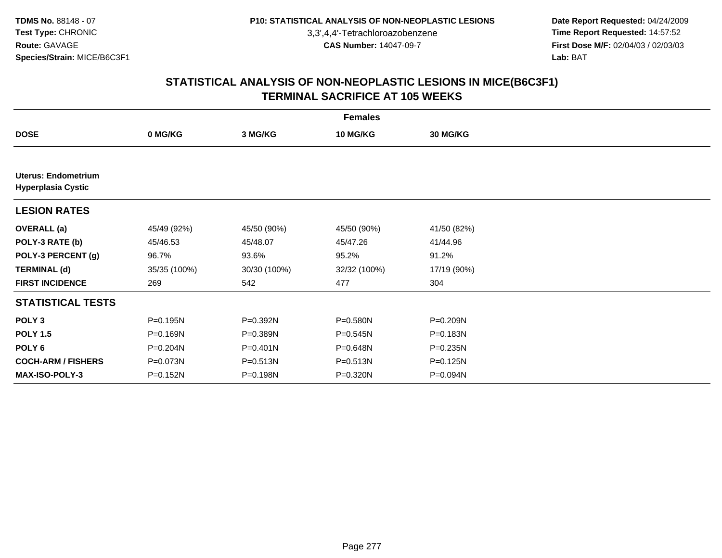3,3',4,4'-Tetrachloroazobenzene

 **Date Report Requested:** 04/24/2009 **Time Report Requested:** 14:57:52 **First Dose M/F:** 02/04/03 / 02/03/03<br>Lab: BAT **Lab:** BAT

| <b>Females</b>                                          |              |              |              |                 |  |
|---------------------------------------------------------|--------------|--------------|--------------|-----------------|--|
| <b>DOSE</b>                                             | 0 MG/KG      | 3 MG/KG      | 10 MG/KG     | <b>30 MG/KG</b> |  |
|                                                         |              |              |              |                 |  |
| <b>Uterus: Endometrium</b><br><b>Hyperplasia Cystic</b> |              |              |              |                 |  |
| <b>LESION RATES</b>                                     |              |              |              |                 |  |
| <b>OVERALL</b> (a)                                      | 45/49 (92%)  | 45/50 (90%)  | 45/50 (90%)  | 41/50 (82%)     |  |
| POLY-3 RATE (b)                                         | 45/46.53     | 45/48.07     | 45/47.26     | 41/44.96        |  |
| POLY-3 PERCENT (g)                                      | 96.7%        | 93.6%        | 95.2%        | 91.2%           |  |
| <b>TERMINAL (d)</b>                                     | 35/35 (100%) | 30/30 (100%) | 32/32 (100%) | 17/19 (90%)     |  |
| <b>FIRST INCIDENCE</b>                                  | 269          | 542          | 477          | 304             |  |
| <b>STATISTICAL TESTS</b>                                |              |              |              |                 |  |
| POLY <sub>3</sub>                                       | P=0.195N     | P=0.392N     | $P = 0.580N$ | P=0.209N        |  |
| <b>POLY 1.5</b>                                         | P=0.169N     | P=0.389N     | P=0.545N     | P=0.183N        |  |
| POLY 6                                                  | P=0.204N     | P=0.401N     | P=0.648N     | P=0.235N        |  |
| <b>COCH-ARM / FISHERS</b>                               | P=0.073N     | P=0.513N     | P=0.513N     | P=0.125N        |  |
| <b>MAX-ISO-POLY-3</b>                                   | P=0.152N     | P=0.198N     | P=0.320N     | P=0.094N        |  |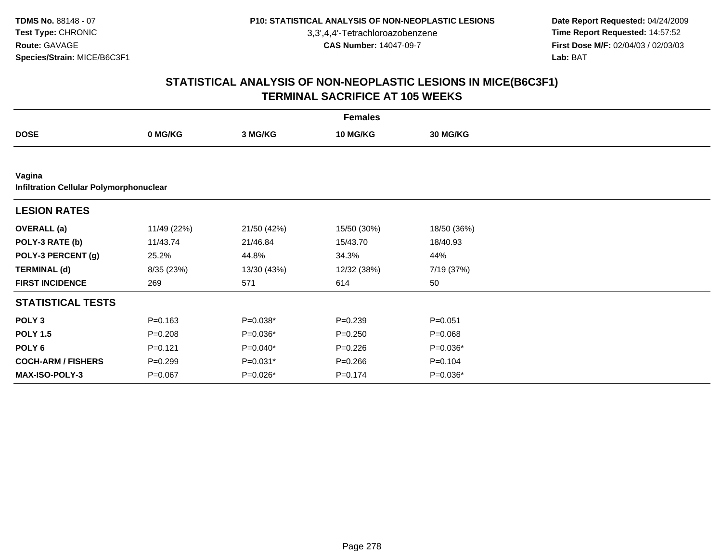3,3',4,4'-Tetrachloroazobenzene

 **Date Report Requested:** 04/24/2009 **Time Report Requested:** 14:57:52 **First Dose M/F:** 02/04/03 / 02/03/03<br>Lab: BAT **Lab:** BAT

| <b>Females</b>                                    |             |             |             |                 |  |
|---------------------------------------------------|-------------|-------------|-------------|-----------------|--|
| <b>DOSE</b>                                       | 0 MG/KG     | 3 MG/KG     | 10 MG/KG    | <b>30 MG/KG</b> |  |
|                                                   |             |             |             |                 |  |
| Vagina<br>Infiltration Cellular Polymorphonuclear |             |             |             |                 |  |
| <b>LESION RATES</b>                               |             |             |             |                 |  |
| <b>OVERALL</b> (a)                                | 11/49 (22%) | 21/50 (42%) | 15/50 (30%) | 18/50 (36%)     |  |
| POLY-3 RATE (b)                                   | 11/43.74    | 21/46.84    | 15/43.70    | 18/40.93        |  |
| POLY-3 PERCENT (g)                                | 25.2%       | 44.8%       | 34.3%       | 44%             |  |
| <b>TERMINAL (d)</b>                               | 8/35 (23%)  | 13/30 (43%) | 12/32 (38%) | 7/19 (37%)      |  |
| <b>FIRST INCIDENCE</b>                            | 269         | 571         | 614         | 50              |  |
| <b>STATISTICAL TESTS</b>                          |             |             |             |                 |  |
| POLY <sub>3</sub>                                 | $P = 0.163$ | P=0.038*    | $P = 0.239$ | $P = 0.051$     |  |
| <b>POLY 1.5</b>                                   | $P = 0.208$ | $P=0.036*$  | $P = 0.250$ | $P = 0.068$     |  |
| POLY <sub>6</sub>                                 | $P = 0.121$ | $P=0.040*$  | $P = 0.226$ | P=0.036*        |  |
| <b>COCH-ARM / FISHERS</b>                         | $P = 0.299$ | $P=0.031*$  | $P = 0.266$ | $P = 0.104$     |  |
| <b>MAX-ISO-POLY-3</b>                             | $P = 0.067$ | P=0.026*    | $P = 0.174$ | P=0.036*        |  |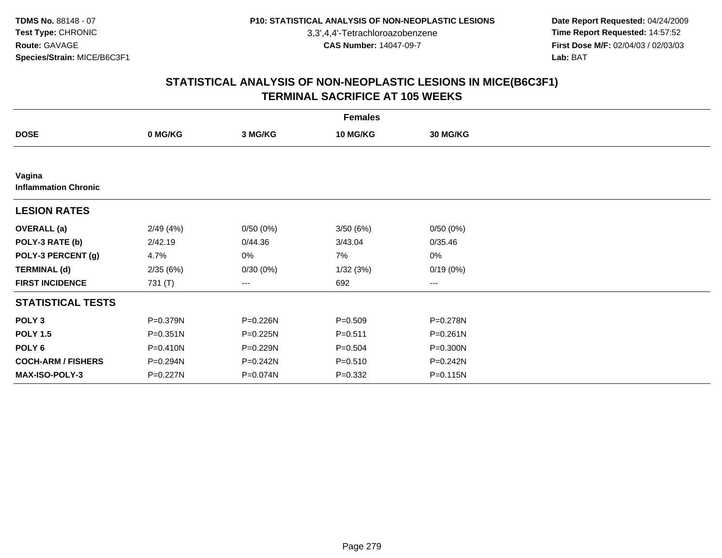3,3',4,4'-Tetrachloroazobenzene

 **Date Report Requested:** 04/24/2009 **Time Report Requested:** 14:57:52 **First Dose M/F:** 02/04/03 / 02/03/03<br>Lab: BAT **Lab:** BAT

|                                       |              |              | <b>Females</b>  |                        |  |
|---------------------------------------|--------------|--------------|-----------------|------------------------|--|
| <b>DOSE</b>                           | 0 MG/KG      | 3 MG/KG      | <b>10 MG/KG</b> | 30 MG/KG               |  |
|                                       |              |              |                 |                        |  |
| Vagina<br><b>Inflammation Chronic</b> |              |              |                 |                        |  |
| <b>LESION RATES</b>                   |              |              |                 |                        |  |
| <b>OVERALL</b> (a)                    | 2/49(4%)     | 0/50(0%)     | 3/50(6%)        | 0/50(0%)               |  |
| POLY-3 RATE (b)                       | 2/42.19      | 0/44.36      | 3/43.04         | 0/35.46                |  |
| POLY-3 PERCENT (g)                    | 4.7%         | 0%           | 7%              | 0%                     |  |
| <b>TERMINAL (d)</b>                   | 2/35(6%)     | 0/30(0%)     | 1/32(3%)        | 0/19(0%)               |  |
| <b>FIRST INCIDENCE</b>                | 731 (T)      | ---          | 692             | $\qquad \qquad \cdots$ |  |
| <b>STATISTICAL TESTS</b>              |              |              |                 |                        |  |
| POLY <sub>3</sub>                     | P=0.379N     | P=0.226N     | $P = 0.509$     | P=0.278N               |  |
| <b>POLY 1.5</b>                       | $P = 0.351N$ | $P = 0.225N$ | $P = 0.511$     | $P = 0.261N$           |  |
| POLY <sub>6</sub>                     | $P = 0.410N$ | P=0.229N     | $P = 0.504$     | P=0.300N               |  |
| <b>COCH-ARM / FISHERS</b>             | P=0.294N     | P=0.242N     | $P = 0.510$     | P=0.242N               |  |
| <b>MAX-ISO-POLY-3</b>                 | P=0.227N     | P=0.074N     | $P = 0.332$     | $P = 0.115N$           |  |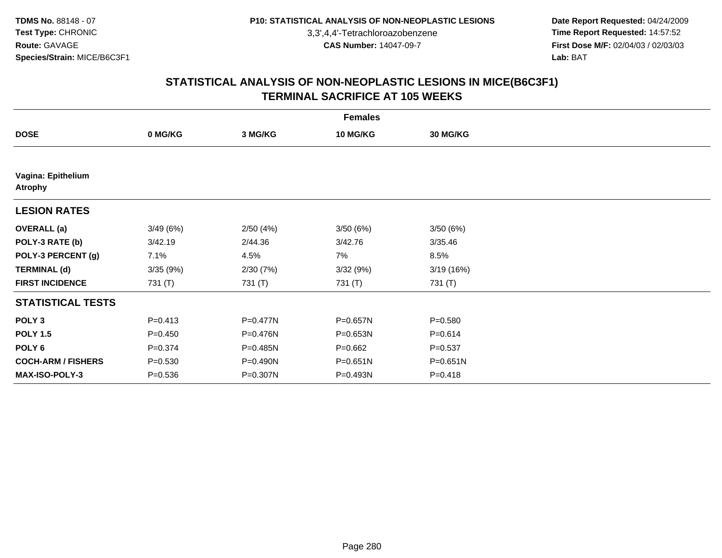3,3',4,4'-Tetrachloroazobenzene

 **Date Report Requested:** 04/24/2009 **Time Report Requested:** 14:57:52 **First Dose M/F:** 02/04/03 / 02/03/03<br>Lab: BAT **Lab:** BAT

|                                      |             |          | <b>Females</b>  |              |  |
|--------------------------------------|-------------|----------|-----------------|--------------|--|
| <b>DOSE</b>                          | 0 MG/KG     | 3 MG/KG  | <b>10 MG/KG</b> | 30 MG/KG     |  |
|                                      |             |          |                 |              |  |
| Vagina: Epithelium<br><b>Atrophy</b> |             |          |                 |              |  |
| <b>LESION RATES</b>                  |             |          |                 |              |  |
| <b>OVERALL</b> (a)                   | 3/49(6%)    | 2/50(4%) | 3/50(6%)        | 3/50(6%)     |  |
| POLY-3 RATE (b)                      | 3/42.19     | 2/44.36  | 3/42.76         | 3/35.46      |  |
| POLY-3 PERCENT (g)                   | 7.1%        | 4.5%     | 7%              | 8.5%         |  |
| <b>TERMINAL (d)</b>                  | 3/35(9%)    | 2/30(7%) | 3/32 (9%)       | 3/19(16%)    |  |
| <b>FIRST INCIDENCE</b>               | 731 (T)     | 731 (T)  | 731 (T)         | 731 (T)      |  |
| <b>STATISTICAL TESTS</b>             |             |          |                 |              |  |
| POLY <sub>3</sub>                    | $P = 0.413$ | P=0.477N | P=0.657N        | $P = 0.580$  |  |
| <b>POLY 1.5</b>                      | $P = 0.450$ | P=0.476N | P=0.653N        | $P = 0.614$  |  |
| POLY <sub>6</sub>                    | $P = 0.374$ | P=0.485N | $P = 0.662$     | $P = 0.537$  |  |
| <b>COCH-ARM / FISHERS</b>            | $P = 0.530$ | P=0.490N | P=0.651N        | $P = 0.651N$ |  |
| <b>MAX-ISO-POLY-3</b>                | $P = 0.536$ | P=0.307N | P=0.493N        | $P = 0.418$  |  |